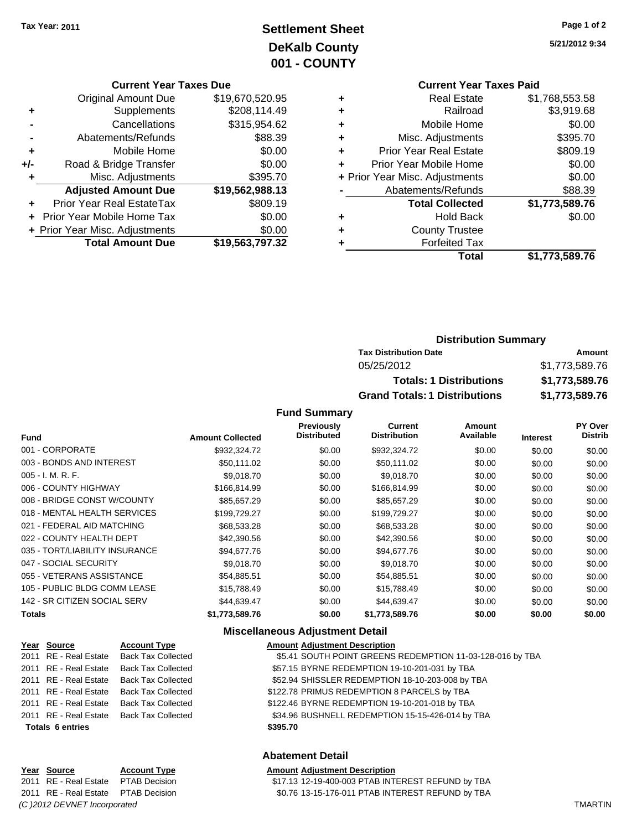# **Settlement Sheet Tax Year: 2011 Page 1 of 2 DeKalb County 001 - COUNTY**

**5/21/2012 9:34**

#### **Current Year Taxes Due**

|     | <b>Original Amount Due</b>       | \$19,670,520.95 |
|-----|----------------------------------|-----------------|
|     | Supplements                      | \$208,114.49    |
|     | Cancellations                    | \$315,954.62    |
|     | Abatements/Refunds               | \$88.39         |
| ٠   | Mobile Home                      | \$0.00          |
| +/- | Road & Bridge Transfer           | \$0.00          |
| ٠   | Misc. Adjustments                | \$395.70        |
|     | <b>Adjusted Amount Due</b>       | \$19,562,988.13 |
|     | <b>Prior Year Real EstateTax</b> | \$809.19        |
|     | Prior Year Mobile Home Tax       | \$0.00          |
|     | + Prior Year Misc. Adjustments   | \$0.00          |
|     | <b>Total Amount Due</b>          | \$19,563,797.32 |

### **Current Year Taxes Paid +** Real Estate \$1,768,553.58 **+** Railroad \$3,919.68 **+** Mobile Home \$0.00 **+** Misc. Adjustments \$395.70 **+** Prior Year Real Estate \$809.19

|   | Total                          | \$1,773,589.76 |
|---|--------------------------------|----------------|
|   | <b>Forfeited Tax</b>           |                |
| ÷ | <b>County Trustee</b>          |                |
| ÷ | <b>Hold Back</b>               | \$0.00         |
|   | <b>Total Collected</b>         | \$1,773,589.76 |
|   | Abatements/Refunds             | \$88.39        |
|   | + Prior Year Misc. Adjustments | \$0.00         |
|   | Prior Year Mobile Home         | \$0.00         |

## **Distribution Summary**

| - - - - - - - - - - - - - - - - - - - - |                |
|-----------------------------------------|----------------|
| <b>Tax Distribution Date</b>            | Amount         |
| 05/25/2012                              | \$1,773,589.76 |
| <b>Totals: 1 Distributions</b>          | \$1,773,589.76 |
| <b>Grand Totals: 1 Distributions</b>    | \$1,773,589.76 |

#### **Fund Summary**

| <b>Fund</b>                    | <b>Amount Collected</b> | <b>Previously</b><br><b>Distributed</b> | <b>Current</b><br><b>Distribution</b> | Amount<br>Available | <b>Interest</b> | <b>PY Over</b><br><b>Distrib</b> |
|--------------------------------|-------------------------|-----------------------------------------|---------------------------------------|---------------------|-----------------|----------------------------------|
| 001 - CORPORATE                | \$932,324.72            | \$0.00                                  | \$932,324.72                          | \$0.00              | \$0.00          | \$0.00                           |
| 003 - BONDS AND INTEREST       | \$50,111.02             | \$0.00                                  | \$50,111.02                           | \$0.00              | \$0.00          | \$0.00                           |
| $005 - I. M. R. F.$            | \$9,018.70              | \$0.00                                  | \$9,018.70                            | \$0.00              | \$0.00          | \$0.00                           |
| 006 - COUNTY HIGHWAY           | \$166,814.99            | \$0.00                                  | \$166,814.99                          | \$0.00              | \$0.00          | \$0.00                           |
| 008 - BRIDGE CONST W/COUNTY    | \$85.657.29             | \$0.00                                  | \$85,657.29                           | \$0.00              | \$0.00          | \$0.00                           |
| 018 - MENTAL HEALTH SERVICES   | \$199,729.27            | \$0.00                                  | \$199,729.27                          | \$0.00              | \$0.00          | \$0.00                           |
| 021 - FEDERAL AID MATCHING     | \$68,533.28             | \$0.00                                  | \$68,533.28                           | \$0.00              | \$0.00          | \$0.00                           |
| 022 - COUNTY HEALTH DEPT       | \$42,390.56             | \$0.00                                  | \$42,390.56                           | \$0.00              | \$0.00          | \$0.00                           |
| 035 - TORT/LIABILITY INSURANCE | \$94,677.76             | \$0.00                                  | \$94,677.76                           | \$0.00              | \$0.00          | \$0.00                           |
| 047 - SOCIAL SECURITY          | \$9,018.70              | \$0.00                                  | \$9,018.70                            | \$0.00              | \$0.00          | \$0.00                           |
| 055 - VETERANS ASSISTANCE      | \$54,885.51             | \$0.00                                  | \$54,885.51                           | \$0.00              | \$0.00          | \$0.00                           |
| 105 - PUBLIC BLDG COMM LEASE   | \$15,788.49             | \$0.00                                  | \$15,788.49                           | \$0.00              | \$0.00          | \$0.00                           |
| 142 - SR CITIZEN SOCIAL SERV   | \$44,639.47             | \$0.00                                  | \$44,639.47                           | \$0.00              | \$0.00          | \$0.00                           |
| <b>Totals</b>                  | \$1,773,589.76          | \$0.00                                  | \$1,773,589.76                        | \$0.00              | \$0.00          | \$0.00                           |

#### **Miscellaneous Adjustment Detail**

| Year Source             | <b>Account Type</b>                      | <b>Amount Adjustment Description</b>                      |
|-------------------------|------------------------------------------|-----------------------------------------------------------|
|                         | 2011 RE - Real Estate Back Tax Collected | \$5.41 SOUTH POINT GREENS REDEMPTION 11-03-128-016 by TBA |
|                         | 2011 RE - Real Estate Back Tax Collected | \$57.15 BYRNE REDEMPTION 19-10-201-031 by TBA             |
|                         | 2011 RE - Real Estate Back Tax Collected | \$52.94 SHISSLER REDEMPTION 18-10-203-008 by TBA          |
|                         | 2011 RE - Real Estate Back Tax Collected | \$122.78 PRIMUS REDEMPTION 8 PARCELS by TBA               |
|                         | 2011 RE - Real Estate Back Tax Collected | \$122.46 BYRNE REDEMPTION 19-10-201-018 by TBA            |
|                         | 2011 RE - Real Estate Back Tax Collected | \$34.96 BUSHNELL REDEMPTION 15-15-426-014 by TBA          |
| <b>Totals 6 entries</b> |                                          | \$395.70                                                  |
|                         |                                          |                                                           |

## **Abatement Detail**

#### **Year Source Account Type Amount Adjustment Description**

2011 RE - Real Estate \$17.13 12-19-400-003 PTAB INTEREST REFUND by TBA PTAB Decision 2011 RE - Real Estate \$0.76 13-15-176-011 PTAB INTEREST REFUND by TBA PTAB Decision

# *(C )2012 DEVNET Incorporated* TMARTIN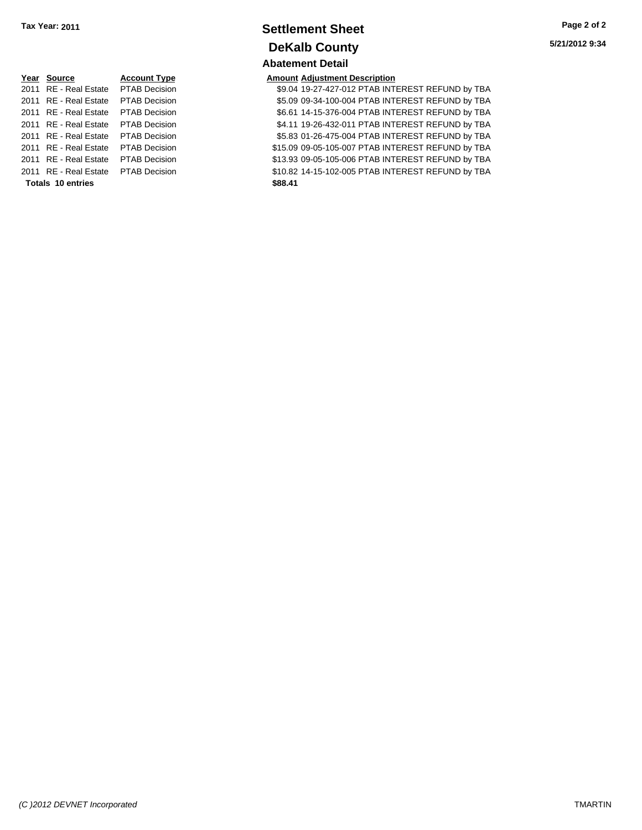# **Year Source Account Type Amount Adjustment Description Totals \$88.41 10 entries**

## **Settlement Sheet Tax Year: 2011 Page 2 of 2 DeKalb County Abatement Detail**

2011 RE - Real Estate PTAB Decision 59.04 19-27-427-012 PTAB INTEREST REFUND by TBA 2011 RE - Real Estate \$5.09 09-34-100-004 PTAB INTEREST REFUND by TBA PTAB Decision 2011 RE - Real Estate \$6.61 14-15-376-004 PTAB INTEREST REFUND by TBA PTAB Decision 2011 RE - Real Estate PTAB Decision S4.11 19-26-432-011 PTAB INTEREST REFUND by TBA 2011 RE - Real Estate \$5.83 01-26-475-004 PTAB INTEREST REFUND by TBA PTAB Decision 2011 RE - Real Estate \$15.09 09-05-105-007 PTAB INTEREST REFUND by TBA PTAB Decision 2011 RE - Real Estate \$13.93 09-05-105-006 PTAB INTEREST REFUND by TBA PTAB Decision 2011 RE - Real Estate \$10.82 14-15-102-005 PTAB INTEREST REFUND by TBA PTAB Decision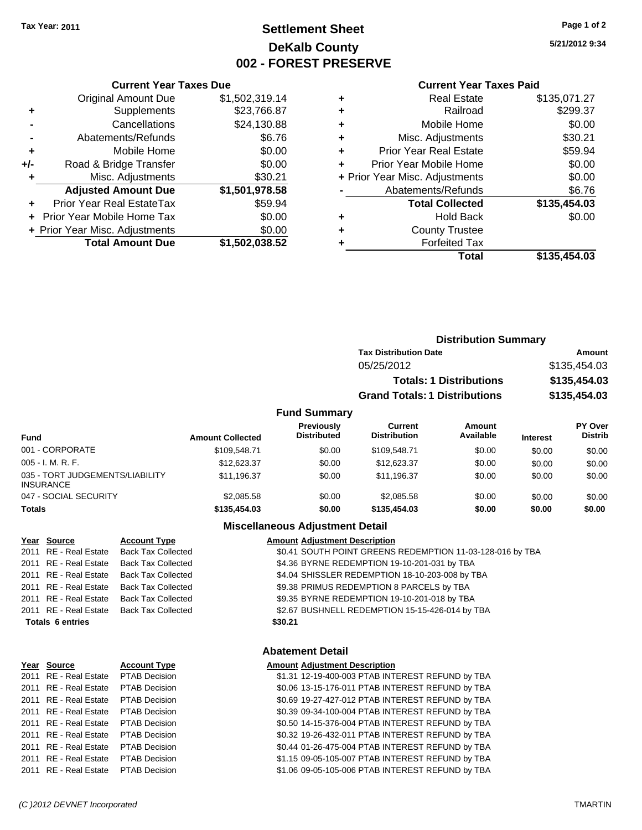## **Settlement Sheet Tax Year: 2011 Page 1 of 2 DeKalb County 002 - FOREST PRESERVE**

**5/21/2012 9:34**

#### **Current Year Taxes Paid**

|     | <b>Current Year Taxes Due</b>  |                |
|-----|--------------------------------|----------------|
|     | <b>Original Amount Due</b>     | \$1,502,319.14 |
| ٠   | Supplements                    | \$23,766.87    |
|     | Cancellations                  | \$24,130.88    |
|     | Abatements/Refunds             | \$6.76         |
| ٠   | Mobile Home                    | \$0.00         |
| +/- | Road & Bridge Transfer         | \$0.00         |
| ٠   | Misc. Adjustments              | \$30.21        |
|     | <b>Adjusted Amount Due</b>     | \$1,501,978.58 |
|     | Prior Year Real EstateTax      | \$59.94        |
|     | Prior Year Mobile Home Tax     | \$0.00         |
|     | + Prior Year Misc. Adjustments | \$0.00         |
|     | <b>Total Amount Due</b>        | \$1,502,038.52 |
|     |                                |                |

| ٠ | <b>Real Estate</b>             | \$135,071.27 |
|---|--------------------------------|--------------|
| ٠ | Railroad                       | \$299.37     |
| ٠ | Mobile Home                    | \$0.00       |
| ٠ | Misc. Adjustments              | \$30.21      |
| ٠ | <b>Prior Year Real Estate</b>  | \$59.94      |
| ٠ | Prior Year Mobile Home         | \$0.00       |
|   | + Prior Year Misc. Adjustments | \$0.00       |
|   | Abatements/Refunds             | \$6.76       |
|   | <b>Total Collected</b>         | \$135,454.03 |
| ٠ | <b>Hold Back</b>               | \$0.00       |
|   | <b>County Trustee</b>          |              |
|   | <b>Forfeited Tax</b>           |              |
|   | Total                          | \$135,454.03 |
|   |                                |              |

|                                 |                         |                                         |                                      | <b>Distribution Summary</b>    |                 |                           |
|---------------------------------|-------------------------|-----------------------------------------|--------------------------------------|--------------------------------|-----------------|---------------------------|
|                                 |                         |                                         | <b>Tax Distribution Date</b>         |                                |                 | Amount                    |
|                                 |                         |                                         | 05/25/2012                           |                                |                 | \$135,454.03              |
|                                 |                         |                                         |                                      | <b>Totals: 1 Distributions</b> |                 | \$135,454.03              |
|                                 |                         |                                         | <b>Grand Totals: 1 Distributions</b> |                                |                 | \$135,454.03              |
|                                 |                         | <b>Fund Summary</b>                     |                                      |                                |                 |                           |
| <b>Fund</b>                     | <b>Amount Collected</b> | <b>Previously</b><br><b>Distributed</b> | Current<br><b>Distribution</b>       | Amount<br>Available            | <b>Interest</b> | PY Over<br><b>Distrib</b> |
| 001 - CORPORATE                 | \$109,548.71            | \$0.00                                  | \$109,548.71                         | \$0.00                         | \$0.00          | \$0.00                    |
| $005 - I. M. R. F.$             | \$12,623,37             | \$0.00                                  | \$12,623.37                          | \$0.00                         | \$0.00          | \$0.00                    |
| 035 - TORT JUDGEMENTS/LIABILITY | \$11.196.37             | \$0.00                                  | \$11.196.37                          | \$0.00                         | \$0.00          | \$0.00                    |

#### **Miscellaneous Adjustment Detail**

047 - SOCIAL SECURITY 62,085.58 \$2,085.58 \$0.00 \$2,085.58 \$0.00 \$0.00 \$0.00 \$0.00 **Totals \$135,454.03 \$0.00 \$135,454.03 \$0.00 \$0.00 \$0.00**

| Year Source             | <b>Account Type</b>                      | <b>Amount Adjustment Description</b>                      |
|-------------------------|------------------------------------------|-----------------------------------------------------------|
| 2011 RE - Real Estate   | <b>Back Tax Collected</b>                | \$0.41 SOUTH POINT GREENS REDEMPTION 11-03-128-016 by TBA |
| 2011 RE - Real Estate   | <b>Back Tax Collected</b>                | \$4.36 BYRNE REDEMPTION 19-10-201-031 by TBA              |
|                         | 2011 RE - Real Estate Back Tax Collected | \$4.04 SHISSLER REDEMPTION 18-10-203-008 by TBA           |
|                         | 2011 RE - Real Estate Back Tax Collected | \$9.38 PRIMUS REDEMPTION 8 PARCELS by TBA                 |
| 2011 RE - Real Estate   | <b>Back Tax Collected</b>                | \$9.35 BYRNE REDEMPTION 19-10-201-018 by TBA              |
|                         | 2011 RE - Real Estate Back Tax Collected | \$2.67 BUSHNELL REDEMPTION 15-15-426-014 by TBA           |
| <b>Totals 6 entries</b> |                                          | \$30.21                                                   |
|                         |                                          |                                                           |

### **Abatement Detail**

#### **Year Source Account Type Amount Adjustment Description**

| Anivant Aujustinent Description                  |
|--------------------------------------------------|
| \$1.31 12-19-400-003 PTAB INTEREST REFUND by TBA |
| \$0.06 13-15-176-011 PTAB INTEREST REFUND by TBA |
| \$0.69 19-27-427-012 PTAB INTEREST REFUND by TBA |
| \$0.39 09-34-100-004 PTAB INTEREST REFUND by TBA |
| \$0.50 14-15-376-004 PTAB INTEREST REFUND by TBA |
| \$0.32 19-26-432-011 PTAB INTEREST REFUND by TBA |
| \$0.44 01-26-475-004 PTAB INTEREST REFUND by TBA |
| \$1.15 09-05-105-007 PTAB INTEREST REFUND by TBA |
| \$1.06 09-05-105-006 PTAB INTEREST REFUND by TBA |

2011 RE - Real Estate PTAB Decision 2011 RE - Real Estate PTAB Decision 2011 RE - Real Estate PTAB Decision 2011 RE - Real Estate PTAB Decision 2011 RE - Real Estate PTAB Decision 2011 RE - Real Estate PTAB Decision 2011 RE - Real Estate PTAB Decision 2011 RE - Real Estate PTAB Decision 2011 RE - Real Estate PTAB Decision

INSURANCE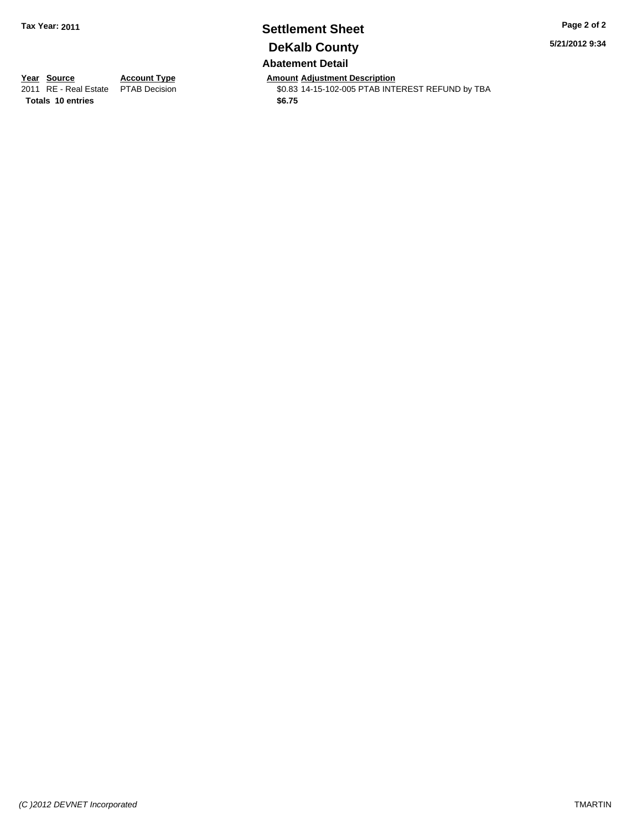## **Settlement Sheet Tax Year: 2011 Page 2 of 2 DeKalb County Abatement Detail**

**5/21/2012 9:34**

**Totals \$6.75 10 entries**

**Year Source Account Type Amount Adjustment Description**<br>2011 RE - Real Estate PTAB Decision **Amount \$0.83 14-15-102-005 PTAB INTI** 

\$0.83 14-15-102-005 PTAB INTEREST REFUND by TBA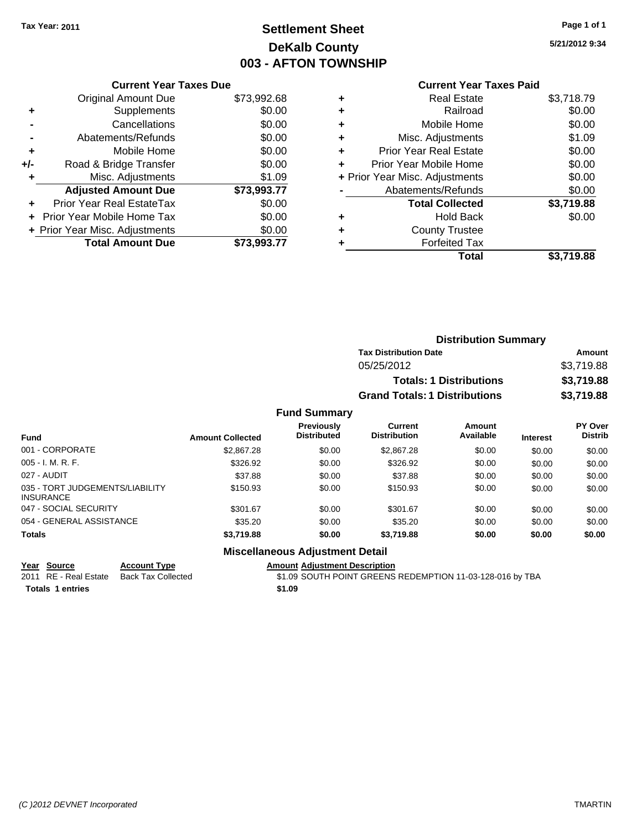## **Settlement Sheet Tax Year: 2011 Page 1 of 1 DeKalb County 003 - AFTON TOWNSHIP**

**5/21/2012 9:34**

#### **Current Year Taxes Paid**

|     | <b>Current Year Taxes Due</b>     |             |
|-----|-----------------------------------|-------------|
|     | <b>Original Amount Due</b>        | \$73,992.68 |
| ÷   | Supplements                       | \$0.00      |
|     | Cancellations                     | \$0.00      |
|     | Abatements/Refunds                | \$0.00      |
| ٠   | Mobile Home                       | \$0.00      |
| +/- | Road & Bridge Transfer            | \$0.00      |
|     | Misc. Adjustments                 | \$1.09      |
|     | <b>Adjusted Amount Due</b>        | \$73,993.77 |
| ÷   | Prior Year Real EstateTax         | \$0.00      |
|     | <b>Prior Year Mobile Home Tax</b> | \$0.00      |
|     | + Prior Year Misc. Adjustments    | \$0.00      |
|     | <b>Total Amount Due</b>           | \$73.993.77 |
|     |                                   |             |

| ٠ | <b>Real Estate</b>             | \$3,718.79 |
|---|--------------------------------|------------|
| ٠ | Railroad                       | \$0.00     |
| ٠ | Mobile Home                    | \$0.00     |
| ٠ | Misc. Adjustments              | \$1.09     |
| ٠ | <b>Prior Year Real Estate</b>  | \$0.00     |
| ٠ | Prior Year Mobile Home         | \$0.00     |
|   | + Prior Year Misc. Adjustments | \$0.00     |
|   | Abatements/Refunds             | \$0.00     |
|   | <b>Total Collected</b>         | \$3,719.88 |
| ٠ | <b>Hold Back</b>               | \$0.00     |
| ٠ | <b>County Trustee</b>          |            |
| ٠ | <b>Forfeited Tax</b>           |            |
|   | Total                          | \$3,719.88 |

|                     | <b>Distribution Summary</b>          |                                |            |  |  |
|---------------------|--------------------------------------|--------------------------------|------------|--|--|
|                     | <b>Tax Distribution Date</b>         |                                | Amount     |  |  |
|                     | 05/25/2012                           |                                | \$3,719.88 |  |  |
|                     |                                      | <b>Totals: 1 Distributions</b> | \$3,719.88 |  |  |
|                     | <b>Grand Totals: 1 Distributions</b> |                                | \$3,719.88 |  |  |
| <b>Fund Summary</b> |                                      |                                |            |  |  |
| Previously          | Current                              | Amount                         | PY Over    |  |  |

| <b>Fund</b>                                         | <b>Amount Collected</b> | Previously<br><b>Distributed</b> | Current<br><b>Distribution</b> | Amount<br>Available | <b>Interest</b> | <b>PY Over</b><br><b>Distrib</b> |
|-----------------------------------------------------|-------------------------|----------------------------------|--------------------------------|---------------------|-----------------|----------------------------------|
| 001 - CORPORATE                                     | \$2,867.28              | \$0.00                           | \$2,867.28                     | \$0.00              | \$0.00          | \$0.00                           |
| $005 - I. M. R. F.$                                 | \$326.92                | \$0.00                           | \$326.92                       | \$0.00              | \$0.00          | \$0.00                           |
| 027 - AUDIT                                         | \$37.88                 | \$0.00                           | \$37.88                        | \$0.00              | \$0.00          | \$0.00                           |
| 035 - TORT JUDGEMENTS/LIABILITY<br><b>INSURANCE</b> | \$150.93                | \$0.00                           | \$150.93                       | \$0.00              | \$0.00          | \$0.00                           |
| 047 - SOCIAL SECURITY                               | \$301.67                | \$0.00                           | \$301.67                       | \$0.00              | \$0.00          | \$0.00                           |
| 054 - GENERAL ASSISTANCE                            | \$35.20                 | \$0.00                           | \$35.20                        | \$0.00              | \$0.00          | \$0.00                           |
| <b>Totals</b>                                       | \$3,719.88              | \$0.00                           | \$3,719.88                     | \$0.00              | \$0.00          | \$0.00                           |

## **Miscellaneous Adjustment Detail**

**Year Source Account Type Amount Adjustment Description**<br>
2011 RE - Real Estate Back Tax Collected \$1.09 SOUTH POINT GREENS

**Totals 1 entries** \$1.09

\$1.09 SOUTH POINT GREENS REDEMPTION 11-03-128-016 by TBA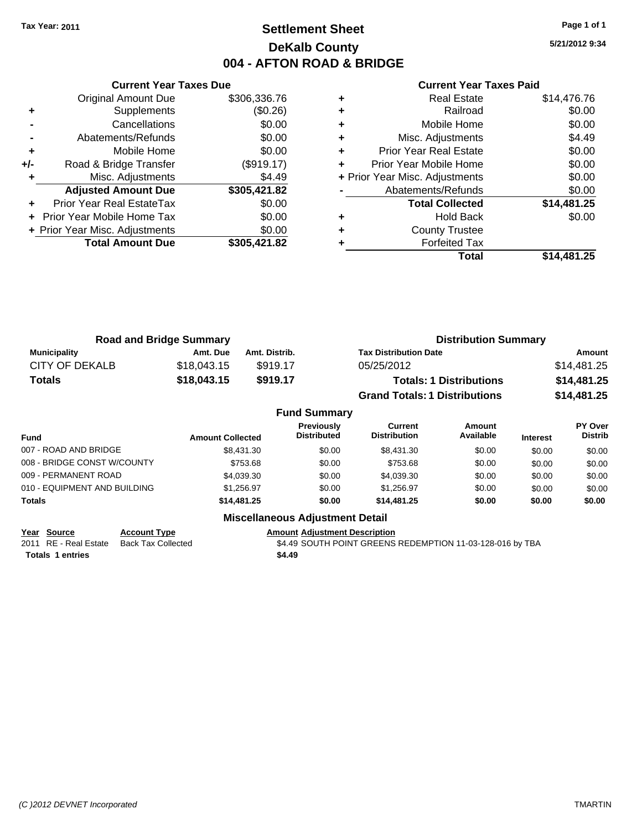## **Settlement Sheet Tax Year: 2011 Page 1 of 1 DeKalb County 004 - AFTON ROAD & BRIDGE**

**5/21/2012 9:34**

|  | <b>Current Year Taxes Paid</b> |  |  |  |
|--|--------------------------------|--|--|--|
|--|--------------------------------|--|--|--|

|     | <b>Current Year Taxes Due</b>  |              |
|-----|--------------------------------|--------------|
|     | <b>Original Amount Due</b>     | \$306,336.76 |
| ٠   | Supplements                    | (\$0.26)     |
|     | Cancellations                  | \$0.00       |
|     | Abatements/Refunds             | \$0.00       |
| ٠   | Mobile Home                    | \$0.00       |
| +/- | Road & Bridge Transfer         | (\$919.17)   |
|     | Misc. Adjustments              | \$4.49       |
|     | <b>Adjusted Amount Due</b>     | \$305,421.82 |
|     | Prior Year Real EstateTax      | \$0.00       |
|     | Prior Year Mobile Home Tax     | \$0.00       |
|     | + Prior Year Misc. Adjustments | \$0.00       |
|     | <b>Total Amount Due</b>        | \$305,421.82 |
|     |                                |              |

|   | <b>Real Estate</b>             | \$14,476.76 |
|---|--------------------------------|-------------|
| ٠ | Railroad                       | \$0.00      |
| ٠ | Mobile Home                    | \$0.00      |
| ٠ | Misc. Adjustments              | \$4.49      |
| ٠ | <b>Prior Year Real Estate</b>  | \$0.00      |
|   | Prior Year Mobile Home         | \$0.00      |
|   | + Prior Year Misc. Adjustments | \$0.00      |
|   | Abatements/Refunds             | \$0.00      |
|   | <b>Total Collected</b>         | \$14,481.25 |
| ٠ | Hold Back                      | \$0.00      |
| ٠ | <b>County Trustee</b>          |             |
| ٠ | <b>Forfeited Tax</b>           |             |
|   | Total                          | \$14,481.25 |
|   |                                |             |

| <b>Road and Bridge Summary</b> |             |               | <b>Distribution Summary</b>          |             |  |
|--------------------------------|-------------|---------------|--------------------------------------|-------------|--|
| Municipality                   | Amt. Due    | Amt. Distrib. | <b>Tax Distribution Date</b>         | Amount      |  |
| CITY OF DEKALB                 | \$18,043.15 | \$919.17      | 05/25/2012                           | \$14,481.25 |  |
| <b>Totals</b>                  | \$18,043.15 | \$919.17      | <b>Totals: 1 Distributions</b>       | \$14,481.25 |  |
|                                |             |               | <b>Grand Totals: 1 Distributions</b> | \$14,481.25 |  |

|                              |                         | <b>Fund Summary</b>                     |                                |                            |                 |                           |
|------------------------------|-------------------------|-----------------------------------------|--------------------------------|----------------------------|-----------------|---------------------------|
| <b>Fund</b>                  | <b>Amount Collected</b> | <b>Previously</b><br><b>Distributed</b> | Current<br><b>Distribution</b> | <b>Amount</b><br>Available | <b>Interest</b> | PY Over<br><b>Distrib</b> |
| 007 - ROAD AND BRIDGE        | \$8,431,30              | \$0.00                                  | \$8,431,30                     | \$0.00                     | \$0.00          | \$0.00                    |
| 008 - BRIDGE CONST W/COUNTY  | \$753.68                | \$0.00                                  | \$753.68                       | \$0.00                     | \$0.00          | \$0.00                    |
| 009 - PERMANENT ROAD         | \$4,039.30              | \$0.00                                  | \$4,039.30                     | \$0.00                     | \$0.00          | \$0.00                    |
| 010 - EQUIPMENT AND BUILDING | \$1.256.97              | \$0.00                                  | \$1.256.97                     | \$0.00                     | \$0.00          | \$0.00                    |
| Totals                       | \$14,481.25             | \$0.00                                  | \$14,481.25                    | \$0.00                     | \$0.00          | \$0.00                    |
|                              | ---<br>--               |                                         |                                |                            |                 |                           |

**Year Source Account Type Amount Adjustment Description**<br>2011 RE - Real Estate Back Tax Collected **1989 \$4.49 SOUTH POINT GREENS Totals 1 entries** \$4.49

**Miscellaneous Adjustment Detail**

\$4.49 SOUTH POINT GREENS REDEMPTION 11-03-128-016 by TBA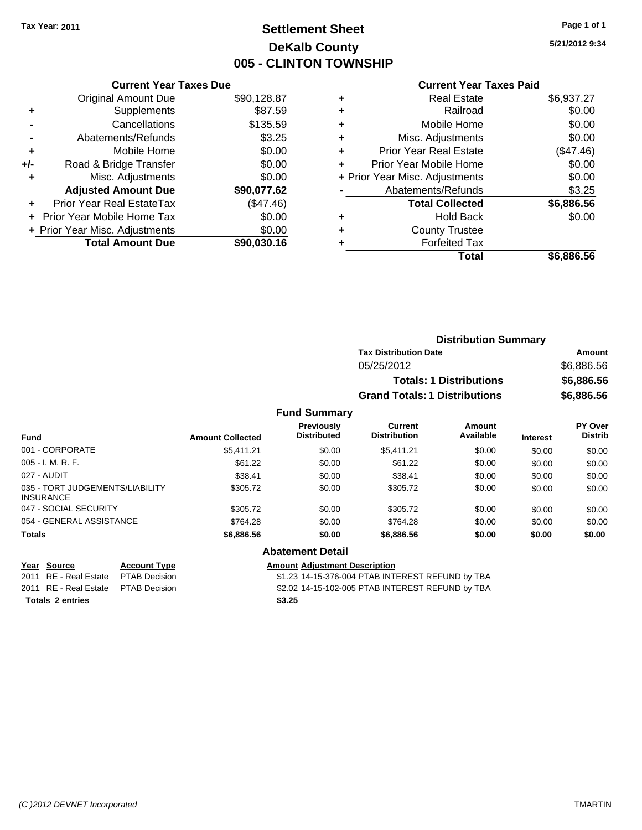## **Settlement Sheet Tax Year: 2011 Page 1 of 1 DeKalb County 005 - CLINTON TOWNSHIP**

**5/21/2012 9:34**

#### **Current Year Taxes Paid**

|     | <b>Current Year Taxes Due</b>     |             |
|-----|-----------------------------------|-------------|
|     | <b>Original Amount Due</b>        | \$90,128.87 |
| ÷   | Supplements                       | \$87.59     |
|     | Cancellations                     | \$135.59    |
|     | Abatements/Refunds                | \$3.25      |
| ٠   | Mobile Home                       | \$0.00      |
| +/- | Road & Bridge Transfer            | \$0.00      |
|     | Misc. Adjustments                 | \$0.00      |
|     | <b>Adjusted Amount Due</b>        | \$90,077.62 |
| ÷   | Prior Year Real EstateTax         | (\$47.46)   |
|     | <b>Prior Year Mobile Home Tax</b> | \$0.00      |
|     | + Prior Year Misc. Adjustments    | \$0.00      |
|     | <b>Total Amount Due</b>           | \$90,030.16 |

| ٠ | <b>Real Estate</b>             | \$6,937.27  |
|---|--------------------------------|-------------|
| ٠ | Railroad                       | \$0.00      |
| ٠ | Mobile Home                    | \$0.00      |
| ٠ | Misc. Adjustments              | \$0.00      |
| ٠ | <b>Prior Year Real Estate</b>  | $(\$47.46)$ |
|   | Prior Year Mobile Home         | \$0.00      |
|   | + Prior Year Misc. Adjustments | \$0.00      |
|   | Abatements/Refunds             | \$3.25      |
|   | <b>Total Collected</b>         | \$6,886.56  |
| ٠ | <b>Hold Back</b>               | \$0.00      |
| ٠ | <b>County Trustee</b>          |             |
| ٠ | <b>Forfeited Tax</b>           |             |
|   | Total                          | \$6,886.56  |
|   |                                |             |

|                     | <b>Distribution Summary</b>          |            |
|---------------------|--------------------------------------|------------|
|                     | <b>Tax Distribution Date</b>         | Amount     |
|                     | 05/25/2012                           | \$6,886.56 |
|                     | <b>Totals: 1 Distributions</b>       | \$6,886.56 |
|                     | <b>Grand Totals: 1 Distributions</b> | \$6,886.56 |
| <b>Fund Summary</b> |                                      |            |

| <b>Fund</b>                                         | <b>Amount Collected</b> | <b>Previously</b><br><b>Distributed</b> | Current<br><b>Distribution</b> | Amount<br>Available | <b>Interest</b> | <b>PY Over</b><br><b>Distrib</b> |
|-----------------------------------------------------|-------------------------|-----------------------------------------|--------------------------------|---------------------|-----------------|----------------------------------|
| 001 - CORPORATE                                     | \$5.411.21              | \$0.00                                  | \$5.411.21                     | \$0.00              | \$0.00          | \$0.00                           |
| $005 - I. M. R. F.$                                 | \$61.22                 | \$0.00                                  | \$61.22                        | \$0.00              | \$0.00          | \$0.00                           |
| 027 - AUDIT                                         | \$38.41                 | \$0.00                                  | \$38.41                        | \$0.00              | \$0.00          | \$0.00                           |
| 035 - TORT JUDGEMENTS/LIABILITY<br><b>INSURANCE</b> | \$305.72                | \$0.00                                  | \$305.72                       | \$0.00              | \$0.00          | \$0.00                           |
| 047 - SOCIAL SECURITY                               | \$305.72                | \$0.00                                  | \$305.72                       | \$0.00              | \$0.00          | \$0.00                           |
| 054 - GENERAL ASSISTANCE                            | \$764.28                | \$0.00                                  | \$764.28                       | \$0.00              | \$0.00          | \$0.00                           |
| <b>Totals</b>                                       | \$6,886.56              | \$0.00                                  | \$6,886.56                     | \$0.00              | \$0.00          | \$0.00                           |

**Totals \$3.25 2 entries**

# **Abatement Detail**

**Year Source Account Type Amount Adjustment Description**<br>2011 RE - Real Estate PTAB Decision **Amount** \$1.23 14-15-376-004 PTAB INTI \$1.23 14-15-376-004 PTAB INTEREST REFUND by TBA 2011 RE - Real Estate \$2.02 14-15-102-005 PTAB INTEREST REFUND by TBA PTAB Decision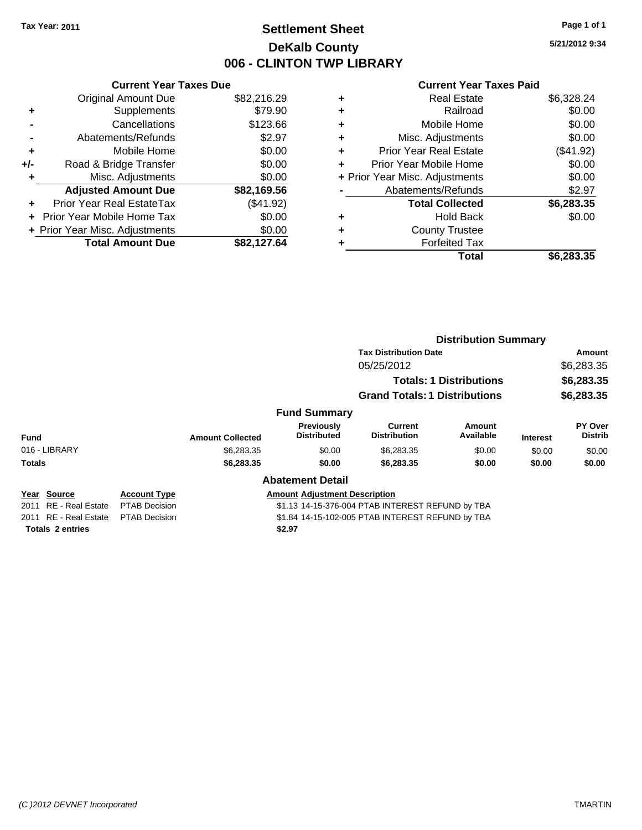## **Settlement Sheet Tax Year: 2011 Page 1 of 1 DeKalb County 006 - CLINTON TWP LIBRARY**

**5/21/2012 9:34**

#### **Current Year Taxes Paid**

| <b>Current Year Taxes Due</b>     |             |
|-----------------------------------|-------------|
| <b>Original Amount Due</b>        | \$82,216.29 |
| Supplements                       | \$79.90     |
| Cancellations                     | \$123.66    |
| Abatements/Refunds                | \$2.97      |
| Mobile Home                       | \$0.00      |
| Road & Bridge Transfer            | \$0.00      |
| Misc. Adjustments                 | \$0.00      |
| <b>Adjusted Amount Due</b>        | \$82,169.56 |
| Prior Year Real EstateTax         | (\$41.92)   |
| <b>Prior Year Mobile Home Tax</b> | \$0.00      |
| + Prior Year Misc. Adjustments    | \$0.00      |
| <b>Total Amount Due</b>           | \$82,127,64 |
|                                   |             |

| ٠ | <b>Real Estate</b>             | \$6,328.24 |
|---|--------------------------------|------------|
| ٠ | Railroad                       | \$0.00     |
| ٠ | Mobile Home                    | \$0.00     |
| ٠ | Misc. Adjustments              | \$0.00     |
| ÷ | <b>Prior Year Real Estate</b>  | (\$41.92)  |
| ÷ | Prior Year Mobile Home         | \$0.00     |
|   | + Prior Year Misc. Adjustments | \$0.00     |
|   | Abatements/Refunds             | \$2.97     |
|   | <b>Total Collected</b>         | \$6,283.35 |
| ٠ | <b>Hold Back</b>               | \$0.00     |
|   | <b>County Trustee</b>          |            |
| ٠ | <b>Forfeited Tax</b>           |            |
|   | Total                          | \$6,283.35 |
|   |                                |            |

|                                 |                      |                         |                                                  | <b>Distribution Summary</b>                      |                            |                          |                           |
|---------------------------------|----------------------|-------------------------|--------------------------------------------------|--------------------------------------------------|----------------------------|--------------------------|---------------------------|
|                                 |                      |                         |                                                  | <b>Tax Distribution Date</b>                     |                            |                          | Amount                    |
|                                 |                      |                         |                                                  | 05/25/2012                                       |                            | \$6,283.35<br>\$6,283.35 |                           |
|                                 |                      |                         |                                                  | <b>Totals: 1 Distributions</b>                   |                            |                          |                           |
|                                 |                      |                         |                                                  | <b>Grand Totals: 1 Distributions</b>             |                            |                          | \$6,283.35                |
|                                 |                      |                         | <b>Fund Summary</b>                              |                                                  |                            |                          |                           |
| <b>Fund</b>                     |                      | <b>Amount Collected</b> | Previously<br><b>Distributed</b>                 | Current<br><b>Distribution</b>                   | <b>Amount</b><br>Available | <b>Interest</b>          | PY Over<br><b>Distrib</b> |
| 016 - LIBRARY                   |                      | \$6,283.35              | \$0.00                                           | \$6,283.35                                       | \$0.00                     | \$0.00                   | \$0.00                    |
| <b>Totals</b>                   |                      | \$6,283.35              | \$0.00                                           | \$6,283.35                                       | \$0.00                     | \$0.00                   | \$0.00                    |
|                                 |                      |                         | <b>Abatement Detail</b>                          |                                                  |                            |                          |                           |
| Year Source                     | <b>Account Type</b>  |                         | <b>Amount Adjustment Description</b>             |                                                  |                            |                          |                           |
| <b>RE</b> - Real Estate<br>2011 | <b>PTAB Decision</b> |                         | \$1.13 14-15-376-004 PTAB INTEREST REFUND by TBA |                                                  |                            |                          |                           |
| 2011 RE - Real Estate           | <b>PTAB Decision</b> |                         |                                                  | \$1.84 14-15-102-005 PTAB INTEREST REFUND by TBA |                            |                          |                           |

**Totals \$2.97 2 entries**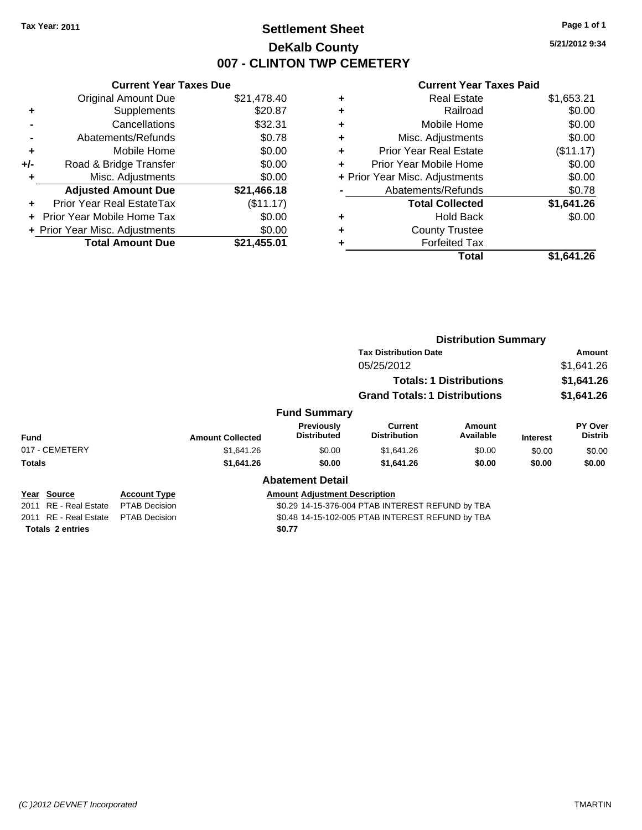## **Settlement Sheet Tax Year: 2011 Page 1 of 1 DeKalb County 007 - CLINTON TWP CEMETERY**

**5/21/2012 9:34**

## **Current Year Taxes Paid**

| \$21,478.40 |
|-------------|
| \$20.87     |
| \$32.31     |
| \$0.78      |
| \$0.00      |
| \$0.00      |
| \$0.00      |
| \$21,466.18 |
| (\$11.17)   |
| \$0.00      |
| \$0.00      |
| \$21,455.01 |
|             |

| ٠ | <b>Real Estate</b>             | \$1,653.21 |
|---|--------------------------------|------------|
| ٠ | Railroad                       | \$0.00     |
| ٠ | Mobile Home                    | \$0.00     |
| ٠ | Misc. Adjustments              | \$0.00     |
| ÷ | <b>Prior Year Real Estate</b>  | (\$11.17)  |
| ٠ | Prior Year Mobile Home         | \$0.00     |
|   | + Prior Year Misc. Adjustments | \$0.00     |
|   | Abatements/Refunds             | \$0.78     |
|   | <b>Total Collected</b>         | \$1,641.26 |
| ٠ | Hold Back                      | \$0.00     |
| ٠ | <b>County Trustee</b>          |            |
| ٠ | <b>Forfeited Tax</b>           |            |
|   | Total                          | \$1.641.26 |
|   |                                |            |

|                       |                      |                         |                                                  | <b>Distribution Summary</b>                                            |                            |                 |                           |  |
|-----------------------|----------------------|-------------------------|--------------------------------------------------|------------------------------------------------------------------------|----------------------------|-----------------|---------------------------|--|
|                       |                      |                         |                                                  | <b>Tax Distribution Date</b><br>05/25/2012                             |                            |                 | Amount                    |  |
|                       |                      |                         |                                                  |                                                                        |                            |                 | \$1,641.26                |  |
|                       |                      |                         |                                                  | <b>Totals: 1 Distributions</b><br><b>Grand Totals: 1 Distributions</b> |                            |                 | \$1,641.26                |  |
|                       |                      |                         |                                                  |                                                                        |                            |                 | \$1,641.26                |  |
|                       |                      |                         | <b>Fund Summary</b>                              |                                                                        |                            |                 |                           |  |
| <b>Fund</b>           |                      | <b>Amount Collected</b> | Previously<br><b>Distributed</b>                 | <b>Current</b><br><b>Distribution</b>                                  | <b>Amount</b><br>Available | <b>Interest</b> | PY Over<br><b>Distrib</b> |  |
| 017 - CEMETERY        |                      | \$1,641.26              | \$0.00                                           | \$1,641.26                                                             | \$0.00                     | \$0.00          | \$0.00                    |  |
| <b>Totals</b>         |                      | \$1,641.26              | \$0.00                                           | \$1,641.26                                                             | \$0.00                     | \$0.00          | \$0.00                    |  |
|                       |                      |                         | <b>Abatement Detail</b>                          |                                                                        |                            |                 |                           |  |
| Year Source           | <b>Account Type</b>  |                         | <b>Amount Adiustment Description</b>             |                                                                        |                            |                 |                           |  |
| 2011 RE - Real Estate | <b>PTAB Decision</b> |                         | \$0.29 14-15-376-004 PTAB INTEREST REFUND by TBA |                                                                        |                            |                 |                           |  |
|                       |                      |                         |                                                  |                                                                        |                            |                 |                           |  |

Totals 2 entries **2008 2008** 

2011 RE - Real Estate PTAB Decision S0.48 14-15-102-005 PTAB INTEREST REFUND by TBA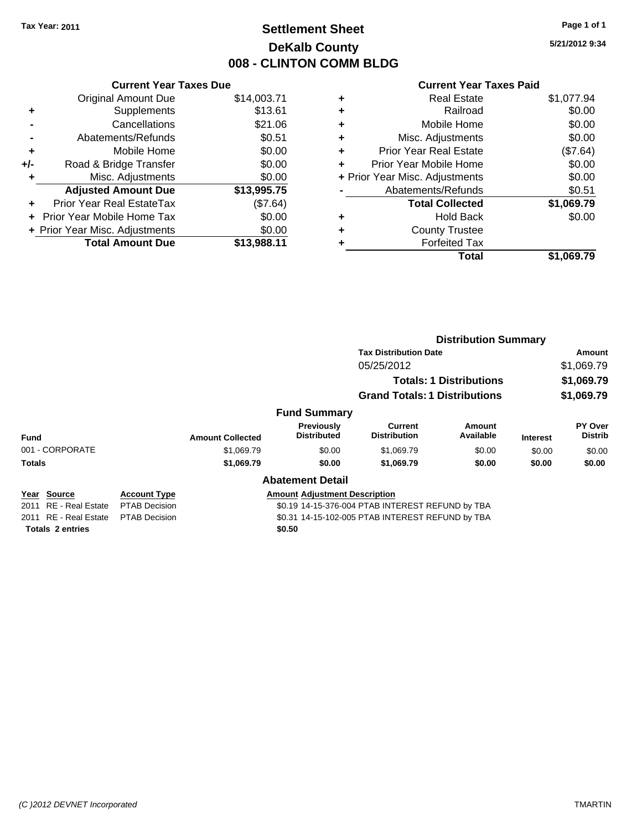## **Settlement Sheet Tax Year: 2011 Page 1 of 1 DeKalb County 008 - CLINTON COMM BLDG**

**5/21/2012 9:34**

#### **Current Year Taxes Paid**

| <b>Current Year Taxes Due</b>     |                                |  |  |  |  |  |
|-----------------------------------|--------------------------------|--|--|--|--|--|
| <b>Original Amount Due</b>        | \$14,003.71                    |  |  |  |  |  |
| Supplements                       | \$13.61                        |  |  |  |  |  |
| Cancellations                     | \$21.06                        |  |  |  |  |  |
| Abatements/Refunds                | \$0.51                         |  |  |  |  |  |
| Mobile Home                       | \$0.00                         |  |  |  |  |  |
| Road & Bridge Transfer            | \$0.00                         |  |  |  |  |  |
| Misc. Adjustments                 | \$0.00                         |  |  |  |  |  |
| <b>Adjusted Amount Due</b>        | \$13,995.75                    |  |  |  |  |  |
| Prior Year Real EstateTax         | (\$7.64)                       |  |  |  |  |  |
| <b>Prior Year Mobile Home Tax</b> | \$0.00                         |  |  |  |  |  |
|                                   | \$0.00                         |  |  |  |  |  |
| <b>Total Amount Due</b>           | \$13.988.11                    |  |  |  |  |  |
|                                   | + Prior Year Misc. Adjustments |  |  |  |  |  |

|   | <b>Real Estate</b>             | \$1,077.94 |
|---|--------------------------------|------------|
| ٠ | Railroad                       | \$0.00     |
| ٠ | Mobile Home                    | \$0.00     |
| ٠ | Misc. Adjustments              | \$0.00     |
| ٠ | Prior Year Real Estate         | (\$7.64)   |
|   | Prior Year Mobile Home         | \$0.00     |
|   | + Prior Year Misc. Adjustments | \$0.00     |
|   | Abatements/Refunds             | \$0.51     |
|   | <b>Total Collected</b>         | \$1,069.79 |
| ٠ | <b>Hold Back</b>               | \$0.00     |
| ٠ | <b>County Trustee</b>          |            |
| ٠ | <b>Forfeited Tax</b>           |            |
|   | Total                          | \$1.069.79 |
|   |                                |            |

|                                                   |                                             |                         |                                                                                          | <b>Distribution Summary</b>                                                  |                            |                 |                           |  |
|---------------------------------------------------|---------------------------------------------|-------------------------|------------------------------------------------------------------------------------------|------------------------------------------------------------------------------|----------------------------|-----------------|---------------------------|--|
|                                                   |                                             |                         |                                                                                          | <b>Tax Distribution Date</b><br>05/25/2012<br><b>Totals: 1 Distributions</b> |                            |                 | Amount                    |  |
|                                                   |                                             |                         |                                                                                          |                                                                              |                            |                 | \$1,069.79<br>\$1,069.79  |  |
|                                                   |                                             |                         |                                                                                          |                                                                              |                            |                 |                           |  |
|                                                   |                                             |                         |                                                                                          | <b>Grand Totals: 1 Distributions</b>                                         |                            |                 | \$1,069.79                |  |
|                                                   |                                             |                         | <b>Fund Summary</b>                                                                      |                                                                              |                            |                 |                           |  |
| Fund                                              |                                             | <b>Amount Collected</b> | Previously<br><b>Distributed</b>                                                         | Current<br><b>Distribution</b>                                               | <b>Amount</b><br>Available | <b>Interest</b> | PY Over<br><b>Distrib</b> |  |
| 001 - CORPORATE                                   |                                             | \$1,069.79              | \$0.00                                                                                   | \$1,069.79                                                                   | \$0.00                     | \$0.00          | \$0.00                    |  |
| <b>Totals</b>                                     |                                             | \$1,069.79              | \$0.00                                                                                   | \$1,069.79                                                                   | \$0.00                     | \$0.00          | \$0.00                    |  |
|                                                   |                                             |                         | <b>Abatement Detail</b>                                                                  |                                                                              |                            |                 |                           |  |
| <b>Source</b><br>Year<br>RE - Real Estate<br>2011 | <b>Account Type</b><br><b>PTAB Decision</b> |                         | <b>Amount Adjustment Description</b><br>\$0.19 14-15-376-004 PTAB INTEREST REFUND by TBA |                                                                              |                            |                 |                           |  |

**Totals \$0.50 2 entries**

2011 RE - Real Estate \$0.31 14-15-102-005 PTAB INTEREST REFUND by TBA PTAB Decision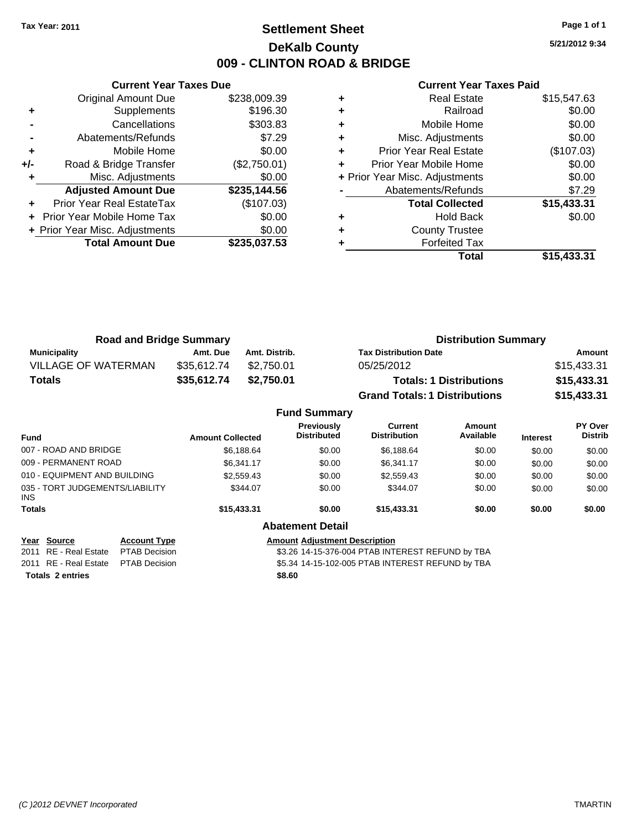## **Settlement Sheet Tax Year: 2011 Page 1 of 1 DeKalb County 009 - CLINTON ROAD & BRIDGE**

**5/21/2012 9:34**

#### **Current Year Taxes Paid**

|     | <b>Current Year Taxes Due</b>  |              |
|-----|--------------------------------|--------------|
|     | <b>Original Amount Due</b>     | \$238,009.39 |
| ٠   | Supplements                    | \$196.30     |
|     | Cancellations                  | \$303.83     |
|     | Abatements/Refunds             | \$7.29       |
| ٠   | Mobile Home                    | \$0.00       |
| +/- | Road & Bridge Transfer         | (\$2,750.01) |
|     | Misc. Adjustments              | \$0.00       |
|     | <b>Adjusted Amount Due</b>     | \$235,144.56 |
|     | Prior Year Real EstateTax      | (\$107.03)   |
|     | Prior Year Mobile Home Tax     | \$0.00       |
|     | + Prior Year Misc. Adjustments | \$0.00       |
|     | <b>Total Amount Due</b>        | \$235,037.53 |
|     |                                |              |

|   | <b>Real Estate</b>             | \$15,547.63 |
|---|--------------------------------|-------------|
| ٠ | Railroad                       | \$0.00      |
| ٠ | Mobile Home                    | \$0.00      |
| ٠ | Misc. Adjustments              | \$0.00      |
| ٠ | <b>Prior Year Real Estate</b>  | (\$107.03)  |
|   | Prior Year Mobile Home         | \$0.00      |
|   | + Prior Year Misc. Adjustments | \$0.00      |
|   | Abatements/Refunds             | \$7.29      |
|   | <b>Total Collected</b>         | \$15,433.31 |
| ٠ | <b>Hold Back</b>               | \$0.00      |
|   |                                |             |
|   | <b>County Trustee</b>          |             |
|   | <b>Forfeited Tax</b>           |             |

| <b>Road and Bridge Summary</b> |             |               | <b>Distribution Summary</b>          |             |  |  |
|--------------------------------|-------------|---------------|--------------------------------------|-------------|--|--|
| <b>Municipality</b>            | Amt. Due    | Amt. Distrib. | <b>Tax Distribution Date</b>         | Amount      |  |  |
| <b>VILLAGE OF WATERMAN</b>     | \$35,612.74 | \$2.750.01    | 05/25/2012                           | \$15,433.31 |  |  |
| <b>Totals</b>                  | \$35,612.74 | \$2,750.01    | <b>Totals: 1 Distributions</b>       | \$15,433.31 |  |  |
|                                |             |               | <b>Grand Totals: 1 Distributions</b> | \$15,433.31 |  |  |
| <b>Fund Summary</b>            |             |               |                                      |             |  |  |

| Fund                                    | <b>Amount Collected</b> | <b>Previously</b><br><b>Distributed</b> | Current<br><b>Distribution</b> | Amount<br>Available | <b>Interest</b> | <b>PY Over</b><br><b>Distrib</b> |
|-----------------------------------------|-------------------------|-----------------------------------------|--------------------------------|---------------------|-----------------|----------------------------------|
| 007 - ROAD AND BRIDGE                   | \$6,188.64              | \$0.00                                  | \$6,188.64                     | \$0.00              | \$0.00          | \$0.00                           |
| 009 - PERMANENT ROAD                    | \$6.341.17              | \$0.00                                  | \$6.341.17                     | \$0.00              | \$0.00          | \$0.00                           |
| 010 - EQUIPMENT AND BUILDING            | \$2,559.43              | \$0.00                                  | \$2,559.43                     | \$0.00              | \$0.00          | \$0.00                           |
| 035 - TORT JUDGEMENTS/LIABILITY<br>INS. | \$344.07                | \$0.00                                  | \$344.07                       | \$0.00              | \$0.00          | \$0.00                           |
| Totals                                  | \$15,433.31             | \$0.00                                  | \$15,433,31                    | \$0.00              | \$0.00          | \$0.00                           |
|                                         |                         | <b>Abatement Detail</b>                 |                                |                     |                 |                                  |

| Year Source                         | <b>Account Type</b> | <b>Amount Adjustment Description</b> |
|-------------------------------------|---------------------|--------------------------------------|
| 2011 RE - Real Estate PTAB Decision |                     | \$3.26 14-15-376-004 PTAB INTI       |
| 2011 RE - Real Estate PTAB Decision |                     | \$5.34 14-15-102-005 PTAB INTI       |
| <b>Totals 2 entries</b>             |                     | \$8.60                               |

24 PTAB INTEREST REFUND by TBA 5 PTAB INTEREST REFUND by TBA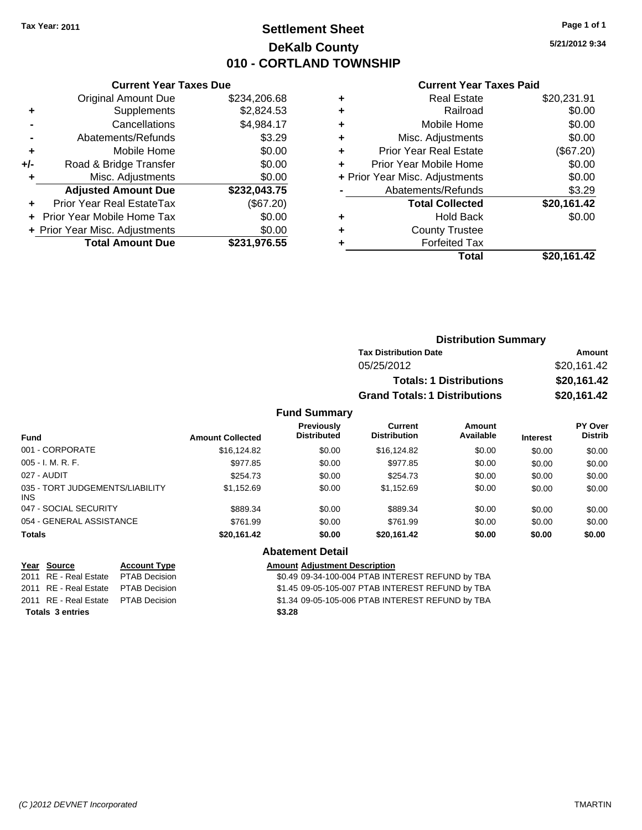## **Settlement Sheet Tax Year: 2011 Page 1 of 1 DeKalb County 010 - CORTLAND TOWNSHIP**

**5/21/2012 9:34**

#### **Current Year Taxes Paid**

|     | <b>Total Amount Due</b>           | \$231,976.55 |
|-----|-----------------------------------|--------------|
|     | + Prior Year Misc. Adjustments    | \$0.00       |
|     | <b>Prior Year Mobile Home Tax</b> | \$0.00       |
|     | Prior Year Real EstateTax         | (\$67.20)    |
|     | <b>Adjusted Amount Due</b>        | \$232,043.75 |
| ٠   | Misc. Adjustments                 | \$0.00       |
| +/- | Road & Bridge Transfer            | \$0.00       |
| ٠   | Mobile Home                       | \$0.00       |
|     | Abatements/Refunds                | \$3.29       |
|     | Cancellations                     | \$4,984.17   |
| ٠   | Supplements                       | \$2,824.53   |
|     | <b>Original Amount Due</b>        | \$234,206.68 |
|     |                                   |              |

**Current Year Taxes Due**

|   | <b>Real Estate</b>             | \$20,231.91 |
|---|--------------------------------|-------------|
|   | Railroad                       | \$0.00      |
| ٠ | Mobile Home                    | \$0.00      |
| ٠ | Misc. Adjustments              | \$0.00      |
| ٠ | <b>Prior Year Real Estate</b>  | (\$67.20)   |
| ٠ | Prior Year Mobile Home         | \$0.00      |
|   | + Prior Year Misc. Adjustments | \$0.00      |
|   | Abatements/Refunds             | \$3.29      |
|   | <b>Total Collected</b>         | \$20,161.42 |
| ٠ | <b>Hold Back</b>               | \$0.00      |
| ٠ | <b>County Trustee</b>          |             |
|   | <b>Forfeited Tax</b>           |             |
|   | Total                          | \$20,161.42 |
|   |                                |             |

|                     | <b>Distribution Summary</b>          |             |  |
|---------------------|--------------------------------------|-------------|--|
|                     | <b>Tax Distribution Date</b>         | Amount      |  |
|                     | 05/25/2012                           | \$20,161.42 |  |
|                     | <b>Totals: 1 Distributions</b>       | \$20,161.42 |  |
|                     | <b>Grand Totals: 1 Distributions</b> | \$20,161.42 |  |
| <b>Fund Summary</b> |                                      |             |  |

| Fund                                    | <b>Amount Collected</b> | Previously<br><b>Distributed</b> | Current<br><b>Distribution</b> | Amount<br>Available | <b>Interest</b> | PY Over<br><b>Distrib</b> |
|-----------------------------------------|-------------------------|----------------------------------|--------------------------------|---------------------|-----------------|---------------------------|
| 001 - CORPORATE                         | \$16,124.82             | \$0.00                           | \$16,124.82                    | \$0.00              | \$0.00          | \$0.00                    |
| $005 - I. M. R. F.$                     | \$977.85                | \$0.00                           | \$977.85                       | \$0.00              | \$0.00          | \$0.00                    |
| 027 - AUDIT                             | \$254.73                | \$0.00                           | \$254.73                       | \$0.00              | \$0.00          | \$0.00                    |
| 035 - TORT JUDGEMENTS/LIABILITY<br>INS. | \$1,152.69              | \$0.00                           | \$1.152.69                     | \$0.00              | \$0.00          | \$0.00                    |
| 047 - SOCIAL SECURITY                   | \$889.34                | \$0.00                           | \$889.34                       | \$0.00              | \$0.00          | \$0.00                    |
| 054 - GENERAL ASSISTANCE                | \$761.99                | \$0.00                           | \$761.99                       | \$0.00              | \$0.00          | \$0.00                    |
| <b>Totals</b>                           | \$20,161.42             | \$0.00                           | \$20.161.42                    | \$0.00              | \$0.00          | \$0.00                    |

## **Year Source Account Type Amount Adjustment Description**

**Totals \$3.28 3 entries**

# **Abatement Detail**

2011 RE - Real Estate \$0.49 09-34-100-004 PTAB INTEREST REFUND by TBA PTAB Decision 2011 RE - Real Estate \$1.45 09-05-105-007 PTAB INTEREST REFUND by TBA PTAB Decision 2011 RE - Real Estate \$1.34 09-05-105-006 PTAB INTEREST REFUND by TBA PTAB Decision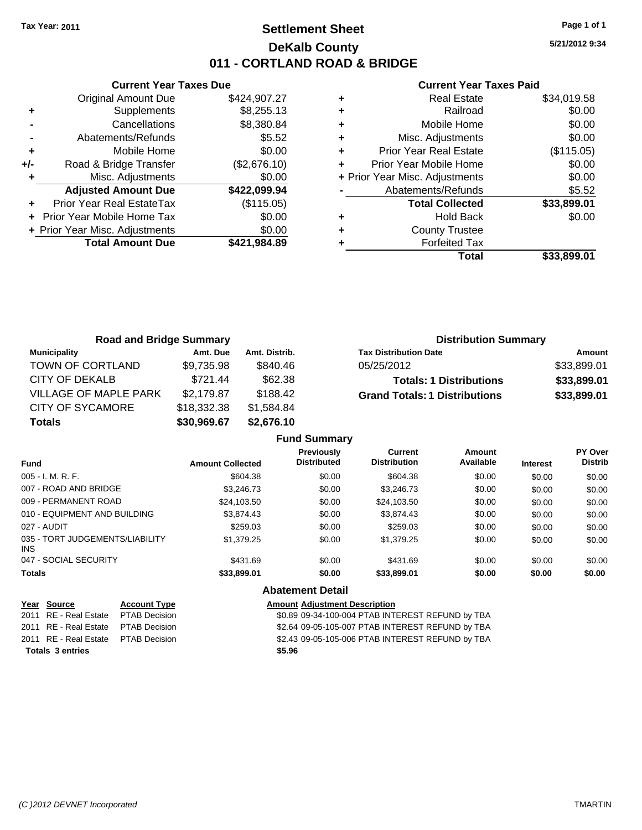## **Settlement Sheet Tax Year: 2011 Page 1 of 1 DeKalb County 011 - CORTLAND ROAD & BRIDGE**

**5/21/2012 9:34**

#### **Current Year Taxes Paid**

|     | <b>Current Year Taxes Due</b>  |              |
|-----|--------------------------------|--------------|
|     | <b>Original Amount Due</b>     | \$424,907.27 |
| ٠   | Supplements                    | \$8,255.13   |
|     | Cancellations                  | \$8,380.84   |
|     | Abatements/Refunds             | \$5.52       |
| ٠   | Mobile Home                    | \$0.00       |
| +/- | Road & Bridge Transfer         | (\$2,676.10) |
|     | Misc. Adjustments              | \$0.00       |
|     | <b>Adjusted Amount Due</b>     | \$422,099.94 |
|     | Prior Year Real EstateTax      | (\$115.05)   |
|     | Prior Year Mobile Home Tax     | \$0.00       |
|     | + Prior Year Misc. Adjustments | \$0.00       |
|     | <b>Total Amount Due</b>        | \$421.984.89 |
|     |                                |              |

|   | <b>Real Estate</b>             | \$34,019.58 |
|---|--------------------------------|-------------|
| ٠ | Railroad                       | \$0.00      |
| ٠ | Mobile Home                    | \$0.00      |
| ٠ | Misc. Adjustments              | \$0.00      |
| ÷ | <b>Prior Year Real Estate</b>  | (\$115.05)  |
| ٠ | Prior Year Mobile Home         | \$0.00      |
|   | + Prior Year Misc. Adjustments | \$0.00      |
|   | Abatements/Refunds             | \$5.52      |
|   | <b>Total Collected</b>         | \$33,899.01 |
| ٠ | <b>Hold Back</b>               | \$0.00      |
| ٠ | <b>County Trustee</b>          |             |
|   | <b>Forfeited Tax</b>           |             |
|   | Total                          | \$33.899.01 |

| <b>Road and Bridge Summary</b> |             |               | <b>Distribution Summary</b>          |             |  |
|--------------------------------|-------------|---------------|--------------------------------------|-------------|--|
| <b>Municipality</b>            | Amt. Due    | Amt. Distrib. | <b>Tax Distribution Date</b>         | Amount      |  |
| TOWN OF CORTLAND               | \$9,735.98  | \$840.46      | 05/25/2012                           | \$33,899.01 |  |
| CITY OF DEKALB                 | \$721.44    | \$62.38       | <b>Totals: 1 Distributions</b>       | \$33,899.01 |  |
| VILLAGE OF MAPLE PARK          | \$2,179.87  | \$188.42      | <b>Grand Totals: 1 Distributions</b> | \$33,899.01 |  |
| <b>CITY OF SYCAMORE</b>        | \$18,332.38 | \$1,584.84    |                                      |             |  |
| <b>Totals</b>                  | \$30,969.67 | \$2,676.10    |                                      |             |  |

|                                         |                         | <b>Fund Summary</b>                     |                                       |                     |                 |                           |
|-----------------------------------------|-------------------------|-----------------------------------------|---------------------------------------|---------------------|-----------------|---------------------------|
| <b>Fund</b>                             | <b>Amount Collected</b> | <b>Previously</b><br><b>Distributed</b> | <b>Current</b><br><b>Distribution</b> | Amount<br>Available | <b>Interest</b> | PY Over<br><b>Distrib</b> |
| 005 - I. M. R. F.                       | \$604.38                | \$0.00                                  | \$604.38                              | \$0.00              | \$0.00          | \$0.00                    |
| 007 - ROAD AND BRIDGE                   | \$3,246,73              | \$0.00                                  | \$3,246.73                            | \$0.00              | \$0.00          | \$0.00                    |
| 009 - PERMANENT ROAD                    | \$24,103.50             | \$0.00                                  | \$24,103.50                           | \$0.00              | \$0.00          | \$0.00                    |
| 010 - EQUIPMENT AND BUILDING            | \$3,874.43              | \$0.00                                  | \$3,874.43                            | \$0.00              | \$0.00          | \$0.00                    |
| 027 - AUDIT                             | \$259.03                | \$0.00                                  | \$259.03                              | \$0.00              | \$0.00          | \$0.00                    |
| 035 - TORT JUDGEMENTS/LIABILITY<br>INS. | \$1,379.25              | \$0.00                                  | \$1,379.25                            | \$0.00              | \$0.00          | \$0.00                    |
| 047 - SOCIAL SECURITY                   | \$431.69                | \$0.00                                  | \$431.69                              | \$0.00              | \$0.00          | \$0.00                    |
| Totals                                  | \$33,899.01             | \$0.00                                  | \$33,899.01                           | \$0.00              | \$0.00          | \$0.00                    |
|                                         |                         | <b>Abatement Detail</b>                 |                                       |                     |                 |                           |

|                         | Year Source                         | <b>Account Type</b> | Amount |
|-------------------------|-------------------------------------|---------------------|--------|
|                         | 2011 RE - Real Estate PTAB Decision |                     | \$0.89 |
|                         | 2011 RE - Real Estate PTAB Decision |                     | \$2.64 |
|                         | 2011 RE - Real Estate PTAB Decision |                     | \$2.43 |
| <b>Totals 3 entries</b> |                                     |                     | \$5.96 |

## **Amount Adjustment Description**

\$0.89 09-34-100-004 PTAB INTEREST REFUND by TBA \$2.64 09-05-105-007 PTAB INTEREST REFUND by TBA \$2.43 09-05-105-006 PTAB INTEREST REFUND by TBA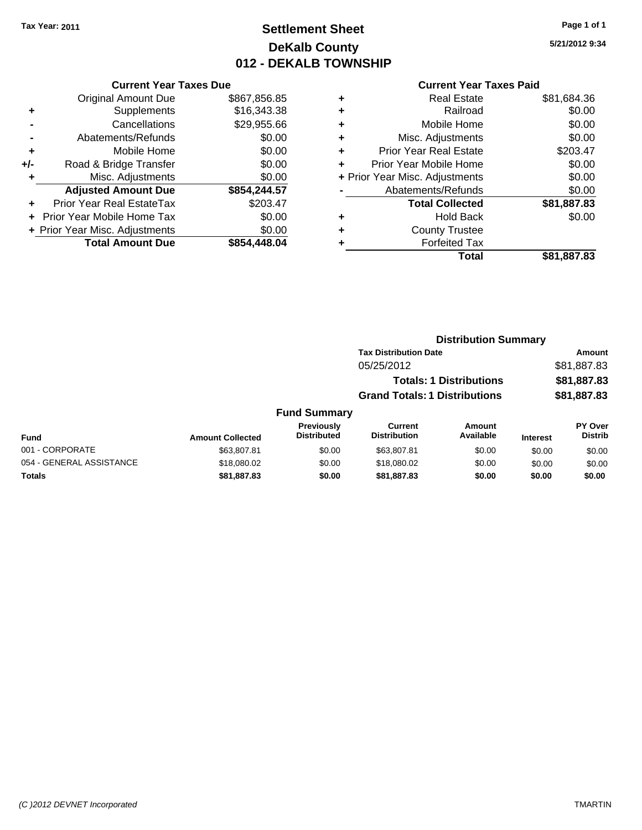## **Settlement Sheet Tax Year: 2011 Page 1 of 1 DeKalb County 012 - DEKALB TOWNSHIP**

**5/21/2012 9:34**

|     | <b>Current Year Taxes Due</b>  |              |
|-----|--------------------------------|--------------|
|     | <b>Original Amount Due</b>     | \$867,856.85 |
| ÷   | Supplements                    | \$16,343.38  |
|     | Cancellations                  | \$29,955.66  |
|     | Abatements/Refunds             | \$0.00       |
| ÷   | Mobile Home                    | \$0.00       |
| +/- | Road & Bridge Transfer         | \$0.00       |
|     | Misc. Adjustments              | \$0.00       |
|     | <b>Adjusted Amount Due</b>     | \$854,244.57 |
|     | Prior Year Real EstateTax      | \$203.47     |
|     | Prior Year Mobile Home Tax     | \$0.00       |
|     | + Prior Year Misc. Adjustments | \$0.00       |
|     | <b>Total Amount Due</b>        | \$854,448.04 |

| ٠ | <b>Real Estate</b>             | \$81,684.36 |
|---|--------------------------------|-------------|
| ٠ | Railroad                       | \$0.00      |
| ٠ | Mobile Home                    | \$0.00      |
| ٠ | Misc. Adjustments              | \$0.00      |
| ÷ | <b>Prior Year Real Estate</b>  | \$203.47    |
| ÷ | Prior Year Mobile Home         | \$0.00      |
|   | + Prior Year Misc. Adjustments | \$0.00      |
|   | Abatements/Refunds             | \$0.00      |
|   | <b>Total Collected</b>         | \$81,887.83 |
| ٠ | <b>Hold Back</b>               | \$0.00      |
| ٠ | <b>County Trustee</b>          |             |
| ٠ | <b>Forfeited Tax</b>           |             |
|   | Total                          | \$81,887.83 |
|   |                                |             |

|          |                     |                                      | <b>Distribution Summary</b>    |          |                |
|----------|---------------------|--------------------------------------|--------------------------------|----------|----------------|
|          |                     | <b>Tax Distribution Date</b>         |                                |          | Amount         |
|          |                     | 05/25/2012                           |                                |          | \$81,887.83    |
|          |                     |                                      | <b>Totals: 1 Distributions</b> |          | \$81,887.83    |
|          |                     | <b>Grand Totals: 1 Distributions</b> |                                |          | \$81,887.83    |
|          | <b>Fund Summary</b> |                                      |                                |          |                |
|          | <b>Previously</b>   | Current                              | <b>Amount</b>                  |          | <b>PY Over</b> |
| hetaallo | <b>Distributed</b>  | <b>Distribution</b>                  | Available                      | Interest | <b>Distrib</b> |

| <b>Fund</b>              | <b>Amount Collected</b> | <b>Previously</b><br><b>Distributed</b> | Current<br><b>Distribution</b> | Amount<br>Available | <b>Interest</b> | <b>PY Over</b><br><b>Distrib</b> |
|--------------------------|-------------------------|-----------------------------------------|--------------------------------|---------------------|-----------------|----------------------------------|
| 001 - CORPORATE          | \$63,807.81             | \$0.00                                  | \$63,807.81                    | \$0.00              | \$0.00          | \$0.00                           |
| 054 - GENERAL ASSISTANCE | \$18,080,02             | \$0.00                                  | \$18,080.02                    | \$0.00              | \$0.00          | \$0.00                           |
| Totals                   | \$81.887.83             | \$0.00                                  | \$81,887,83                    | \$0.00              | \$0.00          | \$0.00                           |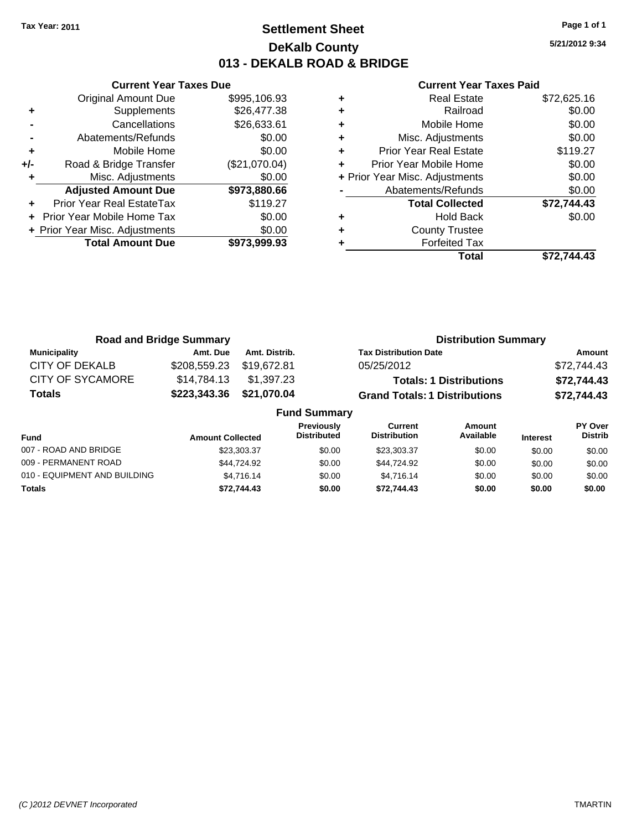## **Settlement Sheet Tax Year: 2011 Page 1 of 1 DeKalb County 013 - DEKALB ROAD & BRIDGE**

**5/21/2012 9:34**

|     | <b>Current Year Taxes Due</b>     |               |  |  |  |  |  |
|-----|-----------------------------------|---------------|--|--|--|--|--|
|     | <b>Original Amount Due</b>        | \$995,106.93  |  |  |  |  |  |
| ٠   | Supplements                       | \$26,477.38   |  |  |  |  |  |
|     | Cancellations                     | \$26,633.61   |  |  |  |  |  |
|     | Abatements/Refunds                | \$0.00        |  |  |  |  |  |
| ٠   | Mobile Home                       | \$0.00        |  |  |  |  |  |
| +/- | Road & Bridge Transfer            | (\$21,070.04) |  |  |  |  |  |
|     | Misc. Adjustments                 | \$0.00        |  |  |  |  |  |
|     | <b>Adjusted Amount Due</b>        | \$973,880.66  |  |  |  |  |  |
|     | Prior Year Real EstateTax         | \$119.27      |  |  |  |  |  |
|     | <b>Prior Year Mobile Home Tax</b> | \$0.00        |  |  |  |  |  |
|     | + Prior Year Misc. Adjustments    | \$0.00        |  |  |  |  |  |
|     | <b>Total Amount Due</b>           | \$973,999.93  |  |  |  |  |  |
|     |                                   |               |  |  |  |  |  |

|   | <b>Real Estate</b>             | \$72,625.16 |
|---|--------------------------------|-------------|
| ٠ | Railroad                       | \$0.00      |
| ٠ | Mobile Home                    | \$0.00      |
| ٠ | Misc. Adjustments              | \$0.00      |
| ٠ | <b>Prior Year Real Estate</b>  | \$119.27    |
| ٠ | Prior Year Mobile Home         | \$0.00      |
|   | + Prior Year Misc. Adjustments | \$0.00      |
|   | Abatements/Refunds             | \$0.00      |
|   | <b>Total Collected</b>         | \$72,744.43 |
| ٠ | <b>Hold Back</b>               | \$0.00      |
| ÷ | <b>County Trustee</b>          |             |
|   | <b>Forfeited Tax</b>           |             |
|   | Total                          | \$72.744.43 |

|                         | <b>Road and Bridge Summary</b> |               | <b>Distribution Summary</b>          |             |  |  |
|-------------------------|--------------------------------|---------------|--------------------------------------|-------------|--|--|
| <b>Municipality</b>     | Amt. Due                       | Amt. Distrib. | <b>Tax Distribution Date</b>         | Amount      |  |  |
| CITY OF DEKALB          | \$208,559.23 \$19,672.81       |               | 05/25/2012                           | \$72,744.43 |  |  |
| <b>CITY OF SYCAMORE</b> | \$14,784.13                    | \$1,397.23    | <b>Totals: 1 Distributions</b>       | \$72,744.43 |  |  |
| <b>Totals</b>           | \$223,343.36                   | \$21,070.04   | <b>Grand Totals: 1 Distributions</b> | \$72,744.43 |  |  |
| <b>Fund Summary</b>     |                                |               |                                      |             |  |  |

| Fund                         | <b>Amount Collected</b> | <b>Previously</b><br><b>Distributed</b> | <b>Current</b><br><b>Distribution</b> | Amount<br>Available | <b>Interest</b> | <b>PY Over</b><br><b>Distrib</b> |
|------------------------------|-------------------------|-----------------------------------------|---------------------------------------|---------------------|-----------------|----------------------------------|
| 007 - ROAD AND BRIDGE        | \$23,303,37             | \$0.00                                  | \$23.303.37                           | \$0.00              | \$0.00          | \$0.00                           |
| 009 - PERMANENT ROAD         | \$44.724.92             | \$0.00                                  | \$44.724.92                           | \$0.00              | \$0.00          | \$0.00                           |
| 010 - EQUIPMENT AND BUILDING | \$4.716.14              | \$0.00                                  | \$4.716.14                            | \$0.00              | \$0.00          | \$0.00                           |
| <b>Totals</b>                | \$72.744.43             | \$0.00                                  | \$72.744.43                           | \$0.00              | \$0.00          | \$0.00                           |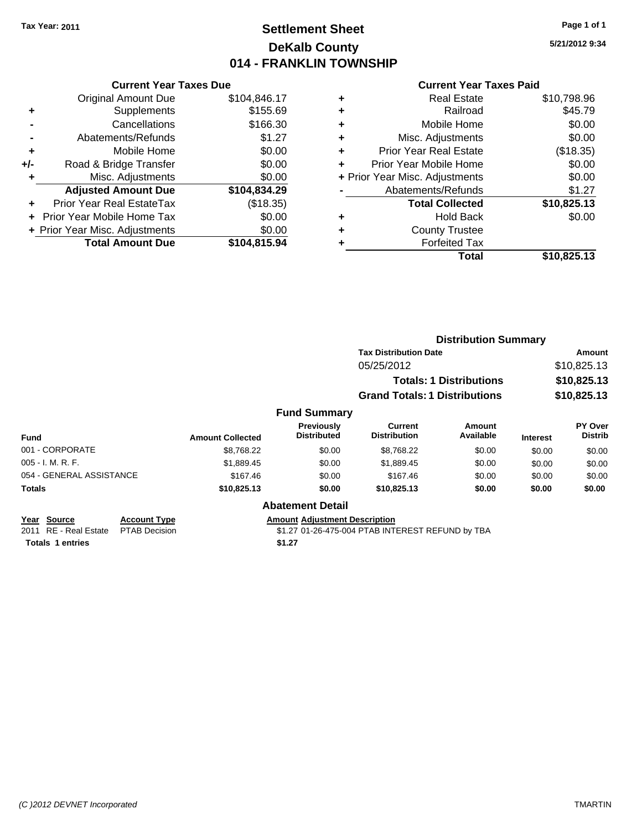## **Settlement Sheet Tax Year: 2011 Page 1 of 1 DeKalb County 014 - FRANKLIN TOWNSHIP**

**5/21/2012 9:34**

#### **Current Year Taxes Paid**

| <b>Current Year Taxes Due</b>  |              |
|--------------------------------|--------------|
| <b>Original Amount Due</b>     | \$104,846.17 |
| Supplements                    | \$155.69     |
| Cancellations                  | \$166.30     |
| Abatements/Refunds             | \$1.27       |
| Mobile Home                    | \$0.00       |
| Road & Bridge Transfer         | \$0.00       |
| Misc. Adjustments              | \$0.00       |
| <b>Adjusted Amount Due</b>     | \$104,834.29 |
| Prior Year Real EstateTax      | (\$18.35)    |
| Prior Year Mobile Home Tax     | \$0.00       |
|                                |              |
| + Prior Year Misc. Adjustments | \$0.00       |
|                                |              |

| ٠ | <b>Real Estate</b>             | \$10,798.96 |
|---|--------------------------------|-------------|
| ٠ | Railroad                       | \$45.79     |
| ٠ | Mobile Home                    | \$0.00      |
| ٠ | Misc. Adjustments              | \$0.00      |
| ٠ | <b>Prior Year Real Estate</b>  | (\$18.35)   |
| ٠ | Prior Year Mobile Home         | \$0.00      |
|   | + Prior Year Misc. Adjustments | \$0.00      |
|   | Abatements/Refunds             | \$1.27      |
|   | <b>Total Collected</b>         | \$10,825.13 |
| ٠ | <b>Hold Back</b>               | \$0.00      |
|   | <b>County Trustee</b>          |             |
| ٠ | <b>Forfeited Tax</b>           |             |
|   | Total                          | \$10,825.13 |
|   |                                |             |

|                          |                     |                         |                                      |                                       | <b>Distribution Summary</b>    |                 |                                  |
|--------------------------|---------------------|-------------------------|--------------------------------------|---------------------------------------|--------------------------------|-----------------|----------------------------------|
|                          |                     |                         |                                      | <b>Tax Distribution Date</b>          |                                |                 | <b>Amount</b>                    |
|                          |                     |                         |                                      | 05/25/2012                            |                                |                 | \$10,825.13                      |
|                          |                     |                         |                                      |                                       | <b>Totals: 1 Distributions</b> |                 | \$10,825.13                      |
|                          |                     |                         |                                      | <b>Grand Totals: 1 Distributions</b>  |                                |                 | \$10,825.13                      |
|                          |                     |                         | <b>Fund Summary</b>                  |                                       |                                |                 |                                  |
| Fund                     |                     | <b>Amount Collected</b> | Previously<br><b>Distributed</b>     | <b>Current</b><br><b>Distribution</b> | Amount<br>Available            | <b>Interest</b> | <b>PY Over</b><br><b>Distrib</b> |
| 001 - CORPORATE          |                     | \$8,768.22              | \$0.00                               | \$8,768.22                            | \$0.00                         | \$0.00          | \$0.00                           |
| 005 - I. M. R. F.        |                     | \$1,889.45              | \$0.00                               | \$1,889.45                            | \$0.00                         | \$0.00          | \$0.00                           |
| 054 - GENERAL ASSISTANCE |                     | \$167.46                | \$0.00                               | \$167.46                              | \$0.00                         | \$0.00          | \$0.00                           |
| Totals                   |                     | \$10,825.13             | \$0.00                               | \$10,825.13                           | \$0.00                         | \$0.00          | \$0.00                           |
|                          |                     |                         | <b>Abatement Detail</b>              |                                       |                                |                 |                                  |
| Year Source              | <b>Account Type</b> |                         | <b>Amount Adiustment Description</b> |                                       |                                |                 |                                  |

**<u>Year Source</u> Account Type**<br> **ALCOUNTE ADDED**<br> **ADDED**<br> **ALCOUNTE PLAB** Decision **Totals 1 entries** \$1.27

\$1.27 01-26-475-004 PTAB INTEREST REFUND by TBA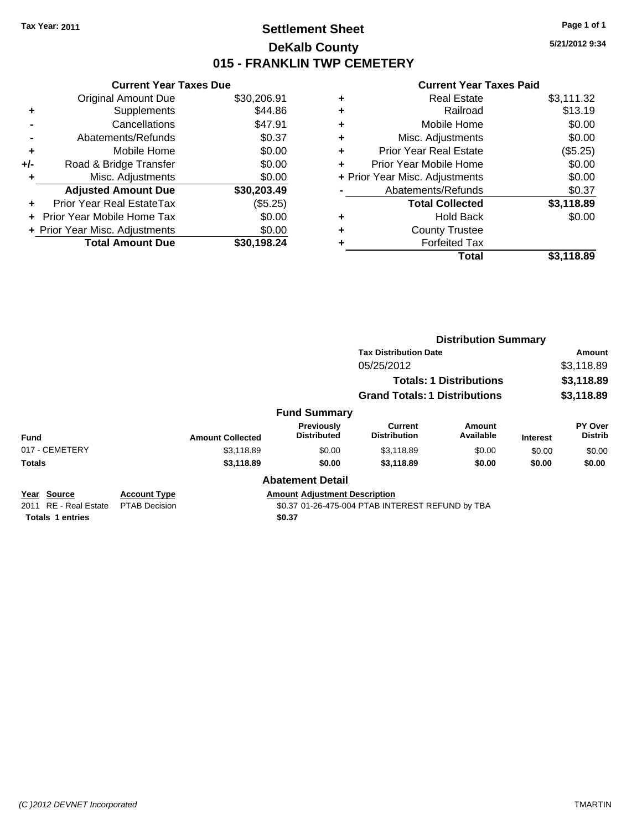## **Settlement Sheet Tax Year: 2011 Page 1 of 1 DeKalb County 015 - FRANKLIN TWP CEMETERY**

**5/21/2012 9:34**

#### **Current Year Taxes Paid**

|     | <b>Current Year Taxes Due</b>     |             |
|-----|-----------------------------------|-------------|
|     | <b>Original Amount Due</b>        | \$30,206.91 |
| ÷   | Supplements                       | \$44.86     |
|     | Cancellations                     | \$47.91     |
|     | Abatements/Refunds                | \$0.37      |
| ٠   | Mobile Home                       | \$0.00      |
| +/- | Road & Bridge Transfer            | \$0.00      |
|     | Misc. Adjustments                 | \$0.00      |
|     | <b>Adjusted Amount Due</b>        | \$30,203.49 |
| ÷   | Prior Year Real EstateTax         | (\$5.25)    |
|     | <b>Prior Year Mobile Home Tax</b> | \$0.00      |
|     | + Prior Year Misc. Adjustments    | \$0.00      |
|     | <b>Total Amount Due</b>           | \$30.198.24 |

| ٠ | <b>Real Estate</b>             | \$3,111.32 |
|---|--------------------------------|------------|
| ٠ | Railroad                       | \$13.19    |
| ٠ | Mobile Home                    | \$0.00     |
| ٠ | Misc. Adjustments              | \$0.00     |
| ٠ | <b>Prior Year Real Estate</b>  | (\$5.25)   |
| ٠ | Prior Year Mobile Home         | \$0.00     |
|   | + Prior Year Misc. Adjustments | \$0.00     |
|   | Abatements/Refunds             | \$0.37     |
|   | <b>Total Collected</b>         | \$3,118.89 |
| ٠ | <b>Hold Back</b>               | \$0.00     |
| ٠ | <b>County Trustee</b>          |            |
| ٠ | <b>Forfeited Tax</b>           |            |
|   | Total                          | \$3,118.89 |
|   |                                |            |

|                |                     |                         |                                      | <b>Distribution Summary</b>           |                                |                 |                           |  |
|----------------|---------------------|-------------------------|--------------------------------------|---------------------------------------|--------------------------------|-----------------|---------------------------|--|
|                |                     |                         |                                      | <b>Tax Distribution Date</b>          |                                |                 | Amount                    |  |
|                |                     |                         |                                      | 05/25/2012                            |                                |                 | \$3,118.89                |  |
|                |                     |                         |                                      |                                       | <b>Totals: 1 Distributions</b> |                 | \$3,118.89                |  |
|                |                     |                         |                                      | <b>Grand Totals: 1 Distributions</b>  |                                |                 | \$3,118.89                |  |
|                |                     |                         | <b>Fund Summary</b>                  |                                       |                                |                 |                           |  |
| <b>Fund</b>    |                     | <b>Amount Collected</b> | Previously<br><b>Distributed</b>     | <b>Current</b><br><b>Distribution</b> | Amount<br>Available            | <b>Interest</b> | PY Over<br><b>Distrib</b> |  |
| 017 - CEMETERY |                     | \$3.118.89              | \$0.00                               | \$3,118.89                            | \$0.00                         | \$0.00          | \$0.00                    |  |
| <b>Totals</b>  |                     | \$3,118.89              | \$0.00                               | \$3,118.89                            | \$0.00                         | \$0.00          | \$0.00                    |  |
|                |                     |                         | <b>Abatement Detail</b>              |                                       |                                |                 |                           |  |
| Year Source    | <b>Account Type</b> |                         | <b>Amount Adiustment Description</b> |                                       |                                |                 |                           |  |

**<u>Year</u> Source Additional Estate PTAB** Decision

**Totals \$0.37 1 entries**

\$0.37 01-26-475-004 PTAB INTEREST REFUND by TBA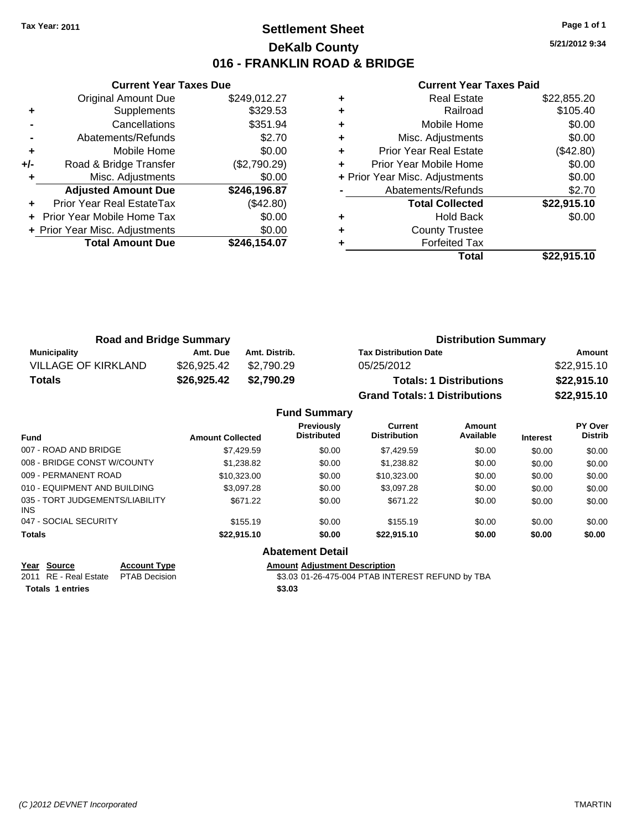## **Settlement Sheet Tax Year: 2011 Page 1 of 1 DeKalb County 016 - FRANKLIN ROAD & BRIDGE**

**5/21/2012 9:34**

#### **Current Year Taxes Paid**

|     | <b>Current Year Taxes Due</b>     |              |
|-----|-----------------------------------|--------------|
|     | <b>Original Amount Due</b>        | \$249,012.27 |
| ٠   | Supplements                       | \$329.53     |
|     | Cancellations                     | \$351.94     |
|     | Abatements/Refunds                | \$2.70       |
| ٠   | Mobile Home                       | \$0.00       |
| +/- | Road & Bridge Transfer            | (\$2,790.29) |
|     | Misc. Adjustments                 | \$0.00       |
|     | <b>Adjusted Amount Due</b>        | \$246,196.87 |
|     | Prior Year Real EstateTax         | (\$42.80)    |
|     | <b>Prior Year Mobile Home Tax</b> | \$0.00       |
|     | + Prior Year Misc. Adjustments    | \$0.00       |
|     | <b>Total Amount Due</b>           | \$246.154.07 |
|     |                                   |              |

|   | Real Estate                    | \$22,855.20 |
|---|--------------------------------|-------------|
| ٠ | Railroad                       | \$105.40    |
| ٠ | Mobile Home                    | \$0.00      |
| ٠ | Misc. Adjustments              | \$0.00      |
| ٠ | <b>Prior Year Real Estate</b>  | (\$42.80)   |
| ٠ | Prior Year Mobile Home         | \$0.00      |
|   | + Prior Year Misc. Adjustments | \$0.00      |
|   | Abatements/Refunds             | \$2.70      |
|   | <b>Total Collected</b>         | \$22,915.10 |
| ٠ | <b>Hold Back</b>               | \$0.00      |
| ٠ | <b>County Trustee</b>          |             |
|   | <b>Forfeited Tax</b>           |             |
|   | Total                          | \$22.915.10 |

| <b>Road and Bridge Summary</b> |             |               | <b>Distribution Summary</b>          |             |  |
|--------------------------------|-------------|---------------|--------------------------------------|-------------|--|
| Municipality                   | Amt. Due    | Amt. Distrib. | <b>Tax Distribution Date</b>         | Amount      |  |
| VILLAGE OF KIRKLAND            | \$26,925.42 | \$2.790.29    | 05/25/2012                           | \$22,915.10 |  |
| <b>Totals</b>                  | \$26,925.42 | \$2.790.29    | <b>Totals: 1 Distributions</b>       | \$22,915.10 |  |
|                                |             |               | <b>Grand Totals: 1 Distributions</b> | \$22,915.10 |  |

#### **Fund Summary**

| <b>Amount Collected</b> | Previously<br><b>Distributed</b> | Current<br><b>Distribution</b> | Amount<br>Available | <b>Interest</b> | <b>PY Over</b><br><b>Distrib</b> |
|-------------------------|----------------------------------|--------------------------------|---------------------|-----------------|----------------------------------|
| \$7.429.59              | \$0.00                           | \$7,429.59                     | \$0.00              | \$0.00          | \$0.00                           |
| \$1,238.82              | \$0.00                           | \$1,238.82                     | \$0.00              | \$0.00          | \$0.00                           |
| \$10.323.00             | \$0.00                           | \$10.323.00                    | \$0.00              | \$0.00          | \$0.00                           |
| \$3.097.28              | \$0.00                           | \$3,097.28                     | \$0.00              | \$0.00          | \$0.00                           |
| \$671.22                | \$0.00                           | \$671.22                       | \$0.00              | \$0.00          | \$0.00                           |
| \$155.19                | \$0.00                           | \$155.19                       | \$0.00              | \$0.00          | \$0.00                           |
| \$22,915.10             | \$0.00                           | \$22,915.10                    | \$0.00              | \$0.00          | \$0.00                           |
|                         |                                  |                                |                     |                 |                                  |

## **Abatement Detail**

**Totals \$3.03 1 entries**

**Year Source Account Type Amount Adjustment Description**<br>2011 RE - Real Estate PTAB Decision **Amount** \$3.03 01-26-475-004 PTAB INTI  $\overline{33.03}$  01-26-475-004 PTAB INTEREST REFUND by TBA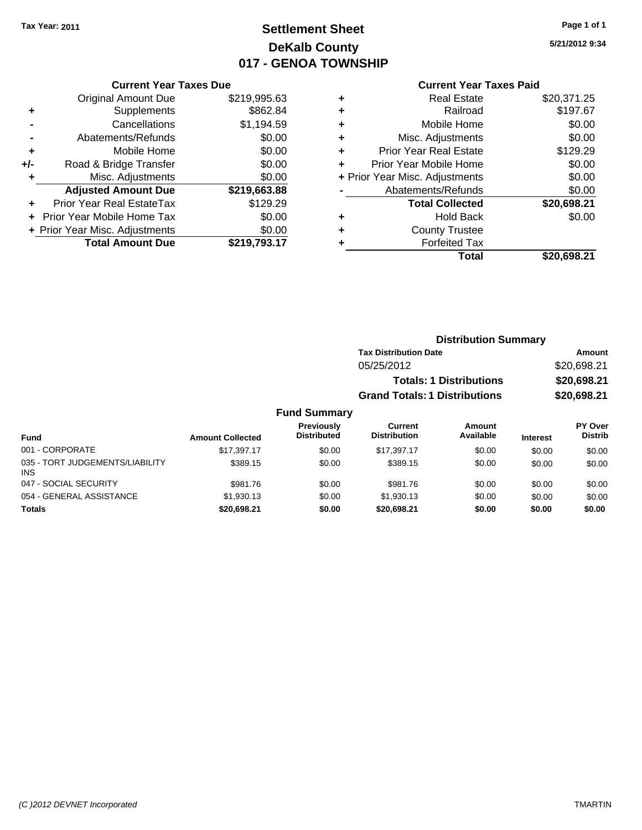# **Settlement Sheet Tax Year: 2011 Page 1 of 1 DeKalb County 017 - GENOA TOWNSHIP**

**5/21/2012 9:34**

#### **Current Year Taxes Paid**

|     | <b>Current Year Taxes Due</b>  |              |  |  |  |
|-----|--------------------------------|--------------|--|--|--|
|     | <b>Original Amount Due</b>     | \$219,995.63 |  |  |  |
| ٠   | Supplements                    | \$862.84     |  |  |  |
|     | Cancellations                  | \$1,194.59   |  |  |  |
|     | Abatements/Refunds             | \$0.00       |  |  |  |
| ٠   | Mobile Home                    | \$0.00       |  |  |  |
| +/- | Road & Bridge Transfer         | \$0.00       |  |  |  |
| ٠   | Misc. Adjustments              | \$0.00       |  |  |  |
|     | <b>Adjusted Amount Due</b>     | \$219,663.88 |  |  |  |
| ÷   | Prior Year Real EstateTax      | \$129.29     |  |  |  |
|     | Prior Year Mobile Home Tax     | \$0.00       |  |  |  |
|     | + Prior Year Misc. Adjustments | \$0.00       |  |  |  |
|     | <b>Total Amount Due</b>        | \$219,793.17 |  |  |  |

| \$197.67<br>\$0.00 |
|--------------------|
|                    |
|                    |
| \$0.00             |
| \$129.29           |
| \$0.00             |
| \$0.00             |
| \$0.00             |
| \$20,698.21        |
| \$0.00             |
|                    |
|                    |
| \$20,698.21        |
|                    |

| <b>Distribution Summary</b>          |             |
|--------------------------------------|-------------|
| <b>Tax Distribution Date</b>         | Amount      |
| 05/25/2012                           | \$20,698.21 |
| <b>Totals: 1 Distributions</b>       | \$20,698.21 |
| <b>Grand Totals: 1 Distributions</b> | \$20,698.21 |
|                                      |             |

#### **Fund Summary Current Previously**

| <b>Fund</b>                                   | <b>Amount Collected</b> | Previously<br><b>Distributed</b> | Current<br><b>Distribution</b> | <b>Amount</b><br>Available | <b>Interest</b> | PY Over<br><b>Distrib</b> |
|-----------------------------------------------|-------------------------|----------------------------------|--------------------------------|----------------------------|-----------------|---------------------------|
| 001 - CORPORATE                               | \$17.397.17             | \$0.00                           | \$17.397.17                    | \$0.00                     | \$0.00          | \$0.00                    |
| 035 - TORT JUDGEMENTS/LIABILITY<br><b>INS</b> | \$389.15                | \$0.00                           | \$389.15                       | \$0.00                     | \$0.00          | \$0.00                    |
| 047 - SOCIAL SECURITY                         | \$981.76                | \$0.00                           | \$981.76                       | \$0.00                     | \$0.00          | \$0.00                    |
| 054 - GENERAL ASSISTANCE                      | \$1,930.13              | \$0.00                           | \$1,930.13                     | \$0.00                     | \$0.00          | \$0.00                    |
| <b>Totals</b>                                 | \$20,698.21             | \$0.00                           | \$20,698.21                    | \$0.00                     | \$0.00          | \$0.00                    |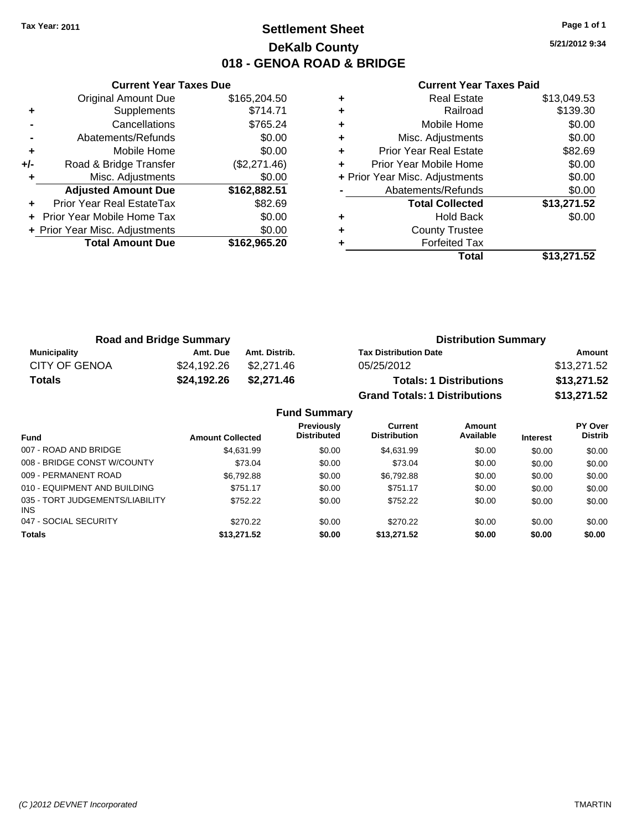## **Settlement Sheet Tax Year: 2011 Page 1 of 1 DeKalb County 018 - GENOA ROAD & BRIDGE**

**5/21/2012 9:34**

|     | <b>Current Year Taxes Due</b>  |              |  |  |  |
|-----|--------------------------------|--------------|--|--|--|
|     | <b>Original Amount Due</b>     | \$165,204.50 |  |  |  |
| ٠   | Supplements                    | \$714.71     |  |  |  |
|     | Cancellations                  | \$765.24     |  |  |  |
|     | Abatements/Refunds             | \$0.00       |  |  |  |
| ٠   | Mobile Home                    | \$0.00       |  |  |  |
| +/- | Road & Bridge Transfer         | (\$2,271.46) |  |  |  |
|     | Misc. Adjustments              | \$0.00       |  |  |  |
|     | <b>Adjusted Amount Due</b>     | \$162,882.51 |  |  |  |
|     | Prior Year Real EstateTax      | \$82.69      |  |  |  |
|     | Prior Year Mobile Home Tax     | \$0.00       |  |  |  |
|     | + Prior Year Misc. Adjustments | \$0.00       |  |  |  |
|     | <b>Total Amount Due</b>        | \$162,965.20 |  |  |  |
|     |                                |              |  |  |  |

| ٠ | <b>Real Estate</b>             | \$13,049.53 |
|---|--------------------------------|-------------|
| ٠ | Railroad                       | \$139.30    |
| ٠ | Mobile Home                    | \$0.00      |
| ٠ | Misc. Adjustments              | \$0.00      |
| ٠ | <b>Prior Year Real Estate</b>  | \$82.69     |
| ٠ | Prior Year Mobile Home         | \$0.00      |
|   | + Prior Year Misc. Adjustments | \$0.00      |
|   | Abatements/Refunds             | \$0.00      |
|   | <b>Total Collected</b>         | \$13,271.52 |
| ٠ | <b>Hold Back</b>               | \$0.00      |
| ٠ | <b>County Trustee</b>          |             |
|   | <b>Forfeited Tax</b>           |             |
|   | Total                          | \$13,271.52 |

| <b>Road and Bridge Summary</b> |             |               | <b>Distribution Summary</b>          |             |  |
|--------------------------------|-------------|---------------|--------------------------------------|-------------|--|
| <b>Municipality</b>            | Amt. Due    | Amt. Distrib. | <b>Tax Distribution Date</b>         | Amount      |  |
| <b>CITY OF GENOA</b>           | \$24.192.26 | \$2,271.46    | 05/25/2012                           | \$13,271.52 |  |
| <b>Totals</b>                  | \$24,192.26 | \$2,271.46    | <b>Totals: 1 Distributions</b>       | \$13,271.52 |  |
|                                |             |               | <b>Grand Totals: 1 Distributions</b> | \$13,271.52 |  |

| <b>Fund Summary</b>                     |                         |                                  |                                       |                     |                 |                           |  |
|-----------------------------------------|-------------------------|----------------------------------|---------------------------------------|---------------------|-----------------|---------------------------|--|
| <b>Fund</b>                             | <b>Amount Collected</b> | Previously<br><b>Distributed</b> | <b>Current</b><br><b>Distribution</b> | Amount<br>Available | <b>Interest</b> | PY Over<br><b>Distrib</b> |  |
| 007 - ROAD AND BRIDGE                   | \$4.631.99              | \$0.00                           | \$4,631.99                            | \$0.00              | \$0.00          | \$0.00                    |  |
| 008 - BRIDGE CONST W/COUNTY             | \$73.04                 | \$0.00                           | \$73.04                               | \$0.00              | \$0.00          | \$0.00                    |  |
| 009 - PERMANENT ROAD                    | \$6.792.88              | \$0.00                           | \$6,792.88                            | \$0.00              | \$0.00          | \$0.00                    |  |
| 010 - EQUIPMENT AND BUILDING            | \$751.17                | \$0.00                           | \$751.17                              | \$0.00              | \$0.00          | \$0.00                    |  |
| 035 - TORT JUDGEMENTS/LIABILITY<br>INS. | \$752.22                | \$0.00                           | \$752.22                              | \$0.00              | \$0.00          | \$0.00                    |  |
| 047 - SOCIAL SECURITY                   | \$270.22                | \$0.00                           | \$270.22                              | \$0.00              | \$0.00          | \$0.00                    |  |
| <b>Totals</b>                           | \$13,271.52             | \$0.00                           | \$13,271.52                           | \$0.00              | \$0.00          | \$0.00                    |  |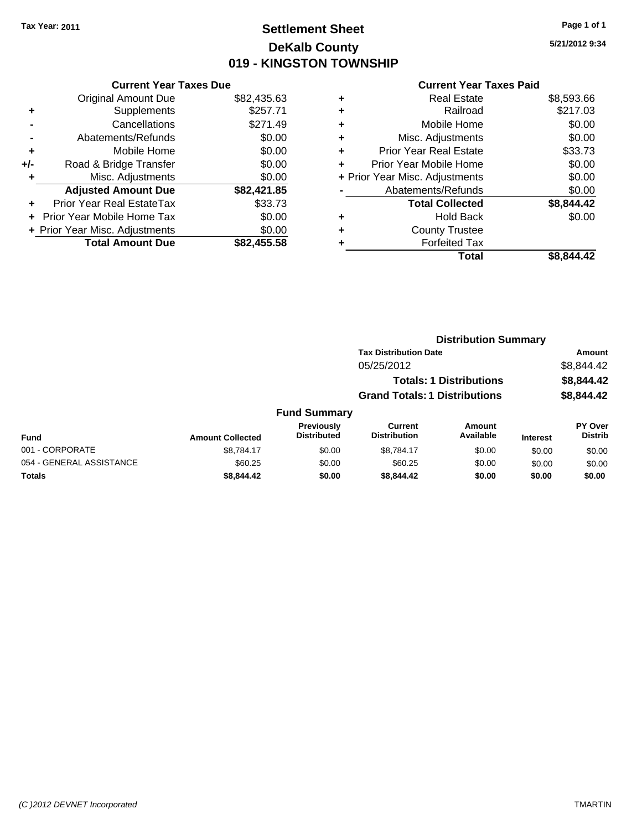## **Settlement Sheet Tax Year: 2011 Page 1 of 1 DeKalb County 019 - KINGSTON TOWNSHIP**

**5/21/2012 9:34**

|     | <b>Current Year Taxes Due</b>  |             |  |
|-----|--------------------------------|-------------|--|
|     | <b>Original Amount Due</b>     | \$82,435.63 |  |
| ٠   | Supplements                    | \$257.71    |  |
|     | Cancellations                  | \$271.49    |  |
|     | Abatements/Refunds             | \$0.00      |  |
| ٠   | Mobile Home                    | \$0.00      |  |
| +/- | Road & Bridge Transfer         | \$0.00      |  |
| ٠   | Misc. Adjustments              | \$0.00      |  |
|     | <b>Adjusted Amount Due</b>     | \$82,421.85 |  |
| ÷   | Prior Year Real EstateTax      | \$33.73     |  |
|     | Prior Year Mobile Home Tax     | \$0.00      |  |
|     | + Prior Year Misc. Adjustments | \$0.00      |  |
|     | <b>Total Amount Due</b>        | \$82,455.58 |  |

|   | Total                          | \$8.844.42 |
|---|--------------------------------|------------|
| ٠ | <b>Forfeited Tax</b>           |            |
| ٠ | <b>County Trustee</b>          |            |
| ٠ | <b>Hold Back</b>               | \$0.00     |
|   | <b>Total Collected</b>         | \$8,844.42 |
|   | Abatements/Refunds             | \$0.00     |
|   | + Prior Year Misc. Adjustments | \$0.00     |
| ٠ | Prior Year Mobile Home         | \$0.00     |
| ÷ | Prior Year Real Estate         | \$33.73    |
| ٠ | Misc. Adjustments              | \$0.00     |
| ٠ | Mobile Home                    | \$0.00     |
| ÷ | Railroad                       | \$217.03   |
| ٠ | <b>Real Estate</b>             | \$8,593.66 |
|   |                                |            |

|                          |                         |                                  |                                       | <b>Distribution Summary</b>    |                 |                                  |
|--------------------------|-------------------------|----------------------------------|---------------------------------------|--------------------------------|-----------------|----------------------------------|
|                          |                         |                                  | <b>Tax Distribution Date</b>          |                                |                 | Amount                           |
|                          |                         |                                  | 05/25/2012                            |                                |                 | \$8,844.42                       |
|                          |                         |                                  |                                       | <b>Totals: 1 Distributions</b> |                 | \$8,844.42                       |
|                          |                         |                                  | <b>Grand Totals: 1 Distributions</b>  |                                |                 | \$8,844.42                       |
|                          |                         | <b>Fund Summary</b>              |                                       |                                |                 |                                  |
| Fund                     | <b>Amount Collected</b> | Previously<br><b>Distributed</b> | <b>Current</b><br><b>Distribution</b> | Amount<br>Available            | <b>Interest</b> | <b>PY Over</b><br><b>Distrib</b> |
| 001 - CORPORATE          | \$8.784.17              | \$0.00                           | \$8.784.17                            | \$0.00                         | \$0.00          | \$0.00                           |
| 054 - GENERAL ASSISTANCE | \$60.25                 | \$0.00                           | \$60.25                               | \$0.00                         | \$0.00          | \$0.00                           |
| Totals                   | \$8,844.42              | \$0.00                           | \$8,844.42                            | \$0.00                         | \$0.00          | \$0.00                           |
|                          |                         |                                  |                                       |                                |                 |                                  |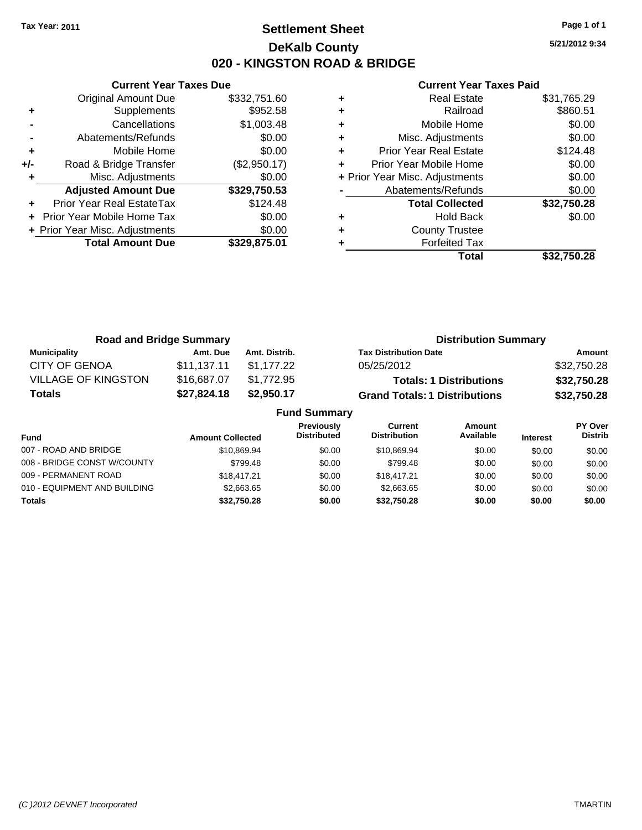## **Settlement Sheet Tax Year: 2011 Page 1 of 1 DeKalb County 020 - KINGSTON ROAD & BRIDGE**

**5/21/2012 9:34**

|       | <b>Current Year Taxes Due</b>  |              |
|-------|--------------------------------|--------------|
|       | <b>Original Amount Due</b>     | \$332,751.60 |
| ٠     | Supplements                    | \$952.58     |
|       | Cancellations                  | \$1,003.48   |
|       | Abatements/Refunds             | \$0.00       |
| ٠     | Mobile Home                    | \$0.00       |
| $+/-$ | Road & Bridge Transfer         | (\$2,950.17) |
|       | Misc. Adjustments              | \$0.00       |
|       | <b>Adjusted Amount Due</b>     | \$329,750.53 |
|       | Prior Year Real EstateTax      | \$124.48     |
|       | Prior Year Mobile Home Tax     | \$0.00       |
|       | + Prior Year Misc. Adjustments | \$0.00       |
|       | <b>Total Amount Due</b>        | \$329.875.01 |
|       |                                |              |

|   | <b>Real Estate</b>             | \$31,765.29 |
|---|--------------------------------|-------------|
| ٠ | Railroad                       | \$860.51    |
| ٠ | Mobile Home                    | \$0.00      |
| ٠ | Misc. Adjustments              | \$0.00      |
| ٠ | <b>Prior Year Real Estate</b>  | \$124.48    |
|   | Prior Year Mobile Home         | \$0.00      |
|   | + Prior Year Misc. Adjustments | \$0.00      |
|   | Abatements/Refunds             | \$0.00      |
|   | <b>Total Collected</b>         | \$32,750.28 |
|   | <b>Hold Back</b>               | \$0.00      |
| ٠ | <b>County Trustee</b>          |             |
|   | <b>Forfeited Tax</b>           |             |
|   | Total                          | \$32,750.28 |

| <b>Road and Bridge Summary</b> |             |                     | <b>Distribution Summary</b>          |             |
|--------------------------------|-------------|---------------------|--------------------------------------|-------------|
| <b>Municipality</b>            | Amt. Due    | Amt. Distrib.       | <b>Tax Distribution Date</b>         | Amount      |
| <b>CITY OF GENOA</b>           | \$11.137.11 | \$1.177.22          | 05/25/2012                           | \$32,750.28 |
| <b>VILLAGE OF KINGSTON</b>     | \$16,687.07 | \$1,772.95          | <b>Totals: 1 Distributions</b>       | \$32,750.28 |
| <b>Totals</b>                  | \$27,824.18 | \$2,950.17          | <b>Grand Totals: 1 Distributions</b> | \$32,750.28 |
|                                |             | <b>Fund Summary</b> |                                      |             |

| Fund                         | <b>Amount Collected</b> | <b>Previously</b><br><b>Distributed</b> | Current<br><b>Distribution</b> | Amount<br>Available | <b>Interest</b> | PY Over<br><b>Distrib</b> |
|------------------------------|-------------------------|-----------------------------------------|--------------------------------|---------------------|-----------------|---------------------------|
| 007 - ROAD AND BRIDGE        | \$10.869.94             | \$0.00                                  | \$10.869.94                    | \$0.00              | \$0.00          | \$0.00                    |
| 008 - BRIDGE CONST W/COUNTY  | \$799.48                | \$0.00                                  | \$799.48                       | \$0.00              | \$0.00          | \$0.00                    |
| 009 - PERMANENT ROAD         | \$18,417.21             | \$0.00                                  | \$18.417.21                    | \$0.00              | \$0.00          | \$0.00                    |
| 010 - EQUIPMENT AND BUILDING | \$2,663,65              | \$0.00                                  | \$2,663.65                     | \$0.00              | \$0.00          | \$0.00                    |
| <b>Totals</b>                | \$32,750.28             | \$0.00                                  | \$32.750.28                    | \$0.00              | \$0.00          | \$0.00                    |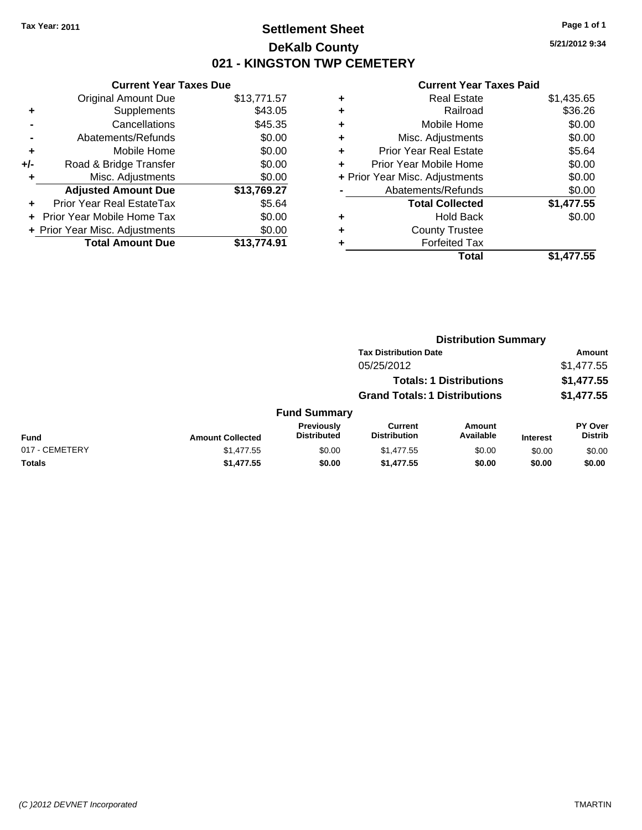## **Settlement Sheet Tax Year: 2011 Page 1 of 1 DeKalb County 021 - KINGSTON TWP CEMETERY**

**5/21/2012 9:34**

|     | <b>Current Year Taxes Due</b>  |             |
|-----|--------------------------------|-------------|
|     | <b>Original Amount Due</b>     | \$13,771.57 |
| ٠   | Supplements                    | \$43.05     |
|     | Cancellations                  | \$45.35     |
|     | Abatements/Refunds             | \$0.00      |
| ٠   | Mobile Home                    | \$0.00      |
| +/- | Road & Bridge Transfer         | \$0.00      |
|     | Misc. Adjustments              | \$0.00      |
|     | <b>Adjusted Amount Due</b>     | \$13,769.27 |
|     | Prior Year Real EstateTax      | \$5.64      |
|     | Prior Year Mobile Home Tax     | \$0.00      |
|     | + Prior Year Misc. Adjustments | \$0.00      |
|     | <b>Total Amount Due</b>        | \$13.774.91 |

| ٠ | <b>Real Estate</b>             | \$1,435.65 |
|---|--------------------------------|------------|
| ٠ | Railroad                       | \$36.26    |
| ٠ | Mobile Home                    | \$0.00     |
| ٠ | Misc. Adjustments              | \$0.00     |
| ÷ | <b>Prior Year Real Estate</b>  | \$5.64     |
| ٠ | Prior Year Mobile Home         | \$0.00     |
|   | + Prior Year Misc. Adjustments | \$0.00     |
|   | Abatements/Refunds             | \$0.00     |
|   | <b>Total Collected</b>         | \$1,477.55 |
| ٠ | <b>Hold Back</b>               | \$0.00     |
| ٠ | <b>County Trustee</b>          |            |
| ٠ | <b>Forfeited Tax</b>           |            |
|   | Total                          | \$1,477.55 |

|                |                         |                                  | <b>Distribution Summary</b>           |                                |                 |                                  |
|----------------|-------------------------|----------------------------------|---------------------------------------|--------------------------------|-----------------|----------------------------------|
|                |                         |                                  | <b>Tax Distribution Date</b>          |                                |                 | Amount                           |
|                |                         |                                  | 05/25/2012                            |                                |                 | \$1,477.55                       |
|                |                         |                                  |                                       | <b>Totals: 1 Distributions</b> |                 | \$1,477.55                       |
|                |                         |                                  | <b>Grand Totals: 1 Distributions</b>  |                                |                 | \$1,477.55                       |
|                |                         | <b>Fund Summary</b>              |                                       |                                |                 |                                  |
| Fund           | <b>Amount Collected</b> | Previously<br><b>Distributed</b> | <b>Current</b><br><b>Distribution</b> | Amount<br>Available            | <b>Interest</b> | <b>PY Over</b><br><b>Distrib</b> |
| 017 - CEMETERY | \$1,477.55              | \$0.00                           | \$1,477.55                            | \$0.00                         | \$0.00          | \$0.00                           |
| Totals         | \$1,477.55              | \$0.00                           | \$1,477.55                            | \$0.00                         | \$0.00          | \$0.00                           |
|                |                         |                                  |                                       |                                |                 |                                  |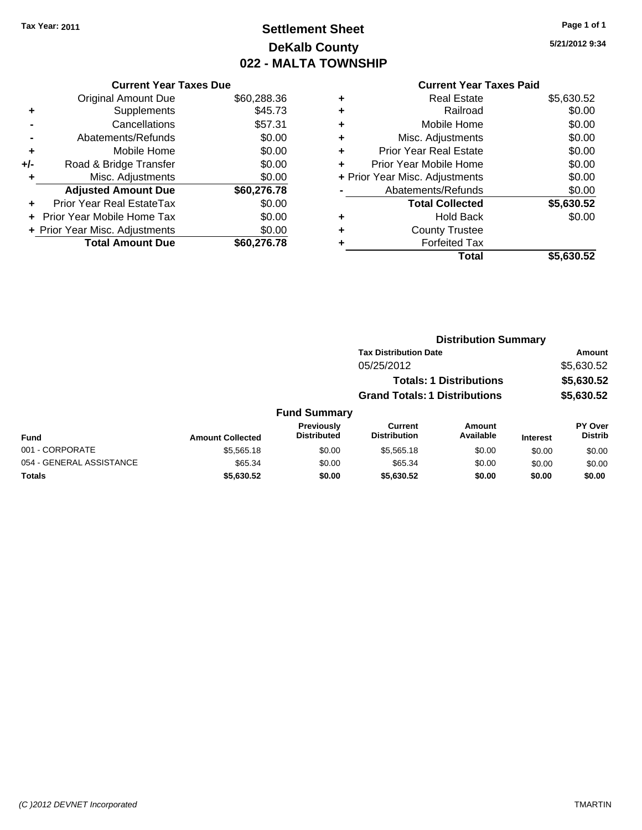# **Settlement Sheet Tax Year: 2011 Page 1 of 1 DeKalb County 022 - MALTA TOWNSHIP**

**5/21/2012 9:34**

| <b>Current Year Taxes Paid</b> |  |  |  |
|--------------------------------|--|--|--|
|--------------------------------|--|--|--|

| <b>Current Year Taxes Due</b>     |                                |
|-----------------------------------|--------------------------------|
| <b>Original Amount Due</b>        | \$60,288.36                    |
| Supplements                       | \$45.73                        |
| Cancellations                     | \$57.31                        |
| Abatements/Refunds                | \$0.00                         |
| Mobile Home                       | \$0.00                         |
| Road & Bridge Transfer            | \$0.00                         |
| Misc. Adjustments                 | \$0.00                         |
| <b>Adjusted Amount Due</b>        | \$60,276.78                    |
| Prior Year Real EstateTax         | \$0.00                         |
| <b>Prior Year Mobile Home Tax</b> | \$0.00                         |
|                                   | \$0.00                         |
| <b>Total Amount Due</b>           | \$60,276,78                    |
|                                   | + Prior Year Misc. Adjustments |

|   | <b>Real Estate</b>             | \$5,630.52 |
|---|--------------------------------|------------|
| ٠ | Railroad                       | \$0.00     |
| ٠ | Mobile Home                    | \$0.00     |
| ٠ | Misc. Adjustments              | \$0.00     |
| ٠ | <b>Prior Year Real Estate</b>  | \$0.00     |
| ٠ | Prior Year Mobile Home         | \$0.00     |
|   | + Prior Year Misc. Adjustments | \$0.00     |
|   | Abatements/Refunds             | \$0.00     |
|   | <b>Total Collected</b>         | \$5,630.52 |
| ٠ | <b>Hold Back</b>               | \$0.00     |
| ٠ | <b>County Trustee</b>          |            |
| ٠ | <b>Forfeited Tax</b>           |            |
|   | Total                          | \$5.630.52 |

|                          |                         |                                         |                                      | <b>Distribution Summary</b>    |                 |                                  |  |
|--------------------------|-------------------------|-----------------------------------------|--------------------------------------|--------------------------------|-----------------|----------------------------------|--|
|                          |                         |                                         | <b>Tax Distribution Date</b>         |                                |                 | Amount                           |  |
|                          |                         |                                         | 05/25/2012                           |                                |                 | \$5,630.52                       |  |
|                          |                         |                                         |                                      | <b>Totals: 1 Distributions</b> |                 | \$5,630.52                       |  |
|                          |                         |                                         | <b>Grand Totals: 1 Distributions</b> |                                |                 | \$5,630.52                       |  |
|                          |                         | <b>Fund Summary</b>                     |                                      |                                |                 |                                  |  |
| Fund                     | <b>Amount Collected</b> | <b>Previously</b><br><b>Distributed</b> | Current<br><b>Distribution</b>       | Amount<br>Available            | <b>Interest</b> | <b>PY Over</b><br><b>Distrib</b> |  |
| 001 - CORPORATE          | \$5,565.18              | \$0.00                                  | \$5,565.18                           | \$0.00                         | \$0.00          | \$0.00                           |  |
| 054 - GENERAL ASSISTANCE | \$65.34                 | \$0.00                                  | \$65.34                              | \$0.00                         | \$0.00          | \$0.00                           |  |
| Totals                   | \$5,630.52              | \$0.00                                  | \$5,630.52                           | \$0.00                         | \$0.00          | \$0.00                           |  |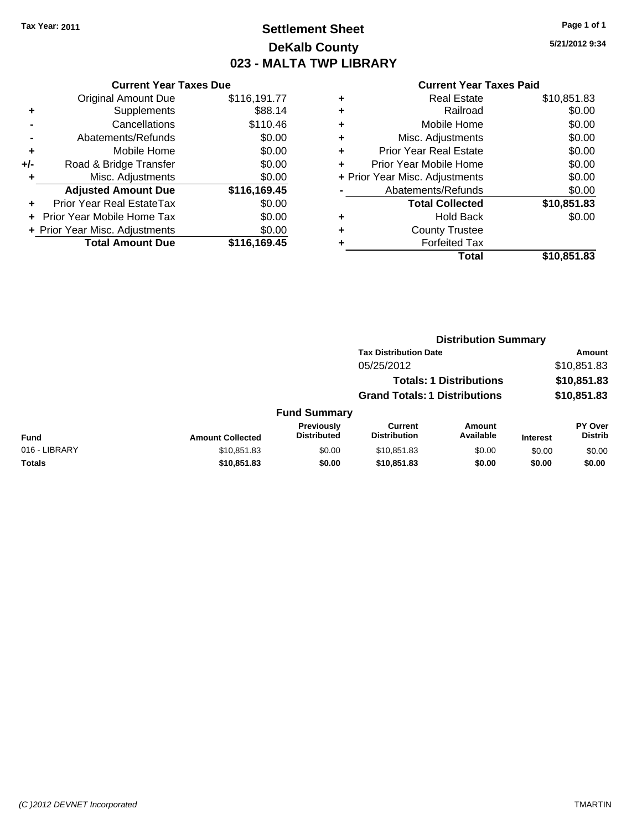## **Settlement Sheet Tax Year: 2011 Page 1 of 1 DeKalb County 023 - MALTA TWP LIBRARY**

**5/21/2012 9:34**

|     | <b>Current Year Taxes Due</b>  |              |
|-----|--------------------------------|--------------|
|     | <b>Original Amount Due</b>     | \$116,191.77 |
| ٠   | Supplements                    | \$88.14      |
|     | Cancellations                  | \$110.46     |
|     | Abatements/Refunds             | \$0.00       |
| ٠   | Mobile Home                    | \$0.00       |
| +/- | Road & Bridge Transfer         | \$0.00       |
| ÷   | Misc. Adjustments              | \$0.00       |
|     | <b>Adjusted Amount Due</b>     | \$116,169.45 |
|     | Prior Year Real EstateTax      | \$0.00       |
|     | Prior Year Mobile Home Tax     | \$0.00       |
|     | + Prior Year Misc. Adjustments | \$0.00       |
|     | <b>Total Amount Due</b>        | \$116,169.45 |
|     |                                |              |

| ٠ | <b>Real Estate</b>             | \$10,851.83 |
|---|--------------------------------|-------------|
| ٠ | Railroad                       | \$0.00      |
| ٠ | Mobile Home                    | \$0.00      |
| ٠ | Misc. Adjustments              | \$0.00      |
| ÷ | Prior Year Real Estate         | \$0.00      |
|   | Prior Year Mobile Home         | \$0.00      |
|   | + Prior Year Misc. Adjustments | \$0.00      |
|   | Abatements/Refunds             | \$0.00      |
|   | <b>Total Collected</b>         | \$10,851.83 |
| ٠ | <b>Hold Back</b>               | \$0.00      |
| ٠ | <b>County Trustee</b>          |             |
|   | <b>Forfeited Tax</b>           |             |
|   | Total                          | \$10,851.83 |
|   |                                |             |

|               |                         |                                  | <b>Distribution Summary</b>           |                                |                 |                                  |  |
|---------------|-------------------------|----------------------------------|---------------------------------------|--------------------------------|-----------------|----------------------------------|--|
|               |                         |                                  | <b>Tax Distribution Date</b>          |                                | Amount          |                                  |  |
|               |                         |                                  | 05/25/2012                            |                                |                 | \$10,851.83                      |  |
|               |                         |                                  |                                       | <b>Totals: 1 Distributions</b> |                 | \$10,851.83                      |  |
|               |                         |                                  | <b>Grand Totals: 1 Distributions</b>  |                                |                 | \$10,851.83                      |  |
|               |                         | <b>Fund Summary</b>              |                                       |                                |                 |                                  |  |
| Fund          | <b>Amount Collected</b> | Previously<br><b>Distributed</b> | <b>Current</b><br><b>Distribution</b> | Amount<br>Available            | <b>Interest</b> | <b>PY Over</b><br><b>Distrib</b> |  |
| 016 - LIBRARY | \$10.851.83             | \$0.00                           | \$10,851.83                           | \$0.00                         | \$0.00          | \$0.00                           |  |
| Totals        | \$10,851.83             | \$0.00                           | \$10,851.83                           | \$0.00                         | \$0.00          | \$0.00                           |  |
|               |                         |                                  |                                       |                                |                 |                                  |  |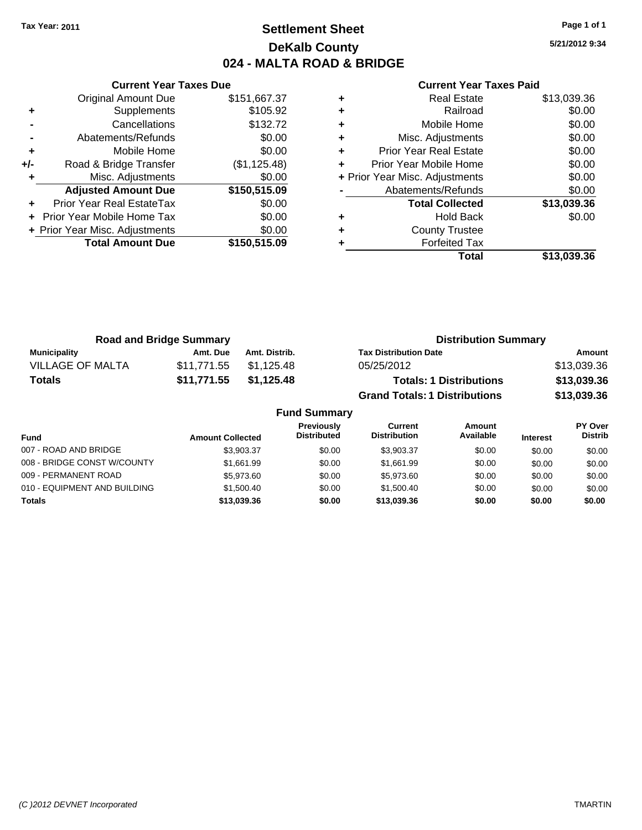## **Settlement Sheet Tax Year: 2011 Page 1 of 1 DeKalb County 024 - MALTA ROAD & BRIDGE**

**5/21/2012 9:34**

|     | <b>Current Year Taxes Due</b>     |              |  |  |  |
|-----|-----------------------------------|--------------|--|--|--|
|     | <b>Original Amount Due</b>        | \$151,667.37 |  |  |  |
| ٠   | Supplements                       | \$105.92     |  |  |  |
|     | Cancellations                     | \$132.72     |  |  |  |
|     | Abatements/Refunds                | \$0.00       |  |  |  |
| ٠   | Mobile Home                       | \$0.00       |  |  |  |
| +/- | Road & Bridge Transfer            | (\$1,125.48) |  |  |  |
|     | Misc. Adjustments                 | \$0.00       |  |  |  |
|     | <b>Adjusted Amount Due</b>        | \$150,515.09 |  |  |  |
|     | Prior Year Real EstateTax         | \$0.00       |  |  |  |
|     | <b>Prior Year Mobile Home Tax</b> | \$0.00       |  |  |  |
|     | + Prior Year Misc. Adjustments    | \$0.00       |  |  |  |
|     | <b>Total Amount Due</b>           | \$150,515.09 |  |  |  |
|     |                                   |              |  |  |  |

| ٠ | <b>Real Estate</b>             | \$13,039.36 |
|---|--------------------------------|-------------|
| ٠ | Railroad                       | \$0.00      |
| ٠ | Mobile Home                    | \$0.00      |
| ٠ | Misc. Adjustments              | \$0.00      |
| ÷ | <b>Prior Year Real Estate</b>  | \$0.00      |
| ٠ | Prior Year Mobile Home         | \$0.00      |
|   | + Prior Year Misc. Adjustments | \$0.00      |
|   | Abatements/Refunds             | \$0.00      |
|   | <b>Total Collected</b>         | \$13,039.36 |
| ٠ | <b>Hold Back</b>               | \$0.00      |
| ٠ | <b>County Trustee</b>          |             |
|   | <b>Forfeited Tax</b>           |             |
|   | Total                          | \$13,039.36 |

| <b>Road and Bridge Summary</b> |             |               | <b>Distribution Summary</b>          |             |  |
|--------------------------------|-------------|---------------|--------------------------------------|-------------|--|
| <b>Municipality</b>            | Amt. Due    | Amt. Distrib. | <b>Tax Distribution Date</b>         | Amount      |  |
| VILLAGE OF MALTA               | \$11.771.55 | \$1.125.48    | 05/25/2012                           | \$13,039.36 |  |
| <b>Totals</b>                  | \$11,771.55 | \$1,125.48    | <b>Totals: 1 Distributions</b>       | \$13,039.36 |  |
|                                |             |               | <b>Grand Totals: 1 Distributions</b> | \$13,039.36 |  |

|                              |                         | <b>Fund Summary</b>                     |                                |                     |                 |                           |
|------------------------------|-------------------------|-----------------------------------------|--------------------------------|---------------------|-----------------|---------------------------|
| <b>Fund</b>                  | <b>Amount Collected</b> | <b>Previously</b><br><b>Distributed</b> | Current<br><b>Distribution</b> | Amount<br>Available | <b>Interest</b> | PY Over<br><b>Distrib</b> |
| 007 - ROAD AND BRIDGE        | \$3,903,37              | \$0.00                                  | \$3.903.37                     | \$0.00              | \$0.00          | \$0.00                    |
| 008 - BRIDGE CONST W/COUNTY  | \$1.661.99              | \$0.00                                  | \$1.661.99                     | \$0.00              | \$0.00          | \$0.00                    |
| 009 - PERMANENT ROAD         | \$5,973,60              | \$0.00                                  | \$5,973,60                     | \$0.00              | \$0.00          | \$0.00                    |
| 010 - EQUIPMENT AND BUILDING | \$1,500.40              | \$0.00                                  | \$1,500.40                     | \$0.00              | \$0.00          | \$0.00                    |
| <b>Totals</b>                | \$13,039.36             | \$0.00                                  | \$13,039.36                    | \$0.00              | \$0.00          | \$0.00                    |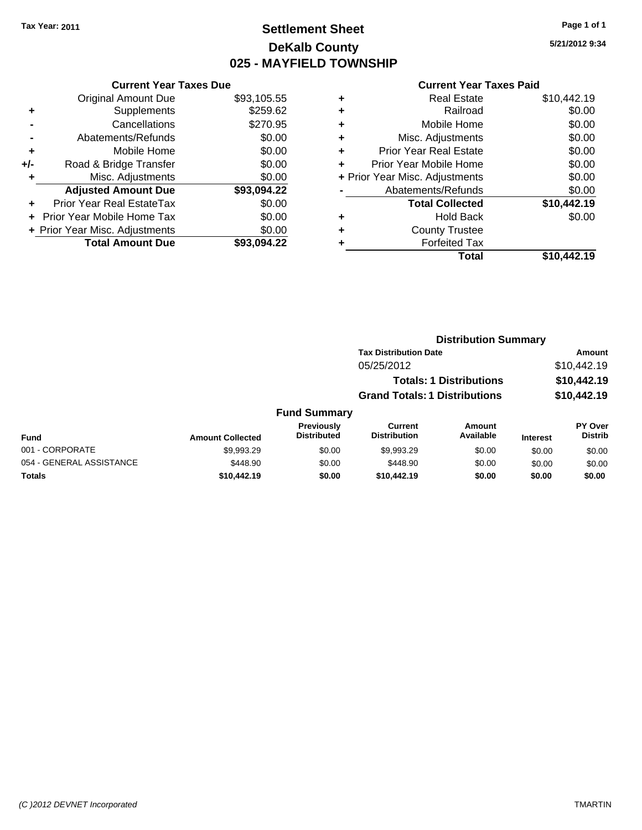## **Settlement Sheet Tax Year: 2011 Page 1 of 1 DeKalb County 025 - MAYFIELD TOWNSHIP**

**5/21/2012 9:34**

|     | <b>Current Year Taxes Due</b>  |             |  |  |  |
|-----|--------------------------------|-------------|--|--|--|
|     | <b>Original Amount Due</b>     | \$93,105.55 |  |  |  |
| ٠   | Supplements                    | \$259.62    |  |  |  |
|     | Cancellations                  | \$270.95    |  |  |  |
|     | Abatements/Refunds             | \$0.00      |  |  |  |
| ٠   | Mobile Home                    | \$0.00      |  |  |  |
| +/- | Road & Bridge Transfer         | \$0.00      |  |  |  |
|     | Misc. Adjustments              | \$0.00      |  |  |  |
|     | <b>Adjusted Amount Due</b>     | \$93,094.22 |  |  |  |
| ٠   | Prior Year Real EstateTax      | \$0.00      |  |  |  |
| ÷   | Prior Year Mobile Home Tax     | \$0.00      |  |  |  |
|     | + Prior Year Misc. Adjustments | \$0.00      |  |  |  |
|     | <b>Total Amount Due</b>        | \$93.094.22 |  |  |  |

| ٠ | <b>Real Estate</b>             | \$10,442.19 |
|---|--------------------------------|-------------|
| ٠ | Railroad                       | \$0.00      |
| ٠ | Mobile Home                    | \$0.00      |
| ٠ | Misc. Adjustments              | \$0.00      |
| ٠ | <b>Prior Year Real Estate</b>  | \$0.00      |
| ٠ | Prior Year Mobile Home         | \$0.00      |
|   | + Prior Year Misc. Adjustments | \$0.00      |
|   | Abatements/Refunds             | \$0.00      |
|   | <b>Total Collected</b>         | \$10,442.19 |
| ٠ | <b>Hold Back</b>               | \$0.00      |
| ٠ | <b>County Trustee</b>          |             |
| ٠ | <b>Forfeited Tax</b>           |             |
|   | Total                          | \$10,442.19 |
|   |                                |             |

|                     |                                      | <b>Distribution Summary</b>    |                |  |
|---------------------|--------------------------------------|--------------------------------|----------------|--|
|                     | <b>Tax Distribution Date</b>         |                                | <b>Amount</b>  |  |
|                     | 05/25/2012                           |                                | \$10,442.19    |  |
|                     |                                      | <b>Totals: 1 Distributions</b> |                |  |
|                     | <b>Grand Totals: 1 Distributions</b> |                                | \$10,442.19    |  |
| <b>Fund Summary</b> |                                      |                                |                |  |
| <b>Previously</b>   | <b>Current</b>                       | Amount                         | <b>PY Over</b> |  |
| <b>Distributed</b>  | Diateikutian                         | $A \cdot A$                    | <b>Distrib</b> |  |

| <b>Fund</b>              | <b>Amount Collected</b> | <b>Previously</b><br><b>Distributed</b> | Current<br><b>Distribution</b> | Amount<br>Available | <b>Interest</b> | PY Over<br><b>Distrib</b> |
|--------------------------|-------------------------|-----------------------------------------|--------------------------------|---------------------|-----------------|---------------------------|
| 001 - CORPORATE          | \$9.993.29              | \$0.00                                  | \$9.993.29                     | \$0.00              | \$0.00          | \$0.00                    |
| 054 - GENERAL ASSISTANCE | \$448.90                | \$0.00                                  | \$448.90                       | \$0.00              | \$0.00          | \$0.00                    |
| <b>Totals</b>            | \$10,442.19             | \$0.00                                  | \$10.442.19                    | \$0.00              | \$0.00          | \$0.00                    |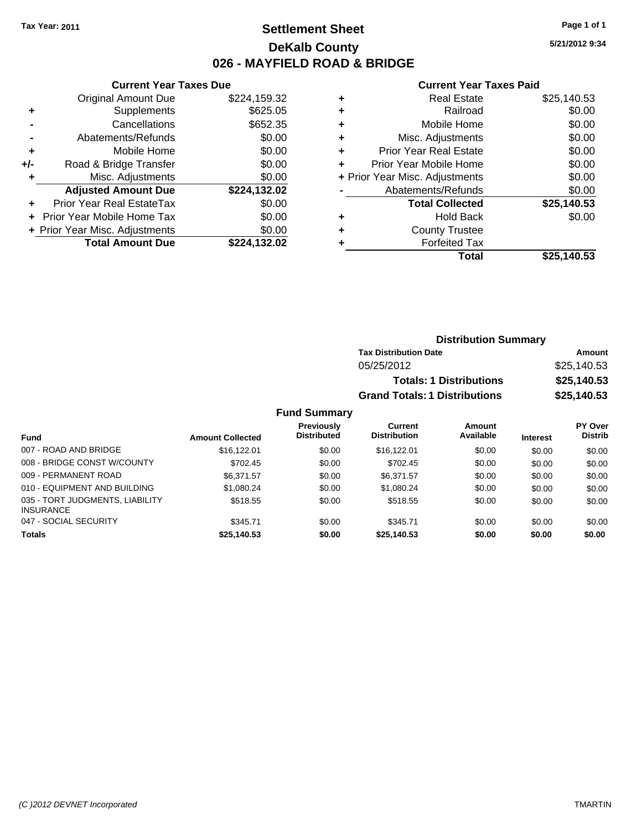**Current Year Taxes Due**

## **Settlement Sheet Tax Year: 2011 Page 1 of 1 DeKalb County 026 - MAYFIELD ROAD & BRIDGE**

**5/21/2012 9:34**

|     |                                |              |   | <b>Total</b>                   | \$25,140.53 |
|-----|--------------------------------|--------------|---|--------------------------------|-------------|
|     | <b>Total Amount Due</b>        | \$224,132.02 |   | <b>Forfeited Tax</b>           |             |
|     | + Prior Year Misc. Adjustments | \$0.00       | ٠ | <b>County Trustee</b>          |             |
|     | + Prior Year Mobile Home Tax   | \$0.00       | ٠ | <b>Hold Back</b>               | \$0.00      |
| ÷.  | Prior Year Real EstateTax      | \$0.00       |   | <b>Total Collected</b>         | \$25,140.53 |
|     | <b>Adjusted Amount Due</b>     | \$224,132.02 |   | Abatements/Refunds             | \$0.00      |
|     | Misc. Adjustments              | \$0.00       |   | + Prior Year Misc. Adjustments | \$0.00      |
| +/- | Road & Bridge Transfer         | \$0.00       |   | Prior Year Mobile Home         | \$0.00      |
| ٠   | Mobile Home                    | \$0.00       | ٠ | <b>Prior Year Real Estate</b>  | \$0.00      |
|     | Abatements/Refunds             | \$0.00       | ٠ | Misc. Adjustments              | \$0.00      |
|     | Cancellations                  | \$652.35     | ٠ | Mobile Home                    | \$0.00      |
| ٠   | Supplements                    | \$625.05     | ٠ | Railroad                       | \$0.00      |
|     | <b>Original Amount Due</b>     | \$224,159.32 | ٠ | <b>Real Estate</b>             | \$25,140.53 |
|     |                                |              |   |                                |             |

|                       |                         |                                  |                                       | <b>Distribution Summary</b>    |                 |                           |
|-----------------------|-------------------------|----------------------------------|---------------------------------------|--------------------------------|-----------------|---------------------------|
|                       |                         |                                  | <b>Tax Distribution Date</b>          |                                |                 | Amount                    |
|                       |                         |                                  | 05/25/2012                            |                                |                 | \$25,140.53               |
|                       |                         |                                  |                                       | <b>Totals: 1 Distributions</b> |                 | \$25,140.53               |
|                       |                         |                                  | <b>Grand Totals: 1 Distributions</b>  |                                |                 | \$25,140.53               |
|                       |                         | <b>Fund Summary</b>              |                                       |                                |                 |                           |
| <b>Fund</b>           | <b>Amount Collected</b> | Previously<br><b>Distributed</b> | <b>Current</b><br><b>Distribution</b> | Amount<br>Available            | <b>Interest</b> | PY Over<br><b>Distrib</b> |
| 007 - ROAD AND BRIDGE | \$16,122.01             | \$0.00                           | \$16,122.01                           | \$0.00                         | \$0.00          | \$0.00                    |
|                       |                         |                                  |                                       |                                |                 |                           |

|             |        |             | \$0.00                               | \$0.00 | \$0.00 |
|-------------|--------|-------------|--------------------------------------|--------|--------|
| \$345.71    | \$0.00 | \$345.71    | \$0.00                               | \$0.00 | \$0.00 |
| \$518.55    | \$0.00 | \$518.55    | \$0.00                               | \$0.00 | \$0.00 |
| \$1.080.24  | \$0.00 | \$1.080.24  | \$0.00                               | \$0.00 | \$0.00 |
| \$6.371.57  | \$0.00 | \$6.371.57  | \$0.00                               | \$0.00 | \$0.00 |
| \$702.45    | \$0.00 | \$702.45    | \$0.00                               | \$0.00 | \$0.00 |
| \$16,122,01 | \$0.00 | \$16.122.01 | \$0.00                               | \$0.00 | \$0.00 |
|             |        |             | \$25,140.53<br>\$0.00<br>\$25.140.53 |        |        |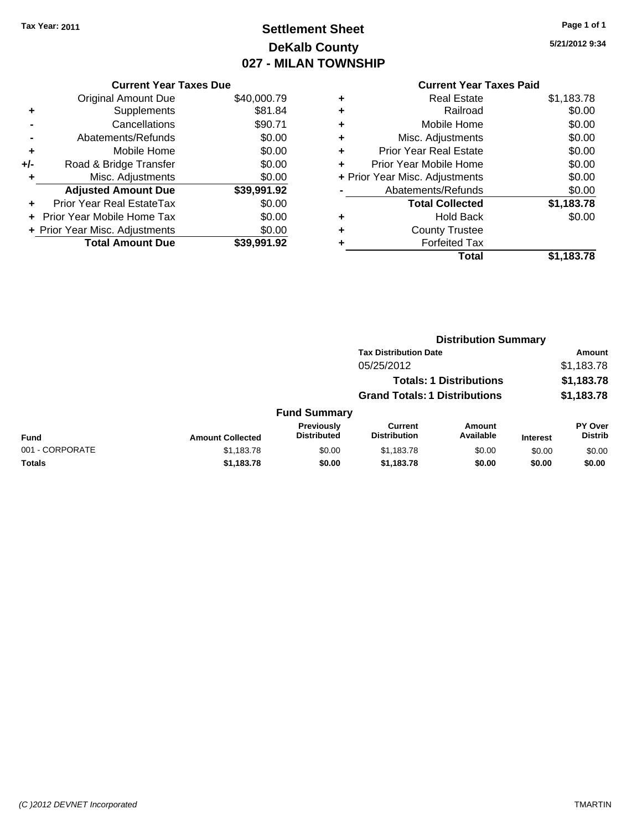# **Settlement Sheet Tax Year: 2011 Page 1 of 1 DeKalb County 027 - MILAN TOWNSHIP**

**5/21/2012 9:34**

|     | <b>Current Year Taxes Due</b>  |             |
|-----|--------------------------------|-------------|
|     | <b>Original Amount Due</b>     | \$40,000.79 |
| ٠   | Supplements                    | \$81.84     |
|     | Cancellations                  | \$90.71     |
|     | Abatements/Refunds             | \$0.00      |
| ٠   | Mobile Home                    | \$0.00      |
| +/- | Road & Bridge Transfer         | \$0.00      |
| ٠   | Misc. Adjustments              | \$0.00      |
|     | <b>Adjusted Amount Due</b>     | \$39,991.92 |
| ٠   | Prior Year Real EstateTax      | \$0.00      |
|     | Prior Year Mobile Home Tax     | \$0.00      |
|     | + Prior Year Misc. Adjustments | \$0.00      |
|     | <b>Total Amount Due</b>        | \$39,991.92 |

|   | <b>Real Estate</b>             | \$1,183.78 |
|---|--------------------------------|------------|
| ٠ | Railroad                       | \$0.00     |
| ٠ | Mobile Home                    | \$0.00     |
| ÷ | Misc. Adjustments              | \$0.00     |
| ÷ | <b>Prior Year Real Estate</b>  | \$0.00     |
| ÷ | Prior Year Mobile Home         | \$0.00     |
|   | + Prior Year Misc. Adjustments | \$0.00     |
|   | Abatements/Refunds             | \$0.00     |
|   | <b>Total Collected</b>         | \$1,183.78 |
| ٠ | <b>Hold Back</b>               | \$0.00     |
| ٠ | <b>County Trustee</b>          |            |
| ٠ | <b>Forfeited Tax</b>           |            |
|   | Total                          | \$1,183.78 |
|   |                                |            |

|                 |                         |                                  |                                       | <b>Distribution Summary</b>    |                 |                                  |
|-----------------|-------------------------|----------------------------------|---------------------------------------|--------------------------------|-----------------|----------------------------------|
|                 |                         |                                  | <b>Tax Distribution Date</b>          |                                |                 | Amount                           |
|                 |                         |                                  | 05/25/2012                            |                                |                 | \$1,183.78                       |
|                 |                         |                                  |                                       | <b>Totals: 1 Distributions</b> |                 | \$1,183.78                       |
|                 |                         |                                  | <b>Grand Totals: 1 Distributions</b>  |                                |                 | \$1,183.78                       |
|                 |                         | <b>Fund Summary</b>              |                                       |                                |                 |                                  |
| <b>Fund</b>     | <b>Amount Collected</b> | Previously<br><b>Distributed</b> | <b>Current</b><br><b>Distribution</b> | Amount<br>Available            | <b>Interest</b> | <b>PY Over</b><br><b>Distrib</b> |
| 001 - CORPORATE | \$1,183.78              | \$0.00                           | \$1,183.78                            | \$0.00                         | \$0.00          | \$0.00                           |
| Totals          | \$1,183.78              | \$0.00                           | \$1,183.78                            | \$0.00                         | \$0.00          | \$0.00                           |
|                 |                         |                                  |                                       |                                |                 |                                  |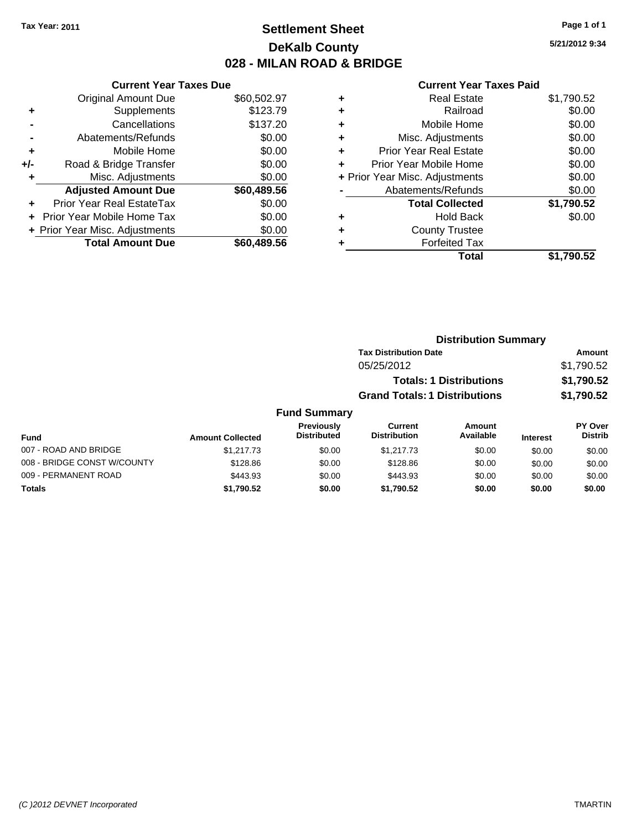## **Settlement Sheet Tax Year: 2011 Page 1 of 1 DeKalb County 028 - MILAN ROAD & BRIDGE**

009 - PERMANENT ROAD \$443.93 \$0.00 \$443.93 \$0.00 \$0.00 \$0.00 **Totals \$1,790.52 \$0.00 \$1,790.52 \$0.00 \$0.00 \$0.00**

**5/21/2012 9:34**

#### **Current Year Taxes Paid**

| <b>Current Year Taxes Due</b>     |             |
|-----------------------------------|-------------|
| <b>Original Amount Due</b>        | \$60,502.97 |
| Supplements<br>٠                  | \$123.79    |
| Cancellations                     | \$137.20    |
| Abatements/Refunds                | \$0.00      |
| Mobile Home<br>٠                  | \$0.00      |
| Road & Bridge Transfer<br>+/-     | \$0.00      |
| Misc. Adjustments                 | \$0.00      |
| <b>Adjusted Amount Due</b>        | \$60,489.56 |
| Prior Year Real EstateTax<br>÷    | \$0.00      |
| <b>Prior Year Mobile Home Tax</b> | \$0.00      |
| + Prior Year Misc. Adjustments    | \$0.00      |
| <b>Total Amount Due</b>           | \$60,489,56 |

| <b>Real Estate</b>            | \$1,790.52                     |
|-------------------------------|--------------------------------|
| Railroad                      | \$0.00                         |
| Mobile Home                   | \$0.00                         |
| Misc. Adjustments             | \$0.00                         |
| <b>Prior Year Real Estate</b> | \$0.00                         |
| Prior Year Mobile Home        | \$0.00                         |
|                               | \$0.00                         |
| Abatements/Refunds            | \$0.00                         |
| <b>Total Collected</b>        | \$1,790.52                     |
| <b>Hold Back</b>              | \$0.00                         |
| <b>County Trustee</b>         |                                |
| <b>Forfeited Tax</b>          |                                |
| Total                         | \$1,790.52                     |
|                               | + Prior Year Misc. Adjustments |

|                             |                         |                                  | <b>Distribution Summary</b>          |                                |                 |                                  |
|-----------------------------|-------------------------|----------------------------------|--------------------------------------|--------------------------------|-----------------|----------------------------------|
|                             |                         |                                  | <b>Tax Distribution Date</b>         |                                |                 | <b>Amount</b>                    |
|                             |                         |                                  | 05/25/2012                           |                                |                 | \$1,790.52                       |
|                             |                         |                                  |                                      | <b>Totals: 1 Distributions</b> |                 | \$1,790.52                       |
|                             |                         |                                  | <b>Grand Totals: 1 Distributions</b> |                                |                 | \$1,790.52                       |
|                             |                         | <b>Fund Summary</b>              |                                      |                                |                 |                                  |
| <b>Fund</b>                 | <b>Amount Collected</b> | Previously<br><b>Distributed</b> | Current<br><b>Distribution</b>       | Amount<br>Available            | <b>Interest</b> | <b>PY Over</b><br><b>Distrib</b> |
| 007 - ROAD AND BRIDGE       | \$1,217.73              | \$0.00                           | \$1,217.73                           | \$0.00                         | \$0.00          | \$0.00                           |
| 008 - BRIDGE CONST W/COUNTY | \$128.86                | \$0.00                           | \$128.86                             | \$0.00                         | \$0.00          | \$0.00                           |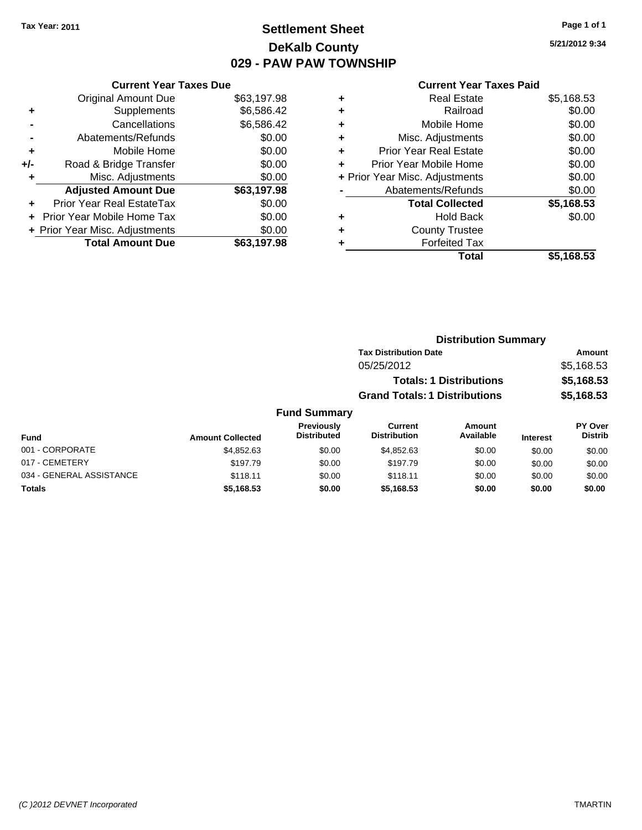## **Settlement Sheet Tax Year: 2011 Page 1 of 1 DeKalb County 029 - PAW PAW TOWNSHIP**

**5/21/2012 9:34**

| <b>Original Amount Due</b>        | \$63,197.98                   |
|-----------------------------------|-------------------------------|
| Supplements                       | \$6,586.42                    |
| Cancellations                     | \$6,586.42                    |
| Abatements/Refunds                | \$0.00                        |
| Mobile Home                       | \$0.00                        |
| Road & Bridge Transfer            | \$0.00                        |
| Misc. Adjustments                 | \$0.00                        |
| <b>Adjusted Amount Due</b>        | \$63,197.98                   |
| Prior Year Real EstateTax         | \$0.00                        |
| <b>Prior Year Mobile Home Tax</b> | \$0.00                        |
| + Prior Year Misc. Adjustments    | \$0.00                        |
| <b>Total Amount Due</b>           | \$63.197.98                   |
|                                   | <b>Current Year Taxes Due</b> |

| ٠ | <b>Real Estate</b>             | \$5,168.53 |
|---|--------------------------------|------------|
| ٠ | Railroad                       | \$0.00     |
| ٠ | Mobile Home                    | \$0.00     |
| ٠ | Misc. Adjustments              | \$0.00     |
| ÷ | <b>Prior Year Real Estate</b>  | \$0.00     |
| ÷ | Prior Year Mobile Home         | \$0.00     |
|   | + Prior Year Misc. Adjustments | \$0.00     |
|   | Abatements/Refunds             | \$0.00     |
|   | <b>Total Collected</b>         | \$5,168.53 |
| ٠ | Hold Back                      | \$0.00     |
| ٠ | <b>County Trustee</b>          |            |
| ٠ | <b>Forfeited Tax</b>           |            |
|   | Total                          | \$5,168.53 |
|   |                                |            |

|                     | <b>Distribution Summary</b>          |            |
|---------------------|--------------------------------------|------------|
|                     | <b>Tax Distribution Date</b>         | Amount     |
|                     | 05/25/2012                           | \$5,168.53 |
|                     | <b>Totals: 1 Distributions</b>       | \$5,168.53 |
|                     | <b>Grand Totals: 1 Distributions</b> | \$5,168.53 |
| <b>Fund Summary</b> |                                      |            |

| Fund                     | <b>Amount Collected</b> | Previously<br><b>Distributed</b> | Current<br><b>Distribution</b> | Amount<br>Available | <b>Interest</b> | <b>PY Over</b><br><b>Distrib</b> |
|--------------------------|-------------------------|----------------------------------|--------------------------------|---------------------|-----------------|----------------------------------|
| 001 - CORPORATE          | \$4.852.63              | \$0.00                           | \$4,852,63                     | \$0.00              | \$0.00          | \$0.00                           |
| 017 - CEMETERY           | \$197.79                | \$0.00                           | \$197.79                       | \$0.00              | \$0.00          | \$0.00                           |
| 034 - GENERAL ASSISTANCE | \$118.11                | \$0.00                           | \$118.11                       | \$0.00              | \$0.00          | \$0.00                           |
| <b>Totals</b>            | \$5,168.53              | \$0.00                           | \$5,168.53                     | \$0.00              | \$0.00          | \$0.00                           |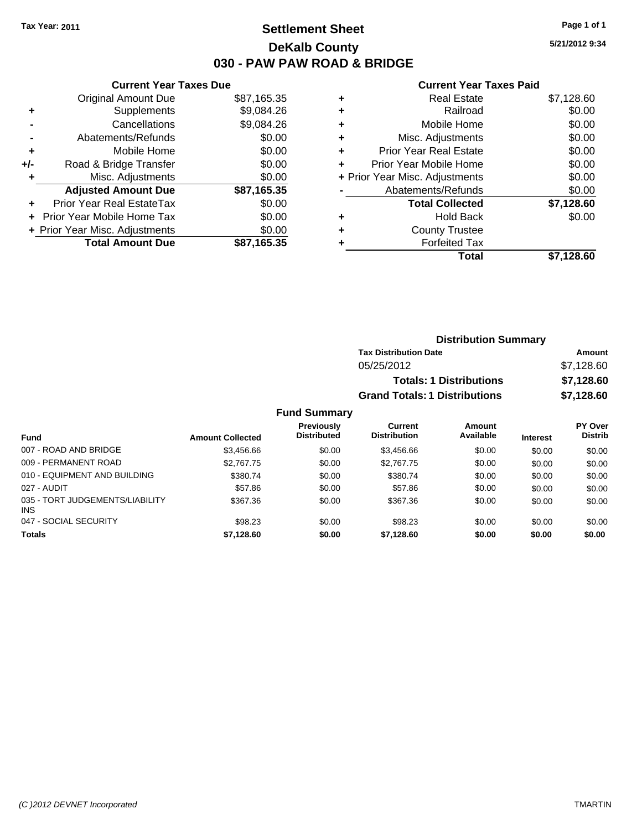## **Settlement Sheet Tax Year: 2011 Page 1 of 1 DeKalb County 030 - PAW PAW ROAD & BRIDGE**

**5/21/2012 9:34**

#### **Current Year Taxes Paid**

|     | OUITCHL TCUL TUACS DUC           |             |  |
|-----|----------------------------------|-------------|--|
|     | <b>Original Amount Due</b>       | \$87,165.35 |  |
| ٠   | Supplements                      | \$9,084.26  |  |
|     | Cancellations                    | \$9,084.26  |  |
|     | Abatements/Refunds               | \$0.00      |  |
| ٠   | Mobile Home                      | \$0.00      |  |
| +/- | Road & Bridge Transfer           | \$0.00      |  |
| ٠   | Misc. Adjustments                | \$0.00      |  |
|     | <b>Adjusted Amount Due</b>       | \$87,165.35 |  |
|     | <b>Prior Year Real EstateTax</b> | \$0.00      |  |
|     | Prior Year Mobile Home Tax       | \$0.00      |  |
|     | + Prior Year Misc. Adjustments   | \$0.00      |  |
|     | <b>Total Amount Due</b>          | \$87,165.35 |  |
|     |                                  |             |  |

**Current Year Taxes Due**

| ٠ | Real Estate                    | \$7,128.60 |
|---|--------------------------------|------------|
| ٠ | Railroad                       | \$0.00     |
| ٠ | Mobile Home                    | \$0.00     |
| ٠ | Misc. Adjustments              | \$0.00     |
| ٠ | <b>Prior Year Real Estate</b>  | \$0.00     |
| ÷ | Prior Year Mobile Home         | \$0.00     |
|   | + Prior Year Misc. Adjustments | \$0.00     |
|   | Abatements/Refunds             | \$0.00     |
|   | <b>Total Collected</b>         | \$7,128.60 |
| ٠ | Hold Back                      | \$0.00     |
| ٠ | <b>County Trustee</b>          |            |
|   | <b>Forfeited Tax</b>           |            |
|   | Total                          | \$7.128.60 |

|                     | <b>Distribution Summary</b>          |            |
|---------------------|--------------------------------------|------------|
|                     | <b>Tax Distribution Date</b>         | Amount     |
|                     | 05/25/2012                           | \$7,128.60 |
|                     | <b>Totals: 1 Distributions</b>       | \$7,128.60 |
|                     | <b>Grand Totals: 1 Distributions</b> | \$7,128.60 |
| <b>Fund Summary</b> |                                      |            |

#### **Fund Interest Amount Collected Distributed PY Over Distrib Amount Available Current Distribution Previously** 007 - ROAD AND BRIDGE  $$3,456.66$   $$0.00$   $$3,456.66$   $$0.00$   $$0.00$   $$0.00$   $$0.00$ 009 - PERMANENT ROAD \$2,767.75 \$2,767.75 \$0.00 \$2,767.75 \$0.00 \$0.00 \$0.00 \$0.00 010 - EQUIPMENT AND BUILDING \$380.74 \$0.00 \$380.74 \$0.00 \$0.00 \$0.00 \$0.00 \$0.00 027 - AUDIT \$57.86 \$0.00 \$57.86 \$0.00 \$0.00 \$0.00 035 - TORT JUDGEMENTS/LIABILITY INS \$367.36 \$0.00 \$367.36 \$0.00 \$0.00 \$0.00 047 - SOCIAL SECURITY \$98.23 \$0.00 \$98.23 \$0.00 \$0.00 \$0.00 **Totals \$7,128.60 \$0.00 \$7,128.60 \$0.00 \$0.00 \$0.00**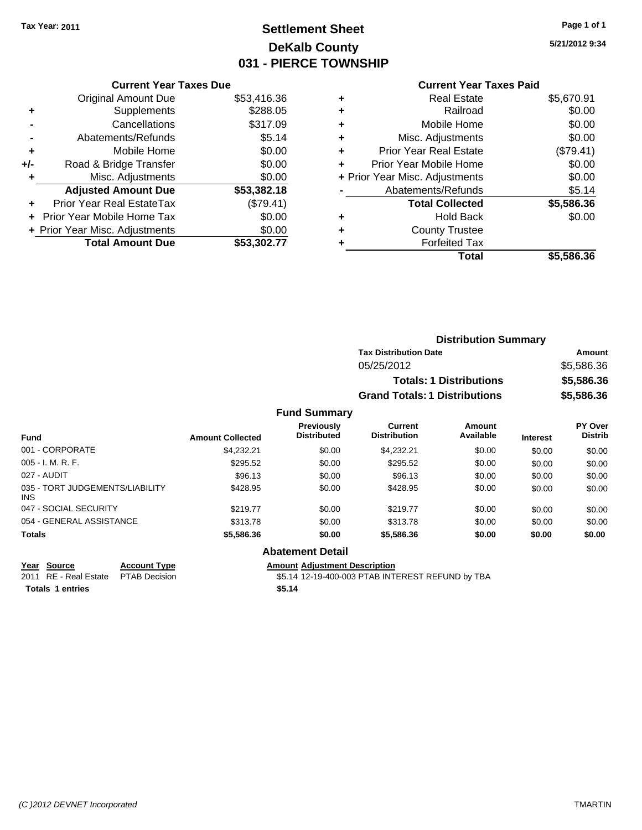## **Settlement Sheet Tax Year: 2011 Page 1 of 1 DeKalb County 031 - PIERCE TOWNSHIP**

**5/21/2012 9:34**

## **Current Year Taxes Paid**

| <b>Current Year Taxes Due</b>     |                                |
|-----------------------------------|--------------------------------|
| <b>Original Amount Due</b>        | \$53,416.36                    |
| Supplements                       | \$288.05                       |
| Cancellations                     | \$317.09                       |
| Abatements/Refunds                | \$5.14                         |
| Mobile Home                       | \$0.00                         |
| Road & Bridge Transfer            | \$0.00                         |
| Misc. Adjustments                 | \$0.00                         |
| <b>Adjusted Amount Due</b>        | \$53,382.18                    |
| Prior Year Real EstateTax         | (\$79.41)                      |
| <b>Prior Year Mobile Home Tax</b> | \$0.00                         |
|                                   | \$0.00                         |
| <b>Total Amount Due</b>           | \$53.302.77                    |
|                                   | + Prior Year Misc. Adjustments |

| ٠ | <b>Real Estate</b>             | \$5,670.91 |
|---|--------------------------------|------------|
| ٠ | Railroad                       | \$0.00     |
| ٠ | Mobile Home                    | \$0.00     |
| ٠ | Misc. Adjustments              | \$0.00     |
| ٠ | Prior Year Real Estate         | (\$79.41)  |
|   | Prior Year Mobile Home         | \$0.00     |
|   | + Prior Year Misc. Adjustments | \$0.00     |
|   | Abatements/Refunds             | \$5.14     |
|   | <b>Total Collected</b>         | \$5,586.36 |
| ٠ | <b>Hold Back</b>               | \$0.00     |
| ٠ | <b>County Trustee</b>          |            |
| ٠ | <b>Forfeited Tax</b>           |            |
|   | Total                          | \$5,586.36 |
|   |                                |            |

|                     | <b>Distribution Summary</b>          |            |
|---------------------|--------------------------------------|------------|
|                     | <b>Tax Distribution Date</b>         | Amount     |
|                     | 05/25/2012                           | \$5,586.36 |
|                     | <b>Totals: 1 Distributions</b>       | \$5,586.36 |
|                     | <b>Grand Totals: 1 Distributions</b> | \$5,586.36 |
| <b>Fund Summary</b> |                                      |            |

| <b>Fund</b>                                   | <b>Amount Collected</b> | <b>Previously</b><br><b>Distributed</b> | Current<br><b>Distribution</b> | Amount<br>Available | <b>Interest</b> | <b>PY Over</b><br><b>Distrib</b> |
|-----------------------------------------------|-------------------------|-----------------------------------------|--------------------------------|---------------------|-----------------|----------------------------------|
| 001 - CORPORATE                               | \$4.232.21              | \$0.00                                  | \$4.232.21                     | \$0.00              | \$0.00          | \$0.00                           |
| $005 - I. M. R. F.$                           | \$295.52                | \$0.00                                  | \$295.52                       | \$0.00              | \$0.00          | \$0.00                           |
| 027 - AUDIT                                   | \$96.13                 | \$0.00                                  | \$96.13                        | \$0.00              | \$0.00          | \$0.00                           |
| 035 - TORT JUDGEMENTS/LIABILITY<br><b>INS</b> | \$428.95                | \$0.00                                  | \$428.95                       | \$0.00              | \$0.00          | \$0.00                           |
| 047 - SOCIAL SECURITY                         | \$219.77                | \$0.00                                  | \$219.77                       | \$0.00              | \$0.00          | \$0.00                           |
| 054 - GENERAL ASSISTANCE                      | \$313.78                | \$0.00                                  | \$313.78                       | \$0.00              | \$0.00          | \$0.00                           |
| <b>Totals</b>                                 | \$5,586.36              | \$0.00                                  | \$5,586.36                     | \$0.00              | \$0.00          | \$0.00                           |

## **Abatement Detail**

**Year Source Account Type Amount Adjustment Description**<br>2011 RE - Real Estate PTAB Decision **Amount 412-19-400-003 PTAB INTI** 

\$5.14 12-19-400-003 PTAB INTEREST REFUND by TBA

**Totals \$5.14 1 entries**

*(C )2012 DEVNET Incorporated* TMARTIN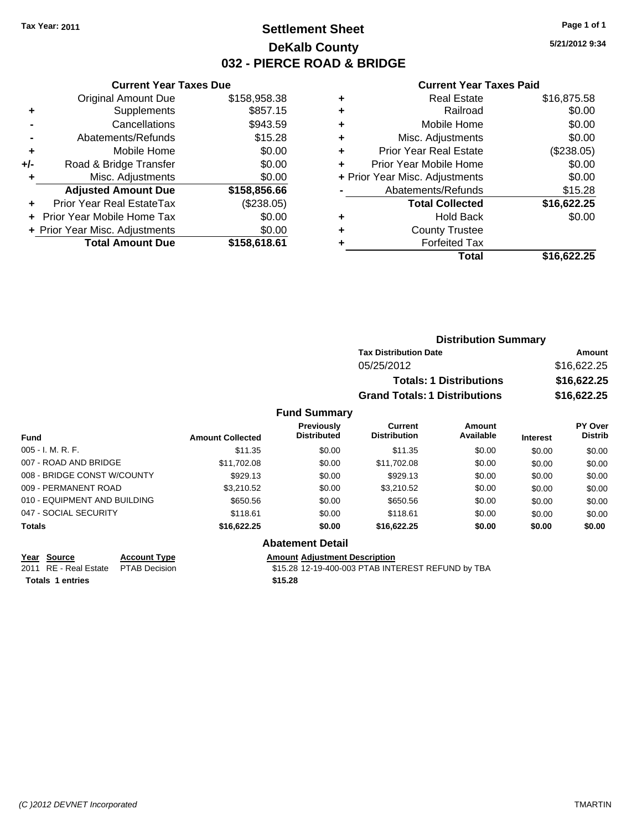## **Settlement Sheet Tax Year: 2011 Page 1 of 1 DeKalb County 032 - PIERCE ROAD & BRIDGE**

**5/21/2012 9:34**

#### **Current Year Taxes Paid**

|     | <b>Current Year Taxes Due</b>  |              |
|-----|--------------------------------|--------------|
|     | <b>Original Amount Due</b>     | \$158,958.38 |
| ٠   | Supplements                    | \$857.15     |
|     | Cancellations                  | \$943.59     |
|     | Abatements/Refunds             | \$15.28      |
| ٠   | Mobile Home                    | \$0.00       |
| +/- | Road & Bridge Transfer         | \$0.00       |
|     | Misc. Adjustments              | \$0.00       |
|     | <b>Adjusted Amount Due</b>     | \$158,856.66 |
| ÷   | Prior Year Real EstateTax      | (\$238.05)   |
|     | Prior Year Mobile Home Tax     | \$0.00       |
|     | + Prior Year Misc. Adjustments | \$0.00       |
|     | <b>Total Amount Due</b>        | \$158,618.61 |
|     |                                |              |

| ٠ | <b>Real Estate</b>             | \$16,875.58 |
|---|--------------------------------|-------------|
| ٠ | Railroad                       | \$0.00      |
| ٠ | Mobile Home                    | \$0.00      |
| ٠ | Misc. Adjustments              | \$0.00      |
| ٠ | <b>Prior Year Real Estate</b>  | (\$238.05)  |
| ÷ | Prior Year Mobile Home         | \$0.00      |
|   | + Prior Year Misc. Adjustments | \$0.00      |
|   | Abatements/Refunds             | \$15.28     |
|   | <b>Total Collected</b>         | \$16,622.25 |
| ٠ | <b>Hold Back</b>               | \$0.00      |
| ٠ | <b>County Trustee</b>          |             |
|   | <b>Forfeited Tax</b>           |             |
|   | Total                          | \$16,622.25 |
|   |                                |             |

|            | <b>Distribution Summary</b>          |             |
|------------|--------------------------------------|-------------|
|            | <b>Tax Distribution Date</b>         | Amount      |
|            | 05/25/2012                           | \$16,622.25 |
|            | <b>Totals: 1 Distributions</b>       | \$16,622.25 |
|            | <b>Grand Totals: 1 Distributions</b> | \$16,622.25 |
| nd Summary |                                      |             |

| <b>Fund Summary</b>          |                         |                                         |                                       |                     |                 |                           |
|------------------------------|-------------------------|-----------------------------------------|---------------------------------------|---------------------|-----------------|---------------------------|
| <b>Fund</b>                  | <b>Amount Collected</b> | <b>Previously</b><br><b>Distributed</b> | <b>Current</b><br><b>Distribution</b> | Amount<br>Available | <b>Interest</b> | PY Over<br><b>Distrib</b> |
| $005 - I. M. R. F.$          | \$11.35                 | \$0.00                                  | \$11.35                               | \$0.00              | \$0.00          | \$0.00                    |
| 007 - ROAD AND BRIDGE        | \$11,702.08             | \$0.00                                  | \$11,702.08                           | \$0.00              | \$0.00          | \$0.00                    |
| 008 - BRIDGE CONST W/COUNTY  | \$929.13                | \$0.00                                  | \$929.13                              | \$0.00              | \$0.00          | \$0.00                    |
| 009 - PERMANENT ROAD         | \$3.210.52              | \$0.00                                  | \$3,210.52                            | \$0.00              | \$0.00          | \$0.00                    |
| 010 - EQUIPMENT AND BUILDING | \$650.56                | \$0.00                                  | \$650.56                              | \$0.00              | \$0.00          | \$0.00                    |
| 047 - SOCIAL SECURITY        | \$118.61                | \$0.00                                  | \$118.61                              | \$0.00              | \$0.00          | \$0.00                    |
| <b>Totals</b>                | \$16,622.25             | \$0.00                                  | \$16,622.25                           | \$0.00              | \$0.00          | \$0.00                    |

#### **Abatement Detail**

**Year Source Account Type Amount Adjustment Description** 2011 RE - Real Estate \$15.28 12-19-400-003 PTAB INTEREST REFUND by TBA PTAB Decision **Totals \$15.28 1 entries**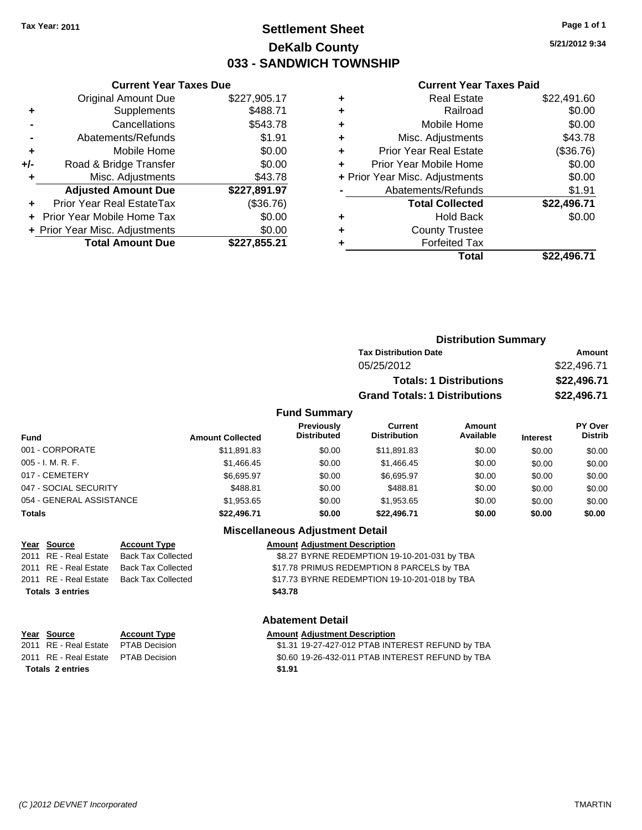## **Settlement Sheet Tax Year: 2011 Page 1 of 1 DeKalb County 033 - SANDWICH TOWNSHIP**

**5/21/2012 9:34**

#### **Current Year Taxes Paid**

| +/- | Road & Bridge Transfer           | \$0.00       |
|-----|----------------------------------|--------------|
|     | Misc. Adjustments                | \$43.78      |
|     |                                  |              |
|     | <b>Adjusted Amount Due</b>       | \$227,891.97 |
|     | <b>Prior Year Real EstateTax</b> | (\$36.76)    |
|     | Prior Year Mobile Home Tax       | \$0.00       |
|     | + Prior Year Misc. Adjustments   | \$0.00       |
|     | <b>Total Amount Due</b>          | \$227,855.21 |

**Current Year Taxes Due**

| ٠ | <b>Real Estate</b>             | \$22,491.60 |
|---|--------------------------------|-------------|
| ٠ | Railroad                       | \$0.00      |
| ٠ | Mobile Home                    | \$0.00      |
| ٠ | Misc. Adjustments              | \$43.78     |
| ÷ | <b>Prior Year Real Estate</b>  | (\$36.76)   |
| ٠ | Prior Year Mobile Home         | \$0.00      |
|   | + Prior Year Misc. Adjustments | \$0.00      |
|   | Abatements/Refunds             | \$1.91      |
|   | <b>Total Collected</b>         | \$22,496.71 |
| ٠ | <b>Hold Back</b>               | \$0.00      |
| ٠ | <b>County Trustee</b>          |             |
| ٠ | <b>Forfeited Tax</b>           |             |
|   | Total                          | \$22,496.71 |
|   |                                |             |

|                     | <b>Distribution Summary</b>          |             |  |
|---------------------|--------------------------------------|-------------|--|
|                     | <b>Tax Distribution Date</b>         | Amount      |  |
|                     | 05/25/2012                           | \$22,496.71 |  |
|                     | <b>Totals: 1 Distributions</b>       | \$22,496.71 |  |
|                     | <b>Grand Totals: 1 Distributions</b> | \$22,496.71 |  |
| <b>Fund Summary</b> |                                      |             |  |

| <b>Fund</b>              | <b>Amount Collected</b> | <b>Previously</b><br><b>Distributed</b> | Current<br><b>Distribution</b> | <b>Amount</b><br>Available | <b>Interest</b> | <b>PY Over</b><br><b>Distrib</b> |
|--------------------------|-------------------------|-----------------------------------------|--------------------------------|----------------------------|-----------------|----------------------------------|
| 001 - CORPORATE          | \$11,891.83             | \$0.00                                  | \$11,891.83                    | \$0.00                     | \$0.00          | \$0.00                           |
| $005 - I. M. R. F.$      | \$1,466.45              | \$0.00                                  | \$1.466.45                     | \$0.00                     | \$0.00          | \$0.00                           |
| 017 - CEMETERY           | \$6.695.97              | \$0.00                                  | \$6.695.97                     | \$0.00                     | \$0.00          | \$0.00                           |
| 047 - SOCIAL SECURITY    | \$488.81                | \$0.00                                  | \$488.81                       | \$0.00                     | \$0.00          | \$0.00                           |
| 054 - GENERAL ASSISTANCE | \$1.953.65              | \$0.00                                  | \$1.953.65                     | \$0.00                     | \$0.00          | \$0.00                           |
| <b>Totals</b>            | \$22,496.71             | \$0.00                                  | \$22,496.71                    | \$0.00                     | \$0.00          | \$0.00                           |

## **Miscellaneous Adjustment Detail**

**Abatement Detail**

|         | <b>Amount Adjustment Description</b>          |
|---------|-----------------------------------------------|
|         | \$8.27 BYRNE REDEMPTION 19-10-201-031 by TBA  |
|         | \$17.78 PRIMUS REDEMPTION 8 PARCELS by TBA    |
|         | \$17.73 BYRNE REDEMPTION 19-10-201-018 by TBA |
| \$43.78 |                                               |

# **Year Source Account Type Amount Adjustment Description**

2011 RE - Real Estate \$1.31 19-27-427-012 PTAB INTEREST REFUND by TBA PTAB Decision 2011 RE - Real Estate \$0.60 19-26-432-011 PTAB INTEREST REFUND by TBA PTAB Decision **Totals \$1.91 2 entries**

**Year Source Account Type** 2011 RE - Real Estate Back Tax Collected 2011 RE - Real Estate Back Tax Collected 2011 RE - Real Estate Back Tax Collected

**Totals 3 entries**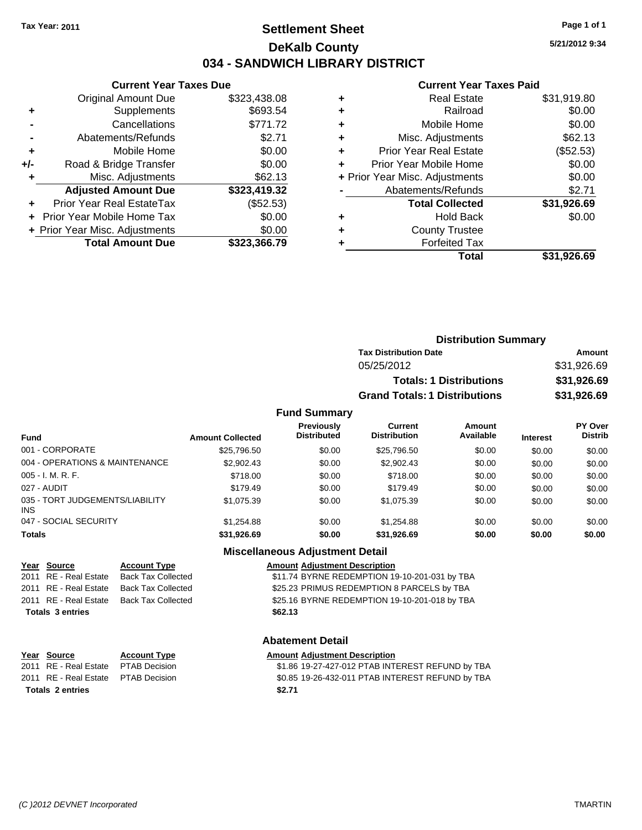## **Settlement Sheet Tax Year: 2011 Page 1 of 1 DeKalb County 034 - SANDWICH LIBRARY DISTRICT**

**5/21/2012 9:34**

#### **Current Year Taxes Paid**

|       | <b>Original Amount Due</b>       | \$323,438.08 |
|-------|----------------------------------|--------------|
| ÷     | Supplements                      | \$693.54     |
|       | Cancellations                    | \$771.72     |
|       | Abatements/Refunds               | \$2.71       |
| ٠     | Mobile Home                      | \$0.00       |
| $+/-$ | Road & Bridge Transfer           | \$0.00       |
|       | Misc. Adjustments                | \$62.13      |
|       | <b>Adjusted Amount Due</b>       | \$323,419.32 |
|       | <b>Prior Year Real EstateTax</b> | (\$52.53)    |
|       | Prior Year Mobile Home Tax       | \$0.00       |
|       | + Prior Year Misc. Adjustments   | \$0.00       |
|       | <b>Total Amount Due</b>          | \$323,366.79 |
|       |                                  |              |

**Current Year Taxes Due**

|   | Total                          | \$31,926.69 |
|---|--------------------------------|-------------|
|   | <b>Forfeited Tax</b>           |             |
| ٠ | <b>County Trustee</b>          |             |
| ٠ | <b>Hold Back</b>               | \$0.00      |
|   | <b>Total Collected</b>         | \$31,926.69 |
|   | Abatements/Refunds             | \$2.71      |
|   | + Prior Year Misc. Adjustments | \$0.00      |
| ٠ | Prior Year Mobile Home         | \$0.00      |
| ÷ | <b>Prior Year Real Estate</b>  | (\$52.53)   |
| ٠ | Misc. Adjustments              | \$62.13     |
| ٠ | Mobile Home                    | \$0.00      |
| ٠ | Railroad                       | \$0.00      |
| ٠ | <b>Real Estate</b>             | \$31,919.80 |
|   |                                |             |

| <b>Distribution Summary</b>          |             |
|--------------------------------------|-------------|
| <b>Tax Distribution Date</b>         | Amount      |
| 05/25/2012                           | \$31,926.69 |
| <b>Totals: 1 Distributions</b>       | \$31,926.69 |
| <b>Grand Totals: 1 Distributions</b> | \$31,926.69 |

### **Fund Summary**

| <b>Fund</b>                                   | <b>Amount Collected</b> | <b>Previously</b><br><b>Distributed</b> | Current<br><b>Distribution</b> | Amount<br>Available | <b>Interest</b> | PY Over<br><b>Distrib</b> |
|-----------------------------------------------|-------------------------|-----------------------------------------|--------------------------------|---------------------|-----------------|---------------------------|
| 001 - CORPORATE                               | \$25,796.50             | \$0.00                                  | \$25,796.50                    | \$0.00              | \$0.00          | \$0.00                    |
| 004 - OPERATIONS & MAINTENANCE                | \$2,902.43              | \$0.00                                  | \$2,902.43                     | \$0.00              | \$0.00          | \$0.00                    |
| $005 - I. M. R. F.$                           | \$718.00                | \$0.00                                  | \$718.00                       | \$0.00              | \$0.00          | \$0.00                    |
| 027 - AUDIT                                   | \$179.49                | \$0.00                                  | \$179.49                       | \$0.00              | \$0.00          | \$0.00                    |
| 035 - TORT JUDGEMENTS/LIABILITY<br><b>INS</b> | \$1,075.39              | \$0.00                                  | \$1,075.39                     | \$0.00              | \$0.00          | \$0.00                    |
| 047 - SOCIAL SECURITY                         | \$1,254.88              | \$0.00                                  | \$1,254.88                     | \$0.00              | \$0.00          | \$0.00                    |
| <b>Totals</b>                                 | \$31,926.69             | \$0.00                                  | \$31,926.69                    | \$0.00              | \$0.00          | \$0.00                    |

## **Miscellaneous Adjustment Detail**

**Year Source Account Type Amount Adjustment Description** 2011 RE - Real Estate Back Tax Collected \$11.74 BYRNE REDEMPTION 19-10-201-031 by TBA 2011 RE - Real Estate Back Tax Collected **\$25.23 PRIMUS REDEMPTION 8 PARCELS by TBA** 2011 RE - Real Estate Back Tax Collected \$25.16 BYRNE REDEMPTION 19-10-201-018 by TBA **Totals \$62.13 3 entries**

## **Abatement Detail**

# **<u>Account Type</u>**<br> **PTAB** Decision<br> **S**1.86 19-27-427-012 PTAB INT

\$1.86 19-27-427-012 PTAB INTEREST REFUND by TBA PTAB Decision  $$0.85$  19-26-432-011 PTAB INTEREST REFUND by TBA

| Year Source                         | <b>Account Type</b> | Amount |
|-------------------------------------|---------------------|--------|
| 2011 RE - Real Estate PTAB Decision |                     | \$1.86 |
| 2011 RE - Real Estate PTAB Decision |                     | \$0.85 |
| Totals 2 entries                    |                     | \$2.71 |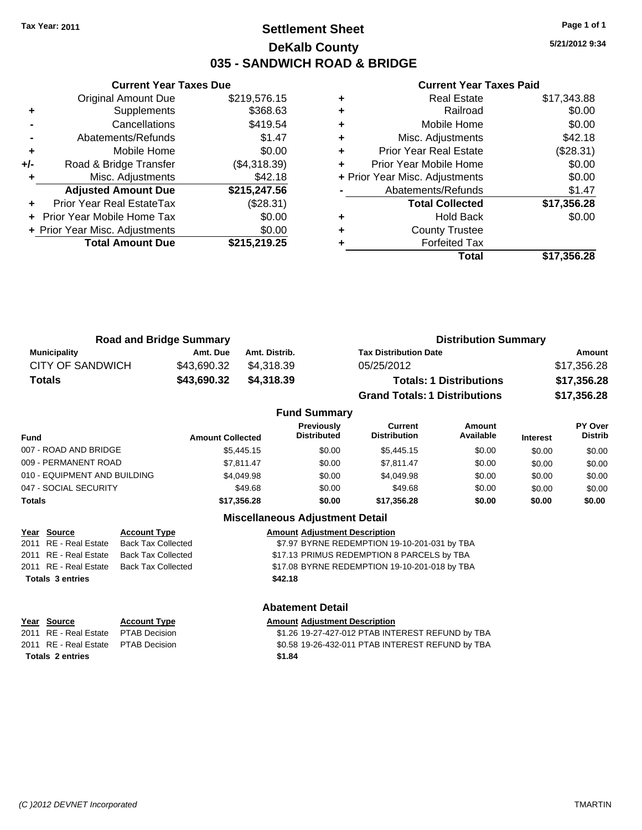# **Settlement Sheet Tax Year: 2011 Page 1 of 1 DeKalb County 035 - SANDWICH ROAD & BRIDGE**

**5/21/2012 9:34**

#### **Current Year Taxes Paid**

|       | <b>Current Year Taxes Due</b>  |              |
|-------|--------------------------------|--------------|
|       | <b>Original Amount Due</b>     | \$219,576.15 |
| ٠     | Supplements                    | \$368.63     |
|       | Cancellations                  | \$419.54     |
|       | Abatements/Refunds             | \$1.47       |
| ٠     | Mobile Home                    | \$0.00       |
| $+/-$ | Road & Bridge Transfer         | (\$4,318.39) |
|       | Misc. Adjustments              | \$42.18      |
|       | <b>Adjusted Amount Due</b>     | \$215,247.56 |
|       | Prior Year Real EstateTax      | (\$28.31)    |
|       | Prior Year Mobile Home Tax     | \$0.00       |
|       | + Prior Year Misc. Adjustments | \$0.00       |
|       | <b>Total Amount Due</b>        | \$215,219.25 |
|       |                                |              |

|   | Total                          | \$17,356.28 |
|---|--------------------------------|-------------|
|   | <b>Forfeited Tax</b>           |             |
| ٠ | <b>County Trustee</b>          |             |
| ٠ | <b>Hold Back</b>               | \$0.00      |
|   | <b>Total Collected</b>         | \$17,356.28 |
|   | Abatements/Refunds             | \$1.47      |
|   | + Prior Year Misc. Adjustments | \$0.00      |
| ٠ | Prior Year Mobile Home         | \$0.00      |
| ٠ | <b>Prior Year Real Estate</b>  | (\$28.31)   |
| ٠ | Misc. Adjustments              | \$42.18     |
| ٠ | Mobile Home                    | \$0.00      |
| ٠ | Railroad                       | \$0.00      |
|   | <b>Real Estate</b>             | \$17,343.88 |

| <b>Road and Bridge Summary</b> |             |               | <b>Distribution Summary</b>          |             |  |
|--------------------------------|-------------|---------------|--------------------------------------|-------------|--|
| Municipality                   | Amt. Due    | Amt. Distrib. | <b>Tax Distribution Date</b>         | Amount      |  |
| CITY OF SANDWICH               | \$43.690.32 | \$4.318.39    | 05/25/2012                           | \$17,356.28 |  |
| <b>Totals</b>                  | \$43,690.32 | \$4,318.39    | <b>Totals: 1 Distributions</b>       | \$17,356.28 |  |
|                                |             |               | <b>Grand Totals: 1 Distributions</b> | \$17,356.28 |  |

| <b>Amount Collected</b> | Previously<br><b>Distributed</b> | Current<br><b>Distribution</b> | <b>Amount</b><br>Available | <b>Interest</b> | PY Over<br><b>Distrib</b> |
|-------------------------|----------------------------------|--------------------------------|----------------------------|-----------------|---------------------------|
| \$5,445.15              | \$0.00                           | \$5,445.15                     | \$0.00                     | \$0.00          | \$0.00                    |
| \$7.811.47              | \$0.00                           | \$7.811.47                     | \$0.00                     | \$0.00          | \$0.00                    |
| \$4,049.98              | \$0.00                           | \$4,049.98                     | \$0.00                     | \$0.00          | \$0.00                    |
| \$49.68                 | \$0.00                           | \$49.68                        | \$0.00                     | \$0.00          | \$0.00                    |
| \$17,356.28             | \$0.00                           | \$17.356.28                    | \$0.00                     | \$0.00          | \$0.00                    |
|                         |                                  | <b>Fund Summary</b>            |                            |                 |                           |

**Abatement Detail**

|                         | <b>Miscellaneous Adjustment Detail</b> |                                               |  |  |
|-------------------------|----------------------------------------|-----------------------------------------------|--|--|
| Year Source             | <b>Account Type</b>                    | <b>Amount Adjustment Description</b>          |  |  |
| 2011 RE - Real Estate   | <b>Back Tax Collected</b>              | \$7.97 BYRNE REDEMPTION 19-10-201-031 by TBA  |  |  |
| 2011 RE - Real Estate   | <b>Back Tax Collected</b>              | \$17.13 PRIMUS REDEMPTION 8 PARCELS by TBA    |  |  |
| 2011 RE - Real Estate   | <b>Back Tax Collected</b>              | \$17.08 BYRNE REDEMPTION 19-10-201-018 by TBA |  |  |
| <b>Totals 3 entries</b> |                                        | \$42.18                                       |  |  |
|                         |                                        |                                               |  |  |

|                         | Year Source                         | <b>Account Type</b> | <b>Amount Adjustment Description</b>             |
|-------------------------|-------------------------------------|---------------------|--------------------------------------------------|
|                         | 2011 RE - Real Estate PTAB Decision |                     | \$1.26 19-27-427-012 PTAB INTEREST REFUND by TBA |
|                         | 2011 RE - Real Estate PTAB Decision |                     | \$0.58 19-26-432-011 PTAB INTEREST REFUND by TBA |
| <b>Totals 2 entries</b> |                                     |                     | \$1.84                                           |

#### *(C )2012 DEVNET Incorporated* TMARTIN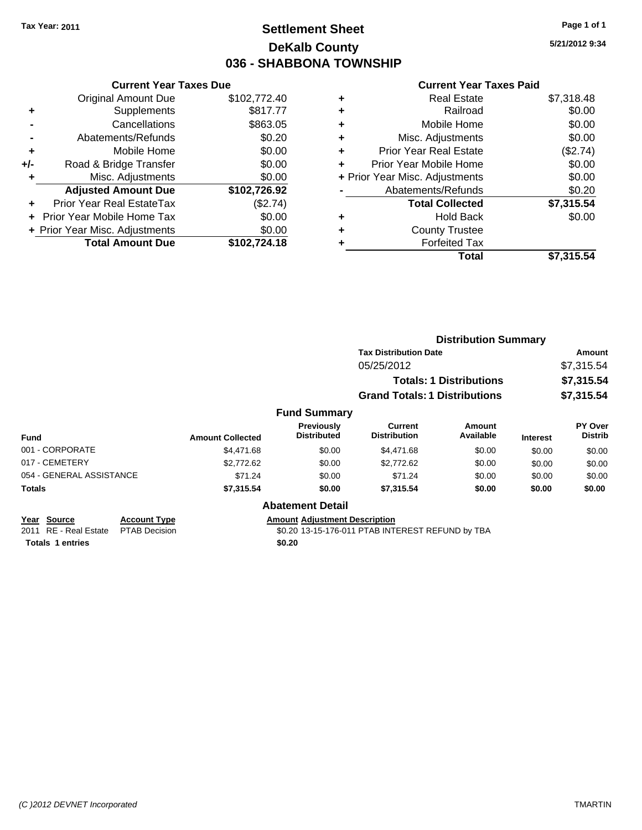# **Settlement Sheet Tax Year: 2011 Page 1 of 1 DeKalb County 036 - SHABBONA TOWNSHIP**

**5/21/2012 9:34**

#### **Current Year Taxes Paid**

|     | <b>Current Year Taxes Due</b>  |              |
|-----|--------------------------------|--------------|
|     | <b>Original Amount Due</b>     | \$102,772.40 |
| ٠   | Supplements                    | \$817.77     |
|     | Cancellations                  | \$863.05     |
|     | Abatements/Refunds             | \$0.20       |
| ٠   | Mobile Home                    | \$0.00       |
| +/- | Road & Bridge Transfer         | \$0.00       |
| ٠   | Misc. Adjustments              | \$0.00       |
|     | <b>Adjusted Amount Due</b>     | \$102,726.92 |
| ÷   | Prior Year Real EstateTax      | (\$2.74)     |
|     | Prior Year Mobile Home Tax     | \$0.00       |
|     | + Prior Year Misc. Adjustments | \$0.00       |
|     | <b>Total Amount Due</b>        | \$102.724.18 |

|   | <b>Real Estate</b>             | \$7,318.48 |
|---|--------------------------------|------------|
| ٠ | Railroad                       | \$0.00     |
| ٠ | Mobile Home                    | \$0.00     |
| ٠ | Misc. Adjustments              | \$0.00     |
| ٠ | <b>Prior Year Real Estate</b>  | (\$2.74)   |
|   | Prior Year Mobile Home         | \$0.00     |
|   | + Prior Year Misc. Adjustments | \$0.00     |
|   | Abatements/Refunds             | \$0.20     |
|   | <b>Total Collected</b>         | \$7,315.54 |
| ٠ | Hold Back                      | \$0.00     |
| ٠ | <b>County Trustee</b>          |            |
| ٠ | <b>Forfeited Tax</b>           |            |
|   | Total                          | \$7,315.54 |
|   |                                |            |

|                                                |                                             |                         |                                      | <b>Distribution Summary</b>                      |                                |                 |                    |
|------------------------------------------------|---------------------------------------------|-------------------------|--------------------------------------|--------------------------------------------------|--------------------------------|-----------------|--------------------|
|                                                |                                             |                         |                                      | <b>Tax Distribution Date</b>                     |                                |                 | Amount             |
|                                                |                                             |                         |                                      | 05/25/2012                                       |                                |                 | \$7,315.54         |
|                                                |                                             |                         |                                      |                                                  | <b>Totals: 1 Distributions</b> |                 | \$7,315.54         |
|                                                |                                             |                         |                                      | <b>Grand Totals: 1 Distributions</b>             |                                |                 | \$7,315.54         |
|                                                |                                             |                         | <b>Fund Summary</b>                  |                                                  |                                |                 |                    |
| <b>Fund</b>                                    |                                             | <b>Amount Collected</b> | Previously<br><b>Distributed</b>     | <b>Current</b><br><b>Distribution</b>            | Amount<br>Available            | <b>Interest</b> | PY Over<br>Distrib |
| 001 - CORPORATE                                |                                             | \$4,471.68              | \$0.00                               | \$4,471.68                                       | \$0.00                         | \$0.00          | \$0.00             |
| 017 - CEMETERY                                 |                                             | \$2,772.62              | \$0.00                               | \$2,772.62                                       | \$0.00                         | \$0.00          | \$0.00             |
| 054 - GENERAL ASSISTANCE                       |                                             | \$71.24                 | \$0.00                               | \$71.24                                          | \$0.00                         | \$0.00          | \$0.00             |
| <b>Totals</b>                                  |                                             | \$7,315.54              | \$0.00                               | \$7,315.54                                       | \$0.00                         | \$0.00          | \$0.00             |
|                                                |                                             |                         | <b>Abatement Detail</b>              |                                                  |                                |                 |                    |
| <b>Source</b><br>Year<br>2011 RE - Real Estate | <b>Account Type</b><br><b>PTAB Decision</b> |                         | <b>Amount Adjustment Description</b> | \$0.20 13-15-176-011 PTAB INTEREST REFUND by TBA |                                |                 |                    |

**Totals 1 entries** \$0.20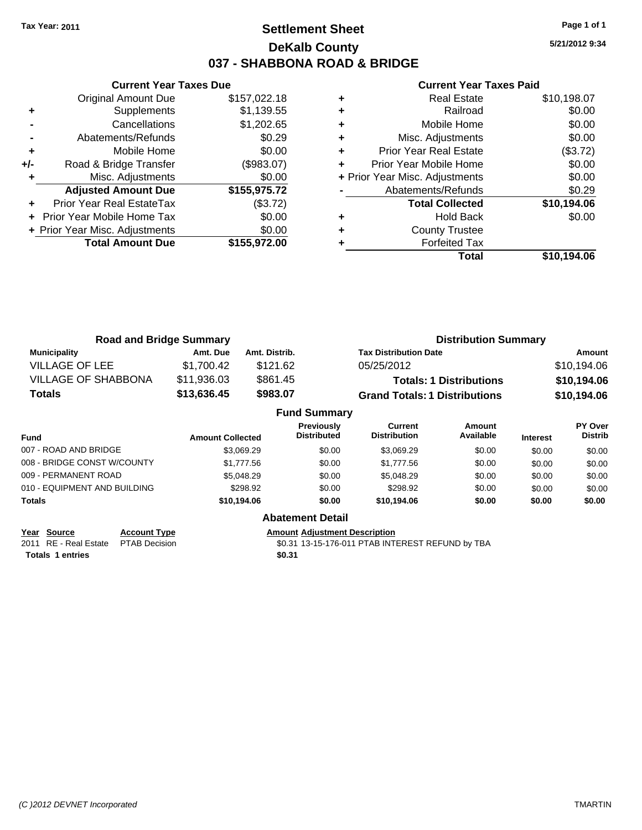# **Settlement Sheet Tax Year: 2011 Page 1 of 1 DeKalb County 037 - SHABBONA ROAD & BRIDGE**

**5/21/2012 9:34**

#### **Current Year Taxes Paid**

|       | <b>Current Year Taxes Due</b>  |              |
|-------|--------------------------------|--------------|
|       | <b>Original Amount Due</b>     | \$157,022.18 |
| ٠     | Supplements                    | \$1,139.55   |
|       | Cancellations                  | \$1,202.65   |
|       | Abatements/Refunds             | \$0.29       |
| ٠     | Mobile Home                    | \$0.00       |
| $+/-$ | Road & Bridge Transfer         | (\$983.07)   |
|       | Misc. Adjustments              | \$0.00       |
|       | <b>Adjusted Amount Due</b>     | \$155,975.72 |
|       | Prior Year Real EstateTax      | (\$3.72)     |
|       | Prior Year Mobile Home Tax     | \$0.00       |
|       | + Prior Year Misc. Adjustments | \$0.00       |
|       | <b>Total Amount Due</b>        | \$155.972.00 |
|       |                                |              |

|   | Total                          | \$10,194.06 |
|---|--------------------------------|-------------|
|   | <b>Forfeited Tax</b>           |             |
|   | <b>County Trustee</b>          |             |
| ٠ | <b>Hold Back</b>               | \$0.00      |
|   | <b>Total Collected</b>         | \$10,194.06 |
|   | Abatements/Refunds             | \$0.29      |
|   | + Prior Year Misc. Adjustments | \$0.00      |
|   | Prior Year Mobile Home         | \$0.00      |
| ٠ | <b>Prior Year Real Estate</b>  | (\$3.72)    |
| ٠ | Misc. Adjustments              | \$0.00      |
| ٠ | Mobile Home                    | \$0.00      |
| ٠ | Railroad                       | \$0.00      |
|   | Real Estate                    | \$10,198.07 |

| <b>Road and Bridge Summary</b> |             |               | <b>Distribution Summary</b>          |             |  |
|--------------------------------|-------------|---------------|--------------------------------------|-------------|--|
| <b>Municipality</b>            | Amt. Due    | Amt. Distrib. | <b>Tax Distribution Date</b>         | Amount      |  |
| <b>VILLAGE OF LEE</b>          | \$1,700.42  | \$121.62      | 05/25/2012                           | \$10,194.06 |  |
| <b>VILLAGE OF SHABBONA</b>     | \$11,936.03 | \$861.45      | <b>Totals: 1 Distributions</b>       | \$10,194.06 |  |
| <b>Totals</b>                  | \$13,636.45 | \$983.07      | <b>Grand Totals: 1 Distributions</b> | \$10,194.06 |  |
| <b>Fund Summary</b>            |             |               |                                      |             |  |

|                              |                         | unu vunnary                             |                                |                     |                 |                           |
|------------------------------|-------------------------|-----------------------------------------|--------------------------------|---------------------|-----------------|---------------------------|
| <b>Fund</b>                  | <b>Amount Collected</b> | <b>Previously</b><br><b>Distributed</b> | Current<br><b>Distribution</b> | Amount<br>Available | <b>Interest</b> | PY Over<br><b>Distrib</b> |
| 007 - ROAD AND BRIDGE        | \$3.069.29              | \$0.00                                  | \$3.069.29                     | \$0.00              | \$0.00          | \$0.00                    |
| 008 - BRIDGE CONST W/COUNTY  | \$1,777.56              | \$0.00                                  | \$1,777.56                     | \$0.00              | \$0.00          | \$0.00                    |
| 009 - PERMANENT ROAD         | \$5,048.29              | \$0.00                                  | \$5,048.29                     | \$0.00              | \$0.00          | \$0.00                    |
| 010 - EQUIPMENT AND BUILDING | \$298.92                | \$0.00                                  | \$298.92                       | \$0.00              | \$0.00          | \$0.00                    |
| Totals                       | \$10.194.06             | \$0.00                                  | \$10.194.06                    | \$0.00              | \$0.00          | \$0.00                    |
|                              |                         | <b>Abatement Detail</b>                 |                                |                     |                 |                           |

| Year Source             | <b>Account Type</b> |
|-------------------------|---------------------|
| 2011 RE - Real Estate   | <b>PTAB Decisio</b> |
| <b>Totals 1 entries</b> |                     |

**<u>Amount Adjustment Description</u>**<br>\$0.31 13-15-176-011 PTAB INTI \$0.31 13-15-176-011 PTAB INTEREST REFUND by TBA<br>\$0.31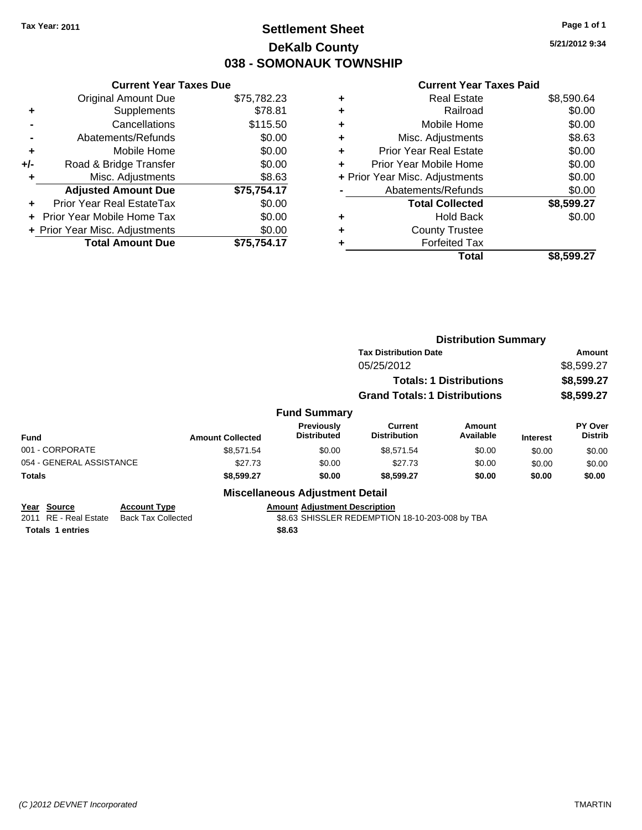# **Settlement Sheet Tax Year: 2011 Page 1 of 1 DeKalb County 038 - SOMONAUK TOWNSHIP**

**5/21/2012 9:34**

#### **Current Year Taxes Paid**

|     | <b>Current Year Taxes Due</b>  |             |
|-----|--------------------------------|-------------|
|     | <b>Original Amount Due</b>     | \$75,782.23 |
| ٠   | Supplements                    | \$78.81     |
|     | Cancellations                  | \$115.50    |
|     | Abatements/Refunds             | \$0.00      |
| ٠   | Mobile Home                    | \$0.00      |
| +/- | Road & Bridge Transfer         | \$0.00      |
| ٠   | Misc. Adjustments              | \$8.63      |
|     | <b>Adjusted Amount Due</b>     | \$75,754.17 |
| ÷   | Prior Year Real EstateTax      | \$0.00      |
|     | Prior Year Mobile Home Tax     | \$0.00      |
|     | + Prior Year Misc. Adjustments | \$0.00      |
|     | <b>Total Amount Due</b>        | \$75.754.17 |

| ٠ | <b>Real Estate</b>             | \$8,590.64 |
|---|--------------------------------|------------|
| ٠ | Railroad                       | \$0.00     |
| ٠ | Mobile Home                    | \$0.00     |
| ٠ | Misc. Adjustments              | \$8.63     |
| ٠ | <b>Prior Year Real Estate</b>  | \$0.00     |
| ÷ | Prior Year Mobile Home         | \$0.00     |
|   | + Prior Year Misc. Adjustments | \$0.00     |
|   | Abatements/Refunds             | \$0.00     |
|   | <b>Total Collected</b>         | \$8,599.27 |
| ٠ | <b>Hold Back</b>               | \$0.00     |
| ٠ | <b>County Trustee</b>          |            |
|   | <b>Forfeited Tax</b>           |            |
|   | Total                          | \$8,599.27 |
|   |                                |            |

|                          |                           |                         |                                                 | <b>Distribution Summary</b>          |                                |                 |                                  |
|--------------------------|---------------------------|-------------------------|-------------------------------------------------|--------------------------------------|--------------------------------|-----------------|----------------------------------|
|                          |                           |                         |                                                 | <b>Tax Distribution Date</b>         |                                |                 | <b>Amount</b>                    |
|                          |                           |                         |                                                 | 05/25/2012                           |                                |                 | \$8,599.27                       |
|                          |                           |                         |                                                 |                                      | <b>Totals: 1 Distributions</b> |                 | \$8,599.27                       |
|                          |                           |                         |                                                 | <b>Grand Totals: 1 Distributions</b> |                                |                 | \$8,599.27                       |
|                          |                           |                         | <b>Fund Summary</b>                             |                                      |                                |                 |                                  |
| <b>Fund</b>              |                           | <b>Amount Collected</b> | Previously<br><b>Distributed</b>                | Current<br><b>Distribution</b>       | <b>Amount</b><br>Available     | <b>Interest</b> | <b>PY Over</b><br><b>Distrib</b> |
| 001 - CORPORATE          |                           | \$8.571.54              | \$0.00                                          | \$8.571.54                           | \$0.00                         | \$0.00          | \$0.00                           |
| 054 - GENERAL ASSISTANCE |                           | \$27.73                 | \$0.00                                          | \$27.73                              | \$0.00                         | \$0.00          | \$0.00                           |
| <b>Totals</b>            |                           | \$8,599.27              | \$0.00                                          | \$8,599.27                           | \$0.00                         | \$0.00          | \$0.00                           |
|                          |                           |                         | <b>Miscellaneous Adjustment Detail</b>          |                                      |                                |                 |                                  |
| Year Source              | <b>Account Type</b>       |                         | <b>Amount Adjustment Description</b>            |                                      |                                |                 |                                  |
| RE - Real Estate<br>2011 | <b>Back Tax Collected</b> |                         | \$8.63 SHISSLER REDEMPTION 18-10-203-008 by TBA |                                      |                                |                 |                                  |

**Totals \$8.63 1 entries**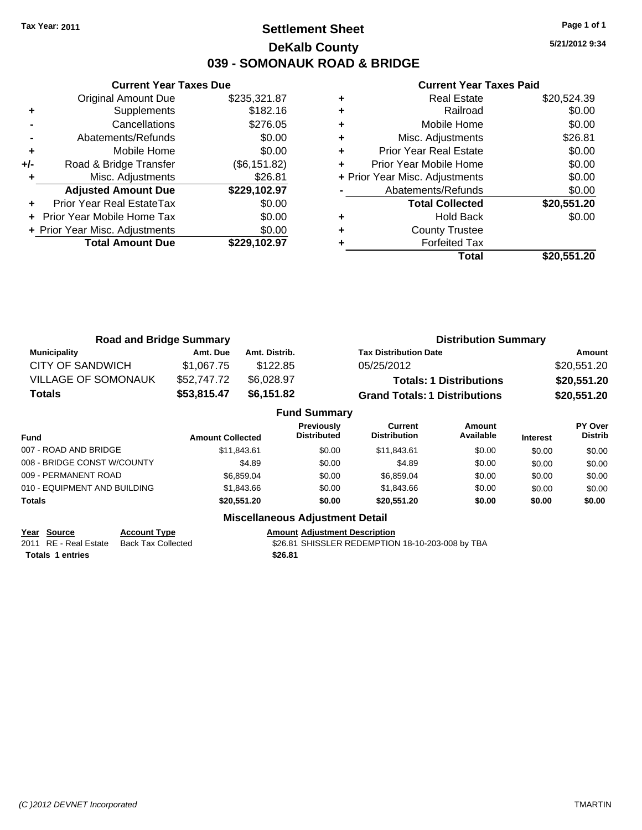# **Settlement Sheet Tax Year: 2011 Page 1 of 1 DeKalb County 039 - SOMONAUK ROAD & BRIDGE**

**5/21/2012 9:34**

#### **Current Year Taxes Paid**

|       | <b>Current Year Taxes Due</b>  |               |
|-------|--------------------------------|---------------|
|       | <b>Original Amount Due</b>     | \$235,321.87  |
| ٠     | Supplements                    | \$182.16      |
|       | Cancellations                  | \$276.05      |
|       | Abatements/Refunds             | \$0.00        |
| ٠     | Mobile Home                    | \$0.00        |
| $+/-$ | Road & Bridge Transfer         | (\$6, 151.82) |
| ٠     | Misc. Adjustments              | \$26.81       |
|       | <b>Adjusted Amount Due</b>     | \$229,102.97  |
| ٠     | Prior Year Real EstateTax      | \$0.00        |
|       | Prior Year Mobile Home Tax     | \$0.00        |
|       | + Prior Year Misc. Adjustments | \$0.00        |
|       | <b>Total Amount Due</b>        | \$229.102.97  |
|       |                                |               |

|   | <b>Real Estate</b>             | \$20,524.39 |
|---|--------------------------------|-------------|
| ٠ | Railroad                       | \$0.00      |
| ٠ | Mobile Home                    | \$0.00      |
| ٠ | Misc. Adjustments              | \$26.81     |
| ٠ | <b>Prior Year Real Estate</b>  | \$0.00      |
| ٠ | Prior Year Mobile Home         | \$0.00      |
|   | + Prior Year Misc. Adjustments | \$0.00      |
|   | Abatements/Refunds             | \$0.00      |
|   | <b>Total Collected</b>         | \$20,551.20 |
|   | <b>Hold Back</b>               | \$0.00      |
|   | <b>County Trustee</b>          |             |
|   | <b>Forfeited Tax</b>           |             |
|   | Total                          | \$20,551.20 |

| <b>Road and Bridge Summary</b> |             |               | <b>Distribution Summary</b>          |             |  |
|--------------------------------|-------------|---------------|--------------------------------------|-------------|--|
| Municipality                   | Amt. Due    | Amt. Distrib. | <b>Tax Distribution Date</b>         | Amount      |  |
| CITY OF SANDWICH               | \$1.067.75  | \$122.85      | 05/25/2012                           | \$20,551.20 |  |
| VILLAGE OF SOMONAUK            | \$52,747.72 | \$6.028.97    | <b>Totals: 1 Distributions</b>       | \$20,551.20 |  |
| Totals                         | \$53,815.47 | \$6.151.82    | <b>Grand Totals: 1 Distributions</b> | \$20,551.20 |  |

|                              |                         | <b>Fund Summary</b>              |                                |                     |                 |                           |
|------------------------------|-------------------------|----------------------------------|--------------------------------|---------------------|-----------------|---------------------------|
| <b>Fund</b>                  | <b>Amount Collected</b> | Previously<br><b>Distributed</b> | Current<br><b>Distribution</b> | Amount<br>Available | <b>Interest</b> | PY Over<br><b>Distrib</b> |
| 007 - ROAD AND BRIDGE        | \$11.843.61             | \$0.00                           | \$11,843.61                    | \$0.00              | \$0.00          | \$0.00                    |
| 008 - BRIDGE CONST W/COUNTY  | \$4.89                  | \$0.00                           | \$4.89                         | \$0.00              | \$0.00          | \$0.00                    |
| 009 - PERMANENT ROAD         | \$6,859.04              | \$0.00                           | \$6,859.04                     | \$0.00              | \$0.00          | \$0.00                    |
| 010 - EQUIPMENT AND BUILDING | \$1,843.66              | \$0.00                           | \$1,843,66                     | \$0.00              | \$0.00          | \$0.00                    |
| Totals                       | \$20,551.20             | \$0.00                           | \$20,551.20                    | \$0.00              | \$0.00          | \$0.00                    |

**Year Source Account Type Anneunt Adjustment Description**<br>2011 RE - Real Estate Back Tax Collected \$26.81 SHISSLER REDEMPTION **Totals \$26.81 1 entries**

**Miscellaneous Adjustment Detail**

\$26.81 SHISSLER REDEMPTION 18-10-203-008 by TBA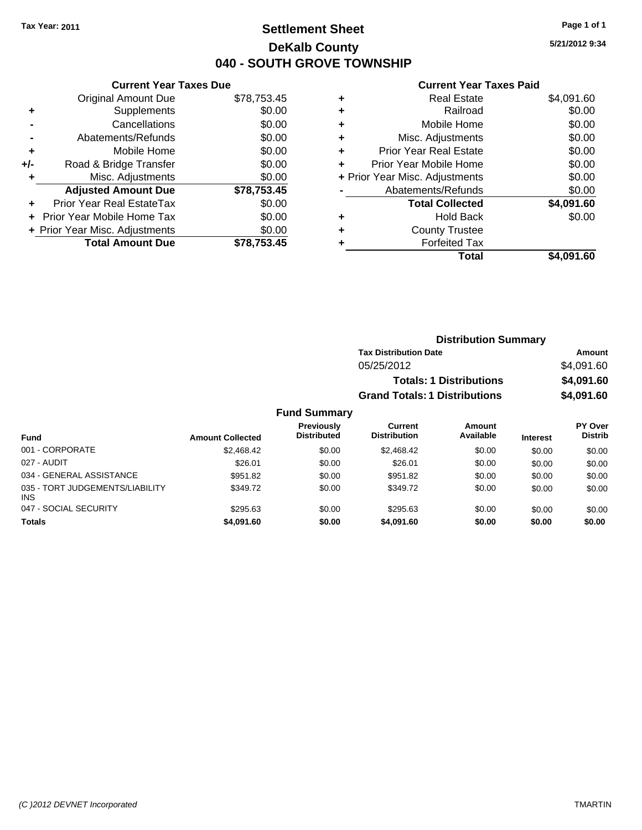# **Settlement Sheet Tax Year: 2011 Page 1 of 1 DeKalb County 040 - SOUTH GROVE TOWNSHIP**

**5/21/2012 9:34**

|     | <b>Current Year Taxes Due</b>  |             |
|-----|--------------------------------|-------------|
|     | <b>Original Amount Due</b>     | \$78,753.45 |
| ٠   | Supplements                    | \$0.00      |
|     | Cancellations                  | \$0.00      |
|     | Abatements/Refunds             | \$0.00      |
| ٠   | Mobile Home                    | \$0.00      |
| +/- | Road & Bridge Transfer         | \$0.00      |
| ٠   | Misc. Adjustments              | \$0.00      |
|     | <b>Adjusted Amount Due</b>     | \$78,753.45 |
| ÷   | Prior Year Real EstateTax      | \$0.00      |
|     | Prior Year Mobile Home Tax     | \$0.00      |
|     | + Prior Year Misc. Adjustments | \$0.00      |
|     | <b>Total Amount Due</b>        | \$78.753.45 |
|     |                                |             |

| ٠ | <b>Real Estate</b>             | \$4,091.60 |
|---|--------------------------------|------------|
| ٠ | Railroad                       | \$0.00     |
| ٠ | Mobile Home                    | \$0.00     |
| ٠ | Misc. Adjustments              | \$0.00     |
| ٠ | <b>Prior Year Real Estate</b>  | \$0.00     |
| ٠ | Prior Year Mobile Home         | \$0.00     |
|   | + Prior Year Misc. Adjustments | \$0.00     |
|   | Abatements/Refunds             | \$0.00     |
|   | <b>Total Collected</b>         | \$4,091.60 |
| ٠ | <b>Hold Back</b>               | \$0.00     |
| ٠ | <b>County Trustee</b>          |            |
|   | <b>Forfeited Tax</b>           |            |
|   | Total                          | \$4.091.60 |

|                     | <b>Distribution Summary</b>          |            |  |  |
|---------------------|--------------------------------------|------------|--|--|
|                     | <b>Tax Distribution Date</b>         | Amount     |  |  |
|                     | 05/25/2012                           | \$4,091.60 |  |  |
|                     | <b>Totals: 1 Distributions</b>       | \$4,091.60 |  |  |
|                     | <b>Grand Totals: 1 Distributions</b> | \$4,091.60 |  |  |
| <b>Fund Summary</b> |                                      |            |  |  |

| <b>Fund</b>                                   | <b>Amount Collected</b> | Previously<br><b>Distributed</b> | Current<br><b>Distribution</b> | <b>Amount</b><br>Available | <b>Interest</b> | PY Over<br><b>Distrib</b> |
|-----------------------------------------------|-------------------------|----------------------------------|--------------------------------|----------------------------|-----------------|---------------------------|
| 001 - CORPORATE                               | \$2,468.42              | \$0.00                           | \$2,468.42                     | \$0.00                     | \$0.00          | \$0.00                    |
| 027 - AUDIT                                   | \$26.01                 | \$0.00                           | \$26.01                        | \$0.00                     | \$0.00          | \$0.00                    |
| 034 - GENERAL ASSISTANCE                      | \$951.82                | \$0.00                           | \$951.82                       | \$0.00                     | \$0.00          | \$0.00                    |
| 035 - TORT JUDGEMENTS/LIABILITY<br><b>INS</b> | \$349.72                | \$0.00                           | \$349.72                       | \$0.00                     | \$0.00          | \$0.00                    |
| 047 - SOCIAL SECURITY                         | \$295.63                | \$0.00                           | \$295.63                       | \$0.00                     | \$0.00          | \$0.00                    |
| <b>Totals</b>                                 | \$4,091.60              | \$0.00                           | \$4,091.60                     | \$0.00                     | \$0.00          | \$0.00                    |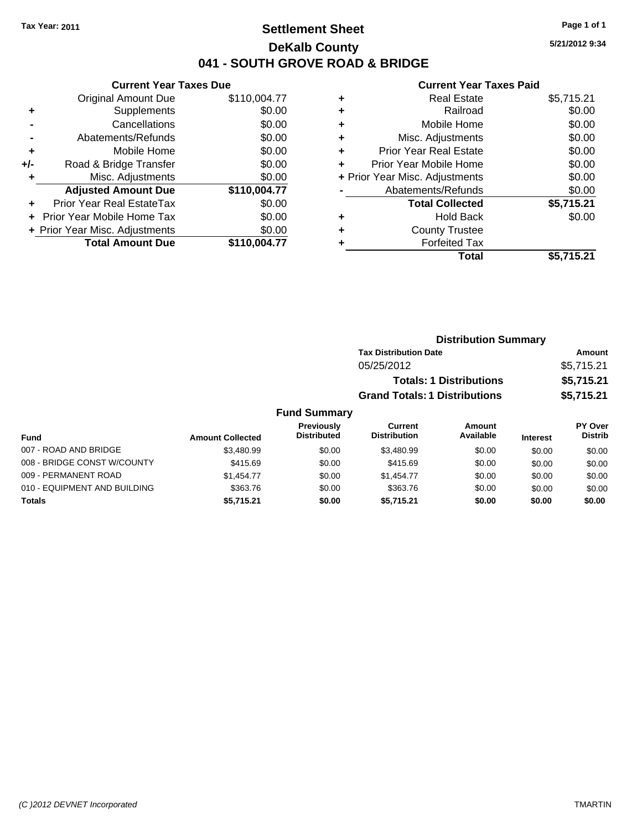### **Settlement Sheet Tax Year: 2011 Page 1 of 1 DeKalb County 041 - SOUTH GROVE ROAD & BRIDGE**

**5/21/2012 9:34**

#### **Current Year Taxes Paid**

|     | <b>Current Year Taxes Due</b>     |              |
|-----|-----------------------------------|--------------|
|     | <b>Original Amount Due</b>        | \$110,004.77 |
| ٠   | Supplements                       | \$0.00       |
|     | Cancellations                     | \$0.00       |
|     | Abatements/Refunds                | \$0.00       |
| ٠   | Mobile Home                       | \$0.00       |
| +/- | Road & Bridge Transfer            | \$0.00       |
|     | Misc. Adjustments                 | \$0.00       |
|     | <b>Adjusted Amount Due</b>        | \$110,004.77 |
| ÷   | Prior Year Real EstateTax         | \$0.00       |
|     | <b>Prior Year Mobile Home Tax</b> | \$0.00       |
|     | + Prior Year Misc. Adjustments    | \$0.00       |
|     | <b>Total Amount Due</b>           | \$110.004.77 |
|     |                                   |              |

| <b>Real Estate</b>             | \$5,715.21 |
|--------------------------------|------------|
| Railroad                       | \$0.00     |
| Mobile Home                    | \$0.00     |
| Misc. Adjustments              | \$0.00     |
| Prior Year Real Estate         | \$0.00     |
| Prior Year Mobile Home         | \$0.00     |
| + Prior Year Misc. Adjustments | \$0.00     |
| Abatements/Refunds             | \$0.00     |
| <b>Total Collected</b>         | \$5,715.21 |
| Hold Back                      | \$0.00     |
| <b>County Trustee</b>          |            |
| <b>Forfeited Tax</b>           |            |
| Total                          | \$5,715.21 |
|                                |            |

| <b>Distribution Summary</b>          |            |
|--------------------------------------|------------|
| <b>Tax Distribution Date</b>         | Amount     |
| 05/25/2012                           | \$5,715.21 |
| <b>Totals: 1 Distributions</b>       | \$5,715.21 |
| <b>Grand Totals: 1 Distributions</b> | \$5,715.21 |

### **Fund Summary**

|                              |                         | <b>Previously</b><br><b>Distributed</b> | Current<br><b>Distribution</b> | Amount<br>Available |                 | <b>PY Over</b><br><b>Distrib</b> |
|------------------------------|-------------------------|-----------------------------------------|--------------------------------|---------------------|-----------------|----------------------------------|
| Fund                         | <b>Amount Collected</b> |                                         |                                |                     | <b>Interest</b> |                                  |
| 007 - ROAD AND BRIDGE        | \$3,480.99              | \$0.00                                  | \$3,480.99                     | \$0.00              | \$0.00          | \$0.00                           |
| 008 - BRIDGE CONST W/COUNTY  | \$415.69                | \$0.00                                  | \$415.69                       | \$0.00              | \$0.00          | \$0.00                           |
| 009 - PERMANENT ROAD         | \$1,454.77              | \$0.00                                  | \$1.454.77                     | \$0.00              | \$0.00          | \$0.00                           |
| 010 - EQUIPMENT AND BUILDING | \$363.76                | \$0.00                                  | \$363.76                       | \$0.00              | \$0.00          | \$0.00                           |
| Totals                       | \$5,715.21              | \$0.00                                  | \$5.715.21                     | \$0.00              | \$0.00          | \$0.00                           |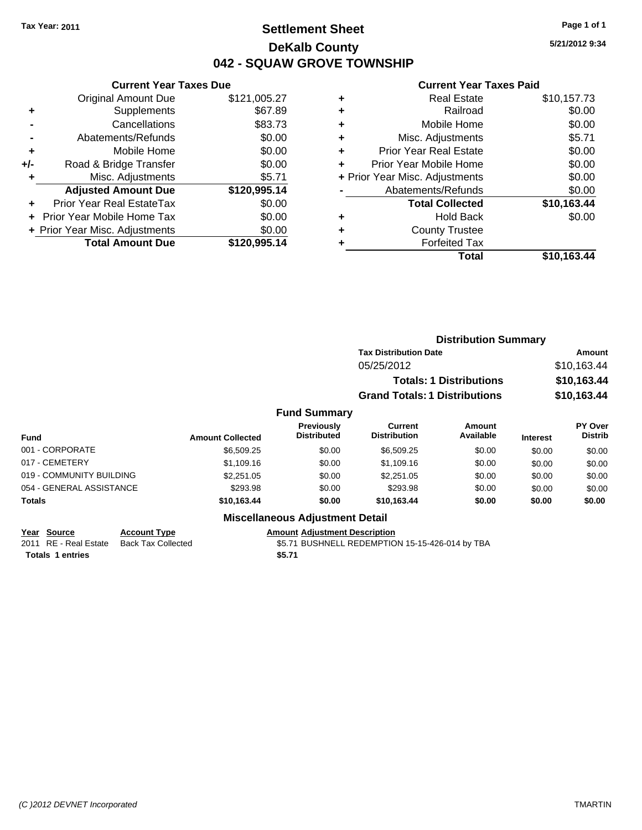# **Settlement Sheet Tax Year: 2011 Page 1 of 1 DeKalb County 042 - SQUAW GROVE TOWNSHIP**

**5/21/2012 9:34**

#### **Current Year Taxes Paid**

|     | <b>Current Year Taxes Due</b>     |              |
|-----|-----------------------------------|--------------|
|     | <b>Original Amount Due</b>        | \$121,005.27 |
| ٠   | Supplements                       | \$67.89      |
|     | Cancellations                     | \$83.73      |
|     | Abatements/Refunds                | \$0.00       |
| ٠   | Mobile Home                       | \$0.00       |
| +/- | Road & Bridge Transfer            | \$0.00       |
| ٠   | Misc. Adjustments                 | \$5.71       |
|     | <b>Adjusted Amount Due</b>        | \$120,995.14 |
| ٠   | Prior Year Real EstateTax         | \$0.00       |
|     | <b>Prior Year Mobile Home Tax</b> | \$0.00       |
|     | + Prior Year Misc. Adjustments    | \$0.00       |
|     | <b>Total Amount Due</b>           | \$120,995.14 |
|     |                                   |              |

|   | Real Estate                    | \$10,157.73 |
|---|--------------------------------|-------------|
|   | Railroad                       | \$0.00      |
| ÷ | Mobile Home                    | \$0.00      |
| ٠ | Misc. Adjustments              | \$5.71      |
| ٠ | <b>Prior Year Real Estate</b>  | \$0.00      |
|   | Prior Year Mobile Home         | \$0.00      |
|   | + Prior Year Misc. Adjustments | \$0.00      |
|   | Abatements/Refunds             | \$0.00      |
|   | <b>Total Collected</b>         | \$10,163.44 |
| ٠ | <b>Hold Back</b>               | \$0.00      |
| ٠ | <b>County Trustee</b>          |             |
|   | <b>Forfeited Tax</b>           |             |
|   | Total                          | \$10,163.44 |
|   |                                |             |

|                          |                         |                                  |                                      | <b>Distribution Summary</b>    |                 |                           |
|--------------------------|-------------------------|----------------------------------|--------------------------------------|--------------------------------|-----------------|---------------------------|
|                          |                         |                                  | <b>Tax Distribution Date</b>         |                                |                 | <b>Amount</b>             |
|                          |                         |                                  | 05/25/2012                           |                                |                 | \$10,163.44               |
|                          |                         |                                  |                                      | <b>Totals: 1 Distributions</b> |                 | \$10,163.44               |
|                          |                         |                                  | <b>Grand Totals: 1 Distributions</b> |                                |                 | \$10,163.44               |
|                          |                         | <b>Fund Summary</b>              |                                      |                                |                 |                           |
| <b>Fund</b>              | <b>Amount Collected</b> | Previously<br><b>Distributed</b> | Current<br><b>Distribution</b>       | Amount<br>Available            | <b>Interest</b> | PY Over<br><b>Distrib</b> |
| 001 - CORPORATE          | \$6,509.25              | \$0.00                           | \$6,509.25                           | \$0.00                         | \$0.00          | \$0.00                    |
| 017 - CEMETERY           | \$1,109.16              | \$0.00                           | \$1,109.16                           | \$0.00                         | \$0.00          | \$0.00                    |
| 019 - COMMUNITY BUILDING | \$2,251.05              | \$0.00                           | \$2,251.05                           | \$0.00                         | \$0.00          | \$0.00                    |
| 054 - GENERAL ASSISTANCE | \$293.98                | \$0.00                           | \$293.98                             | \$0.00                         | \$0.00          | \$0.00                    |
| Totals                   | \$10,163.44             | \$0.00                           | \$10,163.44                          | \$0.00                         | \$0.00          | \$0.00                    |
|                          |                         |                                  |                                      |                                |                 |                           |

**Miscellaneous Adjustment Detail**

**Year Source Account Type Amount Adjustment Description**<br>2011 RE - Real Estate Back Tax Collected **1991 1201** \$5.71 BUSHNELL REDEMPTIO **Totals \$5.71 1 entries**

\$5.71 BUSHNELL REDEMPTION 15-15-426-014 by TBA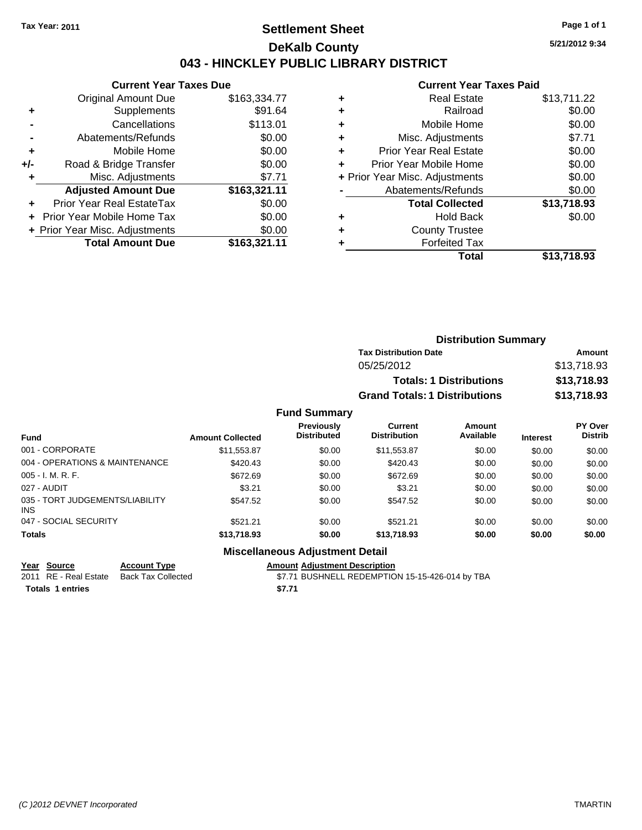### **Settlement Sheet Tax Year: 2011 Page 1 of 1 DeKalb County 043 - HINCKLEY PUBLIC LIBRARY DISTRICT**

**5/21/2012 9:34**

#### **Current Year Taxes Paid**

| <b>Current Year Taxes Due</b> |                                |
|-------------------------------|--------------------------------|
| <b>Original Amount Due</b>    | \$163,334.77                   |
| Supplements                   | \$91.64                        |
| Cancellations                 | \$113.01                       |
| Abatements/Refunds            | \$0.00                         |
| Mobile Home                   | \$0.00                         |
| Road & Bridge Transfer        | \$0.00                         |
| Misc. Adjustments             | \$7.71                         |
| <b>Adjusted Amount Due</b>    | \$163,321.11                   |
| Prior Year Real EstateTax     | \$0.00                         |
| Prior Year Mobile Home Tax    | \$0.00                         |
|                               | \$0.00                         |
| <b>Total Amount Due</b>       | \$163,321.11                   |
|                               | + Prior Year Misc. Adjustments |

| ٠ | <b>Real Estate</b>             | \$13,711.22 |
|---|--------------------------------|-------------|
| ٠ | Railroad                       | \$0.00      |
| ٠ | Mobile Home                    | \$0.00      |
| ٠ | Misc. Adjustments              | \$7.71      |
| ٠ | <b>Prior Year Real Estate</b>  | \$0.00      |
| ٠ | Prior Year Mobile Home         | \$0.00      |
|   | + Prior Year Misc. Adjustments | \$0.00      |
|   | Abatements/Refunds             | \$0.00      |
|   | <b>Total Collected</b>         | \$13,718.93 |
| ٠ | <b>Hold Back</b>               | \$0.00      |
| ٠ | <b>County Trustee</b>          |             |
| ٠ | <b>Forfeited Tax</b>           |             |
|   | Total                          | \$13,718.93 |
|   |                                |             |

|           | <b>Distribution Summary</b>          |             |
|-----------|--------------------------------------|-------------|
|           | <b>Tax Distribution Date</b>         | Amount      |
|           | 05/25/2012                           | \$13,718.93 |
|           | <b>Totals: 1 Distributions</b>       | \$13,718.93 |
|           | <b>Grand Totals: 1 Distributions</b> | \$13,718.93 |
| d Summary |                                      |             |

#### **Fun Fund Interest Amount Collected Distributed PY Over Distrib Amount Available Current Distribution Previously** 001 - CORPORATE \$11,553.87 \$0.00 \$11,553.87 \$0.00 \$0.00 \$0.00 004 - OPERATIONS & MAINTENANCE  $$420.43$  \$0.00  $$420.43$  \$0.00 \$0.00 \$0.00 \$0.00 005 - I. M. R. F. Channel Communication of the State of State State State State State State State State State S 027 - AUDIT \$3.21 \$0.00 \$3.21 \$0.00 \$0.00 \$0.00 035 - TORT JUDGEMENTS/LIABILITY INS \$547.52 \$0.00 \$547.52 \$0.00 \$0.00 \$0.00 047 - SOCIAL SECURITY \$521.21 \$521.21 \$0.00 \$0.00 \$0.00 \$0.00 \$0.00 **Totals \$13,718.93 \$0.00 \$13,718.93 \$0.00 \$0.00 \$0.00**

### **Miscellaneous Adjustment Detail**

**Year Source Account Type Amount Adjustment Description** 2011 RE - Real Estate Back Tax Collected \$7.71 BUSHNELL REDEMPTION 15-15-426-014 by TBA **Totals \$7.71 1 entries**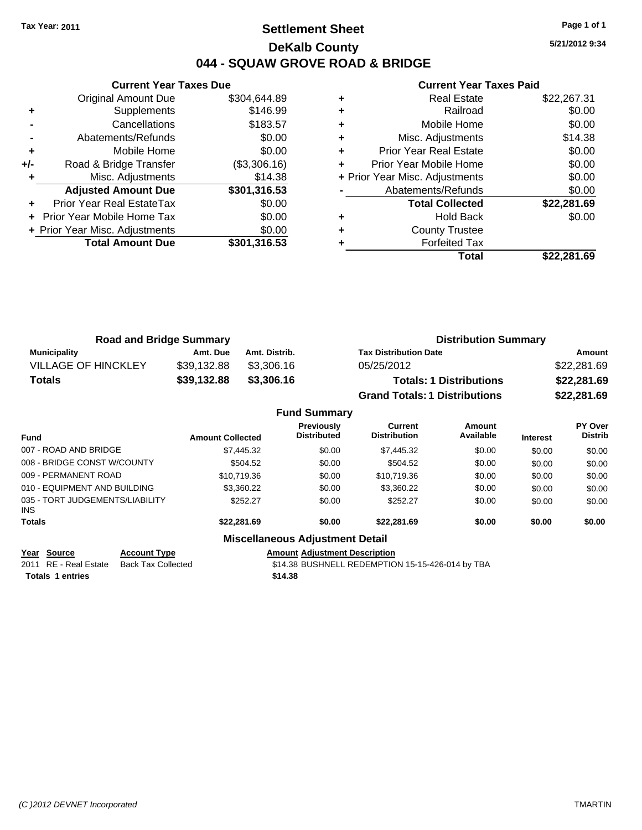### **Settlement Sheet Tax Year: 2011 Page 1 of 1 DeKalb County 044 - SQUAW GROVE ROAD & BRIDGE**

**5/21/2012 9:34**

#### **Current Year Taxes Paid**

|       | <b>Current Year Taxes Due</b>     |              |
|-------|-----------------------------------|--------------|
|       | <b>Original Amount Due</b>        | \$304.644.89 |
| ٠     | Supplements                       | \$146.99     |
|       | Cancellations                     | \$183.57     |
|       | Abatements/Refunds                | \$0.00       |
| ٠     | Mobile Home                       | \$0.00       |
| $+/-$ | Road & Bridge Transfer            | (\$3,306.16) |
|       | Misc. Adjustments                 | \$14.38      |
|       | <b>Adjusted Amount Due</b>        | \$301,316.53 |
|       | Prior Year Real EstateTax         | \$0.00       |
|       | <b>Prior Year Mobile Home Tax</b> | \$0.00       |
|       | + Prior Year Misc. Adjustments    | \$0.00       |
|       | <b>Total Amount Due</b>           | \$301,316.53 |
|       |                                   |              |

|   | <b>Real Estate</b>             | \$22,267.31 |
|---|--------------------------------|-------------|
| ٠ | Railroad                       | \$0.00      |
| ٠ | Mobile Home                    | \$0.00      |
| ٠ | Misc. Adjustments              | \$14.38     |
| ٠ | <b>Prior Year Real Estate</b>  | \$0.00      |
| ٠ | Prior Year Mobile Home         | \$0.00      |
|   | + Prior Year Misc. Adjustments | \$0.00      |
|   | Abatements/Refunds             | \$0.00      |
|   | <b>Total Collected</b>         | \$22,281.69 |
|   | <b>Hold Back</b>               | \$0.00      |
|   | <b>County Trustee</b>          |             |
|   | <b>Forfeited Tax</b>           |             |
|   | Total                          | \$22,281.69 |

| <b>Road and Bridge Summary</b> |             |               | <b>Distribution Summary</b>          |             |  |
|--------------------------------|-------------|---------------|--------------------------------------|-------------|--|
| <b>Municipality</b>            | Amt. Due    | Amt. Distrib. | <b>Tax Distribution Date</b>         | Amount      |  |
| <b>VILLAGE OF HINCKLEY</b>     | \$39.132.88 | \$3.306.16    | 05/25/2012                           | \$22,281.69 |  |
| <b>Totals</b>                  | \$39,132.88 | \$3,306.16    | <b>Totals: 1 Distributions</b>       | \$22,281.69 |  |
|                                |             |               | <b>Grand Totals: 1 Distributions</b> | \$22,281.69 |  |

|                                         |                         | <b>Fund Summary</b>                     |                                       |                     |                 |                                  |
|-----------------------------------------|-------------------------|-----------------------------------------|---------------------------------------|---------------------|-----------------|----------------------------------|
| Fund                                    | <b>Amount Collected</b> | <b>Previously</b><br><b>Distributed</b> | <b>Current</b><br><b>Distribution</b> | Amount<br>Available | <b>Interest</b> | <b>PY Over</b><br><b>Distrib</b> |
| 007 - ROAD AND BRIDGE                   | \$7,445.32              | \$0.00                                  | \$7,445.32                            | \$0.00              | \$0.00          | \$0.00                           |
| 008 - BRIDGE CONST W/COUNTY             | \$504.52                | \$0.00                                  | \$504.52                              | \$0.00              | \$0.00          | \$0.00                           |
| 009 - PERMANENT ROAD                    | \$10,719.36             | \$0.00                                  | \$10,719.36                           | \$0.00              | \$0.00          | \$0.00                           |
| 010 - EQUIPMENT AND BUILDING            | \$3,360.22              | \$0.00                                  | \$3,360.22                            | \$0.00              | \$0.00          | \$0.00                           |
| 035 - TORT JUDGEMENTS/LIABILITY<br>INS. | \$252.27                | \$0.00                                  | \$252.27                              | \$0.00              | \$0.00          | \$0.00                           |
| Totals                                  | \$22,281.69             | \$0.00                                  | \$22,281.69                           | \$0.00              | \$0.00          | \$0.00                           |
|                                         |                         | <b>Miscellaneous Adjustment Detail</b>  |                                       |                     |                 |                                  |

#### **Year Source Account Type Amount Adjustment Description**

2011 RE - Real Estate Back Tax Collected \$14.38 BUSHNELL REDEMPTION 15-15-426-014 by TBA **Totals \$14.38 1 entries**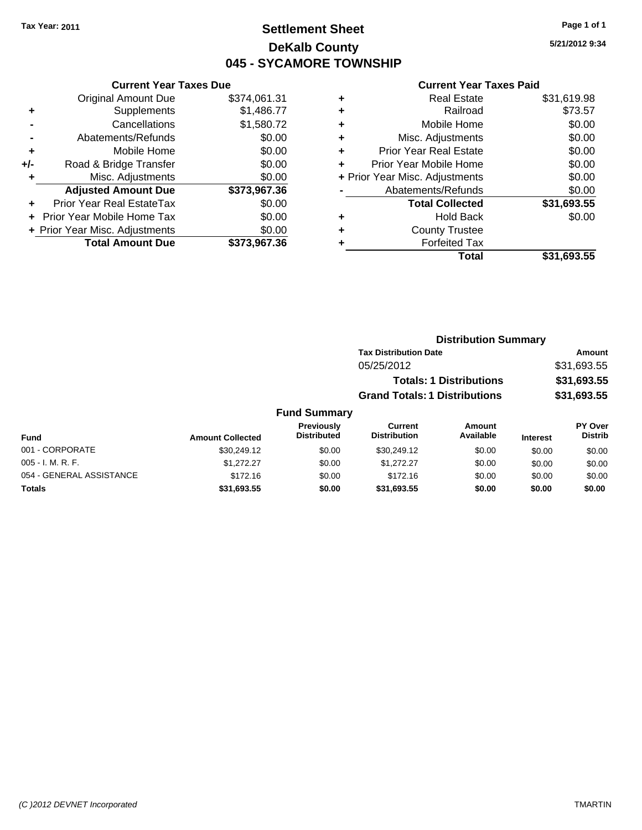# **Settlement Sheet Tax Year: 2011 Page 1 of 1 DeKalb County 045 - SYCAMORE TOWNSHIP**

**5/21/2012 9:34**

|       | <b>Current Year Taxes Due</b>     |              |
|-------|-----------------------------------|--------------|
|       | <b>Original Amount Due</b>        | \$374,061.31 |
| ٠     | Supplements                       | \$1,486.77   |
|       | Cancellations                     | \$1,580.72   |
|       | Abatements/Refunds                | \$0.00       |
| ٠     | Mobile Home                       | \$0.00       |
| $+/-$ | Road & Bridge Transfer            | \$0.00       |
| ٠     | Misc. Adjustments                 | \$0.00       |
|       | <b>Adjusted Amount Due</b>        | \$373,967.36 |
|       | Prior Year Real EstateTax         | \$0.00       |
|       | <b>Prior Year Mobile Home Tax</b> | \$0.00       |
|       | + Prior Year Misc. Adjustments    | \$0.00       |
|       | <b>Total Amount Due</b>           | \$373,967.36 |
|       |                                   |              |

|   | Total                          | \$31,693.55 |
|---|--------------------------------|-------------|
| ٠ | <b>Forfeited Tax</b>           |             |
| ٠ | <b>County Trustee</b>          |             |
| ٠ | Hold Back                      | \$0.00      |
|   | <b>Total Collected</b>         | \$31,693.55 |
|   | Abatements/Refunds             | \$0.00      |
|   | + Prior Year Misc. Adjustments | \$0.00      |
| ٠ | Prior Year Mobile Home         | \$0.00      |
| ÷ | <b>Prior Year Real Estate</b>  | \$0.00      |
| ٠ | Misc. Adjustments              | \$0.00      |
| ٠ | Mobile Home                    | \$0.00      |
| ÷ | Railroad                       | \$73.57     |
| ٠ | <b>Real Estate</b>             | \$31,619.98 |
|   |                                |             |

|                     | <b>Distribution Summary</b>          |             |
|---------------------|--------------------------------------|-------------|
|                     | <b>Tax Distribution Date</b>         | Amount      |
|                     | 05/25/2012                           | \$31,693.55 |
|                     | <b>Totals: 1 Distributions</b>       | \$31,693.55 |
|                     | <b>Grand Totals: 1 Distributions</b> | \$31,693.55 |
| <b>Fund Summary</b> |                                      |             |

| Fund                     | <b>Amount Collected</b> | Previously<br><b>Distributed</b> | Current<br><b>Distribution</b> | Amount<br>Available | <b>Interest</b> | <b>PY Over</b><br><b>Distrib</b> |
|--------------------------|-------------------------|----------------------------------|--------------------------------|---------------------|-----------------|----------------------------------|
| 001 - CORPORATE          | \$30,249.12             | \$0.00                           | \$30,249.12                    | \$0.00              | \$0.00          | \$0.00                           |
| $005 - I. M. R. F.$      | \$1,272.27              | \$0.00                           | \$1.272.27                     | \$0.00              | \$0.00          | \$0.00                           |
| 054 - GENERAL ASSISTANCE | \$172.16                | \$0.00                           | \$172.16                       | \$0.00              | \$0.00          | \$0.00                           |
| <b>Totals</b>            | \$31,693.55             | \$0.00                           | \$31,693.55                    | \$0.00              | \$0.00          | \$0.00                           |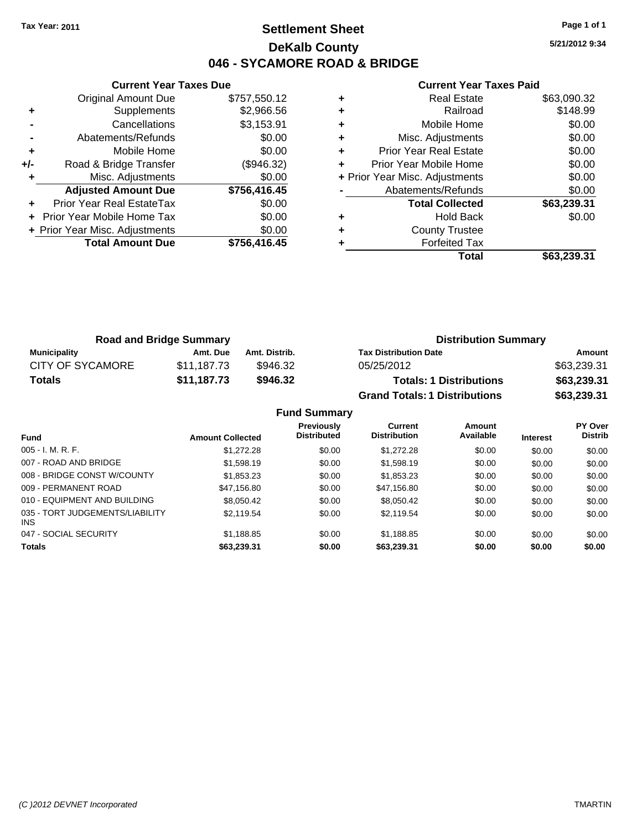# **Settlement Sheet Tax Year: 2011 Page 1 of 1 DeKalb County 046 - SYCAMORE ROAD & BRIDGE**

**5/21/2012 9:34**

|       | <b>Current Year Taxes Due</b>     |              |
|-------|-----------------------------------|--------------|
|       | <b>Original Amount Due</b>        | \$757,550.12 |
| ٠     | Supplements                       | \$2,966.56   |
|       | Cancellations                     | \$3,153.91   |
|       | Abatements/Refunds                | \$0.00       |
| ٠     | Mobile Home                       | \$0.00       |
| $+/-$ | Road & Bridge Transfer            | (\$946.32)   |
|       | Misc. Adjustments                 | \$0.00       |
|       | <b>Adjusted Amount Due</b>        | \$756,416.45 |
|       | Prior Year Real EstateTax         | \$0.00       |
|       | <b>Prior Year Mobile Home Tax</b> | \$0.00       |
|       | + Prior Year Misc. Adjustments    | \$0.00       |
|       | <b>Total Amount Due</b>           | \$756,416.45 |
|       |                                   |              |

|   | <b>Real Estate</b>             | \$63,090.32 |
|---|--------------------------------|-------------|
| ٠ | Railroad                       | \$148.99    |
| ٠ | Mobile Home                    | \$0.00      |
| ٠ | Misc. Adjustments              | \$0.00      |
| ٠ | <b>Prior Year Real Estate</b>  | \$0.00      |
|   | Prior Year Mobile Home         | \$0.00      |
|   | + Prior Year Misc. Adjustments | \$0.00      |
|   | Abatements/Refunds             | \$0.00      |
|   | <b>Total Collected</b>         | \$63,239.31 |
| ٠ | <b>Hold Back</b>               | \$0.00      |
| ٠ | <b>County Trustee</b>          |             |
|   | <b>Forfeited Tax</b>           |             |
|   | Total                          | \$63,239.31 |

| <b>Road and Bridge Summary</b> |             |               | <b>Distribution Summary</b>          |             |  |
|--------------------------------|-------------|---------------|--------------------------------------|-------------|--|
| <b>Municipality</b>            | Amt. Due    | Amt. Distrib. | <b>Tax Distribution Date</b>         | Amount      |  |
| <b>CITY OF SYCAMORE</b>        | \$11.187.73 | \$946.32      | 05/25/2012                           | \$63,239.31 |  |
| <b>Totals</b>                  | \$11,187.73 | \$946.32      | <b>Totals: 1 Distributions</b>       | \$63,239.31 |  |
|                                |             |               | <b>Grand Totals: 1 Distributions</b> | \$63,239.31 |  |

|                                         |                         | <b>Fund Summary</b>                     |                                       |                            |                 |                                  |
|-----------------------------------------|-------------------------|-----------------------------------------|---------------------------------------|----------------------------|-----------------|----------------------------------|
| <b>Fund</b>                             | <b>Amount Collected</b> | <b>Previously</b><br><b>Distributed</b> | <b>Current</b><br><b>Distribution</b> | <b>Amount</b><br>Available | <b>Interest</b> | <b>PY Over</b><br><b>Distrib</b> |
| $005 - I. M. R. F.$                     | \$1,272.28              | \$0.00                                  | \$1,272.28                            | \$0.00                     | \$0.00          | \$0.00                           |
| 007 - ROAD AND BRIDGE                   | \$1,598.19              | \$0.00                                  | \$1,598.19                            | \$0.00                     | \$0.00          | \$0.00                           |
| 008 - BRIDGE CONST W/COUNTY             | \$1,853.23              | \$0.00                                  | \$1,853.23                            | \$0.00                     | \$0.00          | \$0.00                           |
| 009 - PERMANENT ROAD                    | \$47,156.80             | \$0.00                                  | \$47,156.80                           | \$0.00                     | \$0.00          | \$0.00                           |
| 010 - EQUIPMENT AND BUILDING            | \$8,050.42              | \$0.00                                  | \$8.050.42                            | \$0.00                     | \$0.00          | \$0.00                           |
| 035 - TORT JUDGEMENTS/LIABILITY<br>INS. | \$2.119.54              | \$0.00                                  | \$2.119.54                            | \$0.00                     | \$0.00          | \$0.00                           |
| 047 - SOCIAL SECURITY                   | \$1.188.85              | \$0.00                                  | \$1.188.85                            | \$0.00                     | \$0.00          | \$0.00                           |
| <b>Totals</b>                           | \$63.239.31             | \$0.00                                  | \$63.239.31                           | \$0.00                     | \$0.00          | \$0.00                           |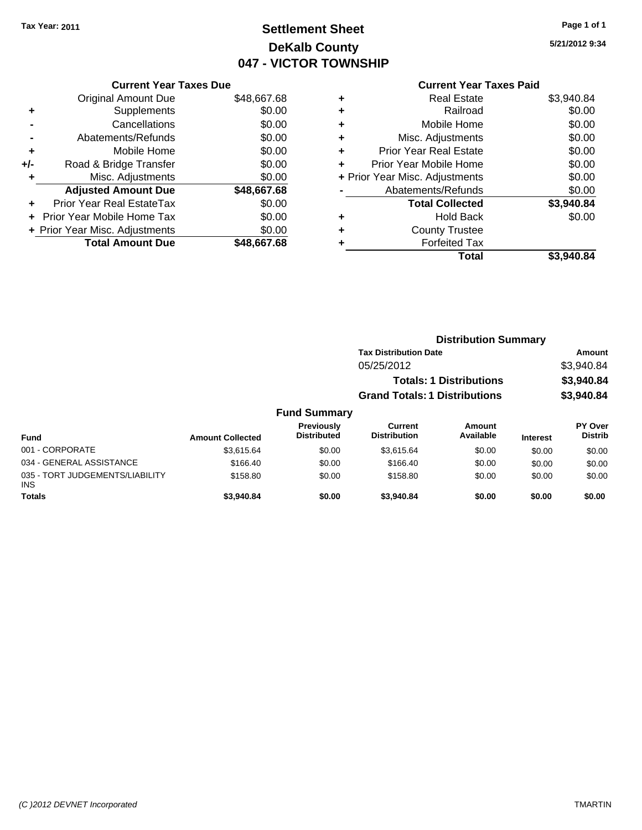# **Settlement Sheet Tax Year: 2011 Page 1 of 1 DeKalb County 047 - VICTOR TOWNSHIP**

**5/21/2012 9:34**

|     | <b>Current Year Taxes Due</b>  |             |
|-----|--------------------------------|-------------|
|     | <b>Original Amount Due</b>     | \$48,667.68 |
| ٠   | Supplements                    | \$0.00      |
|     | Cancellations                  | \$0.00      |
|     | Abatements/Refunds             | \$0.00      |
| ٠   | Mobile Home                    | \$0.00      |
| +/- | Road & Bridge Transfer         | \$0.00      |
|     | Misc. Adjustments              | \$0.00      |
|     | <b>Adjusted Amount Due</b>     | \$48,667.68 |
| ÷   | Prior Year Real EstateTax      | \$0.00      |
|     | Prior Year Mobile Home Tax     | \$0.00      |
|     | + Prior Year Misc. Adjustments | \$0.00      |
|     | <b>Total Amount Due</b>        | \$48,667,68 |
|     |                                |             |

|   | <b>Real Estate</b>             | \$3,940.84 |
|---|--------------------------------|------------|
| ٠ | Railroad                       | \$0.00     |
| ٠ | Mobile Home                    | \$0.00     |
| ٠ | Misc. Adjustments              | \$0.00     |
| ÷ | <b>Prior Year Real Estate</b>  | \$0.00     |
| ٠ | Prior Year Mobile Home         | \$0.00     |
|   | + Prior Year Misc. Adjustments | \$0.00     |
|   | Abatements/Refunds             | \$0.00     |
|   | <b>Total Collected</b>         | \$3,940.84 |
| ٠ | <b>Hold Back</b>               | \$0.00     |
|   | <b>County Trustee</b>          |            |
| ٠ | <b>Forfeited Tax</b>           |            |
|   | Total                          | \$3,940.84 |

|                     |                                      | <b>Distribution Summary</b> |                |
|---------------------|--------------------------------------|-----------------------------|----------------|
|                     | <b>Tax Distribution Date</b>         | Amount                      |                |
|                     | 05/25/2012                           | \$3,940.84                  |                |
|                     | <b>Totals: 1 Distributions</b>       | \$3,940.84                  |                |
|                     | <b>Grand Totals: 1 Distributions</b> |                             | \$3,940.84     |
| <b>Fund Summary</b> |                                      |                             |                |
| <b>Previously</b>   | <b>Current</b>                       | <b>Amount</b>               | <b>PY Over</b> |
|                     |                                      |                             |                |

| Fund                                          | <b>Amount Collected</b> | <b>Previously</b><br><b>Distributed</b> | Current<br><b>Distribution</b> | Amount<br>Available | <b>Interest</b> | PY Over<br><b>Distrib</b> |
|-----------------------------------------------|-------------------------|-----------------------------------------|--------------------------------|---------------------|-----------------|---------------------------|
| 001 - CORPORATE                               | \$3.615.64              | \$0.00                                  | \$3.615.64                     | \$0.00              | \$0.00          | \$0.00                    |
| 034 - GENERAL ASSISTANCE                      | \$166.40                | \$0.00                                  | \$166.40                       | \$0.00              | \$0.00          | \$0.00                    |
| 035 - TORT JUDGEMENTS/LIABILITY<br><b>INS</b> | \$158.80                | \$0.00                                  | \$158.80                       | \$0.00              | \$0.00          | \$0.00                    |
| <b>Totals</b>                                 | \$3.940.84              | \$0.00                                  | \$3.940.84                     | \$0.00              | \$0.00          | \$0.00                    |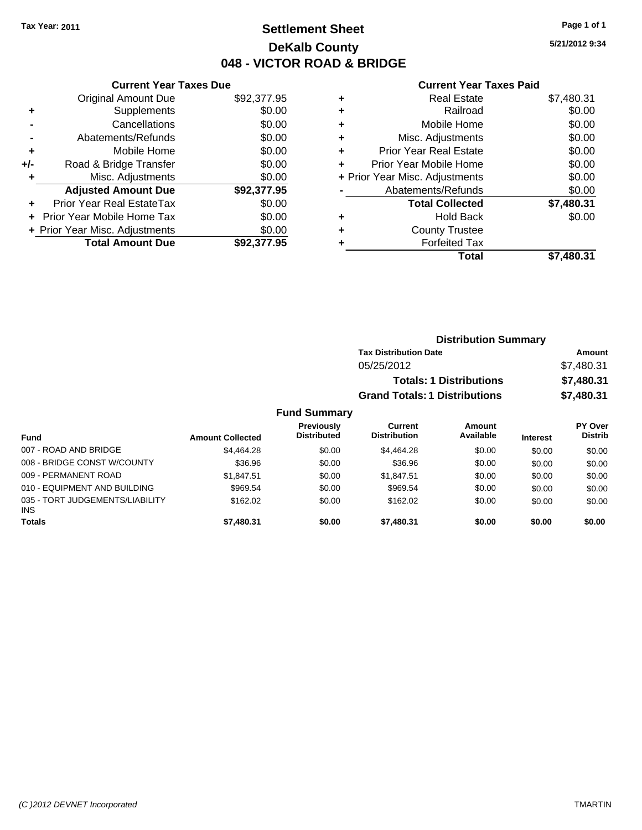# **Settlement Sheet Tax Year: 2011 Page 1 of 1 DeKalb County 048 - VICTOR ROAD & BRIDGE**

**5/21/2012 9:34**

|     | <b>Current Year Taxes Due</b>  |             |
|-----|--------------------------------|-------------|
|     | <b>Original Amount Due</b>     | \$92,377.95 |
| ٠   | Supplements                    | \$0.00      |
|     | Cancellations                  | \$0.00      |
|     | Abatements/Refunds             | \$0.00      |
| ٠   | Mobile Home                    | \$0.00      |
| +/- | Road & Bridge Transfer         | \$0.00      |
|     | Misc. Adjustments              | \$0.00      |
|     | <b>Adjusted Amount Due</b>     | \$92,377.95 |
|     | Prior Year Real EstateTax      | \$0.00      |
|     | Prior Year Mobile Home Tax     | \$0.00      |
|     | + Prior Year Misc. Adjustments | \$0.00      |
|     | <b>Total Amount Due</b>        | \$92,377,95 |
|     |                                |             |

| ٠ | <b>Real Estate</b>             | \$7,480.31 |
|---|--------------------------------|------------|
| ٠ | Railroad                       | \$0.00     |
| ٠ | Mobile Home                    | \$0.00     |
| ٠ | Misc. Adjustments              | \$0.00     |
| ÷ | <b>Prior Year Real Estate</b>  | \$0.00     |
| ÷ | Prior Year Mobile Home         | \$0.00     |
|   | + Prior Year Misc. Adjustments | \$0.00     |
|   | Abatements/Refunds             | \$0.00     |
|   | <b>Total Collected</b>         | \$7,480.31 |
| ٠ | <b>Hold Back</b>               | \$0.00     |
| ٠ | <b>County Trustee</b>          |            |
| ٠ | <b>Forfeited Tax</b>           |            |
|   | Total                          | \$7,480.31 |
|   |                                |            |

|                     | <b>Distribution Summary</b>          |                                |            |  |
|---------------------|--------------------------------------|--------------------------------|------------|--|
|                     | <b>Tax Distribution Date</b>         | Amount                         |            |  |
|                     | 05/25/2012                           |                                | \$7,480.31 |  |
|                     |                                      | <b>Totals: 1 Distributions</b> | \$7,480.31 |  |
|                     | <b>Grand Totals: 1 Distributions</b> |                                | \$7,480.31 |  |
| <b>Fund Summary</b> |                                      |                                |            |  |
| <b>Draviaught</b>   | $P_{\text{turbant}}$                 | $A$ messat                     | DV Ough    |  |

| Fund                                          | <b>Amount Collected</b> | Previously<br><b>Distributed</b> | Current<br><b>Distribution</b> | Amount<br>Available | <b>Interest</b> | PY Over<br><b>Distrib</b> |
|-----------------------------------------------|-------------------------|----------------------------------|--------------------------------|---------------------|-----------------|---------------------------|
| 007 - ROAD AND BRIDGE                         | \$4,464.28              | \$0.00                           | \$4.464.28                     | \$0.00              | \$0.00          | \$0.00                    |
| 008 - BRIDGE CONST W/COUNTY                   | \$36.96                 | \$0.00                           | \$36.96                        | \$0.00              | \$0.00          | \$0.00                    |
| 009 - PERMANENT ROAD                          | \$1.847.51              | \$0.00                           | \$1.847.51                     | \$0.00              | \$0.00          | \$0.00                    |
| 010 - EQUIPMENT AND BUILDING                  | \$969.54                | \$0.00                           | \$969.54                       | \$0.00              | \$0.00          | \$0.00                    |
| 035 - TORT JUDGEMENTS/LIABILITY<br><b>INS</b> | \$162.02                | \$0.00                           | \$162.02                       | \$0.00              | \$0.00          | \$0.00                    |
| <b>Totals</b>                                 | \$7,480.31              | \$0.00                           | \$7,480.31                     | \$0.00              | \$0.00          | \$0.00                    |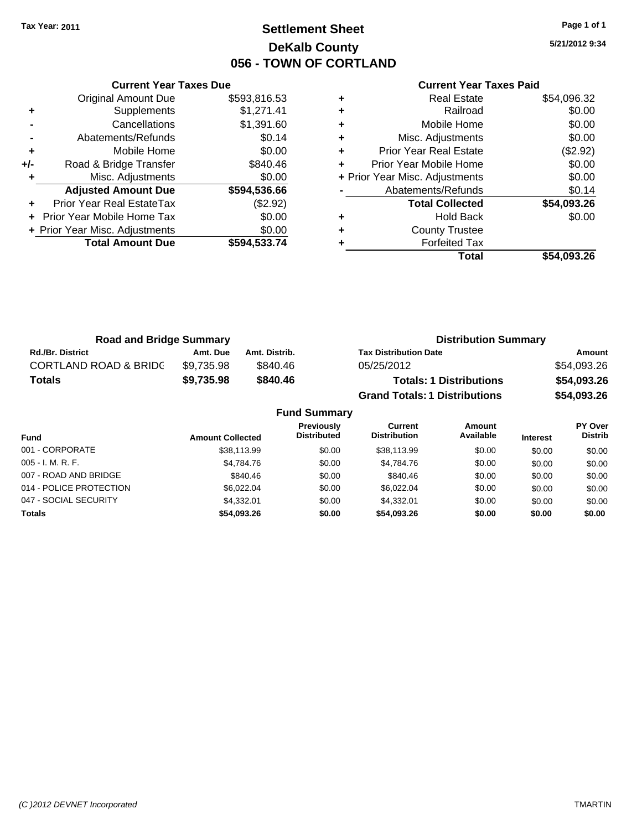**Current Year Taxes Due** Original Amount Due \$593,816.53

**Adjusted Amount Due \$594,536.66**

**Total Amount Due \$594,533.74**

**+** Supplements \$1,271.41 **-** Cancellations \$1,391.60 **-** Abatements/Refunds \$0.14 **+** Mobile Home \$0.00 **+/-** Road & Bridge Transfer \$840.46 **+** Misc. Adjustments \$0.00

**+** Prior Year Real EstateTax (\$2.92) **+** Prior Year Mobile Home Tax \$0.00 **+ Prior Year Misc. Adjustments**  $$0.00$ 

# **Settlement Sheet Tax Year: 2011 Page 1 of 1 DeKalb County 056 - TOWN OF CORTLAND**

**5/21/2012 9:34**

| ٠ | <b>Real Estate</b>             | \$54,096.32 |
|---|--------------------------------|-------------|
| ٠ | Railroad                       | \$0.00      |
| ٠ | Mobile Home                    | \$0.00      |
| ٠ | Misc. Adjustments              | \$0.00      |
| ٠ | <b>Prior Year Real Estate</b>  | (\$2.92)    |
| ÷ | Prior Year Mobile Home         | \$0.00      |
|   | + Prior Year Misc. Adjustments | \$0.00      |
|   | Abatements/Refunds             | \$0.14      |
|   | <b>Total Collected</b>         | \$54,093.26 |
| ٠ | <b>Hold Back</b>               | \$0.00      |
| ٠ | <b>County Trustee</b>          |             |
|   | <b>Forfeited Tax</b>           |             |
|   | Total                          | \$54.093.26 |

| <b>Road and Bridge Summary</b>   |            |                     | <b>Distribution Summary</b>          |             |
|----------------------------------|------------|---------------------|--------------------------------------|-------------|
| <b>Rd./Br. District</b>          | Amt. Due   | Amt. Distrib.       | <b>Tax Distribution Date</b>         | Amount      |
| <b>CORTLAND ROAD &amp; BRIDC</b> | \$9,735.98 | \$840.46            | 05/25/2012                           | \$54,093.26 |
| <b>Totals</b>                    | \$9,735.98 | \$840.46            | <b>Totals: 1 Distributions</b>       | \$54,093.26 |
|                                  |            |                     | <b>Grand Totals: 1 Distributions</b> | \$54,093.26 |
|                                  |            | <b>Fund Summary</b> |                                      |             |

| <b>Fund</b>             | <b>Amount Collected</b> | <b>Previously</b><br><b>Distributed</b> | <b>Current</b><br><b>Distribution</b> | Amount<br>Available | <b>Interest</b> | PY Over<br><b>Distrib</b> |
|-------------------------|-------------------------|-----------------------------------------|---------------------------------------|---------------------|-----------------|---------------------------|
| 001 - CORPORATE         | \$38,113.99             | \$0.00                                  | \$38,113.99                           | \$0.00              | \$0.00          | \$0.00                    |
| $005 - I. M. R. F.$     | \$4,784.76              | \$0.00                                  | \$4,784.76                            | \$0.00              | \$0.00          | \$0.00                    |
| 007 - ROAD AND BRIDGE   | \$840.46                | \$0.00                                  | \$840.46                              | \$0.00              | \$0.00          | \$0.00                    |
| 014 - POLICE PROTECTION | \$6.022.04              | \$0.00                                  | \$6.022.04                            | \$0.00              | \$0.00          | \$0.00                    |
| 047 - SOCIAL SECURITY   | \$4,332.01              | \$0.00                                  | \$4.332.01                            | \$0.00              | \$0.00          | \$0.00                    |
| <b>Totals</b>           | \$54,093.26             | \$0.00                                  | \$54,093.26                           | \$0.00              | \$0.00          | \$0.00                    |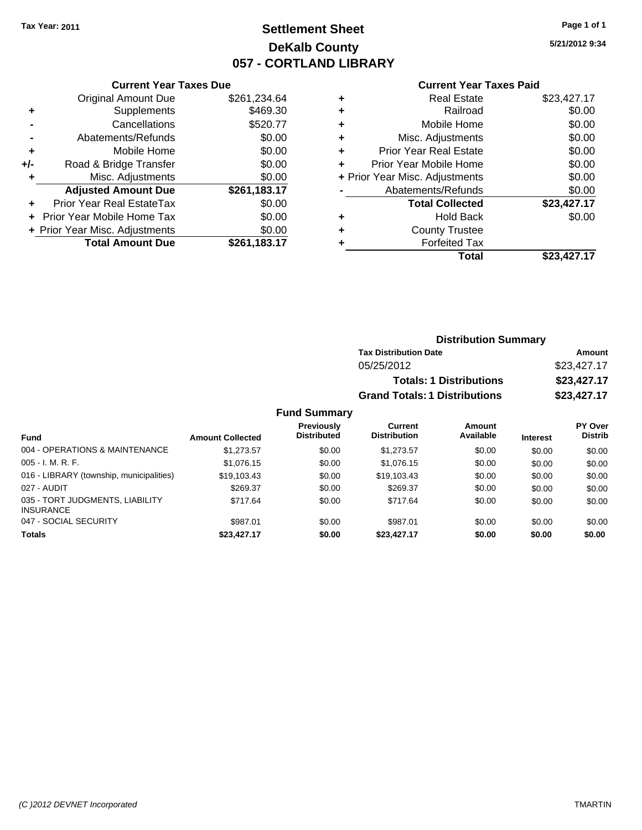# **Settlement Sheet Tax Year: 2011 Page 1 of 1 DeKalb County 057 - CORTLAND LIBRARY**

**5/21/2012 9:34**

#### **Current Year Taxes Paid**

| <b>Current Year Taxes Due</b>        |                                |  |  |  |  |  |
|--------------------------------------|--------------------------------|--|--|--|--|--|
| <b>Original Amount Due</b>           | \$261,234.64                   |  |  |  |  |  |
| Supplements                          | \$469.30                       |  |  |  |  |  |
| Cancellations                        | \$520.77                       |  |  |  |  |  |
| Abatements/Refunds                   | \$0.00                         |  |  |  |  |  |
| Mobile Home                          | \$0.00                         |  |  |  |  |  |
| Road & Bridge Transfer               | \$0.00                         |  |  |  |  |  |
| Misc. Adjustments                    | \$0.00                         |  |  |  |  |  |
| <b>Adjusted Amount Due</b>           | \$261,183.17                   |  |  |  |  |  |
| Prior Year Real EstateTax            | \$0.00                         |  |  |  |  |  |
| \$0.00<br>Prior Year Mobile Home Tax |                                |  |  |  |  |  |
|                                      | \$0.00                         |  |  |  |  |  |
| <b>Total Amount Due</b>              | \$261.183.17                   |  |  |  |  |  |
|                                      | + Prior Year Misc. Adjustments |  |  |  |  |  |

| <b>Real Estate</b>             | \$23,427.17 |
|--------------------------------|-------------|
| Railroad                       | \$0.00      |
| Mobile Home                    | \$0.00      |
| Misc. Adjustments              | \$0.00      |
| <b>Prior Year Real Estate</b>  | \$0.00      |
| Prior Year Mobile Home         | \$0.00      |
| + Prior Year Misc. Adjustments | \$0.00      |
| Abatements/Refunds             | \$0.00      |
| <b>Total Collected</b>         | \$23,427.17 |
| <b>Hold Back</b>               | \$0.00      |
| <b>County Trustee</b>          |             |
| <b>Forfeited Tax</b>           |             |
| Total                          | \$23.427.17 |
|                                |             |

| <b>Distribution Summary</b>          |             |  |  |  |
|--------------------------------------|-------------|--|--|--|
| <b>Tax Distribution Date</b>         | Amount      |  |  |  |
| 05/25/2012                           | \$23,427.17 |  |  |  |
| <b>Totals: 1 Distributions</b>       | \$23,427.17 |  |  |  |
| <b>Grand Totals: 1 Distributions</b> | \$23,427.17 |  |  |  |

### **Fund Summary**

|                                                     |                         | <b>Previously</b>  | Current             | Amount    |                 | PY Over        |
|-----------------------------------------------------|-------------------------|--------------------|---------------------|-----------|-----------------|----------------|
| <b>Fund</b>                                         | <b>Amount Collected</b> | <b>Distributed</b> | <b>Distribution</b> | Available | <b>Interest</b> | <b>Distrib</b> |
| 004 - OPERATIONS & MAINTENANCE                      | \$1,273.57              | \$0.00             | \$1,273.57          | \$0.00    | \$0.00          | \$0.00         |
| $005 - I. M. R. F.$                                 | \$1,076.15              | \$0.00             | \$1,076.15          | \$0.00    | \$0.00          | \$0.00         |
| 016 - LIBRARY (township, municipalities)            | \$19,103.43             | \$0.00             | \$19,103.43         | \$0.00    | \$0.00          | \$0.00         |
| 027 - AUDIT                                         | \$269.37                | \$0.00             | \$269.37            | \$0.00    | \$0.00          | \$0.00         |
| 035 - TORT JUDGMENTS, LIABILITY<br><b>INSURANCE</b> | \$717.64                | \$0.00             | \$717.64            | \$0.00    | \$0.00          | \$0.00         |
| 047 - SOCIAL SECURITY                               | \$987.01                | \$0.00             | \$987.01            | \$0.00    | \$0.00          | \$0.00         |
| <b>Totals</b>                                       | \$23,427.17             | \$0.00             | \$23,427.17         | \$0.00    | \$0.00          | \$0.00         |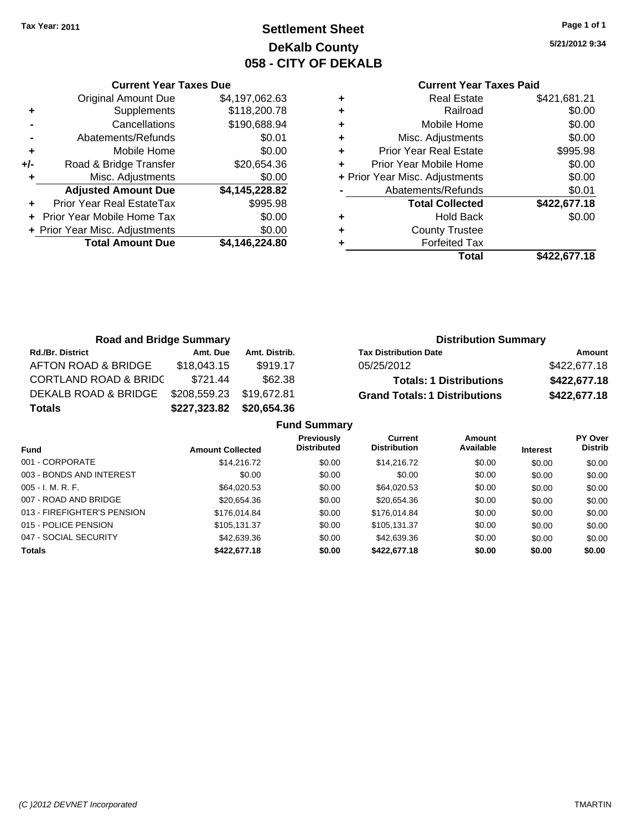Original Amount Due

**Adjusted Amount Due** 

**Total Amount Due** 

**+** Supplements **-** Cancellations **-** Abatements/Refunds **+** Mobile Home **+/-** Road & Bridge Transfer **+** Misc. Adjustments

**+** Prior Year Real EstateTax **+** Prior Year Mobile Home Tax **+ Prior Year Misc. Adjustments** 

# **Settlement Sheet Tax Year: 2011 Page 1 of 1 DeKalb County 058 - CITY OF DEKALB**

**5/21/2012 9:34**

**Total \$422,677.18**

| <b>Current Year Taxes Due</b> |                |   | <b>Current Year Taxes Paid</b> |              |
|-------------------------------|----------------|---|--------------------------------|--------------|
| ıl Amount Due                 | \$4,197,062.63 | ٠ | <b>Real Estate</b>             | \$421,681.21 |
| Supplements                   | \$118,200.78   | ٠ | Railroad                       | \$0.00       |
| Cancellations                 | \$190,688.94   | ٠ | Mobile Home                    | \$0.00       |
| าents/Refunds                 | \$0.01         | ٠ | Misc. Adjustments              | \$0.00       |
| Mobile Home                   | \$0.00         | ÷ | <b>Prior Year Real Estate</b>  | \$995.98     |
| ridge Transfer                | \$20,654.36    | ÷ | Prior Year Mobile Home         | \$0.00       |
| . Adjustments                 | \$0.00         |   | + Prior Year Misc. Adjustments | \$0.00       |
| <b>Amount Due</b>             | \$4,145,228.82 |   | Abatements/Refunds             | \$0.01       |
| eal EstateTax                 | \$995.98       |   | <b>Total Collected</b>         | \$422,677.18 |
| pile Home Tax                 | \$0.00         | ٠ | <b>Hold Back</b>               | \$0.00       |
| . Adjustments                 | \$0.00         | ÷ | <b>County Trustee</b>          |              |
| <b>Amount Due</b>             | \$4,146,224.80 |   | <b>Forfeited Tax</b>           |              |
|                               |                |   | Total                          | \$422.677.18 |

| <b>Road and Bridge Summary</b>   |              |                     | <b>Distribution Summary</b>          |              |
|----------------------------------|--------------|---------------------|--------------------------------------|--------------|
| <b>Rd./Br. District</b>          | Amt. Due     | Amt. Distrib.       | <b>Tax Distribution Date</b>         | Amount       |
| AFTON ROAD & BRIDGE              | \$18,043.15  | \$919.17            | 05/25/2012                           | \$422,677.18 |
| <b>CORTLAND ROAD &amp; BRIDC</b> | \$721.44     | \$62.38             | <b>Totals: 1 Distributions</b>       | \$422,677.18 |
| DEKALB ROAD & BRIDGE             | \$208,559.23 | \$19,672.81         | <b>Grand Totals: 1 Distributions</b> | \$422,677.18 |
| <b>Totals</b>                    | \$227,323.82 | \$20,654.36         |                                      |              |
|                                  |              | <b>Fund Summary</b> |                                      |              |

| unu Junnary                 |                         |                                         |                                       |                     |                 |                           |
|-----------------------------|-------------------------|-----------------------------------------|---------------------------------------|---------------------|-----------------|---------------------------|
| <b>Fund</b>                 | <b>Amount Collected</b> | <b>Previously</b><br><b>Distributed</b> | <b>Current</b><br><b>Distribution</b> | Amount<br>Available | <b>Interest</b> | PY Over<br><b>Distrib</b> |
| 001 - CORPORATE             | \$14,216.72             | \$0.00                                  | \$14,216.72                           | \$0.00              | \$0.00          | \$0.00                    |
| 003 - BONDS AND INTEREST    | \$0.00                  | \$0.00                                  | \$0.00                                | \$0.00              | \$0.00          | \$0.00                    |
| $005 - I. M. R. F.$         | \$64,020.53             | \$0.00                                  | \$64,020.53                           | \$0.00              | \$0.00          | \$0.00                    |
| 007 - ROAD AND BRIDGE       | \$20,654.36             | \$0.00                                  | \$20,654.36                           | \$0.00              | \$0.00          | \$0.00                    |
| 013 - FIREFIGHTER'S PENSION | \$176,014.84            | \$0.00                                  | \$176,014.84                          | \$0.00              | \$0.00          | \$0.00                    |
| 015 - POLICE PENSION        | \$105,131.37            | \$0.00                                  | \$105,131.37                          | \$0.00              | \$0.00          | \$0.00                    |
| 047 - SOCIAL SECURITY       | \$42,639.36             | \$0.00                                  | \$42,639,36                           | \$0.00              | \$0.00          | \$0.00                    |
| <b>Totals</b>               | \$422,677,18            | \$0.00                                  | \$422,677.18                          | \$0.00              | \$0.00          | \$0.00                    |
|                             |                         |                                         |                                       |                     |                 |                           |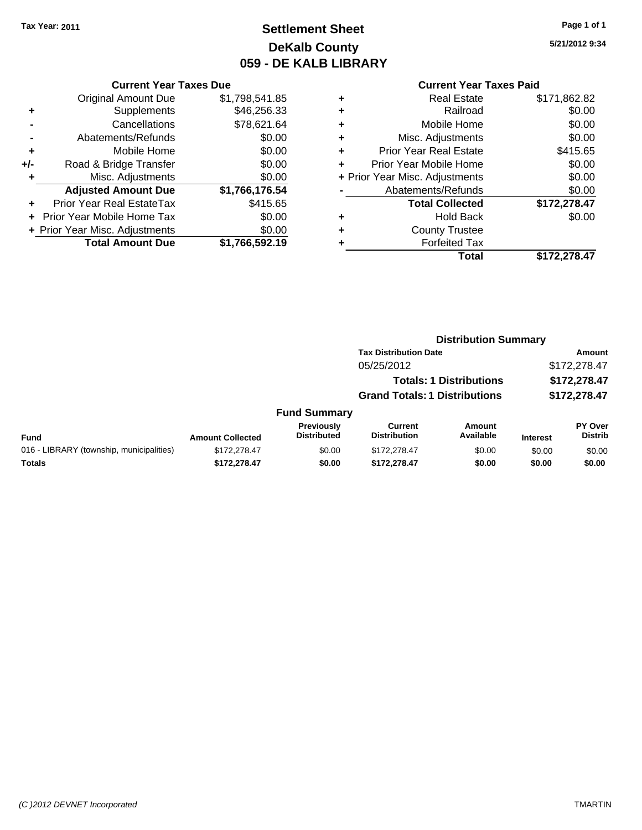# **Settlement Sheet Tax Year: 2011 Page 1 of 1 DeKalb County 059 - DE KALB LIBRARY**

**5/21/2012 9:34**

#### **Current Year Taxes Due**

|     | <b>Original Amount Due</b>     | \$1,798,541.85 |
|-----|--------------------------------|----------------|
| ٠   | Supplements                    | \$46,256.33    |
|     | Cancellations                  | \$78,621.64    |
|     | Abatements/Refunds             | \$0.00         |
| ٠   | Mobile Home                    | \$0.00         |
| +/- | Road & Bridge Transfer         | \$0.00         |
| ٠   | Misc. Adjustments              | \$0.00         |
|     | <b>Adjusted Amount Due</b>     | \$1,766,176.54 |
|     | Prior Year Real EstateTax      | \$415.65       |
|     | Prior Year Mobile Home Tax     | \$0.00         |
|     | + Prior Year Misc. Adjustments | \$0.00         |
|     | <b>Total Amount Due</b>        | \$1,766,592.19 |

#### **Current Year Taxes Paid**

| ٠<br>٠ | <b>Forfeited Tax</b>                      |              |
|--------|-------------------------------------------|--------------|
| ٠      | <b>Hold Back</b><br><b>County Trustee</b> | \$0.00       |
|        | <b>Total Collected</b>                    | \$172,278.47 |
|        | Abatements/Refunds                        | \$0.00       |
|        | + Prior Year Misc. Adjustments            | \$0.00       |
| ٠      | Prior Year Mobile Home                    | \$0.00       |
| ٠      | <b>Prior Year Real Estate</b>             | \$415.65     |
| ٠      | Misc. Adjustments                         | \$0.00       |
| ٠      | Mobile Home                               | \$0.00       |
| ٠      | Railroad                                  | \$0.00       |
| ٠      | <b>Real Estate</b>                        | \$171,862.82 |

#### **Distribution Summary Tax Distribution Date Amount** 05/25/2012 \$172,278.47 **Totals: 1 Distributions \$172,278.47 Grand Totals: 1 Distributions \$172,278.47 Fund Summary PY Over Amount Current Previously**

|                                          |                         | Previously         | Current             | Amount    |                 | <b>PY Over</b> |
|------------------------------------------|-------------------------|--------------------|---------------------|-----------|-----------------|----------------|
| <b>Fund</b>                              | <b>Amount Collected</b> | <b>Distributed</b> | <b>Distribution</b> | Available | <b>Interest</b> | Distrib        |
| 016 - LIBRARY (township, municipalities) | \$172,278.47            | \$0.00             | \$172,278.47        | \$0.00    | \$0.00          | \$0.00         |
| <b>Totals</b>                            | \$172.278.47            | \$0.00             | \$172,278.47        | \$0.00    | \$0.00          | \$0.00         |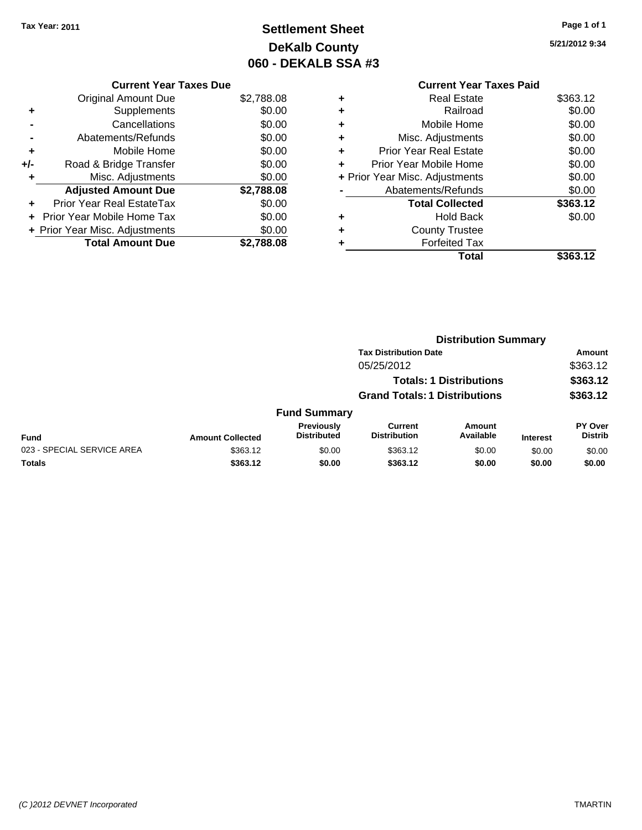# **Settlement Sheet Tax Year: 2011 Page 1 of 1 DeKalb County 060 - DEKALB SSA #3**

**5/21/2012 9:34**

| <b>Current Year Taxes Due</b>     |            |
|-----------------------------------|------------|
| <b>Original Amount Due</b>        | \$2,788.08 |
| Supplements                       | \$0.00     |
| Cancellations                     | \$0.00     |
| Abatements/Refunds                | \$0.00     |
| Mobile Home                       | \$0.00     |
| Road & Bridge Transfer            | \$0.00     |
| Misc. Adjustments                 | \$0.00     |
| <b>Adjusted Amount Due</b>        | \$2,788.08 |
| Prior Year Real EstateTax         | \$0.00     |
| <b>Prior Year Mobile Home Tax</b> | \$0.00     |
| + Prior Year Misc. Adjustments    | \$0.00     |
| <b>Total Amount Due</b>           | \$2.788.08 |
|                                   |            |
|                                   |            |

|   | <b>Current Year Taxes Paid</b> |          |
|---|--------------------------------|----------|
|   | <b>Real Estate</b>             | \$363.12 |
| ٠ | Railroad                       | \$0.00   |
|   | Mobile Home                    | \$0.00   |
|   | Misc. Adjustments              | \$0.00   |
| ÷ | <b>Prior Year Real Estate</b>  | \$0.00   |
| ÷ | Prior Year Mobile Home         | \$0.00   |
|   | + Prior Year Misc. Adjustments | \$0.00   |
|   | Abatements/Refunds             | \$0.00   |
|   | <b>Total Collected</b>         | \$363.12 |
|   | <b>Hold Back</b>               | \$0.00   |
|   | <b>County Trustee</b>          |          |
|   | <b>Forfeited Tax</b>           |          |
|   | Total                          | \$363.12 |

|                            |                         | <b>Distribution Summary</b>      |                                      |                     |                 |                           |
|----------------------------|-------------------------|----------------------------------|--------------------------------------|---------------------|-----------------|---------------------------|
|                            |                         |                                  | <b>Tax Distribution Date</b>         |                     |                 | Amount                    |
|                            |                         |                                  | 05/25/2012                           |                     |                 | \$363.12                  |
|                            |                         |                                  | <b>Totals: 1 Distributions</b>       |                     |                 | \$363.12                  |
|                            |                         |                                  | <b>Grand Totals: 1 Distributions</b> |                     |                 | \$363.12                  |
|                            |                         | <b>Fund Summary</b>              |                                      |                     |                 |                           |
| Fund                       | <b>Amount Collected</b> | Previously<br><b>Distributed</b> | Current<br><b>Distribution</b>       | Amount<br>Available | <b>Interest</b> | PY Over<br><b>Distrib</b> |
| 023 - SPECIAL SERVICE AREA | \$363.12                | \$0.00                           | \$363.12                             | \$0.00              | \$0.00          | \$0.00                    |
| Totals                     | \$363.12                | \$0.00                           | \$363.12                             | \$0.00              | \$0.00          | \$0.00                    |
|                            |                         |                                  |                                      |                     |                 |                           |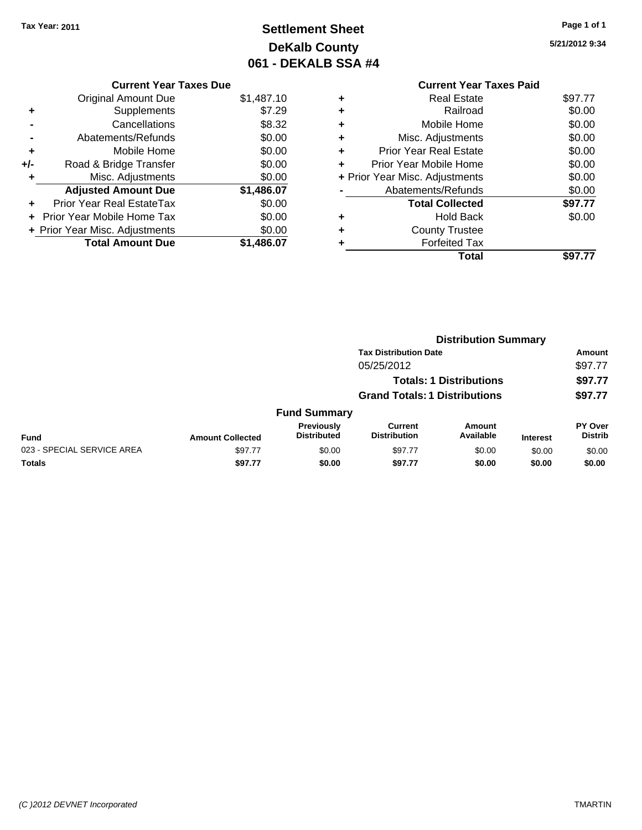**Current Year Taxes Due** Original Amount Due \$1,487.10

**Proad & Bridge Transfer \$0.00** 

**Adjusted Amount Due \$1,486.07**

**Total Amount Due \$1,486.07**

**+** Supplements \$7.29 **-** Cancellations \$8.32 **-** Abatements/Refunds \$0.00 **+** Mobile Home \$0.00<br>**+/-** Road & Bridge Transfer \$0.00

**+** Misc. Adjustments \$0.00

**+** Prior Year Real EstateTax \$0.00 **+** Prior Year Mobile Home Tax \$0.00 **+ Prior Year Misc. Adjustments**  $$0.00$ 

# **Settlement Sheet Tax Year: 2011 Page 1 of 1 DeKalb County 061 - DEKALB SSA #4**

**5/21/2012 9:34**

|   | <b>Current Year Taxes Paid</b> |         |
|---|--------------------------------|---------|
| ٠ | <b>Real Estate</b>             | \$97.77 |
| ٠ | Railroad                       | \$0.00  |
| ٠ | Mobile Home                    | \$0.00  |
| ٠ | Misc. Adjustments              | \$0.00  |
| ٠ | Prior Year Real Estate         | \$0.00  |
| ٠ | Prior Year Mobile Home         | \$0.00  |
|   | + Prior Year Misc. Adjustments | \$0.00  |
|   | Abatements/Refunds             | \$0.00  |
|   | <b>Total Collected</b>         | \$97.77 |
| ٠ | <b>Hold Back</b>               | \$0.00  |
|   | <b>County Trustee</b>          |         |
|   | <b>Forfeited Tax</b>           |         |
|   | Total                          | \$97    |

|                            |                         | <b>Distribution Summary</b>      |                                       |                                |                 |                                  |
|----------------------------|-------------------------|----------------------------------|---------------------------------------|--------------------------------|-----------------|----------------------------------|
|                            |                         |                                  | <b>Tax Distribution Date</b>          |                                |                 | Amount                           |
|                            |                         |                                  | 05/25/2012                            |                                |                 | \$97.77                          |
|                            |                         |                                  |                                       | <b>Totals: 1 Distributions</b> |                 | \$97.77                          |
|                            |                         |                                  | <b>Grand Totals: 1 Distributions</b>  |                                |                 | \$97.77                          |
|                            |                         | <b>Fund Summary</b>              |                                       |                                |                 |                                  |
| Fund                       | <b>Amount Collected</b> | Previously<br><b>Distributed</b> | <b>Current</b><br><b>Distribution</b> | <b>Amount</b><br>Available     | <b>Interest</b> | <b>PY Over</b><br><b>Distrib</b> |
| 023 - SPECIAL SERVICE AREA | \$97.77                 | \$0.00                           | \$97.77                               | \$0.00                         | \$0.00          | \$0.00                           |
| Totals                     | \$97.77                 | \$0.00                           | \$97.77                               | \$0.00                         | \$0.00          | \$0.00                           |
|                            |                         |                                  |                                       |                                |                 |                                  |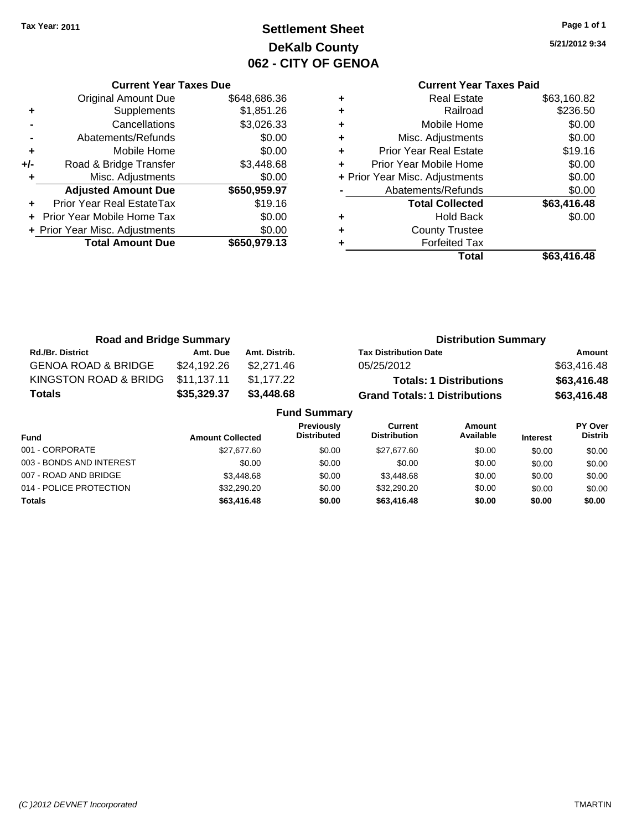**Current Year Taxes Due** Original Amount Due \$648,686.36

**Adjusted Amount Due \$650,959.97**

**Total Amount Due \$650,979.13**

**+** Supplements \$1,851.26 **-** Cancellations \$3,026.33 **-** Abatements/Refunds \$0.00 **+** Mobile Home \$0.00 **+/-** Road & Bridge Transfer \$3,448.68 **+** Misc. Adjustments \$0.00

**+** Prior Year Real EstateTax \$19.16 **+** Prior Year Mobile Home Tax \$0.00 **+ Prior Year Misc. Adjustments**  $$0.00$ 

# **Settlement Sheet Tax Year: 2011 Page 1 of 1 DeKalb County 062 - CITY OF GENOA**

**5/21/2012 9:34**

### **Current Year Taxes Paid +** Real Estate \$63,160.82 **+** Railroad \$236.50 **+** Mobile Home \$0.00 **+** Misc. Adjustments \$0.00 **+** Prior Year Real Estate \$19.16 **+** Prior Year Mobile Home \$0.00 **+** Prior Year Misc. Adjustments  $$0.00$ Abatements/Refunds \$0.00 **Total Collected \$63,416.48 +** Hold Back \$0.00 **+** County Trustee **+** Forfeited Tax **Total \$63,416.48**

| <b>Road and Bridge Summary</b> |             |                     | <b>Distribution Summary</b>          |                |
|--------------------------------|-------------|---------------------|--------------------------------------|----------------|
| <b>Rd./Br. District</b>        | Amt. Due    | Amt. Distrib.       | <b>Tax Distribution Date</b>         | Amount         |
| <b>GENOA ROAD &amp; BRIDGE</b> | \$24,192.26 | \$2,271.46          | 05/25/2012                           | \$63,416.48    |
| KINGSTON ROAD & BRIDG          | \$11,137.11 | \$1,177.22          | <b>Totals: 1 Distributions</b>       | \$63,416.48    |
| <b>Totals</b>                  | \$35,329.37 | \$3,448.68          | <b>Grand Totals: 1 Distributions</b> | \$63,416.48    |
|                                |             | <b>Fund Summary</b> |                                      |                |
|                                |             | <b>Previously</b>   | Current<br>Amount                    | <b>PY Over</b> |

| <b>Fund</b>              | <b>Amount Collected</b> | <b>Previously</b><br><b>Distributed</b> | Current<br><b>Distribution</b> | Amount<br>Available | <b>Interest</b> | PY Over<br><b>Distrib</b> |
|--------------------------|-------------------------|-----------------------------------------|--------------------------------|---------------------|-----------------|---------------------------|
| 001 - CORPORATE          | \$27,677.60             | \$0.00                                  | \$27.677.60                    | \$0.00              | \$0.00          | \$0.00                    |
| 003 - BONDS AND INTEREST | \$0.00                  | \$0.00                                  | \$0.00                         | \$0.00              | \$0.00          | \$0.00                    |
| 007 - ROAD AND BRIDGE    | \$3,448.68              | \$0.00                                  | \$3.448.68                     | \$0.00              | \$0.00          | \$0.00                    |
| 014 - POLICE PROTECTION  | \$32,290.20             | \$0.00                                  | \$32,290.20                    | \$0.00              | \$0.00          | \$0.00                    |
| <b>Totals</b>            | \$63,416.48             | \$0.00                                  | \$63,416.48                    | \$0.00              | \$0.00          | \$0.00                    |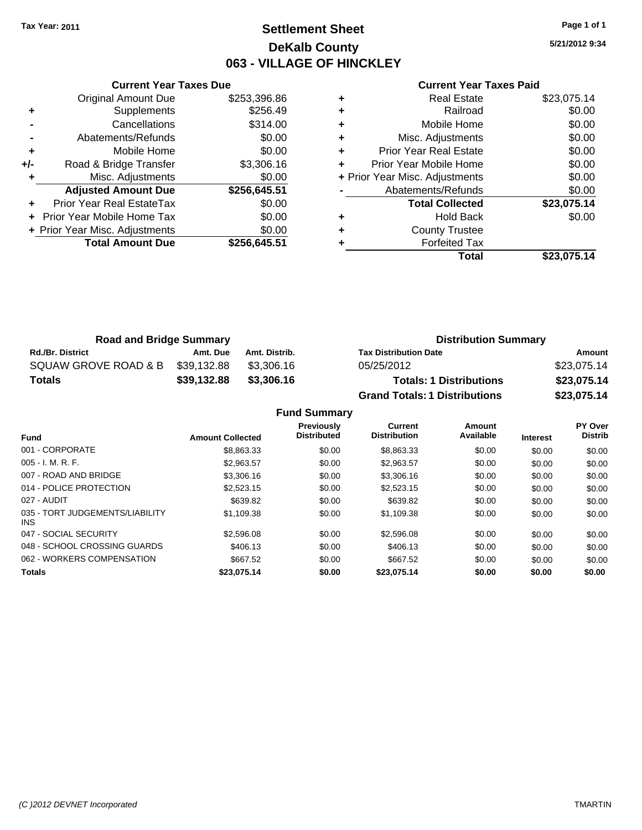# **Settlement Sheet Tax Year: 2011 Page 1 of 1 DeKalb County 063 - VILLAGE OF HINCKLEY**

**5/21/2012 9:34**

#### **Current Year Taxes Paid**

|     | <b>Current Year Taxes Due</b>  |              |
|-----|--------------------------------|--------------|
|     | <b>Original Amount Due</b>     | \$253,396.86 |
| ٠   | Supplements                    | \$256.49     |
|     | Cancellations                  | \$314.00     |
|     | Abatements/Refunds             | \$0.00       |
| ٠   | Mobile Home                    | \$0.00       |
| +/- | Road & Bridge Transfer         | \$3,306.16   |
| ٠   | Misc. Adjustments              | \$0.00       |
|     | <b>Adjusted Amount Due</b>     | \$256,645.51 |
|     | Prior Year Real EstateTax      | \$0.00       |
|     | Prior Year Mobile Home Tax     | \$0.00       |
|     | + Prior Year Misc. Adjustments | \$0.00       |
|     | <b>Total Amount Due</b>        | \$256,645.51 |
|     |                                |              |

|   | <b>Real Estate</b>             | \$23,075.14 |
|---|--------------------------------|-------------|
|   | Railroad                       | \$0.00      |
|   | Mobile Home                    | \$0.00      |
| ٠ | Misc. Adjustments              | \$0.00      |
| ٠ | <b>Prior Year Real Estate</b>  | \$0.00      |
| ٠ | Prior Year Mobile Home         | \$0.00      |
|   | + Prior Year Misc. Adjustments | \$0.00      |
|   | Abatements/Refunds             | \$0.00      |
|   | <b>Total Collected</b>         | \$23,075.14 |
| ٠ | <b>Hold Back</b>               | \$0.00      |
|   | <b>County Trustee</b>          |             |
|   | <b>Forfeited Tax</b>           |             |
|   | Total                          | \$23,075.14 |

| <b>Road and Bridge Summary</b> |             |               | <b>Distribution Summary</b>          |             |
|--------------------------------|-------------|---------------|--------------------------------------|-------------|
| <b>Rd./Br. District</b>        | Amt. Due    | Amt. Distrib. | <b>Tax Distribution Date</b>         | Amount      |
| SQUAW GROVE ROAD & B           | \$39.132.88 | \$3.306.16    | 05/25/2012                           | \$23,075.14 |
| <b>Totals</b>                  | \$39,132.88 | \$3,306.16    | <b>Totals: 1 Distributions</b>       | \$23,075.14 |
|                                |             |               | <b>Grand Totals: 1 Distributions</b> | \$23,075.14 |

**Fund Summary**

|                                         |                         | <b>Previously</b>  | Current             | Amount    |                 | PY Over        |
|-----------------------------------------|-------------------------|--------------------|---------------------|-----------|-----------------|----------------|
| <b>Fund</b>                             | <b>Amount Collected</b> | <b>Distributed</b> | <b>Distribution</b> | Available | <b>Interest</b> | <b>Distrib</b> |
| 001 - CORPORATE                         | \$8,863,33              | \$0.00             | \$8,863,33          | \$0.00    | \$0.00          | \$0.00         |
| $005 - I. M. R. F.$                     | \$2.963.57              | \$0.00             | \$2.963.57          | \$0.00    | \$0.00          | \$0.00         |
| 007 - ROAD AND BRIDGE                   | \$3,306.16              | \$0.00             | \$3,306.16          | \$0.00    | \$0.00          | \$0.00         |
| 014 - POLICE PROTECTION                 | \$2,523.15              | \$0.00             | \$2,523.15          | \$0.00    | \$0.00          | \$0.00         |
| 027 - AUDIT                             | \$639.82                | \$0.00             | \$639.82            | \$0.00    | \$0.00          | \$0.00         |
| 035 - TORT JUDGEMENTS/LIABILITY<br>INS. | \$1,109.38              | \$0.00             | \$1,109.38          | \$0.00    | \$0.00          | \$0.00         |
| 047 - SOCIAL SECURITY                   | \$2,596.08              | \$0.00             | \$2,596.08          | \$0.00    | \$0.00          | \$0.00         |
| 048 - SCHOOL CROSSING GUARDS            | \$406.13                | \$0.00             | \$406.13            | \$0.00    | \$0.00          | \$0.00         |
| 062 - WORKERS COMPENSATION              | \$667.52                | \$0.00             | \$667.52            | \$0.00    | \$0.00          | \$0.00         |
| <b>Totals</b>                           | \$23,075.14             | \$0.00             | \$23.075.14         | \$0.00    | \$0.00          | \$0.00         |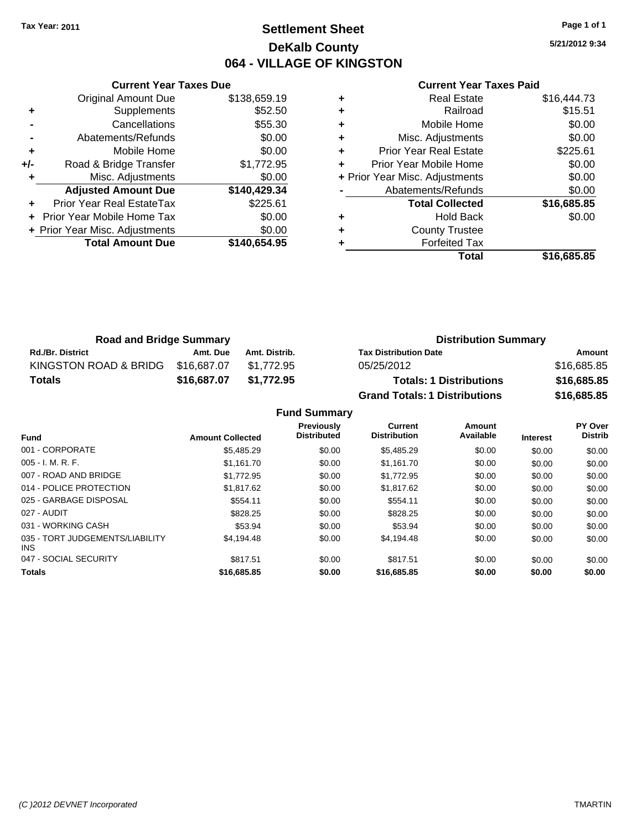# **Settlement Sheet Tax Year: 2011 Page 1 of 1 DeKalb County 064 - VILLAGE OF KINGSTON**

**5/21/2012 9:34**

#### **Current Year Taxes Paid**

|     | <b>Current Year Taxes Due</b>  |              |
|-----|--------------------------------|--------------|
|     | <b>Original Amount Due</b>     | \$138,659.19 |
| ٠   | Supplements                    | \$52.50      |
|     | Cancellations                  | \$55.30      |
|     | Abatements/Refunds             | \$0.00       |
| ٠   | Mobile Home                    | \$0.00       |
| +/- | Road & Bridge Transfer         | \$1,772.95   |
|     | Misc. Adjustments              | \$0.00       |
|     | <b>Adjusted Amount Due</b>     | \$140,429.34 |
|     | Prior Year Real EstateTax      | \$225.61     |
|     | Prior Year Mobile Home Tax     | \$0.00       |
|     | + Prior Year Misc. Adjustments | \$0.00       |
|     | <b>Total Amount Due</b>        | \$140,654.95 |
|     |                                |              |

| ٠ | <b>Real Estate</b>             | \$16,444.73 |
|---|--------------------------------|-------------|
| ٠ | Railroad                       | \$15.51     |
| ٠ | Mobile Home                    | \$0.00      |
| ٠ | Misc. Adjustments              | \$0.00      |
| ÷ | <b>Prior Year Real Estate</b>  | \$225.61    |
| ٠ | Prior Year Mobile Home         | \$0.00      |
|   | + Prior Year Misc. Adjustments | \$0.00      |
|   | Abatements/Refunds             | \$0.00      |
|   | <b>Total Collected</b>         | \$16,685.85 |
| ٠ | Hold Back                      | \$0.00      |
| ٠ | <b>County Trustee</b>          |             |
| ٠ | <b>Forfeited Tax</b>           |             |
|   | Total                          | \$16,685.85 |

| <b>Road and Bridge Summary</b> |             |               | <b>Distribution Summary</b>          |             |
|--------------------------------|-------------|---------------|--------------------------------------|-------------|
| <b>Rd./Br. District</b>        | Amt. Due    | Amt. Distrib. | <b>Tax Distribution Date</b>         | Amount      |
| KINGSTON ROAD & BRIDG          | \$16,687.07 | \$1.772.95    | 05/25/2012                           | \$16,685.85 |
| <b>Totals</b>                  | \$16,687.07 | \$1,772.95    | <b>Totals: 1 Distributions</b>       | \$16,685.85 |
|                                |             |               | <b>Grand Totals: 1 Distributions</b> | \$16,685.85 |

**Fund Summary**

| <b>Fund</b>                             | <b>Amount Collected</b> | <b>Previously</b><br><b>Distributed</b> | Current<br><b>Distribution</b> | Amount<br>Available | <b>Interest</b> | PY Over<br><b>Distrib</b> |
|-----------------------------------------|-------------------------|-----------------------------------------|--------------------------------|---------------------|-----------------|---------------------------|
| 001 - CORPORATE                         | \$5,485.29              | \$0.00                                  | \$5,485.29                     | \$0.00              | \$0.00          | \$0.00                    |
| $005 - I. M. R. F.$                     | \$1.161.70              | \$0.00                                  | \$1,161.70                     | \$0.00              | \$0.00          | \$0.00                    |
| 007 - ROAD AND BRIDGE                   | \$1,772.95              | \$0.00                                  | \$1,772.95                     | \$0.00              | \$0.00          | \$0.00                    |
| 014 - POLICE PROTECTION                 | \$1,817.62              | \$0.00                                  | \$1.817.62                     | \$0.00              | \$0.00          | \$0.00                    |
| 025 - GARBAGE DISPOSAL                  | \$554.11                | \$0.00                                  | \$554.11                       | \$0.00              | \$0.00          | \$0.00                    |
| 027 - AUDIT                             | \$828.25                | \$0.00                                  | \$828.25                       | \$0.00              | \$0.00          | \$0.00                    |
| 031 - WORKING CASH                      | \$53.94                 | \$0.00                                  | \$53.94                        | \$0.00              | \$0.00          | \$0.00                    |
| 035 - TORT JUDGEMENTS/LIABILITY<br>INS. | \$4,194.48              | \$0.00                                  | \$4,194.48                     | \$0.00              | \$0.00          | \$0.00                    |
| 047 - SOCIAL SECURITY                   | \$817.51                | \$0.00                                  | \$817.51                       | \$0.00              | \$0.00          | \$0.00                    |
| <b>Totals</b>                           | \$16,685.85             | \$0.00                                  | \$16,685.85                    | \$0.00              | \$0.00          | \$0.00                    |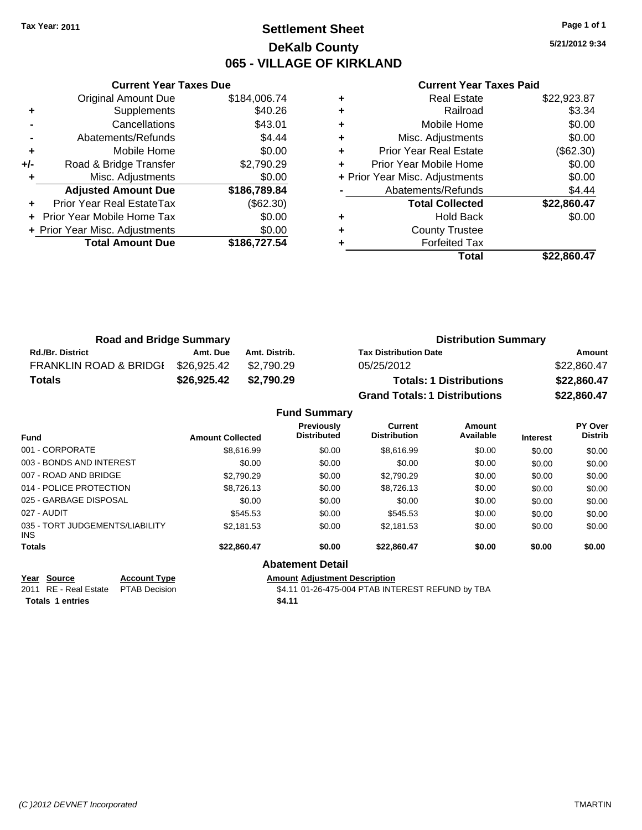# **Settlement Sheet Tax Year: 2011 Page 1 of 1 DeKalb County 065 - VILLAGE OF KIRKLAND**

**5/21/2012 9:34**

#### **Current Year Taxes Paid**

|       | <b>Current Year Taxes Due</b>     |              |  |  |  |
|-------|-----------------------------------|--------------|--|--|--|
|       | <b>Original Amount Due</b>        | \$184,006.74 |  |  |  |
| ٠     | Supplements                       | \$40.26      |  |  |  |
|       | Cancellations                     | \$43.01      |  |  |  |
|       | Abatements/Refunds                | \$4.44       |  |  |  |
| ٠     | Mobile Home                       | \$0.00       |  |  |  |
| $+/-$ | Road & Bridge Transfer            | \$2,790.29   |  |  |  |
| ٠     | Misc. Adjustments                 | \$0.00       |  |  |  |
|       | <b>Adjusted Amount Due</b>        | \$186,789.84 |  |  |  |
|       | Prior Year Real EstateTax         | (\$62.30)    |  |  |  |
|       | <b>Prior Year Mobile Home Tax</b> | \$0.00       |  |  |  |
|       | + Prior Year Misc. Adjustments    | \$0.00       |  |  |  |
|       | <b>Total Amount Due</b>           | \$186,727.54 |  |  |  |
|       |                                   |              |  |  |  |

| ٠ | <b>Real Estate</b>             | \$22,923.87 |
|---|--------------------------------|-------------|
|   | Railroad                       | \$3.34      |
| ٠ | Mobile Home                    | \$0.00      |
| ٠ | Misc. Adjustments              | \$0.00      |
| ٠ | <b>Prior Year Real Estate</b>  | (\$62.30)   |
| ÷ | Prior Year Mobile Home         | \$0.00      |
|   | + Prior Year Misc. Adjustments | \$0.00      |
|   | Abatements/Refunds             | \$4.44      |
|   | <b>Total Collected</b>         | \$22,860.47 |
| ٠ | <b>Hold Back</b>               | \$0.00      |
| ٠ | <b>County Trustee</b>          |             |
|   | <b>Forfeited Tax</b>           |             |
|   | Total                          | \$22,860.47 |

| <b>Road and Bridge Summary</b>    |             |               | <b>Distribution Summary</b>          |             |  |
|-----------------------------------|-------------|---------------|--------------------------------------|-------------|--|
| <b>Rd./Br. District</b>           | Amt. Due    | Amt. Distrib. | <b>Tax Distribution Date</b>         | Amount      |  |
| <b>FRANKLIN ROAD &amp; BRIDGI</b> | \$26,925.42 | \$2.790.29    | 05/25/2012                           | \$22,860.47 |  |
| <b>Totals</b>                     | \$26,925.42 | \$2,790.29    | <b>Totals: 1 Distributions</b>       | \$22,860.47 |  |
|                                   |             |               | <b>Grand Totals: 1 Distributions</b> | \$22,860.47 |  |

### **Fund Summary**

| <b>Fund</b>                                |                                             | <b>Amount Collected</b> | Previously<br><b>Distributed</b>     | Current<br><b>Distribution</b>                   | Amount<br>Available | <b>Interest</b> | <b>PY Over</b><br><b>Distrib</b> |
|--------------------------------------------|---------------------------------------------|-------------------------|--------------------------------------|--------------------------------------------------|---------------------|-----------------|----------------------------------|
| 001 - CORPORATE                            |                                             | \$8,616.99              | \$0.00                               | \$8,616.99                                       | \$0.00              | \$0.00          | \$0.00                           |
| 003 - BONDS AND INTEREST                   |                                             | \$0.00                  | \$0.00                               | \$0.00                                           | \$0.00              | \$0.00          | \$0.00                           |
| 007 - ROAD AND BRIDGE                      |                                             | \$2,790.29              | \$0.00                               | \$2,790.29                                       | \$0.00              | \$0.00          | \$0.00                           |
| 014 - POLICE PROTECTION                    |                                             | \$8,726.13              | \$0.00                               | \$8,726.13                                       | \$0.00              | \$0.00          | \$0.00                           |
| 025 - GARBAGE DISPOSAL                     |                                             | \$0.00                  | \$0.00                               | \$0.00                                           | \$0.00              | \$0.00          | \$0.00                           |
| 027 - AUDIT                                |                                             | \$545.53                | \$0.00                               | \$545.53                                         | \$0.00              | \$0.00          | \$0.00                           |
| 035 - TORT JUDGEMENTS/LIABILITY<br>INS.    |                                             | \$2,181.53              | \$0.00                               | \$2,181.53                                       | \$0.00              | \$0.00          | \$0.00                           |
| <b>Totals</b>                              |                                             | \$22,860.47             | \$0.00                               | \$22.860.47                                      | \$0.00              | \$0.00          | \$0.00                           |
|                                            |                                             |                         | <b>Abatement Detail</b>              |                                                  |                     |                 |                                  |
| Source<br>Year<br>RE - Real Estate<br>2011 | <b>Account Type</b><br><b>PTAB Decision</b> |                         | <b>Amount Adjustment Description</b> | \$4.11 01-26-475-004 PTAB INTEREST REFUND by TBA |                     |                 |                                  |

Totals 1 entries **\$4.11**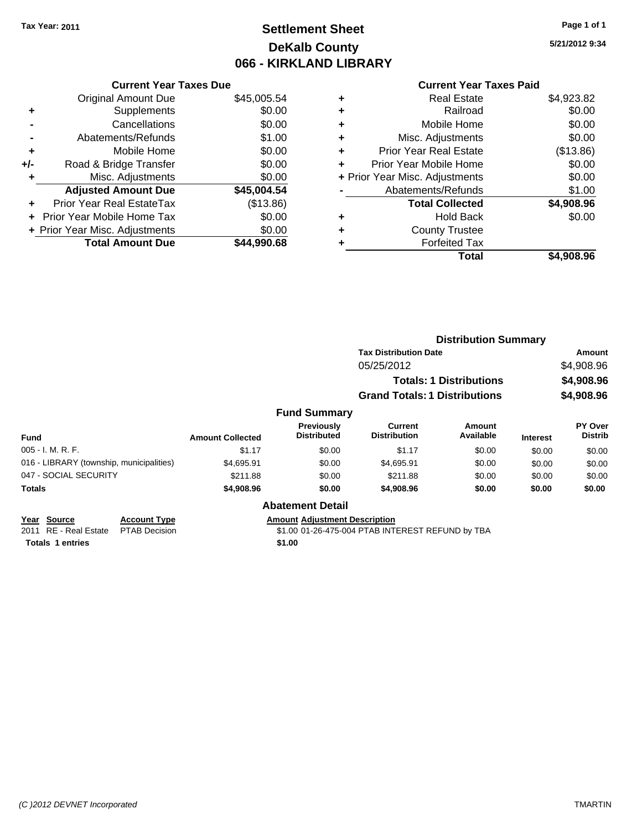# **Settlement Sheet Tax Year: 2011 Page 1 of 1 DeKalb County 066 - KIRKLAND LIBRARY**

**5/21/2012 9:34**

#### **Current Year Taxes Paid**

|     | <b>Current Year Taxes Due</b>    |             |  |  |  |
|-----|----------------------------------|-------------|--|--|--|
|     | <b>Original Amount Due</b>       | \$45,005.54 |  |  |  |
| ٠   | Supplements                      | \$0.00      |  |  |  |
|     | Cancellations                    | \$0.00      |  |  |  |
|     | Abatements/Refunds               | \$1.00      |  |  |  |
| ٠   | Mobile Home                      | \$0.00      |  |  |  |
| +/- | \$0.00<br>Road & Bridge Transfer |             |  |  |  |
|     | Misc. Adjustments                | \$0.00      |  |  |  |
|     | <b>Adjusted Amount Due</b>       | \$45,004.54 |  |  |  |
|     | Prior Year Real EstateTax        | (\$13.86)   |  |  |  |
|     | Prior Year Mobile Home Tax       | \$0.00      |  |  |  |
|     | + Prior Year Misc. Adjustments   | \$0.00      |  |  |  |
|     | <b>Total Amount Due</b>          | \$44.990.68 |  |  |  |
|     |                                  |             |  |  |  |

| ٠ | <b>Real Estate</b>             | \$4,923.82 |
|---|--------------------------------|------------|
| ٠ | Railroad                       | \$0.00     |
| ٠ | Mobile Home                    | \$0.00     |
| ٠ | Misc. Adjustments              | \$0.00     |
| ÷ | <b>Prior Year Real Estate</b>  | (\$13.86)  |
|   | Prior Year Mobile Home         | \$0.00     |
|   | + Prior Year Misc. Adjustments | \$0.00     |
|   | Abatements/Refunds             | \$1.00     |
|   | <b>Total Collected</b>         | \$4,908.96 |
| ٠ | <b>Hold Back</b>               | \$0.00     |
| ٠ | <b>County Trustee</b>          |            |
| ٠ | <b>Forfeited Tax</b>           |            |
|   | Total                          | \$4,908.96 |
|   |                                |            |

|                                          |                     |                         |                                      |                                       | <b>Distribution Summary</b>    |                 |                                  |
|------------------------------------------|---------------------|-------------------------|--------------------------------------|---------------------------------------|--------------------------------|-----------------|----------------------------------|
|                                          |                     |                         |                                      | <b>Tax Distribution Date</b>          |                                |                 | Amount                           |
|                                          |                     |                         |                                      | 05/25/2012                            |                                |                 | \$4,908.96                       |
|                                          |                     |                         |                                      |                                       | <b>Totals: 1 Distributions</b> |                 | \$4,908.96                       |
|                                          |                     |                         |                                      | <b>Grand Totals: 1 Distributions</b>  |                                |                 | \$4,908.96                       |
|                                          |                     |                         | <b>Fund Summary</b>                  |                                       |                                |                 |                                  |
| Fund                                     |                     | <b>Amount Collected</b> | Previously<br><b>Distributed</b>     | <b>Current</b><br><b>Distribution</b> | Amount<br>Available            | <b>Interest</b> | <b>PY Over</b><br><b>Distrib</b> |
| 005 - I. M. R. F.                        |                     | \$1.17                  | \$0.00                               | \$1.17                                | \$0.00                         | \$0.00          | \$0.00                           |
| 016 - LIBRARY (township, municipalities) |                     | \$4,695.91              | \$0.00                               | \$4,695.91                            | \$0.00                         | \$0.00          | \$0.00                           |
| 047 - SOCIAL SECURITY                    |                     | \$211.88                | \$0.00                               | \$211.88                              | \$0.00                         | \$0.00          | \$0.00                           |
| Totals                                   |                     | \$4,908.96              | \$0.00                               | \$4,908.96                            | \$0.00                         | \$0.00          | \$0.00                           |
|                                          |                     |                         | <b>Abatement Detail</b>              |                                       |                                |                 |                                  |
| Year Source                              | <b>Account Type</b> |                         | <b>Amount Adjustment Description</b> |                                       |                                |                 |                                  |

**<u>Year Source</u> Account Type**<br> **ALCOUNTE ADDED**<br> **ADDED**<br> **ALCOUNTE PTAB** Decision **Totals 1 entries** \$1.00

 $$1.00$  01-26-475-004 PTAB INTEREST REFUND by TBA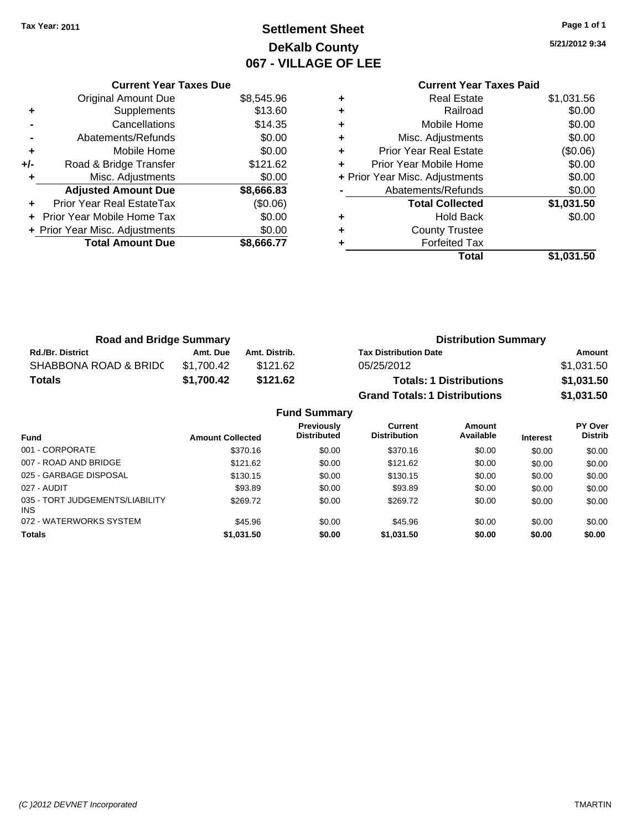# **Settlement Sheet Tax Year: 2011 Page 1 of 1 DeKalb County 067 - VILLAGE OF LEE**

**5/21/2012 9:34**

### **Current Year Taxes Paid +** Real Estate \$1,031.56 **+** Railroad \$0.00 **+** Mobile Home \$0.00 **+** Misc. Adjustments \$0.00 **+** Prior Year Real Estate (\$0.06) **+** Prior Year Mobile Home \$0.00 **+ Prior Year Misc. Adjustments**  $$0.00$ **-** Abatements/Refunds \$0.00 **Total Collected \$1,031.50 +** Hold Back \$0.00 **+** County Trustee **+** Forfeited Tax **Total \$1,031.50**

| <b>Road and Bridge Summary</b> |                                                          |                     |                                      | <b>Distribution Summary</b> |                |
|--------------------------------|----------------------------------------------------------|---------------------|--------------------------------------|-----------------------------|----------------|
| <b>Rd./Br. District</b>        | Amt. Due                                                 | Amt. Distrib.       | <b>Tax Distribution Date</b>         |                             | Amount         |
| SHABBONA ROAD & BRIDC          | \$1,700.42                                               | \$121.62            | 05/25/2012                           |                             | \$1,031.50     |
| <b>Totals</b>                  | \$1,700.42<br>\$121.62<br><b>Totals: 1 Distributions</b> |                     |                                      | \$1,031.50                  |                |
|                                |                                                          |                     | <b>Grand Totals: 1 Distributions</b> |                             | \$1,031.50     |
|                                |                                                          | <b>Fund Summary</b> |                                      |                             |                |
|                                |                                                          | Previously          | Current<br>-----                     | Amount<br>.                 | <b>PY Over</b> |

| <b>Fund</b>                                   | <b>Amount Collected</b> | <b>HUVIOUSIY</b><br><b>Distributed</b> | <b>VALIVIII</b><br><b>Distribution</b> | <u>Allivulit</u><br>Available | <b>Interest</b> | .<br><b>Distrib</b> |
|-----------------------------------------------|-------------------------|----------------------------------------|----------------------------------------|-------------------------------|-----------------|---------------------|
| 001 - CORPORATE                               | \$370.16                | \$0.00                                 | \$370.16                               | \$0.00                        | \$0.00          | \$0.00              |
| 007 - ROAD AND BRIDGE                         | \$121.62                | \$0.00                                 | \$121.62                               | \$0.00                        | \$0.00          | \$0.00              |
| 025 - GARBAGE DISPOSAL                        | \$130.15                | \$0.00                                 | \$130.15                               | \$0.00                        | \$0.00          | \$0.00              |
| 027 - AUDIT                                   | \$93.89                 | \$0.00                                 | \$93.89                                | \$0.00                        | \$0.00          | \$0.00              |
| 035 - TORT JUDGEMENTS/LIABILITY<br><b>INS</b> | \$269.72                | \$0.00                                 | \$269.72                               | \$0.00                        | \$0.00          | \$0.00              |
| 072 - WATERWORKS SYSTEM                       | \$45.96                 | \$0.00                                 | \$45.96                                | \$0.00                        | \$0.00          | \$0.00              |
| <b>Totals</b>                                 | \$1,031.50              | \$0.00                                 | \$1,031.50                             | \$0.00                        | \$0.00          | \$0.00              |

|     |                               | 067 - VI   |
|-----|-------------------------------|------------|
|     | <b>Current Year Taxes Due</b> |            |
|     | <b>Original Amount Due</b>    | \$8,545.96 |
| ٠   | Supplements                   | \$13.60    |
|     | Cancellations                 | \$14.35    |
|     | Abatements/Refunds            | \$0.00     |
| ÷   | Mobile Home                   | \$0.00     |
| +/- | Road & Bridge Transfer        | \$121.62   |
| ÷   | Misc. Adjustments             | \$0.00     |
|     | <b>Adjusted Amount Due</b>    | \$8,666.83 |

**+** Prior Year Real EstateTax (\$0.06) **+** Prior Year Mobile Home Tax \$0.00 **+ Prior Year Misc. Adjustments**  $$0.00$ 

Total Amount Due \$8,666.77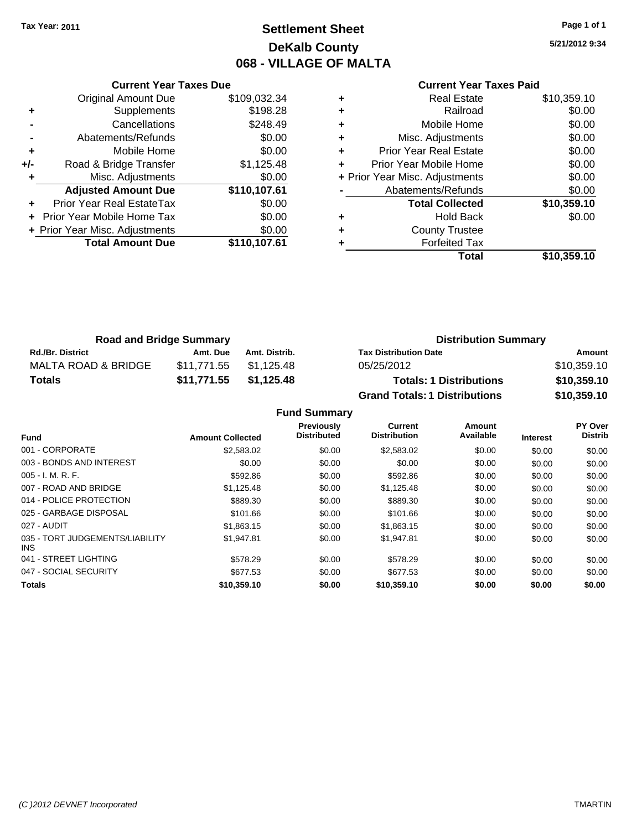# **Settlement Sheet Tax Year: 2011 Page 1 of 1 DeKalb County 068 - VILLAGE OF MALTA**

**5/21/2012 9:34**

#### **Current Year Taxes Paid**

|     | <b>Current Year Taxes Due</b>  |              |  |  |  |
|-----|--------------------------------|--------------|--|--|--|
|     | <b>Original Amount Due</b>     | \$109,032.34 |  |  |  |
| ٠   | Supplements                    | \$198.28     |  |  |  |
|     | Cancellations                  | \$248.49     |  |  |  |
|     | Abatements/Refunds             | \$0.00       |  |  |  |
| ٠   | Mobile Home                    | \$0.00       |  |  |  |
| +/- | Road & Bridge Transfer         | \$1,125.48   |  |  |  |
| ٠   | Misc. Adjustments              | \$0.00       |  |  |  |
|     | <b>Adjusted Amount Due</b>     | \$110,107.61 |  |  |  |
|     | Prior Year Real EstateTax      | \$0.00       |  |  |  |
|     | Prior Year Mobile Home Tax     | \$0.00       |  |  |  |
|     | + Prior Year Misc. Adjustments | \$0.00       |  |  |  |
|     | <b>Total Amount Due</b>        | \$110,107.61 |  |  |  |
|     |                                |              |  |  |  |

| <b>Real Estate</b>            | \$10,359.10                    |
|-------------------------------|--------------------------------|
| Railroad                      | \$0.00                         |
| Mobile Home                   | \$0.00                         |
| Misc. Adjustments             | \$0.00                         |
| <b>Prior Year Real Estate</b> | \$0.00                         |
| Prior Year Mobile Home        | \$0.00                         |
|                               | \$0.00                         |
| Abatements/Refunds            | \$0.00                         |
| <b>Total Collected</b>        | \$10,359.10                    |
| Hold Back                     | \$0.00                         |
| <b>County Trustee</b>         |                                |
| <b>Forfeited Tax</b>          |                                |
| Total                         | \$10,359.10                    |
|                               | + Prior Year Misc. Adjustments |

| <b>Road and Bridge Summary</b> |             |               | <b>Distribution Summary</b>          |             |  |
|--------------------------------|-------------|---------------|--------------------------------------|-------------|--|
| <b>Rd./Br. District</b>        | Amt. Due    | Amt. Distrib. | <b>Tax Distribution Date</b>         | Amount      |  |
| MALTA ROAD & BRIDGE            | \$11.771.55 | \$1.125.48    | 05/25/2012                           | \$10,359.10 |  |
| <b>Totals</b>                  | \$11,771.55 | \$1,125.48    | <b>Totals: 1 Distributions</b>       | \$10,359.10 |  |
|                                |             |               | <b>Grand Totals: 1 Distributions</b> | \$10,359.10 |  |

**Fund Summary**

| <b>Fund</b>                             | <b>Amount Collected</b> | <b>Previously</b><br><b>Distributed</b> | Current<br><b>Distribution</b> | Amount<br>Available | <b>Interest</b> | PY Over<br><b>Distrib</b> |
|-----------------------------------------|-------------------------|-----------------------------------------|--------------------------------|---------------------|-----------------|---------------------------|
| 001 - CORPORATE                         | \$2,583.02              | \$0.00                                  | \$2,583.02                     | \$0.00              | \$0.00          | \$0.00                    |
| 003 - BONDS AND INTEREST                | \$0.00                  | \$0.00                                  | \$0.00                         | \$0.00              | \$0.00          | \$0.00                    |
| $005 - I. M. R. F.$                     | \$592.86                | \$0.00                                  | \$592.86                       | \$0.00              | \$0.00          | \$0.00                    |
| 007 - ROAD AND BRIDGE                   | \$1,125.48              | \$0.00                                  | \$1,125.48                     | \$0.00              | \$0.00          | \$0.00                    |
| 014 - POLICE PROTECTION                 | \$889.30                | \$0.00                                  | \$889.30                       | \$0.00              | \$0.00          | \$0.00                    |
| 025 - GARBAGE DISPOSAL                  | \$101.66                | \$0.00                                  | \$101.66                       | \$0.00              | \$0.00          | \$0.00                    |
| 027 - AUDIT                             | \$1,863.15              | \$0.00                                  | \$1,863.15                     | \$0.00              | \$0.00          | \$0.00                    |
| 035 - TORT JUDGEMENTS/LIABILITY<br>INS. | \$1,947.81              | \$0.00                                  | \$1,947.81                     | \$0.00              | \$0.00          | \$0.00                    |
| 041 - STREET LIGHTING                   | \$578.29                | \$0.00                                  | \$578.29                       | \$0.00              | \$0.00          | \$0.00                    |
| 047 - SOCIAL SECURITY                   | \$677.53                | \$0.00                                  | \$677.53                       | \$0.00              | \$0.00          | \$0.00                    |
| <b>Totals</b>                           | \$10,359.10             | \$0.00                                  | \$10,359.10                    | \$0.00              | \$0.00          | \$0.00                    |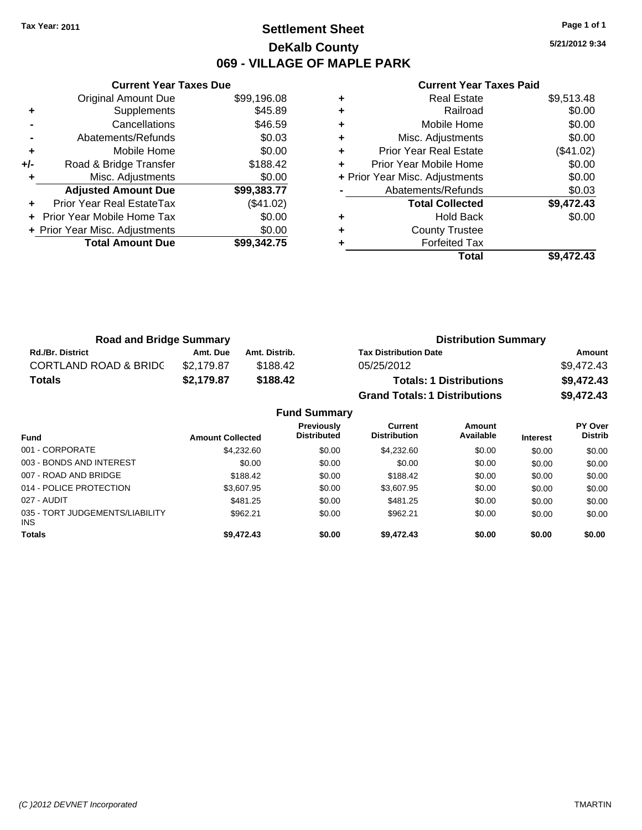# **Settlement Sheet Tax Year: 2011 Page 1 of 1 DeKalb County 069 - VILLAGE OF MAPLE PARK**

**5/21/2012 9:34**

| <b>Current Year Taxes Paid</b> |  |  |  |
|--------------------------------|--|--|--|
|--------------------------------|--|--|--|

|     | <b>Current Year Taxes Due</b>  |             |
|-----|--------------------------------|-------------|
|     | <b>Original Amount Due</b>     | \$99,196.08 |
| ÷   | Supplements                    | \$45.89     |
|     | Cancellations                  | \$46.59     |
|     | Abatements/Refunds             | \$0.03      |
| ٠   | Mobile Home                    | \$0.00      |
| +/- | Road & Bridge Transfer         | \$188.42    |
|     | Misc. Adjustments              | \$0.00      |
|     | <b>Adjusted Amount Due</b>     | \$99,383.77 |
|     | Prior Year Real EstateTax      | (\$41.02)   |
|     | Prior Year Mobile Home Tax     | \$0.00      |
|     | + Prior Year Misc. Adjustments | \$0.00      |
|     | <b>Total Amount Due</b>        | \$99,342.75 |
|     |                                |             |

|   | Total                          | \$9,472.43 |
|---|--------------------------------|------------|
|   | <b>Forfeited Tax</b>           |            |
| ٠ | <b>County Trustee</b>          |            |
| ٠ | Hold Back                      | \$0.00     |
|   | <b>Total Collected</b>         | \$9,472.43 |
|   | Abatements/Refunds             | \$0.03     |
|   | + Prior Year Misc. Adjustments | \$0.00     |
| ٠ | Prior Year Mobile Home         | \$0.00     |
| ٠ | <b>Prior Year Real Estate</b>  | (\$41.02)  |
| ٠ | Misc. Adjustments              | \$0.00     |
| ٠ | Mobile Home                    | \$0.00     |
| ٠ | Railroad                       | \$0.00     |
| ٠ | Real Estate                    | \$9,513.48 |
|   |                                |            |

| <b>Road and Bridge Summary</b>   |            |               | <b>Distribution Summary</b>          |            |
|----------------------------------|------------|---------------|--------------------------------------|------------|
| <b>Rd./Br. District</b>          | Amt. Due   | Amt. Distrib. | <b>Tax Distribution Date</b>         | Amount     |
| <b>CORTLAND ROAD &amp; BRIDC</b> | \$2.179.87 | \$188.42      | 05/25/2012                           | \$9.472.43 |
| <b>Totals</b>                    | \$2.179.87 | \$188.42      | <b>Totals: 1 Distributions</b>       | \$9,472.43 |
|                                  |            |               | <b>Grand Totals: 1 Distributions</b> | \$9,472.43 |

|                                         |                         | <b>Fund Summary</b>                     |                                |                     |                 |                           |
|-----------------------------------------|-------------------------|-----------------------------------------|--------------------------------|---------------------|-----------------|---------------------------|
| <b>Fund</b>                             | <b>Amount Collected</b> | <b>Previously</b><br><b>Distributed</b> | Current<br><b>Distribution</b> | Amount<br>Available | <b>Interest</b> | PY Over<br><b>Distrib</b> |
| 001 - CORPORATE                         | \$4,232.60              | \$0.00                                  | \$4,232.60                     | \$0.00              | \$0.00          | \$0.00                    |
| 003 - BONDS AND INTEREST                | \$0.00                  | \$0.00                                  | \$0.00                         | \$0.00              | \$0.00          | \$0.00                    |
| 007 - ROAD AND BRIDGE                   | \$188.42                | \$0.00                                  | \$188.42                       | \$0.00              | \$0.00          | \$0.00                    |
| 014 - POLICE PROTECTION                 | \$3,607.95              | \$0.00                                  | \$3.607.95                     | \$0.00              | \$0.00          | \$0.00                    |
| 027 - AUDIT                             | \$481.25                | \$0.00                                  | \$481.25                       | \$0.00              | \$0.00          | \$0.00                    |
| 035 - TORT JUDGEMENTS/LIABILITY<br>INS. | \$962.21                | \$0.00                                  | \$962.21                       | \$0.00              | \$0.00          | \$0.00                    |
| <b>Totals</b>                           | \$9,472.43              | \$0.00                                  | \$9,472.43                     | \$0.00              | \$0.00          | \$0.00                    |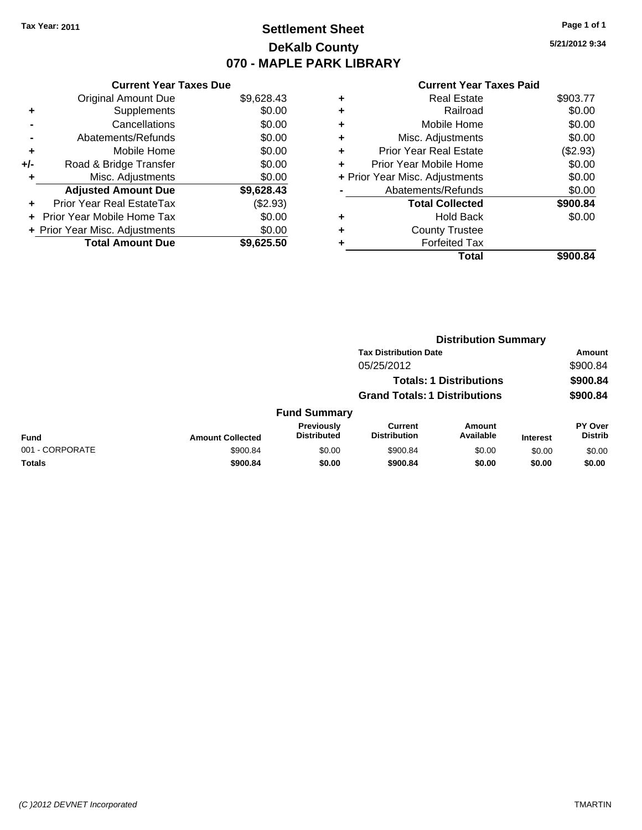# **Settlement Sheet Tax Year: 2011 Page 1 of 1 DeKalb County 070 - MAPLE PARK LIBRARY**

**5/21/2012 9:34**

|     | <b>Current Year Taxes Due</b>     |            |
|-----|-----------------------------------|------------|
|     | <b>Original Amount Due</b>        | \$9,628.43 |
| ٠   | Supplements                       | \$0.00     |
|     | Cancellations                     | \$0.00     |
|     | Abatements/Refunds                | \$0.00     |
| ٠   | Mobile Home                       | \$0.00     |
| +/- | Road & Bridge Transfer            | \$0.00     |
|     | Misc. Adjustments                 | \$0.00     |
|     | <b>Adjusted Amount Due</b>        | \$9,628.43 |
| ÷   | Prior Year Real EstateTax         | (\$2.93)   |
| ÷   | <b>Prior Year Mobile Home Tax</b> | \$0.00     |
|     | + Prior Year Misc. Adjustments    | \$0.00     |
|     | <b>Total Amount Due</b>           | \$9.625.50 |

| ٠ | <b>Real Estate</b>             | \$903.77 |
|---|--------------------------------|----------|
| ٠ | Railroad                       | \$0.00   |
| ٠ | Mobile Home                    | \$0.00   |
| ٠ | Misc. Adjustments              | \$0.00   |
| ٠ | Prior Year Real Estate         | (\$2.93) |
|   | Prior Year Mobile Home         | \$0.00   |
|   | + Prior Year Misc. Adjustments | \$0.00   |
|   | Abatements/Refunds             | \$0.00   |
|   | <b>Total Collected</b>         | \$900.84 |
| ٠ | Hold Back                      | \$0.00   |
| ٠ | <b>County Trustee</b>          |          |
|   | <b>Forfeited Tax</b>           |          |
|   | Total                          | \$900.84 |
|   |                                |          |

|                 |                         |                                  |                                      | <b>Distribution Summary</b>    |                 |                                  |
|-----------------|-------------------------|----------------------------------|--------------------------------------|--------------------------------|-----------------|----------------------------------|
|                 |                         |                                  | <b>Tax Distribution Date</b>         |                                |                 | Amount                           |
|                 |                         |                                  | 05/25/2012                           |                                |                 | \$900.84                         |
|                 |                         |                                  |                                      | <b>Totals: 1 Distributions</b> |                 | \$900.84                         |
|                 |                         |                                  | <b>Grand Totals: 1 Distributions</b> |                                |                 | \$900.84                         |
|                 |                         | <b>Fund Summary</b>              |                                      |                                |                 |                                  |
| <b>Fund</b>     | <b>Amount Collected</b> | Previously<br><b>Distributed</b> | Current<br><b>Distribution</b>       | Amount<br>Available            | <b>Interest</b> | <b>PY Over</b><br><b>Distrib</b> |
| 001 - CORPORATE | \$900.84                | \$0.00                           | \$900.84                             | \$0.00                         | \$0.00          | \$0.00                           |
| Totals          | \$900.84                | \$0.00                           | \$900.84                             | \$0.00                         | \$0.00          | \$0.00                           |
|                 |                         |                                  |                                      |                                |                 |                                  |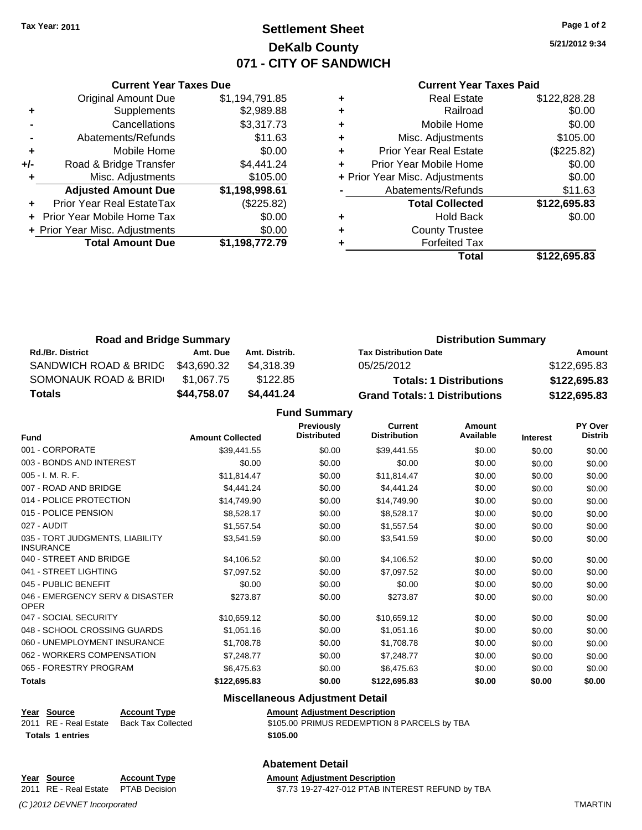# **Settlement Sheet Tax Year: 2011 Page 1 of 2 DeKalb County 071 - CITY OF SANDWICH**

**5/21/2012 9:34**

#### **Current Year Taxes Paid**

|     | <b>Original Amount Due</b>     | \$1,194,791.85 |  |
|-----|--------------------------------|----------------|--|
| ٠   | Supplements                    | \$2,989.88     |  |
|     | Cancellations                  | \$3,317.73     |  |
|     | Abatements/Refunds             | \$11.63        |  |
|     | Mobile Home                    | \$0.00         |  |
| +/- | Road & Bridge Transfer         | \$4,441.24     |  |
|     | Misc. Adjustments              | \$105.00       |  |
|     | <b>Adjusted Amount Due</b>     | \$1,198,998.61 |  |
|     | Prior Year Real EstateTax      | (\$225.82)     |  |
|     | Prior Year Mobile Home Tax     | \$0.00         |  |
|     | + Prior Year Misc. Adjustments | \$0.00         |  |
|     | <b>Total Amount Due</b>        | \$1,198,772.79 |  |
|     |                                |                |  |

**Current Year Taxes Due**

|   | Total                          | \$122,695.83 |
|---|--------------------------------|--------------|
|   | <b>Forfeited Tax</b>           |              |
| ٠ | <b>County Trustee</b>          |              |
| ٠ | <b>Hold Back</b>               | \$0.00       |
|   | <b>Total Collected</b>         | \$122,695.83 |
|   | Abatements/Refunds             | \$11.63      |
|   | + Prior Year Misc. Adjustments | \$0.00       |
|   | Prior Year Mobile Home         | \$0.00       |
| ٠ | <b>Prior Year Real Estate</b>  | (\$225.82)   |
| ٠ | Misc. Adjustments              | \$105.00     |
| ÷ | Mobile Home                    | \$0.00       |
| ٠ | Railroad                       | \$0.00       |
|   | <b>Real Estate</b>             | \$122,828.28 |

| <b>Road and Bridge Summary</b> |             |               | <b>Distribution Summary</b>          |              |  |
|--------------------------------|-------------|---------------|--------------------------------------|--------------|--|
| <b>Rd./Br. District</b>        | Amt. Due    | Amt. Distrib. | <b>Tax Distribution Date</b>         | Amount       |  |
| SANDWICH ROAD & BRIDG          | \$43.690.32 | \$4.318.39    | 05/25/2012                           | \$122,695.83 |  |
| SOMONAUK ROAD & BRID           | \$1.067.75  | \$122.85      | <b>Totals: 1 Distributions</b>       | \$122,695.83 |  |
| Totals                         | \$44,758.07 | \$4.441.24    | <b>Grand Totals: 1 Distributions</b> | \$122,695.83 |  |

**Fund Summary**

| <b>Fund</b>                                         | <b>Amount Collected</b> | Previously<br><b>Distributed</b> | <b>Current</b><br><b>Distribution</b> | Amount<br>Available | <b>Interest</b> | <b>PY Over</b><br><b>Distrib</b> |
|-----------------------------------------------------|-------------------------|----------------------------------|---------------------------------------|---------------------|-----------------|----------------------------------|
| 001 - CORPORATE                                     | \$39,441.55             | \$0.00                           | \$39,441.55                           | \$0.00              | \$0.00          | \$0.00                           |
| 003 - BONDS AND INTEREST                            | \$0.00                  | \$0.00                           | \$0.00                                | \$0.00              | \$0.00          | \$0.00                           |
| 005 - I. M. R. F.                                   | \$11,814.47             | \$0.00                           | \$11,814.47                           | \$0.00              | \$0.00          | \$0.00                           |
| 007 - ROAD AND BRIDGE                               | \$4,441.24              | \$0.00                           | \$4,441.24                            | \$0.00              | \$0.00          | \$0.00                           |
| 014 - POLICE PROTECTION                             | \$14,749.90             | \$0.00                           | \$14,749.90                           | \$0.00              | \$0.00          | \$0.00                           |
| 015 - POLICE PENSION                                | \$8,528.17              | \$0.00                           | \$8,528.17                            | \$0.00              | \$0.00          | \$0.00                           |
| 027 - AUDIT                                         | \$1,557.54              | \$0.00                           | \$1,557.54                            | \$0.00              | \$0.00          | \$0.00                           |
| 035 - TORT JUDGMENTS, LIABILITY<br><b>INSURANCE</b> | \$3,541.59              | \$0.00                           | \$3,541.59                            | \$0.00              | \$0.00          | \$0.00                           |
| 040 - STREET AND BRIDGE                             | \$4,106.52              | \$0.00                           | \$4,106.52                            | \$0.00              | \$0.00          | \$0.00                           |
| 041 - STREET LIGHTING                               | \$7,097.52              | \$0.00                           | \$7,097.52                            | \$0.00              | \$0.00          | \$0.00                           |
| 045 - PUBLIC BENEFIT                                | \$0.00                  | \$0.00                           | \$0.00                                | \$0.00              | \$0.00          | \$0.00                           |
| 046 - EMERGENCY SERV & DISASTER<br><b>OPER</b>      | \$273.87                | \$0.00                           | \$273.87                              | \$0.00              | \$0.00          | \$0.00                           |
| 047 - SOCIAL SECURITY                               | \$10,659.12             | \$0.00                           | \$10,659.12                           | \$0.00              | \$0.00          | \$0.00                           |
| 048 - SCHOOL CROSSING GUARDS                        | \$1,051.16              | \$0.00                           | \$1,051.16                            | \$0.00              | \$0.00          | \$0.00                           |
| 060 - UNEMPLOYMENT INSURANCE                        | \$1,708.78              | \$0.00                           | \$1,708.78                            | \$0.00              | \$0.00          | \$0.00                           |
| 062 - WORKERS COMPENSATION                          | \$7,248.77              | \$0.00                           | \$7,248.77                            | \$0.00              | \$0.00          | \$0.00                           |
| 065 - FORESTRY PROGRAM                              | \$6,475.63              | \$0.00                           | \$6,475.63                            | \$0.00              | \$0.00          | \$0.00                           |
| <b>Totals</b>                                       | \$122,695.83            | \$0.00                           | \$122,695.83                          | \$0.00              | \$0.00          | \$0.00                           |

### **Miscellaneous Adjustment Detail**

| Year Source             | <b>Account Type</b> | Amount   |
|-------------------------|---------------------|----------|
| 2011 RE - Real Estate   | Back Tax Collected  | \$105.00 |
| <b>Totals 1 entries</b> |                     | \$105.00 |

**Year Source Account Type Amount Adjustment Description** 2011 Collected **3105.00 PRIMUS REDEMPTION 8 PARCELS by TBA** 

#### **Abatement Detail**

**Year Source Account Type Amount Adjustment Description**

2011 RE - Real Estate \$7.73 19-27-427-012 PTAB INTEREST REFUND by TBA PTAB Decision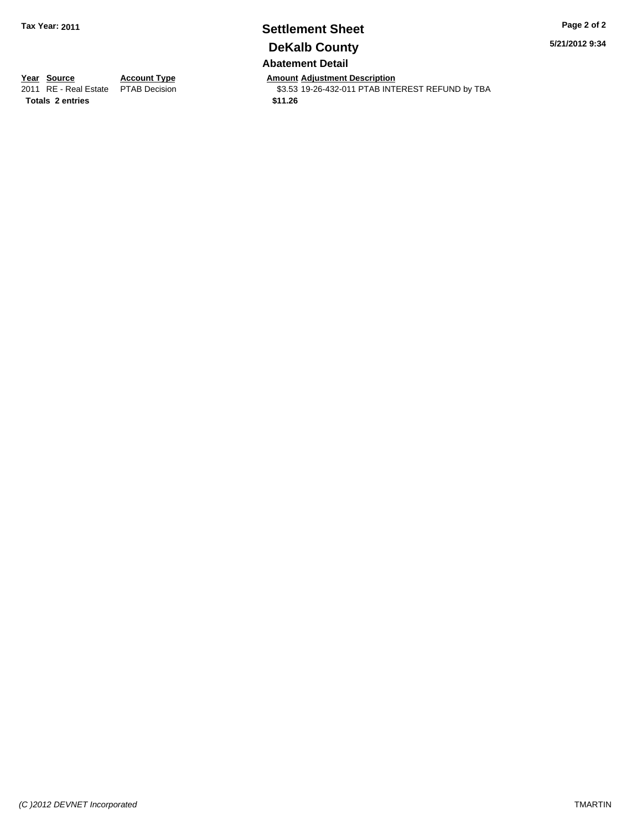### **Settlement Sheet Tax Year: 2011 Page 2 of 2 DeKalb County Abatement Detail**

**5/21/2012 9:34**

**Totals \$11.26 2 entries**

**Year Source Account Type Amount Adjustment Description**<br>2011 RE - Real Estate PTAB Decision **Amount** \$3.53 19-26-432-011 PTAB INTI \$3.53 19-26-432-011 PTAB INTEREST REFUND by TBA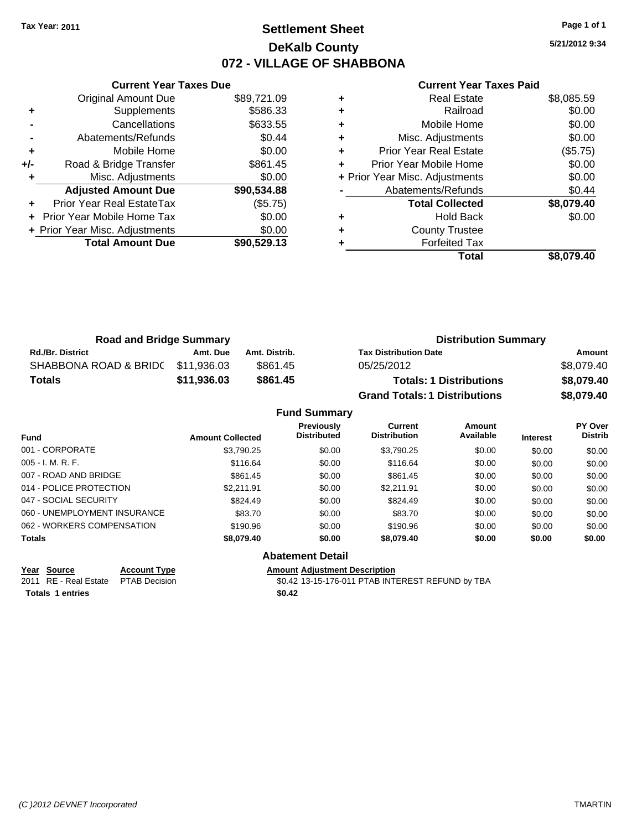# **Settlement Sheet Tax Year: 2011 Page 1 of 1 DeKalb County 072 - VILLAGE OF SHABBONA**

**5/21/2012 9:34**

#### **Current Year Taxes Paid**

|     | <b>Current Year Taxes Due</b>  |             |
|-----|--------------------------------|-------------|
|     | <b>Original Amount Due</b>     | \$89,721.09 |
| ٠   | Supplements                    | \$586.33    |
|     | Cancellations                  | \$633.55    |
|     | Abatements/Refunds             | \$0.44      |
| ٠   | Mobile Home                    | \$0.00      |
| +/- | Road & Bridge Transfer         | \$861.45    |
|     | Misc. Adjustments              | \$0.00      |
|     | <b>Adjusted Amount Due</b>     | \$90,534.88 |
|     | Prior Year Real EstateTax      | (\$5.75)    |
|     | Prior Year Mobile Home Tax     | \$0.00      |
|     | + Prior Year Misc. Adjustments | \$0.00      |
|     | <b>Total Amount Due</b>        | \$90,529,13 |
|     |                                |             |

|   | <b>Real Estate</b>             | \$8,085.59 |
|---|--------------------------------|------------|
| ٠ | Railroad                       | \$0.00     |
| ٠ | Mobile Home                    | \$0.00     |
| ٠ | Misc. Adjustments              | \$0.00     |
| ÷ | <b>Prior Year Real Estate</b>  | (\$5.75)   |
|   | Prior Year Mobile Home         | \$0.00     |
|   | + Prior Year Misc. Adjustments | \$0.00     |
|   | Abatements/Refunds             | \$0.44     |
|   | <b>Total Collected</b>         | \$8,079.40 |
| ٠ | Hold Back                      | \$0.00     |
| ٠ | <b>County Trustee</b>          |            |
|   | <b>Forfeited Tax</b>           |            |
|   | Total                          | \$8.079.40 |

| <b>Road and Bridge Summary</b> |             |               | <b>Distribution Summary</b>          |            |  |
|--------------------------------|-------------|---------------|--------------------------------------|------------|--|
| <b>Rd./Br. District</b>        | Amt. Due    | Amt. Distrib. | <b>Tax Distribution Date</b>         | Amount     |  |
| SHABBONA ROAD & BRIDC          | \$11.936.03 | \$861.45      | 05/25/2012                           | \$8,079.40 |  |
| <b>Totals</b>                  | \$11,936.03 | \$861.45      | <b>Totals: 1 Distributions</b>       | \$8,079.40 |  |
|                                |             |               | <b>Grand Totals: 1 Distributions</b> | \$8,079.40 |  |

### **Fund Summary**

|                              |                         | <b>Previously</b>  | Current             | Amount    |                 | PY Over        |
|------------------------------|-------------------------|--------------------|---------------------|-----------|-----------------|----------------|
| <b>Fund</b>                  | <b>Amount Collected</b> | <b>Distributed</b> | <b>Distribution</b> | Available | <b>Interest</b> | <b>Distrib</b> |
| 001 - CORPORATE              | \$3,790.25              | \$0.00             | \$3,790.25          | \$0.00    | \$0.00          | \$0.00         |
| $005 - I. M. R. F.$          | \$116.64                | \$0.00             | \$116.64            | \$0.00    | \$0.00          | \$0.00         |
| 007 - ROAD AND BRIDGE        | \$861.45                | \$0.00             | \$861.45            | \$0.00    | \$0.00          | \$0.00         |
| 014 - POLICE PROTECTION      | \$2.211.91              | \$0.00             | \$2.211.91          | \$0.00    | \$0.00          | \$0.00         |
| 047 - SOCIAL SECURITY        | \$824.49                | \$0.00             | \$824.49            | \$0.00    | \$0.00          | \$0.00         |
| 060 - UNEMPLOYMENT INSURANCE | \$83.70                 | \$0.00             | \$83.70             | \$0.00    | \$0.00          | \$0.00         |
| 062 - WORKERS COMPENSATION   | \$190.96                | \$0.00             | \$190.96            | \$0.00    | \$0.00          | \$0.00         |
| <b>Totals</b>                | \$8,079.40              | \$0.00             | \$8,079,40          | \$0.00    | \$0.00          | \$0.00         |

Totals 1 entries \$0.42

### **Abatement Detail**

**Year Source Account Type Amount Adjustment Description**<br>2011 RE - Real Estate PTAB Decision **Amount COLLACTION COLLACTION** \$0.42 13-15-176-011 PTAB INTEREST REFUND by TBA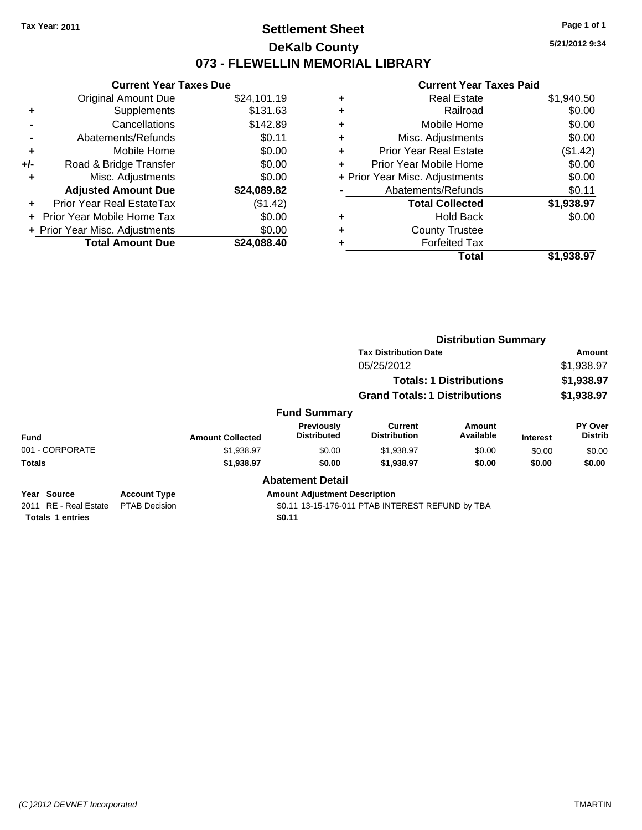### **Settlement Sheet Tax Year: 2011 Page 1 of 1 DeKalb County 073 - FLEWELLIN MEMORIAL LIBRARY**

**5/21/2012 9:34**

#### **Current Year Taxes Paid**

|     | <b>Current Year Taxes Due</b>     |             |
|-----|-----------------------------------|-------------|
|     | <b>Original Amount Due</b>        | \$24,101.19 |
| ٠   | Supplements                       | \$131.63    |
|     | Cancellations                     | \$142.89    |
|     | Abatements/Refunds                | \$0.11      |
| ٠   | Mobile Home                       | \$0.00      |
| +/- | Road & Bridge Transfer            | \$0.00      |
| ٠   | Misc. Adjustments                 | \$0.00      |
|     | <b>Adjusted Amount Due</b>        | \$24,089.82 |
| ÷   | Prior Year Real EstateTax         | (\$1.42)    |
|     | <b>Prior Year Mobile Home Tax</b> | \$0.00      |
|     | + Prior Year Misc. Adjustments    | \$0.00      |
|     | <b>Total Amount Due</b>           | \$24,088.40 |

| \$1,940.50 |
|------------|
| \$0.00     |
| \$0.00     |
| \$0.00     |
| (\$1.42)   |
| \$0.00     |
| \$0.00     |
| \$0.11     |
| \$1,938.97 |
| \$0.00     |
|            |
|            |
| \$1,938.97 |
|            |

|                       |                                         |                         |                                      | <b>Distribution Summary</b>           |                                |                 |                                  |
|-----------------------|-----------------------------------------|-------------------------|--------------------------------------|---------------------------------------|--------------------------------|-----------------|----------------------------------|
|                       |                                         |                         |                                      | <b>Tax Distribution Date</b>          |                                |                 | Amount                           |
|                       |                                         |                         |                                      | 05/25/2012                            |                                |                 | \$1,938.97                       |
|                       |                                         |                         |                                      |                                       | <b>Totals: 1 Distributions</b> |                 | \$1,938.97                       |
|                       |                                         |                         |                                      | <b>Grand Totals: 1 Distributions</b>  |                                |                 | \$1,938.97                       |
|                       |                                         |                         | <b>Fund Summary</b>                  |                                       |                                |                 |                                  |
| <b>Fund</b>           |                                         | <b>Amount Collected</b> | Previously<br><b>Distributed</b>     | <b>Current</b><br><b>Distribution</b> | <b>Amount</b><br>Available     | <b>Interest</b> | <b>PY Over</b><br><b>Distrib</b> |
| 001 - CORPORATE       |                                         | \$1,938.97              | \$0.00                               | \$1,938.97                            | \$0.00                         | \$0.00          | \$0.00                           |
| <b>Totals</b>         |                                         | \$1,938.97              | \$0.00                               | \$1,938.97                            | \$0.00                         | \$0.00          | \$0.00                           |
|                       |                                         |                         | <b>Abatement Detail</b>              |                                       |                                |                 |                                  |
| Year<br><b>Source</b> | <b>Account Type</b><br><b>PEAR P.A.</b> |                         | <b>Amount Adjustment Description</b> |                                       |                                |                 |                                  |

**Totals 1 entries** \$0.11

2011 RE - Real Estate \$0.11 13-15-176-011 PTAB INTEREST REFUND by TBA PTAB Decision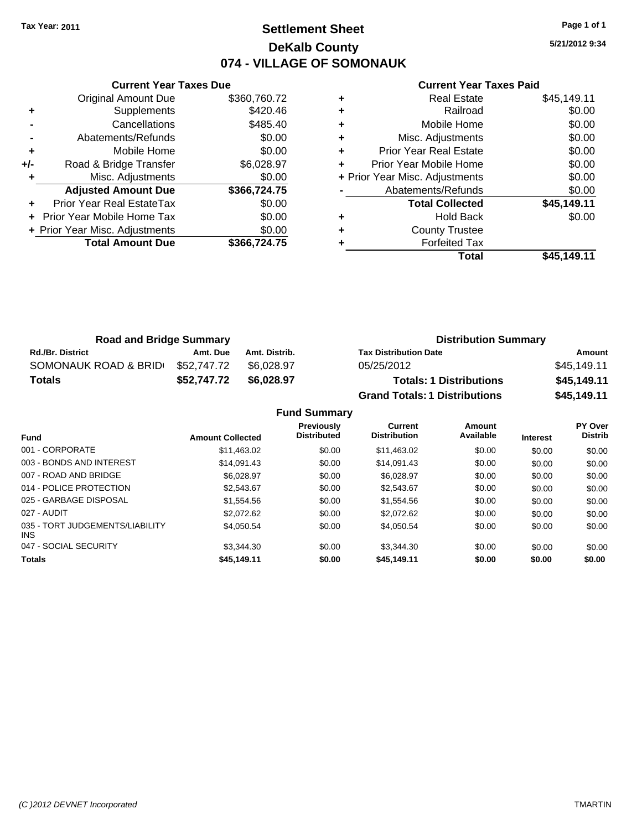# **Settlement Sheet Tax Year: 2011 Page 1 of 1 DeKalb County 074 - VILLAGE OF SOMONAUK**

**5/21/2012 9:34**

#### **Current Year Taxes Paid**

|       | <b>Current Year Taxes Due</b>     |              |
|-------|-----------------------------------|--------------|
|       | <b>Original Amount Due</b>        | \$360,760.72 |
| ٠     | Supplements                       | \$420.46     |
|       | Cancellations                     | \$485.40     |
|       | Abatements/Refunds                | \$0.00       |
| ٠     | Mobile Home                       | \$0.00       |
| $+/-$ | Road & Bridge Transfer            | \$6,028.97   |
|       | Misc. Adjustments                 | \$0.00       |
|       | <b>Adjusted Amount Due</b>        | \$366,724.75 |
|       | Prior Year Real EstateTax         | \$0.00       |
|       | <b>Prior Year Mobile Home Tax</b> | \$0.00       |
|       | + Prior Year Misc. Adjustments    | \$0.00       |
|       | <b>Total Amount Due</b>           | \$366,724.75 |
|       |                                   |              |

|   | <b>Real Estate</b>             | \$45,149.11 |
|---|--------------------------------|-------------|
| ٠ | Railroad                       | \$0.00      |
| ٠ | Mobile Home                    | \$0.00      |
| ٠ | Misc. Adjustments              | \$0.00      |
| ٠ | <b>Prior Year Real Estate</b>  | \$0.00      |
| ٠ | Prior Year Mobile Home         | \$0.00      |
|   | + Prior Year Misc. Adjustments | \$0.00      |
|   | Abatements/Refunds             | \$0.00      |
|   | <b>Total Collected</b>         | \$45,149.11 |
| ٠ | <b>Hold Back</b>               | \$0.00      |
| ٠ | <b>County Trustee</b>          |             |
|   | <b>Forfeited Tax</b>           |             |
|   | Total                          | \$45.149.11 |

| <b>Road and Bridge Summary</b> |             |               | <b>Distribution Summary</b>          |             |  |
|--------------------------------|-------------|---------------|--------------------------------------|-------------|--|
| <b>Rd./Br. District</b>        | Amt. Due    | Amt. Distrib. | <b>Tax Distribution Date</b>         | Amount      |  |
| SOMONAUK ROAD & BRID           | \$52.747.72 | \$6.028.97    | 05/25/2012                           | \$45,149.11 |  |
| <b>Totals</b>                  | \$52,747.72 | \$6,028,97    | <b>Totals: 1 Distributions</b>       | \$45,149.11 |  |
|                                |             |               | <b>Grand Totals: 1 Distributions</b> | \$45,149.11 |  |

**Fund Summary**

| <b>Fund</b>                             | <b>Amount Collected</b> | <b>Previously</b><br><b>Distributed</b> | Current<br><b>Distribution</b> | Amount<br>Available | <b>Interest</b> | PY Over<br><b>Distrib</b> |
|-----------------------------------------|-------------------------|-----------------------------------------|--------------------------------|---------------------|-----------------|---------------------------|
| 001 - CORPORATE                         | \$11.463.02             | \$0.00                                  | \$11.463.02                    | \$0.00              | \$0.00          | \$0.00                    |
| 003 - BONDS AND INTEREST                | \$14.091.43             | \$0.00                                  | \$14.091.43                    | \$0.00              | \$0.00          | \$0.00                    |
| 007 - ROAD AND BRIDGE                   | \$6.028.97              | \$0.00                                  | \$6.028.97                     | \$0.00              | \$0.00          | \$0.00                    |
| 014 - POLICE PROTECTION                 | \$2.543.67              | \$0.00                                  | \$2,543.67                     | \$0.00              | \$0.00          | \$0.00                    |
| 025 - GARBAGE DISPOSAL                  | \$1,554.56              | \$0.00                                  | \$1.554.56                     | \$0.00              | \$0.00          | \$0.00                    |
| 027 - AUDIT                             | \$2,072.62              | \$0.00                                  | \$2,072.62                     | \$0.00              | \$0.00          | \$0.00                    |
| 035 - TORT JUDGEMENTS/LIABILITY<br>INS. | \$4.050.54              | \$0.00                                  | \$4.050.54                     | \$0.00              | \$0.00          | \$0.00                    |
| 047 - SOCIAL SECURITY                   | \$3.344.30              | \$0.00                                  | \$3.344.30                     | \$0.00              | \$0.00          | \$0.00                    |
| <b>Totals</b>                           | \$45,149.11             | \$0.00                                  | \$45,149.11                    | \$0.00              | \$0.00          | \$0.00                    |
|                                         |                         |                                         |                                |                     |                 |                           |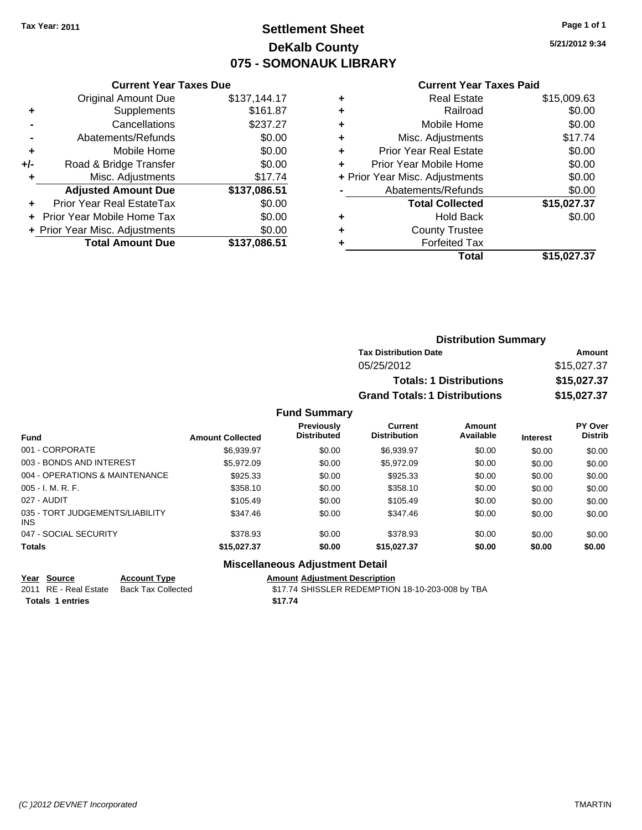# **Settlement Sheet Tax Year: 2011 Page 1 of 1 DeKalb County 075 - SOMONAUK LIBRARY**

**5/21/2012 9:34**

#### **Current Year Taxes Paid**

| <b>Current Year Taxes Due</b> |
|-------------------------------|
| \$137,144.17                  |
| \$161.87                      |
| \$237.27                      |
| \$0.00                        |
| \$0.00                        |
| \$0.00                        |
| \$17.74                       |
| \$137,086.51                  |
| \$0.00                        |
| \$0.00                        |
| \$0.00                        |
| \$137,086.51                  |
|                               |

|   | <b>Real Estate</b>             | \$15,009.63 |
|---|--------------------------------|-------------|
| ٠ | Railroad                       | \$0.00      |
| ٠ | Mobile Home                    | \$0.00      |
| ٠ | Misc. Adjustments              | \$17.74     |
| ÷ | <b>Prior Year Real Estate</b>  | \$0.00      |
| ٠ | Prior Year Mobile Home         | \$0.00      |
|   | + Prior Year Misc. Adjustments | \$0.00      |
|   | Abatements/Refunds             | \$0.00      |
|   | <b>Total Collected</b>         | \$15,027.37 |
| ٠ | <b>Hold Back</b>               | \$0.00      |
| ٠ | <b>County Trustee</b>          |             |
| ٠ | <b>Forfeited Tax</b>           |             |
|   | Total                          | \$15,027.37 |
|   |                                |             |

| <b>Distribution Summary</b>          |             |
|--------------------------------------|-------------|
| <b>Tax Distribution Date</b>         | Amount      |
| 05/25/2012                           | \$15,027.37 |
| <b>Totals: 1 Distributions</b>       | \$15,027.37 |
| <b>Grand Totals: 1 Distributions</b> | \$15,027.37 |

### **Fund Summary**

| <b>Fund</b>                                   | <b>Amount Collected</b> | <b>Previously</b><br><b>Distributed</b> | Current<br><b>Distribution</b> | Amount<br>Available | <b>Interest</b> | PY Over<br><b>Distrib</b> |
|-----------------------------------------------|-------------------------|-----------------------------------------|--------------------------------|---------------------|-----------------|---------------------------|
| 001 - CORPORATE                               | \$6,939.97              | \$0.00                                  | \$6,939.97                     | \$0.00              | \$0.00          | \$0.00                    |
| 003 - BONDS AND INTEREST                      | \$5.972.09              | \$0.00                                  | \$5,972.09                     | \$0.00              | \$0.00          | \$0.00                    |
| 004 - OPERATIONS & MAINTENANCE                | \$925.33                | \$0.00                                  | \$925.33                       | \$0.00              | \$0.00          | \$0.00                    |
| $005 - I. M. R. F.$                           | \$358.10                | \$0.00                                  | \$358.10                       | \$0.00              | \$0.00          | \$0.00                    |
| 027 - AUDIT                                   | \$105.49                | \$0.00                                  | \$105.49                       | \$0.00              | \$0.00          | \$0.00                    |
| 035 - TORT JUDGEMENTS/LIABILITY<br><b>INS</b> | \$347.46                | \$0.00                                  | \$347.46                       | \$0.00              | \$0.00          | \$0.00                    |
| 047 - SOCIAL SECURITY                         | \$378.93                | \$0.00                                  | \$378.93                       | \$0.00              | \$0.00          | \$0.00                    |
| <b>Totals</b>                                 | \$15,027.37             | \$0.00                                  | \$15,027.37                    | \$0.00              | \$0.00          | \$0.00                    |

#### **Miscellaneous Adjustment Detail**

| Year Source             | <b>Account Type</b> | Amount  |
|-------------------------|---------------------|---------|
| 2011 RE - Real Estate   | Back Tax Collected  | \$17.74 |
| <b>Totals 1 entries</b> |                     | \$17.74 |

**Year Source Account Type Amount Adjustment Description** ack Tax Collected **2012 STRIP - REAL ESTATE SHISSLER REDEMPTION** 18-10-203-008 by TBA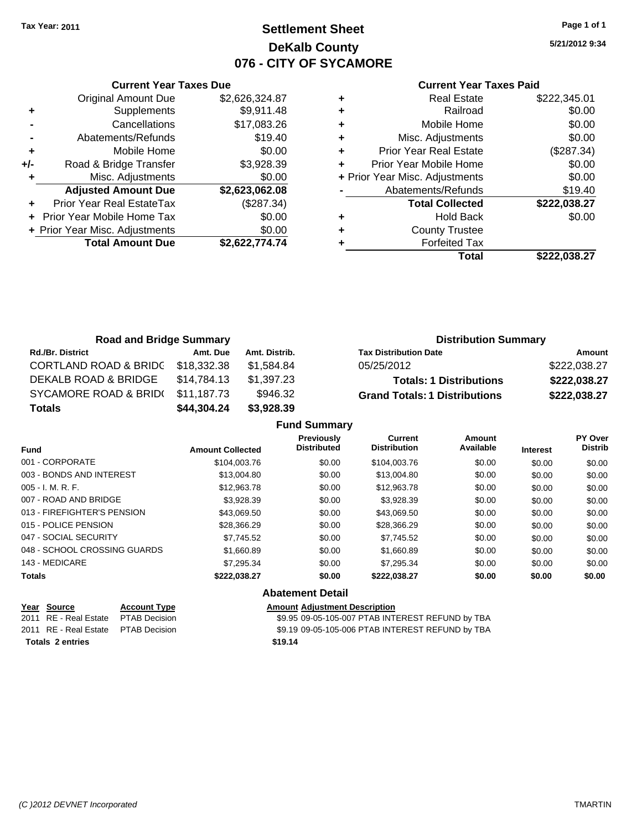# **Settlement Sheet Tax Year: 2011 Page 1 of 1 DeKalb County 076 - CITY OF SYCAMORE**

**5/21/2012 9:34**

|  | <b>Current Year Taxes Paid</b> |  |  |  |
|--|--------------------------------|--|--|--|
|--|--------------------------------|--|--|--|

|       | <b>Current Year Taxes Due</b>  |                |
|-------|--------------------------------|----------------|
|       | <b>Original Amount Due</b>     | \$2,626,324.87 |
| ٠     | Supplements                    | \$9,911.48     |
|       | Cancellations                  | \$17,083.26    |
|       | Abatements/Refunds             | \$19.40        |
| ٠     | Mobile Home                    | \$0.00         |
| $+/-$ | Road & Bridge Transfer         | \$3,928.39     |
| ٠     | Misc. Adjustments              | \$0.00         |
|       | <b>Adjusted Amount Due</b>     | \$2,623,062.08 |
|       | Prior Year Real EstateTax      | (\$287.34)     |
|       | Prior Year Mobile Home Tax     | \$0.00         |
|       | + Prior Year Misc. Adjustments | \$0.00         |
|       | <b>Total Amount Due</b>        | \$2,622,774.74 |
|       |                                |                |

|   | <b>Real Estate</b>             | \$222,345.01 |
|---|--------------------------------|--------------|
| ٠ | Railroad                       | \$0.00       |
| ٠ | Mobile Home                    | \$0.00       |
| ٠ | Misc. Adjustments              | \$0.00       |
| ٠ | <b>Prior Year Real Estate</b>  | (\$287.34)   |
| ٠ | Prior Year Mobile Home         | \$0.00       |
|   | + Prior Year Misc. Adjustments | \$0.00       |
|   | Abatements/Refunds             | \$19.40      |
|   | <b>Total Collected</b>         | \$222,038.27 |
| ٠ | <b>Hold Back</b>               | \$0.00       |
| ٠ | <b>County Trustee</b>          |              |
|   | <b>Forfeited Tax</b>           |              |
|   | Total                          | \$222,038.27 |

| <b>Road and Bridge Summary</b>   |             |               |                                      | <b>Distribution Summary</b> |  |  |
|----------------------------------|-------------|---------------|--------------------------------------|-----------------------------|--|--|
| <b>Rd./Br. District</b>          | Amt. Due    | Amt. Distrib. | <b>Tax Distribution Date</b>         | Amount                      |  |  |
| <b>CORTLAND ROAD &amp; BRIDC</b> | \$18,332.38 | \$1.584.84    | 05/25/2012                           | \$222,038.27                |  |  |
| DEKALB ROAD & BRIDGE             | \$14,784.13 | \$1,397.23    | <b>Totals: 1 Distributions</b>       | \$222,038.27                |  |  |
| SYCAMORE ROAD & BRID(            | \$11.187.73 | \$946.32      | <b>Grand Totals: 1 Distributions</b> | \$222,038.27                |  |  |
| <b>Totals</b>                    | \$44,304.24 | \$3,928.39    |                                      |                             |  |  |

|                              |                         | <b>Fund Summary</b>                     |                                       |                     |                 |                           |
|------------------------------|-------------------------|-----------------------------------------|---------------------------------------|---------------------|-----------------|---------------------------|
| <b>Fund</b>                  | <b>Amount Collected</b> | <b>Previously</b><br><b>Distributed</b> | <b>Current</b><br><b>Distribution</b> | Amount<br>Available | <b>Interest</b> | PY Over<br><b>Distrib</b> |
| 001 - CORPORATE              | \$104,003.76            | \$0.00                                  | \$104,003.76                          | \$0.00              | \$0.00          | \$0.00                    |
| 003 - BONDS AND INTEREST     | \$13,004.80             | \$0.00                                  | \$13,004.80                           | \$0.00              | \$0.00          | \$0.00                    |
| $005 - I. M. R. F.$          | \$12,963.78             | \$0.00                                  | \$12,963.78                           | \$0.00              | \$0.00          | \$0.00                    |
| 007 - ROAD AND BRIDGE        | \$3,928.39              | \$0.00                                  | \$3,928.39                            | \$0.00              | \$0.00          | \$0.00                    |
| 013 - FIREFIGHTER'S PENSION  | \$43,069.50             | \$0.00                                  | \$43,069.50                           | \$0.00              | \$0.00          | \$0.00                    |
| 015 - POLICE PENSION         | \$28,366.29             | \$0.00                                  | \$28,366.29                           | \$0.00              | \$0.00          | \$0.00                    |
| 047 - SOCIAL SECURITY        | \$7.745.52              | \$0.00                                  | \$7.745.52                            | \$0.00              | \$0.00          | \$0.00                    |
| 048 - SCHOOL CROSSING GUARDS | \$1,660.89              | \$0.00                                  | \$1,660.89                            | \$0.00              | \$0.00          | \$0.00                    |
| 143 - MEDICARE               | \$7,295.34              | \$0.00                                  | \$7,295.34                            | \$0.00              | \$0.00          | \$0.00                    |
| <b>Totals</b>                | \$222,038.27            | \$0.00<br>.                             | \$222,038.27                          | \$0.00              | \$0.00          | \$0.00                    |

|                         | Year Source                         | <b>Account Type</b> | <b>Amount Adjustment Description</b>             |
|-------------------------|-------------------------------------|---------------------|--------------------------------------------------|
|                         | 2011 RE - Real Estate PTAB Decision |                     | \$9.95 09-05-105-007 PTAB INTEREST REFUND by TBA |
|                         | 2011 RE - Real Estate PTAB Decision |                     | \$9.19 09-05-105-006 PTAB INTEREST REFUND by TBA |
| <b>Totals 2 entries</b> |                                     |                     | \$19.14                                          |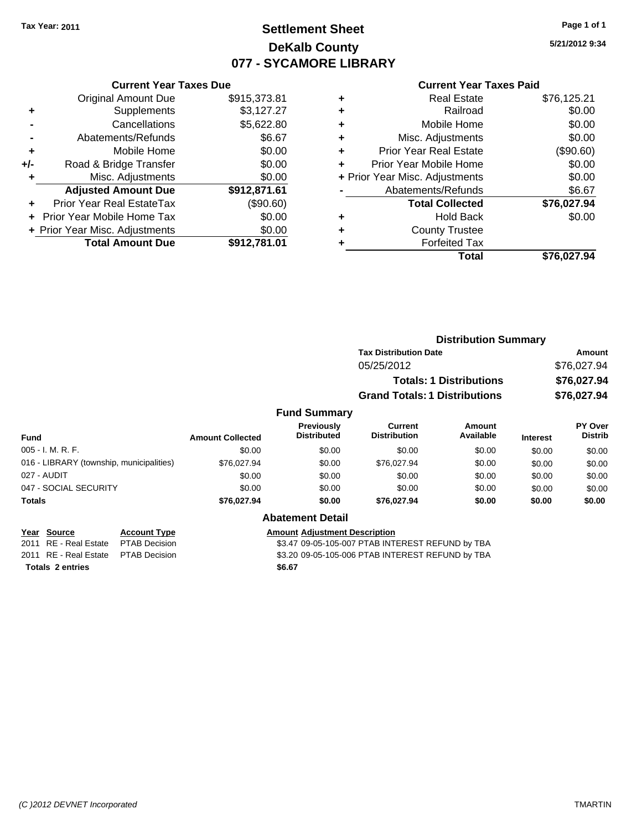### **Settlement Sheet Tax Year: 2011 Page 1 of 1 DeKalb County 077 - SYCAMORE LIBRARY**

**5/21/2012 9:34**

#### **Current Year Taxes Paid**

| <b>Original Amount Due</b>        | \$915,373.81                                                    |
|-----------------------------------|-----------------------------------------------------------------|
| Supplements                       | \$3,127.27                                                      |
| Cancellations                     | \$5,622.80                                                      |
| Abatements/Refunds                | \$6.67                                                          |
| Mobile Home                       | \$0.00                                                          |
| Road & Bridge Transfer            | \$0.00                                                          |
| Misc. Adjustments                 | \$0.00                                                          |
| <b>Adjusted Amount Due</b>        | \$912,871.61                                                    |
| Prior Year Real EstateTax         | (\$90.60)                                                       |
| <b>Prior Year Mobile Home Tax</b> | \$0.00                                                          |
|                                   | \$0.00                                                          |
| <b>Total Amount Due</b>           | \$912.781.01                                                    |
|                                   | <b>Current Year Taxes Due</b><br>+ Prior Year Misc. Adjustments |

| ٠ | <b>Real Estate</b>             | \$76,125.21 |
|---|--------------------------------|-------------|
| ٠ | Railroad                       | \$0.00      |
| ٠ | Mobile Home                    | \$0.00      |
| ٠ | Misc. Adjustments              | \$0.00      |
| ٠ | <b>Prior Year Real Estate</b>  | (\$90.60)   |
|   | Prior Year Mobile Home         | \$0.00      |
|   | + Prior Year Misc. Adjustments | \$0.00      |
|   | Abatements/Refunds             | \$6.67      |
|   | <b>Total Collected</b>         | \$76,027.94 |
| ٠ | Hold Back                      | \$0.00      |
| ٠ | <b>County Trustee</b>          |             |
|   | <b>Forfeited Tax</b>           |             |
|   | Total                          | \$76,027.94 |
|   |                                |             |

|                 |                                         |                                       | <b>Distribution Summary</b>    |                 |                                  |
|-----------------|-----------------------------------------|---------------------------------------|--------------------------------|-----------------|----------------------------------|
|                 |                                         | <b>Tax Distribution Date</b>          |                                |                 | Amount                           |
|                 |                                         | 05/25/2012                            |                                |                 | \$76,027.94                      |
|                 |                                         |                                       | <b>Totals: 1 Distributions</b> |                 | \$76,027.94                      |
|                 |                                         | <b>Grand Totals: 1 Distributions</b>  |                                |                 | \$76,027.94                      |
|                 | <b>Fund Summary</b>                     |                                       |                                |                 |                                  |
| mount Collected | <b>Previously</b><br><b>Distributed</b> | <b>Current</b><br><b>Distribution</b> | Amount<br>Available            | <b>Interest</b> | <b>PY Over</b><br><b>Distrib</b> |
| \$0.00          | \$0.00                                  | \$0.00                                | \$0.00                         | \$0.00          | \$0.00                           |
| 0.7000704       | 0000                                    | 0.7000704                             | ሮስ ሰሰ                          | 0000            | 0000                             |

| Fund                                     | <b>Amount Collected</b> | <b>Distributed</b> | <b>Distribution</b> | Available | <b>Interest</b> | <b>Distrib</b> |
|------------------------------------------|-------------------------|--------------------|---------------------|-----------|-----------------|----------------|
| $005 - I. M. R. F.$                      | \$0.00                  | \$0.00             | \$0.00              | \$0.00    | \$0.00          | \$0.00         |
| 016 - LIBRARY (township, municipalities) | \$76,027.94             | \$0.00             | \$76,027.94         | \$0.00    | \$0.00          | \$0.00         |
| 027 - AUDIT                              | \$0.00                  | \$0.00             | \$0.00              | \$0.00    | \$0.00          | \$0.00         |
| 047 - SOCIAL SECURITY                    | \$0.00                  | \$0.00             | \$0.00              | \$0.00    | \$0.00          | \$0.00         |
| <b>Totals</b>                            | \$76,027.94             | \$0.00             | \$76,027.94         | \$0.00    | \$0.00          | \$0.00         |

| Year Source                         | <b>Account Type</b> | <b>Amount Adjustment Description</b> |
|-------------------------------------|---------------------|--------------------------------------|
| 2011 RE - Real Estate PTAB Decision |                     | \$3.47 09-05-105-007 PTAB INTI       |
| 2011 RE - Real Estate PTAB Decision |                     | \$3.20 09-05-105-006 PTAB INTI       |
| <b>Totals 2 entries</b>             |                     | \$6.67                               |

### **Abatement Detail**

 $$3.47$  09-05-105-007 PTAB INTEREST REFUND by TBA 2011 RE - Real Estate \$3.20 09-05-105-006 PTAB INTEREST REFUND by TBA PTAB Decision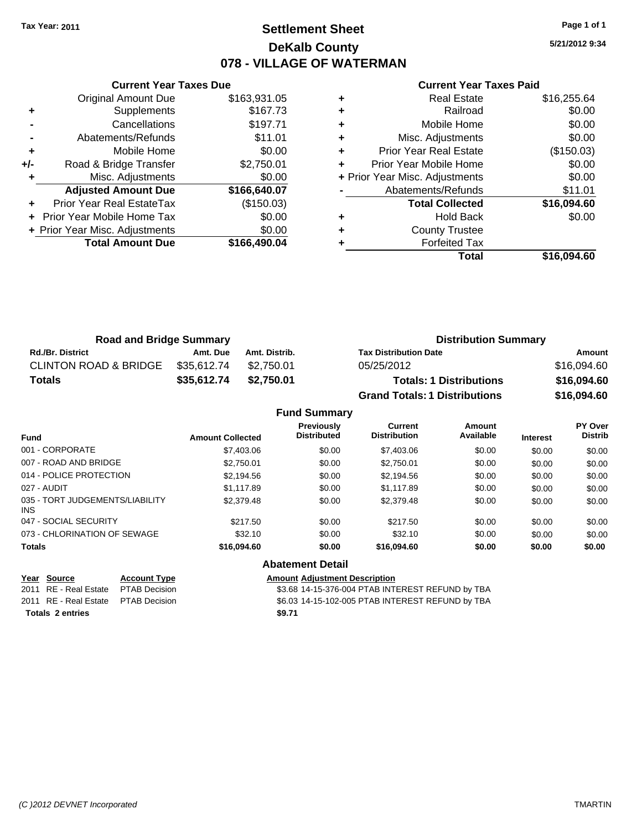### **Settlement Sheet Tax Year: 2011 Page 1 of 1 DeKalb County 078 - VILLAGE OF WATERMAN**

**5/21/2012 9:34**

|  | <b>Current Year Taxes Paid</b> |  |  |  |
|--|--------------------------------|--|--|--|
|--|--------------------------------|--|--|--|

|     | <b>Current Year Taxes Due</b>    |              |
|-----|----------------------------------|--------------|
|     | <b>Original Amount Due</b>       | \$163,931.05 |
| ٠   | Supplements                      | \$167.73     |
|     | Cancellations                    | \$197.71     |
|     | Abatements/Refunds               | \$11.01      |
| ٠   | Mobile Home                      | \$0.00       |
| +/- | Road & Bridge Transfer           | \$2,750.01   |
| ٠   | Misc. Adjustments                | \$0.00       |
|     | <b>Adjusted Amount Due</b>       | \$166,640.07 |
|     | <b>Prior Year Real EstateTax</b> | (\$150.03)   |
|     | Prior Year Mobile Home Tax       | \$0.00       |
|     | + Prior Year Misc. Adjustments   | \$0.00       |
|     | <b>Total Amount Due</b>          | \$166,490.04 |
|     |                                  |              |

| <b>Real Estate</b>            | \$16,255.64                    |
|-------------------------------|--------------------------------|
| Railroad                      | \$0.00                         |
| Mobile Home                   | \$0.00                         |
| Misc. Adjustments             | \$0.00                         |
| <b>Prior Year Real Estate</b> | (\$150.03)                     |
| Prior Year Mobile Home        | \$0.00                         |
|                               | \$0.00                         |
| Abatements/Refunds            | \$11.01                        |
| <b>Total Collected</b>        | \$16,094.60                    |
| Hold Back                     | \$0.00                         |
| <b>County Trustee</b>         |                                |
| <b>Forfeited Tax</b>          |                                |
| Total                         | \$16,094.60                    |
|                               | + Prior Year Misc. Adjustments |

| <b>Road and Bridge Summary</b>   |             | <b>Distribution Summary</b> |                                      |             |
|----------------------------------|-------------|-----------------------------|--------------------------------------|-------------|
| <b>Rd./Br. District</b>          | Amt. Due    | Amt. Distrib.               | <b>Tax Distribution Date</b>         | Amount      |
| <b>CLINTON ROAD &amp; BRIDGE</b> | \$35.612.74 | \$2.750.01                  | 05/25/2012                           | \$16.094.60 |
| <b>Totals</b>                    | \$35,612.74 | \$2,750.01                  | <b>Totals: 1 Distributions</b>       | \$16,094.60 |
|                                  |             |                             | <b>Grand Totals: 1 Distributions</b> | \$16,094.60 |

| <b>Fund Summary</b> |  |  |
|---------------------|--|--|
|---------------------|--|--|

| <b>Amount Collected</b> | <b>Previously</b><br><b>Distributed</b> | Current<br><b>Distribution</b> | Amount<br>Available | <b>Interest</b> | PY Over<br><b>Distrib</b> |
|-------------------------|-----------------------------------------|--------------------------------|---------------------|-----------------|---------------------------|
| \$7,403.06              | \$0.00                                  | \$7,403.06                     | \$0.00              | \$0.00          | \$0.00                    |
| \$2,750.01              | \$0.00                                  | \$2,750.01                     | \$0.00              | \$0.00          | \$0.00                    |
| \$2,194.56              | \$0.00                                  | \$2,194.56                     | \$0.00              | \$0.00          | \$0.00                    |
| \$1,117.89              | \$0.00                                  | \$1,117.89                     | \$0.00              | \$0.00          | \$0.00                    |
| \$2,379.48              | \$0.00                                  | \$2,379.48                     | \$0.00              | \$0.00          | \$0.00                    |
| \$217.50                | \$0.00                                  | \$217.50                       | \$0.00              | \$0.00          | \$0.00                    |
| \$32.10                 | \$0.00                                  | \$32.10                        | \$0.00              | \$0.00          | \$0.00                    |
| \$16,094.60             | \$0.00                                  | \$16,094.60                    | \$0.00              | \$0.00          | \$0.00                    |
|                         |                                         |                                |                     |                 |                           |

#### **Abatement Detail**

2011 RE - Real Estate \$3.68 14-15-376-004 PTAB INTEREST REFUND by TBA PTAB Decision **Totals \$9.71 2 entries**

**Year Source Account Type Amount Adjustment Description**

2011 RE - Real Estate \$6.03 14-15-102-005 PTAB INTEREST REFUND by TBA PTAB Decision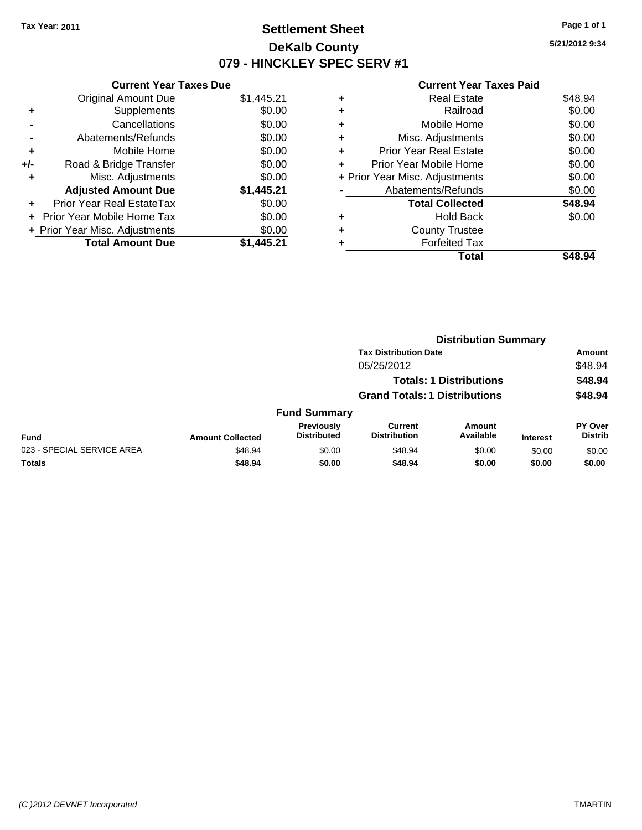### **Settlement Sheet Tax Year: 2011 Page 1 of 1 DeKalb County 079 - HINCKLEY SPEC SERV #1**

**5/21/2012 9:34**

|     | <b>Current Year Taxes Due</b>  |            |
|-----|--------------------------------|------------|
|     | <b>Original Amount Due</b>     | \$1,445.21 |
| ÷   | Supplements                    | \$0.00     |
|     | Cancellations                  | \$0.00     |
|     | Abatements/Refunds             | \$0.00     |
| ٠   | Mobile Home                    | \$0.00     |
| +/- | Road & Bridge Transfer         | \$0.00     |
|     | Misc. Adjustments              | \$0.00     |
|     | <b>Adjusted Amount Due</b>     | \$1,445.21 |
| ÷   | Prior Year Real EstateTax      | \$0.00     |
|     | Prior Year Mobile Home Tax     | \$0.00     |
|     | + Prior Year Misc. Adjustments | \$0.00     |
|     | <b>Total Amount Due</b>        | \$1.445.21 |

| \$48.94 |
|---------|
| \$0.00  |
| \$0.00  |
| \$0.00  |
| \$0.00  |
| \$0.00  |
| \$0.00  |
| \$0.00  |
| \$48.94 |
| \$0.00  |
|         |
|         |
|         |
|         |

|                            |                         | <b>Distribution Summary</b>      |                                       |                                |                 |                           |
|----------------------------|-------------------------|----------------------------------|---------------------------------------|--------------------------------|-----------------|---------------------------|
|                            |                         |                                  | <b>Tax Distribution Date</b>          |                                |                 | Amount                    |
|                            |                         |                                  | 05/25/2012                            |                                |                 | \$48.94                   |
|                            |                         |                                  |                                       | <b>Totals: 1 Distributions</b> |                 | \$48.94                   |
|                            |                         |                                  | <b>Grand Totals: 1 Distributions</b>  |                                |                 | \$48.94                   |
|                            |                         | <b>Fund Summary</b>              |                                       |                                |                 |                           |
| <b>Fund</b>                | <b>Amount Collected</b> | Previously<br><b>Distributed</b> | <b>Current</b><br><b>Distribution</b> | <b>Amount</b><br>Available     | <b>Interest</b> | PY Over<br><b>Distrib</b> |
| 023 - SPECIAL SERVICE AREA | \$48.94                 | \$0.00                           | \$48.94                               | \$0.00                         | \$0.00          | \$0.00                    |
| Totals                     | \$48.94                 | \$0.00                           | \$48.94                               | \$0.00                         | \$0.00          | \$0.00                    |
|                            |                         |                                  |                                       |                                |                 |                           |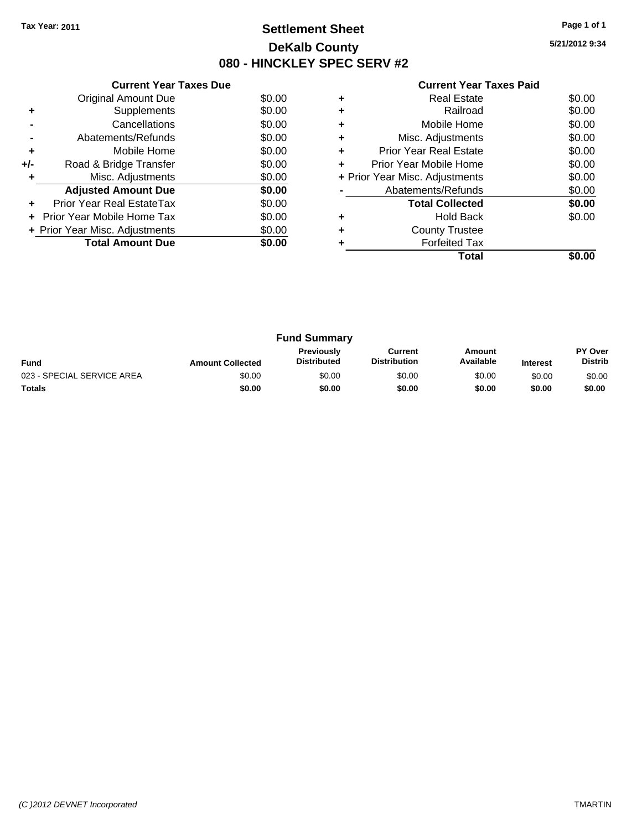### **Settlement Sheet Tax Year: 2011 Page 1 of 1 DeKalb County 080 - HINCKLEY SPEC SERV #2**

**5/21/2012 9:34**

|     | <b>Current Year Taxes Due</b>  |        |
|-----|--------------------------------|--------|
|     | <b>Original Amount Due</b>     | \$0.00 |
| ٠   | Supplements                    | \$0.00 |
|     | Cancellations                  | \$0.00 |
|     | Abatements/Refunds             | \$0.00 |
| ٠   | Mobile Home                    | \$0.00 |
| +/- | Road & Bridge Transfer         | \$0.00 |
| ٠   | Misc. Adjustments              | \$0.00 |
|     | <b>Adjusted Amount Due</b>     | \$0.00 |
| ٠   | Prior Year Real EstateTax      | \$0.00 |
|     | Prior Year Mobile Home Tax     | \$0.00 |
|     | + Prior Year Misc. Adjustments | \$0.00 |
|     | <b>Total Amount Due</b>        | \$0.00 |
|     |                                |        |

|   | Real Estate                    | \$0.00 |
|---|--------------------------------|--------|
|   | Railroad                       | \$0.00 |
| ٠ | Mobile Home                    | \$0.00 |
| ٠ | Misc. Adjustments              | \$0.00 |
| ٠ | Prior Year Real Estate         | \$0.00 |
| ÷ | Prior Year Mobile Home         | \$0.00 |
|   | + Prior Year Misc. Adjustments | \$0.00 |
|   | Abatements/Refunds             | \$0.00 |
|   | <b>Total Collected</b>         | \$0.00 |
|   | Hold Back                      | \$0.00 |
| ٠ | <b>County Trustee</b>          |        |
|   | <b>Forfeited Tax</b>           |        |
|   | Total                          |        |

| <b>Fund Summary</b>        |                         |                                         |                                |                     |                 |                                  |
|----------------------------|-------------------------|-----------------------------------------|--------------------------------|---------------------|-----------------|----------------------------------|
| <b>Fund</b>                | <b>Amount Collected</b> | <b>Previously</b><br><b>Distributed</b> | Current<br><b>Distribution</b> | Amount<br>Available | <b>Interest</b> | <b>PY Over</b><br><b>Distrib</b> |
| 023 - SPECIAL SERVICE AREA | \$0.00                  | \$0.00                                  | \$0.00                         | \$0.00              | \$0.00          | \$0.00                           |
| Totals                     | \$0.00                  | \$0.00                                  | \$0.00                         | \$0.00              | \$0.00          | \$0.00                           |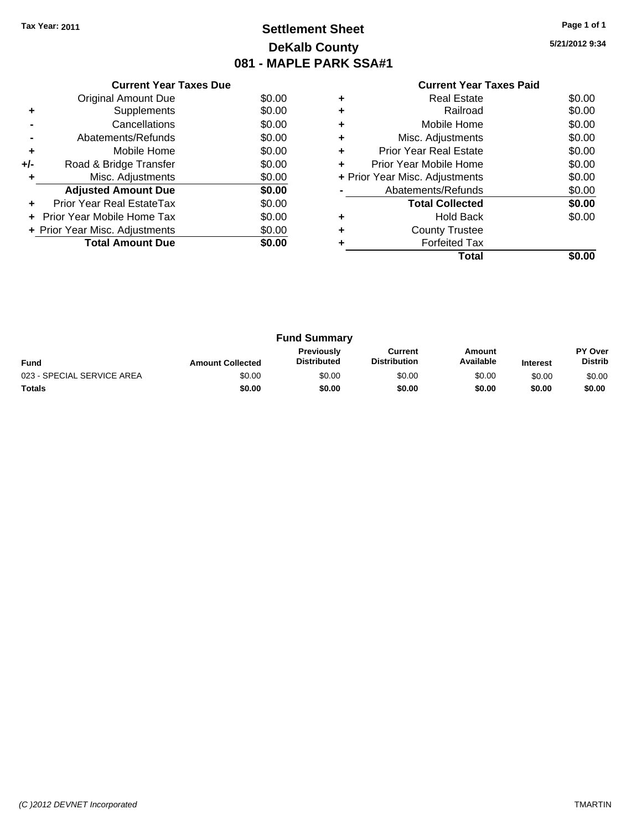# **Settlement Sheet Tax Year: 2011 Page 1 of 1 DeKalb County 081 - MAPLE PARK SSA#1**

**5/21/2012 9:34**

|       | <b>Current Year Taxes Due</b>     |        |
|-------|-----------------------------------|--------|
|       | Original Amount Due               | \$0.00 |
| ٠     | Supplements                       | \$0.00 |
|       | Cancellations                     | \$0.00 |
|       | Abatements/Refunds                | \$0.00 |
| ٠     | Mobile Home                       | \$0.00 |
| $+/-$ | Road & Bridge Transfer            | \$0.00 |
| ٠     | Misc. Adjustments                 | \$0.00 |
|       | <b>Adjusted Amount Due</b>        | \$0.00 |
| ٠     | Prior Year Real EstateTax         | \$0.00 |
|       | <b>Prior Year Mobile Home Tax</b> | \$0.00 |
|       | + Prior Year Misc. Adjustments    | \$0.00 |
|       | <b>Total Amount Due</b>           | \$0.00 |
|       |                                   |        |

|   | Total                          | SO.OO  |
|---|--------------------------------|--------|
|   | <b>Forfeited Tax</b>           |        |
| ٠ | <b>County Trustee</b>          |        |
| ٠ | Hold Back                      | \$0.00 |
|   | <b>Total Collected</b>         | \$0.00 |
|   | Abatements/Refunds             | \$0.00 |
|   | + Prior Year Misc. Adjustments | \$0.00 |
|   | Prior Year Mobile Home         | \$0.00 |
| ٠ | <b>Prior Year Real Estate</b>  | \$0.00 |
| ٠ | Misc. Adjustments              | \$0.00 |
| ٠ | Mobile Home                    | \$0.00 |
| ٠ | Railroad                       | \$0.00 |
| ٠ | <b>Real Estate</b>             | \$0.00 |

| <b>Fund Summary</b>        |                         |                                         |                                |                     |                 |                           |
|----------------------------|-------------------------|-----------------------------------------|--------------------------------|---------------------|-----------------|---------------------------|
| <b>Fund</b>                | <b>Amount Collected</b> | <b>Previously</b><br><b>Distributed</b> | Current<br><b>Distribution</b> | Amount<br>Available | <b>Interest</b> | PY Over<br><b>Distrib</b> |
| 023 - SPECIAL SERVICE AREA | \$0.00                  | \$0.00                                  | \$0.00                         | \$0.00              | \$0.00          | \$0.00                    |
| <b>Totals</b>              | \$0.00                  | \$0.00                                  | \$0.00                         | \$0.00              | \$0.00          | \$0.00                    |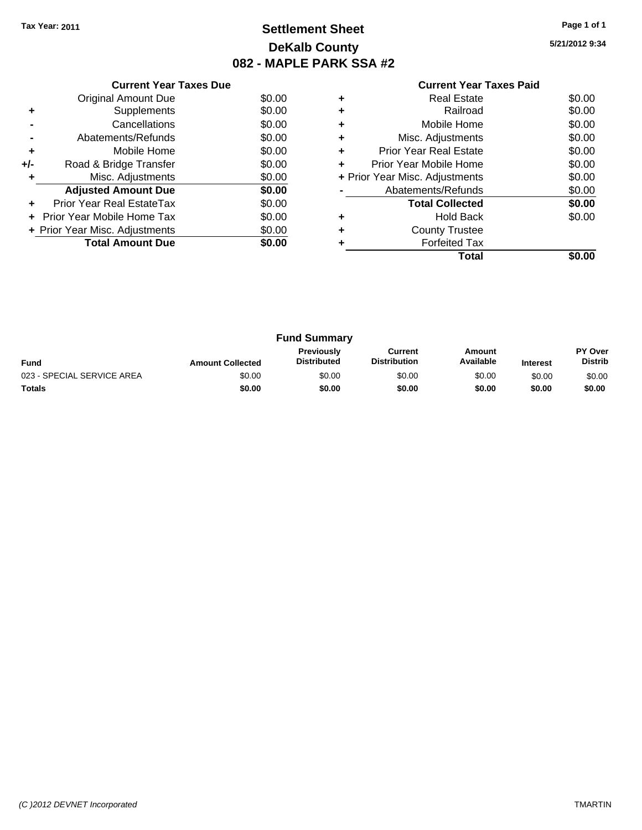# **Settlement Sheet Tax Year: 2011 Page 1 of 1 DeKalb County 082 - MAPLE PARK SSA #2**

**5/21/2012 9:34**

|     | <b>Current Year Taxes Due</b>  |        |
|-----|--------------------------------|--------|
|     | <b>Original Amount Due</b>     | \$0.00 |
| ٠   | Supplements                    | \$0.00 |
|     | Cancellations                  | \$0.00 |
|     | Abatements/Refunds             | \$0.00 |
| ٠   | Mobile Home                    | \$0.00 |
| +/- | Road & Bridge Transfer         | \$0.00 |
| ٠   | Misc. Adjustments              | \$0.00 |
|     | <b>Adjusted Amount Due</b>     | \$0.00 |
|     | Prior Year Real EstateTax      | \$0.00 |
|     | Prior Year Mobile Home Tax     | \$0.00 |
|     | + Prior Year Misc. Adjustments | \$0.00 |
|     | <b>Total Amount Due</b>        | \$0.00 |
|     |                                |        |

|   | Total                          | SO.OO  |
|---|--------------------------------|--------|
|   | <b>Forfeited Tax</b>           |        |
|   | <b>County Trustee</b>          |        |
|   | <b>Hold Back</b>               | \$0.00 |
|   | <b>Total Collected</b>         | \$0.00 |
|   | Abatements/Refunds             | \$0.00 |
|   | + Prior Year Misc. Adjustments | \$0.00 |
| ٠ | Prior Year Mobile Home         | \$0.00 |
| ٠ | <b>Prior Year Real Estate</b>  | \$0.00 |
| ٠ | Misc. Adjustments              | \$0.00 |
|   | Mobile Home                    | \$0.00 |
|   | Railroad                       | \$0.00 |
|   | <b>Real Estate</b>             | \$0.00 |
|   |                                |        |

| <b>Fund Summary</b>        |                         |                                  |                                |                     |                 |                                  |
|----------------------------|-------------------------|----------------------------------|--------------------------------|---------------------|-----------------|----------------------------------|
| <b>Fund</b>                | <b>Amount Collected</b> | Previously<br><b>Distributed</b> | Current<br><b>Distribution</b> | Amount<br>Available | <b>Interest</b> | <b>PY Over</b><br><b>Distrib</b> |
| 023 - SPECIAL SERVICE AREA | \$0.00                  | \$0.00                           | \$0.00                         | \$0.00              | \$0.00          | \$0.00                           |
| <b>Totals</b>              | \$0.00                  | \$0.00                           | \$0.00                         | \$0.00              | \$0.00          | \$0.00                           |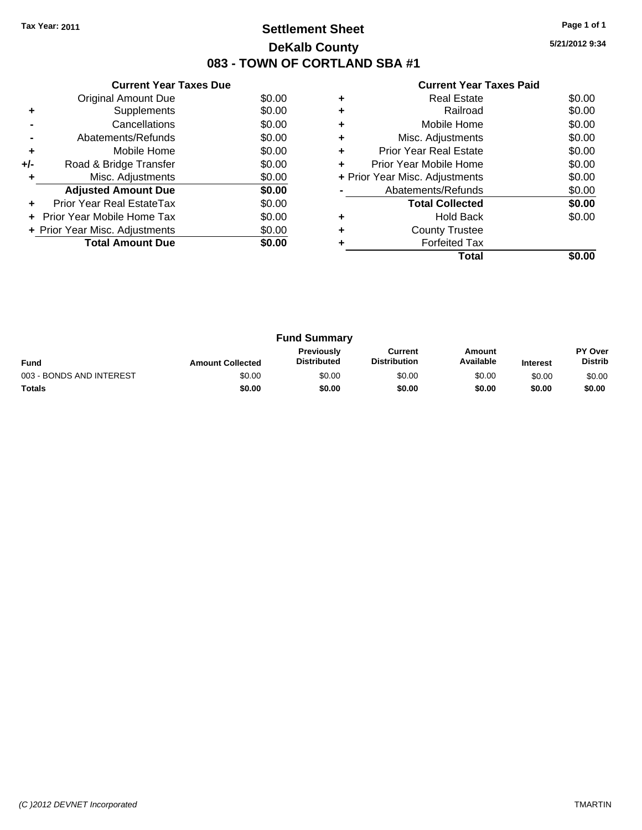### **Settlement Sheet Tax Year: 2011 Page 1 of 1 DeKalb County 083 - TOWN OF CORTLAND SBA #1**

**5/21/2012 9:34**

|     | <b>Current Year Taxes Due</b>  |        |
|-----|--------------------------------|--------|
|     | <b>Original Amount Due</b>     | \$0.00 |
| ÷   | Supplements                    | \$0.00 |
|     | Cancellations                  | \$0.00 |
|     | Abatements/Refunds             | \$0.00 |
| ٠   | Mobile Home                    | \$0.00 |
| +/- | Road & Bridge Transfer         | \$0.00 |
| ٠   | Misc. Adjustments              | \$0.00 |
|     | <b>Adjusted Amount Due</b>     | \$0.00 |
| ÷   | Prior Year Real EstateTax      | \$0.00 |
|     | Prior Year Mobile Home Tax     | \$0.00 |
|     | + Prior Year Misc. Adjustments | \$0.00 |
|     | <b>Total Amount Due</b>        | \$0.00 |
|     |                                |        |

|   | <b>Real Estate</b>             | \$0.00 |
|---|--------------------------------|--------|
|   | Railroad                       | \$0.00 |
|   | Mobile Home                    | \$0.00 |
| ٠ | Misc. Adjustments              | \$0.00 |
| ٠ | <b>Prior Year Real Estate</b>  | \$0.00 |
| ÷ | Prior Year Mobile Home         | \$0.00 |
|   | + Prior Year Misc. Adjustments | \$0.00 |
|   | Abatements/Refunds             | \$0.00 |
|   | <b>Total Collected</b>         | \$0.00 |
|   | <b>Hold Back</b>               | \$0.00 |
|   | <b>County Trustee</b>          |        |
|   | <b>Forfeited Tax</b>           |        |
|   | Total                          |        |

| <b>Fund Summary</b>      |                         |                                  |                                |                     |                 |                                  |
|--------------------------|-------------------------|----------------------------------|--------------------------------|---------------------|-----------------|----------------------------------|
| <b>Fund</b>              | <b>Amount Collected</b> | Previously<br><b>Distributed</b> | Current<br><b>Distribution</b> | Amount<br>Available | <b>Interest</b> | <b>PY Over</b><br><b>Distrib</b> |
| 003 - BONDS AND INTEREST | \$0.00                  | \$0.00                           | \$0.00                         | \$0.00              | \$0.00          | \$0.00                           |
| <b>Totals</b>            | \$0.00                  | \$0.00                           | \$0.00                         | \$0.00              | \$0.00          | \$0.00                           |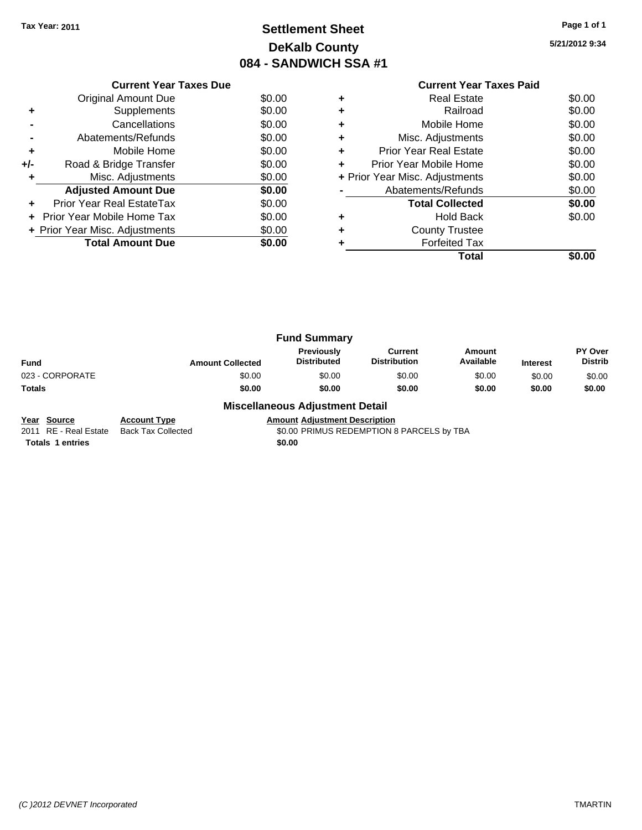# **Settlement Sheet Tax Year: 2011 Page 1 of 1 DeKalb County 084 - SANDWICH SSA #1**

**5/21/2012 9:34**

|     | <b>Current Year Taxes Due</b>     |        |
|-----|-----------------------------------|--------|
|     | Original Amount Due               | \$0.00 |
|     | Supplements                       | \$0.00 |
|     | Cancellations                     | \$0.00 |
|     | Abatements/Refunds                | \$0.00 |
| ٠   | Mobile Home                       | \$0.00 |
| +/- | Road & Bridge Transfer            | \$0.00 |
|     | Misc. Adjustments                 | \$0.00 |
|     | <b>Adjusted Amount Due</b>        | \$0.00 |
|     | <b>Prior Year Real EstateTax</b>  | \$0.00 |
|     | <b>Prior Year Mobile Home Tax</b> | \$0.00 |
|     | + Prior Year Misc. Adjustments    | \$0.00 |
|     | <b>Total Amount Due</b>           | \$0.00 |
|     |                                   |        |

### **Current Year Taxes Paid +** Real Estate \$0.00 **+** Railroad \$0.00 **+** Mobile Home \$0.00 **+** Misc. Adjustments \$0.00 **+** Prior Year Real Estate \$0.00 **+** Prior Year Mobile Home \$0.00 **+** Prior Year Misc. Adjustments \$0.00 **-** Abatements/Refunds \$0.00 Total Collected \$0.00 **+** Hold Back \$0.00 **+** County Trustee **+** Forfeited Tax **Total \$0.00**

|                 |                         | <b>Fund Summary</b>              |                                       |                     |                 |                                  |
|-----------------|-------------------------|----------------------------------|---------------------------------------|---------------------|-----------------|----------------------------------|
| <b>Fund</b>     | <b>Amount Collected</b> | Previously<br><b>Distributed</b> | <b>Current</b><br><b>Distribution</b> | Amount<br>Available | <b>Interest</b> | <b>PY Over</b><br><b>Distrib</b> |
| 023 - CORPORATE | \$0.00                  | \$0.00                           | \$0.00                                | \$0.00              | \$0.00          | \$0.00                           |
| Totals          | \$0.00                  | \$0.00                           | \$0.00                                | \$0.00              | \$0.00          | \$0.00                           |
|                 | - - -<br>$ -$           |                                  |                                       |                     |                 |                                  |

#### **Miscellaneous Adjustment Detail**

**Year Source Account Type Amount Adjustment Description**<br>2011 RE - Real Estate Back Tax Collected **Amount SO.00 PRIMUS REDEMPTION** Back Tax Collected **2011 COLLECTED SOLID** SO.00 PRIMUS REDEMPTION 8 PARCELS by TBA

**Totals 1 entries** \$0.00

*(C )2012 DEVNET Incorporated* TMARTIN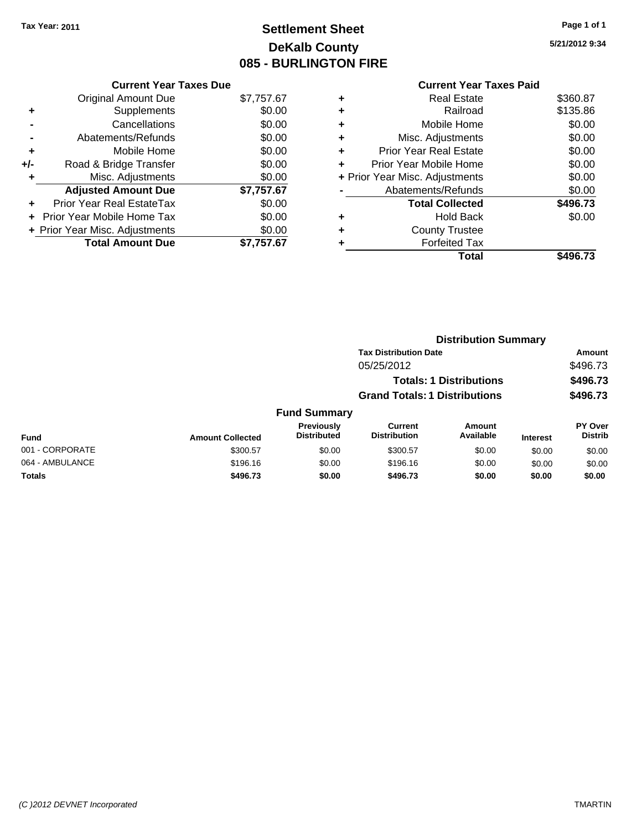# **Settlement Sheet Tax Year: 2011 Page 1 of 1 DeKalb County 085 - BURLINGTON FIRE**

**5/21/2012 9:34**

|   | Total                          | \$496.73 |
|---|--------------------------------|----------|
|   | <b>Forfeited Tax</b>           |          |
| ٠ | <b>County Trustee</b>          |          |
| ٠ | Hold Back                      | \$0.00   |
|   | <b>Total Collected</b>         | \$496.73 |
|   | Abatements/Refunds             | \$0.00   |
|   | + Prior Year Misc. Adjustments | \$0.00   |
| ٠ | Prior Year Mobile Home         | \$0.00   |
| ÷ | Prior Year Real Estate         | \$0.00   |
| ٠ | Misc. Adjustments              | \$0.00   |
| ٠ | Mobile Home                    | \$0.00   |
| ٠ | Railroad                       | \$135.86 |
| ÷ | <b>Real Estate</b>             | \$360.87 |
|   | <b>Current Year Taxes Paid</b> |          |

|                 |                         |                                  |                                       | <b>Distribution Summary</b>    |                 |                                  |
|-----------------|-------------------------|----------------------------------|---------------------------------------|--------------------------------|-----------------|----------------------------------|
|                 |                         |                                  | <b>Tax Distribution Date</b>          |                                |                 | Amount                           |
|                 |                         |                                  | 05/25/2012                            |                                |                 | \$496.73                         |
|                 |                         |                                  |                                       | <b>Totals: 1 Distributions</b> |                 | \$496.73                         |
|                 |                         |                                  | <b>Grand Totals: 1 Distributions</b>  |                                |                 | \$496.73                         |
|                 |                         | <b>Fund Summary</b>              |                                       |                                |                 |                                  |
| Fund            | <b>Amount Collected</b> | Previously<br><b>Distributed</b> | <b>Current</b><br><b>Distribution</b> | Amount<br>Available            | <b>Interest</b> | <b>PY Over</b><br><b>Distrib</b> |
| 001 - CORPORATE | \$300.57                | \$0.00                           | \$300.57                              | \$0.00                         | \$0.00          | \$0.00                           |
| 064 - AMBULANCE | \$196.16                | \$0.00                           | \$196.16                              | \$0.00                         | \$0.00          | \$0.00                           |
| Totals          | \$496.73                | \$0.00                           | \$496.73                              | \$0.00                         | \$0.00          | \$0.00                           |
|                 |                         |                                  |                                       |                                |                 |                                  |

#### **Current Year Taxes Due** Original Amount Due \$7,757.67

|     | Supplements                      | \$0.00     |
|-----|----------------------------------|------------|
|     | Cancellations                    | \$0.00     |
|     | Abatements/Refunds               | \$0.00     |
| ٠   | Mobile Home                      | \$0.00     |
| +/- | Road & Bridge Transfer           | \$0.00     |
| ٠   | Misc. Adjustments                | \$0.00     |
|     |                                  |            |
|     | <b>Adjusted Amount Due</b>       | \$7,757.67 |
|     | <b>Prior Year Real EstateTax</b> | \$0.00     |
|     | Prior Year Mobile Home Tax       | \$0.00     |
|     | + Prior Year Misc. Adjustments   | \$0.00     |
|     | <b>Total Amount Due</b>          | \$7,757.67 |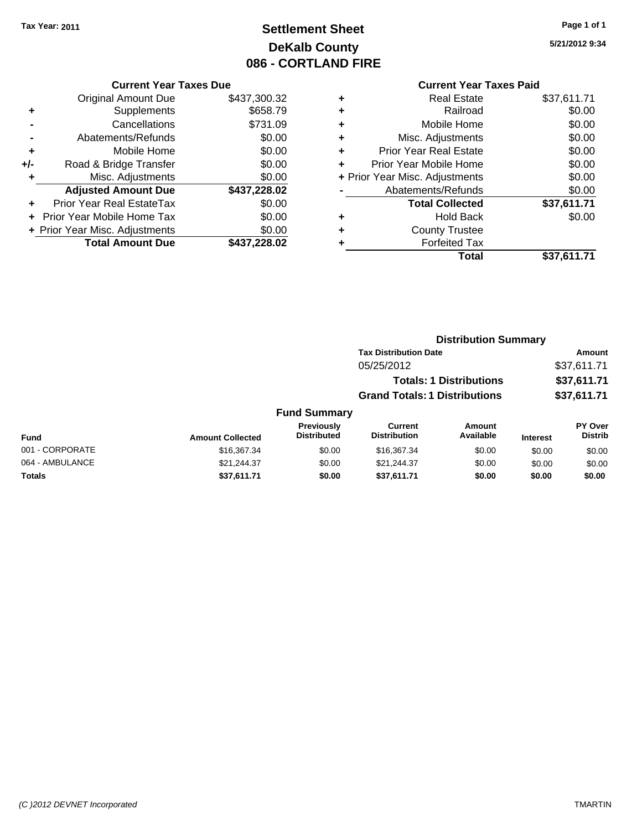# **Settlement Sheet Tax Year: 2011 Page 1 of 1 DeKalb County 086 - CORTLAND FIRE**

# **5/21/2012 9:34**

### **Current Year Taxes Paid**

| <b>Current Year Taxes Due</b>     |              |  |  |  |
|-----------------------------------|--------------|--|--|--|
| <b>Original Amount Due</b>        | \$437,300.32 |  |  |  |
| Supplements                       | \$658.79     |  |  |  |
| Cancellations                     | \$731.09     |  |  |  |
| Abatements/Refunds                | \$0.00       |  |  |  |
| Mobile Home                       | \$0.00       |  |  |  |
| Road & Bridge Transfer            | \$0.00       |  |  |  |
| Misc. Adjustments                 | \$0.00       |  |  |  |
| <b>Adjusted Amount Due</b>        | \$437,228.02 |  |  |  |
| Prior Year Real EstateTax         | \$0.00       |  |  |  |
| <b>Prior Year Mobile Home Tax</b> | \$0.00       |  |  |  |
| + Prior Year Misc. Adjustments    | \$0.00       |  |  |  |
| <b>Total Amount Due</b>           | \$437,228.02 |  |  |  |
|                                   |              |  |  |  |

| ٠ | <b>Real Estate</b>             | \$37,611.71 |
|---|--------------------------------|-------------|
| ٠ | Railroad                       | \$0.00      |
| ٠ | Mobile Home                    | \$0.00      |
| ٠ | Misc. Adjustments              | \$0.00      |
| ÷ | <b>Prior Year Real Estate</b>  | \$0.00      |
|   | Prior Year Mobile Home         | \$0.00      |
|   | + Prior Year Misc. Adjustments | \$0.00      |
|   | Abatements/Refunds             | \$0.00      |
|   | <b>Total Collected</b>         | \$37,611.71 |
| ٠ | Hold Back                      | \$0.00      |
|   | <b>County Trustee</b>          |             |
| ٠ | <b>Forfeited Tax</b>           |             |
|   | Total                          | \$37,611.71 |
|   |                                |             |

### **Distribution Summary Tax Distribution Date Amount** 05/25/2012 \$37,611.71 **Totals: 1 Distributions \$37,611.71 Grand Totals: 1 Distributions \$37,611.71 Fund Summary**

| Fund            | <b>Amount Collected</b> | <b>Previously</b><br><b>Distributed</b> | Current<br><b>Distribution</b> | Amount<br>Available | <b>Interest</b> | PY Over<br><b>Distrib</b> |
|-----------------|-------------------------|-----------------------------------------|--------------------------------|---------------------|-----------------|---------------------------|
| 001 - CORPORATE | \$16,367,34             | \$0.00                                  | \$16,367.34                    | \$0.00              | \$0.00          | \$0.00                    |
| 064 - AMBULANCE | \$21.244.37             | \$0.00                                  | \$21.244.37                    | \$0.00              | \$0.00          | \$0.00                    |
| <b>Totals</b>   | \$37,611.71             | \$0.00                                  | \$37,611.71                    | \$0.00              | \$0.00          | \$0.00                    |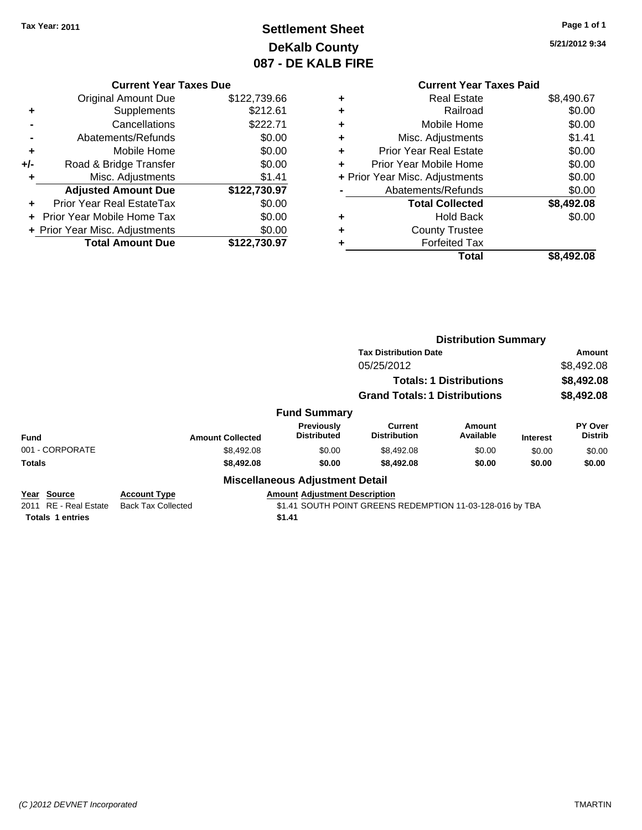# **Settlement Sheet Tax Year: 2011 Page 1 of 1 DeKalb County 087 - DE KALB FIRE**

**5/21/2012 9:34**

|     | <b>Current Year Taxes Due</b> |              |  |  |
|-----|-------------------------------|--------------|--|--|
|     | <b>Original Amount Due</b>    | \$122,739.66 |  |  |
| ٠   | Supplements                   | \$212.61     |  |  |
|     | Cancellations                 | \$222.71     |  |  |
|     | Abatements/Refunds            | \$0.00       |  |  |
| ٠   | Mobile Home                   | \$0.00       |  |  |
| +/- | Road & Bridge Transfer        | \$0.00       |  |  |
| ÷   | Misc. Adjustments             | \$1.41       |  |  |
|     | <b>Adjusted Amount Due</b>    | \$122,730.97 |  |  |

| <b>Total Amount Due</b>        | \$122,730.97 |
|--------------------------------|--------------|
| + Prior Year Misc. Adjustments | \$0.00       |
| + Prior Year Mobile Home Tax   | \$0.00       |
| Prior Year Real EstateTax      | \$0.00       |

|   | Total                          | \$8,492.08 |
|---|--------------------------------|------------|
|   | <b>Forfeited Tax</b>           |            |
|   | <b>County Trustee</b>          |            |
| ٠ | <b>Hold Back</b>               | \$0.00     |
|   | <b>Total Collected</b>         | \$8,492.08 |
|   | Abatements/Refunds             | \$0.00     |
|   | + Prior Year Misc. Adjustments | \$0.00     |
|   | Prior Year Mobile Home         | \$0.00     |
| ÷ | <b>Prior Year Real Estate</b>  | \$0.00     |
| ÷ | Misc. Adjustments              | \$1.41     |
|   | Mobile Home                    | \$0.00     |
|   | Railroad                       | \$0.00     |
| ٠ | <b>Real Estate</b>             | \$8,490.67 |

|                                                |                                                  |                                        |                                                           | <b>Distribution Summary</b>    |                 |                           |
|------------------------------------------------|--------------------------------------------------|----------------------------------------|-----------------------------------------------------------|--------------------------------|-----------------|---------------------------|
|                                                |                                                  |                                        | <b>Tax Distribution Date</b>                              |                                |                 | Amount                    |
|                                                |                                                  |                                        | 05/25/2012                                                |                                |                 | \$8,492.08                |
|                                                |                                                  |                                        |                                                           | <b>Totals: 1 Distributions</b> |                 | \$8,492.08                |
|                                                |                                                  |                                        | <b>Grand Totals: 1 Distributions</b>                      |                                |                 | \$8,492.08                |
|                                                |                                                  | <b>Fund Summary</b>                    |                                                           |                                |                 |                           |
| <b>Fund</b>                                    | <b>Amount Collected</b>                          | Previously<br><b>Distributed</b>       | Current<br><b>Distribution</b>                            | <b>Amount</b><br>Available     | <b>Interest</b> | PY Over<br><b>Distrib</b> |
| 001 - CORPORATE                                | \$8,492.08                                       | \$0.00                                 | \$8,492.08                                                | \$0.00                         | \$0.00          | \$0.00                    |
| <b>Totals</b>                                  | \$8,492.08                                       | \$0.00                                 | \$8,492.08                                                | \$0.00                         | \$0.00          | \$0.00                    |
|                                                |                                                  | <b>Miscellaneous Adjustment Detail</b> |                                                           |                                |                 |                           |
| Year Source<br><b>RE</b> - Real Estate<br>2011 | <b>Account Type</b><br><b>Back Tax Collected</b> | <b>Amount Adjustment Description</b>   | \$1.41 SOUTH POINT GREENS REDEMPTION 11-03-128-016 by TBA |                                |                 |                           |
| <b>Totals 1 entries</b>                        |                                                  | \$1.41                                 |                                                           |                                |                 |                           |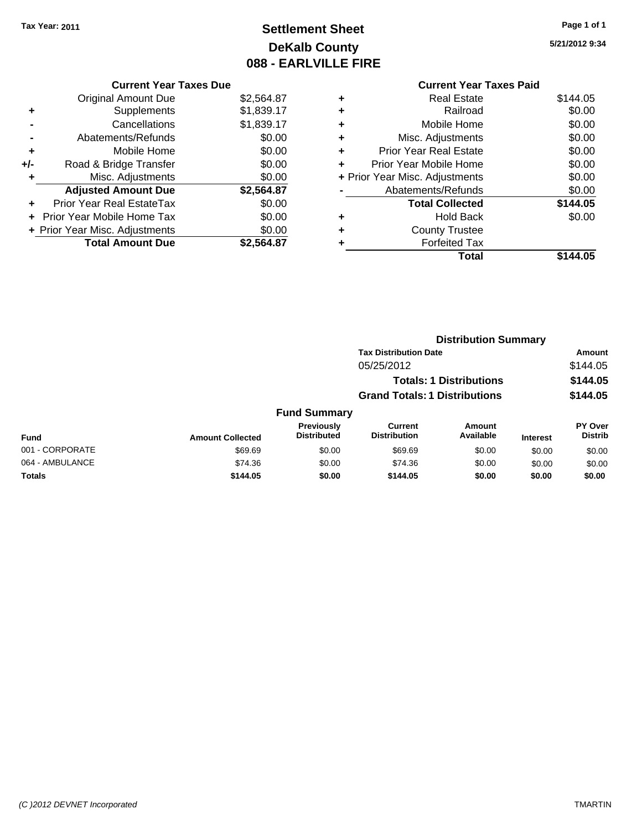# **Settlement Sheet Tax Year: 2011 Page 1 of 1 DeKalb County 088 - EARLVILLE FIRE**

**5/21/2012 9:34**

|   | <b>Current Year Taxes Paid</b> |          |
|---|--------------------------------|----------|
|   | <b>Real Estate</b>             | \$144.05 |
|   | Railroad                       | \$0.00   |
| ٠ | Mobile Home                    | \$0.00   |
| ٠ | Misc. Adjustments              | \$0.00   |
|   | <b>Prior Year Real Estate</b>  | \$0.00   |
|   | Prior Year Mobile Home         | \$0.00   |
|   | + Prior Year Misc. Adjustments | \$0.00   |
|   | Abatements/Refunds             | \$0.00   |
|   | <b>Total Collected</b>         | \$144.05 |
|   | <b>Hold Back</b>               | \$0.00   |
|   | <b>County Trustee</b>          |          |
|   | <b>Forfeited Tax</b>           |          |
|   | Total                          | \$144.05 |

|     | Supplements                    | \$1,839.17 |     |
|-----|--------------------------------|------------|-----|
|     | Cancellations                  | \$1,839.17 | ٠   |
|     | Abatements/Refunds             | \$0.00     | ٠   |
|     | Mobile Home                    | \$0.00     | ٠   |
| +/- | Road & Bridge Transfer         | \$0.00     | ٠   |
|     | Misc. Adjustments              | \$0.00     | + F |
|     | <b>Adjusted Amount Due</b>     | \$2,564.87 |     |
|     |                                |            |     |
|     | Prior Year Real EstateTax      | \$0.00     |     |
|     | Prior Year Mobile Home Tax     | \$0.00     | ٠   |
|     | + Prior Year Misc. Adjustments | \$0.00     |     |
|     | <b>Total Amount Due</b>        | \$2,564.87 |     |
|     |                                |            |     |

**Current Year Taxes Due** Original Amount Due \$2,564.87

|                         |                                  |                                       |                     |                                                                                                        | Amount                           |  |
|-------------------------|----------------------------------|---------------------------------------|---------------------|--------------------------------------------------------------------------------------------------------|----------------------------------|--|
|                         |                                  | 05/25/2012                            |                     |                                                                                                        | \$144.05                         |  |
|                         |                                  |                                       |                     |                                                                                                        | \$144.05                         |  |
|                         |                                  |                                       |                     |                                                                                                        | \$144.05                         |  |
|                         |                                  |                                       |                     |                                                                                                        |                                  |  |
| <b>Amount Collected</b> | Previously<br><b>Distributed</b> | <b>Current</b><br><b>Distribution</b> | Amount<br>Available | <b>Interest</b>                                                                                        | <b>PY Over</b><br><b>Distrib</b> |  |
| \$69.69                 | \$0.00                           | \$69.69                               | \$0.00              | \$0.00                                                                                                 | \$0.00                           |  |
| \$74.36                 | \$0.00                           | \$74.36                               | \$0.00              | \$0.00                                                                                                 | \$0.00                           |  |
| \$144.05                | \$0.00                           | \$144.05                              | \$0.00              | \$0.00                                                                                                 | \$0.00                           |  |
|                         |                                  |                                       | <b>Fund Summary</b> | <b>Tax Distribution Date</b><br><b>Totals: 1 Distributions</b><br><b>Grand Totals: 1 Distributions</b> | <b>Distribution Summary</b>      |  |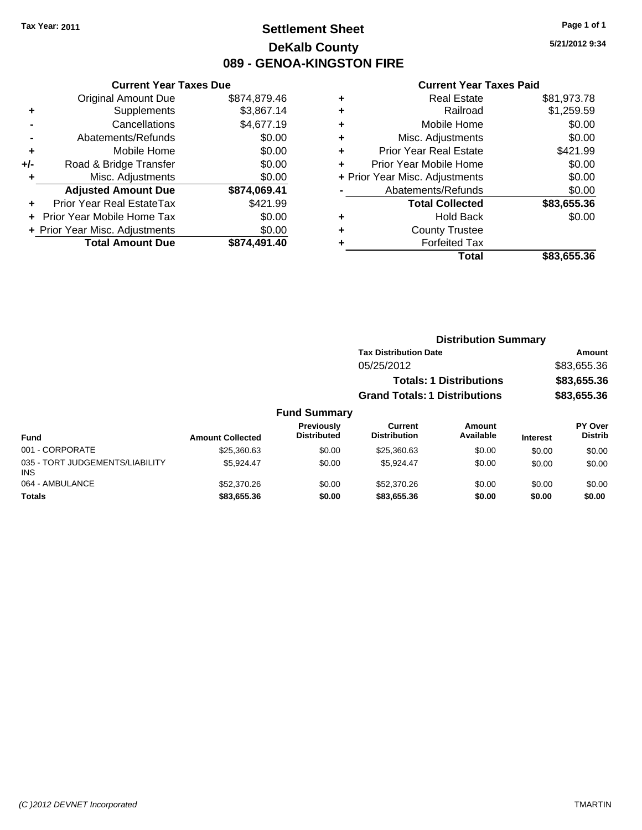### **Settlement Sheet Tax Year: 2011 Page 1 of 1 DeKalb County 089 - GENOA-KINGSTON FIRE**

**5/21/2012 9:34**

| <b>Current Year Taxes Due</b> |                                |
|-------------------------------|--------------------------------|
| <b>Original Amount Due</b>    | \$874,879.46                   |
| Supplements                   | \$3,867.14                     |
| Cancellations                 | \$4,677.19                     |
| Abatements/Refunds            | \$0.00                         |
| Mobile Home                   | \$0.00                         |
| Road & Bridge Transfer        | \$0.00                         |
| Misc. Adjustments             | \$0.00                         |
| <b>Adjusted Amount Due</b>    | \$874,069.41                   |
| Prior Year Real EstateTax     | \$421.99                       |
| Prior Year Mobile Home Tax    | \$0.00                         |
|                               | \$0.00                         |
| <b>Total Amount Due</b>       | \$874.491.40                   |
|                               | + Prior Year Misc. Adjustments |

| <b>Real Estate</b>             | \$81,973.78 |
|--------------------------------|-------------|
| Railroad                       | \$1,259.59  |
| Mobile Home                    | \$0.00      |
| Misc. Adjustments              | \$0.00      |
| <b>Prior Year Real Estate</b>  | \$421.99    |
| Prior Year Mobile Home         | \$0.00      |
| + Prior Year Misc. Adjustments | \$0.00      |
| Abatements/Refunds             | \$0.00      |
| <b>Total Collected</b>         | \$83,655.36 |
| <b>Hold Back</b>               | \$0.00      |
| <b>County Trustee</b>          |             |
| <b>Forfeited Tax</b>           |             |
| Total                          | \$83,655.36 |
|                                |             |

|                         |                                  |                                         | <b>Distribution Summary</b>    |                 |                                  |
|-------------------------|----------------------------------|-----------------------------------------|--------------------------------|-----------------|----------------------------------|
|                         |                                  | <b>Tax Distribution Date</b>            |                                |                 | Amount                           |
|                         |                                  | 05/25/2012                              |                                |                 | \$83,655.36                      |
|                         |                                  |                                         | <b>Totals: 1 Distributions</b> |                 | \$83,655.36                      |
|                         |                                  | <b>Grand Totals: 1 Distributions</b>    |                                |                 | \$83,655.36                      |
|                         | <b>Fund Summary</b>              |                                         |                                |                 |                                  |
| <b>Amount Collected</b> | Previously<br><b>Distributed</b> | Current<br><b>Distribution</b>          | Amount<br>Available            | <b>Interest</b> | <b>PY Over</b><br><b>Distrib</b> |
| $\cdots$                | $\cdots$                         | $\hat{z} = \hat{z} - \hat{z} - \hat{z}$ | $\cdots$                       | ----            |                                  |

| Fund                                   | <b>Amount Collected</b> | <b>Distributed</b> | <b>Distribution</b> | Available | <b>Interest</b> | Distrib |
|----------------------------------------|-------------------------|--------------------|---------------------|-----------|-----------------|---------|
| 001 - CORPORATE                        | \$25.360.63             | \$0.00             | \$25,360.63         | \$0.00    | \$0.00          | \$0.00  |
| 035 - TORT JUDGEMENTS/LIABILITY<br>INS | \$5.924.47              | \$0.00             | \$5.924.47          | \$0.00    | \$0.00          | \$0.00  |
| 064 - AMBULANCE                        | \$52,370.26             | \$0.00             | \$52,370.26         | \$0.00    | \$0.00          | \$0.00  |
| <b>Totals</b>                          | \$83,655.36             | \$0.00             | \$83,655,36         | \$0.00    | \$0.00          | \$0.00  |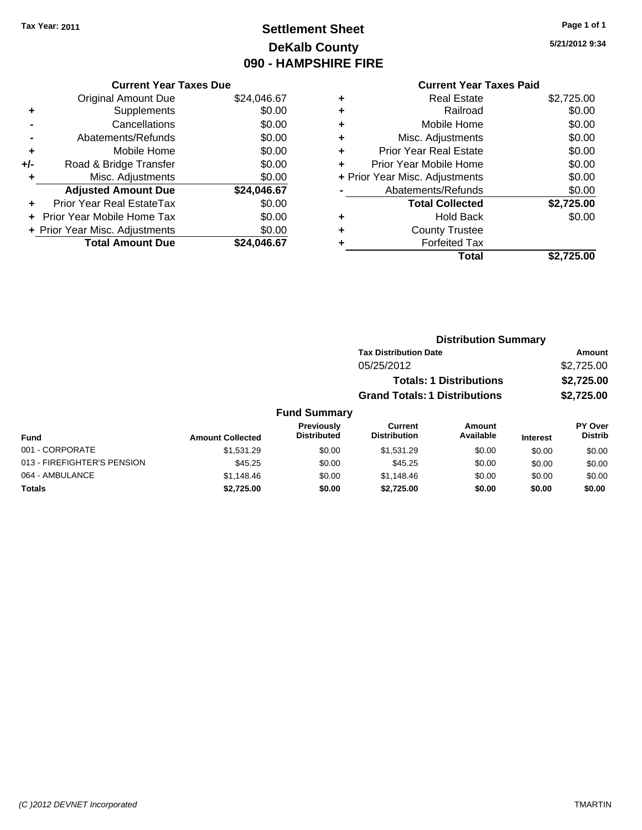# **Settlement Sheet Tax Year: 2011 Page 1 of 1 DeKalb County 090 - HAMPSHIRE FIRE**

**5/21/2012 9:34**

### **Current Year Taxes Paid**

| <b>Current Year Taxes Due</b> |                                |
|-------------------------------|--------------------------------|
| <b>Original Amount Due</b>    | \$24,046.67                    |
| Supplements                   | \$0.00                         |
| Cancellations                 | \$0.00                         |
| Abatements/Refunds            | \$0.00                         |
| Mobile Home                   | \$0.00                         |
| Road & Bridge Transfer        | \$0.00                         |
| Misc. Adjustments             | \$0.00                         |
| <b>Adjusted Amount Due</b>    | \$24,046.67                    |
| Prior Year Real EstateTax     | \$0.00                         |
| Prior Year Mobile Home Tax    | \$0.00                         |
|                               | \$0.00                         |
| <b>Total Amount Due</b>       | \$24.046.67                    |
|                               | + Prior Year Misc. Adjustments |

|   | <b>Real Estate</b>             | \$2,725.00 |
|---|--------------------------------|------------|
| ٠ | Railroad                       | \$0.00     |
| ٠ | Mobile Home                    | \$0.00     |
| ٠ | Misc. Adjustments              | \$0.00     |
| ٠ | Prior Year Real Estate         | \$0.00     |
|   | Prior Year Mobile Home         | \$0.00     |
|   | + Prior Year Misc. Adjustments | \$0.00     |
|   | Abatements/Refunds             | \$0.00     |
|   | <b>Total Collected</b>         | \$2,725.00 |
| ٠ | <b>Hold Back</b>               | \$0.00     |
| ٠ | <b>County Trustee</b>          |            |
| ٠ | <b>Forfeited Tax</b>           |            |
|   | Total                          | \$2,725.00 |
|   |                                |            |

|                     | <b>Distribution Summary</b>                                            |               |                |  |  |
|---------------------|------------------------------------------------------------------------|---------------|----------------|--|--|
|                     | <b>Tax Distribution Date</b>                                           |               | <b>Amount</b>  |  |  |
|                     | 05/25/2012                                                             |               | \$2,725.00     |  |  |
|                     | <b>Totals: 1 Distributions</b><br><b>Grand Totals: 1 Distributions</b> |               | \$2,725.00     |  |  |
|                     |                                                                        |               | \$2,725.00     |  |  |
| <b>Fund Summary</b> |                                                                        |               |                |  |  |
| <b>Previously</b>   | <b>Current</b>                                                         | <b>Amount</b> | <b>PY Over</b> |  |  |
| Diateibuta d        | Diateikutian                                                           | $A \cdot A$   | <b>Distrib</b> |  |  |

| Fund                        | <b>Amount Collected</b> | <b>Previously</b><br><b>Distributed</b> | Current<br><b>Distribution</b> | Amount<br>Available | <b>Interest</b> | PY Over<br><b>Distrib</b> |
|-----------------------------|-------------------------|-----------------------------------------|--------------------------------|---------------------|-----------------|---------------------------|
| 001 - CORPORATE             | \$1.531.29              | \$0.00                                  | \$1.531.29                     | \$0.00              | \$0.00          | \$0.00                    |
| 013 - FIREFIGHTER'S PENSION | \$45.25                 | \$0.00                                  | \$45.25                        | \$0.00              | \$0.00          | \$0.00                    |
| 064 - AMBULANCE             | \$1.148.46              | \$0.00                                  | \$1,148.46                     | \$0.00              | \$0.00          | \$0.00                    |
| Totals                      | \$2.725.00              | \$0.00                                  | \$2.725.00                     | \$0.00              | \$0.00          | \$0.00                    |

#### *(C )2012 DEVNET Incorporated* TMARTIN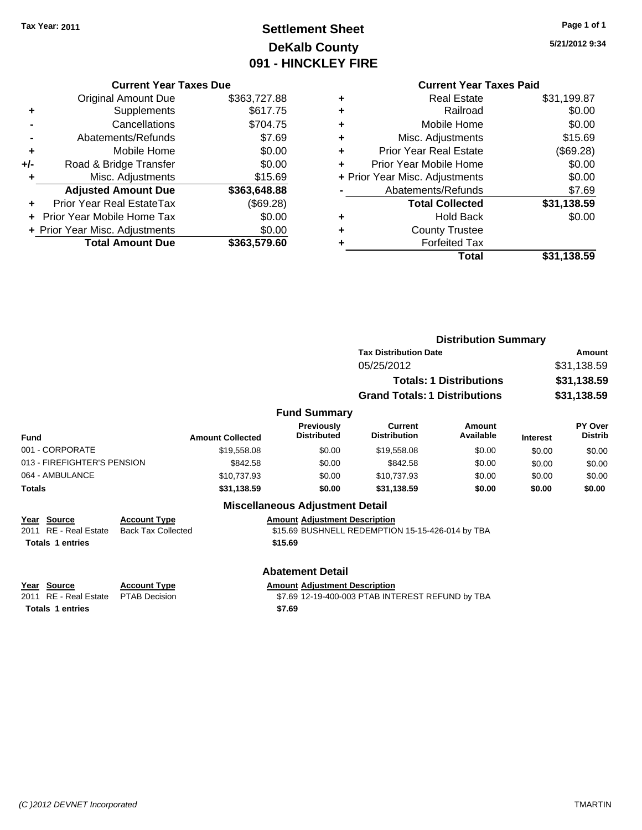# **Settlement Sheet Tax Year: 2011 Page 1 of 1 DeKalb County 091 - HINCKLEY FIRE**

**5/21/2012 9:34**

#### **Current Year Taxes Due**

|     | <b>Original Amount Due</b>        | \$363,727.88 |
|-----|-----------------------------------|--------------|
|     | Supplements                       | \$617.75     |
|     | Cancellations                     | \$704.75     |
|     | Abatements/Refunds                | \$7.69       |
| ٠   | Mobile Home                       | \$0.00       |
| +/- | Road & Bridge Transfer            | \$0.00       |
| ٠   | Misc. Adjustments                 | \$15.69      |
|     | <b>Adjusted Amount Due</b>        | \$363,648.88 |
|     | Prior Year Real EstateTax         | (\$69.28)    |
|     | <b>Prior Year Mobile Home Tax</b> | \$0.00       |
|     | + Prior Year Misc. Adjustments    | \$0.00       |
|     | <b>Total Amount Due</b>           | \$363,579.60 |

### **Current Year Taxes Paid**

|   | <b>Real Estate</b>             | \$31,199.87 |
|---|--------------------------------|-------------|
| ٠ | Railroad                       | \$0.00      |
| ٠ | Mobile Home                    | \$0.00      |
| ٠ | Misc. Adjustments              | \$15.69     |
| ٠ | <b>Prior Year Real Estate</b>  | (\$69.28)   |
|   | Prior Year Mobile Home         | \$0.00      |
|   | + Prior Year Misc. Adjustments | \$0.00      |
|   | Abatements/Refunds             | \$7.69      |
|   | <b>Total Collected</b>         | \$31,138.59 |
| ٠ | <b>Hold Back</b>               | \$0.00      |
|   | <b>County Trustee</b>          |             |
|   | <b>Forfeited Tax</b>           |             |
|   | Total                          | \$31,138.59 |
|   |                                |             |

|                             |                         |                                         |                                       | <b>Distribution Summary</b>    |                 |                                  |  |
|-----------------------------|-------------------------|-----------------------------------------|---------------------------------------|--------------------------------|-----------------|----------------------------------|--|
|                             |                         |                                         | <b>Tax Distribution Date</b>          |                                |                 | Amount                           |  |
|                             |                         |                                         | 05/25/2012                            |                                |                 | \$31,138.59                      |  |
|                             |                         |                                         |                                       | <b>Totals: 1 Distributions</b> |                 | \$31,138.59                      |  |
|                             |                         |                                         | <b>Grand Totals: 1 Distributions</b>  |                                |                 | \$31,138.59                      |  |
|                             |                         | <b>Fund Summary</b>                     |                                       |                                |                 |                                  |  |
| <b>Fund</b>                 | <b>Amount Collected</b> | <b>Previously</b><br><b>Distributed</b> | <b>Current</b><br><b>Distribution</b> | Amount<br>Available            | <b>Interest</b> | <b>PY Over</b><br><b>Distrib</b> |  |
| 001 - CORPORATE             | \$19,558.08             | \$0.00                                  | \$19,558.08                           | \$0.00                         | \$0.00          | \$0.00                           |  |
| 013 - FIREFIGHTER'S PENSION | \$842.58                | \$0.00                                  | \$842.58                              | \$0.00                         | \$0.00          | \$0.00                           |  |
| 064 - AMBULANCE             | \$10,737.93             | \$0.00                                  | \$10,737.93                           | \$0.00                         | \$0.00          | \$0.00                           |  |
| _ _ _                       | $A - I A - F$           | $\cdots$                                | . . <i>.</i>                          | $\cdots$                       | $\cdots$        | $\cdots$                         |  |

### **Totals \$31,138.59 \$0.00 \$31,138.59 \$0.00 \$0.00 \$0.00 Miscellaneous Adjustment Detail Year Source Account Type Anneunt Adjustment Description**<br>
2011 RE - Real Estate Back Tax Collected \$15.69 BUSHNELL REDEMPTIO \$15.69 BUSHNELL REDEMPTION 15-15-426-014 by TBA Totals 1 entries **15.69 Abatement Detail Year Source Account Type Amount Adjustment Description** 2011 RE - Real Estate \$7.69 12-19-400-003 PTAB INTEREST REFUND by TBA PTAB Decision

**Totals \$7.69 1 entries**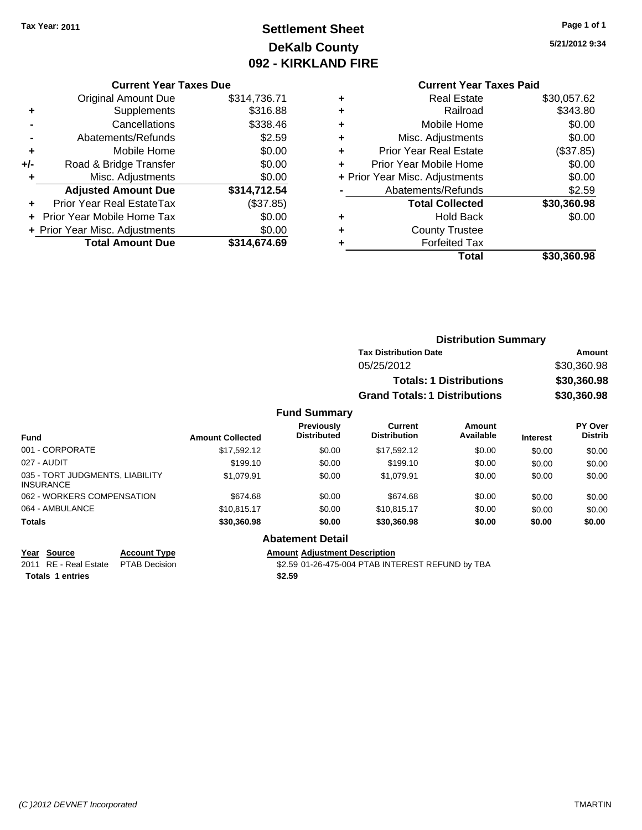# **Settlement Sheet Tax Year: 2011 Page 1 of 1 DeKalb County 092 - KIRKLAND FIRE**

**5/21/2012 9:34**

|  | Current Year Taxes Due |
|--|------------------------|
|--|------------------------|

|     | <b>Original Amount Due</b>     | \$314,736.71 |
|-----|--------------------------------|--------------|
| ٠   | Supplements                    | \$316.88     |
|     | Cancellations                  | \$338.46     |
|     | Abatements/Refunds             | \$2.59       |
| ٠   | Mobile Home                    | \$0.00       |
| +/- | Road & Bridge Transfer         | \$0.00       |
| ٠   | Misc. Adjustments              | \$0.00       |
|     | <b>Adjusted Amount Due</b>     | \$314,712.54 |
|     | Prior Year Real EstateTax      | (\$37.85)    |
|     | Prior Year Mobile Home Tax     | \$0.00       |
|     | + Prior Year Misc. Adjustments | \$0.00       |
|     | <b>Total Amount Due</b>        | \$314,674.69 |

### **Current Year Taxes Paid**

|   | <b>Real Estate</b>             | \$30,057.62 |
|---|--------------------------------|-------------|
| ٠ | Railroad                       | \$343.80    |
| ٠ | Mobile Home                    | \$0.00      |
| ٠ | Misc. Adjustments              | \$0.00      |
| ٠ | <b>Prior Year Real Estate</b>  | (\$37.85)   |
|   | Prior Year Mobile Home         | \$0.00      |
|   | + Prior Year Misc. Adjustments | \$0.00      |
|   | Abatements/Refunds             | \$2.59      |
|   | <b>Total Collected</b>         | \$30,360.98 |
| ٠ | <b>Hold Back</b>               | \$0.00      |
| ٠ | <b>County Trustee</b>          |             |
| ٠ | <b>Forfeited Tax</b>           |             |
|   | Total                          | \$30,360.98 |
|   |                                |             |

|                         |                                         |                                      | <b>Distribution Summary</b>    |                 |                                  |
|-------------------------|-----------------------------------------|--------------------------------------|--------------------------------|-----------------|----------------------------------|
|                         |                                         | <b>Tax Distribution Date</b>         |                                |                 | Amount                           |
|                         |                                         | 05/25/2012                           |                                |                 | \$30,360.98                      |
|                         |                                         |                                      | <b>Totals: 1 Distributions</b> |                 | \$30,360.98                      |
|                         |                                         | <b>Grand Totals: 1 Distributions</b> |                                |                 | \$30,360.98                      |
|                         | <b>Fund Summary</b>                     |                                      |                                |                 |                                  |
| <b>Amount Collected</b> | <b>Previously</b><br><b>Distributed</b> | Current<br><b>Distribution</b>       | Amount<br>Available            | <b>Interest</b> | <b>PY Over</b><br><b>Distrib</b> |
| \$17,592.12             | \$0.00                                  | \$17.592.12                          | \$0.00                         | \$0.00          | \$0.00                           |

| <b>Fund</b>                                         | <b>Amount Collected</b> | <b>Distributed</b> | Distribution | Available | <b>Interest</b> | Distrib |
|-----------------------------------------------------|-------------------------|--------------------|--------------|-----------|-----------------|---------|
| 001 - CORPORATE                                     | \$17.592.12             | \$0.00             | \$17.592.12  | \$0.00    | \$0.00          | \$0.00  |
| 027 - AUDIT                                         | \$199.10                | \$0.00             | \$199.10     | \$0.00    | \$0.00          | \$0.00  |
| 035 - TORT JUDGMENTS, LIABILITY<br><b>INSURANCE</b> | \$1.079.91              | \$0.00             | \$1.079.91   | \$0.00    | \$0.00          | \$0.00  |
| 062 - WORKERS COMPENSATION                          | \$674.68                | \$0.00             | \$674.68     | \$0.00    | \$0.00          | \$0.00  |
| 064 - AMBULANCE                                     | \$10.815.17             | \$0.00             | \$10.815.17  | \$0.00    | \$0.00          | \$0.00  |
| <b>Totals</b>                                       | \$30,360.98             | \$0.00             | \$30,360,98  | \$0.00    | \$0.00          | \$0.00  |

### **Abatement Detail**

**Year Source Account Type Amount Adjustment Description**

2011 RE - Real Estate \$2.59 01-26-475-004 PTAB INTEREST REFUND by TBA PTAB Decision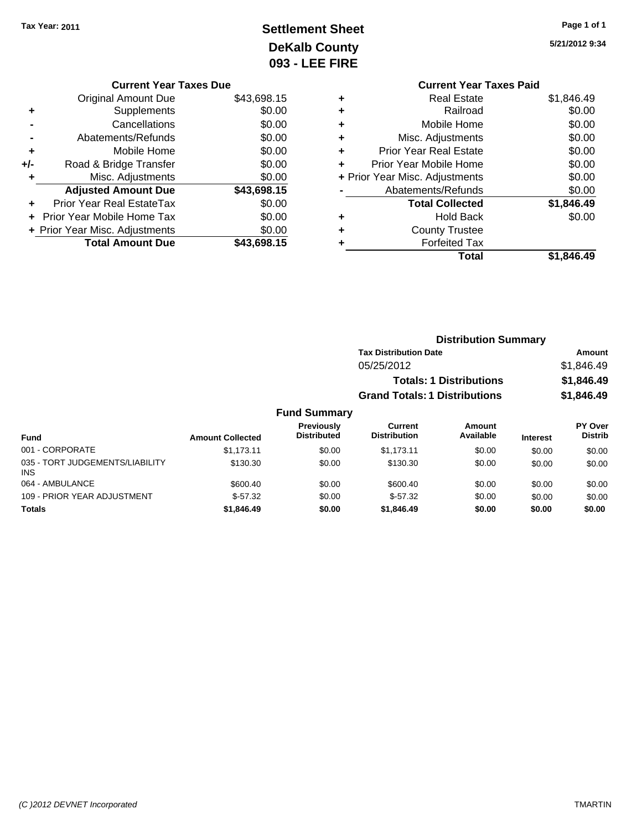INS

# **Settlement Sheet Tax Year: 2011 Page 1 of 1 DeKalb County 093 - LEE FIRE**

064 - AMBULANCE 600.40 \$600.40 \$600.40 \$0.00 \$600.40 \$0.00 \$0.00 \$0.00 \$0.00 109 - PRIOR YEAR ADJUSTMENT **\$57.32** \$0.00 \$57.32 \$0.00 \$0.00 \$0.00 \$0.00 **Totals \$1,846.49 \$0.00 \$1,846.49 \$0.00 \$0.00 \$0.00**

**5/21/2012 9:34**

|   | <b>Current Year Taxes Paid</b> |            |
|---|--------------------------------|------------|
| ٠ | <b>Real Estate</b>             | \$1,846.49 |
| ٠ | Railroad                       | \$0.00     |
| ٠ | Mobile Home                    | \$0.00     |
| ٠ | Misc. Adjustments              | \$0.00     |
| ٠ | <b>Prior Year Real Estate</b>  | \$0.00     |
| ٠ | Prior Year Mobile Home         | \$0.00     |
|   | + Prior Year Misc. Adjustments | \$0.00     |
|   | Abatements/Refunds             | \$0.00     |
|   | <b>Total Collected</b>         | \$1,846.49 |
| ٠ | <b>Hold Back</b>               | \$0.00     |
|   | <b>County Trustee</b>          |            |
|   | <b>Forfeited Tax</b>           |            |
|   | Total                          | \$1.846.49 |
|   |                                |            |

|     | <b>Current Year Taxes Due</b>  |             |
|-----|--------------------------------|-------------|
|     | Original Amount Due            | \$43,698.15 |
| ٠   | Supplements                    | \$0.00      |
|     | Cancellations                  | \$0.00      |
|     | Abatements/Refunds             | \$0.00      |
| ٠   | Mobile Home                    | \$0.00      |
| +/- | Road & Bridge Transfer         | \$0.00      |
| ٠   | Misc. Adjustments              | \$0.00      |
|     | <b>Adjusted Amount Due</b>     | \$43,698.15 |
|     | Prior Year Real EstateTax      | \$0.00      |
|     | Prior Year Mobile Home Tax     | \$0.00      |
|     | + Prior Year Misc. Adjustments | \$0.00      |
|     | <b>Total Amount Due</b>        | \$43,698.15 |
|     |                                |             |

|                                 |                         | <b>Distribution Summary</b>             |                                      |                                |                 |                                  |  |
|---------------------------------|-------------------------|-----------------------------------------|--------------------------------------|--------------------------------|-----------------|----------------------------------|--|
|                                 |                         |                                         | <b>Tax Distribution Date</b>         |                                |                 | <b>Amount</b>                    |  |
|                                 |                         |                                         | 05/25/2012                           |                                |                 | \$1,846.49                       |  |
|                                 |                         |                                         |                                      | <b>Totals: 1 Distributions</b> |                 | \$1,846.49                       |  |
|                                 |                         |                                         | <b>Grand Totals: 1 Distributions</b> |                                |                 | \$1,846.49                       |  |
|                                 |                         | <b>Fund Summary</b>                     |                                      |                                |                 |                                  |  |
| <b>Fund</b>                     | <b>Amount Collected</b> | <b>Previously</b><br><b>Distributed</b> | Current<br><b>Distribution</b>       | Amount<br>Available            | <b>Interest</b> | <b>PY Over</b><br><b>Distrib</b> |  |
| 001 - CORPORATE                 | \$1,173.11              | \$0.00                                  | \$1,173.11                           | \$0.00                         | \$0.00          | \$0.00                           |  |
| 035 - TORT JUDGEMENTS/LIABILITY | \$130.30                | \$0.00                                  | \$130.30                             | \$0.00                         | \$0.00          | \$0.00                           |  |

#### *(C )2012 DEVNET Incorporated* TMARTIN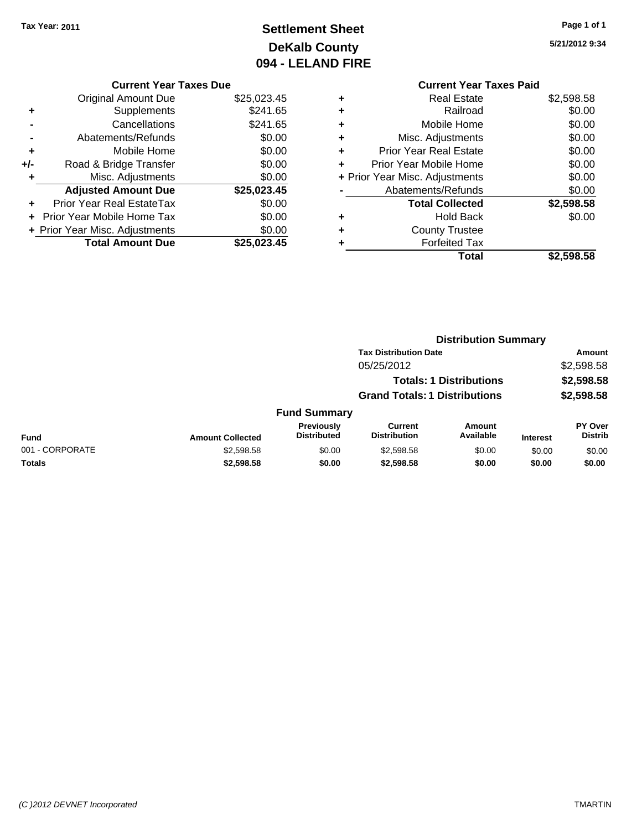# **Settlement Sheet Tax Year: 2011 Page 1 of 1 DeKalb County 094 - LELAND FIRE**

**5/21/2012 9:34**

#### **Current Year Taxes Due**

|     | <b>Original Amount Due</b>       | \$25,023.45 |
|-----|----------------------------------|-------------|
| ٠   | Supplements                      | \$241.65    |
|     | Cancellations                    | \$241.65    |
|     | Abatements/Refunds               | \$0.00      |
| ٠   | Mobile Home                      | \$0.00      |
| +/- | Road & Bridge Transfer           | \$0.00      |
| ٠   | Misc. Adjustments                | \$0.00      |
|     | <b>Adjusted Amount Due</b>       | \$25,023.45 |
|     | <b>Prior Year Real EstateTax</b> | \$0.00      |
|     | Prior Year Mobile Home Tax       | \$0.00      |
|     | + Prior Year Misc. Adjustments   | \$0.00      |
|     | <b>Total Amount Due</b>          | \$25,023.45 |

### **Current Year Taxes Paid +** Real Estate \$2,598.58 **+** Railroad \$0.00 **+** Mobile Home \$0.00 **+** Misc. Adjustments \$0.00 **+** Prior Year Real Estate \$0.00 **+** Prior Year Mobile Home \$0.00 **+** Prior Year Misc. Adjustments  $\begin{array}{c} \text{$60.00} \\ \text{A} \text{b} \text{at} \text{cm} \text{cm} \text{cm} \text{cm} \text{cm} \end{array}$ **-** Abatements/Refunds **\$0.00**

|   | <b>Total</b>           | \$2,598.58 |
|---|------------------------|------------|
| ٠ | <b>Forfeited Tax</b>   |            |
| ٠ | <b>County Trustee</b>  |            |
| ٠ | <b>Hold Back</b>       | \$0.00     |
|   | <b>Total Collected</b> | \$2,598.58 |
|   | Abatements/Refunds     | \$0.00     |

|                 |                         | <b>Distribution Summary</b>             |                                |                                |                 |                                  |  |
|-----------------|-------------------------|-----------------------------------------|--------------------------------|--------------------------------|-----------------|----------------------------------|--|
|                 |                         |                                         | <b>Tax Distribution Date</b>   |                                |                 | Amount                           |  |
|                 | 05/25/2012              |                                         |                                |                                | \$2,598.58      |                                  |  |
|                 |                         |                                         |                                | <b>Totals: 1 Distributions</b> |                 | \$2,598.58                       |  |
|                 |                         | <b>Grand Totals: 1 Distributions</b>    |                                |                                | \$2,598.58      |                                  |  |
|                 |                         | <b>Fund Summary</b>                     |                                |                                |                 |                                  |  |
| <b>Fund</b>     | <b>Amount Collected</b> | <b>Previously</b><br><b>Distributed</b> | Current<br><b>Distribution</b> | Amount<br>Available            | <b>Interest</b> | <b>PY Over</b><br><b>Distrib</b> |  |
| 001 - CORPORATE | \$2,598.58              | \$0.00                                  | \$2,598.58                     | \$0.00                         | \$0.00          | \$0.00                           |  |
| <b>Totals</b>   | \$2,598,58              | \$0.00                                  | \$2,598.58                     | \$0.00                         | \$0.00          | \$0.00                           |  |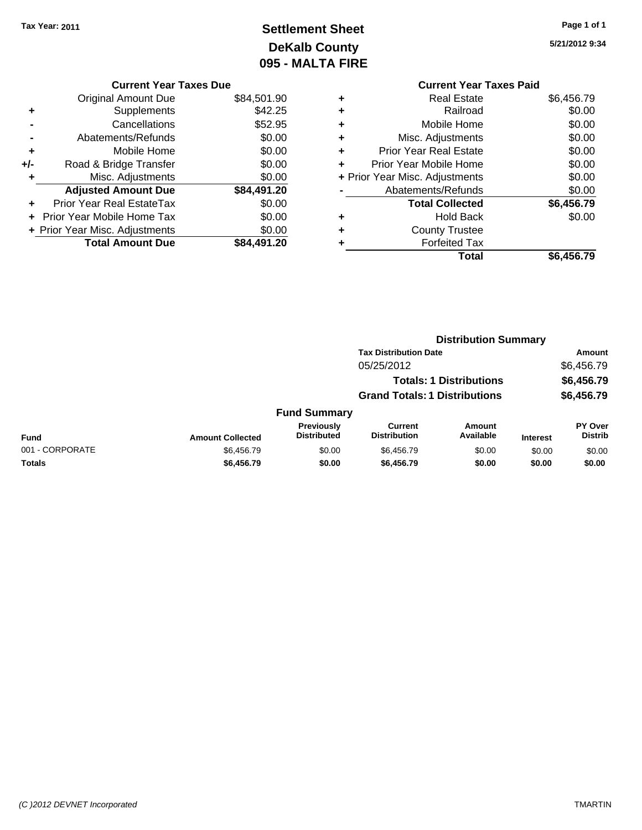# **Settlement Sheet Tax Year: 2011 Page 1 of 1 DeKalb County 095 - MALTA FIRE**

**5/21/2012 9:34**

|                | <b>Current Year Taxes Due</b>    |             |
|----------------|----------------------------------|-------------|
|                | <b>Original Amount Due</b>       | \$84,501.90 |
| ٠              | Supplements                      | \$42.25     |
|                | Cancellations                    | \$52.95     |
| $\blacksquare$ | Abatements/Refunds               | \$0.00      |
| ٠              | Mobile Home                      | \$0.00      |
| +/-            | Road & Bridge Transfer           | \$0.00      |
| ٠              | Misc. Adjustments                | \$0.00      |
|                | <b>Adjusted Amount Due</b>       | \$84,491.20 |
|                | <b>Prior Year Real EstateTax</b> | \$0.00      |
|                | Prior Year Mobile Home Tax       | \$0.00      |
|                | + Prior Year Misc. Adjustments   | \$0.00      |
|                | <b>Total Amount Due</b>          | \$84,491.20 |

### **Current Year Taxes Paid +** Real Estate \$6,456.79 **+** Railroad \$0.00 **+** Mobile Home \$0.00 **+** Misc. Adjustments \$0.00 **+** Prior Year Real Estate \$0.00 **+** Prior Year Mobile Home \$0.00 **+ Prior Year Misc. Adjustments**  $$0.00$

|                | Total                  | \$6,456.79 |
|----------------|------------------------|------------|
| ٠              | <b>Forfeited Tax</b>   |            |
| ٠              | <b>County Trustee</b>  |            |
| ٠              | <b>Hold Back</b>       | \$0.00     |
|                | <b>Total Collected</b> | \$6,456.79 |
| $\blacksquare$ | Abatements/Refunds     | \$0.00     |

|                 |                         |                                  | <b>Distribution Summary</b>           |                                |                 |                           |
|-----------------|-------------------------|----------------------------------|---------------------------------------|--------------------------------|-----------------|---------------------------|
|                 |                         |                                  | <b>Tax Distribution Date</b>          |                                |                 | Amount                    |
|                 |                         |                                  | 05/25/2012                            |                                |                 | \$6,456.79                |
|                 |                         |                                  |                                       | <b>Totals: 1 Distributions</b> |                 | \$6,456.79                |
|                 |                         |                                  | <b>Grand Totals: 1 Distributions</b>  |                                |                 | \$6,456.79                |
|                 |                         | <b>Fund Summary</b>              |                                       |                                |                 |                           |
| Fund            | <b>Amount Collected</b> | Previously<br><b>Distributed</b> | <b>Current</b><br><b>Distribution</b> | <b>Amount</b><br>Available     | <b>Interest</b> | PY Over<br><b>Distrib</b> |
| 001 - CORPORATE | \$6,456.79              | \$0.00                           | \$6,456.79                            | \$0.00                         | \$0.00          | \$0.00                    |
| Totals          | \$6,456.79              | \$0.00                           | \$6,456.79                            | \$0.00                         | \$0.00          | \$0.00                    |
|                 |                         |                                  |                                       |                                |                 |                           |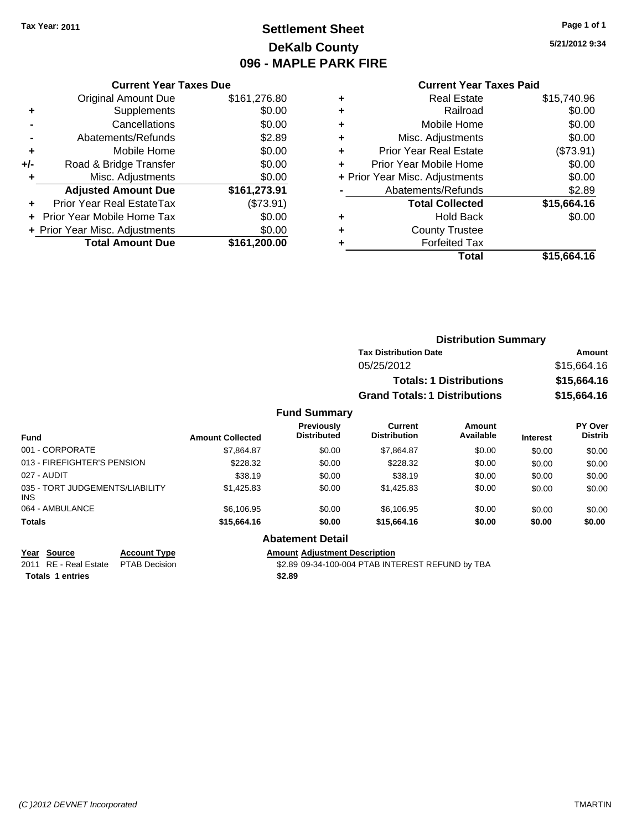# **Settlement Sheet Tax Year: 2011 Page 1 of 1 DeKalb County 096 - MAPLE PARK FIRE**

**5/21/2012 9:34**

#### **Current Year Taxes Paid**

|       | <b>Total Amount Due</b>          | \$161,200.00 |
|-------|----------------------------------|--------------|
|       | + Prior Year Misc. Adjustments   | \$0.00       |
|       | Prior Year Mobile Home Tax       | \$0.00       |
|       | <b>Prior Year Real EstateTax</b> | (\$73.91)    |
|       | <b>Adjusted Amount Due</b>       | \$161,273.91 |
|       | Misc. Adjustments                | \$0.00       |
| $+/-$ | Road & Bridge Transfer           | \$0.00       |
| ٠     | Mobile Home                      | \$0.00       |
|       | Abatements/Refunds               | \$2.89       |
|       | Cancellations                    | \$0.00       |
| ٠     | Supplements                      | \$0.00       |
|       | <b>Original Amount Due</b>       | \$161,276.80 |
|       |                                  |              |

**Current Year Taxes Due**

| ٠ | <b>Real Estate</b>             | \$15,740.96 |
|---|--------------------------------|-------------|
| ٠ | Railroad                       | \$0.00      |
| ٠ | Mobile Home                    | \$0.00      |
| ٠ | Misc. Adjustments              | \$0.00      |
| ٠ | <b>Prior Year Real Estate</b>  | (\$73.91)   |
| ٠ | Prior Year Mobile Home         | \$0.00      |
|   | + Prior Year Misc. Adjustments | \$0.00      |
|   | Abatements/Refunds             | \$2.89      |
|   | <b>Total Collected</b>         | \$15,664.16 |
| ٠ | <b>Hold Back</b>               | \$0.00      |
| ٠ | <b>County Trustee</b>          |             |
| ٠ | <b>Forfeited Tax</b>           |             |
|   | Total                          | \$15,664.16 |
|   |                                |             |

|                                                |                         | <b>Distribution Summary</b>             |                                                                                      |                                                     |                 |                           |
|------------------------------------------------|-------------------------|-----------------------------------------|--------------------------------------------------------------------------------------|-----------------------------------------------------|-----------------|---------------------------|
|                                                |                         |                                         | <b>Tax Distribution Date</b>                                                         | Amount<br>\$15,664.16<br>\$15,664.16<br>\$15,664.16 |                 |                           |
|                                                |                         |                                         | 05/25/2012<br><b>Totals: 1 Distributions</b><br><b>Grand Totals: 1 Distributions</b> |                                                     |                 |                           |
|                                                |                         |                                         |                                                                                      |                                                     |                 |                           |
|                                                |                         |                                         |                                                                                      |                                                     |                 |                           |
|                                                |                         | <b>Fund Summary</b>                     |                                                                                      |                                                     |                 |                           |
| <b>Fund</b>                                    | <b>Amount Collected</b> | <b>Previously</b><br><b>Distributed</b> | Current<br><b>Distribution</b>                                                       | Amount<br>Available                                 | <b>Interest</b> | PY Over<br><b>Distrib</b> |
| 001 - CORPORATE                                | \$7.864.87              | \$0.00                                  | \$7.864.87                                                                           | \$0.00                                              | \$0.00          | \$0.00                    |
| 013 - FIREFIGHTER'S PENSION                    | \$228.32                | \$0.00                                  | \$228.32                                                                             | \$0.00                                              | \$0.00          | \$0.00                    |
| 027 - AUDIT                                    | \$38.19                 | \$0.00                                  | \$38.19                                                                              | \$0.00                                              | \$0.00          | \$0.00                    |
| 035 - TORT JUDGEMENTS/LIABILITY<br><b>INIC</b> | \$1,425.83              | \$0.00                                  | \$1,425.83                                                                           | \$0.00                                              | \$0.00          | \$0.00                    |

#### **Abatement Detail**

**Year Source Account Type Amount Adjustment Description**

064 - AMBULANCE 6 \$6,106.95 \$6,106.95 \$0.00 \$0.00 \$0.00 \$0.00 \$0.00 \$0.00 **Totals \$15,664.16 \$0.00 \$15,664.16 \$0.00 \$0.00 \$0.00**

2011 RE - Real Estate \$2.89 09-34-100-004 PTAB INTEREST REFUND by TBA PTAB Decision **Totals \$2.89 1 entries**

INS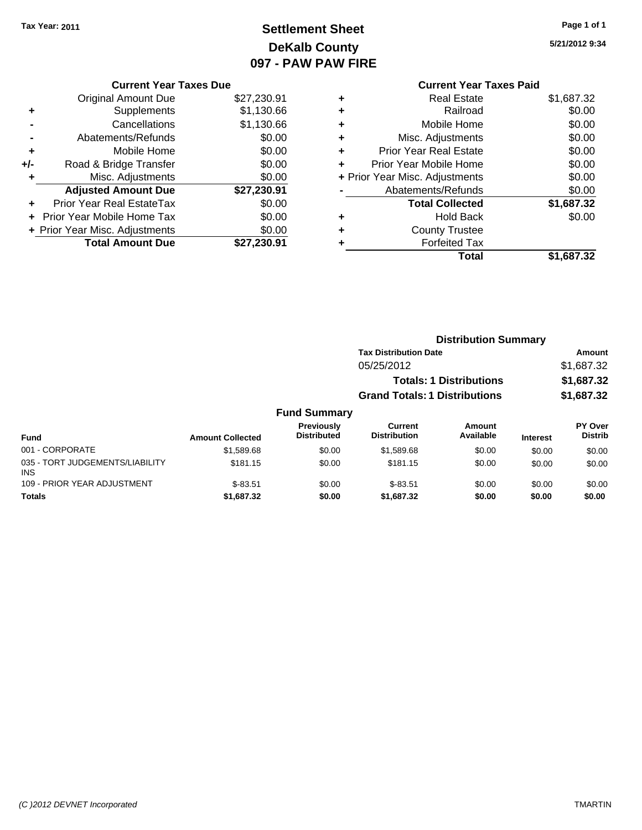# **Settlement Sheet Tax Year: 2011 Page 1 of 1 DeKalb County 097 - PAW PAW FIRE**

**5/21/2012 9:34**

|       | <b>Current Year Taxes Due</b>  |             |
|-------|--------------------------------|-------------|
|       | <b>Original Amount Due</b>     | \$27,230.91 |
| ٠     | Supplements                    | \$1,130.66  |
|       | Cancellations                  | \$1,130.66  |
|       | Abatements/Refunds             | \$0.00      |
| ٠     | Mobile Home                    | \$0.00      |
| $+/-$ | Road & Bridge Transfer         | \$0.00      |
|       | Misc. Adjustments              | \$0.00      |
|       | <b>Adjusted Amount Due</b>     | \$27,230.91 |
| ٠     | Prior Year Real EstateTax      | \$0.00      |
|       | Prior Year Mobile Home Tax     | \$0.00      |
|       | + Prior Year Misc. Adjustments | \$0.00      |
|       | <b>Total Amount Due</b>        | \$27,230.91 |
|       |                                |             |

# **Current Year Taxes Paid**

|   | Total                          | \$1,687.32 |
|---|--------------------------------|------------|
|   | <b>Forfeited Tax</b>           |            |
| ٠ | <b>County Trustee</b>          |            |
| ٠ | <b>Hold Back</b>               | \$0.00     |
|   | <b>Total Collected</b>         | \$1,687.32 |
|   | Abatements/Refunds             | \$0.00     |
|   | + Prior Year Misc. Adjustments | \$0.00     |
| ÷ | Prior Year Mobile Home         | \$0.00     |
| ٠ | <b>Prior Year Real Estate</b>  | \$0.00     |
| ٠ | Misc. Adjustments              | \$0.00     |
| ٠ | Mobile Home                    | \$0.00     |
| ٠ | Railroad                       | \$0.00     |
| ٠ | <b>Real Estate</b>             | \$1,687.32 |

|                                               |                         | <b>Distribution Summary</b>      |                                       |                                |                 |                           |  |
|-----------------------------------------------|-------------------------|----------------------------------|---------------------------------------|--------------------------------|-----------------|---------------------------|--|
|                                               |                         |                                  | <b>Tax Distribution Date</b>          |                                |                 | Amount                    |  |
|                                               |                         |                                  | 05/25/2012                            |                                |                 | \$1,687.32                |  |
|                                               |                         |                                  |                                       | <b>Totals: 1 Distributions</b> |                 | \$1,687.32                |  |
|                                               |                         |                                  | <b>Grand Totals: 1 Distributions</b>  |                                |                 | \$1,687.32                |  |
|                                               |                         | <b>Fund Summary</b>              |                                       |                                |                 |                           |  |
| <b>Fund</b>                                   | <b>Amount Collected</b> | Previously<br><b>Distributed</b> | <b>Current</b><br><b>Distribution</b> | Amount<br>Available            | <b>Interest</b> | PY Over<br><b>Distrib</b> |  |
| 001 - CORPORATE                               | \$1,589.68              | \$0.00                           | \$1,589.68                            | \$0.00                         | \$0.00          | \$0.00                    |  |
| 035 - TORT JUDGEMENTS/LIABILITY<br><b>INS</b> | \$181.15                | \$0.00                           | \$181.15                              | \$0.00                         | \$0.00          | \$0.00                    |  |
| 109 - PRIOR YEAR ADJUSTMENT                   | $$-83.51$               | \$0.00                           | $$-83.51$                             | \$0.00                         | \$0.00          | \$0.00                    |  |

**Totals \$1,687.32 \$0.00 \$1,687.32 \$0.00 \$0.00 \$0.00**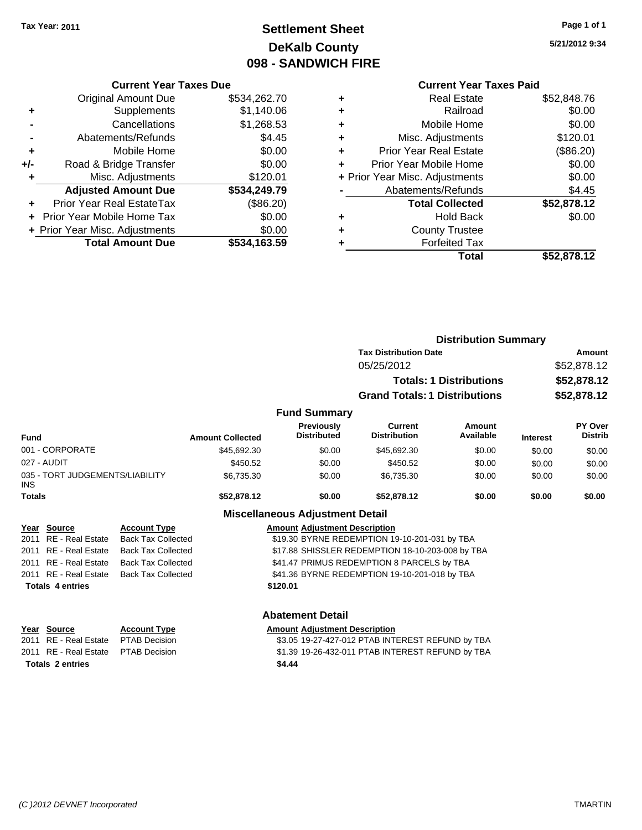# **Settlement Sheet Tax Year: 2011 Page 1 of 1 DeKalb County 098 - SANDWICH FIRE**

**5/21/2012 9:34**

|       | <b>Current Year Taxes Due</b>    |              |
|-------|----------------------------------|--------------|
|       | <b>Original Amount Due</b>       | \$534,262.70 |
| ٠     | Supplements                      | \$1,140.06   |
|       | Cancellations                    | \$1,268.53   |
|       | Abatements/Refunds               | \$4.45       |
| ٠     | Mobile Home                      | \$0.00       |
| $+/-$ | Road & Bridge Transfer           | \$0.00       |
|       | Misc. Adjustments                | \$120.01     |
|       | <b>Adjusted Amount Due</b>       | \$534,249.79 |
| ÷     | <b>Prior Year Real EstateTax</b> | $(\$86.20)$  |
|       | Prior Year Mobile Home Tax       | \$0.00       |
|       | + Prior Year Misc. Adjustments   | \$0.00       |
|       | <b>Total Amount Due</b>          | \$534,163.59 |
|       |                                  |              |

| ٠ | <b>Real Estate</b>             | \$52,848.76 |
|---|--------------------------------|-------------|
| ٠ | Railroad                       | \$0.00      |
| ٠ | Mobile Home                    | \$0.00      |
| ٠ | Misc. Adjustments              | \$120.01    |
| ٠ | <b>Prior Year Real Estate</b>  | (\$86.20)   |
|   | Prior Year Mobile Home         | \$0.00      |
|   | + Prior Year Misc. Adjustments | \$0.00      |
|   | Abatements/Refunds             | \$4.45      |
|   | <b>Total Collected</b>         | \$52,878.12 |
| ٠ | <b>Hold Back</b>               | \$0.00      |
|   | <b>County Trustee</b>          |             |
|   | <b>Forfeited Tax</b>           |             |
|   | Total                          | \$52,878.12 |
|   |                                |             |

|                                               |                           |                         |                                         | <b>Distribution Summary</b>                      |                                |                 |                                  |
|-----------------------------------------------|---------------------------|-------------------------|-----------------------------------------|--------------------------------------------------|--------------------------------|-----------------|----------------------------------|
|                                               |                           |                         |                                         | <b>Tax Distribution Date</b>                     |                                | Amount          |                                  |
|                                               |                           |                         |                                         | 05/25/2012                                       |                                | \$52,878.12     |                                  |
|                                               |                           |                         |                                         |                                                  | <b>Totals: 1 Distributions</b> |                 | \$52,878.12                      |
|                                               |                           |                         |                                         | <b>Grand Totals: 1 Distributions</b>             |                                |                 | \$52,878.12                      |
|                                               |                           |                         |                                         |                                                  |                                |                 |                                  |
|                                               |                           |                         | <b>Fund Summary</b>                     |                                                  |                                |                 |                                  |
| <b>Fund</b>                                   |                           | <b>Amount Collected</b> | <b>Previously</b><br><b>Distributed</b> | Current<br><b>Distribution</b>                   | Amount<br>Available            | <b>Interest</b> | <b>PY Over</b><br><b>Distrib</b> |
| 001 - CORPORATE                               |                           | \$45,692.30             | \$0.00                                  | \$45,692.30                                      | \$0.00                         | \$0.00          | \$0.00                           |
| 027 - AUDIT                                   |                           | \$450.52                | \$0.00                                  | \$450.52                                         | \$0.00                         | \$0.00          | \$0.00                           |
| 035 - TORT JUDGEMENTS/LIABILITY<br><b>INS</b> |                           | \$6,735.30              | \$0.00                                  | \$6,735.30                                       | \$0.00                         | \$0.00          | \$0.00                           |
| <b>Totals</b>                                 |                           | \$52,878.12             | \$0.00                                  | \$52,878.12                                      | \$0.00                         | \$0.00          | \$0.00                           |
|                                               |                           |                         | <b>Miscellaneous Adjustment Detail</b>  |                                                  |                                |                 |                                  |
| Year Source                                   | <b>Account Type</b>       |                         | <b>Amount Adjustment Description</b>    |                                                  |                                |                 |                                  |
| <b>RE</b> - Real Estate<br>2011               | <b>Back Tax Collected</b> |                         |                                         | \$19.30 BYRNE REDEMPTION 19-10-201-031 by TBA    |                                |                 |                                  |
| RE - Real Estate<br>2011                      | <b>Back Tax Collected</b> |                         |                                         | \$17.88 SHISSLER REDEMPTION 18-10-203-008 by TBA |                                |                 |                                  |
| 2011 RE - Real Estate                         | <b>Back Tax Collected</b> |                         |                                         | \$41.47 PRIMUS REDEMPTION 8 PARCELS by TBA       |                                |                 |                                  |
| 2011 RE - Real Estate                         | <b>Back Tax Collected</b> |                         |                                         | \$41.36 BYRNE REDEMPTION 19-10-201-018 by TBA    |                                |                 |                                  |
| <b>Totals 4 entries</b>                       |                           |                         | \$120.01                                |                                                  |                                |                 |                                  |
|                                               |                           |                         | <b>Abatement Detail</b>                 |                                                  |                                |                 |                                  |

| Year Source                         | <b>Account Type</b> | <b>Amount Adjustment Description</b>             |
|-------------------------------------|---------------------|--------------------------------------------------|
| 2011 RE - Real Estate PTAB Decision |                     | \$3.05 19-27-427-012 PTAB INTEREST REFUND by TBA |
| 2011 RE - Real Estate PTAB Decision |                     | \$1.39 19-26-432-011 PTAB INTEREST REFUND by TBA |
| Totals 2 entries                    |                     | \$4.44                                           |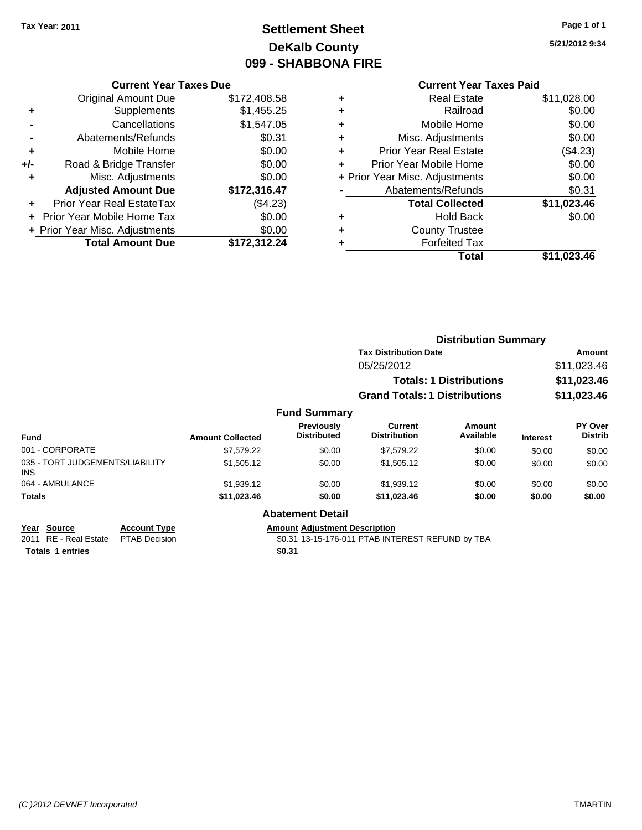# **Settlement Sheet Tax Year: 2011 Page 1 of 1 DeKalb County 099 - SHABBONA FIRE**

**5/21/2012 9:34**

### **Current Year Taxes Paid**

|     | <b>Current Year Taxes Due</b>  |              |
|-----|--------------------------------|--------------|
|     | <b>Original Amount Due</b>     | \$172,408.58 |
| ٠   | Supplements                    | \$1,455.25   |
|     | Cancellations                  | \$1,547.05   |
|     | Abatements/Refunds             | \$0.31       |
| ٠   | Mobile Home                    | \$0.00       |
| +/- | Road & Bridge Transfer         | \$0.00       |
|     | Misc. Adjustments              | \$0.00       |
|     | <b>Adjusted Amount Due</b>     | \$172,316.47 |
| ÷   | Prior Year Real EstateTax      | (\$4.23)     |
|     | Prior Year Mobile Home Tax     | \$0.00       |
|     | + Prior Year Misc. Adjustments | \$0.00       |
|     | <b>Total Amount Due</b>        | \$172,312.24 |
|     |                                |              |

| ٠ | <b>Real Estate</b>             | \$11,028.00 |
|---|--------------------------------|-------------|
| ٠ | Railroad                       | \$0.00      |
| ٠ | Mobile Home                    | \$0.00      |
| ٠ | Misc. Adjustments              | \$0.00      |
| ٠ | <b>Prior Year Real Estate</b>  | (\$4.23)    |
| ٠ | Prior Year Mobile Home         | \$0.00      |
|   | + Prior Year Misc. Adjustments | \$0.00      |
|   | Abatements/Refunds             | \$0.31      |
|   | <b>Total Collected</b>         | \$11,023.46 |
| ٠ | Hold Back                      | \$0.00      |
|   | <b>County Trustee</b>          |             |
| ٠ | <b>Forfeited Tax</b>           |             |
|   | Total                          | \$11,023.46 |
|   |                                |             |

|                                         |                     |                         |                                         |                                       | <b>Distribution Summary</b>    |                 |                           |
|-----------------------------------------|---------------------|-------------------------|-----------------------------------------|---------------------------------------|--------------------------------|-----------------|---------------------------|
|                                         |                     |                         |                                         | <b>Tax Distribution Date</b>          |                                | <b>Amount</b>   |                           |
|                                         |                     |                         |                                         | 05/25/2012                            |                                |                 | \$11,023.46               |
|                                         |                     |                         |                                         |                                       | <b>Totals: 1 Distributions</b> | \$11,023.46     |                           |
|                                         |                     |                         |                                         | <b>Grand Totals: 1 Distributions</b>  |                                |                 | \$11,023.46               |
|                                         |                     |                         | <b>Fund Summary</b>                     |                                       |                                |                 |                           |
| <b>Fund</b>                             |                     | <b>Amount Collected</b> | <b>Previously</b><br><b>Distributed</b> | <b>Current</b><br><b>Distribution</b> | Amount<br>Available            | <b>Interest</b> | PY Over<br><b>Distrib</b> |
| 001 - CORPORATE                         |                     | \$7,579.22              | \$0.00                                  | \$7,579.22                            | \$0.00                         | \$0.00          | \$0.00                    |
| 035 - TORT JUDGEMENTS/LIABILITY<br>INS. |                     | \$1,505.12              | \$0.00                                  | \$1,505.12                            | \$0.00                         | \$0.00          | \$0.00                    |
| 064 - AMBULANCE                         |                     | \$1,939.12              | \$0.00                                  | \$1,939.12                            | \$0.00                         | \$0.00          | \$0.00                    |
| <b>Totals</b>                           |                     | \$11,023.46             | \$0.00                                  | \$11,023.46                           | \$0.00                         | \$0.00          | \$0.00                    |
|                                         |                     |                         | <b>Abatement Detail</b>                 |                                       |                                |                 |                           |
| Year Source                             | <b>Account Type</b> |                         | <b>Amount Adjustment Description</b>    |                                       |                                |                 |                           |

Totals 1 entries **\$0.31** 

2011 RE - Real Estate \$0.31 13-15-176-011 PTAB INTEREST REFUND by TBA PTAB Decision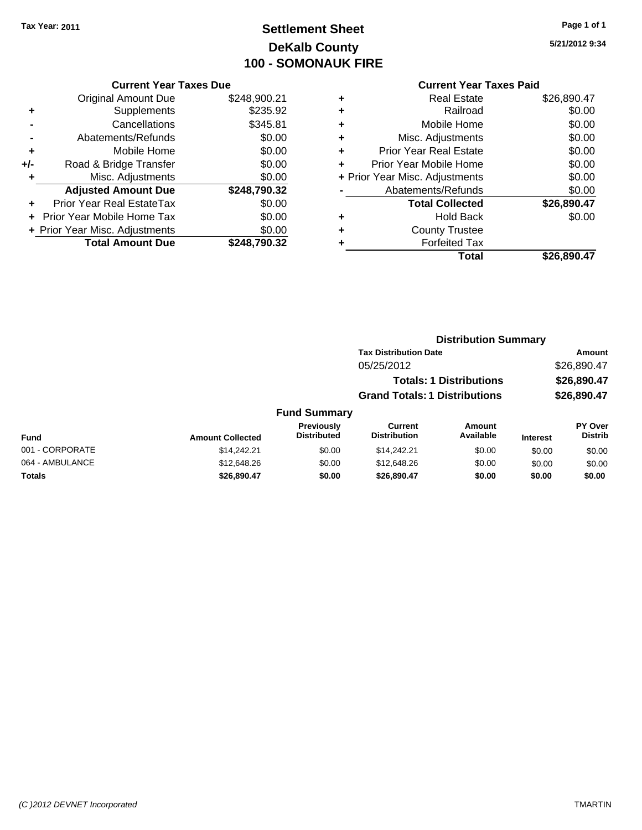# **Settlement Sheet Tax Year: 2011 Page 1 of 1 DeKalb County 100 - SOMONAUK FIRE**

**5/21/2012 9:34**

|       | <b>Current Year Taxes Due</b>  |              |
|-------|--------------------------------|--------------|
|       | <b>Original Amount Due</b>     | \$248,900.21 |
| ٠     | Supplements                    | \$235.92     |
|       | Cancellations                  | \$345.81     |
|       | Abatements/Refunds             | \$0.00       |
| ٠     | Mobile Home                    | \$0.00       |
| $+/-$ | Road & Bridge Transfer         | \$0.00       |
|       | Misc. Adjustments              | \$0.00       |
|       | <b>Adjusted Amount Due</b>     | \$248,790.32 |
|       | Prior Year Real EstateTax      | \$0.00       |
|       | Prior Year Mobile Home Tax     | \$0.00       |
|       | + Prior Year Misc. Adjustments | \$0.00       |
|       | <b>Total Amount Due</b>        | \$248.790.32 |

| ٠ | <b>Real Estate</b>             | \$26,890.47 |
|---|--------------------------------|-------------|
| ٠ | Railroad                       | \$0.00      |
| ٠ | Mobile Home                    | \$0.00      |
| ٠ | Misc. Adjustments              | \$0.00      |
| ÷ | <b>Prior Year Real Estate</b>  | \$0.00      |
| ٠ | Prior Year Mobile Home         | \$0.00      |
|   | + Prior Year Misc. Adjustments | \$0.00      |
|   | Abatements/Refunds             | \$0.00      |
|   | <b>Total Collected</b>         | \$26,890.47 |
| ٠ | Hold Back                      | \$0.00      |
| ٠ | <b>County Trustee</b>          |             |
| ٠ | <b>Forfeited Tax</b>           |             |
|   | Total                          | \$26,890.47 |
|   |                                |             |

|      |                     |                                      | <b>Distribution Summary</b>    |          |                |
|------|---------------------|--------------------------------------|--------------------------------|----------|----------------|
|      |                     | <b>Tax Distribution Date</b>         |                                |          | Amount         |
|      |                     | 05/25/2012                           |                                |          | \$26,890.47    |
|      |                     |                                      | <b>Totals: 1 Distributions</b> |          | \$26,890.47    |
|      |                     | <b>Grand Totals: 1 Distributions</b> |                                |          | \$26,890.47    |
|      | <b>Fund Summary</b> |                                      |                                |          |                |
|      | <b>Previously</b>   | Current                              | <b>Amount</b>                  |          | <b>PY Over</b> |
| hoto | <b>Distributed</b>  | <b>Distribution</b>                  | Available                      | Interest | <b>Distrib</b> |

| <b>Fund</b>     | <b>Amount Collected</b> | <b>Previously</b><br><b>Distributed</b> | Current<br><b>Distribution</b> | Amount<br>Available | <b>Interest</b> | <b>PY Over</b><br><b>Distrib</b> |
|-----------------|-------------------------|-----------------------------------------|--------------------------------|---------------------|-----------------|----------------------------------|
| 001 - CORPORATE | \$14,242.21             | \$0.00                                  | \$14.242.21                    | \$0.00              | \$0.00          | \$0.00                           |
| 064 - AMBULANCE | \$12,648.26             | \$0.00                                  | \$12,648.26                    | \$0.00              | \$0.00          | \$0.00                           |
| Totals          | \$26,890.47             | \$0.00                                  | \$26.890.47                    | \$0.00              | \$0.00          | \$0.00                           |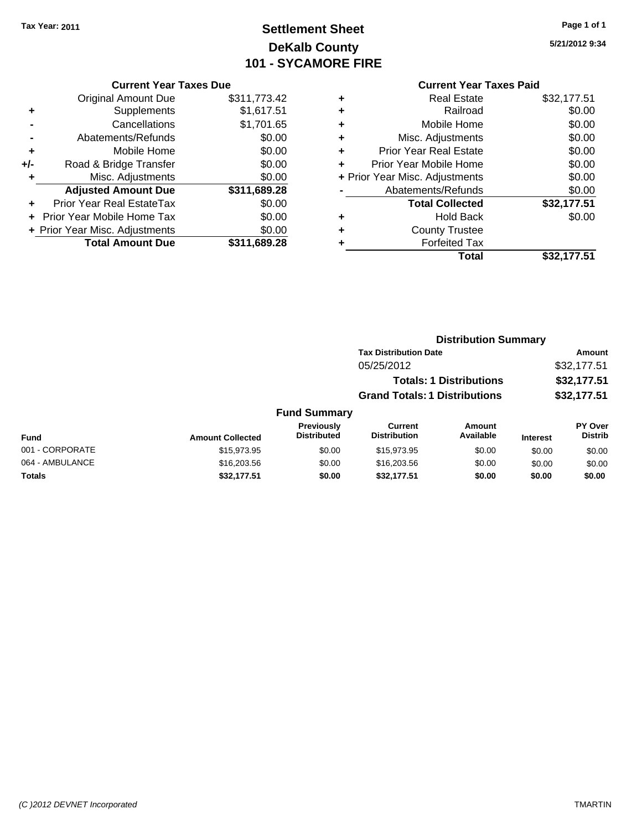# **Settlement Sheet Tax Year: 2011 Page 1 of 1 DeKalb County 101 - SYCAMORE FIRE**

### **5/21/2012 9:34**

|       | <b>Original Amount Due</b>       | \$311,773.42 |
|-------|----------------------------------|--------------|
| ٠     | Supplements                      | \$1,617.51   |
|       | Cancellations                    | \$1,701.65   |
|       | Abatements/Refunds               | \$0.00       |
| ÷     | Mobile Home                      | \$0.00       |
| $+/-$ | Road & Bridge Transfer           | \$0.00       |
| ٠     | Misc. Adjustments                | \$0.00       |
|       | <b>Adjusted Amount Due</b>       | \$311,689.28 |
|       | <b>Prior Year Real EstateTax</b> | \$0.00       |
|       | Prior Year Mobile Home Tax       | \$0.00       |
|       | + Prior Year Misc. Adjustments   | \$0.00       |
|       | <b>Total Amount Due</b>          | \$311,689.28 |

#### **Current Year Taxes Paid**

| <b>Real Estate</b>             | \$32,177.51 |
|--------------------------------|-------------|
| Railroad                       | \$0.00      |
| Mobile Home                    | \$0.00      |
| Misc. Adjustments              | \$0.00      |
| <b>Prior Year Real Estate</b>  | \$0.00      |
| Prior Year Mobile Home         | \$0.00      |
| + Prior Year Misc. Adjustments | \$0.00      |
| Abatements/Refunds             | \$0.00      |
| <b>Total Collected</b>         | \$32,177.51 |
| <b>Hold Back</b>               | \$0.00      |
| <b>County Trustee</b>          |             |
| <b>Forfeited Tax</b>           |             |
|                                |             |
|                                |             |

#### **Distribution Summary Tax Distribution Date Amount** 05/25/2012 \$32,177.51 **Totals: 1 Distributions \$32,177.51 Grand Totals: 1 Distributions \$32,177.51 Fund Summary Fund Interest Amount Collected Distributed PY Over Distrib Amount Available Current Distribution Previously** 001 - CORPORATE \$15,973.95 \$0.00 \$15,973.95 \$0.00 \$0.00 \$0.00 064 - AMBULANCE \$16,203.56 \$0.00 \$16,203.56 \$0.00 \$0.00 \$0.00

**Totals \$32,177.51 \$0.00 \$32,177.51 \$0.00 \$0.00 \$0.00**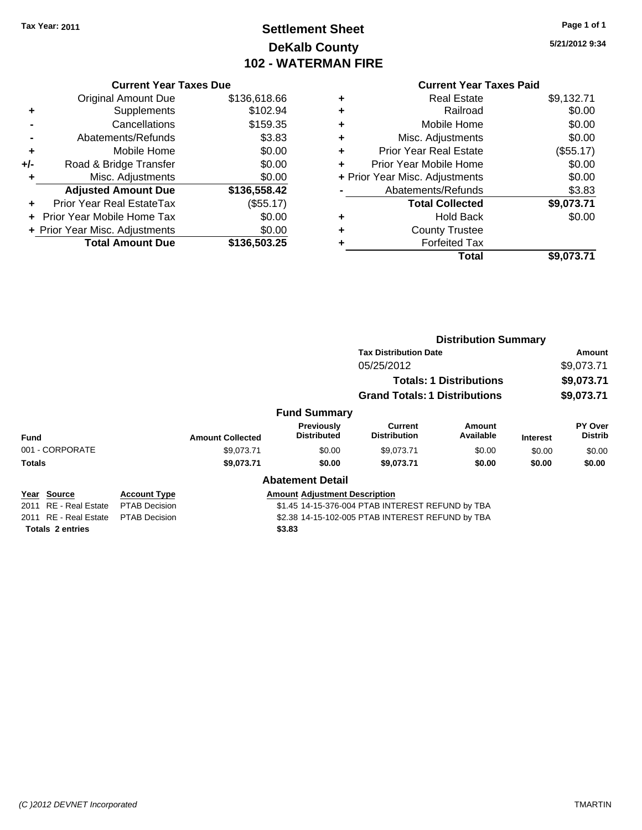# **Settlement Sheet Tax Year: 2011 Page 1 of 1 DeKalb County 102 - WATERMAN FIRE**

**5/21/2012 9:34**

|       | <b>Current Year Taxes Due</b>  |              |  |  |
|-------|--------------------------------|--------------|--|--|
|       | <b>Original Amount Due</b>     | \$136,618.66 |  |  |
|       | Supplements                    | \$102.94     |  |  |
|       | Cancellations                  | \$159.35     |  |  |
|       | Abatements/Refunds             | \$3.83       |  |  |
| ÷     | Mobile Home                    | \$0.00       |  |  |
| $+/-$ | Road & Bridge Transfer         | \$0.00       |  |  |
| ٠     | Misc. Adjustments              | \$0.00       |  |  |
|       | <b>Adjusted Amount Due</b>     | \$136,558.42 |  |  |
|       | Prior Year Real EstateTax      | (\$55.17)    |  |  |
|       | Prior Year Mobile Home Tax     | \$0.00       |  |  |
|       | + Prior Year Misc. Adjustments | \$0.00       |  |  |
|       | <b>Total Amount Due</b>        | \$136,503.25 |  |  |
|       |                                |              |  |  |

### **Current Year Taxes Paid**

|   | <b>Real Estate</b>             | \$9,132.71 |
|---|--------------------------------|------------|
| ٠ | Railroad                       | \$0.00     |
| ٠ | Mobile Home                    | \$0.00     |
| ٠ | Misc. Adjustments              | \$0.00     |
| ٠ | <b>Prior Year Real Estate</b>  | (\$55.17)  |
|   | Prior Year Mobile Home         | \$0.00     |
|   | + Prior Year Misc. Adjustments | \$0.00     |
|   | Abatements/Refunds             | \$3.83     |
|   | <b>Total Collected</b>         | \$9,073.71 |
| ٠ | Hold Back                      | \$0.00     |
| ٠ | <b>County Trustee</b>          |            |
|   | <b>Forfeited Tax</b>           |            |
|   | Total                          | \$9,073.71 |
|   |                                |            |

|                       |                      |                                                  |                                      | <b>Distribution Summary</b>          |                                |                 |                           |
|-----------------------|----------------------|--------------------------------------------------|--------------------------------------|--------------------------------------|--------------------------------|-----------------|---------------------------|
|                       |                      |                                                  |                                      | <b>Tax Distribution Date</b>         |                                |                 | <b>Amount</b>             |
|                       |                      |                                                  |                                      | 05/25/2012                           |                                |                 | \$9,073.71                |
|                       |                      |                                                  |                                      |                                      | <b>Totals: 1 Distributions</b> |                 | \$9,073.71                |
|                       |                      |                                                  |                                      | <b>Grand Totals: 1 Distributions</b> |                                |                 | \$9,073.71                |
|                       |                      |                                                  | <b>Fund Summary</b>                  |                                      |                                |                 |                           |
| <b>Fund</b>           |                      | <b>Amount Collected</b>                          | Previously<br><b>Distributed</b>     | Current<br><b>Distribution</b>       | Amount<br>Available            | <b>Interest</b> | PY Over<br><b>Distrib</b> |
| 001 - CORPORATE       |                      | \$9.073.71                                       | \$0.00                               | \$9,073.71                           | \$0.00                         | \$0.00          | \$0.00                    |
| <b>Totals</b>         |                      | \$9,073.71                                       | \$0.00                               | \$9,073.71                           | \$0.00                         | \$0.00          | \$0.00                    |
|                       |                      |                                                  | <b>Abatement Detail</b>              |                                      |                                |                 |                           |
| Year Source           | <b>Account Type</b>  |                                                  | <b>Amount Adjustment Description</b> |                                      |                                |                 |                           |
| 2011 RE - Real Estate | <b>PTAB Decision</b> | \$1.45 14-15-376-004 PTAB INTEREST REFUND by TBA |                                      |                                      |                                |                 |                           |
| 2011 RF - Real Estate | <b>PTAR Decision</b> | \$2.38 14-15-102-005 PTAR INTEREST REFUND by TRA |                                      |                                      |                                |                 |                           |

**Totals \$3.83 2 entries**

2011 RE - Real Estate \$2.38 14-15-102-005 PTAB INTEREST REFUND by TBA PTAB Decision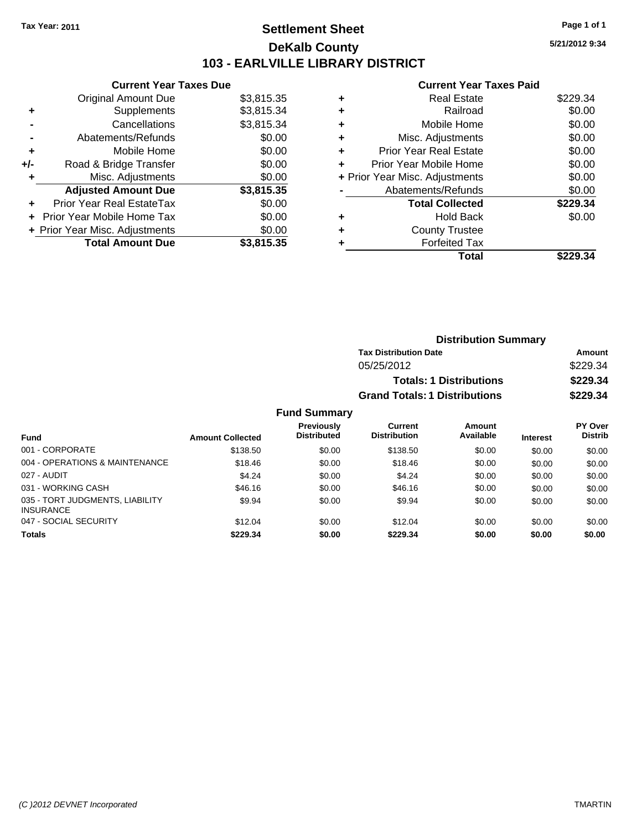### **Settlement Sheet Tax Year: 2011 Page 1 of 1 DeKalb County 103 - EARLVILLE LIBRARY DISTRICT**

**5/21/2012 9:34**

#### **Current Year Taxes Paid**

|     | <b>Current Year Taxes Due</b>  |            |
|-----|--------------------------------|------------|
|     | <b>Original Amount Due</b>     | \$3,815.35 |
| ٠   | Supplements                    | \$3,815.34 |
|     | Cancellations                  | \$3,815.34 |
|     | Abatements/Refunds             | \$0.00     |
| ٠   | Mobile Home                    | \$0.00     |
| +/- | Road & Bridge Transfer         | \$0.00     |
| ٠   | Misc. Adjustments              | \$0.00     |
|     | <b>Adjusted Amount Due</b>     | \$3,815.35 |
| ٠   | Prior Year Real EstateTax      | \$0.00     |
|     | Prior Year Mobile Home Tax     | \$0.00     |
|     | + Prior Year Misc. Adjustments | \$0.00     |
|     | <b>Total Amount Due</b>        | \$3.815.35 |

|   | Total                          | \$229.34 |
|---|--------------------------------|----------|
| ٠ | <b>Forfeited Tax</b>           |          |
| ٠ | <b>County Trustee</b>          |          |
| ٠ | <b>Hold Back</b>               | \$0.00   |
|   | <b>Total Collected</b>         | \$229.34 |
|   | Abatements/Refunds             | \$0.00   |
|   | + Prior Year Misc. Adjustments | \$0.00   |
|   | Prior Year Mobile Home         | \$0.00   |
| ÷ | Prior Year Real Estate         | \$0.00   |
| ٠ | Misc. Adjustments              | \$0.00   |
| ٠ | Mobile Home                    | \$0.00   |
| ٠ | Railroad                       | \$0.00   |
| ٠ | <b>Real Estate</b>             | \$229.34 |
|   |                                |          |

| <b>Distribution Summary</b>          |          |  |
|--------------------------------------|----------|--|
| <b>Tax Distribution Date</b>         | Amount   |  |
| 05/25/2012                           | \$229.34 |  |
| <b>Totals: 1 Distributions</b>       | \$229.34 |  |
| <b>Grand Totals: 1 Distributions</b> | \$229.34 |  |

|                                                     |                         | <b>Previously</b>  | Current             | Amount    |                 | <b>PY Over</b> |
|-----------------------------------------------------|-------------------------|--------------------|---------------------|-----------|-----------------|----------------|
| <b>Fund</b>                                         | <b>Amount Collected</b> | <b>Distributed</b> | <b>Distribution</b> | Available | <b>Interest</b> | <b>Distrib</b> |
| 001 - CORPORATE                                     | \$138.50                | \$0.00             | \$138.50            | \$0.00    | \$0.00          | \$0.00         |
| 004 - OPERATIONS & MAINTENANCE                      | \$18.46                 | \$0.00             | \$18.46             | \$0.00    | \$0.00          | \$0.00         |
| 027 - AUDIT                                         | \$4.24                  | \$0.00             | \$4.24              | \$0.00    | \$0.00          | \$0.00         |
| 031 - WORKING CASH                                  | \$46.16                 | \$0.00             | \$46.16             | \$0.00    | \$0.00          | \$0.00         |
| 035 - TORT JUDGMENTS, LIABILITY<br><b>INSURANCE</b> | \$9.94                  | \$0.00             | \$9.94              | \$0.00    | \$0.00          | \$0.00         |
| 047 - SOCIAL SECURITY                               | \$12.04                 | \$0.00             | \$12.04             | \$0.00    | \$0.00          | \$0.00         |
| <b>Totals</b>                                       | \$229.34                | \$0.00             | \$229.34            | \$0.00    | \$0.00          | \$0.00         |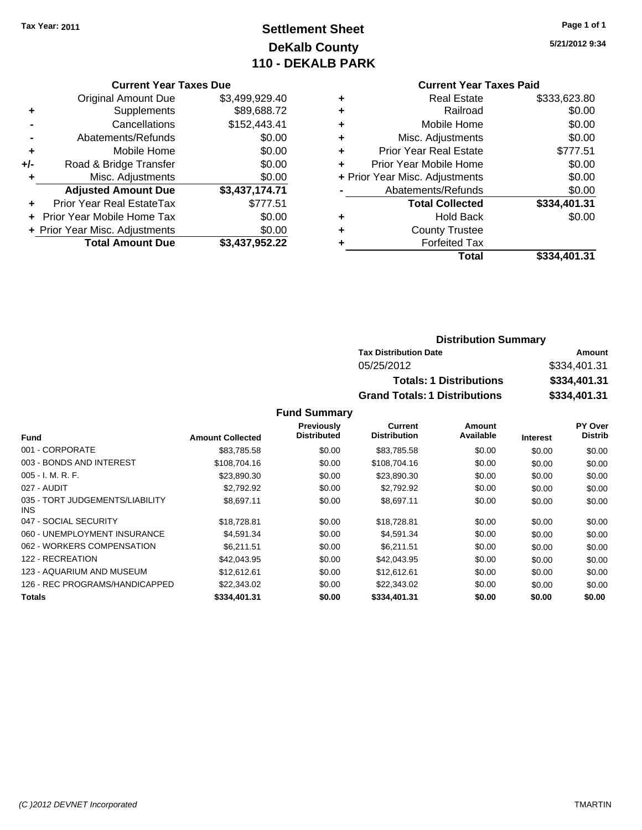# **Settlement Sheet Tax Year: 2011 Page 1 of 1 DeKalb County 110 - DEKALB PARK**

**5/21/2012 9:34**

#### **Current Year Taxes Paid**

|   | Total                          | \$334.401.31 |
|---|--------------------------------|--------------|
| ٠ | <b>Forfeited Tax</b>           |              |
| ٠ | <b>County Trustee</b>          |              |
| ٠ | <b>Hold Back</b>               | \$0.00       |
|   | <b>Total Collected</b>         | \$334,401.31 |
|   | Abatements/Refunds             | \$0.00       |
|   | + Prior Year Misc. Adjustments | \$0.00       |
| ٠ | Prior Year Mobile Home         | \$0.00       |
| ٠ | <b>Prior Year Real Estate</b>  | \$777.51     |
| ÷ | Misc. Adjustments              | \$0.00       |
| ٠ | Mobile Home                    | \$0.00       |
| ٠ | Railroad                       | \$0.00       |
| ٠ | <b>Real Estate</b>             | \$333,623.80 |
|   |                                |              |

|     | <b>Current Year Taxes Due</b>    |                |
|-----|----------------------------------|----------------|
|     | <b>Original Amount Due</b>       | \$3,499,929.40 |
| ٠   | Supplements                      | \$89,688.72    |
|     | Cancellations                    | \$152,443.41   |
|     | Abatements/Refunds               | \$0.00         |
| ٠   | Mobile Home                      | \$0.00         |
| +/- | Road & Bridge Transfer           | \$0.00         |
| ٠   | Misc. Adjustments                | \$0.00         |
|     | <b>Adjusted Amount Due</b>       | \$3,437,174.71 |
|     | <b>Prior Year Real EstateTax</b> | \$777.51       |
|     | Prior Year Mobile Home Tax       | \$0.00         |
|     | + Prior Year Misc. Adjustments   | \$0.00         |
|     | <b>Total Amount Due</b>          | \$3,437,952.22 |

### **Distribution Summary**

| <b>Tax Distribution Date</b>         | Amount       |  |
|--------------------------------------|--------------|--|
| 05/25/2012                           | \$334,401.31 |  |
| <b>Totals: 1 Distributions</b>       | \$334,401.31 |  |
| <b>Grand Totals: 1 Distributions</b> | \$334,401.31 |  |

|                                         |                         | <b>Previously</b>  | Current             | Amount    |                 | PY Over        |
|-----------------------------------------|-------------------------|--------------------|---------------------|-----------|-----------------|----------------|
| <b>Fund</b>                             | <b>Amount Collected</b> | <b>Distributed</b> | <b>Distribution</b> | Available | <b>Interest</b> | <b>Distrib</b> |
| 001 - CORPORATE                         | \$83,785.58             | \$0.00             | \$83,785.58         | \$0.00    | \$0.00          | \$0.00         |
| 003 - BONDS AND INTEREST                | \$108,704.16            | \$0.00             | \$108,704.16        | \$0.00    | \$0.00          | \$0.00         |
| $005 - I. M. R. F.$                     | \$23,890.30             | \$0.00             | \$23,890.30         | \$0.00    | \$0.00          | \$0.00         |
| 027 - AUDIT                             | \$2,792.92              | \$0.00             | \$2,792.92          | \$0.00    | \$0.00          | \$0.00         |
| 035 - TORT JUDGEMENTS/LIABILITY<br>INS. | \$8,697.11              | \$0.00             | \$8,697.11          | \$0.00    | \$0.00          | \$0.00         |
| 047 - SOCIAL SECURITY                   | \$18,728.81             | \$0.00             | \$18,728.81         | \$0.00    | \$0.00          | \$0.00         |
| 060 - UNEMPLOYMENT INSURANCE            | \$4.591.34              | \$0.00             | \$4,591.34          | \$0.00    | \$0.00          | \$0.00         |
| 062 - WORKERS COMPENSATION              | \$6.211.51              | \$0.00             | \$6.211.51          | \$0.00    | \$0.00          | \$0.00         |
| 122 - RECREATION                        | \$42,043.95             | \$0.00             | \$42,043.95         | \$0.00    | \$0.00          | \$0.00         |
| 123 - AQUARIUM AND MUSEUM               | \$12.612.61             | \$0.00             | \$12,612.61         | \$0.00    | \$0.00          | \$0.00         |
| 126 - REC PROGRAMS/HANDICAPPED          | \$22,343.02             | \$0.00             | \$22,343.02         | \$0.00    | \$0.00          | \$0.00         |
| <b>Totals</b>                           | \$334,401.31            | \$0.00             | \$334,401.31        | \$0.00    | \$0.00          | \$0.00         |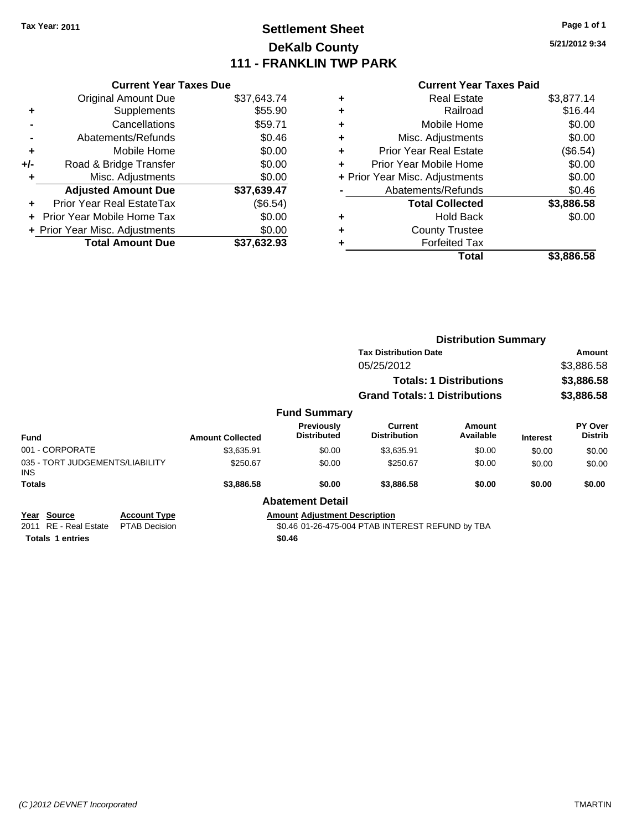### **Settlement Sheet Tax Year: 2011 Page 1 of 1 DeKalb County 111 - FRANKLIN TWP PARK**

**5/21/2012 9:34**

|     | <b>Current Year Taxes Due</b> |             |  |
|-----|-------------------------------|-------------|--|
|     | <b>Original Amount Due</b>    | \$37,643.74 |  |
| ٠   | Supplements                   | \$55.90     |  |
|     | Cancellations                 | \$59.71     |  |
|     | Abatements/Refunds            | \$0.46      |  |
| ٠   | Mobile Home                   | \$0.00      |  |
| +/- | Road & Bridge Transfer        | \$0.00      |  |
| ÷   | Misc. Adjustments             | \$0.00      |  |
|     | Adjusted Amount Due           | 437 639 17  |  |

| <b>AUJUSTED AILIOUIII DUE</b>  | <b>991.095.47</b> |
|--------------------------------|-------------------|
| Prior Year Real EstateTax      | (\$6.54)          |
| + Prior Year Mobile Home Tax   | \$0.00            |
| + Prior Year Misc. Adjustments | \$0.00            |
| <b>Total Amount Due</b>        | \$37,632.93       |

|   | Total                          | \$3.886.58 |
|---|--------------------------------|------------|
|   | <b>Forfeited Tax</b>           |            |
| ٠ | <b>County Trustee</b>          |            |
| ٠ | Hold Back                      | \$0.00     |
|   | <b>Total Collected</b>         | \$3,886.58 |
|   | Abatements/Refunds             | \$0.46     |
|   | + Prior Year Misc. Adjustments | \$0.00     |
| ÷ | Prior Year Mobile Home         | \$0.00     |
| ٠ | <b>Prior Year Real Estate</b>  | (\$6.54)   |
| ٠ | Misc. Adjustments              | \$0.00     |
| ٠ | Mobile Home                    | \$0.00     |
| ÷ | Railroad                       | \$16.44    |
| ٠ | <b>Real Estate</b>             | \$3,877.14 |

|                                               |                      |                         |                                         | <b>Distribution Summary</b>                      |                                |                 |                           |
|-----------------------------------------------|----------------------|-------------------------|-----------------------------------------|--------------------------------------------------|--------------------------------|-----------------|---------------------------|
|                                               |                      |                         |                                         | <b>Tax Distribution Date</b>                     |                                |                 | Amount                    |
|                                               |                      |                         |                                         | 05/25/2012                                       |                                |                 | \$3,886.58                |
|                                               |                      |                         |                                         |                                                  | <b>Totals: 1 Distributions</b> |                 | \$3,886.58                |
|                                               |                      |                         |                                         | <b>Grand Totals: 1 Distributions</b>             |                                |                 | \$3,886.58                |
|                                               |                      |                         | <b>Fund Summary</b>                     |                                                  |                                |                 |                           |
| <b>Fund</b>                                   |                      | <b>Amount Collected</b> | <b>Previously</b><br><b>Distributed</b> | Current<br><b>Distribution</b>                   | Amount<br>Available            | <b>Interest</b> | PY Over<br><b>Distrib</b> |
| 001 - CORPORATE                               |                      | \$3,635.91              | \$0.00                                  | \$3,635.91                                       | \$0.00                         | \$0.00          | \$0.00                    |
| 035 - TORT JUDGEMENTS/LIABILITY<br><b>INS</b> |                      | \$250.67                | \$0.00                                  | \$250.67                                         | \$0.00                         | \$0.00          | \$0.00                    |
| <b>Totals</b>                                 |                      | \$3,886.58              | \$0.00                                  | \$3,886.58                                       | \$0.00                         | \$0.00          | \$0.00                    |
|                                               |                      |                         | <b>Abatement Detail</b>                 |                                                  |                                |                 |                           |
| <b>Source</b><br>Year                         | <b>Account Type</b>  |                         | <b>Amount Adjustment Description</b>    |                                                  |                                |                 |                           |
| 2011 RE - Real Estate                         | <b>PTAB Decision</b> |                         |                                         | \$0.46 01-26-475-004 PTAB INTEREST REFUND by TBA |                                |                 |                           |
| <b>Totals 1 entries</b>                       |                      |                         | \$0.46                                  |                                                  |                                |                 |                           |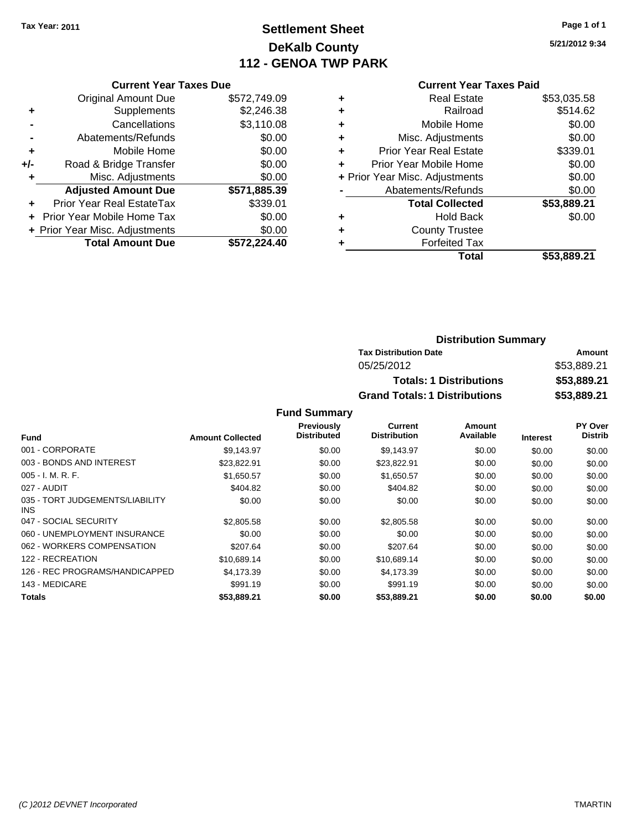## **Settlement Sheet Tax Year: 2011 Page 1 of 1 DeKalb County 112 - GENOA TWP PARK**

**5/21/2012 9:34**

#### **Current Year Taxes Due**

|     | <b>Original Amount Due</b>     | \$572,749.09 |
|-----|--------------------------------|--------------|
| ٠   | Supplements                    | \$2,246.38   |
|     | Cancellations                  | \$3,110.08   |
|     | Abatements/Refunds             | \$0.00       |
| ÷   | Mobile Home                    | \$0.00       |
| +/- | Road & Bridge Transfer         | \$0.00       |
| ٠   | Misc. Adjustments              | \$0.00       |
|     | <b>Adjusted Amount Due</b>     | \$571,885.39 |
|     | Prior Year Real EstateTax      | \$339.01     |
|     | Prior Year Mobile Home Tax     | \$0.00       |
|     | + Prior Year Misc. Adjustments | \$0.00       |
|     | <b>Total Amount Due</b>        | \$572.224.40 |

#### **Current Year Taxes Paid**

|   | <b>Real Estate</b>             | \$53,035.58 |
|---|--------------------------------|-------------|
| ٠ | Railroad                       | \$514.62    |
| ٠ | Mobile Home                    | \$0.00      |
| ٠ | Misc. Adjustments              | \$0.00      |
| ٠ | <b>Prior Year Real Estate</b>  | \$339.01    |
| ÷ | Prior Year Mobile Home         | \$0.00      |
|   | + Prior Year Misc. Adjustments | \$0.00      |
|   | Abatements/Refunds             | \$0.00      |
|   | <b>Total Collected</b>         | \$53,889.21 |
| ٠ | Hold Back                      | \$0.00      |
| ٠ | <b>County Trustee</b>          |             |
|   | <b>Forfeited Tax</b>           |             |
|   | Total                          | \$53,889.21 |
|   |                                |             |

### **Distribution Summary Tax Distribution Date Amount** 05/25/2012 \$53,889.21 **Totals: 1 Distributions \$53,889.21 Grand Totals: 1 Distributions \$53,889.21**

|                                         |                         | Previously         | Current             | Amount    |                 | PY Over        |
|-----------------------------------------|-------------------------|--------------------|---------------------|-----------|-----------------|----------------|
| <b>Fund</b>                             | <b>Amount Collected</b> | <b>Distributed</b> | <b>Distribution</b> | Available | <b>Interest</b> | <b>Distrib</b> |
| 001 - CORPORATE                         | \$9.143.97              | \$0.00             | \$9,143.97          | \$0.00    | \$0.00          | \$0.00         |
| 003 - BONDS AND INTEREST                | \$23,822.91             | \$0.00             | \$23,822.91         | \$0.00    | \$0.00          | \$0.00         |
| $005 - I. M. R. F.$                     | \$1,650.57              | \$0.00             | \$1,650.57          | \$0.00    | \$0.00          | \$0.00         |
| 027 - AUDIT                             | \$404.82                | \$0.00             | \$404.82            | \$0.00    | \$0.00          | \$0.00         |
| 035 - TORT JUDGEMENTS/LIABILITY<br>INS. | \$0.00                  | \$0.00             | \$0.00              | \$0.00    | \$0.00          | \$0.00         |
| 047 - SOCIAL SECURITY                   | \$2,805.58              | \$0.00             | \$2,805.58          | \$0.00    | \$0.00          | \$0.00         |
| 060 - UNEMPLOYMENT INSURANCE            | \$0.00                  | \$0.00             | \$0.00              | \$0.00    | \$0.00          | \$0.00         |
| 062 - WORKERS COMPENSATION              | \$207.64                | \$0.00             | \$207.64            | \$0.00    | \$0.00          | \$0.00         |
| 122 - RECREATION                        | \$10.689.14             | \$0.00             | \$10.689.14         | \$0.00    | \$0.00          | \$0.00         |
| 126 - REC PROGRAMS/HANDICAPPED          | \$4.173.39              | \$0.00             | \$4,173.39          | \$0.00    | \$0.00          | \$0.00         |
| 143 - MEDICARE                          | \$991.19                | \$0.00             | \$991.19            | \$0.00    | \$0.00          | \$0.00         |
| Totals                                  | \$53,889.21             | \$0.00             | \$53,889.21         | \$0.00    | \$0.00          | \$0.00         |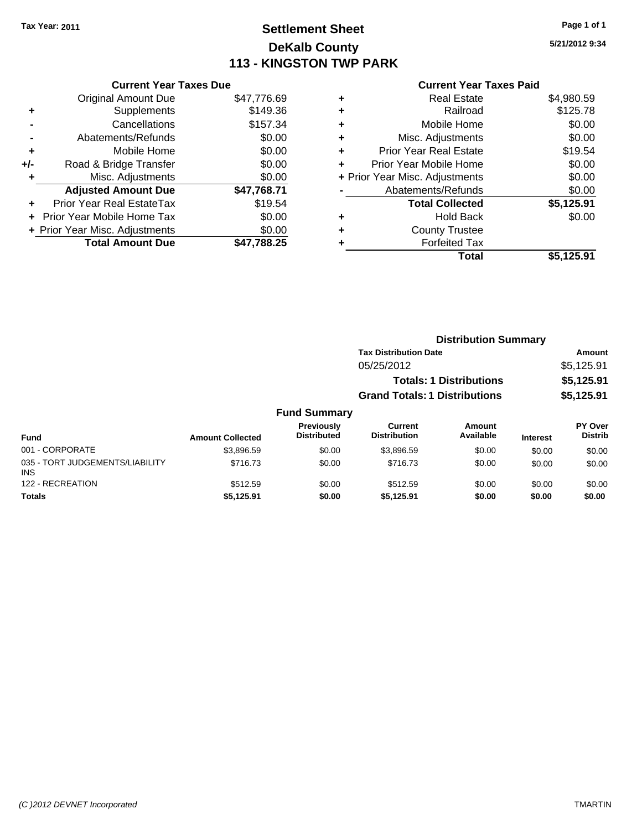### **Settlement Sheet Tax Year: 2011 Page 1 of 1 DeKalb County 113 - KINGSTON TWP PARK**

**5/21/2012 9:34**

|     | <b>Current Year Taxes Due</b>     |             |  |  |  |
|-----|-----------------------------------|-------------|--|--|--|
|     | <b>Original Amount Due</b>        | \$47,776.69 |  |  |  |
| ٠   | Supplements                       | \$149.36    |  |  |  |
|     | Cancellations                     | \$157.34    |  |  |  |
|     | Abatements/Refunds                | \$0.00      |  |  |  |
| ٠   | Mobile Home                       | \$0.00      |  |  |  |
| +/- | Road & Bridge Transfer            | \$0.00      |  |  |  |
| ٠   | Misc. Adjustments                 | \$0.00      |  |  |  |
|     | <b>Adjusted Amount Due</b>        | \$47,768.71 |  |  |  |
| ÷   | Prior Year Real EstateTax         | \$19.54     |  |  |  |
|     | <b>Prior Year Mobile Home Tax</b> | \$0.00      |  |  |  |
|     | + Prior Year Misc. Adjustments    | \$0.00      |  |  |  |
|     | <b>Total Amount Due</b>           | \$47,788.25 |  |  |  |
|     |                                   |             |  |  |  |

| <b>Real Estate</b>             | \$4,980.59 |
|--------------------------------|------------|
| Railroad                       | \$125.78   |
| Mobile Home                    | \$0.00     |
| Misc. Adjustments              | \$0.00     |
| Prior Year Real Estate         | \$19.54    |
| Prior Year Mobile Home         | \$0.00     |
| + Prior Year Misc. Adjustments | \$0.00     |
| Abatements/Refunds             | \$0.00     |
| <b>Total Collected</b>         | \$5,125.91 |
| <b>Hold Back</b>               | \$0.00     |
| <b>County Trustee</b>          |            |
| <b>Forfeited Tax</b>           |            |
| Total                          | \$5,125.91 |
|                                |            |

|                 |                         |                                  |                                      | <b>Distribution Summary</b>    |                 |                           |  |
|-----------------|-------------------------|----------------------------------|--------------------------------------|--------------------------------|-----------------|---------------------------|--|
|                 |                         |                                  | <b>Tax Distribution Date</b>         |                                |                 | Amount                    |  |
|                 |                         |                                  | 05/25/2012                           |                                |                 | \$5,125.91                |  |
|                 |                         |                                  |                                      | <b>Totals: 1 Distributions</b> |                 | \$5,125.91                |  |
|                 |                         |                                  | <b>Grand Totals: 1 Distributions</b> |                                |                 | \$5,125.91                |  |
|                 |                         | <b>Fund Summary</b>              |                                      |                                |                 |                           |  |
| <b>Fund</b>     | <b>Amount Collected</b> | Previously<br><b>Distributed</b> | Current<br><b>Distribution</b>       | Amount<br>Available            | <b>Interest</b> | PY Over<br><b>Distrib</b> |  |
| 001 - CORPORATE | 42.906E                 | <b>CO OO</b>                     | 0.2006E                              | CD, CD                         | 0000            | 0000                      |  |

| 001 - CORPORATE                               | \$3.896.59 | \$0.00 | \$3.896.59 | \$0.00 | \$0.00 | \$0.00 |
|-----------------------------------------------|------------|--------|------------|--------|--------|--------|
| 035 - TORT JUDGEMENTS/LIABILITY<br><b>INS</b> | \$716.73   | \$0.00 | \$716.73   | \$0.00 | \$0.00 | \$0.00 |
| 122 - RECREATION                              | \$512.59   | \$0.00 | \$512.59   | \$0.00 | \$0.00 | \$0.00 |
| <b>Totals</b>                                 | \$5,125.91 | \$0.00 | \$5.125.91 | \$0.00 | \$0.00 | \$0.00 |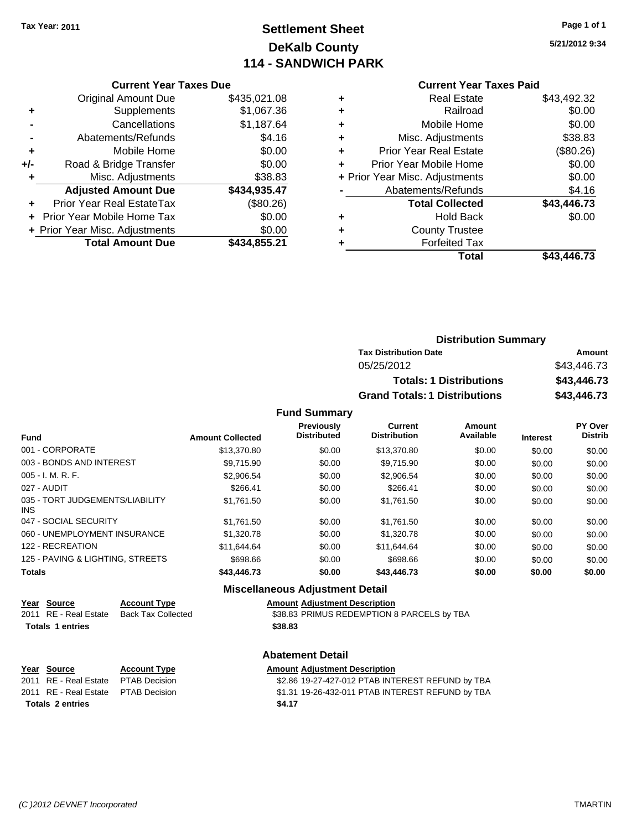# **Settlement Sheet Tax Year: 2011 Page 1 of 1 DeKalb County 114 - SANDWICH PARK**

**5/21/2012 9:34**

#### **Current Year Taxes Paid**

|     | OUITCHL TCUL TUACS DUC         |              |
|-----|--------------------------------|--------------|
|     | <b>Original Amount Due</b>     | \$435,021.08 |
| ٠   | Supplements                    | \$1,067.36   |
|     | Cancellations                  | \$1,187.64   |
|     | Abatements/Refunds             | \$4.16       |
| ٠   | Mobile Home                    | \$0.00       |
| +/- | Road & Bridge Transfer         | \$0.00       |
|     | Misc. Adjustments              | \$38.83      |
|     | <b>Adjusted Amount Due</b>     | \$434,935.47 |
|     | Prior Year Real EstateTax      | (\$80.26)    |
|     | Prior Year Mobile Home Tax     | \$0.00       |
|     | + Prior Year Misc. Adjustments | \$0.00       |
|     | <b>Total Amount Due</b>        | \$434,855.21 |
|     |                                |              |

**Current Year Taxes Due**

|   | <b>Real Estate</b>             | \$43,492.32 |
|---|--------------------------------|-------------|
| ٠ | Railroad                       | \$0.00      |
| ٠ | Mobile Home                    | \$0.00      |
| ٠ | Misc. Adjustments              | \$38.83     |
| ٠ | <b>Prior Year Real Estate</b>  | (\$80.26)   |
|   | Prior Year Mobile Home         | \$0.00      |
|   | + Prior Year Misc. Adjustments | \$0.00      |
|   | Abatements/Refunds             | \$4.16      |
|   | <b>Total Collected</b>         | \$43,446.73 |
| ٠ | Hold Back                      | \$0.00      |
| ٠ | <b>County Trustee</b>          |             |
| ٠ | <b>Forfeited Tax</b>           |             |
|   | Total                          | \$43,446.73 |
|   |                                |             |

| <b>Distribution Summary</b>          |             |
|--------------------------------------|-------------|
| <b>Tax Distribution Date</b>         | Amount      |
| 05/25/2012                           | \$43,446.73 |
| <b>Totals: 1 Distributions</b>       | \$43,446.73 |
| <b>Grand Totals: 1 Distributions</b> | \$43,446.73 |

#### **Fund Summary**

|                                         |                         | <b>Previously</b><br><b>Distributed</b> | <b>Current</b><br><b>Distribution</b> | Amount<br>Available |                 | PY Over<br><b>Distrib</b> |
|-----------------------------------------|-------------------------|-----------------------------------------|---------------------------------------|---------------------|-----------------|---------------------------|
| <b>Fund</b>                             | <b>Amount Collected</b> |                                         |                                       |                     | <b>Interest</b> |                           |
| 001 - CORPORATE                         | \$13,370.80             | \$0.00                                  | \$13,370.80                           | \$0.00              | \$0.00          | \$0.00                    |
| 003 - BONDS AND INTEREST                | \$9.715.90              | \$0.00                                  | \$9.715.90                            | \$0.00              | \$0.00          | \$0.00                    |
| $005 - I. M. R. F.$                     | \$2,906.54              | \$0.00                                  | \$2,906.54                            | \$0.00              | \$0.00          | \$0.00                    |
| 027 - AUDIT                             | \$266.41                | \$0.00                                  | \$266.41                              | \$0.00              | \$0.00          | \$0.00                    |
| 035 - TORT JUDGEMENTS/LIABILITY<br>INS. | \$1,761.50              | \$0.00                                  | \$1,761.50                            | \$0.00              | \$0.00          | \$0.00                    |
| 047 - SOCIAL SECURITY                   | \$1.761.50              | \$0.00                                  | \$1.761.50                            | \$0.00              | \$0.00          | \$0.00                    |
| 060 - UNEMPLOYMENT INSURANCE            | \$1.320.78              | \$0.00                                  | \$1,320.78                            | \$0.00              | \$0.00          | \$0.00                    |
| 122 - RECREATION                        | \$11.644.64             | \$0.00                                  | \$11.644.64                           | \$0.00              | \$0.00          | \$0.00                    |
| 125 - PAVING & LIGHTING, STREETS        | \$698.66                | \$0.00                                  | \$698.66                              | \$0.00              | \$0.00          | \$0.00                    |
| <b>Totals</b>                           | \$43,446.73             | \$0.00                                  | \$43,446.73                           | \$0.00              | \$0.00          | \$0.00                    |

#### **Miscellaneous Adjustment Detail**

#### **Year Source Account Type Amount Adjustment Description**

2011 RE - Real Estate Back Tax Collected \$38.83 PRIMUS REDEMPTION 8 PARCELS by TBA **Totals \$38.83 1 entries**

#### **Abatement Detail**

#### **Properties Amount Adjustment Description**

2.86 19-27-427-012 PTAB INTEREST REFUND by TBA 2011 B Decision **31.31 19-26-432-011 PTAB INTEREST REFUND** by TBA

| Year Source                | <u>Acco</u> |
|----------------------------|-------------|
| 2011 RE - Real Estate      | <b>PTAE</b> |
| 2011 RE - Real Estate PTAE |             |
|                            |             |

**Totals \$4.17 2 entries**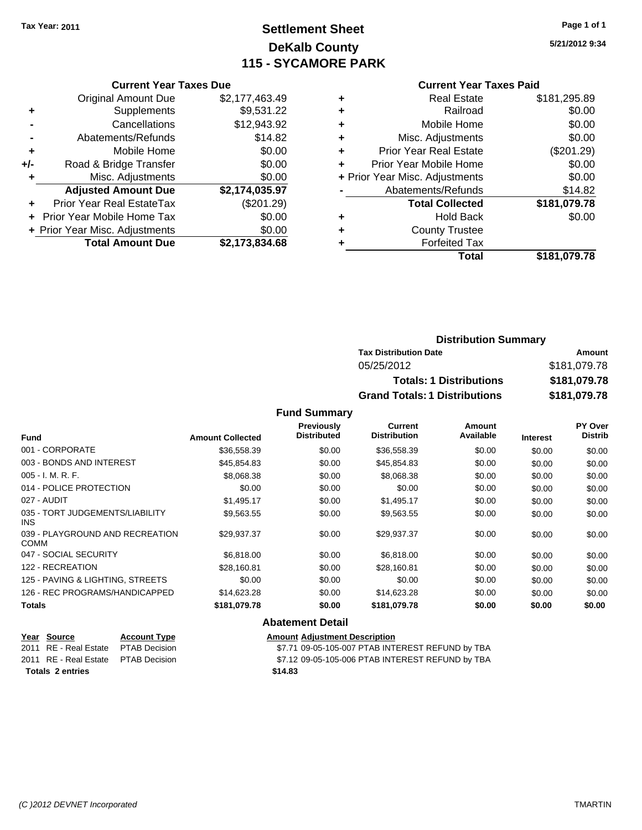### **Settlement Sheet Tax Year: 2011 Page 1 of 1 DeKalb County 115 - SYCAMORE PARK**

**5/21/2012 9:34**

#### **Current Year Taxes Paid**

|     | <b>Original Amount Due</b>     | \$2,177,463.49 |
|-----|--------------------------------|----------------|
| ÷   | Supplements                    | \$9,531.22     |
|     | Cancellations                  | \$12,943.92    |
|     | Abatements/Refunds             | \$14.82        |
| ٠   | Mobile Home                    | \$0.00         |
| +/- | Road & Bridge Transfer         | \$0.00         |
|     | Misc. Adjustments              | \$0.00         |
|     | <b>Adjusted Amount Due</b>     | \$2,174,035.97 |
|     | Prior Year Real EstateTax      | (\$201.29)     |
|     | Prior Year Mobile Home Tax     | \$0.00         |
|     | + Prior Year Misc. Adjustments | \$0.00         |
|     | <b>Total Amount Due</b>        | \$2,173,834.68 |
|     |                                |                |

**Current Year Taxes Due**

|   | <b>Real Estate</b>             | \$181,295.89 |
|---|--------------------------------|--------------|
| ٠ | Railroad                       | \$0.00       |
| ÷ | Mobile Home                    | \$0.00       |
| ٠ | Misc. Adjustments              | \$0.00       |
| ٠ | <b>Prior Year Real Estate</b>  | (\$201.29)   |
|   | Prior Year Mobile Home         | \$0.00       |
|   | + Prior Year Misc. Adjustments | \$0.00       |
|   | Abatements/Refunds             | \$14.82      |
|   | <b>Total Collected</b>         | \$181,079.78 |
| ٠ | <b>Hold Back</b>               | \$0.00       |
|   | <b>County Trustee</b>          |              |
|   | <b>Forfeited Tax</b>           |              |
|   | Total                          | \$181,079.78 |
|   |                                |              |

### **Distribution Summary Tax Distribution Date Amount** 05/25/2012 \$181,079.78 **Totals: 1 Distributions \$181,079.78 Grand Totals: 1 Distributions \$181,079.78**

#### **Fund Summary**

|                                                |                         | <b>Previously</b><br><b>Distributed</b> | <b>Current</b><br><b>Distribution</b> | Amount<br>Available |                 | <b>PY Over</b><br><b>Distrib</b> |
|------------------------------------------------|-------------------------|-----------------------------------------|---------------------------------------|---------------------|-----------------|----------------------------------|
| <b>Fund</b>                                    | <b>Amount Collected</b> |                                         |                                       |                     | <b>Interest</b> |                                  |
| 001 - CORPORATE                                | \$36,558.39             | \$0.00                                  | \$36,558.39                           | \$0.00              | \$0.00          | \$0.00                           |
| 003 - BONDS AND INTEREST                       | \$45,854.83             | \$0.00                                  | \$45,854.83                           | \$0.00              | \$0.00          | \$0.00                           |
| $005 - I. M. R. F.$                            | \$8,068.38              | \$0.00                                  | \$8,068.38                            | \$0.00              | \$0.00          | \$0.00                           |
| 014 - POLICE PROTECTION                        | \$0.00                  | \$0.00                                  | \$0.00                                | \$0.00              | \$0.00          | \$0.00                           |
| 027 - AUDIT                                    | \$1,495.17              | \$0.00                                  | \$1,495.17                            | \$0.00              | \$0.00          | \$0.00                           |
| 035 - TORT JUDGEMENTS/LIABILITY<br>INS.        | \$9,563.55              | \$0.00                                  | \$9,563.55                            | \$0.00              | \$0.00          | \$0.00                           |
| 039 - PLAYGROUND AND RECREATION<br><b>COMM</b> | \$29,937.37             | \$0.00                                  | \$29,937.37                           | \$0.00              | \$0.00          | \$0.00                           |
| 047 - SOCIAL SECURITY                          | \$6,818.00              | \$0.00                                  | \$6,818.00                            | \$0.00              | \$0.00          | \$0.00                           |
| 122 - RECREATION                               | \$28,160.81             | \$0.00                                  | \$28,160.81                           | \$0.00              | \$0.00          | \$0.00                           |
| 125 - PAVING & LIGHTING, STREETS               | \$0.00                  | \$0.00                                  | \$0.00                                | \$0.00              | \$0.00          | \$0.00                           |
| 126 - REC PROGRAMS/HANDICAPPED                 | \$14,623.28             | \$0.00                                  | \$14,623.28                           | \$0.00              | \$0.00          | \$0.00                           |
| <b>Totals</b>                                  | \$181,079.78            | \$0.00                                  | \$181,079.78                          | \$0.00              | \$0.00          | \$0.00                           |
|                                                |                         | <b>Abatement Detail</b>                 |                                       |                     |                 |                                  |

#### **<u>Year Source</u> <b>Account Type Amount Adjustment Description**<br>
2011 RE - Real Estate PTAB Decision **Amount** \$7.71 09-05-105-007 PTAB INT \$7.71 09-05-105-007 PTAB INTEREST REFUND by TBA 2011 RE - Real Estate \$7.12 09-05-105-006 PTAB INTEREST REFUND by TBA PTAB Decision

**Totals \$14.83 2 entries**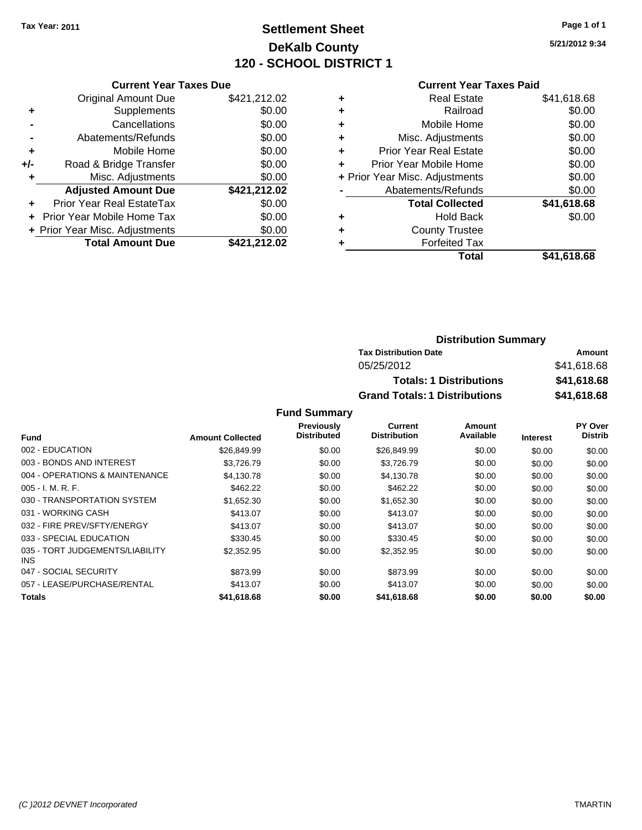### **Settlement Sheet Tax Year: 2011 Page 1 of 1 DeKalb County 120 - SCHOOL DISTRICT 1**

**5/21/2012 9:34**

### **Current Year Taxes Paid**

|     | <b>Current Year Taxes Due</b>    |              |  |  |  |  |
|-----|----------------------------------|--------------|--|--|--|--|
|     | <b>Original Amount Due</b>       | \$421,212.02 |  |  |  |  |
| ٠   | Supplements                      | \$0.00       |  |  |  |  |
|     | \$0.00<br>Cancellations          |              |  |  |  |  |
|     | Abatements/Refunds               | \$0.00       |  |  |  |  |
| ٠   | Mobile Home                      | \$0.00       |  |  |  |  |
| +/- | \$0.00<br>Road & Bridge Transfer |              |  |  |  |  |
|     | Misc. Adjustments                | \$0.00       |  |  |  |  |
|     | <b>Adjusted Amount Due</b>       | \$421,212.02 |  |  |  |  |
|     | Prior Year Real EstateTax        | \$0.00       |  |  |  |  |
|     | Prior Year Mobile Home Tax       | \$0.00       |  |  |  |  |
|     | + Prior Year Misc. Adjustments   | \$0.00       |  |  |  |  |
|     | <b>Total Amount Due</b>          | \$421,212.02 |  |  |  |  |
|     |                                  |              |  |  |  |  |

| ٠ | <b>Real Estate</b>             | \$41,618.68 |
|---|--------------------------------|-------------|
| ٠ | Railroad                       | \$0.00      |
| ٠ | Mobile Home                    | \$0.00      |
| ٠ | Misc. Adjustments              | \$0.00      |
| ÷ | <b>Prior Year Real Estate</b>  | \$0.00      |
| ٠ | Prior Year Mobile Home         | \$0.00      |
|   | + Prior Year Misc. Adjustments | \$0.00      |
|   | Abatements/Refunds             | \$0.00      |
|   | <b>Total Collected</b>         | \$41,618.68 |
| ٠ | <b>Hold Back</b>               | \$0.00      |
| ٠ | <b>County Trustee</b>          |             |
| ٠ | <b>Forfeited Tax</b>           |             |
|   | Total                          | \$41,618.68 |
|   |                                |             |

### **Distribution Summary Tax Distribution Date Amount** 05/25/2012 \$41,618.68 **Totals: 1 Distributions \$41,618.68 Grand Totals: 1 Distributions \$41,618.68**

|                                         |                         | Previously         | <b>Current</b>      | Amount    |                 | PY Over        |
|-----------------------------------------|-------------------------|--------------------|---------------------|-----------|-----------------|----------------|
| <b>Fund</b>                             | <b>Amount Collected</b> | <b>Distributed</b> | <b>Distribution</b> | Available | <b>Interest</b> | <b>Distrib</b> |
| 002 - EDUCATION                         | \$26,849.99             | \$0.00             | \$26,849.99         | \$0.00    | \$0.00          | \$0.00         |
| 003 - BONDS AND INTEREST                | \$3,726.79              | \$0.00             | \$3,726.79          | \$0.00    | \$0.00          | \$0.00         |
| 004 - OPERATIONS & MAINTENANCE          | \$4,130.78              | \$0.00             | \$4,130.78          | \$0.00    | \$0.00          | \$0.00         |
| $005 - I. M. R. F.$                     | \$462.22                | \$0.00             | \$462.22            | \$0.00    | \$0.00          | \$0.00         |
| 030 - TRANSPORTATION SYSTEM             | \$1,652.30              | \$0.00             | \$1,652.30          | \$0.00    | \$0.00          | \$0.00         |
| 031 - WORKING CASH                      | \$413.07                | \$0.00             | \$413.07            | \$0.00    | \$0.00          | \$0.00         |
| 032 - FIRE PREV/SFTY/ENERGY             | \$413.07                | \$0.00             | \$413.07            | \$0.00    | \$0.00          | \$0.00         |
| 033 - SPECIAL EDUCATION                 | \$330.45                | \$0.00             | \$330.45            | \$0.00    | \$0.00          | \$0.00         |
| 035 - TORT JUDGEMENTS/LIABILITY<br>INS. | \$2,352.95              | \$0.00             | \$2,352.95          | \$0.00    | \$0.00          | \$0.00         |
| 047 - SOCIAL SECURITY                   | \$873.99                | \$0.00             | \$873.99            | \$0.00    | \$0.00          | \$0.00         |
| 057 - LEASE/PURCHASE/RENTAL             | \$413.07                | \$0.00             | \$413.07            | \$0.00    | \$0.00          | \$0.00         |
| <b>Totals</b>                           | \$41,618.68             | \$0.00             | \$41,618.68         | \$0.00    | \$0.00          | \$0.00         |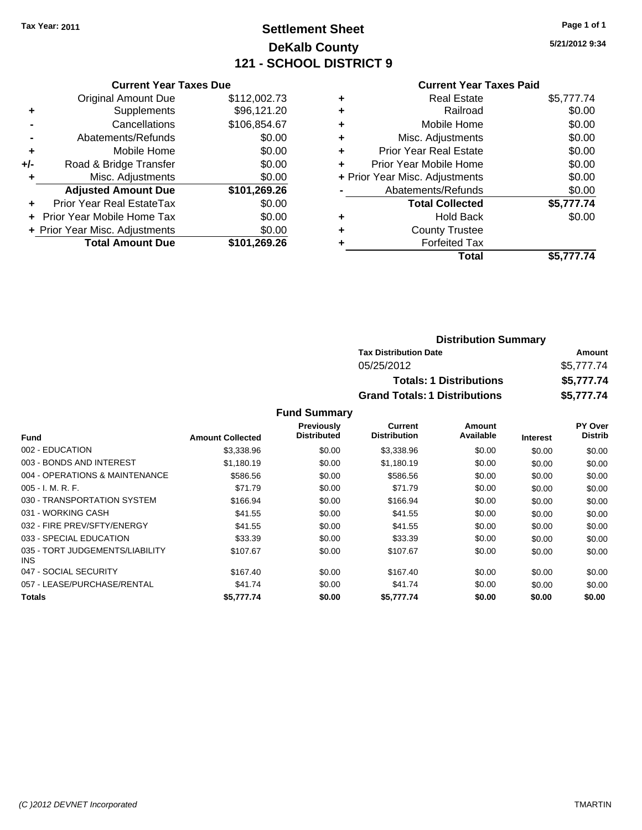### **Settlement Sheet Tax Year: 2011 Page 1 of 1 DeKalb County 121 - SCHOOL DISTRICT 9**

**5/21/2012 9:34**

|     | <b>Original Amount Due</b>        | \$112,002.73 |
|-----|-----------------------------------|--------------|
| ٠   | Supplements                       | \$96,121.20  |
|     | Cancellations                     | \$106,854.67 |
|     | Abatements/Refunds                | \$0.00       |
| ٠   | Mobile Home                       | \$0.00       |
| +/- | Road & Bridge Transfer            | \$0.00       |
| ٠   | Misc. Adjustments                 | \$0.00       |
|     | <b>Adjusted Amount Due</b>        | \$101,269.26 |
|     | <b>Prior Year Real EstateTax</b>  | \$0.00       |
|     | <b>Prior Year Mobile Home Tax</b> | \$0.00       |
|     | + Prior Year Misc. Adjustments    | \$0.00       |
|     | <b>Total Amount Due</b>           | \$101,269.26 |

#### **Current Year Taxes Paid**

|                                | <b>Real Estate</b>            | \$5,777.74 |
|--------------------------------|-------------------------------|------------|
| ÷                              | Railroad                      | \$0.00     |
| ٠                              | Mobile Home                   | \$0.00     |
| ٠                              | Misc. Adjustments             | \$0.00     |
| ٠                              | <b>Prior Year Real Estate</b> | \$0.00     |
|                                | Prior Year Mobile Home        | \$0.00     |
| + Prior Year Misc. Adjustments |                               | \$0.00     |
|                                | Abatements/Refunds            | \$0.00     |
|                                | <b>Total Collected</b>        | \$5,777.74 |
| ٠                              | <b>Hold Back</b>              | \$0.00     |
| ٠                              | <b>County Trustee</b>         |            |
|                                | <b>Forfeited Tax</b>          |            |
|                                | Total                         | \$5,777,74 |

| <b>Distribution Summary</b>          |            |
|--------------------------------------|------------|
| <b>Tax Distribution Date</b>         | Amount     |
| 05/25/2012                           | \$5,777.74 |
| <b>Totals: 1 Distributions</b>       | \$5,777.74 |
| <b>Grand Totals: 1 Distributions</b> | \$5,777.74 |

|                                         |                         | <b>Previously</b>  | Current             | Amount    |                 | PY Over        |
|-----------------------------------------|-------------------------|--------------------|---------------------|-----------|-----------------|----------------|
| <b>Fund</b>                             | <b>Amount Collected</b> | <b>Distributed</b> | <b>Distribution</b> | Available | <b>Interest</b> | <b>Distrib</b> |
| 002 - EDUCATION                         | \$3,338.96              | \$0.00             | \$3,338.96          | \$0.00    | \$0.00          | \$0.00         |
| 003 - BONDS AND INTEREST                | \$1,180.19              | \$0.00             | \$1,180.19          | \$0.00    | \$0.00          | \$0.00         |
| 004 - OPERATIONS & MAINTENANCE          | \$586.56                | \$0.00             | \$586.56            | \$0.00    | \$0.00          | \$0.00         |
| $005 - I. M. R. F.$                     | \$71.79                 | \$0.00             | \$71.79             | \$0.00    | \$0.00          | \$0.00         |
| 030 - TRANSPORTATION SYSTEM             | \$166.94                | \$0.00             | \$166.94            | \$0.00    | \$0.00          | \$0.00         |
| 031 - WORKING CASH                      | \$41.55                 | \$0.00             | \$41.55             | \$0.00    | \$0.00          | \$0.00         |
| 032 - FIRE PREV/SFTY/ENERGY             | \$41.55                 | \$0.00             | \$41.55             | \$0.00    | \$0.00          | \$0.00         |
| 033 - SPECIAL EDUCATION                 | \$33.39                 | \$0.00             | \$33.39             | \$0.00    | \$0.00          | \$0.00         |
| 035 - TORT JUDGEMENTS/LIABILITY<br>INS. | \$107.67                | \$0.00             | \$107.67            | \$0.00    | \$0.00          | \$0.00         |
| 047 - SOCIAL SECURITY                   | \$167.40                | \$0.00             | \$167.40            | \$0.00    | \$0.00          | \$0.00         |
| 057 - LEASE/PURCHASE/RENTAL             | \$41.74                 | \$0.00             | \$41.74             | \$0.00    | \$0.00          | \$0.00         |
| <b>Totals</b>                           | \$5,777,74              | \$0.00             | \$5.777.74          | \$0.00    | \$0.00          | \$0.00         |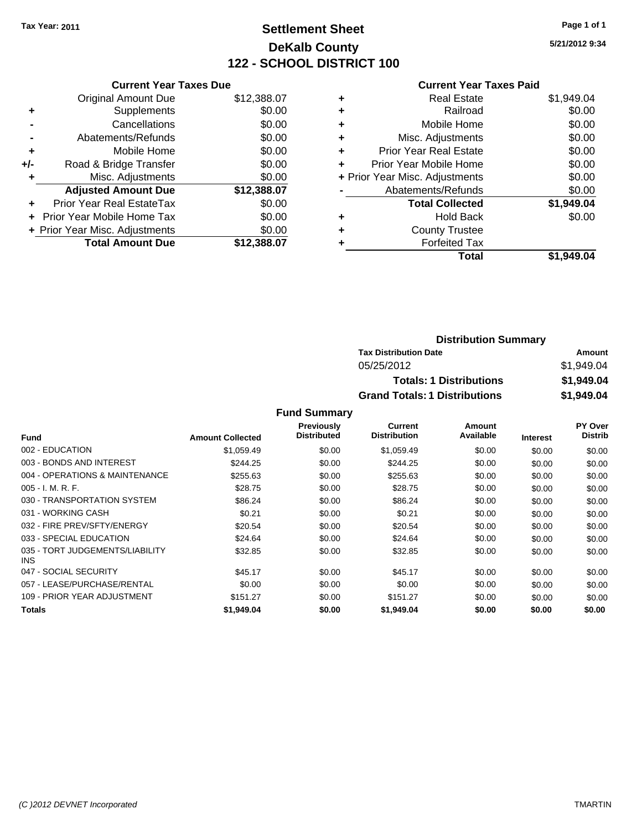### **Settlement Sheet Tax Year: 2011 Page 1 of 1 DeKalb County 122 - SCHOOL DISTRICT 100**

**5/21/2012 9:34**

#### **Current Year Taxes Paid**

|     | <b>Current Year Taxes Due</b>  |             |  |  |  |  |
|-----|--------------------------------|-------------|--|--|--|--|
|     | <b>Original Amount Due</b>     | \$12,388.07 |  |  |  |  |
| ÷   | Supplements                    | \$0.00      |  |  |  |  |
|     | Cancellations                  | \$0.00      |  |  |  |  |
|     | Abatements/Refunds             | \$0.00      |  |  |  |  |
| ٠   | Mobile Home                    | \$0.00      |  |  |  |  |
| +/- | Road & Bridge Transfer         | \$0.00      |  |  |  |  |
|     | Misc. Adjustments              | \$0.00      |  |  |  |  |
|     | <b>Adjusted Amount Due</b>     | \$12,388.07 |  |  |  |  |
| ÷   | Prior Year Real EstateTax      | \$0.00      |  |  |  |  |
|     | Prior Year Mobile Home Tax     | \$0.00      |  |  |  |  |
|     | + Prior Year Misc. Adjustments | \$0.00      |  |  |  |  |
|     | <b>Total Amount Due</b>        | \$12,388.07 |  |  |  |  |
|     |                                |             |  |  |  |  |

| <b>Real Estate</b>             | \$1,949.04 |
|--------------------------------|------------|
| Railroad                       | \$0.00     |
| Mobile Home                    | \$0.00     |
| Misc. Adjustments              | \$0.00     |
| <b>Prior Year Real Estate</b>  | \$0.00     |
| Prior Year Mobile Home         | \$0.00     |
| + Prior Year Misc. Adjustments | \$0.00     |
| Abatements/Refunds             | \$0.00     |
| <b>Total Collected</b>         | \$1,949.04 |
| <b>Hold Back</b>               | \$0.00     |
| <b>County Trustee</b>          |            |
| <b>Forfeited Tax</b>           |            |
| Total                          | \$1.949.04 |
|                                |            |

| <b>Distribution Summary</b>          |            |
|--------------------------------------|------------|
| <b>Tax Distribution Date</b>         | Amount     |
| 05/25/2012                           | \$1,949.04 |
| <b>Totals: 1 Distributions</b>       | \$1,949.04 |
| <b>Grand Totals: 1 Distributions</b> | \$1,949.04 |

|                                         |                         | <b>Previously</b>  | Current             | Amount    |                 | PY Over        |
|-----------------------------------------|-------------------------|--------------------|---------------------|-----------|-----------------|----------------|
| <b>Fund</b>                             | <b>Amount Collected</b> | <b>Distributed</b> | <b>Distribution</b> | Available | <b>Interest</b> | <b>Distrib</b> |
| 002 - EDUCATION                         | \$1,059.49              | \$0.00             | \$1,059.49          | \$0.00    | \$0.00          | \$0.00         |
| 003 - BONDS AND INTEREST                | \$244.25                | \$0.00             | \$244.25            | \$0.00    | \$0.00          | \$0.00         |
| 004 - OPERATIONS & MAINTENANCE          | \$255.63                | \$0.00             | \$255.63            | \$0.00    | \$0.00          | \$0.00         |
| $005 - I. M. R. F.$                     | \$28.75                 | \$0.00             | \$28.75             | \$0.00    | \$0.00          | \$0.00         |
| 030 - TRANSPORTATION SYSTEM             | \$86.24                 | \$0.00             | \$86.24             | \$0.00    | \$0.00          | \$0.00         |
| 031 - WORKING CASH                      | \$0.21                  | \$0.00             | \$0.21              | \$0.00    | \$0.00          | \$0.00         |
| 032 - FIRE PREV/SFTY/ENERGY             | \$20.54                 | \$0.00             | \$20.54             | \$0.00    | \$0.00          | \$0.00         |
| 033 - SPECIAL EDUCATION                 | \$24.64                 | \$0.00             | \$24.64             | \$0.00    | \$0.00          | \$0.00         |
| 035 - TORT JUDGEMENTS/LIABILITY<br>INS. | \$32.85                 | \$0.00             | \$32.85             | \$0.00    | \$0.00          | \$0.00         |
| 047 - SOCIAL SECURITY                   | \$45.17                 | \$0.00             | \$45.17             | \$0.00    | \$0.00          | \$0.00         |
| 057 - LEASE/PURCHASE/RENTAL             | \$0.00                  | \$0.00             | \$0.00              | \$0.00    | \$0.00          | \$0.00         |
| 109 - PRIOR YEAR ADJUSTMENT             | \$151.27                | \$0.00             | \$151.27            | \$0.00    | \$0.00          | \$0.00         |
| Totals                                  | \$1,949.04              | \$0.00             | \$1,949.04          | \$0.00    | \$0.00          | \$0.00         |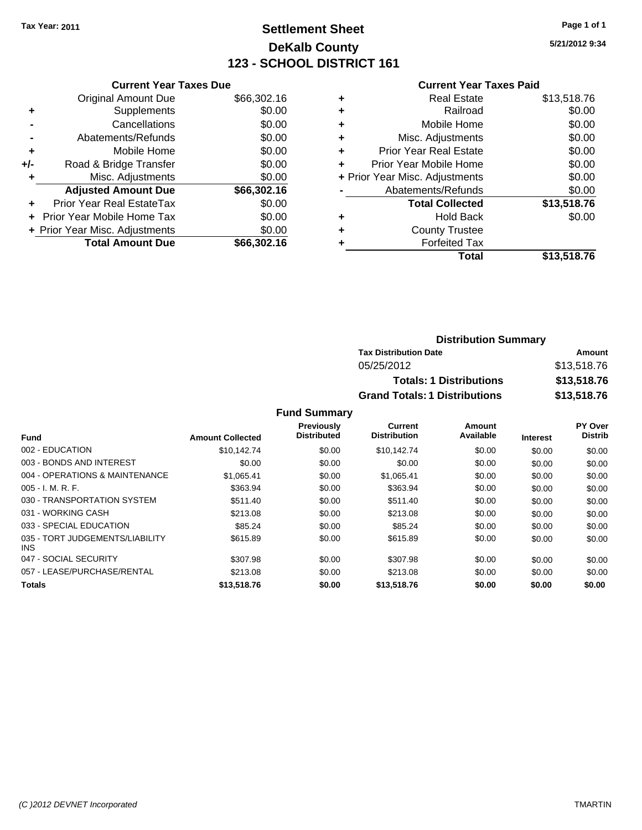# **Settlement Sheet Tax Year: 2011 Page 1 of 1 DeKalb County 123 - SCHOOL DISTRICT 161**

**5/21/2012 9:34**

#### **Current Year Taxes Paid**

|     | <b>Current Year Taxes Due</b>     |             |  |  |  |  |  |
|-----|-----------------------------------|-------------|--|--|--|--|--|
|     | <b>Original Amount Due</b>        | \$66,302.16 |  |  |  |  |  |
| ٠   | Supplements                       | \$0.00      |  |  |  |  |  |
|     | Cancellations                     | \$0.00      |  |  |  |  |  |
|     | Abatements/Refunds                | \$0.00      |  |  |  |  |  |
| ٠   | Mobile Home                       | \$0.00      |  |  |  |  |  |
| +/- | Road & Bridge Transfer            | \$0.00      |  |  |  |  |  |
| ٠   | Misc. Adjustments                 | \$0.00      |  |  |  |  |  |
|     | <b>Adjusted Amount Due</b>        | \$66,302.16 |  |  |  |  |  |
| ÷   | Prior Year Real EstateTax         | \$0.00      |  |  |  |  |  |
|     | <b>Prior Year Mobile Home Tax</b> | \$0.00      |  |  |  |  |  |
|     | + Prior Year Misc. Adjustments    | \$0.00      |  |  |  |  |  |
|     | <b>Total Amount Due</b>           | \$66,302.16 |  |  |  |  |  |
|     |                                   |             |  |  |  |  |  |

|   | Total                          | \$13,518.76 |
|---|--------------------------------|-------------|
| ٠ | <b>Forfeited Tax</b>           |             |
| ٠ | <b>County Trustee</b>          |             |
| ٠ | <b>Hold Back</b>               | \$0.00      |
|   | <b>Total Collected</b>         | \$13,518.76 |
|   | Abatements/Refunds             | \$0.00      |
|   | + Prior Year Misc. Adjustments | \$0.00      |
| ٠ | Prior Year Mobile Home         | \$0.00      |
| ÷ | Prior Year Real Estate         | \$0.00      |
| ٠ | Misc. Adjustments              | \$0.00      |
| ٠ | Mobile Home                    | \$0.00      |
| ٠ | Railroad                       | \$0.00      |
| ٠ | <b>Real Estate</b>             | \$13,518.76 |
|   |                                |             |

### **Distribution Summary Tax Distribution Date Amount** 05/25/2012 \$13,518.76 **Totals: 1 Distributions \$13,518.76 Grand Totals: 1 Distributions \$13,518.76**

|                                         |                         | <b>Previously</b>  | Current             | Amount    |                 | PY Over        |
|-----------------------------------------|-------------------------|--------------------|---------------------|-----------|-----------------|----------------|
| <b>Fund</b>                             | <b>Amount Collected</b> | <b>Distributed</b> | <b>Distribution</b> | Available | <b>Interest</b> | <b>Distrib</b> |
| 002 - EDUCATION                         | \$10.142.74             | \$0.00             | \$10.142.74         | \$0.00    | \$0.00          | \$0.00         |
| 003 - BONDS AND INTEREST                | \$0.00                  | \$0.00             | \$0.00              | \$0.00    | \$0.00          | \$0.00         |
| 004 - OPERATIONS & MAINTENANCE          | \$1.065.41              | \$0.00             | \$1,065.41          | \$0.00    | \$0.00          | \$0.00         |
| $005 - I. M. R. F.$                     | \$363.94                | \$0.00             | \$363.94            | \$0.00    | \$0.00          | \$0.00         |
| 030 - TRANSPORTATION SYSTEM             | \$511.40                | \$0.00             | \$511.40            | \$0.00    | \$0.00          | \$0.00         |
| 031 - WORKING CASH                      | \$213.08                | \$0.00             | \$213.08            | \$0.00    | \$0.00          | \$0.00         |
| 033 - SPECIAL EDUCATION                 | \$85.24                 | \$0.00             | \$85.24             | \$0.00    | \$0.00          | \$0.00         |
| 035 - TORT JUDGEMENTS/LIABILITY<br>INS. | \$615.89                | \$0.00             | \$615.89            | \$0.00    | \$0.00          | \$0.00         |
| 047 - SOCIAL SECURITY                   | \$307.98                | \$0.00             | \$307.98            | \$0.00    | \$0.00          | \$0.00         |
| 057 - LEASE/PURCHASE/RENTAL             | \$213.08                | \$0.00             | \$213.08            | \$0.00    | \$0.00          | \$0.00         |
| <b>Totals</b>                           | \$13,518.76             | \$0.00             | \$13,518.76         | \$0.00    | \$0.00          | \$0.00         |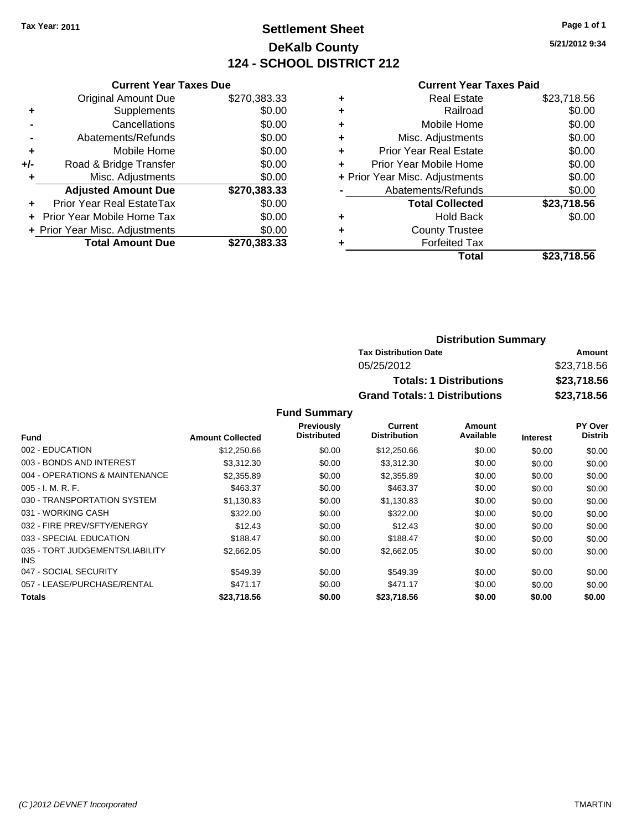# **Settlement Sheet Tax Year: 2011 Page 1 of 1 DeKalb County 124 - SCHOOL DISTRICT 212**

**5/21/2012 9:34**

| <b>Current Year Taxes Paid</b> |  |  |  |  |
|--------------------------------|--|--|--|--|
|--------------------------------|--|--|--|--|

|     | <b>Current Year Taxes Due</b>  |              |  |  |  |  |
|-----|--------------------------------|--------------|--|--|--|--|
|     | <b>Original Amount Due</b>     | \$270,383.33 |  |  |  |  |
| ٠   | Supplements                    | \$0.00       |  |  |  |  |
|     | Cancellations                  | \$0.00       |  |  |  |  |
|     | Abatements/Refunds             | \$0.00       |  |  |  |  |
| ٠   | Mobile Home                    | \$0.00       |  |  |  |  |
| +/- | Road & Bridge Transfer         | \$0.00       |  |  |  |  |
| ٠   | Misc. Adjustments              | \$0.00       |  |  |  |  |
|     | <b>Adjusted Amount Due</b>     | \$270,383.33 |  |  |  |  |
|     | Prior Year Real EstateTax      | \$0.00       |  |  |  |  |
|     | Prior Year Mobile Home Tax     | \$0.00       |  |  |  |  |
|     | + Prior Year Misc. Adjustments | \$0.00       |  |  |  |  |
|     | <b>Total Amount Due</b>        | \$270.383.33 |  |  |  |  |
|     |                                |              |  |  |  |  |

| ٠ | Real Estate                    | \$23,718.56 |
|---|--------------------------------|-------------|
| ٠ | Railroad                       | \$0.00      |
| ٠ | Mobile Home                    | \$0.00      |
| ٠ | Misc. Adjustments              | \$0.00      |
| ٠ | <b>Prior Year Real Estate</b>  | \$0.00      |
| ٠ | Prior Year Mobile Home         | \$0.00      |
|   | + Prior Year Misc. Adjustments | \$0.00      |
|   | Abatements/Refunds             | \$0.00      |
|   | <b>Total Collected</b>         | \$23,718.56 |
| ٠ | <b>Hold Back</b>               | \$0.00      |
| ٠ | <b>County Trustee</b>          |             |
| ٠ | <b>Forfeited Tax</b>           |             |
|   | Total                          | \$23,718.56 |
|   |                                |             |

| <b>Distribution Summary</b>          |             |
|--------------------------------------|-------------|
| <b>Tax Distribution Date</b>         | Amount      |
| 05/25/2012                           | \$23,718.56 |
| <b>Totals: 1 Distributions</b>       | \$23,718.56 |
| <b>Grand Totals: 1 Distributions</b> | \$23,718.56 |

|                                         |                         | Previously         | Current             | Amount    |                 | PY Over        |
|-----------------------------------------|-------------------------|--------------------|---------------------|-----------|-----------------|----------------|
| <b>Fund</b>                             | <b>Amount Collected</b> | <b>Distributed</b> | <b>Distribution</b> | Available | <b>Interest</b> | <b>Distrib</b> |
| 002 - EDUCATION                         | \$12,250.66             | \$0.00             | \$12,250.66         | \$0.00    | \$0.00          | \$0.00         |
| 003 - BONDS AND INTEREST                | \$3,312,30              | \$0.00             | \$3,312.30          | \$0.00    | \$0.00          | \$0.00         |
| 004 - OPERATIONS & MAINTENANCE          | \$2,355.89              | \$0.00             | \$2,355.89          | \$0.00    | \$0.00          | \$0.00         |
| $005 - I. M. R. F.$                     | \$463.37                | \$0.00             | \$463.37            | \$0.00    | \$0.00          | \$0.00         |
| 030 - TRANSPORTATION SYSTEM             | \$1,130.83              | \$0.00             | \$1,130.83          | \$0.00    | \$0.00          | \$0.00         |
| 031 - WORKING CASH                      | \$322.00                | \$0.00             | \$322.00            | \$0.00    | \$0.00          | \$0.00         |
| 032 - FIRE PREV/SFTY/ENERGY             | \$12.43                 | \$0.00             | \$12.43             | \$0.00    | \$0.00          | \$0.00         |
| 033 - SPECIAL EDUCATION                 | \$188.47                | \$0.00             | \$188.47            | \$0.00    | \$0.00          | \$0.00         |
| 035 - TORT JUDGEMENTS/LIABILITY<br>INS. | \$2,662.05              | \$0.00             | \$2,662.05          | \$0.00    | \$0.00          | \$0.00         |
| 047 - SOCIAL SECURITY                   | \$549.39                | \$0.00             | \$549.39            | \$0.00    | \$0.00          | \$0.00         |
| 057 - LEASE/PURCHASE/RENTAL             | \$471.17                | \$0.00             | \$471.17            | \$0.00    | \$0.00          | \$0.00         |
| <b>Totals</b>                           | \$23,718.56             | \$0.00             | \$23,718.56         | \$0.00    | \$0.00          | \$0.00         |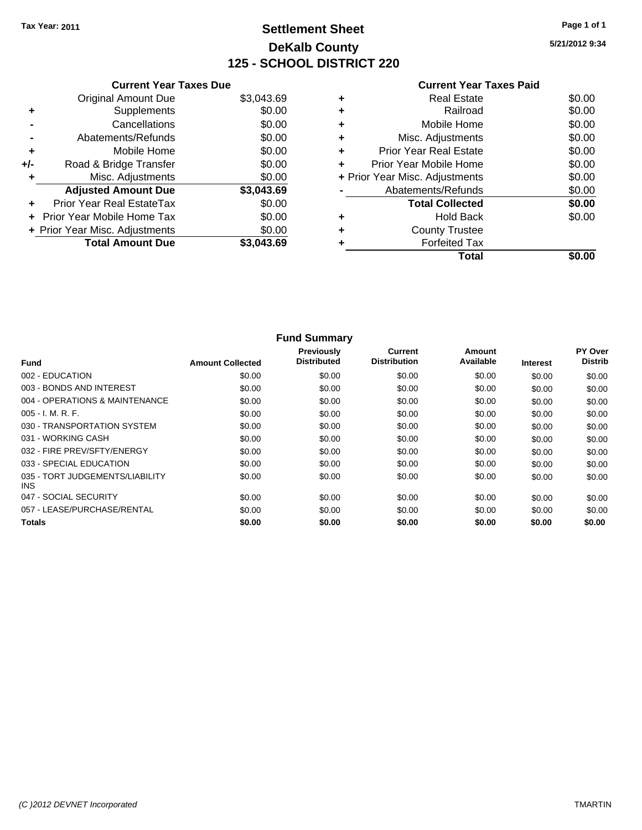# **Settlement Sheet Tax Year: 2011 Page 1 of 1 DeKalb County 125 - SCHOOL DISTRICT 220**

**5/21/2012 9:34**

| <b>Current Year Taxes Paid</b> |  |
|--------------------------------|--|
| <b>Real Estate</b>             |  |

|       | <b>Current Year Taxes Due</b>  |            |
|-------|--------------------------------|------------|
|       | Original Amount Due            | \$3,043.69 |
| ٠     | Supplements                    | \$0.00     |
|       | Cancellations                  | \$0.00     |
|       | Abatements/Refunds             | \$0.00     |
| ٠     | Mobile Home                    | \$0.00     |
| $+/-$ | Road & Bridge Transfer         | \$0.00     |
| ÷     | Misc. Adjustments              | \$0.00     |
|       | <b>Adjusted Amount Due</b>     | \$3,043.69 |
|       | Prior Year Real EstateTax      | \$0.00     |
|       | Prior Year Mobile Home Tax     | \$0.00     |
|       | + Prior Year Misc. Adjustments | \$0.00     |
|       | <b>Total Amount Due</b>        | \$3.043.69 |
|       |                                |            |

| <b>Real Estate</b>             | \$0.00 |
|--------------------------------|--------|
| Railroad                       | \$0.00 |
| Mobile Home                    | \$0.00 |
| Misc. Adjustments              | \$0.00 |
| <b>Prior Year Real Estate</b>  | \$0.00 |
| Prior Year Mobile Home         | \$0.00 |
| + Prior Year Misc. Adjustments | \$0.00 |
| Abatements/Refunds             | \$0.00 |
| <b>Total Collected</b>         | \$0.00 |
| Hold Back                      | \$0.00 |
| <b>County Trustee</b>          |        |
| <b>Forfeited Tax</b>           |        |
|                                |        |
|                                | Total  |

|                                         |                         | <b>Fund Summary</b>              |                                |                     |                 |                                  |
|-----------------------------------------|-------------------------|----------------------------------|--------------------------------|---------------------|-----------------|----------------------------------|
| <b>Fund</b>                             | <b>Amount Collected</b> | Previously<br><b>Distributed</b> | Current<br><b>Distribution</b> | Amount<br>Available | <b>Interest</b> | <b>PY Over</b><br><b>Distrib</b> |
| 002 - EDUCATION                         | \$0.00                  | \$0.00                           | \$0.00                         | \$0.00              | \$0.00          | \$0.00                           |
| 003 - BONDS AND INTEREST                | \$0.00                  | \$0.00                           | \$0.00                         | \$0.00              | \$0.00          | \$0.00                           |
| 004 - OPERATIONS & MAINTENANCE          | \$0.00                  | \$0.00                           | \$0.00                         | \$0.00              | \$0.00          | \$0.00                           |
| 005 - I. M. R. F.                       | \$0.00                  | \$0.00                           | \$0.00                         | \$0.00              | \$0.00          | \$0.00                           |
| 030 - TRANSPORTATION SYSTEM             | \$0.00                  | \$0.00                           | \$0.00                         | \$0.00              | \$0.00          | \$0.00                           |
| 031 - WORKING CASH                      | \$0.00                  | \$0.00                           | \$0.00                         | \$0.00              | \$0.00          | \$0.00                           |
| 032 - FIRE PREV/SFTY/ENERGY             | \$0.00                  | \$0.00                           | \$0.00                         | \$0.00              | \$0.00          | \$0.00                           |
| 033 - SPECIAL EDUCATION                 | \$0.00                  | \$0.00                           | \$0.00                         | \$0.00              | \$0.00          | \$0.00                           |
| 035 - TORT JUDGEMENTS/LIABILITY<br>INS. | \$0.00                  | \$0.00                           | \$0.00                         | \$0.00              | \$0.00          | \$0.00                           |
| 047 - SOCIAL SECURITY                   | \$0.00                  | \$0.00                           | \$0.00                         | \$0.00              | \$0.00          | \$0.00                           |
| 057 - LEASE/PURCHASE/RENTAL             | \$0.00                  | \$0.00                           | \$0.00                         | \$0.00              | \$0.00          | \$0.00                           |
| <b>Totals</b>                           | \$0.00                  | \$0.00                           | \$0.00                         | \$0.00              | \$0.00          | \$0.00                           |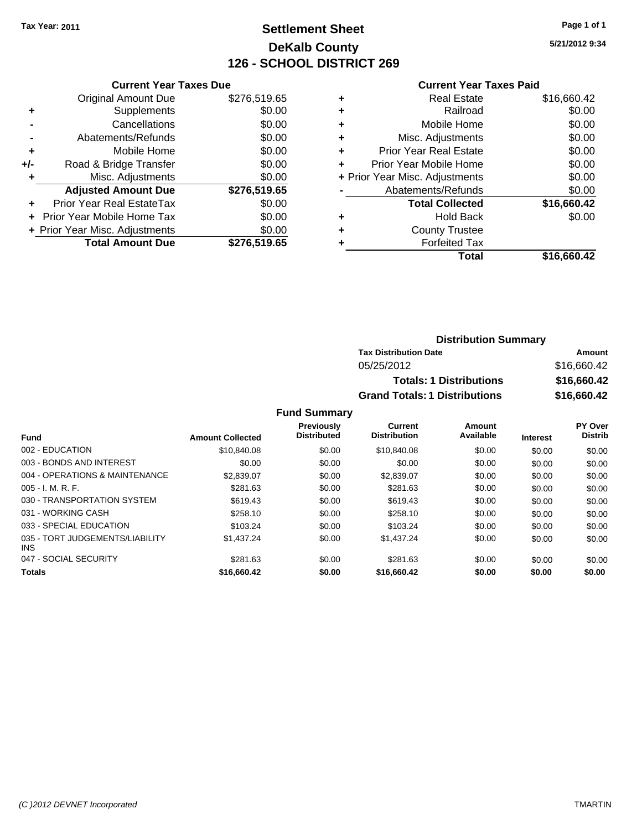# **Settlement Sheet Tax Year: 2011 Page 1 of 1 DeKalb County 126 - SCHOOL DISTRICT 269**

**5/21/2012 9:34**

#### **Current Year Taxes Paid**

|     | <b>Current Year Taxes Due</b>  |              |  |  |  |  |
|-----|--------------------------------|--------------|--|--|--|--|
|     | <b>Original Amount Due</b>     | \$276,519.65 |  |  |  |  |
| ٠   | Supplements                    | \$0.00       |  |  |  |  |
|     | Cancellations                  | \$0.00       |  |  |  |  |
|     | Abatements/Refunds             | \$0.00       |  |  |  |  |
| ٠   | Mobile Home                    | \$0.00       |  |  |  |  |
| +/- | Road & Bridge Transfer         | \$0.00       |  |  |  |  |
|     | Misc. Adjustments              | \$0.00       |  |  |  |  |
|     | <b>Adjusted Amount Due</b>     | \$276,519.65 |  |  |  |  |
| ÷   | Prior Year Real EstateTax      | \$0.00       |  |  |  |  |
|     | Prior Year Mobile Home Tax     | \$0.00       |  |  |  |  |
|     | + Prior Year Misc. Adjustments | \$0.00       |  |  |  |  |
|     | <b>Total Amount Due</b>        | \$276,519.65 |  |  |  |  |
|     |                                |              |  |  |  |  |

|   | <b>Real Estate</b>             | \$16,660.42 |
|---|--------------------------------|-------------|
| ٠ | Railroad                       | \$0.00      |
| ٠ | Mobile Home                    | \$0.00      |
| ٠ | Misc. Adjustments              | \$0.00      |
| ÷ | <b>Prior Year Real Estate</b>  | \$0.00      |
| ٠ | Prior Year Mobile Home         | \$0.00      |
|   | + Prior Year Misc. Adjustments | \$0.00      |
|   | Abatements/Refunds             | \$0.00      |
|   | <b>Total Collected</b>         | \$16,660.42 |
| ٠ | <b>Hold Back</b>               | \$0.00      |
| ٠ | <b>County Trustee</b>          |             |
|   | <b>Forfeited Tax</b>           |             |
|   | Total                          | \$16,660.42 |

| <b>Distribution Summary</b>          |             |
|--------------------------------------|-------------|
| <b>Tax Distribution Date</b>         | Amount      |
| 05/25/2012                           | \$16,660.42 |
| <b>Totals: 1 Distributions</b>       | \$16,660.42 |
| <b>Grand Totals: 1 Distributions</b> | \$16,660.42 |

|                                               |                         | <b>Previously</b><br><b>Distributed</b> | Current<br><b>Distribution</b> | <b>Amount</b><br>Available |                 | <b>PY Over</b><br><b>Distrib</b> |
|-----------------------------------------------|-------------------------|-----------------------------------------|--------------------------------|----------------------------|-----------------|----------------------------------|
| Fund                                          | <b>Amount Collected</b> |                                         |                                |                            | <b>Interest</b> |                                  |
| 002 - EDUCATION                               | \$10,840.08             | \$0.00                                  | \$10.840.08                    | \$0.00                     | \$0.00          | \$0.00                           |
| 003 - BONDS AND INTEREST                      | \$0.00                  | \$0.00                                  | \$0.00                         | \$0.00                     | \$0.00          | \$0.00                           |
| 004 - OPERATIONS & MAINTENANCE                | \$2,839.07              | \$0.00                                  | \$2,839.07                     | \$0.00                     | \$0.00          | \$0.00                           |
| $005 - I. M. R. F.$                           | \$281.63                | \$0.00                                  | \$281.63                       | \$0.00                     | \$0.00          | \$0.00                           |
| 030 - TRANSPORTATION SYSTEM                   | \$619.43                | \$0.00                                  | \$619.43                       | \$0.00                     | \$0.00          | \$0.00                           |
| 031 - WORKING CASH                            | \$258.10                | \$0.00                                  | \$258.10                       | \$0.00                     | \$0.00          | \$0.00                           |
| 033 - SPECIAL EDUCATION                       | \$103.24                | \$0.00                                  | \$103.24                       | \$0.00                     | \$0.00          | \$0.00                           |
| 035 - TORT JUDGEMENTS/LIABILITY<br><b>INS</b> | \$1,437.24              | \$0.00                                  | \$1,437.24                     | \$0.00                     | \$0.00          | \$0.00                           |
| 047 - SOCIAL SECURITY                         | \$281.63                | \$0.00                                  | \$281.63                       | \$0.00                     | \$0.00          | \$0.00                           |
| <b>Totals</b>                                 | \$16,660.42             | \$0.00                                  | \$16,660.42                    | \$0.00                     | \$0.00          | \$0.00                           |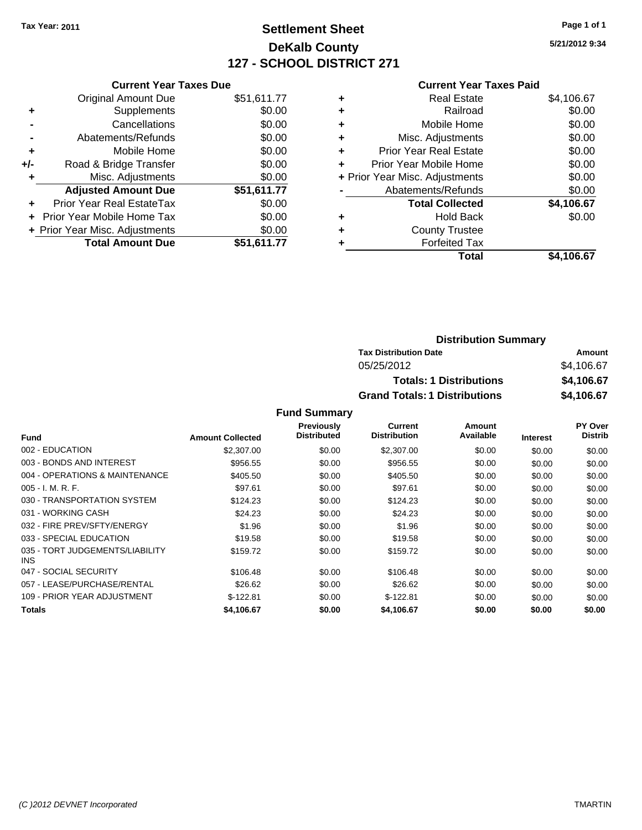# **Settlement Sheet Tax Year: 2011 Page 1 of 1 DeKalb County 127 - SCHOOL DISTRICT 271**

**5/21/2012 9:34**

#### **Current Year Taxes Paid**

|     | <b>Current Year Taxes Due</b>    |             |
|-----|----------------------------------|-------------|
|     | <b>Original Amount Due</b>       | \$51,611.77 |
| ٠   | Supplements                      | \$0.00      |
|     | Cancellations                    | \$0.00      |
|     | Abatements/Refunds               | \$0.00      |
| ٠   | Mobile Home                      | \$0.00      |
| +/- | Road & Bridge Transfer           | \$0.00      |
| ٠   | Misc. Adjustments                | \$0.00      |
|     | <b>Adjusted Amount Due</b>       | \$51,611.77 |
| ٠   | <b>Prior Year Real EstateTax</b> | \$0.00      |
|     | Prior Year Mobile Home Tax       | \$0.00      |
|     | + Prior Year Misc. Adjustments   | \$0.00      |
|     | <b>Total Amount Due</b>          | \$51.611.77 |

| ٠ | <b>Real Estate</b>             | \$4,106.67 |
|---|--------------------------------|------------|
| ٠ | Railroad                       | \$0.00     |
| ٠ | Mobile Home                    | \$0.00     |
| ٠ | Misc. Adjustments              | \$0.00     |
| ÷ | <b>Prior Year Real Estate</b>  | \$0.00     |
| ٠ | Prior Year Mobile Home         | \$0.00     |
|   | + Prior Year Misc. Adjustments | \$0.00     |
|   | Abatements/Refunds             | \$0.00     |
|   | <b>Total Collected</b>         | \$4,106.67 |
| ٠ | <b>Hold Back</b>               | \$0.00     |
| ٠ | <b>County Trustee</b>          |            |
| ٠ | <b>Forfeited Tax</b>           |            |
|   | Total                          | \$4.106.67 |

| <b>Distribution Summary</b>          |            |
|--------------------------------------|------------|
| <b>Tax Distribution Date</b>         | Amount     |
| 05/25/2012                           | \$4,106.67 |
| <b>Totals: 1 Distributions</b>       | \$4,106.67 |
| <b>Grand Totals: 1 Distributions</b> | \$4,106.67 |

|                                               |                         | <b>Previously</b>  | Current             | Amount    |                 | <b>PY Over</b> |
|-----------------------------------------------|-------------------------|--------------------|---------------------|-----------|-----------------|----------------|
| <b>Fund</b>                                   | <b>Amount Collected</b> | <b>Distributed</b> | <b>Distribution</b> | Available | <b>Interest</b> | <b>Distrib</b> |
| 002 - EDUCATION                               | \$2,307.00              | \$0.00             | \$2,307.00          | \$0.00    | \$0.00          | \$0.00         |
| 003 - BONDS AND INTEREST                      | \$956.55                | \$0.00             | \$956.55            | \$0.00    | \$0.00          | \$0.00         |
| 004 - OPERATIONS & MAINTENANCE                | \$405.50                | \$0.00             | \$405.50            | \$0.00    | \$0.00          | \$0.00         |
| $005 - I. M. R. F.$                           | \$97.61                 | \$0.00             | \$97.61             | \$0.00    | \$0.00          | \$0.00         |
| 030 - TRANSPORTATION SYSTEM                   | \$124.23                | \$0.00             | \$124.23            | \$0.00    | \$0.00          | \$0.00         |
| 031 - WORKING CASH                            | \$24.23                 | \$0.00             | \$24.23             | \$0.00    | \$0.00          | \$0.00         |
| 032 - FIRE PREV/SFTY/ENERGY                   | \$1.96                  | \$0.00             | \$1.96              | \$0.00    | \$0.00          | \$0.00         |
| 033 - SPECIAL EDUCATION                       | \$19.58                 | \$0.00             | \$19.58             | \$0.00    | \$0.00          | \$0.00         |
| 035 - TORT JUDGEMENTS/LIABILITY<br><b>INS</b> | \$159.72                | \$0.00             | \$159.72            | \$0.00    | \$0.00          | \$0.00         |
| 047 - SOCIAL SECURITY                         | \$106.48                | \$0.00             | \$106.48            | \$0.00    | \$0.00          | \$0.00         |
| 057 - LEASE/PURCHASE/RENTAL                   | \$26.62                 | \$0.00             | \$26.62             | \$0.00    | \$0.00          | \$0.00         |
| 109 - PRIOR YEAR ADJUSTMENT                   | $$-122.81$              | \$0.00             | $$-122.81$          | \$0.00    | \$0.00          | \$0.00         |
| <b>Totals</b>                                 | \$4,106.67              | \$0.00             | \$4,106.67          | \$0.00    | \$0.00          | \$0.00         |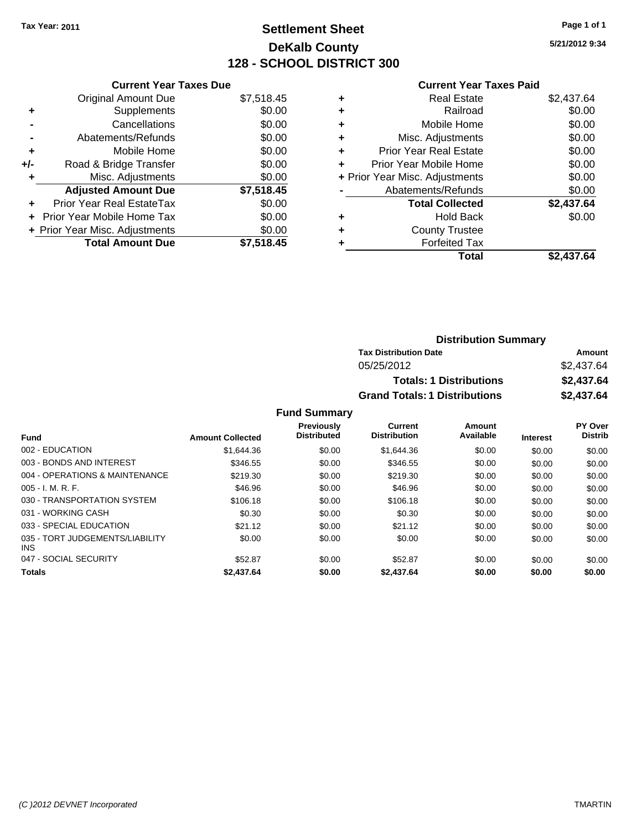# **Settlement Sheet Tax Year: 2011 Page 1 of 1 DeKalb County 128 - SCHOOL DISTRICT 300**

**5/21/2012 9:34**

### **Current Year Taxes Paid**

| <b>Current Year Taxes Due</b>     |                                |
|-----------------------------------|--------------------------------|
| <b>Original Amount Due</b>        | \$7,518.45                     |
| Supplements                       | \$0.00                         |
| Cancellations                     | \$0.00                         |
| Abatements/Refunds                | \$0.00                         |
| Mobile Home                       | \$0.00                         |
| Road & Bridge Transfer            | \$0.00                         |
| Misc. Adjustments                 | \$0.00                         |
| <b>Adjusted Amount Due</b>        | \$7,518.45                     |
| Prior Year Real EstateTax         | \$0.00                         |
| <b>Prior Year Mobile Home Tax</b> | \$0.00                         |
|                                   | \$0.00                         |
| <b>Total Amount Due</b>           | \$7.518.45                     |
|                                   | + Prior Year Misc. Adjustments |

| <b>Real Estate</b>             | \$2,437.64 |
|--------------------------------|------------|
| Railroad                       | \$0.00     |
| Mobile Home                    | \$0.00     |
| Misc. Adjustments              | \$0.00     |
| Prior Year Real Estate         | \$0.00     |
| Prior Year Mobile Home         | \$0.00     |
| + Prior Year Misc. Adjustments | \$0.00     |
| Abatements/Refunds             | \$0.00     |
| <b>Total Collected</b>         | \$2,437.64 |
| Hold Back                      | \$0.00     |
| <b>County Trustee</b>          |            |
| <b>Forfeited Tax</b>           |            |
| Total                          | \$2,437.64 |
|                                |            |

| <b>Distribution Summary</b>          |            |
|--------------------------------------|------------|
| <b>Tax Distribution Date</b>         | Amount     |
| 05/25/2012                           | \$2,437.64 |
| <b>Totals: 1 Distributions</b>       | \$2,437.64 |
| <b>Grand Totals: 1 Distributions</b> | \$2,437.64 |

|                                               |                         | <b>Previously</b>  | Current             | Amount    |                 | PY Over        |
|-----------------------------------------------|-------------------------|--------------------|---------------------|-----------|-----------------|----------------|
| <b>Fund</b>                                   | <b>Amount Collected</b> | <b>Distributed</b> | <b>Distribution</b> | Available | <b>Interest</b> | <b>Distrib</b> |
| 002 - EDUCATION                               | \$1,644,36              | \$0.00             | \$1,644,36          | \$0.00    | \$0.00          | \$0.00         |
| 003 - BONDS AND INTEREST                      | \$346.55                | \$0.00             | \$346.55            | \$0.00    | \$0.00          | \$0.00         |
| 004 - OPERATIONS & MAINTENANCE                | \$219.30                | \$0.00             | \$219.30            | \$0.00    | \$0.00          | \$0.00         |
| $005 - I. M. R. F.$                           | \$46.96                 | \$0.00             | \$46.96             | \$0.00    | \$0.00          | \$0.00         |
| 030 - TRANSPORTATION SYSTEM                   | \$106.18                | \$0.00             | \$106.18            | \$0.00    | \$0.00          | \$0.00         |
| 031 - WORKING CASH                            | \$0.30                  | \$0.00             | \$0.30              | \$0.00    | \$0.00          | \$0.00         |
| 033 - SPECIAL EDUCATION                       | \$21.12                 | \$0.00             | \$21.12             | \$0.00    | \$0.00          | \$0.00         |
| 035 - TORT JUDGEMENTS/LIABILITY<br><b>INS</b> | \$0.00                  | \$0.00             | \$0.00              | \$0.00    | \$0.00          | \$0.00         |
| 047 - SOCIAL SECURITY                         | \$52.87                 | \$0.00             | \$52.87             | \$0.00    | \$0.00          | \$0.00         |
| <b>Totals</b>                                 | \$2,437.64              | \$0.00             | \$2,437.64          | \$0.00    | \$0.00          | \$0.00         |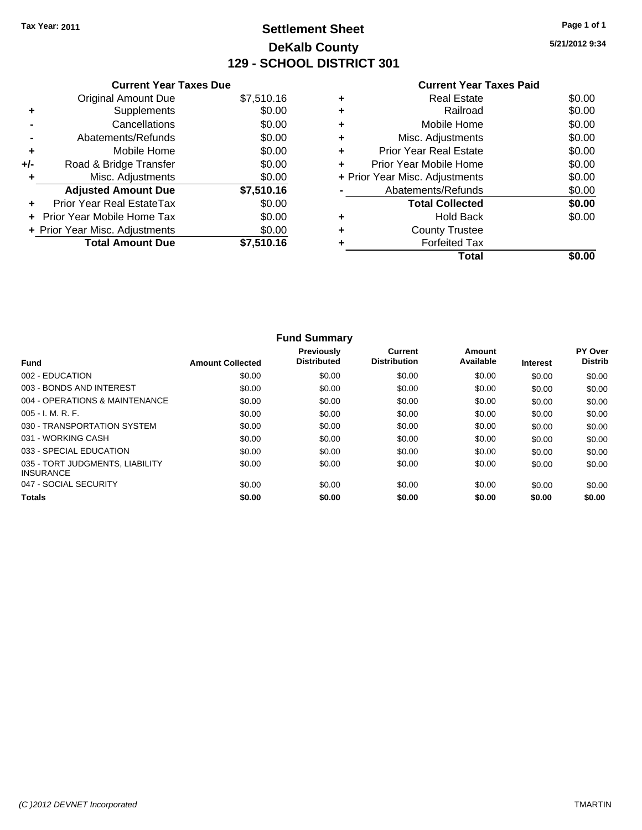# **Settlement Sheet Tax Year: 2011 Page 1 of 1 DeKalb County 129 - SCHOOL DISTRICT 301**

**5/21/2012 9:34**

|     | <b>Current Year Taxes Due</b>  |            |
|-----|--------------------------------|------------|
|     | Original Amount Due            | \$7,510.16 |
|     | Supplements                    | \$0.00     |
|     | Cancellations                  | \$0.00     |
|     | Abatements/Refunds             | \$0.00     |
| ٠   | Mobile Home                    | \$0.00     |
| +/- | Road & Bridge Transfer         | \$0.00     |
|     | Misc. Adjustments              | \$0.00     |
|     | <b>Adjusted Amount Due</b>     | \$7,510.16 |
|     | Prior Year Real EstateTax      | \$0.00     |
|     | Prior Year Mobile Home Tax     | \$0.00     |
|     | + Prior Year Misc. Adjustments | \$0.00     |
|     | <b>Total Amount Due</b>        | \$7,510.16 |
|     |                                |            |

| \$0.00<br>\$0.00<br>\$0.00<br>\$0.00 |
|--------------------------------------|
|                                      |
|                                      |
|                                      |
|                                      |
| \$0.00                               |
| \$0.00                               |
| \$0.00                               |
| \$0.00                               |
| \$0.00                               |
|                                      |
|                                      |
|                                      |
|                                      |

| <b>Fund Summary</b>                                 |                         |                                  |                                |                     |                 |                           |
|-----------------------------------------------------|-------------------------|----------------------------------|--------------------------------|---------------------|-----------------|---------------------------|
| <b>Fund</b>                                         | <b>Amount Collected</b> | Previously<br><b>Distributed</b> | Current<br><b>Distribution</b> | Amount<br>Available | <b>Interest</b> | PY Over<br><b>Distrib</b> |
| 002 - EDUCATION                                     | \$0.00                  | \$0.00                           | \$0.00                         | \$0.00              | \$0.00          | \$0.00                    |
| 003 - BONDS AND INTEREST                            | \$0.00                  | \$0.00                           | \$0.00                         | \$0.00              | \$0.00          | \$0.00                    |
| 004 - OPERATIONS & MAINTENANCE                      | \$0.00                  | \$0.00                           | \$0.00                         | \$0.00              | \$0.00          | \$0.00                    |
| $005 - I. M. R. F.$                                 | \$0.00                  | \$0.00                           | \$0.00                         | \$0.00              | \$0.00          | \$0.00                    |
| 030 - TRANSPORTATION SYSTEM                         | \$0.00                  | \$0.00                           | \$0.00                         | \$0.00              | \$0.00          | \$0.00                    |
| 031 - WORKING CASH                                  | \$0.00                  | \$0.00                           | \$0.00                         | \$0.00              | \$0.00          | \$0.00                    |
| 033 - SPECIAL EDUCATION                             | \$0.00                  | \$0.00                           | \$0.00                         | \$0.00              | \$0.00          | \$0.00                    |
| 035 - TORT JUDGMENTS, LIABILITY<br><b>INSURANCE</b> | \$0.00                  | \$0.00                           | \$0.00                         | \$0.00              | \$0.00          | \$0.00                    |
| 047 - SOCIAL SECURITY                               | \$0.00                  | \$0.00                           | \$0.00                         | \$0.00              | \$0.00          | \$0.00                    |
| <b>Totals</b>                                       | \$0.00                  | \$0.00                           | \$0.00                         | \$0.00              | \$0.00          | \$0.00                    |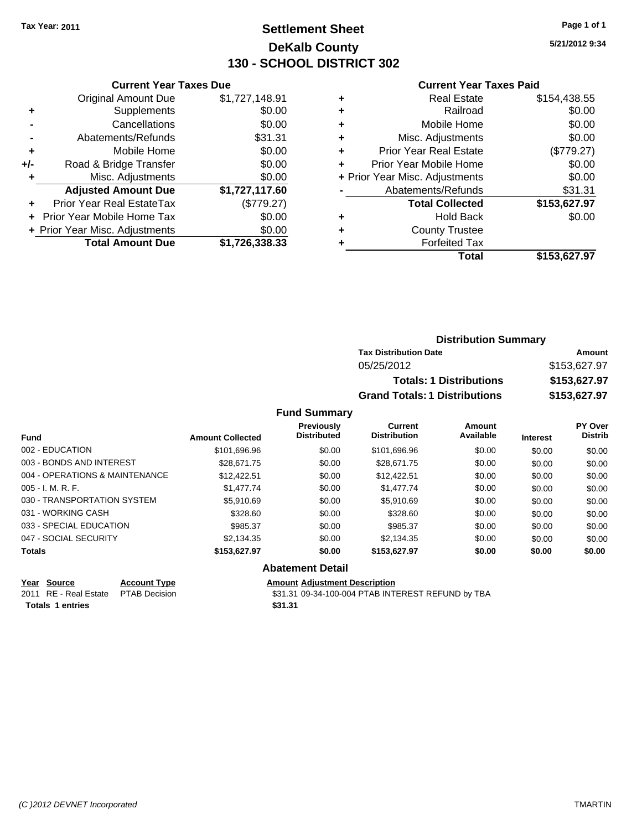# **Settlement Sheet Tax Year: 2011 Page 1 of 1 DeKalb County 130 - SCHOOL DISTRICT 302**

**5/21/2012 9:34**

#### **Current Year Taxes Paid**

|     | <b>Current Year Taxes Due</b>  |                |  |  |  |
|-----|--------------------------------|----------------|--|--|--|
|     | <b>Original Amount Due</b>     | \$1,727,148.91 |  |  |  |
| ٠   | Supplements                    | \$0.00         |  |  |  |
|     | Cancellations                  | \$0.00         |  |  |  |
|     | Abatements/Refunds             | \$31.31        |  |  |  |
| ٠   | Mobile Home                    | \$0.00         |  |  |  |
| +/- | Road & Bridge Transfer         | \$0.00         |  |  |  |
| ٠   | Misc. Adjustments              | \$0.00         |  |  |  |
|     | <b>Adjusted Amount Due</b>     | \$1,727,117.60 |  |  |  |
| ÷   | Prior Year Real EstateTax      | (\$779.27)     |  |  |  |
|     | Prior Year Mobile Home Tax     | \$0.00         |  |  |  |
|     | + Prior Year Misc. Adjustments | \$0.00         |  |  |  |
|     | <b>Total Amount Due</b>        | \$1,726,338.33 |  |  |  |
|     |                                |                |  |  |  |

| Real Estate                    | \$154,438.55 |
|--------------------------------|--------------|
| Railroad                       | \$0.00       |
| Mobile Home                    | \$0.00       |
| Misc. Adjustments              | \$0.00       |
| <b>Prior Year Real Estate</b>  | (\$779.27)   |
| Prior Year Mobile Home         | \$0.00       |
| + Prior Year Misc. Adjustments | \$0.00       |
| Abatements/Refunds             | \$31.31      |
| <b>Total Collected</b>         | \$153,627.97 |
| Hold Back                      | \$0.00       |
| <b>County Trustee</b>          |              |
| <b>Forfeited Tax</b>           |              |
| Total                          | \$153,627.97 |
|                                |              |

| <b>Distribution Summary</b>          |              |
|--------------------------------------|--------------|
| <b>Tax Distribution Date</b>         | Amount       |
| 05/25/2012                           | \$153,627.97 |
| <b>Totals: 1 Distributions</b>       | \$153,627.97 |
| <b>Grand Totals: 1 Distributions</b> | \$153,627.97 |

### **Fund Summary**

|                                |                         | <b>Previously</b><br><b>Distributed</b> | <b>Current</b><br><b>Distribution</b> | Amount<br>Available |                 | PY Over<br><b>Distrib</b> |
|--------------------------------|-------------------------|-----------------------------------------|---------------------------------------|---------------------|-----------------|---------------------------|
| <b>Fund</b>                    | <b>Amount Collected</b> |                                         |                                       |                     | <b>Interest</b> |                           |
| 002 - EDUCATION                | \$101,696.96            | \$0.00                                  | \$101,696.96                          | \$0.00              | \$0.00          | \$0.00                    |
| 003 - BONDS AND INTEREST       | \$28.671.75             | \$0.00                                  | \$28,671.75                           | \$0.00              | \$0.00          | \$0.00                    |
| 004 - OPERATIONS & MAINTENANCE | \$12,422.51             | \$0.00                                  | \$12,422.51                           | \$0.00              | \$0.00          | \$0.00                    |
| $005 - I. M. R. F.$            | \$1,477.74              | \$0.00                                  | \$1,477.74                            | \$0.00              | \$0.00          | \$0.00                    |
| 030 - TRANSPORTATION SYSTEM    | \$5.910.69              | \$0.00                                  | \$5.910.69                            | \$0.00              | \$0.00          | \$0.00                    |
| 031 - WORKING CASH             | \$328.60                | \$0.00                                  | \$328.60                              | \$0.00              | \$0.00          | \$0.00                    |
| 033 - SPECIAL EDUCATION        | \$985.37                | \$0.00                                  | \$985.37                              | \$0.00              | \$0.00          | \$0.00                    |
| 047 - SOCIAL SECURITY          | \$2,134.35              | \$0.00                                  | \$2,134.35                            | \$0.00              | \$0.00          | \$0.00                    |
| <b>Totals</b>                  | \$153,627.97            | \$0.00                                  | \$153.627.97                          | \$0.00              | \$0.00          | \$0.00                    |

### **Abatement Detail**

**Totals 1 entries** \$31.31

**Year Source Account Type Amount Adjustment Description**<br>
2011 RE - Real Estate PTAB Decision **Amount** \$31.31 09-34-100-004 PTAB INTI \$31.31 09-34-100-004 PTAB INTEREST REFUND by TBA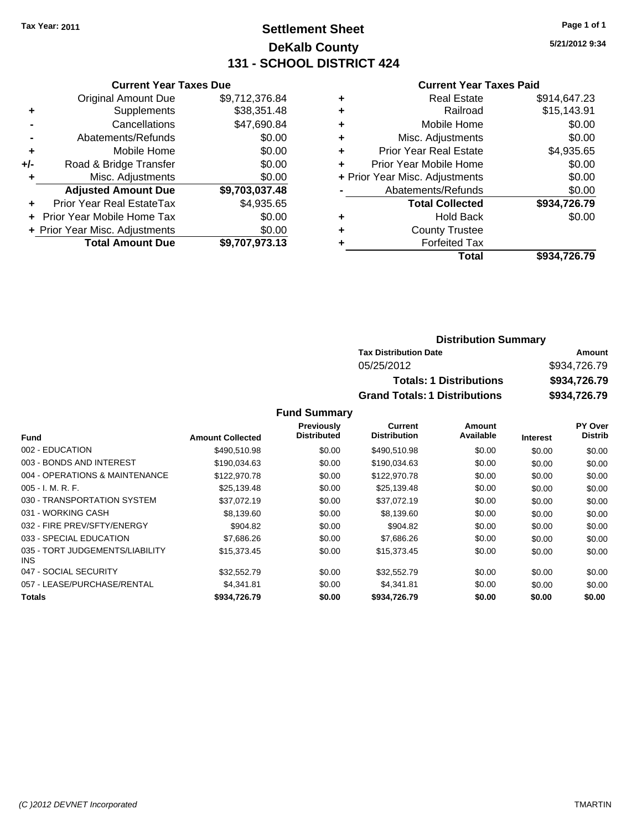# **Settlement Sheet Tax Year: 2011 Page 1 of 1 DeKalb County 131 - SCHOOL DISTRICT 424**

**5/21/2012 9:34**

| <b>Current Year Taxes Paid</b> |  |
|--------------------------------|--|
|--------------------------------|--|

|     | <b>Current Year Taxes Due</b>  |                |  |  |  |
|-----|--------------------------------|----------------|--|--|--|
|     | <b>Original Amount Due</b>     | \$9,712,376.84 |  |  |  |
| ٠   | Supplements                    | \$38,351.48    |  |  |  |
|     | Cancellations                  | \$47,690.84    |  |  |  |
|     | Abatements/Refunds             | \$0.00         |  |  |  |
| ٠   | Mobile Home                    | \$0.00         |  |  |  |
| +/- | Road & Bridge Transfer         | \$0.00         |  |  |  |
| ٠   | Misc. Adjustments              | \$0.00         |  |  |  |
|     | <b>Adjusted Amount Due</b>     | \$9,703,037.48 |  |  |  |
|     | Prior Year Real EstateTax      | \$4,935.65     |  |  |  |
|     | Prior Year Mobile Home Tax     | \$0.00         |  |  |  |
|     | + Prior Year Misc. Adjustments | \$0.00         |  |  |  |
|     | <b>Total Amount Due</b>        | \$9,707,973.13 |  |  |  |

|   | <b>Real Estate</b>             | \$914,647.23 |
|---|--------------------------------|--------------|
| ٠ | Railroad                       | \$15,143.91  |
| ٠ | Mobile Home                    | \$0.00       |
| ÷ | Misc. Adjustments              | \$0.00       |
| ٠ | <b>Prior Year Real Estate</b>  | \$4,935.65   |
|   | Prior Year Mobile Home         | \$0.00       |
|   | + Prior Year Misc. Adjustments | \$0.00       |
|   | Abatements/Refunds             | \$0.00       |
|   | <b>Total Collected</b>         | \$934,726.79 |
| ٠ | <b>Hold Back</b>               | \$0.00       |
| ٠ | <b>County Trustee</b>          |              |
| ٠ | <b>Forfeited Tax</b>           |              |
|   | Total                          | \$934,726.79 |
|   |                                |              |

| <b>Distribution Summary</b>          |              |  |  |  |
|--------------------------------------|--------------|--|--|--|
| <b>Tax Distribution Date</b>         | Amount       |  |  |  |
| 05/25/2012                           | \$934,726.79 |  |  |  |
| <b>Totals: 1 Distributions</b>       | \$934,726.79 |  |  |  |
| <b>Grand Totals: 1 Distributions</b> | \$934,726.79 |  |  |  |

|                                               |                         | <b>Previously</b>  | Current             | Amount    |                 | PY Over        |
|-----------------------------------------------|-------------------------|--------------------|---------------------|-----------|-----------------|----------------|
| <b>Fund</b>                                   | <b>Amount Collected</b> | <b>Distributed</b> | <b>Distribution</b> | Available | <b>Interest</b> | <b>Distrib</b> |
| 002 - EDUCATION                               | \$490.510.98            | \$0.00             | \$490,510.98        | \$0.00    | \$0.00          | \$0.00         |
| 003 - BONDS AND INTEREST                      | \$190.034.63            | \$0.00             | \$190,034.63        | \$0.00    | \$0.00          | \$0.00         |
| 004 - OPERATIONS & MAINTENANCE                | \$122,970.78            | \$0.00             | \$122,970.78        | \$0.00    | \$0.00          | \$0.00         |
| $005 - I. M. R. F.$                           | \$25,139.48             | \$0.00             | \$25,139.48         | \$0.00    | \$0.00          | \$0.00         |
| 030 - TRANSPORTATION SYSTEM                   | \$37.072.19             | \$0.00             | \$37,072.19         | \$0.00    | \$0.00          | \$0.00         |
| 031 - WORKING CASH                            | \$8,139.60              | \$0.00             | \$8.139.60          | \$0.00    | \$0.00          | \$0.00         |
| 032 - FIRE PREV/SFTY/ENERGY                   | \$904.82                | \$0.00             | \$904.82            | \$0.00    | \$0.00          | \$0.00         |
| 033 - SPECIAL EDUCATION                       | \$7,686.26              | \$0.00             | \$7,686.26          | \$0.00    | \$0.00          | \$0.00         |
| 035 - TORT JUDGEMENTS/LIABILITY<br><b>INS</b> | \$15,373.45             | \$0.00             | \$15,373.45         | \$0.00    | \$0.00          | \$0.00         |
| 047 - SOCIAL SECURITY                         | \$32,552.79             | \$0.00             | \$32,552.79         | \$0.00    | \$0.00          | \$0.00         |
| 057 - LEASE/PURCHASE/RENTAL                   | \$4.341.81              | \$0.00             | \$4.341.81          | \$0.00    | \$0.00          | \$0.00         |
| <b>Totals</b>                                 | \$934,726.79            | \$0.00             | \$934,726.79        | \$0.00    | \$0.00          | \$0.00         |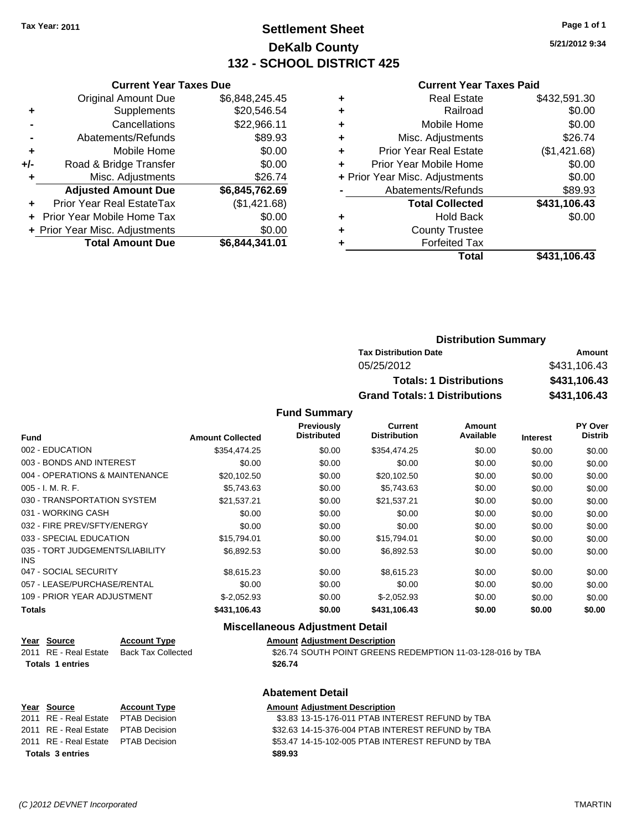# **Settlement Sheet Tax Year: 2011 Page 1 of 1 DeKalb County 132 - SCHOOL DISTRICT 425**

**5/21/2012 9:34**

**Total \$431,106.43**

#### **Current Year Taxes Paid**

|                      | <b>Current Year Taxes Due</b>  |                |   |                                | <b>Current Year Taxes Paid</b> |  |
|----------------------|--------------------------------|----------------|---|--------------------------------|--------------------------------|--|
|                      | Original Amount Due            | \$6,848,245.45 | ٠ | <b>Real Estate</b>             | \$432,591.30                   |  |
| ÷                    | Supplements                    | \$20,546.54    | ٠ | Railroad                       | \$0.00                         |  |
| $\blacksquare$       | Cancellations                  | \$22,966.11    | ٠ | Mobile Home                    | \$0.00                         |  |
| $\blacksquare$       | Abatements/Refunds             | \$89.93        | ٠ | Misc. Adjustments              | \$26.74                        |  |
| $\ddot{}$            | Mobile Home                    | \$0.00         | ٠ | <b>Prior Year Real Estate</b>  | (\$1,421.68)                   |  |
| I-                   | Road & Bridge Transfer         | \$0.00         | ٠ | Prior Year Mobile Home         | \$0.00                         |  |
| ٠                    | Misc. Adjustments              | \$26.74        |   | + Prior Year Misc. Adjustments | \$0.00                         |  |
|                      | <b>Adjusted Amount Due</b>     | \$6,845,762.69 |   | Abatements/Refunds             | \$89.93                        |  |
| $\ddot{\phantom{1}}$ | Prior Year Real EstateTax      | (\$1,421.68)   |   | <b>Total Collected</b>         | \$431,106.43                   |  |
|                      | + Prior Year Mobile Home Tax   | \$0.00         | ٠ | <b>Hold Back</b>               | \$0.00                         |  |
|                      | + Prior Year Misc. Adjustments | \$0.00         | ٠ | <b>County Trustee</b>          |                                |  |
|                      | <b>Total Amount Due</b>        | \$6,844,341.01 |   | <b>Forfeited Tax</b>           |                                |  |
|                      |                                |                |   | Total                          | \$431,106.43                   |  |

| <b>Distribution Summary</b>          |              |
|--------------------------------------|--------------|
| <b>Tax Distribution Date</b>         | Amount       |
| 05/25/2012                           | \$431,106.43 |
| <b>Totals: 1 Distributions</b>       | \$431,106.43 |
| <b>Grand Totals: 1 Distributions</b> | \$431,106.43 |

#### **Fund Summary**

| <b>Fund</b>                             | <b>Amount Collected</b> | <b>Previously</b><br><b>Distributed</b> | Current<br><b>Distribution</b> | Amount<br>Available | <b>Interest</b> | <b>PY Over</b><br><b>Distrib</b> |
|-----------------------------------------|-------------------------|-----------------------------------------|--------------------------------|---------------------|-----------------|----------------------------------|
| 002 - EDUCATION                         | \$354,474.25            | \$0.00                                  | \$354.474.25                   | \$0.00              | \$0.00          | \$0.00                           |
| 003 - BONDS AND INTEREST                | \$0.00                  | \$0.00                                  | \$0.00                         | \$0.00              | \$0.00          |                                  |
|                                         |                         |                                         |                                |                     |                 | \$0.00                           |
| 004 - OPERATIONS & MAINTENANCE          | \$20,102.50             | \$0.00                                  | \$20,102.50                    | \$0.00              | \$0.00          | \$0.00                           |
| $005 - I. M. R. F.$                     | \$5.743.63              | \$0.00                                  | \$5,743.63                     | \$0.00              | \$0.00          | \$0.00                           |
| 030 - TRANSPORTATION SYSTEM             | \$21.537.21             | \$0.00                                  | \$21,537.21                    | \$0.00              | \$0.00          | \$0.00                           |
| 031 - WORKING CASH                      | \$0.00                  | \$0.00                                  | \$0.00                         | \$0.00              | \$0.00          | \$0.00                           |
| 032 - FIRE PREV/SFTY/ENERGY             | \$0.00                  | \$0.00                                  | \$0.00                         | \$0.00              | \$0.00          | \$0.00                           |
| 033 - SPECIAL EDUCATION                 | \$15.794.01             | \$0.00                                  | \$15,794.01                    | \$0.00              | \$0.00          | \$0.00                           |
| 035 - TORT JUDGEMENTS/LIABILITY<br>INS. | \$6,892.53              | \$0.00                                  | \$6,892.53                     | \$0.00              | \$0.00          | \$0.00                           |
| 047 - SOCIAL SECURITY                   | \$8,615.23              | \$0.00                                  | \$8,615.23                     | \$0.00              | \$0.00          | \$0.00                           |
| 057 - LEASE/PURCHASE/RENTAL             | \$0.00                  | \$0.00                                  | \$0.00                         | \$0.00              | \$0.00          | \$0.00                           |
| 109 - PRIOR YEAR ADJUSTMENT             | $$-2,052.93$            | \$0.00                                  | $$-2,052.93$                   | \$0.00              | \$0.00          | \$0.00                           |
| <b>Totals</b>                           | \$431,106.43            | \$0.00                                  | \$431,106.43                   | \$0.00              | \$0.00          | \$0.00                           |

### **Miscellaneous Adjustment Detail**

**Abatement Detail**

| Year Source           | <b>Account Type</b> | <b>Amount Adiustment Description</b> |
|-----------------------|---------------------|--------------------------------------|
| 2011 RE - Real Estate | Back Tax Collected  | \$26.74 SOUTH POINT GREENS           |

| 2011 RE - Real Estate Back Tax Collected | \$26.74 SOUTH POINT GREENS REDEMPTION 11-03-128-016 by TBA |
|------------------------------------------|------------------------------------------------------------|
| <b>Totals 1 entries</b>                  | \$26.74                                                    |

|                         | Year Source                         | <b>Account Type</b> | <b>Amount Adjustment Description</b>              |
|-------------------------|-------------------------------------|---------------------|---------------------------------------------------|
|                         | 2011 RE - Real Estate PTAB Decision |                     | \$3.83 13-15-176-011 PTAB INTEREST REFUND by TBA  |
|                         | 2011 RE - Real Estate PTAB Decision |                     | \$32.63 14-15-376-004 PTAB INTEREST REFUND by TBA |
|                         | 2011 RE - Real Estate PTAB Decision |                     | \$53.47 14-15-102-005 PTAB INTEREST REFUND by TBA |
| <b>Totals 3 entries</b> |                                     |                     | \$89.93                                           |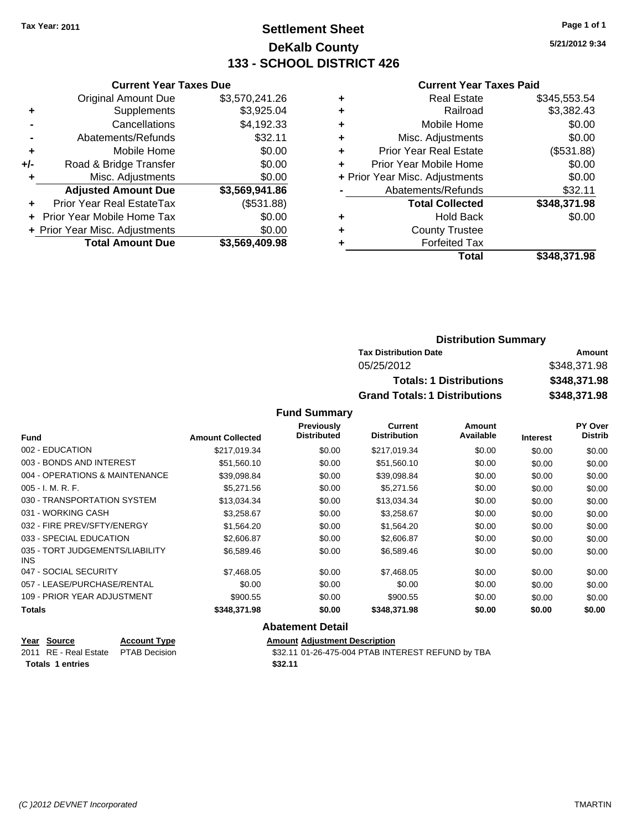# **Settlement Sheet Tax Year: 2011 Page 1 of 1 DeKalb County 133 - SCHOOL DISTRICT 426**

**5/21/2012 9:34**

#### **Current Year Taxes Paid**

|     | <b>Current Year Taxes Due</b>  |                |
|-----|--------------------------------|----------------|
|     | <b>Original Amount Due</b>     | \$3,570,241.26 |
| ٠   | Supplements                    | \$3,925.04     |
|     | Cancellations                  | \$4,192.33     |
|     | Abatements/Refunds             | \$32.11        |
| ٠   | Mobile Home                    | \$0.00         |
| +/- | Road & Bridge Transfer         | \$0.00         |
| ٠   | Misc. Adjustments              | \$0.00         |
|     | <b>Adjusted Amount Due</b>     | \$3,569,941.86 |
| ٠   | Prior Year Real EstateTax      | (\$531.88)     |
|     | Prior Year Mobile Home Tax     | \$0.00         |
|     | + Prior Year Misc. Adjustments | \$0.00         |
|     | <b>Total Amount Due</b>        | \$3,569,409.98 |
|     |                                |                |

| ٠ | <b>Real Estate</b>             | \$345,553.54 |
|---|--------------------------------|--------------|
| ٠ | Railroad                       | \$3,382.43   |
| ٠ | Mobile Home                    | \$0.00       |
| ٠ | Misc. Adjustments              | \$0.00       |
| ٠ | <b>Prior Year Real Estate</b>  | (\$531.88)   |
|   | Prior Year Mobile Home         | \$0.00       |
|   | + Prior Year Misc. Adjustments | \$0.00       |
|   | Abatements/Refunds             | \$32.11      |
|   | <b>Total Collected</b>         | \$348,371.98 |
| ٠ | <b>Hold Back</b>               | \$0.00       |
|   | <b>County Trustee</b>          |              |
|   | <b>Forfeited Tax</b>           |              |
|   | Total                          | \$348,371.98 |
|   |                                |              |

| <b>Distribution Summary</b>          |              |
|--------------------------------------|--------------|
| <b>Tax Distribution Date</b>         | Amount       |
| 05/25/2012                           | \$348,371.98 |
| <b>Totals: 1 Distributions</b>       | \$348,371.98 |
| <b>Grand Totals: 1 Distributions</b> | \$348,371.98 |

### **Fund Summary**

| <b>Fund</b>                             | <b>Amount Collected</b> | Previously<br><b>Distributed</b> | <b>Current</b><br><b>Distribution</b> | Amount<br>Available | <b>Interest</b> | <b>PY Over</b><br><b>Distrib</b> |
|-----------------------------------------|-------------------------|----------------------------------|---------------------------------------|---------------------|-----------------|----------------------------------|
|                                         |                         |                                  |                                       |                     |                 |                                  |
| 002 - EDUCATION                         | \$217.019.34            | \$0.00                           | \$217,019.34                          | \$0.00              | \$0.00          | \$0.00                           |
| 003 - BONDS AND INTEREST                | \$51,560.10             | \$0.00                           | \$51,560.10                           | \$0.00              | \$0.00          | \$0.00                           |
| 004 - OPERATIONS & MAINTENANCE          | \$39,098.84             | \$0.00                           | \$39,098.84                           | \$0.00              | \$0.00          | \$0.00                           |
| $005 - I. M. R. F.$                     | \$5,271.56              | \$0.00                           | \$5,271.56                            | \$0.00              | \$0.00          | \$0.00                           |
| 030 - TRANSPORTATION SYSTEM             | \$13,034.34             | \$0.00                           | \$13,034.34                           | \$0.00              | \$0.00          | \$0.00                           |
| 031 - WORKING CASH                      | \$3,258.67              | \$0.00                           | \$3,258.67                            | \$0.00              | \$0.00          | \$0.00                           |
| 032 - FIRE PREV/SFTY/ENERGY             | \$1,564.20              | \$0.00                           | \$1,564.20                            | \$0.00              | \$0.00          | \$0.00                           |
| 033 - SPECIAL EDUCATION                 | \$2,606.87              | \$0.00                           | \$2,606.87                            | \$0.00              | \$0.00          | \$0.00                           |
| 035 - TORT JUDGEMENTS/LIABILITY<br>INS. | \$6.589.46              | \$0.00                           | \$6,589.46                            | \$0.00              | \$0.00          | \$0.00                           |
| 047 - SOCIAL SECURITY                   | \$7,468.05              | \$0.00                           | \$7,468.05                            | \$0.00              | \$0.00          | \$0.00                           |
| 057 - LEASE/PURCHASE/RENTAL             | \$0.00                  | \$0.00                           | \$0.00                                | \$0.00              | \$0.00          | \$0.00                           |
| 109 - PRIOR YEAR ADJUSTMENT             | \$900.55                | \$0.00                           | \$900.55                              | \$0.00              | \$0.00          | \$0.00                           |
| <b>Totals</b>                           | \$348,371.98            | \$0.00                           | \$348,371.98                          | \$0.00              | \$0.00          | \$0.00                           |
|                                         |                         | <b>Abatement Detail</b>          |                                       |                     |                 |                                  |

### **<u>Year Source</u> <b>Account Type Amount Adjustment Description**<br>
2011 RE - Real Estate PTAB Decision **Amount** \$32.11 01-26-475-004 PTAB INTI \$32.11 01-26-475-004 PTAB INTEREST REFUND by TBA **Totals 1 entries** \$32.11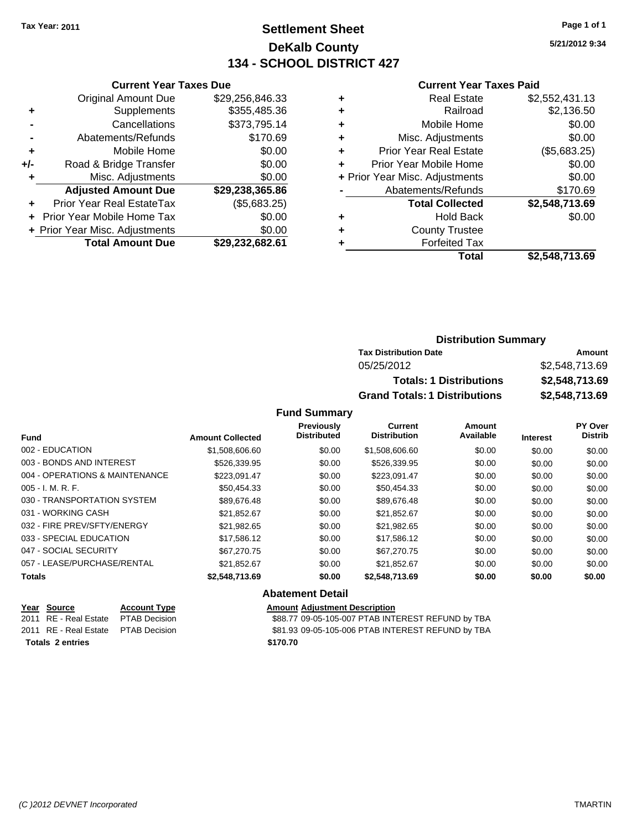# **Settlement Sheet Tax Year: 2011 Page 1 of 1 DeKalb County 134 - SCHOOL DISTRICT 427**

**5/21/2012 9:34**

#### **Current Year Taxes Paid**

|     | <b>Original Amount Due</b>     | \$29,256,846.33 | ÷ |
|-----|--------------------------------|-----------------|---|
| ٠   | Supplements                    | \$355,485.36    | ٠ |
|     | Cancellations                  | \$373,795.14    | ٠ |
|     | Abatements/Refunds             | \$170.69        | ٠ |
|     | Mobile Home                    | \$0.00          | ٠ |
| +/- | Road & Bridge Transfer         | \$0.00          | ٠ |
| ٠   | Misc. Adjustments              | \$0.00          | ٠ |
|     | <b>Adjusted Amount Due</b>     | \$29,238,365.86 |   |
|     | Prior Year Real EstateTax      | (\$5,683.25)    |   |
|     | Prior Year Mobile Home Tax     | \$0.00          | ٠ |
|     | + Prior Year Misc. Adjustments | \$0.00          | ٠ |
|     | <b>Total Amount Due</b>        | \$29,232,682.61 |   |
|     |                                |                 |   |

**Current Year Taxes Due**

|   | <b>Real Estate</b>             | \$2,552,431.13 |
|---|--------------------------------|----------------|
| ٠ | Railroad                       | \$2,136.50     |
| ٠ | Mobile Home                    | \$0.00         |
| ٠ | Misc. Adjustments              | \$0.00         |
| ٠ | <b>Prior Year Real Estate</b>  | (\$5,683.25)   |
|   | Prior Year Mobile Home         | \$0.00         |
|   | + Prior Year Misc. Adjustments | \$0.00         |
|   | Abatements/Refunds             | \$170.69       |
|   | <b>Total Collected</b>         | \$2,548,713.69 |
| ٠ | <b>Hold Back</b>               | \$0.00         |
| ٠ | <b>County Trustee</b>          |                |
|   | <b>Forfeited Tax</b>           |                |
|   | Total                          | \$2,548,713.69 |
|   |                                |                |

## **Distribution Summary Tax Distribution Date Amount** 05/25/2012 \$2,548,713.69 **Totals: 1 Distributions \$2,548,713.69 Grand Totals: 1 Distributions \$2,548,713.69**

### **Fund Summary**

|                                |                         | Previously         | <b>Current</b>      | Amount    |                 | PY Over        |
|--------------------------------|-------------------------|--------------------|---------------------|-----------|-----------------|----------------|
| <b>Fund</b>                    | <b>Amount Collected</b> | <b>Distributed</b> | <b>Distribution</b> | Available | <b>Interest</b> | <b>Distrib</b> |
| 002 - EDUCATION                | \$1,508,606.60          | \$0.00             | \$1,508,606.60      | \$0.00    | \$0.00          | \$0.00         |
| 003 - BONDS AND INTEREST       | \$526,339.95            | \$0.00             | \$526,339.95        | \$0.00    | \$0.00          | \$0.00         |
| 004 - OPERATIONS & MAINTENANCE | \$223,091.47            | \$0.00             | \$223,091.47        | \$0.00    | \$0.00          | \$0.00         |
| $005 - I. M. R. F.$            | \$50,454.33             | \$0.00             | \$50,454.33         | \$0.00    | \$0.00          | \$0.00         |
| 030 - TRANSPORTATION SYSTEM    | \$89.676.48             | \$0.00             | \$89,676.48         | \$0.00    | \$0.00          | \$0.00         |
| 031 - WORKING CASH             | \$21.852.67             | \$0.00             | \$21.852.67         | \$0.00    | \$0.00          | \$0.00         |
| 032 - FIRE PREV/SFTY/ENERGY    | \$21.982.65             | \$0.00             | \$21.982.65         | \$0.00    | \$0.00          | \$0.00         |
| 033 - SPECIAL EDUCATION        | \$17.586.12             | \$0.00             | \$17.586.12         | \$0.00    | \$0.00          | \$0.00         |
| 047 - SOCIAL SECURITY          | \$67,270.75             | \$0.00             | \$67,270.75         | \$0.00    | \$0.00          | \$0.00         |
| 057 - LEASE/PURCHASE/RENTAL    | \$21.852.67             | \$0.00             | \$21.852.67         | \$0.00    | \$0.00          | \$0.00         |
| Totals                         | \$2,548,713.69          | \$0.00             | \$2,548,713.69      | \$0.00    | \$0.00          | \$0.00         |

### **Abatement Detail**

| Year Source                     | <b>Account T</b> |
|---------------------------------|------------------|
| 2011 RE - Real Estate PTAB Deci |                  |
| 2011 RE - Real Estate PTAB Deci |                  |

**Yearch Type Amount** Adjustment Description

 $\overline{\text{388.77}}$  09-05-105-007 PTAB INTEREST REFUND by TBA 2011 831.93 09-05-105-006 PTAB INTEREST REFUND by TBA

#### **Totals \$170.70 2 entries**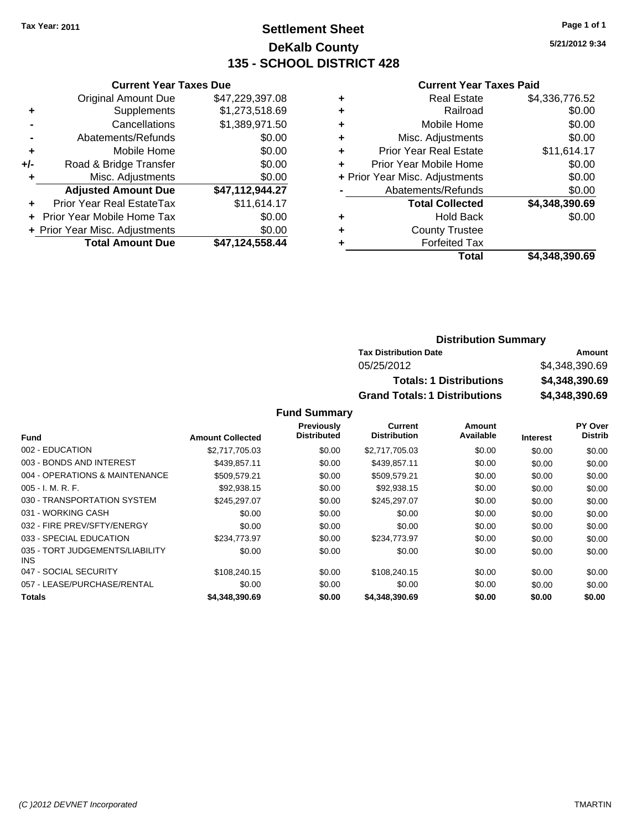**Current Year Taxes Due** Original Amount Due \$47,229,397.08

**Adjusted Amount Due \$47,112,944.27**

**Total Amount Due \$47,124,558.44**

**+** Supplements \$1,273,518.69 **-** Cancellations \$1,389,971.50 **-** Abatements/Refunds \$0.00 **+** Mobile Home \$0.00 **+/-** Road & Bridge Transfer \$0.00 **+** Misc. Adjustments \$0.00

**+** Prior Year Real EstateTax \$11,614.17 **+** Prior Year Mobile Home Tax \$0.00 **+ Prior Year Misc. Adjustments**  $$0.00$ 

# **Settlement Sheet Tax Year: 2011 Page 1 of 1 DeKalb County 135 - SCHOOL DISTRICT 428**

**5/21/2012 9:34**

#### **Current Year Taxes Paid**

| Total                         | \$4,348,390.69                                                    |
|-------------------------------|-------------------------------------------------------------------|
| <b>Forfeited Tax</b>          |                                                                   |
| <b>County Trustee</b>         |                                                                   |
| <b>Hold Back</b>              | \$0.00                                                            |
| <b>Total Collected</b>        | \$4,348,390.69                                                    |
| Abatements/Refunds            | \$0.00                                                            |
|                               | \$0.00                                                            |
| Prior Year Mobile Home        | \$0.00                                                            |
| <b>Prior Year Real Estate</b> | \$11,614.17                                                       |
| Misc. Adjustments             | \$0.00                                                            |
| Mobile Home                   | \$0.00                                                            |
| Railroad                      | \$0.00                                                            |
| <b>Real Estate</b>            | \$4,336,776.52                                                    |
|                               | ٠<br>٠<br>٠<br>÷<br>٠<br>+ Prior Year Misc. Adjustments<br>٠<br>٠ |

### **Distribution Summary Tax Distribution Date Amount** 05/25/2012 \$4,348,390.69 **Totals: 1 Distributions \$4,348,390.69 Grand Totals: 1 Distributions \$4,348,390.69**

|                                               |                         | Previously         | Current             | Amount    |                 | PY Over        |
|-----------------------------------------------|-------------------------|--------------------|---------------------|-----------|-----------------|----------------|
| <b>Fund</b>                                   | <b>Amount Collected</b> | <b>Distributed</b> | <b>Distribution</b> | Available | <b>Interest</b> | <b>Distrib</b> |
| 002 - EDUCATION                               | \$2,717,705.03          | \$0.00             | \$2,717,705.03      | \$0.00    | \$0.00          | \$0.00         |
| 003 - BONDS AND INTEREST                      | \$439,857.11            | \$0.00             | \$439,857.11        | \$0.00    | \$0.00          | \$0.00         |
| 004 - OPERATIONS & MAINTENANCE                | \$509.579.21            | \$0.00             | \$509,579.21        | \$0.00    | \$0.00          | \$0.00         |
| $005 - I. M. R. F.$                           | \$92,938.15             | \$0.00             | \$92,938.15         | \$0.00    | \$0.00          | \$0.00         |
| 030 - TRANSPORTATION SYSTEM                   | \$245,297.07            | \$0.00             | \$245,297.07        | \$0.00    | \$0.00          | \$0.00         |
| 031 - WORKING CASH                            | \$0.00                  | \$0.00             | \$0.00              | \$0.00    | \$0.00          | \$0.00         |
| 032 - FIRE PREV/SFTY/ENERGY                   | \$0.00                  | \$0.00             | \$0.00              | \$0.00    | \$0.00          | \$0.00         |
| 033 - SPECIAL EDUCATION                       | \$234,773,97            | \$0.00             | \$234,773,97        | \$0.00    | \$0.00          | \$0.00         |
| 035 - TORT JUDGEMENTS/LIABILITY<br><b>INS</b> | \$0.00                  | \$0.00             | \$0.00              | \$0.00    | \$0.00          | \$0.00         |
| 047 - SOCIAL SECURITY                         | \$108.240.15            | \$0.00             | \$108,240.15        | \$0.00    | \$0.00          | \$0.00         |
| 057 - LEASE/PURCHASE/RENTAL                   | \$0.00                  | \$0.00             | \$0.00              | \$0.00    | \$0.00          | \$0.00         |
| <b>Totals</b>                                 | \$4,348,390.69          | \$0.00             | \$4,348,390.69      | \$0.00    | \$0.00          | \$0.00         |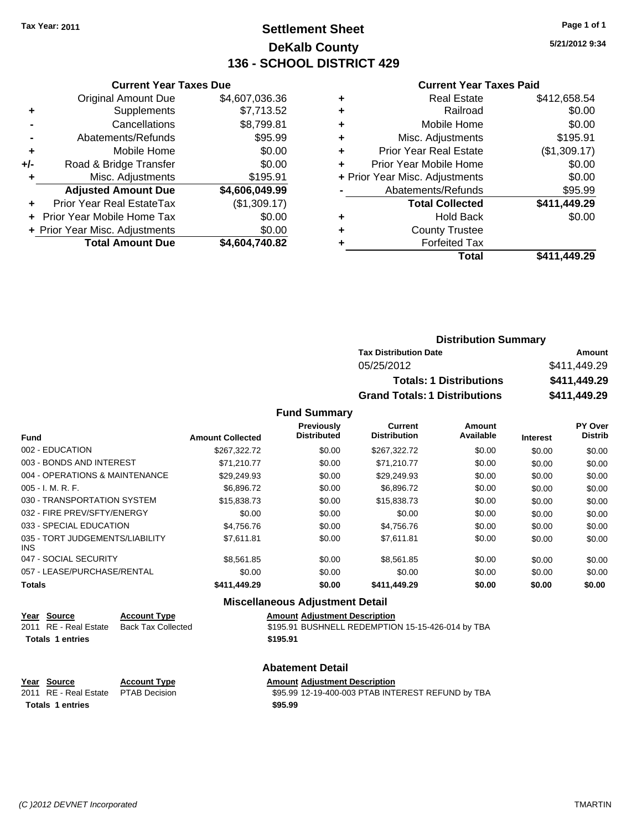# **Settlement Sheet Tax Year: 2011 Page 1 of 1 DeKalb County 136 - SCHOOL DISTRICT 429**

**5/21/2012 9:34**

#### **Current Year Taxes Paid**

|     | <b>Current Year Taxes Due</b>  |                |
|-----|--------------------------------|----------------|
|     | <b>Original Amount Due</b>     | \$4,607,036.36 |
| ٠   | Supplements                    | \$7,713.52     |
|     | Cancellations                  | \$8,799.81     |
| -   | Abatements/Refunds             | \$95.99        |
| ٠   | Mobile Home                    | \$0.00         |
| +/- | Road & Bridge Transfer         | \$0.00         |
| ٠   | Misc. Adjustments              | \$195.91       |
|     | <b>Adjusted Amount Due</b>     | \$4,606,049.99 |
| ٠   | Prior Year Real EstateTax      | (\$1,309.17)   |
|     | Prior Year Mobile Home Tax     | \$0.00         |
|     | + Prior Year Misc. Adjustments | \$0.00         |
|     | <b>Total Amount Due</b>        | \$4,604,740.82 |
|     |                                |                |

|   | <b>Real Estate</b>             | \$412,658.54 |
|---|--------------------------------|--------------|
|   | Railroad                       | \$0.00       |
| ٠ | Mobile Home                    | \$0.00       |
| ٠ | Misc. Adjustments              | \$195.91     |
| ٠ | <b>Prior Year Real Estate</b>  | (\$1,309.17) |
| ٠ | Prior Year Mobile Home         | \$0.00       |
|   | + Prior Year Misc. Adjustments | \$0.00       |
|   | Abatements/Refunds             | \$95.99      |
|   | <b>Total Collected</b>         | \$411,449.29 |
| ٠ | <b>Hold Back</b>               | \$0.00       |
| ٠ | <b>County Trustee</b>          |              |
|   | <b>Forfeited Tax</b>           |              |
|   | Total                          | \$411,449.29 |
|   |                                |              |

| <b>Distribution Summary</b>          |              |
|--------------------------------------|--------------|
| <b>Tax Distribution Date</b>         | Amount       |
| 05/25/2012                           | \$411,449.29 |
| <b>Totals: 1 Distributions</b>       | \$411,449.29 |
| <b>Grand Totals: 1 Distributions</b> | \$411,449.29 |

#### **Fund Summary**

|                                         |                         | Previously         | <b>Current</b>      | Amount    |                 | PY Over        |
|-----------------------------------------|-------------------------|--------------------|---------------------|-----------|-----------------|----------------|
| <b>Fund</b>                             | <b>Amount Collected</b> | <b>Distributed</b> | <b>Distribution</b> | Available | <b>Interest</b> | <b>Distrib</b> |
| 002 - EDUCATION                         | \$267.322.72            | \$0.00             | \$267.322.72        | \$0.00    | \$0.00          | \$0.00         |
| 003 - BONDS AND INTEREST                | \$71,210.77             | \$0.00             | \$71,210.77         | \$0.00    | \$0.00          | \$0.00         |
| 004 - OPERATIONS & MAINTENANCE          | \$29.249.93             | \$0.00             | \$29.249.93         | \$0.00    | \$0.00          | \$0.00         |
| $005 - I. M. R. F.$                     | \$6,896,72              | \$0.00             | \$6,896.72          | \$0.00    | \$0.00          | \$0.00         |
| 030 - TRANSPORTATION SYSTEM             | \$15,838.73             | \$0.00             | \$15,838.73         | \$0.00    | \$0.00          | \$0.00         |
| 032 - FIRE PREV/SFTY/ENERGY             | \$0.00                  | \$0.00             | \$0.00              | \$0.00    | \$0.00          | \$0.00         |
| 033 - SPECIAL EDUCATION                 | \$4.756.76              | \$0.00             | \$4,756.76          | \$0.00    | \$0.00          | \$0.00         |
| 035 - TORT JUDGEMENTS/LIABILITY<br>INS. | \$7.611.81              | \$0.00             | \$7.611.81          | \$0.00    | \$0.00          | \$0.00         |
| 047 - SOCIAL SECURITY                   | \$8,561.85              | \$0.00             | \$8,561.85          | \$0.00    | \$0.00          | \$0.00         |
| 057 - LEASE/PURCHASE/RENTAL             | \$0.00                  | \$0.00             | \$0.00              | \$0.00    | \$0.00          | \$0.00         |
| <b>Totals</b>                           | \$411,449.29            | \$0.00             | \$411,449.29        | \$0.00    | \$0.00          | \$0.00         |

### **Miscellaneous Adjustment Detail**

| Year Source             | <b>Account Type</b>       | <b>Amount Adjustment Description</b>              |
|-------------------------|---------------------------|---------------------------------------------------|
| 2011 RE - Real Estate   | <b>Back Tax Collected</b> | \$195.91 BUSHNELL REDEMPTION 15-15-426-014 by TBA |
| <b>Totals 1 entries</b> |                           | \$195.91                                          |
|                         |                           |                                                   |

# **Abatement Detail**

# **Year Source Account Type Amount Adjustment Description**

\$95.99 12-19-400-003 PTAB INTEREST REFUND by TBA **Totals 1 entries 1 and 1 and 1 and 1 and 1 and 1 and 1 and 1 and 1 and 1 and 1 and 1 and 1 and 1 and 1 and 1 and 1 and 1 and 1 and 1 and 1 and 1 and 1 and 1 and 1 and 1 and 1 and 1 and 1 and 1 and 1 and 1 and 1 and 1 an**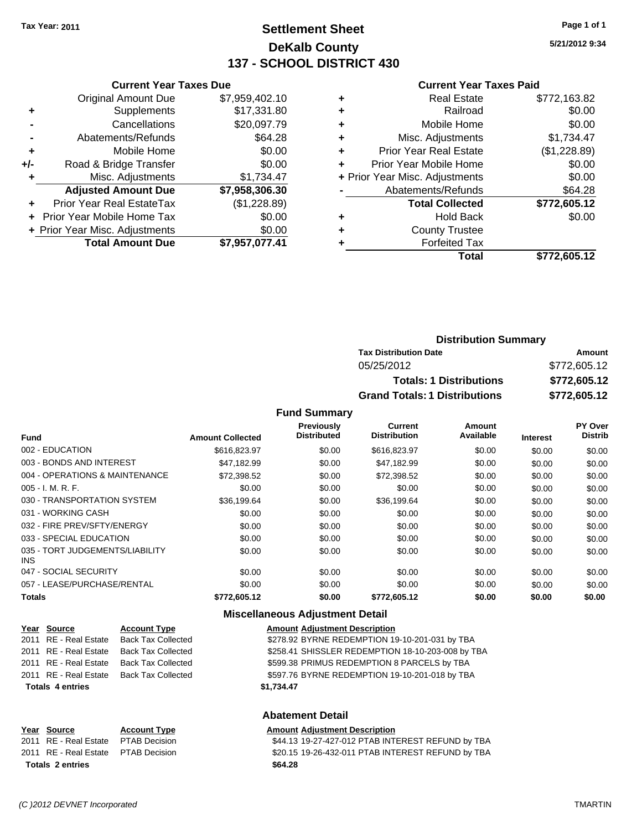**Current Year Taxes Due**

# **Settlement Sheet Tax Year: 2011 Page 1 of 1 DeKalb County 137 - SCHOOL DISTRICT 430**

**5/21/2012 9:34**

### **Current Year Taxes Paid**

|     |                                |                |   | Total                          | \$772,605.12 |
|-----|--------------------------------|----------------|---|--------------------------------|--------------|
|     | <b>Total Amount Due</b>        | \$7,957,077.41 |   | <b>Forfeited Tax</b>           |              |
|     | + Prior Year Misc. Adjustments | \$0.00         | ٠ | <b>County Trustee</b>          |              |
|     | + Prior Year Mobile Home Tax   | \$0.00         | ٠ | <b>Hold Back</b>               | \$0.00       |
|     | Prior Year Real EstateTax      | (\$1,228.89)   |   | <b>Total Collected</b>         | \$772,605.12 |
|     | <b>Adjusted Amount Due</b>     | \$7,958,306.30 |   | Abatements/Refunds             | \$64.28      |
|     | Misc. Adjustments              | \$1,734.47     |   | + Prior Year Misc. Adjustments | \$0.00       |
| +/- | Road & Bridge Transfer         | \$0.00         | ÷ | Prior Year Mobile Home         | \$0.00       |
| ÷   | Mobile Home                    | \$0.00         | ٠ | <b>Prior Year Real Estate</b>  | (\$1,228.89) |
|     | Abatements/Refunds             | \$64.28        | ٠ | Misc. Adjustments              | \$1,734.47   |
|     | Cancellations                  | \$20,097.79    | ٠ | Mobile Home                    | \$0.00       |
| ٠   | Supplements                    | \$17,331.80    | ٠ | Railroad                       | \$0.00       |
|     | <b>Original Amount Due</b>     | \$7,959,402.10 |   | <b>Real Estate</b>             | \$772,163.82 |

| <b>Distribution Summary</b>          |              |
|--------------------------------------|--------------|
| <b>Tax Distribution Date</b>         | Amount       |
| 05/25/2012                           | \$772,605.12 |
| <b>Totals: 1 Distributions</b>       | \$772,605.12 |
| <b>Grand Totals: 1 Distributions</b> | \$772,605.12 |

#### **Fund Summary**

|                                         |                         | Previously         | Current             | Amount    |                 | PY Over        |
|-----------------------------------------|-------------------------|--------------------|---------------------|-----------|-----------------|----------------|
| <b>Fund</b>                             | <b>Amount Collected</b> | <b>Distributed</b> | <b>Distribution</b> | Available | <b>Interest</b> | <b>Distrib</b> |
| 002 - EDUCATION                         | \$616,823.97            | \$0.00             | \$616,823.97        | \$0.00    | \$0.00          | \$0.00         |
| 003 - BONDS AND INTEREST                | \$47,182.99             | \$0.00             | \$47,182.99         | \$0.00    | \$0.00          | \$0.00         |
| 004 - OPERATIONS & MAINTENANCE          | \$72,398.52             | \$0.00             | \$72,398.52         | \$0.00    | \$0.00          | \$0.00         |
| $005 - I. M. R. F.$                     | \$0.00                  | \$0.00             | \$0.00              | \$0.00    | \$0.00          | \$0.00         |
| 030 - TRANSPORTATION SYSTEM             | \$36,199.64             | \$0.00             | \$36,199.64         | \$0.00    | \$0.00          | \$0.00         |
| 031 - WORKING CASH                      | \$0.00                  | \$0.00             | \$0.00              | \$0.00    | \$0.00          | \$0.00         |
| 032 - FIRE PREV/SFTY/ENERGY             | \$0.00                  | \$0.00             | \$0.00              | \$0.00    | \$0.00          | \$0.00         |
| 033 - SPECIAL EDUCATION                 | \$0.00                  | \$0.00             | \$0.00              | \$0.00    | \$0.00          | \$0.00         |
| 035 - TORT JUDGEMENTS/LIABILITY<br>INS. | \$0.00                  | \$0.00             | \$0.00              | \$0.00    | \$0.00          | \$0.00         |
| 047 - SOCIAL SECURITY                   | \$0.00                  | \$0.00             | \$0.00              | \$0.00    | \$0.00          | \$0.00         |
| 057 - LEASE/PURCHASE/RENTAL             | \$0.00                  | \$0.00             | \$0.00              | \$0.00    | \$0.00          | \$0.00         |
| <b>Totals</b>                           | \$772,605.12            | \$0.00             | \$772,605.12        | \$0.00    | \$0.00          | \$0.00         |

#### **Miscellaneous Adjustment Detail**

| Year Source             | <b>Account Type</b>       | <b>Amount Adjustment Description</b>              |
|-------------------------|---------------------------|---------------------------------------------------|
| 2011 RE - Real Estate   | <b>Back Tax Collected</b> | \$278.92 BYRNE REDEMPTION 19-10-201-031 by TBA    |
| 2011 RE - Real Estate   | <b>Back Tax Collected</b> | \$258.41 SHISSLER REDEMPTION 18-10-203-008 by TBA |
| 2011 RE - Real Estate   | <b>Back Tax Collected</b> | \$599.38 PRIMUS REDEMPTION 8 PARCELS by TBA       |
| 2011 RE - Real Estate   | <b>Back Tax Collected</b> | \$597.76 BYRNE REDEMPTION 19-10-201-018 by TBA    |
| <b>Totals 4 entries</b> |                           | \$1.734.47                                        |
|                         |                           | <b>Abatement Detail</b>                           |

#### **Year Source Account Type Amount Adjustment Description**

|                         | <u>rear source</u>                  | ACCOUNT TYPE | Allioulit Aujustinent Description                 |
|-------------------------|-------------------------------------|--------------|---------------------------------------------------|
|                         | 2011 RE - Real Estate PTAB Decision |              | \$44.13 19-27-427-012 PTAB INTEREST REFUND by TBA |
|                         | 2011 RE - Real Estate PTAB Decision |              | \$20.15 19-26-432-011 PTAB INTEREST REFUND by TBA |
| <b>Totals 2 entries</b> |                                     |              | \$64.28                                           |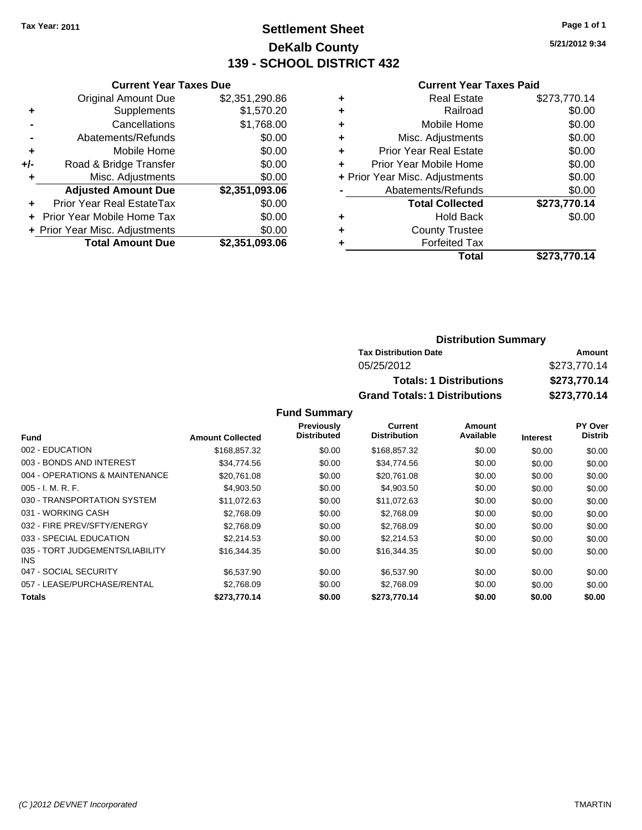# **Settlement Sheet Tax Year: 2011 Page 1 of 1 DeKalb County 139 - SCHOOL DISTRICT 432**

**5/21/2012 9:34**

#### **Current Year Taxes Paid**

| <b>Current Year Taxes Due</b>  |                         |
|--------------------------------|-------------------------|
| <b>Original Amount Due</b>     | \$2,351,290.86          |
| Supplements                    | \$1,570.20              |
| Cancellations                  | \$1,768.00              |
| Abatements/Refunds             | \$0.00                  |
| Mobile Home                    | \$0.00                  |
| Road & Bridge Transfer         | \$0.00                  |
| Misc. Adjustments              | \$0.00                  |
| <b>Adjusted Amount Due</b>     | \$2,351,093.06          |
| Prior Year Real EstateTax      | \$0.00                  |
| Prior Year Mobile Home Tax     | \$0.00                  |
| + Prior Year Misc. Adjustments | \$0.00                  |
|                                | \$2,351,093.06          |
|                                | <b>Total Amount Due</b> |

| ٠ | <b>Real Estate</b>             | \$273,770.14 |
|---|--------------------------------|--------------|
| ٠ | Railroad                       | \$0.00       |
| ٠ | Mobile Home                    | \$0.00       |
| ٠ | Misc. Adjustments              | \$0.00       |
| ٠ | <b>Prior Year Real Estate</b>  | \$0.00       |
| ٠ | Prior Year Mobile Home         | \$0.00       |
|   | + Prior Year Misc. Adjustments | \$0.00       |
|   | Abatements/Refunds             | \$0.00       |
|   | <b>Total Collected</b>         | \$273,770.14 |
| ٠ | Hold Back                      | \$0.00       |
| ٠ | <b>County Trustee</b>          |              |
|   | <b>Forfeited Tax</b>           |              |
|   | Total                          | \$273,770.14 |

### **Distribution Summary Tax Distribution Date Amount** 05/25/2012 \$273,770.14 **Totals: 1 Distributions \$273,770.14 Grand Totals: 1 Distributions \$273,770.14**

|                                         |                         | <b>Previously</b>  | <b>Current</b>      | Amount    |                 | PY Over        |
|-----------------------------------------|-------------------------|--------------------|---------------------|-----------|-----------------|----------------|
| <b>Fund</b>                             | <b>Amount Collected</b> | <b>Distributed</b> | <b>Distribution</b> | Available | <b>Interest</b> | <b>Distrib</b> |
| 002 - EDUCATION                         | \$168,857.32            | \$0.00             | \$168,857.32        | \$0.00    | \$0.00          | \$0.00         |
| 003 - BONDS AND INTEREST                | \$34,774.56             | \$0.00             | \$34,774.56         | \$0.00    | \$0.00          | \$0.00         |
| 004 - OPERATIONS & MAINTENANCE          | \$20.761.08             | \$0.00             | \$20,761.08         | \$0.00    | \$0.00          | \$0.00         |
| $005 - I. M. R. F.$                     | \$4,903.50              | \$0.00             | \$4,903.50          | \$0.00    | \$0.00          | \$0.00         |
| 030 - TRANSPORTATION SYSTEM             | \$11,072.63             | \$0.00             | \$11,072.63         | \$0.00    | \$0.00          | \$0.00         |
| 031 - WORKING CASH                      | \$2.768.09              | \$0.00             | \$2,768.09          | \$0.00    | \$0.00          | \$0.00         |
| 032 - FIRE PREV/SFTY/ENERGY             | \$2,768.09              | \$0.00             | \$2,768.09          | \$0.00    | \$0.00          | \$0.00         |
| 033 - SPECIAL EDUCATION                 | \$2.214.53              | \$0.00             | \$2,214.53          | \$0.00    | \$0.00          | \$0.00         |
| 035 - TORT JUDGEMENTS/LIABILITY<br>INS. | \$16,344.35             | \$0.00             | \$16,344.35         | \$0.00    | \$0.00          | \$0.00         |
| 047 - SOCIAL SECURITY                   | \$6,537.90              | \$0.00             | \$6,537.90          | \$0.00    | \$0.00          | \$0.00         |
| 057 - LEASE/PURCHASE/RENTAL             | \$2.768.09              | \$0.00             | \$2,768.09          | \$0.00    | \$0.00          | \$0.00         |
| <b>Totals</b>                           | \$273,770.14            | \$0.00             | \$273.770.14        | \$0.00    | \$0.00          | \$0.00         |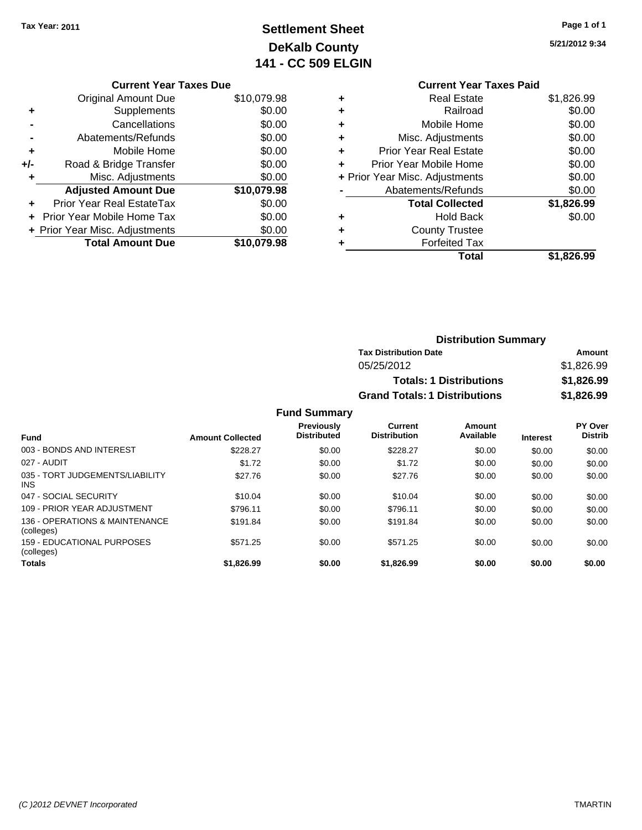# **Settlement Sheet Tax Year: 2011 Page 1 of 1 DeKalb County 141 - CC 509 ELGIN**

**5/21/2012 9:34**

|  | <b>Current Year Taxes Due</b> |  |  |  |
|--|-------------------------------|--|--|--|
|--|-------------------------------|--|--|--|

|     | <b>Original Amount Due</b>     | \$10,079.98 |
|-----|--------------------------------|-------------|
| ٠   | Supplements                    | \$0.00      |
|     | Cancellations                  | \$0.00      |
|     | Abatements/Refunds             | \$0.00      |
| ٠   | Mobile Home                    | \$0.00      |
| +/- | Road & Bridge Transfer         | \$0.00      |
|     | Misc. Adjustments              | \$0.00      |
|     | <b>Adjusted Amount Due</b>     | \$10,079.98 |
|     |                                |             |
|     | Prior Year Real EstateTax      | \$0.00      |
|     | Prior Year Mobile Home Tax     | \$0.00      |
|     | + Prior Year Misc. Adjustments | \$0.00      |

### **Current Year Taxes Paid +** Real Estate \$1,826.99 **+** Railroad \$0.00 **+** Mobile Home \$0.00 **+** Misc. Adjustments \$0.00 **+** Prior Year Real Estate \$0.00 **+** Prior Year Mobile Home \$0.00 **+** Prior Year Misc. Adjustments  $$0.00$ **-** Abatements/Refunds \$0.00 **Total Collected \$1,826.99 +** Hold Back \$0.00 **+** County Trustee **+** Forfeited Tax **Total \$1,826.99**

| <b>Distribution Summary</b>          |            |
|--------------------------------------|------------|
| <b>Tax Distribution Date</b>         | Amount     |
| 05/25/2012                           | \$1,826,99 |
| <b>Totals: 1 Distributions</b>       | \$1,826.99 |
| <b>Grand Totals: 1 Distributions</b> | \$1,826.99 |

| <b>Fund</b>                                     | <b>Amount Collected</b> | <b>Previously</b><br><b>Distributed</b> | Current<br><b>Distribution</b> | Amount<br>Available | <b>Interest</b> | <b>PY Over</b><br><b>Distrib</b> |
|-------------------------------------------------|-------------------------|-----------------------------------------|--------------------------------|---------------------|-----------------|----------------------------------|
| 003 - BONDS AND INTEREST                        | \$228.27                | \$0.00                                  | \$228.27                       | \$0.00              | \$0.00          | \$0.00                           |
| 027 - AUDIT                                     | \$1.72                  | \$0.00                                  | \$1.72                         | \$0.00              | \$0.00          | \$0.00                           |
| 035 - TORT JUDGEMENTS/LIABILITY<br><b>INS</b>   | \$27.76                 | \$0.00                                  | \$27.76                        | \$0.00              | \$0.00          | \$0.00                           |
| 047 - SOCIAL SECURITY                           | \$10.04                 | \$0.00                                  | \$10.04                        | \$0.00              | \$0.00          | \$0.00                           |
| 109 - PRIOR YEAR ADJUSTMENT                     | \$796.11                | \$0.00                                  | \$796.11                       | \$0.00              | \$0.00          | \$0.00                           |
| 136 - OPERATIONS & MAINTENANCE<br>(colleges)    | \$191.84                | \$0.00                                  | \$191.84                       | \$0.00              | \$0.00          | \$0.00                           |
| <b>159 - EDUCATIONAL PURPOSES</b><br>(colleges) | \$571.25                | \$0.00                                  | \$571.25                       | \$0.00              | \$0.00          | \$0.00                           |
| <b>Totals</b>                                   | \$1,826.99              | \$0.00                                  | \$1,826.99                     | \$0.00              | \$0.00          | \$0.00                           |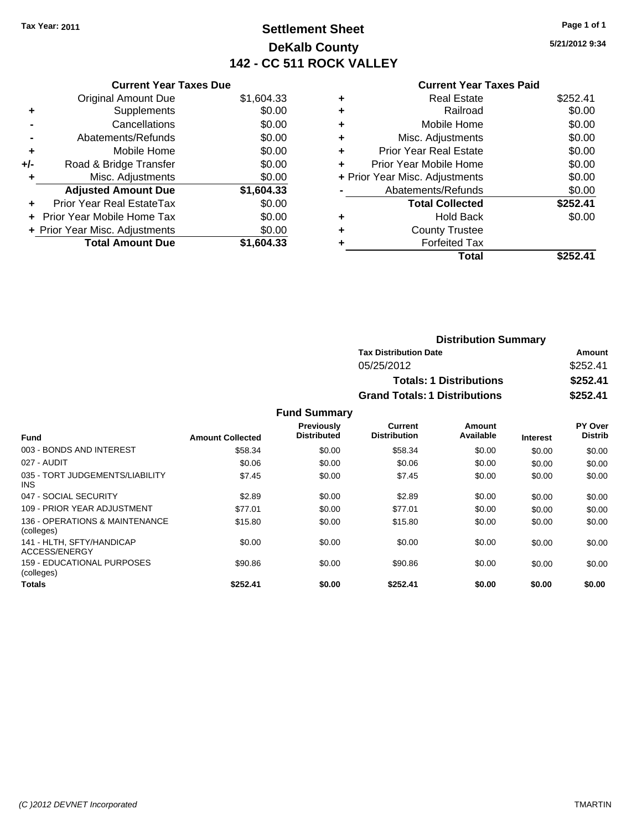# **Settlement Sheet Tax Year: 2011 Page 1 of 1 DeKalb County 142 - CC 511 ROCK VALLEY**

**5/21/2012 9:34**

### **Current Year Taxes Paid**

| <b>Current Year Taxes Due</b>     |            |
|-----------------------------------|------------|
| <b>Original Amount Due</b>        | \$1,604.33 |
| Supplements                       | \$0.00     |
| Cancellations                     | \$0.00     |
| Abatements/Refunds                | \$0.00     |
| Mobile Home                       | \$0.00     |
| Road & Bridge Transfer            | \$0.00     |
| Misc. Adjustments                 | \$0.00     |
| <b>Adjusted Amount Due</b>        | \$1,604.33 |
| Prior Year Real EstateTax         | \$0.00     |
| <b>Prior Year Mobile Home Tax</b> | \$0.00     |
| + Prior Year Misc. Adjustments    | \$0.00     |
| <b>Total Amount Due</b>           | \$1.604.33 |
|                                   |            |

|   | Total                          | \$252.41 |
|---|--------------------------------|----------|
|   | <b>Forfeited Tax</b>           |          |
| ٠ | <b>County Trustee</b>          |          |
| ٠ | <b>Hold Back</b>               | \$0.00   |
|   | <b>Total Collected</b>         | \$252.41 |
|   | Abatements/Refunds             | \$0.00   |
|   | + Prior Year Misc. Adjustments | \$0.00   |
| ÷ | Prior Year Mobile Home         | \$0.00   |
| ٠ | <b>Prior Year Real Estate</b>  | \$0.00   |
| ٠ | Misc. Adjustments              | \$0.00   |
| ٠ | Mobile Home                    | \$0.00   |
| ٠ | Railroad                       | \$0.00   |
|   | <b>Real Estate</b>             | \$252.41 |
|   |                                |          |

| <b>Distribution Summary</b>          |          |
|--------------------------------------|----------|
| <b>Tax Distribution Date</b>         | Amount   |
| 05/25/2012                           | \$252.41 |
| <b>Totals: 1 Distributions</b>       | \$252.41 |
| <b>Grand Totals: 1 Distributions</b> | \$252.41 |

|                                              |                         | <b>Previously</b><br><b>Distributed</b> | Current<br><b>Distribution</b> | Amount<br>Available |                 | PY Over<br><b>Distrib</b> |
|----------------------------------------------|-------------------------|-----------------------------------------|--------------------------------|---------------------|-----------------|---------------------------|
| <b>Fund</b>                                  | <b>Amount Collected</b> |                                         |                                |                     | <b>Interest</b> |                           |
| 003 - BONDS AND INTEREST                     | \$58.34                 | \$0.00                                  | \$58.34                        | \$0.00              | \$0.00          | \$0.00                    |
| 027 - AUDIT                                  | \$0.06                  | \$0.00                                  | \$0.06                         | \$0.00              | \$0.00          | \$0.00                    |
| 035 - TORT JUDGEMENTS/LIABILITY<br>INS.      | \$7.45                  | \$0.00                                  | \$7.45                         | \$0.00              | \$0.00          | \$0.00                    |
| 047 - SOCIAL SECURITY                        | \$2.89                  | \$0.00                                  | \$2.89                         | \$0.00              | \$0.00          | \$0.00                    |
| 109 - PRIOR YEAR ADJUSTMENT                  | \$77.01                 | \$0.00                                  | \$77.01                        | \$0.00              | \$0.00          | \$0.00                    |
| 136 - OPERATIONS & MAINTENANCE<br>(colleges) | \$15.80                 | \$0.00                                  | \$15.80                        | \$0.00              | \$0.00          | \$0.00                    |
| 141 - HLTH. SFTY/HANDICAP<br>ACCESS/ENERGY   | \$0.00                  | \$0.00                                  | \$0.00                         | \$0.00              | \$0.00          | \$0.00                    |
| 159 - EDUCATIONAL PURPOSES<br>(colleges)     | \$90.86                 | \$0.00                                  | \$90.86                        | \$0.00              | \$0.00          | \$0.00                    |
| <b>Totals</b>                                | \$252.41                | \$0.00                                  | \$252.41                       | \$0.00              | \$0.00          | \$0.00                    |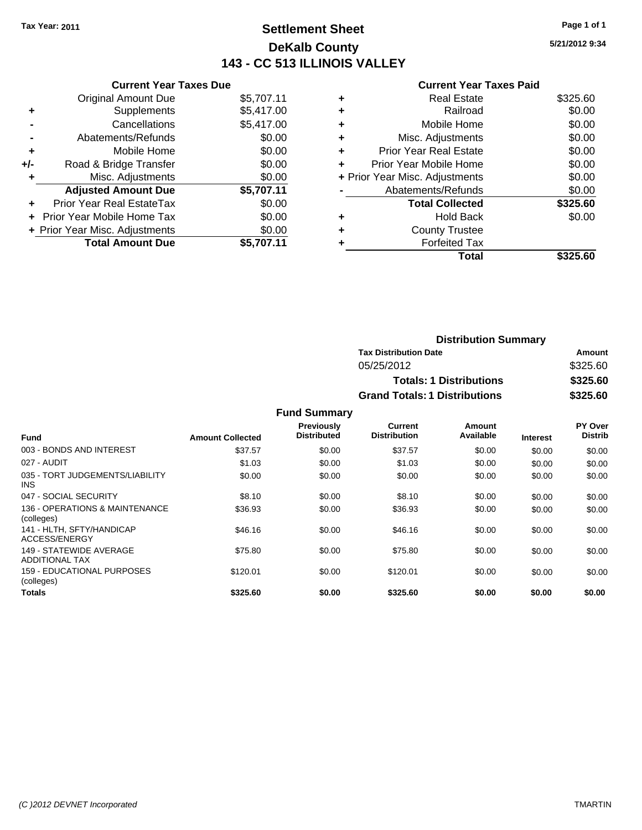# **Settlement Sheet Tax Year: 2011 Page 1 of 1 DeKalb County 143 - CC 513 ILLINOIS VALLEY**

**5/21/2012 9:34**

#### **Current Year Taxes Paid**

| <b>Current Year Taxes Due</b> |                                |
|-------------------------------|--------------------------------|
| <b>Original Amount Due</b>    | \$5,707.11                     |
| Supplements                   | \$5,417.00                     |
| Cancellations                 | \$5,417.00                     |
| Abatements/Refunds            | \$0.00                         |
| Mobile Home                   | \$0.00                         |
| Road & Bridge Transfer        | \$0.00                         |
| Misc. Adjustments             | \$0.00                         |
| <b>Adjusted Amount Due</b>    | \$5,707.11                     |
| Prior Year Real EstateTax     | \$0.00                         |
| Prior Year Mobile Home Tax    | \$0.00                         |
|                               | \$0.00                         |
| <b>Total Amount Due</b>       | \$5.707.11                     |
|                               | + Prior Year Misc. Adjustments |

| ٠ | <b>Real Estate</b>             | \$325.60 |
|---|--------------------------------|----------|
| ٠ | Railroad                       | \$0.00   |
| ٠ | Mobile Home                    | \$0.00   |
| ٠ | Misc. Adjustments              | \$0.00   |
| ÷ | <b>Prior Year Real Estate</b>  | \$0.00   |
|   | Prior Year Mobile Home         | \$0.00   |
|   | + Prior Year Misc. Adjustments | \$0.00   |
|   | Abatements/Refunds             | \$0.00   |
|   | <b>Total Collected</b>         | \$325.60 |
| ٠ | <b>Hold Back</b>               | \$0.00   |
| ٠ | <b>County Trustee</b>          |          |
|   | <b>Forfeited Tax</b>           |          |
|   | Total                          | \$325.60 |

| <b>Distribution Summary</b>          |          |
|--------------------------------------|----------|
| <b>Tax Distribution Date</b>         | Amount   |
| 05/25/2012                           | \$325.60 |
| <b>Totals: 1 Distributions</b>       | \$325.60 |
| <b>Grand Totals: 1 Distributions</b> | \$325.60 |

|                                               |                         | <b>Previously</b>  | Current             | Amount    |                 | <b>PY Over</b> |
|-----------------------------------------------|-------------------------|--------------------|---------------------|-----------|-----------------|----------------|
| <b>Fund</b>                                   | <b>Amount Collected</b> | <b>Distributed</b> | <b>Distribution</b> | Available | <b>Interest</b> | <b>Distrib</b> |
| 003 - BONDS AND INTEREST                      | \$37.57                 | \$0.00             | \$37.57             | \$0.00    | \$0.00          | \$0.00         |
| 027 - AUDIT                                   | \$1.03                  | \$0.00             | \$1.03              | \$0.00    | \$0.00          | \$0.00         |
| 035 - TORT JUDGEMENTS/LIABILITY<br><b>INS</b> | \$0.00                  | \$0.00             | \$0.00              | \$0.00    | \$0.00          | \$0.00         |
| 047 - SOCIAL SECURITY                         | \$8.10                  | \$0.00             | \$8.10              | \$0.00    | \$0.00          | \$0.00         |
| 136 - OPERATIONS & MAINTENANCE<br>(colleges)  | \$36.93                 | \$0.00             | \$36.93             | \$0.00    | \$0.00          | \$0.00         |
| 141 - HLTH, SFTY/HANDICAP<br>ACCESS/ENERGY    | \$46.16                 | \$0.00             | \$46.16             | \$0.00    | \$0.00          | \$0.00         |
| 149 - STATEWIDE AVERAGE<br>ADDITIONAL TAX     | \$75.80                 | \$0.00             | \$75.80             | \$0.00    | \$0.00          | \$0.00         |
| 159 - EDUCATIONAL PURPOSES<br>(colleges)      | \$120.01                | \$0.00             | \$120.01            | \$0.00    | \$0.00          | \$0.00         |
| <b>Totals</b>                                 | \$325.60                | \$0.00             | \$325.60            | \$0.00    | \$0.00          | \$0.00         |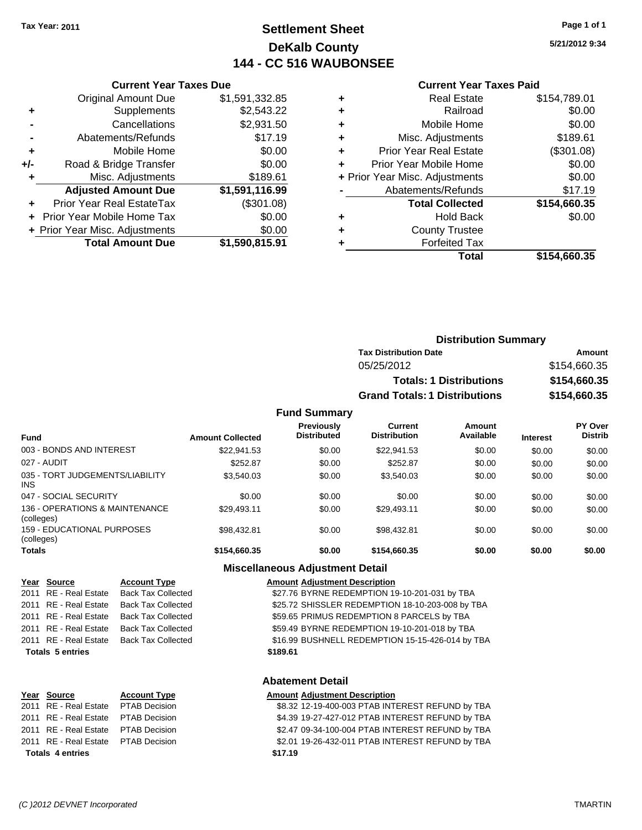# **Settlement Sheet Tax Year: 2011 Page 1 of 1 DeKalb County 144 - CC 516 WAUBONSEE**

**5/21/2012 9:34**

#### **Current Year Taxes Paid**

|       | <b>Supplements</b>             | \$2,543.22     |   |                    |
|-------|--------------------------------|----------------|---|--------------------|
|       | Cancellations                  | \$2,931.50     |   |                    |
|       | Abatements/Refunds             | \$17.19        |   |                    |
| ٠     | Mobile Home                    | \$0.00         |   | Prior              |
| $+/-$ | Road & Bridge Transfer         | \$0.00         |   | Prior <sup>'</sup> |
|       | Misc. Adjustments              | \$189.61       |   | + Prior Year       |
|       | <b>Adjusted Amount Due</b>     | \$1,591,116.99 |   | Ab.                |
|       | Prior Year Real EstateTax      | (\$301.08)     |   |                    |
|       | + Prior Year Mobile Home Tax   | \$0.00         | ٠ |                    |
|       | + Prior Year Misc. Adjustments | \$0.00         | ٠ |                    |
|       | <b>Total Amount Due</b>        | \$1,590,815.91 |   |                    |

**Current Year Taxes Due** Original Amount Due \$1,591,332.85

| <b>Distribution Summary</b>          |              |
|--------------------------------------|--------------|
| <b>Tax Distribution Date</b>         | Amount       |
| 05/25/2012                           | \$154,660.35 |
| <b>Totals: 1 Distributions</b>       | \$154,660.35 |
| <b>Grand Totals: 1 Distributions</b> | \$154,660.35 |

#### **Fund Summary**

| <b>Fund</b>                                   | <b>Amount Collected</b> | <b>Previously</b><br><b>Distributed</b> | Current<br><b>Distribution</b> | Amount<br>Available | <b>Interest</b> | PY Over<br><b>Distrib</b> |
|-----------------------------------------------|-------------------------|-----------------------------------------|--------------------------------|---------------------|-----------------|---------------------------|
|                                               |                         |                                         |                                |                     |                 |                           |
| 003 - BONDS AND INTEREST                      | \$22,941.53             | \$0.00                                  | \$22,941.53                    | \$0.00              | \$0.00          | \$0.00                    |
| 027 - AUDIT                                   | \$252.87                | \$0.00                                  | \$252.87                       | \$0.00              | \$0.00          | \$0.00                    |
| 035 - TORT JUDGEMENTS/LIABILITY<br><b>INS</b> | \$3,540.03              | \$0.00                                  | \$3,540.03                     | \$0.00              | \$0.00          | \$0.00                    |
| 047 - SOCIAL SECURITY                         | \$0.00                  | \$0.00                                  | \$0.00                         | \$0.00              | \$0.00          | \$0.00                    |
| 136 - OPERATIONS & MAINTENANCE<br>(colleges)  | \$29,493.11             | \$0.00                                  | \$29.493.11                    | \$0.00              | \$0.00          | \$0.00                    |
| 159 - EDUCATIONAL PURPOSES<br>(colleges)      | \$98,432.81             | \$0.00                                  | \$98.432.81                    | \$0.00              | \$0.00          | \$0.00                    |
| <b>Totals</b>                                 | \$154,660.35            | \$0.00                                  | \$154,660.35                   | \$0.00              | \$0.00          | \$0.00                    |

### **Miscellaneous Adjustment Detail**

| Year Source             | <b>Account Type</b>       | <b>Amount Adjustment Description</b>             |
|-------------------------|---------------------------|--------------------------------------------------|
| 2011 RE - Real Estate   | <b>Back Tax Collected</b> | \$27.76 BYRNE REDEMPTION 19-10-201-031 by TBA    |
| 2011 RE - Real Estate   | <b>Back Tax Collected</b> | \$25.72 SHISSLER REDEMPTION 18-10-203-008 by TBA |
| 2011 RE - Real Estate   | Back Tax Collected        | \$59.65 PRIMUS REDEMPTION 8 PARCELS by TBA       |
| 2011 RE - Real Estate   | <b>Back Tax Collected</b> | \$59.49 BYRNE REDEMPTION 19-10-201-018 by TBA    |
| 2011 RE - Real Estate   | Back Tax Collected        | \$16.99 BUSHNELL REDEMPTION 15-15-426-014 by TBA |
| <b>Totals 5 entries</b> |                           | \$189.61                                         |
|                         |                           |                                                  |

#### **Abatement Detail**

| Year Source                         | <b>Account Type</b> | <b>Amount Adjustment Description</b>             |
|-------------------------------------|---------------------|--------------------------------------------------|
| 2011 RE - Real Estate PTAB Decision |                     | \$8.32 12-19-400-003 PTAB INTEREST REFUND by TBA |
| 2011 RE - Real Estate PTAB Decision |                     | \$4.39 19-27-427-012 PTAB INTEREST REFUND by TBA |
| 2011 RE - Real Estate PTAB Decision |                     | \$2.47 09-34-100-004 PTAB INTEREST REFUND by TBA |
| 2011 RE - Real Estate PTAB Decision |                     | \$2.01 19-26-432-011 PTAB INTEREST REFUND by TBA |
| <b>Totals 4 entries</b>             |                     | \$17.19                                          |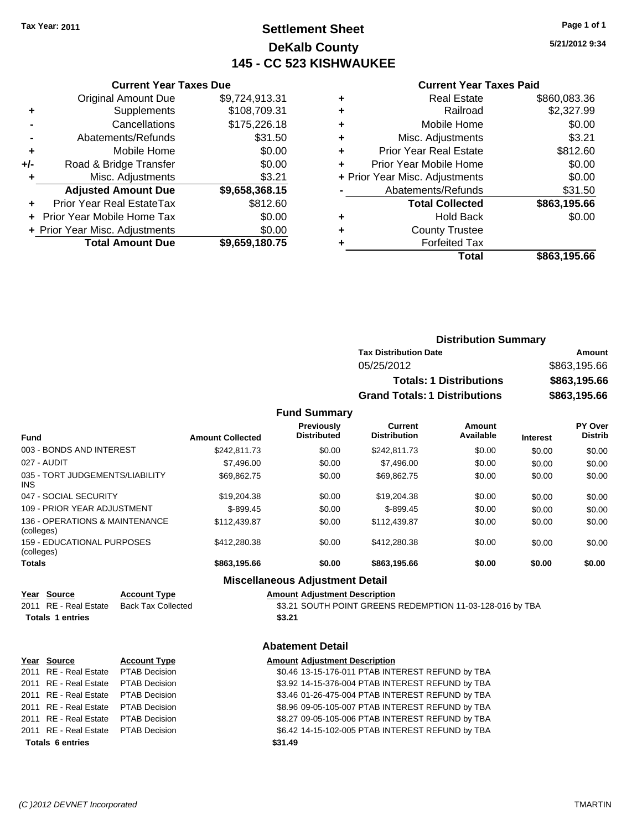# **Settlement Sheet Tax Year: 2011 Page 1 of 1 DeKalb County 145 - CC 523 KISHWAUKEE**

**5/21/2012 9:34**

### **Current Year Taxes Paid**

|     | <b>Total Amount Due</b>        | \$9,659,180.75 |
|-----|--------------------------------|----------------|
|     | + Prior Year Misc. Adjustments | \$0.00         |
|     | Prior Year Mobile Home Tax     | \$0.00         |
|     | Prior Year Real EstateTax      | \$812.60       |
|     | <b>Adjusted Amount Due</b>     | \$9,658,368.15 |
| ٠   | Misc. Adjustments              | \$3.21         |
| +/- | Road & Bridge Transfer         | \$0.00         |
| ٠   | Mobile Home                    | \$0.00         |
|     | Abatements/Refunds             | \$31.50        |
|     | Cancellations                  | \$175,226.18   |
| ٠   | Supplements                    | \$108,709.31   |
|     | <b>Original Amount Due</b>     | \$9,724,913.31 |
|     |                                |                |

**Current Year Taxes Due**

|   | <b>Real Estate</b>             | \$860,083.36 |
|---|--------------------------------|--------------|
| ٠ | Railroad                       | \$2,327.99   |
| ٠ | Mobile Home                    | \$0.00       |
| ٠ | Misc. Adjustments              | \$3.21       |
| ٠ | <b>Prior Year Real Estate</b>  | \$812.60     |
|   | Prior Year Mobile Home         | \$0.00       |
|   | + Prior Year Misc. Adjustments | \$0.00       |
|   | Abatements/Refunds             | \$31.50      |
|   | <b>Total Collected</b>         | \$863,195.66 |
| ٠ | Hold Back                      | \$0.00       |
|   | <b>County Trustee</b>          |              |
|   | <b>Forfeited Tax</b>           |              |
|   | Total                          | \$863,195.66 |
|   |                                |              |

| <b>Distribution Summary</b>          |              |
|--------------------------------------|--------------|
| <b>Tax Distribution Date</b>         | Amount       |
| 05/25/2012                           | \$863,195.66 |
| <b>Totals: 1 Distributions</b>       | \$863,195.66 |
| <b>Grand Totals: 1 Distributions</b> | \$863,195.66 |

### **Fund Summary**

| <b>Fund</b>                                     | <b>Amount Collected</b> | <b>Previously</b><br><b>Distributed</b> | <b>Current</b><br><b>Distribution</b> | Amount<br>Available | <b>Interest</b> | <b>PY Over</b><br><b>Distrib</b> |
|-------------------------------------------------|-------------------------|-----------------------------------------|---------------------------------------|---------------------|-----------------|----------------------------------|
| 003 - BONDS AND INTEREST                        | \$242.811.73            | \$0.00                                  | \$242.811.73                          | \$0.00              | \$0.00          | \$0.00                           |
| 027 - AUDIT                                     | \$7,496.00              | \$0.00                                  | \$7,496.00                            | \$0.00              | \$0.00          | \$0.00                           |
| 035 - TORT JUDGEMENTS/LIABILITY<br>INS.         | \$69.862.75             | \$0.00                                  | \$69.862.75                           | \$0.00              | \$0.00          | \$0.00                           |
| 047 - SOCIAL SECURITY                           | \$19,204.38             | \$0.00                                  | \$19,204.38                           | \$0.00              | \$0.00          | \$0.00                           |
| 109 - PRIOR YEAR ADJUSTMENT                     | $$-899.45$              | \$0.00                                  | $$-899.45$                            | \$0.00              | \$0.00          | \$0.00                           |
| 136 - OPERATIONS & MAINTENANCE<br>(colleges)    | \$112,439.87            | \$0.00                                  | \$112,439.87                          | \$0.00              | \$0.00          | \$0.00                           |
| <b>159 - EDUCATIONAL PURPOSES</b><br>(colleges) | \$412,280.38            | \$0.00                                  | \$412,280.38                          | \$0.00              | \$0.00          | \$0.00                           |
| Totals                                          | \$863,195.66            | \$0.00                                  | \$863,195.66                          | \$0.00              | \$0.00          | \$0.00                           |

#### **Miscellaneous Adjustment Detail**

#### **Year Source Account Type Amount Adjustment Description**

2011 RE - Real Estate Back Tax Collected \$3.21 SOUTH POINT GREENS REDEMPTION 11-03-128-016 by TBA Totals 1 entries **\$3.21** 

### **Abatement Detail**

|                         | Year Source                         | <b>Account Type</b> | <b>Amount Adjustment Description</b>             |
|-------------------------|-------------------------------------|---------------------|--------------------------------------------------|
|                         | 2011 RE - Real Estate PTAB Decision |                     | \$0.46 13-15-176-011 PTAB INTEREST REFUND by TBA |
|                         | 2011 RE - Real Estate PTAB Decision |                     | \$3.92 14-15-376-004 PTAB INTEREST REFUND by TBA |
|                         | 2011 RE - Real Estate PTAB Decision |                     | \$3.46 01-26-475-004 PTAB INTEREST REFUND by TBA |
|                         | 2011 RE - Real Estate PTAB Decision |                     | \$8.96 09-05-105-007 PTAB INTEREST REFUND by TBA |
|                         | 2011 RE - Real Estate PTAB Decision |                     | \$8.27 09-05-105-006 PTAB INTEREST REFUND by TBA |
|                         | 2011 RE - Real Estate PTAB Decision |                     | \$6.42 14-15-102-005 PTAB INTEREST REFUND by TBA |
| <b>Totals 6 entries</b> |                                     |                     | \$31.49                                          |
|                         |                                     |                     |                                                  |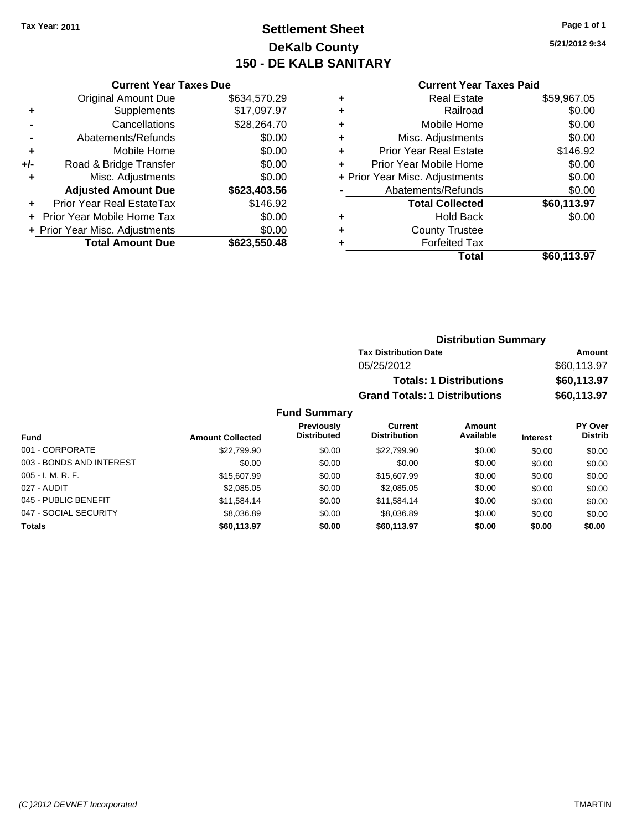# **Settlement Sheet Tax Year: 2011 Page 1 of 1 DeKalb County 150 - DE KALB SANITARY**

**5/21/2012 9:34**

### **Current Year Taxes Paid**

|     | <b>Current Year Taxes Due</b>  |              |
|-----|--------------------------------|--------------|
|     | <b>Original Amount Due</b>     | \$634,570.29 |
| ٠   | Supplements                    | \$17,097.97  |
|     | Cancellations                  | \$28,264.70  |
|     | Abatements/Refunds             | \$0.00       |
| ÷   | Mobile Home                    | \$0.00       |
| +/- | Road & Bridge Transfer         | \$0.00       |
| ٠   | Misc. Adjustments              | \$0.00       |
|     | <b>Adjusted Amount Due</b>     | \$623,403.56 |
|     | Prior Year Real EstateTax      | \$146.92     |
|     | Prior Year Mobile Home Tax     | \$0.00       |
|     | + Prior Year Misc. Adjustments | \$0.00       |
|     | <b>Total Amount Due</b>        | \$623,550.48 |

| ٠ | <b>Real Estate</b>             | \$59,967.05 |
|---|--------------------------------|-------------|
| ٠ | Railroad                       | \$0.00      |
| ٠ | Mobile Home                    | \$0.00      |
| ٠ | Misc. Adjustments              | \$0.00      |
| ÷ | <b>Prior Year Real Estate</b>  | \$146.92    |
|   | Prior Year Mobile Home         | \$0.00      |
|   | + Prior Year Misc. Adjustments | \$0.00      |
|   | Abatements/Refunds             | \$0.00      |
|   | <b>Total Collected</b>         | \$60,113.97 |
| ٠ | <b>Hold Back</b>               | \$0.00      |
|   | <b>County Trustee</b>          |             |
| ٠ | <b>Forfeited Tax</b>           |             |
|   | Total                          | \$60,113.97 |
|   |                                |             |

| <b>Distribution Summary</b>          |             |  |  |
|--------------------------------------|-------------|--|--|
| <b>Tax Distribution Date</b>         | Amount      |  |  |
| 05/25/2012                           | \$60,113.97 |  |  |
| <b>Totals: 1 Distributions</b>       | \$60,113.97 |  |  |
| <b>Grand Totals: 1 Distributions</b> | \$60,113.97 |  |  |

|                          |                         | <b>Previously</b>  | Current             | Amount    |                 | PY Over        |
|--------------------------|-------------------------|--------------------|---------------------|-----------|-----------------|----------------|
| Fund                     | <b>Amount Collected</b> | <b>Distributed</b> | <b>Distribution</b> | Available | <b>Interest</b> | <b>Distrib</b> |
| 001 - CORPORATE          | \$22,799.90             | \$0.00             | \$22,799.90         | \$0.00    | \$0.00          | \$0.00         |
| 003 - BONDS AND INTEREST | \$0.00                  | \$0.00             | \$0.00              | \$0.00    | \$0.00          | \$0.00         |
| $005 - I. M. R. F.$      | \$15,607.99             | \$0.00             | \$15,607.99         | \$0.00    | \$0.00          | \$0.00         |
| 027 - AUDIT              | \$2,085.05              | \$0.00             | \$2,085.05          | \$0.00    | \$0.00          | \$0.00         |
| 045 - PUBLIC BENEFIT     | \$11.584.14             | \$0.00             | \$11,584.14         | \$0.00    | \$0.00          | \$0.00         |
| 047 - SOCIAL SECURITY    | \$8,036.89              | \$0.00             | \$8,036.89          | \$0.00    | \$0.00          | \$0.00         |
| <b>Totals</b>            | \$60,113.97             | \$0.00             | \$60.113.97         | \$0.00    | \$0.00          | \$0.00         |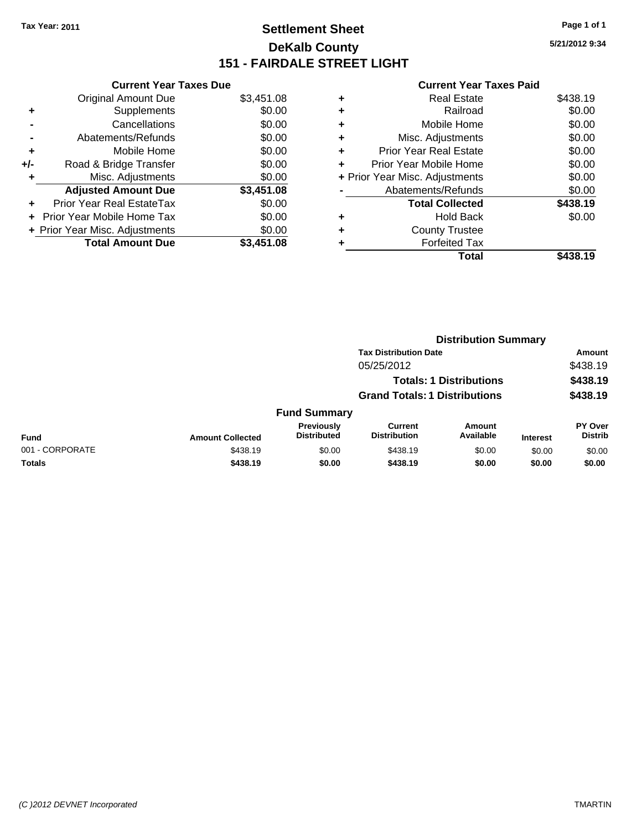# **Settlement Sheet Tax Year: 2011 Page 1 of 1 DeKalb County 151 - FAIRDALE STREET LIGHT**

**5/21/2012 9:34**

|     | <b>Current Year Taxes Due</b>  |            |
|-----|--------------------------------|------------|
|     | <b>Original Amount Due</b>     | \$3,451.08 |
| ٠   | Supplements                    | \$0.00     |
|     | Cancellations                  | \$0.00     |
|     | Abatements/Refunds             | \$0.00     |
| ٠   | Mobile Home                    | \$0.00     |
| +/- | Road & Bridge Transfer         | \$0.00     |
|     | Misc. Adjustments              | \$0.00     |
|     | <b>Adjusted Amount Due</b>     | \$3,451.08 |
| ÷   | Prior Year Real EstateTax      | \$0.00     |
| ÷   | Prior Year Mobile Home Tax     | \$0.00     |
|     | + Prior Year Misc. Adjustments | \$0.00     |
|     | <b>Total Amount Due</b>        | \$3,451.08 |

|   | Total                          | \$438.19 |
|---|--------------------------------|----------|
| ٠ | <b>Forfeited Tax</b>           |          |
| ٠ | <b>County Trustee</b>          |          |
| ٠ | <b>Hold Back</b>               | \$0.00   |
|   | <b>Total Collected</b>         | \$438.19 |
|   | Abatements/Refunds             | \$0.00   |
|   | + Prior Year Misc. Adjustments | \$0.00   |
| ٠ | Prior Year Mobile Home         | \$0.00   |
| ÷ | Prior Year Real Estate         | \$0.00   |
| ٠ | Misc. Adjustments              | \$0.00   |
| ٠ | Mobile Home                    | \$0.00   |
| ٠ | Railroad                       | \$0.00   |
| ٠ | <b>Real Estate</b>             | \$438.19 |
|   |                                |          |

|                 |                         |                                         | <b>Distribution Summary</b>           |                                |                 |                                  |
|-----------------|-------------------------|-----------------------------------------|---------------------------------------|--------------------------------|-----------------|----------------------------------|
|                 |                         |                                         | <b>Tax Distribution Date</b>          |                                |                 | Amount                           |
|                 |                         |                                         | 05/25/2012                            |                                |                 | \$438.19                         |
|                 |                         |                                         |                                       | <b>Totals: 1 Distributions</b> |                 | \$438.19                         |
|                 |                         |                                         | <b>Grand Totals: 1 Distributions</b>  |                                |                 | \$438.19                         |
|                 |                         | <b>Fund Summary</b>                     |                                       |                                |                 |                                  |
| Fund            | <b>Amount Collected</b> | <b>Previously</b><br><b>Distributed</b> | <b>Current</b><br><b>Distribution</b> | <b>Amount</b><br>Available     | <b>Interest</b> | <b>PY Over</b><br><b>Distrib</b> |
| 001 - CORPORATE | \$438.19                | \$0.00                                  | \$438.19                              | \$0.00                         | \$0.00          | \$0.00                           |
| Totals          | \$438.19                | \$0.00                                  | \$438.19                              | \$0.00                         | \$0.00          | \$0.00                           |
|                 |                         |                                         |                                       |                                |                 |                                  |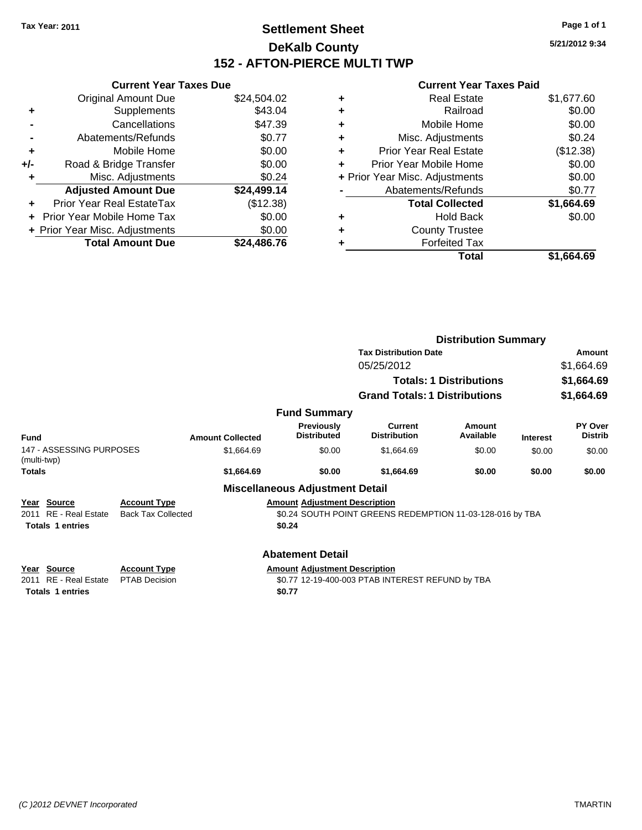# **Settlement Sheet Tax Year: 2011 Page 1 of 1 DeKalb County 152 - AFTON-PIERCE MULTI TWP**

**5/21/2012 9:34**

|     | <b>Current Year Taxes Due</b>  |             |  |  |
|-----|--------------------------------|-------------|--|--|
|     | <b>Original Amount Due</b>     | \$24,504.02 |  |  |
| ٠   | Supplements                    | \$43.04     |  |  |
|     | Cancellations                  | \$47.39     |  |  |
|     | Abatements/Refunds             | \$0.77      |  |  |
| ٠   | Mobile Home                    | \$0.00      |  |  |
| +/- | Road & Bridge Transfer         | \$0.00      |  |  |
|     | Misc. Adjustments              | \$0.24      |  |  |
|     | <b>Adjusted Amount Due</b>     | \$24,499.14 |  |  |
|     | Prior Year Real EstateTax      | (\$12.38)   |  |  |
|     | Prior Year Mobile Home Tax     | \$0.00      |  |  |
|     | + Prior Year Misc. Adjustments | \$0.00      |  |  |
|     | <b>Total Amount Due</b>        | \$24.486.76 |  |  |
|     |                                |             |  |  |

|   | Real Estate                    | \$1,677.60 |
|---|--------------------------------|------------|
| ٠ | Railroad                       | \$0.00     |
| ٠ | Mobile Home                    | \$0.00     |
| ٠ | Misc. Adjustments              | \$0.24     |
| ÷ | <b>Prior Year Real Estate</b>  | (\$12.38)  |
| ٠ | Prior Year Mobile Home         | \$0.00     |
|   | + Prior Year Misc. Adjustments | \$0.00     |
|   | Abatements/Refunds             | \$0.77     |
|   | <b>Total Collected</b>         | \$1,664.69 |
| ٠ | Hold Back                      | \$0.00     |
| ٠ | <b>County Trustee</b>          |            |
|   | <b>Forfeited Tax</b>           |            |
|   | Total                          | \$1.664.69 |

|                                                                           |                                                  |                                                                           |                                                           | <b>Distribution Summary</b>    |                 |                                  |
|---------------------------------------------------------------------------|--------------------------------------------------|---------------------------------------------------------------------------|-----------------------------------------------------------|--------------------------------|-----------------|----------------------------------|
|                                                                           |                                                  |                                                                           | <b>Tax Distribution Date</b>                              |                                |                 | Amount                           |
|                                                                           |                                                  |                                                                           | 05/25/2012                                                |                                |                 | \$1,664.69                       |
|                                                                           |                                                  |                                                                           |                                                           | <b>Totals: 1 Distributions</b> |                 | \$1,664.69                       |
|                                                                           |                                                  |                                                                           | <b>Grand Totals: 1 Distributions</b>                      |                                |                 | \$1,664.69                       |
|                                                                           |                                                  | <b>Fund Summary</b>                                                       |                                                           |                                |                 |                                  |
| Fund                                                                      | <b>Amount Collected</b>                          | <b>Previously</b><br><b>Distributed</b>                                   | <b>Current</b><br><b>Distribution</b>                     | Amount<br>Available            | <b>Interest</b> | <b>PY Over</b><br><b>Distrib</b> |
| 147 - ASSESSING PURPOSES<br>(multi-twp)                                   | \$1.664.69                                       | \$0.00                                                                    | \$1,664.69                                                | \$0.00                         | \$0.00          | \$0.00                           |
| <b>Totals</b>                                                             | \$1,664.69                                       | \$0.00                                                                    | \$1,664.69                                                | \$0.00                         | \$0.00          | \$0.00                           |
|                                                                           |                                                  | <b>Miscellaneous Adjustment Detail</b>                                    |                                                           |                                |                 |                                  |
| Year Source<br><b>RE</b> - Real Estate<br>2011<br><b>Totals 1 entries</b> | <b>Account Type</b><br><b>Back Tax Collected</b> | <b>Amount Adjustment Description</b><br>\$0.24                            | \$0.24 SOUTH POINT GREENS REDEMPTION 11-03-128-016 by TBA |                                |                 |                                  |
| Year Source<br><b>RE</b> - Real Estate<br>2011<br><b>Totals 1 entries</b> | <b>Account Type</b><br><b>PTAB Decision</b>      | <b>Abatement Detail</b><br><b>Amount Adjustment Description</b><br>\$0.77 | \$0.77 12-19-400-003 PTAB INTEREST REFUND by TBA          |                                |                 |                                  |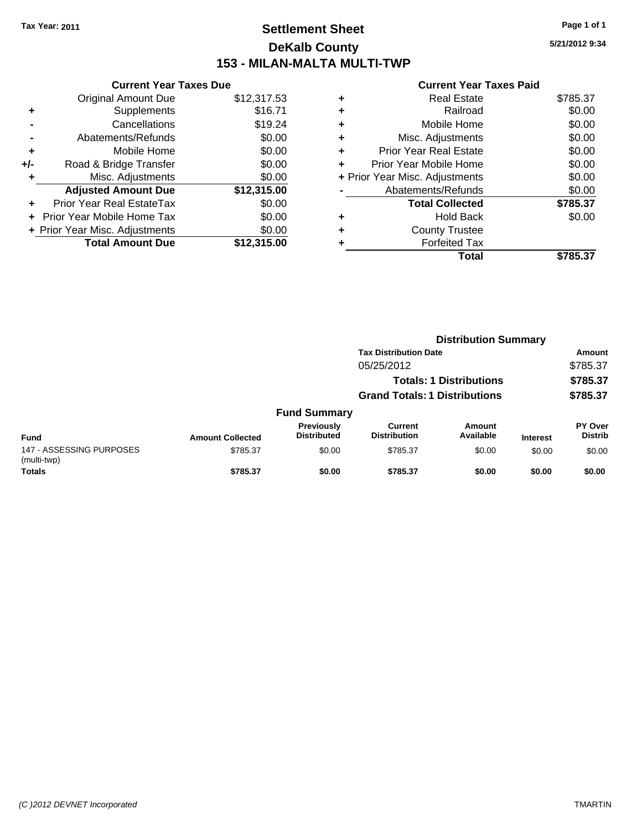# **Settlement Sheet Tax Year: 2011 Page 1 of 1 DeKalb County 153 - MILAN-MALTA MULTI-TWP**

**5/21/2012 9:34**

|     | <b>Current Year Taxes Due</b>  |             |
|-----|--------------------------------|-------------|
|     | <b>Original Amount Due</b>     | \$12,317.53 |
| ٠   | Supplements                    | \$16.71     |
|     | Cancellations                  | \$19.24     |
|     | Abatements/Refunds             | \$0.00      |
| ٠   | Mobile Home                    | \$0.00      |
| +/- | Road & Bridge Transfer         | \$0.00      |
|     | Misc. Adjustments              | \$0.00      |
|     | <b>Adjusted Amount Due</b>     | \$12,315.00 |
|     | Prior Year Real EstateTax      | \$0.00      |
|     | Prior Year Mobile Home Tax     | \$0.00      |
|     | + Prior Year Misc. Adjustments | \$0.00      |
|     | <b>Total Amount Due</b>        | \$12,315.00 |
|     |                                |             |

| ٠ | <b>Real Estate</b>             | \$785.37 |
|---|--------------------------------|----------|
| ٠ | Railroad                       | \$0.00   |
| ٠ | Mobile Home                    | \$0.00   |
| ٠ | Misc. Adjustments              | \$0.00   |
| ٠ | <b>Prior Year Real Estate</b>  | \$0.00   |
| ٠ | Prior Year Mobile Home         | \$0.00   |
|   | + Prior Year Misc. Adjustments | \$0.00   |
|   | Abatements/Refunds             | \$0.00   |
|   | <b>Total Collected</b>         | \$785.37 |
| ٠ | <b>Hold Back</b>               | \$0.00   |
| ٠ | <b>County Trustee</b>          |          |
| ٠ | <b>Forfeited Tax</b>           |          |
|   | Total                          | \$785.37 |
|   |                                |          |

|                                         |                         | <b>Distribution Summary</b>      |                                      |                                |                 |                           |
|-----------------------------------------|-------------------------|----------------------------------|--------------------------------------|--------------------------------|-----------------|---------------------------|
|                                         |                         |                                  | <b>Tax Distribution Date</b>         |                                |                 | Amount                    |
|                                         |                         |                                  | 05/25/2012                           |                                |                 | \$785.37                  |
|                                         |                         |                                  |                                      | <b>Totals: 1 Distributions</b> |                 | \$785.37                  |
|                                         |                         |                                  | <b>Grand Totals: 1 Distributions</b> |                                |                 | \$785.37                  |
|                                         |                         | <b>Fund Summary</b>              |                                      |                                |                 |                           |
| <b>Fund</b>                             | <b>Amount Collected</b> | Previously<br><b>Distributed</b> | Current<br><b>Distribution</b>       | Amount<br>Available            | <b>Interest</b> | PY Over<br><b>Distrib</b> |
| 147 - ASSESSING PURPOSES<br>(multi-twp) | \$785.37                | \$0.00                           | \$785.37                             | \$0.00                         | \$0.00          | \$0.00                    |
| <b>Totals</b>                           | \$785.37                | \$0.00                           | \$785.37                             | \$0.00                         | \$0.00          | \$0.00                    |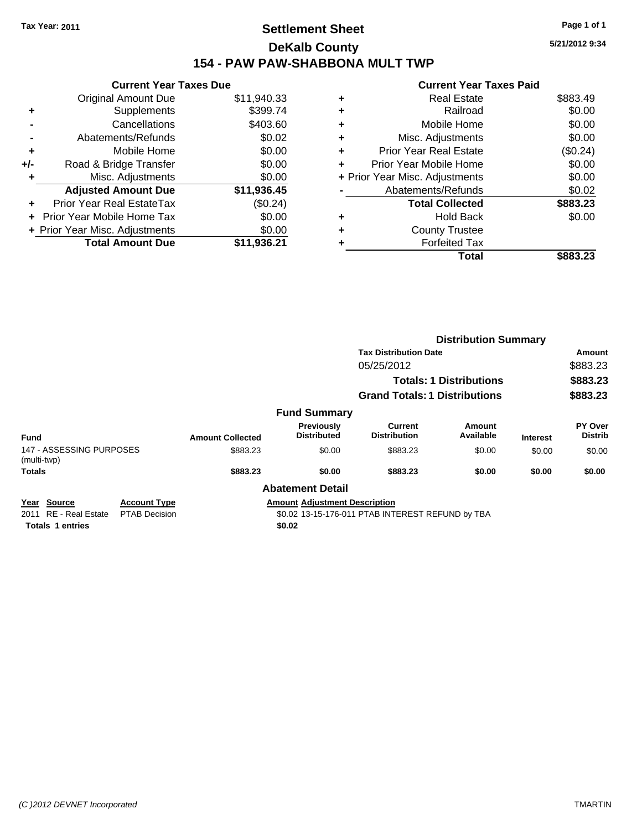# **Settlement Sheet Tax Year: 2011 Page 1 of 1 DeKalb County 154 - PAW PAW-SHABBONA MULT TWP**

**5/21/2012 9:34**

| <b>Original Amount Due</b>     | \$11,940.33                   |
|--------------------------------|-------------------------------|
| Supplements                    | \$399.74                      |
| Cancellations                  | \$403.60                      |
| Abatements/Refunds             | \$0.02                        |
| Mobile Home                    | \$0.00                        |
| Road & Bridge Transfer         | \$0.00                        |
| Misc. Adjustments              | \$0.00                        |
| <b>Adjusted Amount Due</b>     | \$11,936.45                   |
| Prior Year Real EstateTax      | (\$0.24)                      |
| Prior Year Mobile Home Tax     | \$0.00                        |
| + Prior Year Misc. Adjustments | \$0.00                        |
| <b>Total Amount Due</b>        | \$11.936.21                   |
|                                | <b>Current Year Taxes Due</b> |

|   | Total                          | \$883.23 |
|---|--------------------------------|----------|
|   | <b>Forfeited Tax</b>           |          |
| ٠ | <b>County Trustee</b>          |          |
| ٠ | <b>Hold Back</b>               | \$0.00   |
|   | <b>Total Collected</b>         | \$883.23 |
|   | Abatements/Refunds             | \$0.02   |
|   | + Prior Year Misc. Adjustments | \$0.00   |
|   | Prior Year Mobile Home         | \$0.00   |
| ÷ | Prior Year Real Estate         | (\$0.24) |
| ٠ | Misc. Adjustments              | \$0.00   |
| ٠ | Mobile Home                    | \$0.00   |
| ٠ | Railroad                       | \$0.00   |
| ٠ | <b>Real Estate</b>             | \$883.49 |
|   |                                |          |

|                                                                              |                                             |                         |                                                | <b>Distribution Summary</b>                      |                                |                 |                           |
|------------------------------------------------------------------------------|---------------------------------------------|-------------------------|------------------------------------------------|--------------------------------------------------|--------------------------------|-----------------|---------------------------|
|                                                                              |                                             |                         |                                                | <b>Tax Distribution Date</b>                     |                                |                 | Amount                    |
|                                                                              |                                             |                         |                                                | 05/25/2012                                       |                                |                 | \$883.23                  |
|                                                                              |                                             |                         |                                                |                                                  | <b>Totals: 1 Distributions</b> |                 | \$883.23                  |
|                                                                              |                                             |                         |                                                | <b>Grand Totals: 1 Distributions</b>             |                                |                 | \$883.23                  |
|                                                                              |                                             |                         | <b>Fund Summary</b>                            |                                                  |                                |                 |                           |
| <b>Fund</b>                                                                  |                                             | <b>Amount Collected</b> | <b>Previously</b><br><b>Distributed</b>        | Current<br><b>Distribution</b>                   | Amount<br>Available            | <b>Interest</b> | PY Over<br><b>Distrib</b> |
| 147 - ASSESSING PURPOSES<br>(multi-twp)                                      |                                             | \$883.23                | \$0.00                                         | \$883.23                                         | \$0.00                         | \$0.00          | \$0.00                    |
| <b>Totals</b>                                                                |                                             | \$883.23                | \$0.00                                         | \$883.23                                         | \$0.00                         | \$0.00          | \$0.00                    |
|                                                                              |                                             |                         | <b>Abatement Detail</b>                        |                                                  |                                |                 |                           |
| Source<br>Year<br><b>RE</b> - Real Estate<br>2011<br><b>Totals 1 entries</b> | <b>Account Type</b><br><b>PTAB Decision</b> |                         | <b>Amount Adjustment Description</b><br>\$0.02 | \$0.02 13-15-176-011 PTAB INTEREST REFUND by TBA |                                |                 |                           |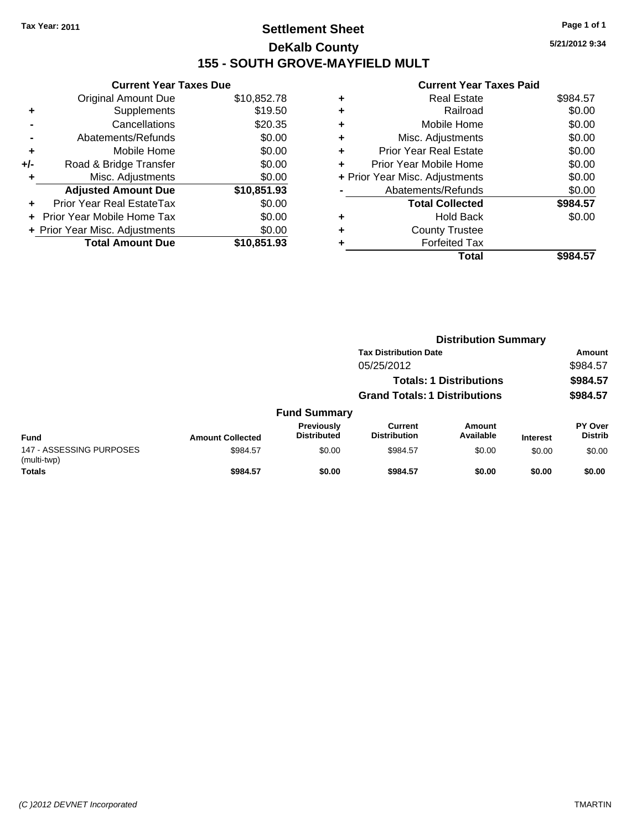# **Settlement Sheet Tax Year: 2011 Page 1 of 1 DeKalb County 155 - SOUTH GROVE-MAYFIELD MULT**

**5/21/2012 9:34**

|                                          | <b>Current Year Taxes Due</b>     |             |  |  |  |
|------------------------------------------|-----------------------------------|-------------|--|--|--|
|                                          | <b>Original Amount Due</b>        | \$10,852.78 |  |  |  |
| ٠                                        | Supplements                       | \$19.50     |  |  |  |
|                                          | Cancellations                     | \$20.35     |  |  |  |
|                                          | Abatements/Refunds                | \$0.00      |  |  |  |
| ٠                                        | Mobile Home                       | \$0.00      |  |  |  |
| +/-                                      | Road & Bridge Transfer            | \$0.00      |  |  |  |
|                                          | Misc. Adjustments                 | \$0.00      |  |  |  |
|                                          | <b>Adjusted Amount Due</b>        | \$10,851.93 |  |  |  |
| ÷                                        | Prior Year Real EstateTax         | \$0.00      |  |  |  |
|                                          | <b>Prior Year Mobile Home Tax</b> | \$0.00      |  |  |  |
| \$0.00<br>+ Prior Year Misc. Adjustments |                                   |             |  |  |  |
|                                          | <b>Total Amount Due</b>           | \$10,851,93 |  |  |  |

|   | Total                          | \$984.57 |
|---|--------------------------------|----------|
| ٠ | <b>Forfeited Tax</b>           |          |
| ٠ | <b>County Trustee</b>          |          |
| ٠ | <b>Hold Back</b>               | \$0.00   |
|   | <b>Total Collected</b>         | \$984.57 |
|   | Abatements/Refunds             | \$0.00   |
|   | + Prior Year Misc. Adjustments | \$0.00   |
| ٠ | Prior Year Mobile Home         | \$0.00   |
| ÷ | <b>Prior Year Real Estate</b>  | \$0.00   |
| ٠ | Misc. Adjustments              | \$0.00   |
| ٠ | Mobile Home                    | \$0.00   |
| ٠ | Railroad                       | \$0.00   |
| ٠ | <b>Real Estate</b>             | \$984.57 |
|   |                                |          |

|                                         |                         |                                  | <b>Distribution Summary</b>          |                                |                 |                           |
|-----------------------------------------|-------------------------|----------------------------------|--------------------------------------|--------------------------------|-----------------|---------------------------|
|                                         |                         |                                  | <b>Tax Distribution Date</b>         |                                |                 | Amount                    |
|                                         |                         |                                  | 05/25/2012                           |                                |                 | \$984.57                  |
|                                         |                         |                                  |                                      | <b>Totals: 1 Distributions</b> |                 | \$984.57                  |
|                                         |                         |                                  | <b>Grand Totals: 1 Distributions</b> |                                |                 | \$984.57                  |
|                                         |                         | <b>Fund Summary</b>              |                                      |                                |                 |                           |
| <b>Fund</b>                             | <b>Amount Collected</b> | Previously<br><b>Distributed</b> | Current<br><b>Distribution</b>       | Amount<br>Available            | <b>Interest</b> | PY Over<br><b>Distrib</b> |
| 147 - ASSESSING PURPOSES<br>(multi-twp) | \$984.57                | \$0.00                           | \$984.57                             | \$0.00                         | \$0.00          | \$0.00                    |
| <b>Totals</b>                           | \$984.57                | \$0.00                           | \$984.57                             | \$0.00                         | \$0.00          | \$0.00                    |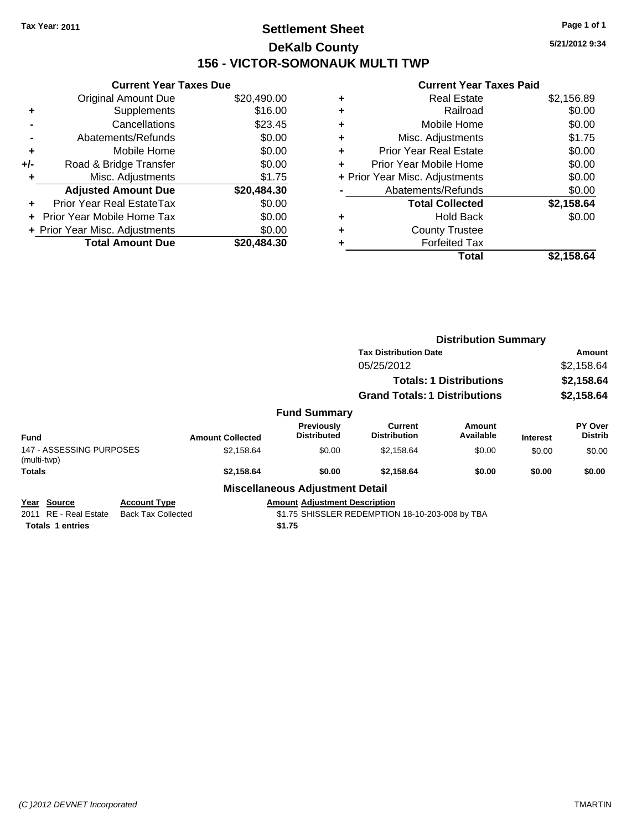# **Settlement Sheet Tax Year: 2011 Page 1 of 1 DeKalb County 156 - VICTOR-SOMONAUK MULTI TWP**

**5/21/2012 9:34**

| <b>Current Year Taxes Due</b>            |             |  |  |  |  |
|------------------------------------------|-------------|--|--|--|--|
| <b>Original Amount Due</b>               | \$20,490.00 |  |  |  |  |
| Supplements                              | \$16.00     |  |  |  |  |
| Cancellations                            | \$23.45     |  |  |  |  |
| Abatements/Refunds                       | \$0.00      |  |  |  |  |
| Mobile Home                              | \$0.00      |  |  |  |  |
| Road & Bridge Transfer                   | \$0.00      |  |  |  |  |
| Misc. Adjustments                        | \$1.75      |  |  |  |  |
| <b>Adjusted Amount Due</b>               | \$20,484.30 |  |  |  |  |
| Prior Year Real EstateTax                | \$0.00      |  |  |  |  |
| <b>Prior Year Mobile Home Tax</b>        | \$0.00      |  |  |  |  |
| \$0.00<br>+ Prior Year Misc. Adjustments |             |  |  |  |  |
| <b>Total Amount Due</b>                  | \$20.484.30 |  |  |  |  |
|                                          |             |  |  |  |  |

| ٠ | <b>Real Estate</b>             | \$2,156.89 |
|---|--------------------------------|------------|
| ٠ | Railroad                       | \$0.00     |
| ٠ | Mobile Home                    | \$0.00     |
| ٠ | Misc. Adjustments              | \$1.75     |
| ÷ | Prior Year Real Estate         | \$0.00     |
|   | Prior Year Mobile Home         | \$0.00     |
|   | + Prior Year Misc. Adjustments | \$0.00     |
|   | Abatements/Refunds             | \$0.00     |
|   | <b>Total Collected</b>         | \$2,158.64 |
| ٠ | Hold Back                      | \$0.00     |
| ٠ | <b>County Trustee</b>          |            |
| ٠ | <b>Forfeited Tax</b>           |            |
|   | Total                          | \$2,158.64 |

|                                            |                                                  |                         |                                        | <b>Distribution Summary</b>                     |                                |                 |                                  |  |
|--------------------------------------------|--------------------------------------------------|-------------------------|----------------------------------------|-------------------------------------------------|--------------------------------|-----------------|----------------------------------|--|
|                                            |                                                  |                         |                                        | <b>Tax Distribution Date</b>                    |                                |                 | <b>Amount</b>                    |  |
|                                            |                                                  |                         |                                        | 05/25/2012                                      |                                |                 | \$2,158.64                       |  |
|                                            |                                                  |                         |                                        |                                                 | <b>Totals: 1 Distributions</b> |                 | \$2,158.64                       |  |
|                                            |                                                  |                         |                                        | <b>Grand Totals: 1 Distributions</b>            |                                |                 | \$2,158.64                       |  |
|                                            |                                                  |                         | <b>Fund Summary</b>                    |                                                 |                                |                 |                                  |  |
| <b>Fund</b>                                |                                                  | <b>Amount Collected</b> | Previously<br><b>Distributed</b>       | <b>Current</b><br><b>Distribution</b>           | Amount<br>Available            | <b>Interest</b> | <b>PY Over</b><br><b>Distrib</b> |  |
| 147 - ASSESSING PURPOSES<br>(multi-twp)    |                                                  | \$2,158.64              | \$0.00                                 | \$2,158.64                                      | \$0.00                         | \$0.00          | \$0.00                           |  |
| <b>Totals</b>                              |                                                  | \$2,158.64              | \$0.00                                 | \$2,158.64                                      | \$0.00                         | \$0.00          | \$0.00                           |  |
|                                            |                                                  |                         | <b>Miscellaneous Adjustment Detail</b> |                                                 |                                |                 |                                  |  |
| Source<br>Year<br>RE - Real Estate<br>2011 | <b>Account Type</b><br><b>Back Tax Collected</b> |                         | <b>Amount Adiustment Description</b>   | \$1.75 SHISSLER REDEMPTION 18-10-203-008 by TBA |                                |                 |                                  |  |
| <b>Totals 1 entries</b>                    |                                                  |                         | \$1.75                                 |                                                 |                                |                 |                                  |  |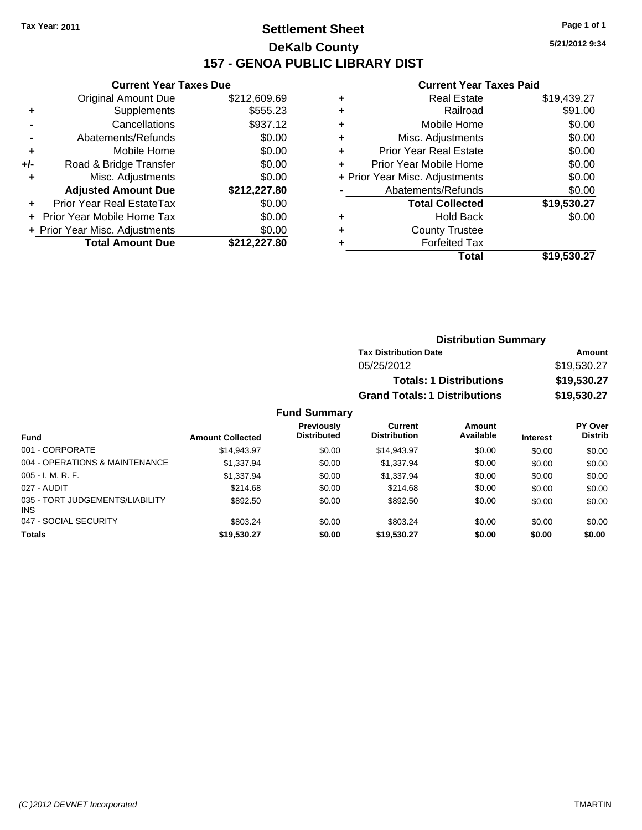# **Settlement Sheet Tax Year: 2011 Page 1 of 1 DeKalb County 157 - GENOA PUBLIC LIBRARY DIST**

### **Current Year Taxes Due**

|     | <b>Total Amount Due</b>        | \$212,227.80 |
|-----|--------------------------------|--------------|
|     | + Prior Year Misc. Adjustments | \$0.00       |
|     | Prior Year Mobile Home Tax     | \$0.00       |
|     | Prior Year Real EstateTax      | \$0.00       |
|     | <b>Adjusted Amount Due</b>     | \$212,227.80 |
| ÷   | Misc. Adjustments              | \$0.00       |
| +/- | Road & Bridge Transfer         | \$0.00       |
| ٠   | Mobile Home                    | \$0.00       |
|     | Abatements/Refunds             | \$0.00       |
|     | Cancellations                  | \$937.12     |
| ٠   | Supplements                    | \$555.23     |
|     | <b>Original Amount Due</b>     | \$212,609.69 |

#### **Current Year Taxes Paid**

|   | <b>Real Estate</b>             | \$19,439.27 |
|---|--------------------------------|-------------|
| ٠ | Railroad                       | \$91.00     |
| ٠ | Mobile Home                    | \$0.00      |
| ٠ | Misc. Adjustments              | \$0.00      |
| ٠ | <b>Prior Year Real Estate</b>  | \$0.00      |
|   | Prior Year Mobile Home         | \$0.00      |
|   | + Prior Year Misc. Adjustments | \$0.00      |
|   | Abatements/Refunds             | \$0.00      |
|   | <b>Total Collected</b>         | \$19,530.27 |
|   | <b>Hold Back</b>               | \$0.00      |
|   | <b>County Trustee</b>          |             |
|   | <b>Forfeited Tax</b>           |             |
|   | Total                          | \$19,530.27 |
|   |                                |             |

### **Distribution Summary Tax Distribution Date Amount** 05/25/2012 \$19,530.27 **Totals: 1 Distributions \$19,530.27 Grand Totals: 1 Distributions \$19,530.27**

|                                        |                         | <b>Previously</b><br><b>Distributed</b> | Current<br><b>Distribution</b> | Amount<br>Available |                 | <b>PY Over</b><br><b>Distrib</b> |
|----------------------------------------|-------------------------|-----------------------------------------|--------------------------------|---------------------|-----------------|----------------------------------|
| Fund                                   | <b>Amount Collected</b> |                                         |                                |                     | <b>Interest</b> |                                  |
| 001 - CORPORATE                        | \$14,943.97             | \$0.00                                  | \$14,943.97                    | \$0.00              | \$0.00          | \$0.00                           |
| 004 - OPERATIONS & MAINTENANCE         | \$1.337.94              | \$0.00                                  | \$1,337.94                     | \$0.00              | \$0.00          | \$0.00                           |
| $005 - I. M. R. F.$                    | \$1,337.94              | \$0.00                                  | \$1,337.94                     | \$0.00              | \$0.00          | \$0.00                           |
| 027 - AUDIT                            | \$214.68                | \$0.00                                  | \$214.68                       | \$0.00              | \$0.00          | \$0.00                           |
| 035 - TORT JUDGEMENTS/LIABILITY<br>INS | \$892.50                | \$0.00                                  | \$892.50                       | \$0.00              | \$0.00          | \$0.00                           |
| 047 - SOCIAL SECURITY                  | \$803.24                | \$0.00                                  | \$803.24                       | \$0.00              | \$0.00          | \$0.00                           |
| <b>Totals</b>                          | \$19,530.27             | \$0.00                                  | \$19.530.27                    | \$0.00              | \$0.00          | \$0.00                           |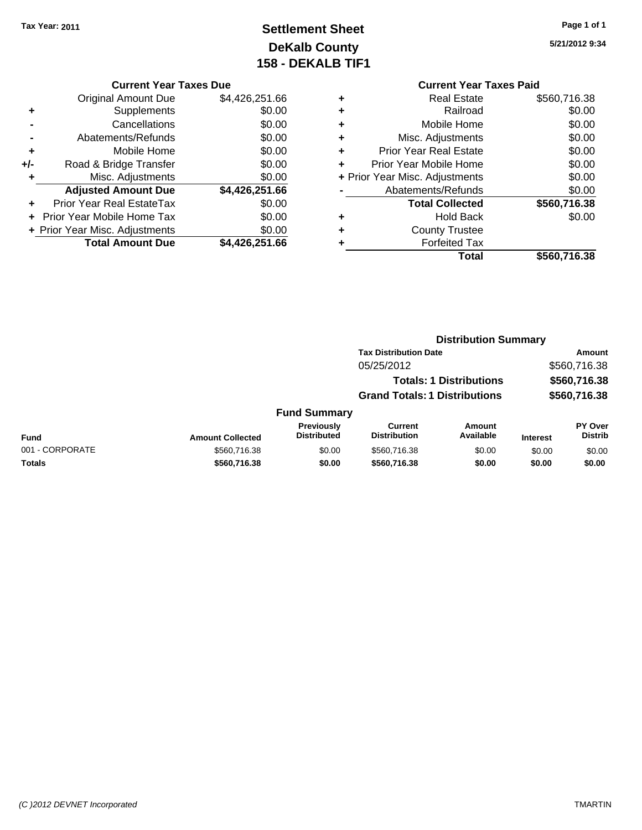# **Settlement Sheet Tax Year: 2011 Page 1 of 1 DeKalb County 158 - DEKALB TIF1**

**5/21/2012 9:34**

| <b>Original Amount Due</b>        | \$4,426,251.66                 |
|-----------------------------------|--------------------------------|
| Supplements                       | \$0.00                         |
| Cancellations                     | \$0.00                         |
| Abatements/Refunds                | \$0.00                         |
| Mobile Home                       | \$0.00                         |
| Road & Bridge Transfer            | \$0.00                         |
| Misc. Adjustments                 | \$0.00                         |
| <b>Adjusted Amount Due</b>        | \$4,426,251.66                 |
| <b>Prior Year Real EstateTax</b>  | \$0.00                         |
| <b>Prior Year Mobile Home Tax</b> | \$0.00                         |
|                                   | \$0.00                         |
| <b>Total Amount Due</b>           | \$4,426,251.66                 |
|                                   | + Prior Year Misc. Adjustments |

## **Current Year Taxes Paid**

|   | <b>Real Estate</b>             | \$560,716.38 |
|---|--------------------------------|--------------|
| ÷ | Railroad                       | \$0.00       |
| ÷ | Mobile Home                    | \$0.00       |
| ٠ | Misc. Adjustments              | \$0.00       |
| ٠ | <b>Prior Year Real Estate</b>  | \$0.00       |
|   | Prior Year Mobile Home         | \$0.00       |
|   | + Prior Year Misc. Adjustments | \$0.00       |
|   | Abatements/Refunds             | \$0.00       |
|   | <b>Total Collected</b>         | \$560,716.38 |
| ٠ | Hold Back                      | \$0.00       |
| ٠ | <b>County Trustee</b>          |              |
|   | <b>Forfeited Tax</b>           |              |
|   | Total                          | \$560,716.38 |
|   |                                |              |

|                 | <b>Distribution Summary</b> |                                  |                                      |                                |                 |                           |  |
|-----------------|-----------------------------|----------------------------------|--------------------------------------|--------------------------------|-----------------|---------------------------|--|
|                 |                             |                                  | <b>Tax Distribution Date</b>         |                                |                 | Amount                    |  |
|                 |                             |                                  | 05/25/2012                           |                                |                 | \$560,716.38              |  |
|                 |                             |                                  |                                      | <b>Totals: 1 Distributions</b> |                 | \$560,716.38              |  |
|                 |                             |                                  | <b>Grand Totals: 1 Distributions</b> |                                |                 | \$560,716.38              |  |
|                 |                             | <b>Fund Summary</b>              |                                      |                                |                 |                           |  |
| Fund            | <b>Amount Collected</b>     | Previously<br><b>Distributed</b> | Current<br><b>Distribution</b>       | Amount<br>Available            | <b>Interest</b> | PY Over<br><b>Distrib</b> |  |
| 001 - CORPORATE | \$560,716.38                | \$0.00                           | \$560,716.38                         | \$0.00                         | \$0.00          | \$0.00                    |  |
| Totals          | \$560,716.38                | \$0.00                           | \$560,716.38                         | \$0.00                         | \$0.00          | \$0.00                    |  |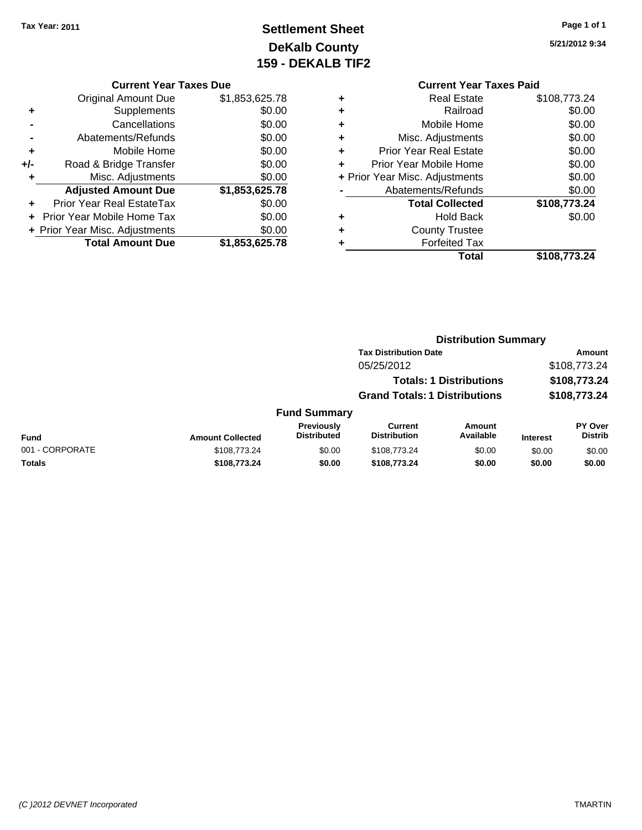# **Settlement Sheet Tax Year: 2011 Page 1 of 1 DeKalb County 159 - DEKALB TIF2**

**5/21/2012 9:34**

#### **Current Year Taxes Due**

|     | <b>Original Amount Due</b>       | \$1,853,625.78 |
|-----|----------------------------------|----------------|
| ٠   | Supplements                      | \$0.00         |
|     | Cancellations                    | \$0.00         |
|     | Abatements/Refunds               | \$0.00         |
| ÷   | Mobile Home                      | \$0.00         |
| +/- | Road & Bridge Transfer           | \$0.00         |
| ٠   | Misc. Adjustments                | \$0.00         |
|     | <b>Adjusted Amount Due</b>       | \$1,853,625.78 |
|     | <b>Prior Year Real EstateTax</b> | \$0.00         |
|     | Prior Year Mobile Home Tax       | \$0.00         |
|     | + Prior Year Misc. Adjustments   | \$0.00         |
|     | <b>Total Amount Due</b>          | \$1,853,625.78 |

# **Current Year Taxes Paid**

|   | <b>Real Estate</b>             | \$108,773.24 |
|---|--------------------------------|--------------|
| ٠ | Railroad                       | \$0.00       |
| ٠ | Mobile Home                    | \$0.00       |
| ٠ | Misc. Adjustments              | \$0.00       |
| ٠ | <b>Prior Year Real Estate</b>  | \$0.00       |
|   | Prior Year Mobile Home         | \$0.00       |
|   | + Prior Year Misc. Adjustments | \$0.00       |
|   | Abatements/Refunds             | \$0.00       |
|   | <b>Total Collected</b>         | \$108,773.24 |
| ٠ | <b>Hold Back</b>               | \$0.00       |
| ٠ | <b>County Trustee</b>          |              |
|   | <b>Forfeited Tax</b>           |              |
|   | Total                          | \$108,773.24 |
|   |                                |              |

#### **Distribution Summary Tax Distribution Date Amount** 05/25/2012 \$108,773.24 **Totals: 1 Distributions \$108,773.24 Grand Totals: 1 Distributions \$108,773.24 Fund Summary PY Over Distrib Amount Available Current Distribution Previously**

| Fund            | <b>Amount Collected</b> | <b>Previously</b><br>Distributed | Current<br><b>Distribution</b> | Amount<br>Available | <b>Interest</b> | <b>PY Over</b><br>Distrib |
|-----------------|-------------------------|----------------------------------|--------------------------------|---------------------|-----------------|---------------------------|
| 001 - CORPORATE | \$108.773.24            | \$0.00                           | \$108,773,24                   | \$0.00              | \$0.00          | \$0.00                    |
| <b>Totals</b>   | \$108,773,24            | \$0.00                           | \$108,773,24                   | \$0.00              | \$0.00          | \$0.00                    |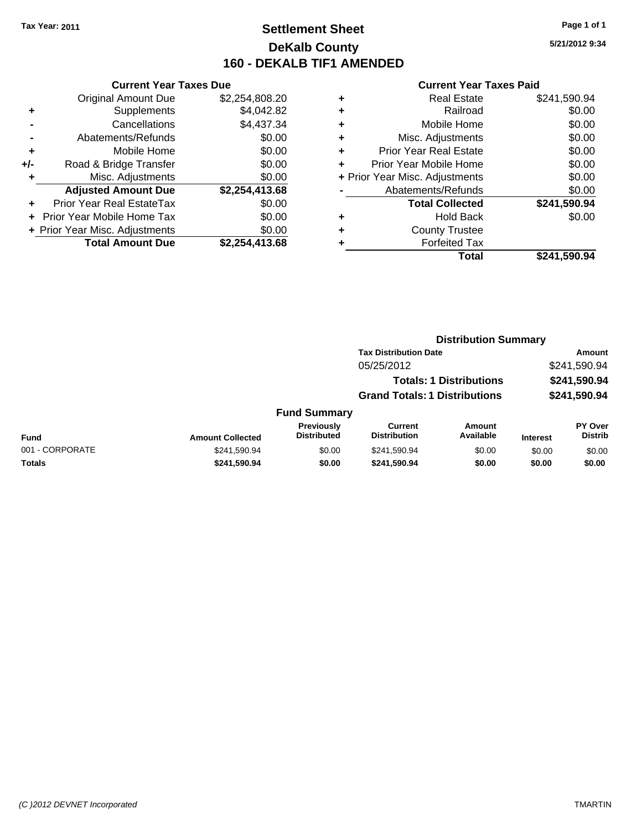# **Settlement Sheet Tax Year: 2011 Page 1 of 1 DeKalb County 160 - DEKALB TIF1 AMENDED**

**5/21/2012 9:34**

|     | <b>Current Year Taxes Due</b>     |                |  |  |  |  |
|-----|-----------------------------------|----------------|--|--|--|--|
|     | <b>Original Amount Due</b>        | \$2,254,808.20 |  |  |  |  |
| ٠   | Supplements                       | \$4,042.82     |  |  |  |  |
|     | Cancellations                     | \$4,437.34     |  |  |  |  |
|     | Abatements/Refunds                | \$0.00         |  |  |  |  |
| ٠   | Mobile Home                       | \$0.00         |  |  |  |  |
| +/- | Road & Bridge Transfer            | \$0.00         |  |  |  |  |
| ٠   | Misc. Adjustments                 | \$0.00         |  |  |  |  |
|     | <b>Adjusted Amount Due</b>        | \$2,254,413.68 |  |  |  |  |
| ٠   | Prior Year Real EstateTax         | \$0.00         |  |  |  |  |
|     | <b>Prior Year Mobile Home Tax</b> | \$0.00         |  |  |  |  |
|     | + Prior Year Misc. Adjustments    | \$0.00         |  |  |  |  |
|     | <b>Total Amount Due</b>           | \$2,254,413.68 |  |  |  |  |
|     |                                   |                |  |  |  |  |

| ٠ | <b>Real Estate</b>             | \$241,590.94 |
|---|--------------------------------|--------------|
| ٠ | Railroad                       | \$0.00       |
| ٠ | Mobile Home                    | \$0.00       |
| ٠ | Misc. Adjustments              | \$0.00       |
| ٠ | <b>Prior Year Real Estate</b>  | \$0.00       |
| ٠ | Prior Year Mobile Home         | \$0.00       |
|   | + Prior Year Misc. Adjustments | \$0.00       |
|   | Abatements/Refunds             | \$0.00       |
|   | <b>Total Collected</b>         | \$241,590.94 |
| ٠ | <b>Hold Back</b>               | \$0.00       |
| ٠ | <b>County Trustee</b>          |              |
| ٠ | <b>Forfeited Tax</b>           |              |
|   | Total                          | \$241,590.94 |
|   |                                |              |

|                 |                         |                                         |                                       | <b>Distribution Summary</b>    |                 |                           |  |
|-----------------|-------------------------|-----------------------------------------|---------------------------------------|--------------------------------|-----------------|---------------------------|--|
|                 |                         |                                         | <b>Tax Distribution Date</b>          |                                |                 | Amount                    |  |
|                 |                         |                                         | 05/25/2012                            |                                |                 | \$241,590.94              |  |
|                 |                         |                                         |                                       | <b>Totals: 1 Distributions</b> |                 | \$241,590.94              |  |
|                 |                         |                                         | <b>Grand Totals: 1 Distributions</b>  |                                |                 | \$241,590.94              |  |
|                 |                         | <b>Fund Summary</b>                     |                                       |                                |                 |                           |  |
| <b>Fund</b>     | <b>Amount Collected</b> | <b>Previously</b><br><b>Distributed</b> | <b>Current</b><br><b>Distribution</b> | Amount<br>Available            | <b>Interest</b> | PY Over<br><b>Distrib</b> |  |
| 001 - CORPORATE | \$241,590.94            | \$0.00                                  | \$241,590.94                          | \$0.00                         | \$0.00          | \$0.00                    |  |
| Totals          | \$241,590.94            | \$0.00                                  | \$241,590.94                          | \$0.00                         | \$0.00          | \$0.00                    |  |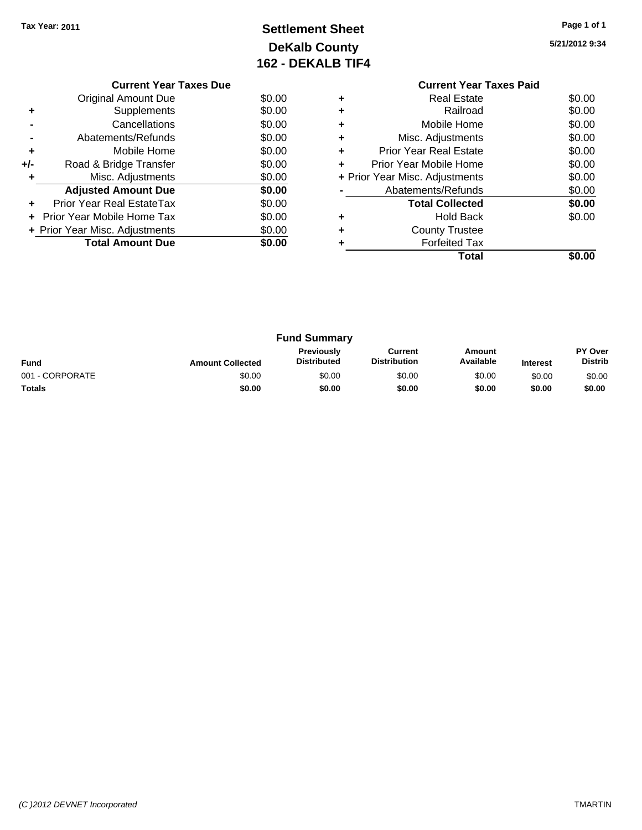# **Settlement Sheet Tax Year: 2011 Page 1 of 1 DeKalb County 162 - DEKALB TIF4**

**5/21/2012 9:34**

|     | <b>Current Year Taxes Due</b>        |        |  |  |  |  |
|-----|--------------------------------------|--------|--|--|--|--|
|     | Original Amount Due                  | \$0.00 |  |  |  |  |
|     | Supplements                          | \$0.00 |  |  |  |  |
|     | Cancellations                        | \$0.00 |  |  |  |  |
|     | \$0.00<br>Abatements/Refunds         |        |  |  |  |  |
| ٠   | Mobile Home                          | \$0.00 |  |  |  |  |
| +/- | Road & Bridge Transfer               | \$0.00 |  |  |  |  |
|     | Misc. Adjustments                    | \$0.00 |  |  |  |  |
|     | <b>Adjusted Amount Due</b>           | \$0.00 |  |  |  |  |
|     | Prior Year Real EstateTax            | \$0.00 |  |  |  |  |
|     | \$0.00<br>Prior Year Mobile Home Tax |        |  |  |  |  |
|     | + Prior Year Misc. Adjustments       | \$0.00 |  |  |  |  |
|     | <b>Total Amount Due</b>              | \$0.00 |  |  |  |  |
|     |                                      |        |  |  |  |  |

### **Current Year Taxes Paid +** Real Estate \$0.00 **+** Railroad \$0.00 **+** Mobile Home \$0.00 **+** Misc. Adjustments \$0.00 **+** Prior Year Real Estate \$0.00 **+** Prior Year Mobile Home \$0.00 **+** Prior Year Misc. Adjustments \$0.00 **-** Abatements/Refunds \$0.00 **Total Collected \$0.00 +** Hold Back \$0.00 **+** County Trustee **+** Forfeited Tax **Total \$0.00**

|                 |                         | <b>Fund Summary</b>       |                                |                     |                 |                           |
|-----------------|-------------------------|---------------------------|--------------------------------|---------------------|-----------------|---------------------------|
| <b>Fund</b>     | <b>Amount Collected</b> | Previously<br>Distributed | Current<br><b>Distribution</b> | Amount<br>Available | <b>Interest</b> | PY Over<br><b>Distrib</b> |
| 001 - CORPORATE | \$0.00                  | \$0.00                    | \$0.00                         | \$0.00              | \$0.00          | \$0.00                    |
| <b>Totals</b>   | \$0.00                  | \$0.00                    | \$0.00                         | \$0.00              | \$0.00          | \$0.00                    |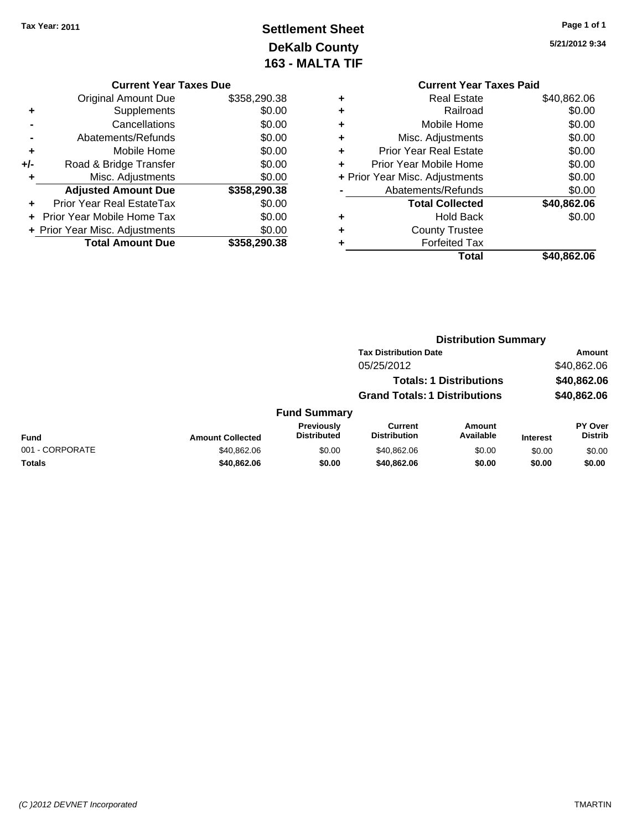# **Settlement Sheet Tax Year: 2011 Page 1 of 1 DeKalb County 163 - MALTA TIF**

**5/21/2012 9:34**

| \$40,862.06 |
|-------------|
| \$0.00      |
| \$0.00      |
| \$0.00      |
| \$0.00      |
| \$0.00      |
| \$0.00      |
| \$0.00      |
| \$40,862.06 |
| \$0.00      |
|             |
|             |
|             |
|             |

|     | <b>Current Year Taxes Due</b>  |              |  |  |  |  |
|-----|--------------------------------|--------------|--|--|--|--|
|     | <b>Original Amount Due</b>     | \$358,290.38 |  |  |  |  |
| ٠   | Supplements                    | \$0.00       |  |  |  |  |
|     | Cancellations                  | \$0.00       |  |  |  |  |
|     | Abatements/Refunds             | \$0.00       |  |  |  |  |
| ٠   | Mobile Home                    | \$0.00       |  |  |  |  |
| +/- | Road & Bridge Transfer         | \$0.00       |  |  |  |  |
| ٠   | Misc. Adjustments              | \$0.00       |  |  |  |  |
|     | <b>Adjusted Amount Due</b>     | \$358,290.38 |  |  |  |  |
|     | Prior Year Real EstateTax      | \$0.00       |  |  |  |  |
|     | Prior Year Mobile Home Tax     | \$0.00       |  |  |  |  |
|     | + Prior Year Misc. Adjustments | \$0.00       |  |  |  |  |
|     | <b>Total Amount Due</b>        | \$358,290.38 |  |  |  |  |

|                 |                         |                                  | <b>Distribution Summary</b>           |                                |                 |                                  |
|-----------------|-------------------------|----------------------------------|---------------------------------------|--------------------------------|-----------------|----------------------------------|
|                 |                         |                                  | <b>Tax Distribution Date</b>          |                                |                 | Amount                           |
|                 |                         |                                  | 05/25/2012                            |                                |                 | \$40,862.06                      |
|                 |                         |                                  |                                       | <b>Totals: 1 Distributions</b> |                 | \$40,862.06                      |
|                 |                         |                                  | <b>Grand Totals: 1 Distributions</b>  |                                |                 | \$40,862.06                      |
|                 |                         | <b>Fund Summary</b>              |                                       |                                |                 |                                  |
| Fund            | <b>Amount Collected</b> | Previously<br><b>Distributed</b> | <b>Current</b><br><b>Distribution</b> | Amount<br>Available            | <b>Interest</b> | <b>PY Over</b><br><b>Distrib</b> |
| 001 - CORPORATE | \$40,862.06             | \$0.00                           | \$40,862.06                           | \$0.00                         | \$0.00          | \$0.00                           |
| Totals          | \$40,862.06             | \$0.00                           | \$40,862.06                           | \$0.00                         | \$0.00          | \$0.00                           |
|                 |                         |                                  |                                       |                                |                 |                                  |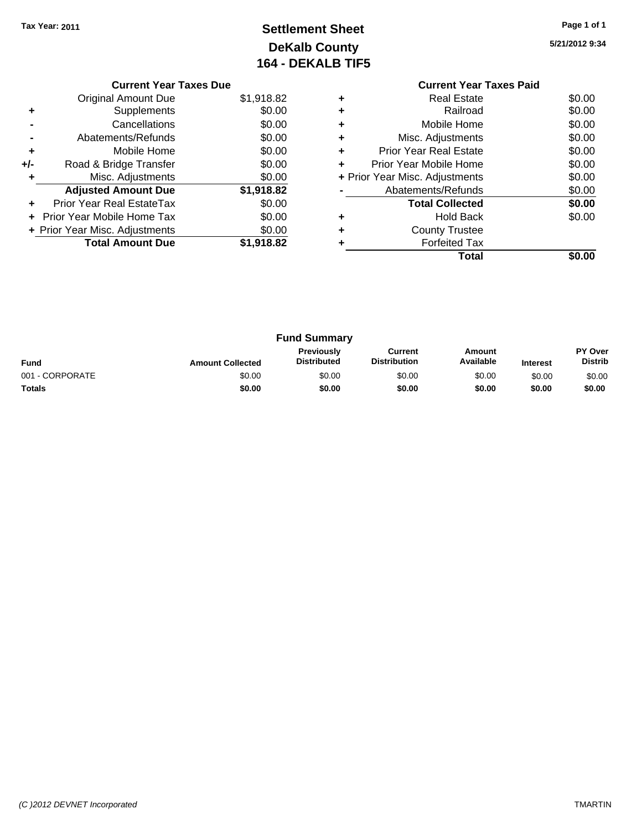# **Settlement Sheet Tax Year: 2011 Page 1 of 1 DeKalb County 164 - DEKALB TIF5**

**5/21/2012 9:34**

|     | <b>Current Year Taxes Due</b>  |            |  |  |  |  |  |
|-----|--------------------------------|------------|--|--|--|--|--|
|     | <b>Original Amount Due</b>     | \$1,918.82 |  |  |  |  |  |
| ٠   | Supplements                    | \$0.00     |  |  |  |  |  |
|     | Cancellations                  | \$0.00     |  |  |  |  |  |
|     | Abatements/Refunds             | \$0.00     |  |  |  |  |  |
| ÷   | Mobile Home                    | \$0.00     |  |  |  |  |  |
| +/- | Road & Bridge Transfer         | \$0.00     |  |  |  |  |  |
|     | Misc. Adjustments              | \$0.00     |  |  |  |  |  |
|     | <b>Adjusted Amount Due</b>     | \$1,918.82 |  |  |  |  |  |
|     | Prior Year Real EstateTax      | \$0.00     |  |  |  |  |  |
|     | Prior Year Mobile Home Tax     | \$0.00     |  |  |  |  |  |
|     | + Prior Year Misc. Adjustments | \$0.00     |  |  |  |  |  |
|     | <b>Total Amount Due</b>        | \$1,918.82 |  |  |  |  |  |
|     |                                |            |  |  |  |  |  |

### **Current Year Taxes Paid +** Real Estate \$0.00 **+** Railroad \$0.00 **+** Mobile Home \$0.00 **+** Misc. Adjustments \$0.00 **+** Prior Year Real Estate \$0.00 **+** Prior Year Mobile Home \$0.00 **+** Prior Year Misc. Adjustments \$0.00 **-** Abatements/Refunds \$0.00 **Total Collected \$0.00 +** Hold Back \$0.00 **+** County Trustee **+** Forfeited Tax **Total \$0.00**

|                 |                         | <b>Fund Summary</b>                     |                                |                     |                 |                           |
|-----------------|-------------------------|-----------------------------------------|--------------------------------|---------------------|-----------------|---------------------------|
| <b>Fund</b>     | <b>Amount Collected</b> | <b>Previously</b><br><b>Distributed</b> | Current<br><b>Distribution</b> | Amount<br>Available | <b>Interest</b> | PY Over<br><b>Distrib</b> |
| 001 - CORPORATE | \$0.00                  | \$0.00                                  | \$0.00                         | \$0.00              | \$0.00          | \$0.00                    |
| <b>Totals</b>   | \$0.00                  | \$0.00                                  | \$0.00                         | \$0.00              | \$0.00          | \$0.00                    |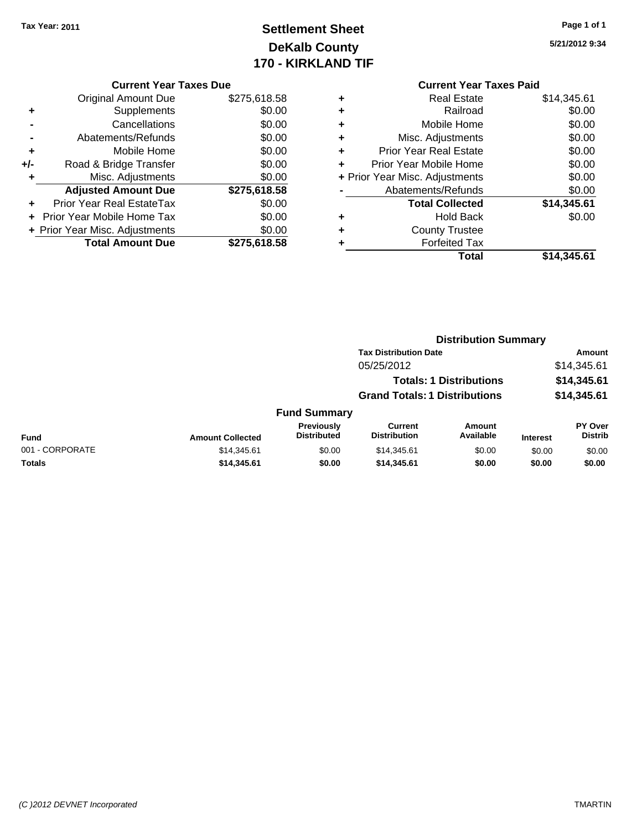# **Settlement Sheet Tax Year: 2011 Page 1 of 1 DeKalb County 170 - KIRKLAND TIF**

**5/21/2012 9:34**

#### **Current Year Taxes Due**

|     | <b>Original Amount Due</b>       | \$275,618.58 |
|-----|----------------------------------|--------------|
| ٠   | Supplements                      | \$0.00       |
|     | Cancellations                    | \$0.00       |
|     | Abatements/Refunds               | \$0.00       |
| ٠   | Mobile Home                      | \$0.00       |
| +/- | Road & Bridge Transfer           | \$0.00       |
| ٠   | Misc. Adjustments                | \$0.00       |
|     | <b>Adjusted Amount Due</b>       | \$275,618.58 |
|     | <b>Prior Year Real EstateTax</b> | \$0.00       |
|     | Prior Year Mobile Home Tax       | \$0.00       |
|     | + Prior Year Misc. Adjustments   | \$0.00       |
|     | <b>Total Amount Due</b>          | \$275.618.58 |

# **Current Year Taxes Paid**

| ٠ | Real Estate                    | \$14,345.61 |
|---|--------------------------------|-------------|
| ٠ | Railroad                       | \$0.00      |
| ٠ | Mobile Home                    | \$0.00      |
| ٠ | Misc. Adjustments              | \$0.00      |
| ٠ | <b>Prior Year Real Estate</b>  | \$0.00      |
| ٠ | Prior Year Mobile Home         | \$0.00      |
|   | + Prior Year Misc. Adjustments | \$0.00      |
|   | Abatements/Refunds             | \$0.00      |
|   | <b>Total Collected</b>         | \$14,345.61 |
| ٠ | <b>Hold Back</b>               | \$0.00      |
| ٠ | <b>County Trustee</b>          |             |
| ٠ | <b>Forfeited Tax</b>           |             |
|   | Total                          | \$14,345.61 |
|   |                                |             |

#### **Distribution Summary Tax Distribution Date Amount** 05/25/2012 \$14,345.61 **Totals: 1 Distributions \$14,345.61 Grand Totals: 1 Distributions \$14,345.61 Fund Summary Fund Interest Amount Collected Distributed PY Over Distrib Amount Available Current Distribution Previously** 001 - CORPORATE \$14,345.61 \$0.00 \$14,345.61 \$0.00 \$0.00 \$0.00 **Totals \$14,345.61 \$0.00 \$14,345.61 \$0.00 \$0.00 \$0.00**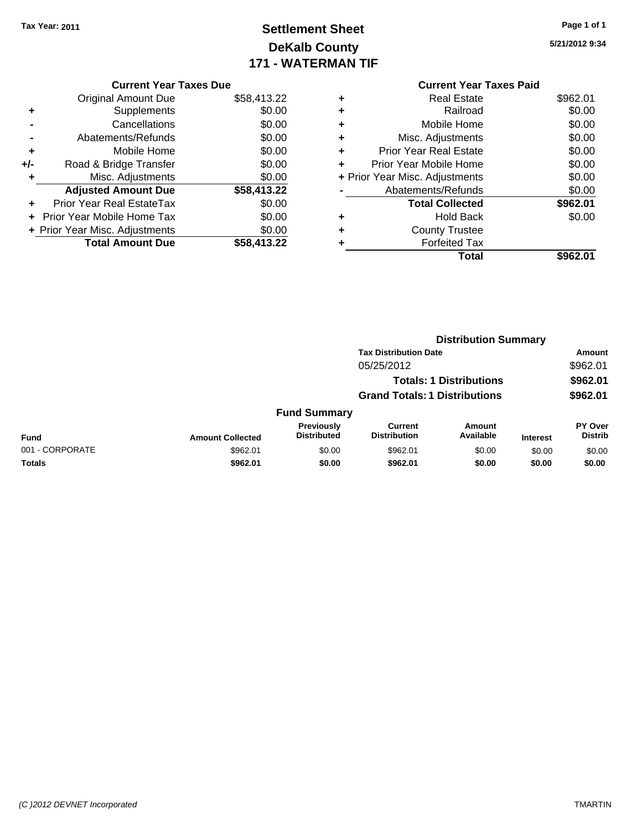## **Settlement Sheet Tax Year: 2011 Page 1 of 1 DeKalb County 171 - WATERMAN TIF**

**5/21/2012 9:34**

#### **Current Year Taxes Due** Original Amount Due \$58,413.22 **+** Supplements \$0.00

|                | <b>Total Amount Due</b>          | \$58,413.22 |
|----------------|----------------------------------|-------------|
|                | + Prior Year Misc. Adjustments   | \$0.00      |
|                | + Prior Year Mobile Home Tax     | \$0.00      |
| ÷              | <b>Prior Year Real EstateTax</b> | \$0.00      |
|                | <b>Adjusted Amount Due</b>       | \$58,413.22 |
| ٠              | Misc. Adjustments                | \$0.00      |
| +/-            | Road & Bridge Transfer           | \$0.00      |
| ٠              | Mobile Home                      | \$0.00      |
| $\blacksquare$ | Abatements/Refunds               | \$0.00      |
|                | Cancellations                    | \$0.00      |
|                |                                  |             |

#### **Current Year Taxes Paid +** Real Estate \$962.01 **+** Railroad \$0.00 **+** Mobile Home \$0.00 **+** Misc. Adjustments \$0.00 **+** Prior Year Real Estate \$0.00 **+** Prior Year Mobile Home \$0.00 **+** Prior Year Misc. Adjustments  $$0.00$ **-** Abatements/Refunds \$0.00 Total Collected \$962.01 **+** Hold Back \$0.00 **+** County Trustee **+** Forfeited Tax **Total \$962.01**

|                 |                         | <b>Distribution Summary</b>      |                                       |                                |                 |                                  |  |
|-----------------|-------------------------|----------------------------------|---------------------------------------|--------------------------------|-----------------|----------------------------------|--|
|                 |                         |                                  | <b>Tax Distribution Date</b>          |                                |                 | Amount                           |  |
|                 |                         |                                  | 05/25/2012                            |                                |                 | \$962.01                         |  |
|                 |                         |                                  |                                       | <b>Totals: 1 Distributions</b> |                 | \$962.01                         |  |
|                 |                         |                                  | <b>Grand Totals: 1 Distributions</b>  |                                |                 | \$962.01                         |  |
|                 |                         | <b>Fund Summary</b>              |                                       |                                |                 |                                  |  |
| Fund            | <b>Amount Collected</b> | Previously<br><b>Distributed</b> | <b>Current</b><br><b>Distribution</b> | Amount<br>Available            | <b>Interest</b> | <b>PY Over</b><br><b>Distrib</b> |  |
| 001 - CORPORATE | \$962.01                | \$0.00                           | \$962.01                              | \$0.00                         | \$0.00          | \$0.00                           |  |
| Totals          | \$962.01                | \$0.00                           | \$962.01                              | \$0.00                         | \$0.00          | \$0.00                           |  |
|                 |                         |                                  |                                       |                                |                 |                                  |  |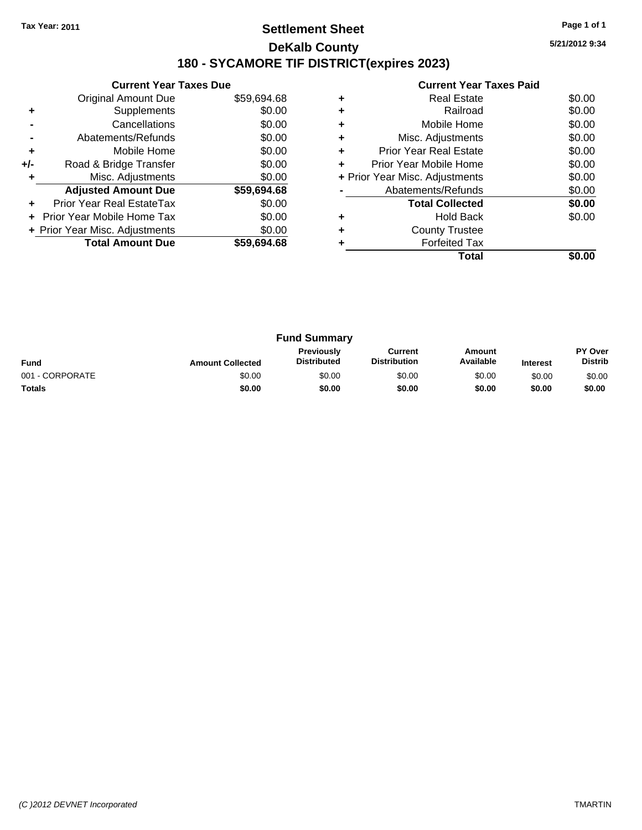#### **Settlement Sheet Tax Year: 2011 Page 1 of 1 DeKalb County 180 - SYCAMORE TIF DISTRICT(expires 2023)**

**5/21/2012 9:34**

|     | <b>Current Year Taxes Due</b>  |             |
|-----|--------------------------------|-------------|
|     | Original Amount Due            | \$59,694.68 |
|     | Supplements                    | \$0.00      |
|     | Cancellations                  | \$0.00      |
|     | Abatements/Refunds             | \$0.00      |
| ٠   | Mobile Home                    | \$0.00      |
| +/- | Road & Bridge Transfer         | \$0.00      |
|     | Misc. Adjustments              | \$0.00      |
|     | <b>Adjusted Amount Due</b>     | \$59,694.68 |
|     | Prior Year Real EstateTax      | \$0.00      |
|     | Prior Year Mobile Home Tax     | \$0.00      |
|     | + Prior Year Misc. Adjustments | \$0.00      |
|     | <b>Total Amount Due</b>        | \$59.694.68 |
|     |                                |             |

|                                | \$0.00             |
|--------------------------------|--------------------|
| Railroad                       | \$0.00             |
| Mobile Home                    | \$0.00             |
| Misc. Adjustments              | \$0.00             |
| <b>Prior Year Real Estate</b>  | \$0.00             |
| Prior Year Mobile Home         | \$0.00             |
| + Prior Year Misc. Adjustments | \$0.00             |
|                                |                    |
| Abatements/Refunds             | \$0.00             |
| <b>Total Collected</b>         | \$0.00             |
| <b>Hold Back</b>               | \$0.00             |
| <b>County Trustee</b>          |                    |
| <b>Forfeited Tax</b>           |                    |
|                                | <b>Real Estate</b> |

| <b>Fund Summary</b><br><b>Previously</b><br>Amount<br>Current<br><b>Distribution</b><br>Available<br><b>Distributed</b><br><b>Fund</b><br><b>Amount Collected</b><br><b>Interest</b> |        |        |        |        | PY Over<br><b>Distrib</b> |                 |
|--------------------------------------------------------------------------------------------------------------------------------------------------------------------------------------|--------|--------|--------|--------|---------------------------|-----------------|
|                                                                                                                                                                                      |        |        |        |        |                           | 001 - CORPORATE |
| <b>Totals</b>                                                                                                                                                                        | \$0.00 | \$0.00 | \$0.00 | \$0.00 | \$0.00                    | \$0.00          |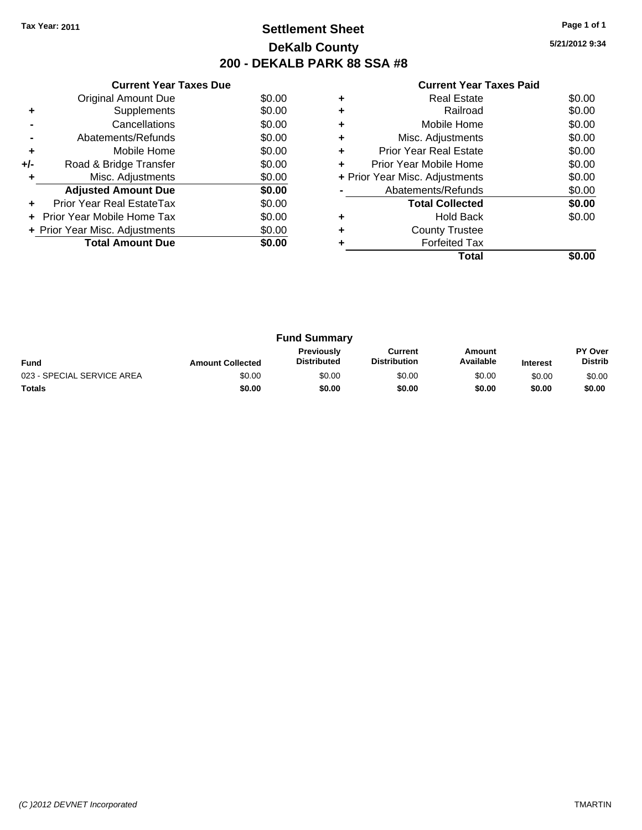## **Settlement Sheet Tax Year: 2011 Page 1 of 1 DeKalb County 200 - DEKALB PARK 88 SSA #8**

**5/21/2012 9:34**

|     | <b>Current Year Taxes Due</b>  |        |
|-----|--------------------------------|--------|
|     | Original Amount Due            | \$0.00 |
| ٠   | Supplements                    | \$0.00 |
|     | Cancellations                  | \$0.00 |
|     | Abatements/Refunds             | \$0.00 |
| ٠   | Mobile Home                    | \$0.00 |
| +/- | Road & Bridge Transfer         | \$0.00 |
| ٠   | Misc. Adjustments              | \$0.00 |
|     | <b>Adjusted Amount Due</b>     | \$0.00 |
|     | Prior Year Real EstateTax      | \$0.00 |
|     | Prior Year Mobile Home Tax     | \$0.00 |
|     | + Prior Year Misc. Adjustments | \$0.00 |
|     | <b>Total Amount Due</b>        | \$0.00 |
|     |                                |        |

|   | <b>Real Estate</b>             | \$0.00 |
|---|--------------------------------|--------|
|   | Railroad                       | \$0.00 |
| ٠ | Mobile Home                    | \$0.00 |
| ٠ | Misc. Adjustments              | \$0.00 |
| ٠ | <b>Prior Year Real Estate</b>  | \$0.00 |
|   | Prior Year Mobile Home         | \$0.00 |
|   | + Prior Year Misc. Adjustments | \$0.00 |
|   | Abatements/Refunds             | \$0.00 |
|   | <b>Total Collected</b>         | \$0.00 |
|   | <b>Hold Back</b>               | \$0.00 |
|   | <b>County Trustee</b>          |        |
|   | <b>Forfeited Tax</b>           |        |
|   | Total                          |        |

| <b>Fund Summary</b><br><b>Previously</b><br>Amount<br>Current<br>Available<br><b>Distribution</b><br><b>Distributed</b><br><b>Fund</b><br><b>Amount Collected</b><br><b>Interest</b> |        |        |        |        |                           |        |
|--------------------------------------------------------------------------------------------------------------------------------------------------------------------------------------|--------|--------|--------|--------|---------------------------|--------|
|                                                                                                                                                                                      |        |        |        |        | PY Over<br><b>Distrib</b> |        |
| 023 - SPECIAL SERVICE AREA                                                                                                                                                           | \$0.00 | \$0.00 | \$0.00 | \$0.00 | \$0.00                    | \$0.00 |
| <b>Totals</b>                                                                                                                                                                        | \$0.00 | \$0.00 | \$0.00 | \$0.00 | \$0.00                    | \$0.00 |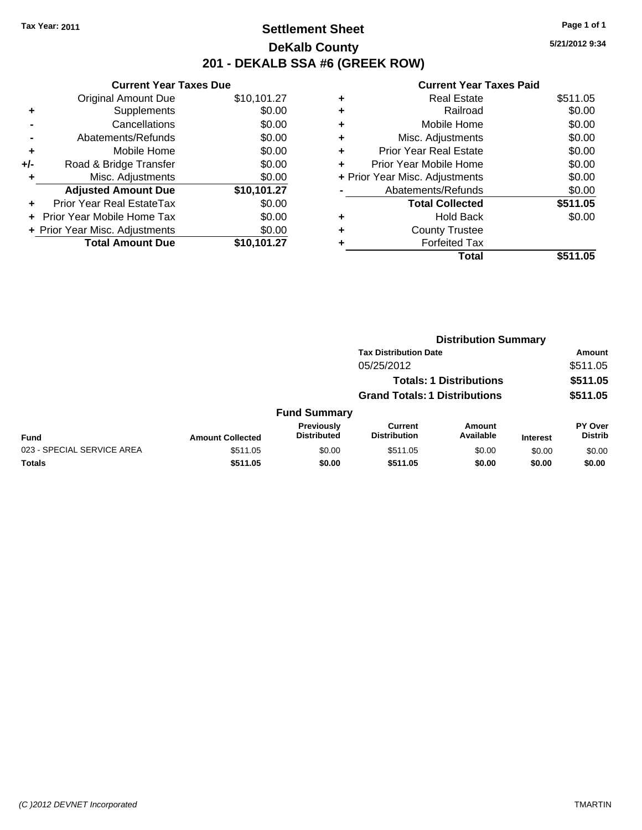## **Settlement Sheet Tax Year: 2011 Page 1 of 1 DeKalb County 201 - DEKALB SSA #6 (GREEK ROW)**

**5/21/2012 9:34**

|     | <b>Current Year Taxes Due</b>     |             |
|-----|-----------------------------------|-------------|
|     | <b>Original Amount Due</b>        | \$10,101.27 |
| ÷   | Supplements                       | \$0.00      |
|     | Cancellations                     | \$0.00      |
|     | Abatements/Refunds                | \$0.00      |
| ٠   | Mobile Home                       | \$0.00      |
| +/- | Road & Bridge Transfer            | \$0.00      |
|     | Misc. Adjustments                 | \$0.00      |
|     | <b>Adjusted Amount Due</b>        | \$10,101.27 |
|     | Prior Year Real EstateTax         | \$0.00      |
|     | <b>Prior Year Mobile Home Tax</b> | \$0.00      |
|     | + Prior Year Misc. Adjustments    | \$0.00      |
|     | <b>Total Amount Due</b>           | \$10,101.27 |

|   | Total                          | \$511.05 |
|---|--------------------------------|----------|
| ٠ | <b>Forfeited Tax</b>           |          |
| ٠ | <b>County Trustee</b>          |          |
| ٠ | <b>Hold Back</b>               | \$0.00   |
|   | <b>Total Collected</b>         | \$511.05 |
|   | Abatements/Refunds             | \$0.00   |
|   | + Prior Year Misc. Adjustments | \$0.00   |
| ٠ | Prior Year Mobile Home         | \$0.00   |
| ٠ | <b>Prior Year Real Estate</b>  | \$0.00   |
| ٠ | Misc. Adjustments              | \$0.00   |
| ٠ | Mobile Home                    | \$0.00   |
| ٠ | Railroad                       | \$0.00   |
| ۰ | <b>Real Estate</b>             | \$511.05 |
|   |                                |          |

|                            |                         |                                  | <b>Distribution Summary</b>           |                                |                 |                           |
|----------------------------|-------------------------|----------------------------------|---------------------------------------|--------------------------------|-----------------|---------------------------|
|                            |                         |                                  | <b>Tax Distribution Date</b>          |                                |                 | Amount                    |
|                            |                         |                                  | 05/25/2012                            |                                |                 | \$511.05                  |
|                            |                         |                                  |                                       | <b>Totals: 1 Distributions</b> |                 | \$511.05                  |
|                            |                         |                                  | <b>Grand Totals: 1 Distributions</b>  |                                |                 | \$511.05                  |
|                            |                         | <b>Fund Summary</b>              |                                       |                                |                 |                           |
| <b>Fund</b>                | <b>Amount Collected</b> | Previously<br><b>Distributed</b> | <b>Current</b><br><b>Distribution</b> | Amount<br>Available            | <b>Interest</b> | PY Over<br><b>Distrib</b> |
| 023 - SPECIAL SERVICE AREA | \$511.05                | \$0.00                           | \$511.05                              | \$0.00                         | \$0.00          | \$0.00                    |
| Totals                     | \$511.05                | \$0.00                           | \$511.05                              | \$0.00                         | \$0.00          | \$0.00                    |
|                            |                         |                                  |                                       |                                |                 |                           |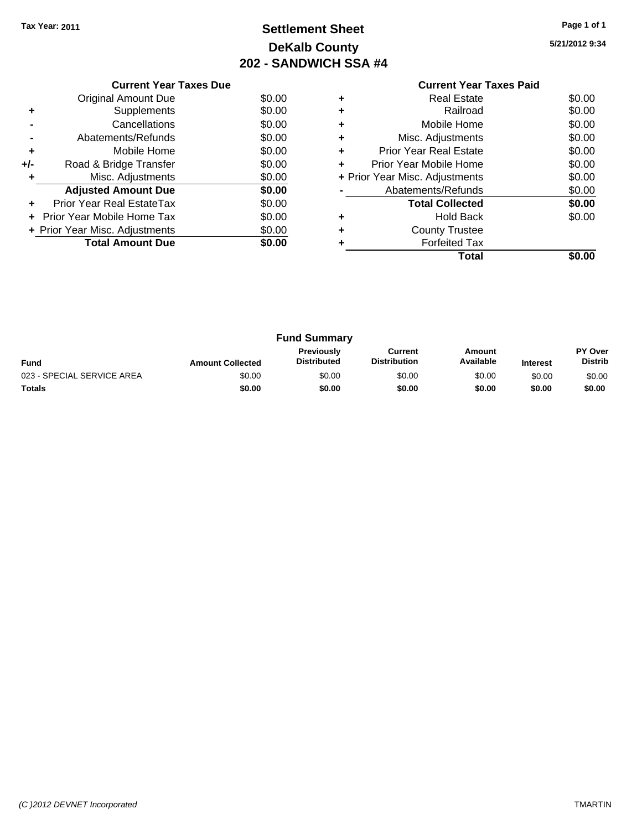## **Settlement Sheet Tax Year: 2011 Page 1 of 1 DeKalb County 202 - SANDWICH SSA #4**

| 5/21/2012 9:34 |  |
|----------------|--|
|----------------|--|

|     | <b>Current Year Taxes Due</b>  |        |  |  |  |  |  |
|-----|--------------------------------|--------|--|--|--|--|--|
|     | Original Amount Due            | \$0.00 |  |  |  |  |  |
|     | Supplements                    | \$0.00 |  |  |  |  |  |
|     | Cancellations                  | \$0.00 |  |  |  |  |  |
|     | Abatements/Refunds             | \$0.00 |  |  |  |  |  |
| ٠   | Mobile Home                    | \$0.00 |  |  |  |  |  |
| +/- | Road & Bridge Transfer         | \$0.00 |  |  |  |  |  |
|     | Misc. Adjustments              | \$0.00 |  |  |  |  |  |
|     | <b>Adjusted Amount Due</b>     | \$0.00 |  |  |  |  |  |
|     | Prior Year Real EstateTax      | \$0.00 |  |  |  |  |  |
|     | Prior Year Mobile Home Tax     | \$0.00 |  |  |  |  |  |
|     | + Prior Year Misc. Adjustments | \$0.00 |  |  |  |  |  |
|     | <b>Total Amount Due</b>        | \$0.00 |  |  |  |  |  |
|     |                                |        |  |  |  |  |  |

|                                | <b>Current Year Taxes Paid</b> |        |
|--------------------------------|--------------------------------|--------|
|                                | Real Estate                    | \$0.00 |
|                                | Railroad                       | \$0.00 |
| ٠                              | Mobile Home                    | \$0.00 |
|                                | Misc. Adjustments              | \$0.00 |
|                                | <b>Prior Year Real Estate</b>  | \$0.00 |
| ÷                              | Prior Year Mobile Home         | \$0.00 |
| + Prior Year Misc. Adjustments | \$0.00                         |        |
|                                | Abatements/Refunds             | \$0.00 |
|                                | <b>Total Collected</b>         | \$0.00 |
|                                | <b>Hold Back</b>               | \$0.00 |
|                                | <b>County Trustee</b>          |        |
|                                | <b>Forfeited Tax</b>           |        |
|                                | Total                          |        |
|                                |                                |        |

| <b>Fund Summary</b>        |                         |                                         |                                |                     |                 |                                  |
|----------------------------|-------------------------|-----------------------------------------|--------------------------------|---------------------|-----------------|----------------------------------|
| <b>Fund</b>                | <b>Amount Collected</b> | <b>Previously</b><br><b>Distributed</b> | Current<br><b>Distribution</b> | Amount<br>Available | <b>Interest</b> | <b>PY Over</b><br><b>Distrib</b> |
| 023 - SPECIAL SERVICE AREA | \$0.00                  | \$0.00                                  | \$0.00                         | \$0.00              | \$0.00          | \$0.00                           |
| <b>Totals</b>              | \$0.00                  | \$0.00                                  | \$0.00                         | \$0.00              | \$0.00          | \$0.00                           |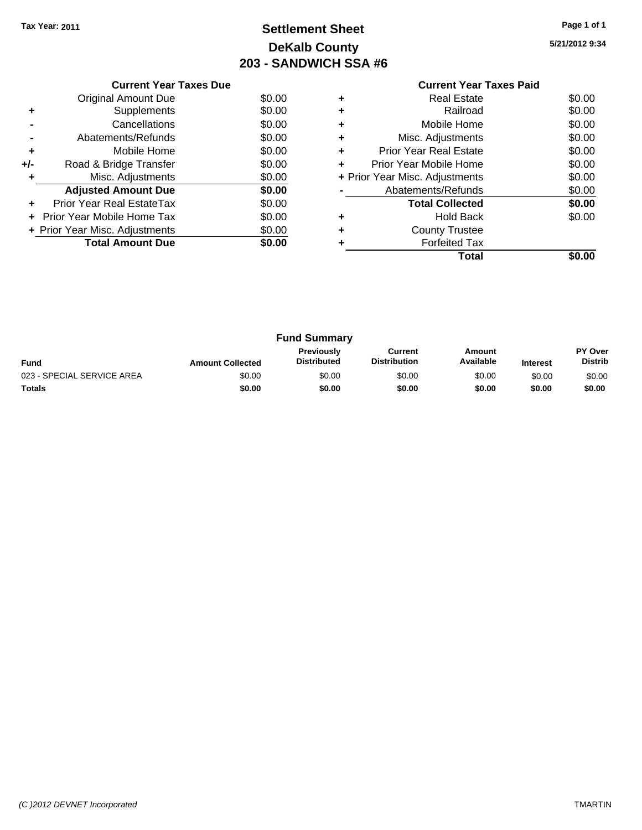## **Settlement Sheet Tax Year: 2011 Page 1 of 1 DeKalb County 203 - SANDWICH SSA #6**

**5/21/2012 9:34**

|     | <b>Current Year Taxes Due</b>  |        |  |  |  |  |
|-----|--------------------------------|--------|--|--|--|--|
|     | Original Amount Due            | \$0.00 |  |  |  |  |
|     | Supplements                    | \$0.00 |  |  |  |  |
|     | Cancellations                  | \$0.00 |  |  |  |  |
|     | Abatements/Refunds             | \$0.00 |  |  |  |  |
| ٠   | Mobile Home                    | \$0.00 |  |  |  |  |
| +/- | Road & Bridge Transfer         | \$0.00 |  |  |  |  |
|     | Misc. Adjustments              | \$0.00 |  |  |  |  |
|     | <b>Adjusted Amount Due</b>     | \$0.00 |  |  |  |  |
|     | Prior Year Real EstateTax      | \$0.00 |  |  |  |  |
|     | Prior Year Mobile Home Tax     | \$0.00 |  |  |  |  |
|     | + Prior Year Misc. Adjustments | \$0.00 |  |  |  |  |
|     | <b>Total Amount Due</b>        | \$0.00 |  |  |  |  |
|     |                                |        |  |  |  |  |

|   | <b>Current Year Taxes Paid</b> |        |  |  |
|---|--------------------------------|--------|--|--|
| ٠ | Real Estate                    | \$0.00 |  |  |
| ٠ | Railroad                       | \$0.00 |  |  |
| ٠ | Mobile Home                    | \$0.00 |  |  |
| ٠ | Misc. Adjustments              | \$0.00 |  |  |
| ٠ | <b>Prior Year Real Estate</b>  | \$0.00 |  |  |
| ÷ | Prior Year Mobile Home         |        |  |  |
|   | + Prior Year Misc. Adjustments | \$0.00 |  |  |
|   | Abatements/Refunds             | \$0.00 |  |  |
|   | <b>Total Collected</b>         | \$0.00 |  |  |
| ٠ | Hold Back                      | \$0.00 |  |  |
|   | <b>County Trustee</b>          |        |  |  |
| ٠ | <b>Forfeited Tax</b>           |        |  |  |
|   | Total                          | \$0.00 |  |  |
|   |                                |        |  |  |

| <b>Fund Summary</b>        |                         |                                         |                                |                     |                 |                                  |
|----------------------------|-------------------------|-----------------------------------------|--------------------------------|---------------------|-----------------|----------------------------------|
| <b>Fund</b>                | <b>Amount Collected</b> | <b>Previously</b><br><b>Distributed</b> | Current<br><b>Distribution</b> | Amount<br>Available | <b>Interest</b> | <b>PY Over</b><br><b>Distrib</b> |
| 023 - SPECIAL SERVICE AREA | \$0.00                  | \$0.00                                  | \$0.00                         | \$0.00              | \$0.00          | \$0.00                           |
| <b>Totals</b>              | \$0.00                  | \$0.00                                  | \$0.00                         | \$0.00              | \$0.00          | \$0.00                           |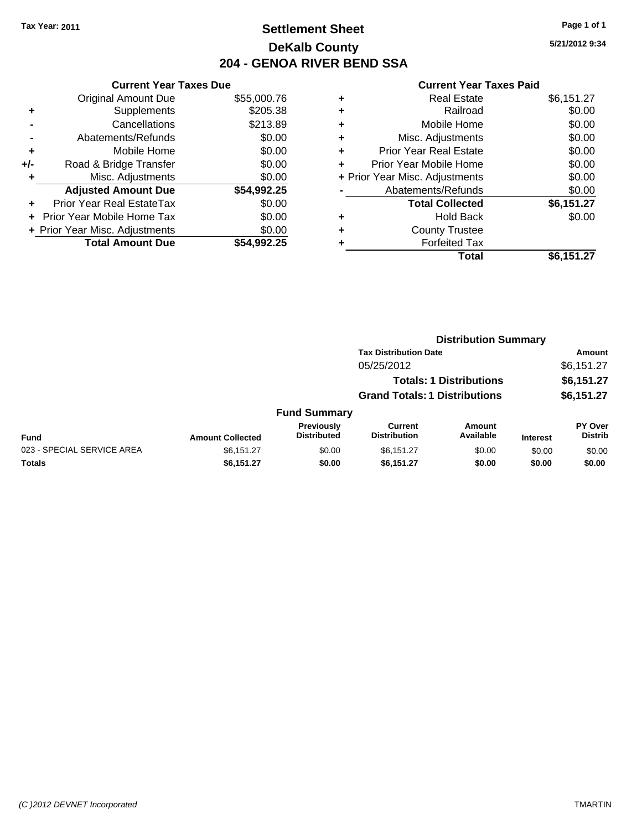## **Settlement Sheet Tax Year: 2011 Page 1 of 1 DeKalb County 204 - GENOA RIVER BEND SSA**

**5/21/2012 9:34**

|     | <b>Current Year Taxes Due</b>  |             |  |  |  |  |  |
|-----|--------------------------------|-------------|--|--|--|--|--|
|     | <b>Original Amount Due</b>     | \$55,000.76 |  |  |  |  |  |
| ٠   | Supplements                    | \$205.38    |  |  |  |  |  |
|     | Cancellations                  | \$213.89    |  |  |  |  |  |
|     | Abatements/Refunds             | \$0.00      |  |  |  |  |  |
| ٠   | Mobile Home                    | \$0.00      |  |  |  |  |  |
| +/- | Road & Bridge Transfer         | \$0.00      |  |  |  |  |  |
| ٠   | Misc. Adjustments              | \$0.00      |  |  |  |  |  |
|     | <b>Adjusted Amount Due</b>     | \$54,992.25 |  |  |  |  |  |
|     | Prior Year Real EstateTax      | \$0.00      |  |  |  |  |  |
|     | Prior Year Mobile Home Tax     | \$0.00      |  |  |  |  |  |
|     | + Prior Year Misc. Adjustments | \$0.00      |  |  |  |  |  |
|     | <b>Total Amount Due</b>        | \$54.992.25 |  |  |  |  |  |

| <b>Real Estate</b>            | \$6,151.27                     |
|-------------------------------|--------------------------------|
| Railroad                      | \$0.00                         |
| Mobile Home                   | \$0.00                         |
| Misc. Adjustments             | \$0.00                         |
| <b>Prior Year Real Estate</b> | \$0.00                         |
| Prior Year Mobile Home        | \$0.00                         |
|                               | \$0.00                         |
| Abatements/Refunds            | \$0.00                         |
| <b>Total Collected</b>        | \$6,151.27                     |
| Hold Back                     | \$0.00                         |
| <b>County Trustee</b>         |                                |
| <b>Forfeited Tax</b>          |                                |
| Total                         | \$6,151.27                     |
|                               | + Prior Year Misc. Adjustments |

|                            | <b>Distribution Summary</b> |                                  |                                      |                                |                 |                           |  |
|----------------------------|-----------------------------|----------------------------------|--------------------------------------|--------------------------------|-----------------|---------------------------|--|
|                            |                             |                                  | <b>Tax Distribution Date</b>         |                                |                 | Amount                    |  |
|                            |                             |                                  | 05/25/2012                           |                                |                 | \$6,151.27                |  |
|                            |                             |                                  |                                      | <b>Totals: 1 Distributions</b> |                 | \$6,151.27                |  |
|                            |                             |                                  | <b>Grand Totals: 1 Distributions</b> |                                |                 | \$6,151.27                |  |
|                            |                             | <b>Fund Summary</b>              |                                      |                                |                 |                           |  |
| <b>Fund</b>                | <b>Amount Collected</b>     | Previously<br><b>Distributed</b> | Current<br><b>Distribution</b>       | Amount<br>Available            | <b>Interest</b> | PY Over<br><b>Distrib</b> |  |
| 023 - SPECIAL SERVICE AREA | \$6,151.27                  | \$0.00                           | \$6,151.27                           | \$0.00                         | \$0.00          | \$0.00                    |  |
| Totals                     | \$6,151.27                  | \$0.00                           | \$6,151.27                           | \$0.00                         | \$0.00          | \$0.00                    |  |
|                            |                             |                                  |                                      |                                |                 |                           |  |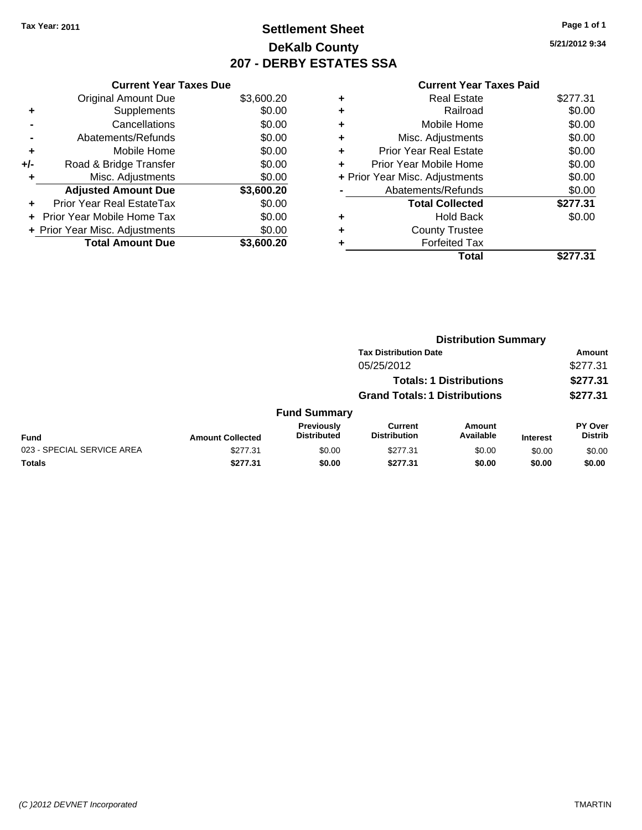## **Settlement Sheet Tax Year: 2011 Page 1 of 1 DeKalb County 207 - DERBY ESTATES SSA**

**5/21/2012 9:34**

|     | <b>Current Year Taxes Due</b>  |            |
|-----|--------------------------------|------------|
|     | <b>Original Amount Due</b>     | \$3,600.20 |
| ٠   | Supplements                    | \$0.00     |
|     | Cancellations                  | \$0.00     |
|     | Abatements/Refunds             | \$0.00     |
| ٠   | Mobile Home                    | \$0.00     |
| +/- | Road & Bridge Transfer         | \$0.00     |
|     | Misc. Adjustments              | \$0.00     |
|     | <b>Adjusted Amount Due</b>     | \$3,600.20 |
| ٠   | Prior Year Real EstateTax      | \$0.00     |
|     | Prior Year Mobile Home Tax     | \$0.00     |
|     | + Prior Year Misc. Adjustments | \$0.00     |
|     | <b>Total Amount Due</b>        | \$3,600.20 |

|   | Total                          | \$277.31 |
|---|--------------------------------|----------|
|   | <b>Forfeited Tax</b>           |          |
| ٠ | <b>County Trustee</b>          |          |
| ٠ | <b>Hold Back</b>               | \$0.00   |
|   | <b>Total Collected</b>         | \$277.31 |
|   | Abatements/Refunds             | \$0.00   |
|   | + Prior Year Misc. Adjustments | \$0.00   |
| ٠ | Prior Year Mobile Home         | \$0.00   |
| ÷ | Prior Year Real Estate         | \$0.00   |
| ٠ | Misc. Adjustments              | \$0.00   |
| ٠ | Mobile Home                    | \$0.00   |
| ÷ | Railroad                       | \$0.00   |
| ٠ | <b>Real Estate</b>             | \$277.31 |
|   |                                |          |

|                            |                         | <b>Distribution Summary</b>             |                                      |                                |                 |                           |
|----------------------------|-------------------------|-----------------------------------------|--------------------------------------|--------------------------------|-----------------|---------------------------|
|                            |                         | <b>Tax Distribution Date</b>            |                                      |                                |                 | <b>Amount</b>             |
|                            |                         |                                         | 05/25/2012                           |                                |                 | \$277.31                  |
|                            |                         |                                         |                                      | <b>Totals: 1 Distributions</b> |                 | \$277.31                  |
|                            |                         |                                         | <b>Grand Totals: 1 Distributions</b> |                                |                 | \$277.31                  |
|                            |                         | <b>Fund Summary</b>                     |                                      |                                |                 |                           |
| <b>Fund</b>                | <b>Amount Collected</b> | <b>Previously</b><br><b>Distributed</b> | Current<br><b>Distribution</b>       | Amount<br>Available            | <b>Interest</b> | PY Over<br><b>Distrib</b> |
| 023 - SPECIAL SERVICE AREA | \$277.31                | \$0.00                                  | \$277.31                             | \$0.00                         | \$0.00          | \$0.00                    |
| Totals                     | \$277.31                | \$0.00                                  | \$277.31                             | \$0.00                         | \$0.00          | \$0.00                    |
|                            |                         |                                         |                                      |                                |                 |                           |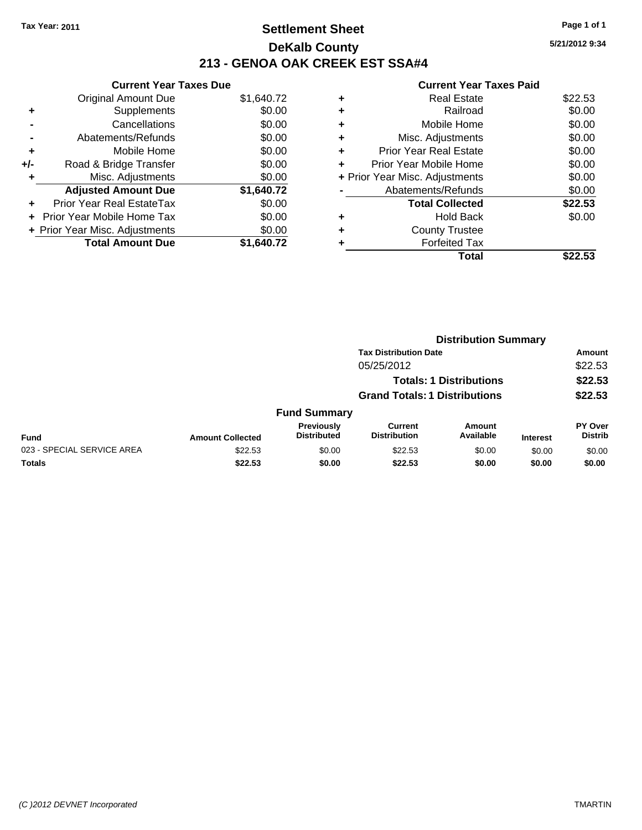## **Settlement Sheet Tax Year: 2011 Page 1 of 1 DeKalb County 213 - GENOA OAK CREEK EST SSA#4**

**5/21/2012 9:34**

|     | <b>Current Year Taxes Due</b>     |            |  |  |  |  |
|-----|-----------------------------------|------------|--|--|--|--|
|     | <b>Original Amount Due</b>        | \$1,640.72 |  |  |  |  |
| ÷   | Supplements                       | \$0.00     |  |  |  |  |
|     | Cancellations                     | \$0.00     |  |  |  |  |
|     | Abatements/Refunds                | \$0.00     |  |  |  |  |
| ٠   | Mobile Home                       | \$0.00     |  |  |  |  |
| +/- | Road & Bridge Transfer            | \$0.00     |  |  |  |  |
| ٠   | Misc. Adjustments                 | \$0.00     |  |  |  |  |
|     | <b>Adjusted Amount Due</b>        | \$1,640.72 |  |  |  |  |
| ÷   | Prior Year Real EstateTax         | \$0.00     |  |  |  |  |
|     | <b>Prior Year Mobile Home Tax</b> | \$0.00     |  |  |  |  |
|     | + Prior Year Misc. Adjustments    | \$0.00     |  |  |  |  |
|     | <b>Total Amount Due</b>           | \$1.640.72 |  |  |  |  |

| ۰ | <b>Real Estate</b>             | \$22.53 |
|---|--------------------------------|---------|
| ٠ | Railroad                       | \$0.00  |
| ٠ | Mobile Home                    | \$0.00  |
| ٠ | Misc. Adjustments              | \$0.00  |
| ٠ | <b>Prior Year Real Estate</b>  | \$0.00  |
| ÷ | Prior Year Mobile Home         | \$0.00  |
|   | + Prior Year Misc. Adjustments | \$0.00  |
|   | Abatements/Refunds             | \$0.00  |
|   | <b>Total Collected</b>         | \$22.53 |
| ٠ | Hold Back                      | \$0.00  |
| ÷ | <b>County Trustee</b>          |         |
| ٠ | <b>Forfeited Tax</b>           |         |
|   | Total                          |         |

|                            | <b>Distribution Summary</b> |                                         |                                       |                                |                 |                           |  |
|----------------------------|-----------------------------|-----------------------------------------|---------------------------------------|--------------------------------|-----------------|---------------------------|--|
|                            |                             | <b>Tax Distribution Date</b>            |                                       |                                |                 | Amount                    |  |
|                            |                             |                                         | 05/25/2012                            |                                |                 | \$22.53                   |  |
|                            |                             |                                         |                                       | <b>Totals: 1 Distributions</b> |                 | \$22.53                   |  |
|                            |                             | <b>Grand Totals: 1 Distributions</b>    |                                       |                                | \$22.53         |                           |  |
|                            |                             | <b>Fund Summary</b>                     |                                       |                                |                 |                           |  |
| <b>Fund</b>                | <b>Amount Collected</b>     | <b>Previously</b><br><b>Distributed</b> | <b>Current</b><br><b>Distribution</b> | Amount<br>Available            | <b>Interest</b> | PY Over<br><b>Distrib</b> |  |
| 023 - SPECIAL SERVICE AREA | \$22.53                     | \$0.00                                  | \$22.53                               | \$0.00                         | \$0.00          | \$0.00                    |  |
| Totals                     | \$22.53                     | \$0.00                                  | \$22.53                               | \$0.00                         | \$0.00          | \$0.00                    |  |
|                            |                             |                                         |                                       |                                |                 |                           |  |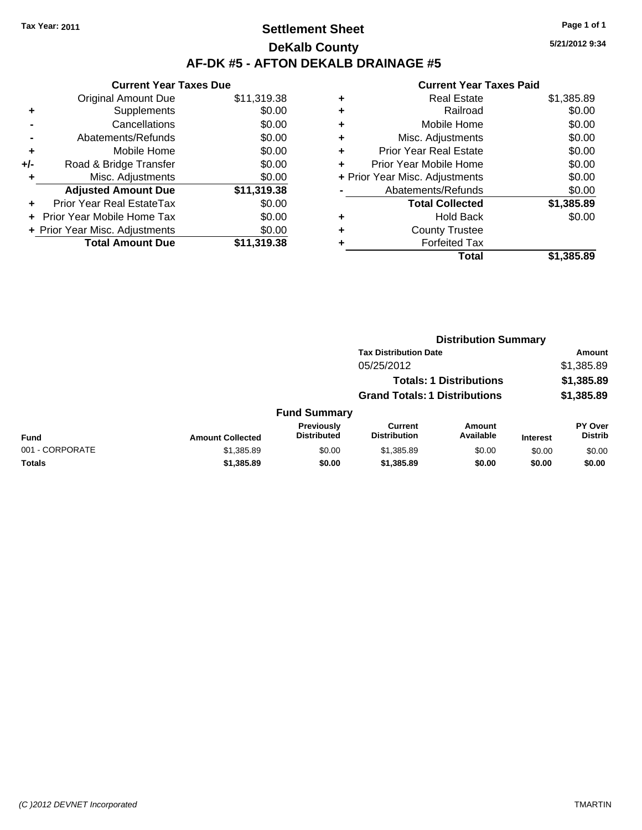## **Settlement Sheet Tax Year: 2011 Page 1 of 1 DeKalb County AF-DK #5 - AFTON DEKALB DRAINAGE #5**

**5/21/2012 9:34**

| <b>Current Year Taxes Due</b> |                                |  |  |  |  |
|-------------------------------|--------------------------------|--|--|--|--|
| <b>Original Amount Due</b>    | \$11,319.38                    |  |  |  |  |
| Supplements                   | \$0.00                         |  |  |  |  |
| Cancellations                 | \$0.00                         |  |  |  |  |
| Abatements/Refunds            | \$0.00                         |  |  |  |  |
| Mobile Home                   | \$0.00                         |  |  |  |  |
| Road & Bridge Transfer        | \$0.00                         |  |  |  |  |
| Misc. Adjustments             | \$0.00                         |  |  |  |  |
| <b>Adjusted Amount Due</b>    | \$11,319.38                    |  |  |  |  |
| Prior Year Real EstateTax     | \$0.00                         |  |  |  |  |
| - Prior Year Mobile Home Tax  | \$0.00                         |  |  |  |  |
|                               | \$0.00                         |  |  |  |  |
| <b>Total Amount Due</b>       | \$11,319.38                    |  |  |  |  |
|                               | + Prior Year Misc. Adjustments |  |  |  |  |

|       | \$1,385.89                                                                                                                                                                                                                                                             |
|-------|------------------------------------------------------------------------------------------------------------------------------------------------------------------------------------------------------------------------------------------------------------------------|
|       | \$0.00                                                                                                                                                                                                                                                                 |
|       | \$0.00                                                                                                                                                                                                                                                                 |
|       | \$0.00                                                                                                                                                                                                                                                                 |
|       | \$0.00                                                                                                                                                                                                                                                                 |
|       | \$0.00                                                                                                                                                                                                                                                                 |
|       | \$0.00                                                                                                                                                                                                                                                                 |
|       | \$0.00                                                                                                                                                                                                                                                                 |
|       | \$1,385.89                                                                                                                                                                                                                                                             |
|       | \$0.00                                                                                                                                                                                                                                                                 |
|       |                                                                                                                                                                                                                                                                        |
|       |                                                                                                                                                                                                                                                                        |
| Total | \$1,385.89                                                                                                                                                                                                                                                             |
|       | <b>Real Estate</b><br>Railroad<br>Mobile Home<br>Misc. Adjustments<br>Prior Year Real Estate<br>Prior Year Mobile Home<br>+ Prior Year Misc. Adjustments<br>Abatements/Refunds<br><b>Total Collected</b><br>Hold Back<br><b>County Trustee</b><br><b>Forfeited Tax</b> |

|                 |                         |                                  |                                       | <b>Distribution Summary</b>    |                 |                                  |  |
|-----------------|-------------------------|----------------------------------|---------------------------------------|--------------------------------|-----------------|----------------------------------|--|
|                 |                         |                                  | <b>Tax Distribution Date</b>          |                                |                 | Amount                           |  |
|                 |                         |                                  | 05/25/2012                            |                                |                 | \$1,385.89                       |  |
|                 |                         |                                  |                                       | <b>Totals: 1 Distributions</b> |                 | \$1,385.89                       |  |
|                 |                         |                                  | <b>Grand Totals: 1 Distributions</b>  |                                |                 | \$1,385.89                       |  |
|                 |                         | <b>Fund Summary</b>              |                                       |                                |                 |                                  |  |
| Fund            | <b>Amount Collected</b> | Previously<br><b>Distributed</b> | <b>Current</b><br><b>Distribution</b> | Amount<br>Available            | <b>Interest</b> | <b>PY Over</b><br><b>Distrib</b> |  |
| 001 - CORPORATE | \$1,385.89              | \$0.00                           | \$1,385.89                            | \$0.00                         | \$0.00          | \$0.00                           |  |
| Totals          | \$1,385.89              | \$0.00                           | \$1,385.89                            | \$0.00                         | \$0.00          | \$0.00                           |  |
|                 |                         |                                  |                                       |                                |                 |                                  |  |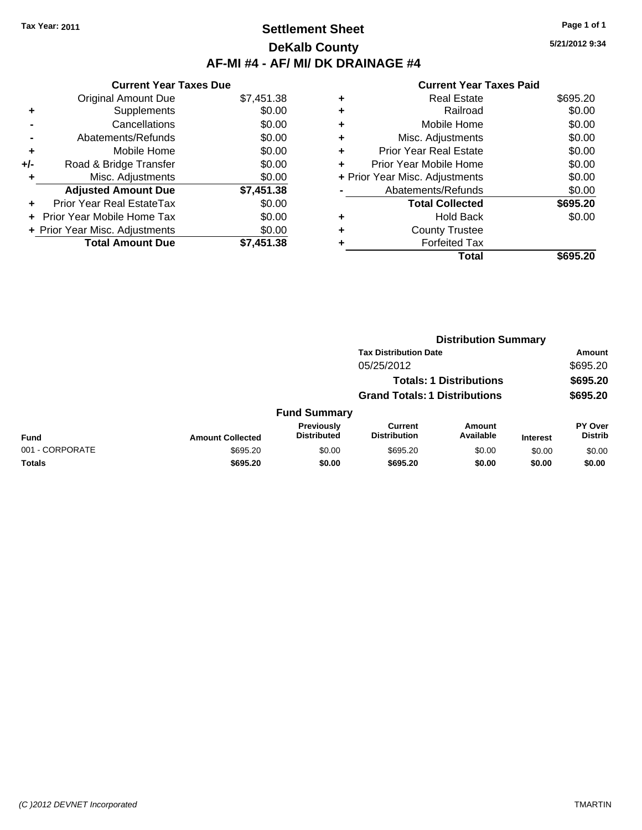## **Settlement Sheet Tax Year: 2011 Page 1 of 1 DeKalb County AF-MI #4 - AF/ MI/ DK DRAINAGE #4**

**5/21/2012 9:34**

| <b>Current Year Taxes Due</b>     |                                |  |  |  |  |
|-----------------------------------|--------------------------------|--|--|--|--|
| <b>Original Amount Due</b>        | \$7,451.38                     |  |  |  |  |
| Supplements                       | \$0.00                         |  |  |  |  |
| Cancellations                     | \$0.00                         |  |  |  |  |
| Abatements/Refunds                | \$0.00                         |  |  |  |  |
| Mobile Home                       | \$0.00                         |  |  |  |  |
| Road & Bridge Transfer            | \$0.00                         |  |  |  |  |
| Misc. Adjustments                 | \$0.00                         |  |  |  |  |
| <b>Adjusted Amount Due</b>        | \$7,451.38                     |  |  |  |  |
| Prior Year Real EstateTax         | \$0.00                         |  |  |  |  |
| <b>Prior Year Mobile Home Tax</b> | \$0.00                         |  |  |  |  |
|                                   | \$0.00                         |  |  |  |  |
| <b>Total Amount Due</b>           | \$7.451.38                     |  |  |  |  |
|                                   | + Prior Year Misc. Adjustments |  |  |  |  |

|   | <b>Real Estate</b>             | \$695.20 |
|---|--------------------------------|----------|
| ٠ | Railroad                       | \$0.00   |
| ٠ | Mobile Home                    | \$0.00   |
| ٠ | Misc. Adjustments              | \$0.00   |
| ÷ | Prior Year Real Estate         | \$0.00   |
| ٠ | Prior Year Mobile Home         | \$0.00   |
|   | + Prior Year Misc. Adjustments | \$0.00   |
|   | Abatements/Refunds             | \$0.00   |
|   | <b>Total Collected</b>         | \$695.20 |
| ٠ | Hold Back                      | \$0.00   |
| ٠ | <b>County Trustee</b>          |          |
| ٠ | <b>Forfeited Tax</b>           |          |
|   | Total                          | \$695.20 |
|   |                                |          |

|                 |                         | <b>Distribution Summary</b>      |                                       |                                |                 |                                  |  |
|-----------------|-------------------------|----------------------------------|---------------------------------------|--------------------------------|-----------------|----------------------------------|--|
|                 |                         |                                  | <b>Tax Distribution Date</b>          |                                |                 | Amount                           |  |
|                 |                         |                                  | 05/25/2012                            |                                |                 | \$695.20                         |  |
|                 |                         |                                  |                                       | <b>Totals: 1 Distributions</b> |                 | \$695.20                         |  |
|                 |                         |                                  | <b>Grand Totals: 1 Distributions</b>  |                                |                 | \$695.20                         |  |
|                 |                         | <b>Fund Summary</b>              |                                       |                                |                 |                                  |  |
| Fund            | <b>Amount Collected</b> | Previously<br><b>Distributed</b> | <b>Current</b><br><b>Distribution</b> | Amount<br>Available            | <b>Interest</b> | <b>PY Over</b><br><b>Distrib</b> |  |
| 001 - CORPORATE | \$695.20                | \$0.00                           | \$695.20                              | \$0.00                         | \$0.00          | \$0.00                           |  |
| Totals          | \$695.20                | \$0.00                           | \$695.20                              | \$0.00                         | \$0.00          | \$0.00                           |  |
|                 |                         |                                  |                                       |                                |                 |                                  |  |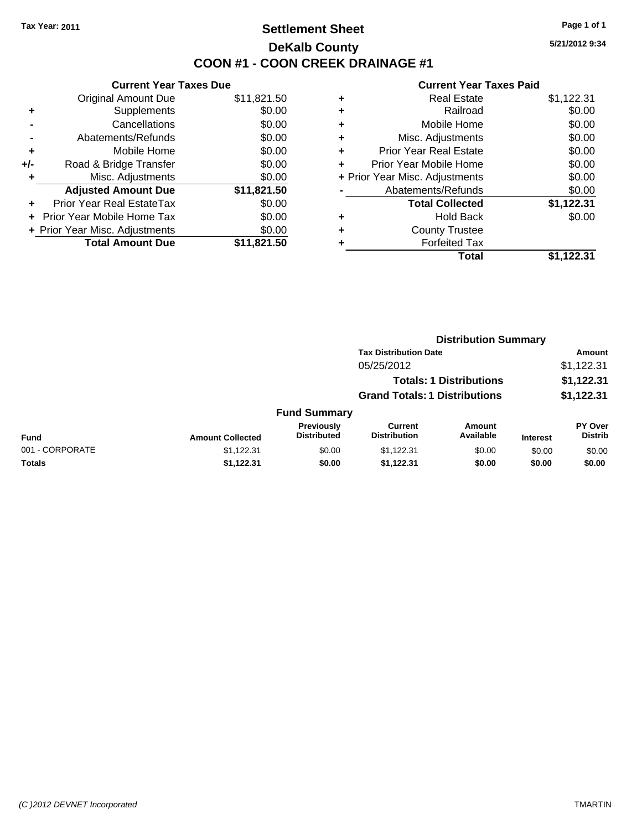## **Settlement Sheet Tax Year: 2011 Page 1 of 1 DeKalb County COON #1 - COON CREEK DRAINAGE #1**

**5/21/2012 9:34**

| <b>Current Year Taxes Due</b>     |                                |  |  |  |  |
|-----------------------------------|--------------------------------|--|--|--|--|
| <b>Original Amount Due</b>        | \$11,821.50                    |  |  |  |  |
| Supplements                       | \$0.00                         |  |  |  |  |
| Cancellations                     | \$0.00                         |  |  |  |  |
| Abatements/Refunds                | \$0.00                         |  |  |  |  |
| Mobile Home                       | \$0.00                         |  |  |  |  |
| Road & Bridge Transfer            | \$0.00                         |  |  |  |  |
| Misc. Adjustments                 | \$0.00                         |  |  |  |  |
| <b>Adjusted Amount Due</b>        | \$11,821.50                    |  |  |  |  |
| Prior Year Real EstateTax         | \$0.00                         |  |  |  |  |
| <b>Prior Year Mobile Home Tax</b> | \$0.00                         |  |  |  |  |
|                                   | \$0.00                         |  |  |  |  |
| <b>Total Amount Due</b>           | \$11.821.50                    |  |  |  |  |
|                                   | + Prior Year Misc. Adjustments |  |  |  |  |

| ٠                              | <b>Real Estate</b>            | \$1,122.31 |
|--------------------------------|-------------------------------|------------|
| ٠                              | Railroad                      | \$0.00     |
| ٠                              | Mobile Home                   | \$0.00     |
| ٠                              | Misc. Adjustments             | \$0.00     |
| ٠                              | <b>Prior Year Real Estate</b> | \$0.00     |
| ٠                              | Prior Year Mobile Home        | \$0.00     |
| + Prior Year Misc. Adjustments |                               | \$0.00     |
|                                | Abatements/Refunds            | \$0.00     |
|                                | <b>Total Collected</b>        | \$1,122.31 |
| ٠                              | <b>Hold Back</b>              | \$0.00     |
| ٠                              | <b>County Trustee</b>         |            |
| ٠                              | <b>Forfeited Tax</b>          |            |
|                                | Total                         | \$1,122.31 |
|                                |                               |            |

|                 | <b>Distribution Summary</b> |                                      |                                |                     |                 |                           |  |
|-----------------|-----------------------------|--------------------------------------|--------------------------------|---------------------|-----------------|---------------------------|--|
|                 |                             |                                      | <b>Tax Distribution Date</b>   |                     |                 | Amount                    |  |
|                 |                             |                                      | 05/25/2012                     |                     |                 | \$1,122.31                |  |
|                 |                             |                                      | <b>Totals: 1 Distributions</b> |                     |                 | \$1,122.31                |  |
|                 |                             | <b>Grand Totals: 1 Distributions</b> |                                |                     | \$1,122.31      |                           |  |
|                 |                             | <b>Fund Summary</b>                  |                                |                     |                 |                           |  |
| <b>Fund</b>     | <b>Amount Collected</b>     | Previously<br><b>Distributed</b>     | Current<br><b>Distribution</b> | Amount<br>Available | <b>Interest</b> | PY Over<br><b>Distrib</b> |  |
| 001 - CORPORATE | \$1,122.31                  | \$0.00                               | \$1,122.31                     | \$0.00              | \$0.00          | \$0.00                    |  |
| Totals          | \$1,122.31                  | \$0.00                               | \$1,122.31                     | \$0.00              | \$0.00          | \$0.00                    |  |
|                 |                             |                                      |                                |                     |                 |                           |  |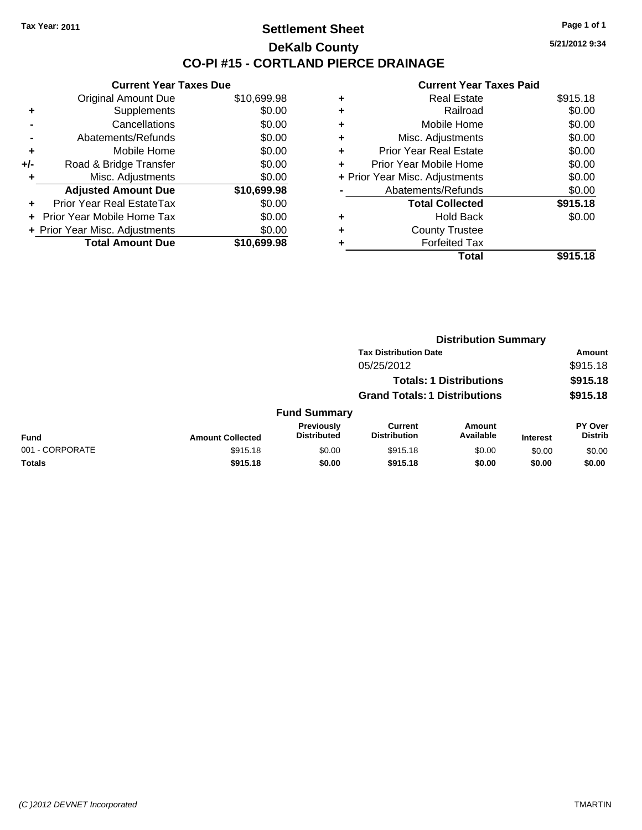## **Settlement Sheet Tax Year: 2011 Page 1 of 1 DeKalb County CO-PI #15 - CORTLAND PIERCE DRAINAGE**

**5/21/2012 9:34**

|     | <b>Current Year Taxes Due</b>     |             |  |  |  |
|-----|-----------------------------------|-------------|--|--|--|
|     | <b>Original Amount Due</b>        | \$10,699.98 |  |  |  |
| ٠   | Supplements                       | \$0.00      |  |  |  |
|     | Cancellations                     | \$0.00      |  |  |  |
|     | Abatements/Refunds                | \$0.00      |  |  |  |
| ٠   | Mobile Home                       | \$0.00      |  |  |  |
| +/- | Road & Bridge Transfer            | \$0.00      |  |  |  |
| ٠   | Misc. Adjustments                 | \$0.00      |  |  |  |
|     | <b>Adjusted Amount Due</b>        | \$10,699.98 |  |  |  |
| ٠   | Prior Year Real EstateTax         | \$0.00      |  |  |  |
|     | <b>Prior Year Mobile Home Tax</b> | \$0.00      |  |  |  |
|     | + Prior Year Misc. Adjustments    | \$0.00      |  |  |  |
|     | <b>Total Amount Due</b>           | \$10.699.98 |  |  |  |

| ٠ | <b>Real Estate</b>             | \$915.18 |
|---|--------------------------------|----------|
| ٠ | Railroad                       | \$0.00   |
| ٠ | Mobile Home                    | \$0.00   |
| ٠ | Misc. Adjustments              | \$0.00   |
| ٠ | <b>Prior Year Real Estate</b>  | \$0.00   |
| ٠ | Prior Year Mobile Home         | \$0.00   |
|   | + Prior Year Misc. Adjustments | \$0.00   |
|   | Abatements/Refunds             | \$0.00   |
|   | <b>Total Collected</b>         | \$915.18 |
| ٠ | Hold Back                      | \$0.00   |
| ٠ | <b>County Trustee</b>          |          |
| ٠ | <b>Forfeited Tax</b>           |          |
|   | Total                          | \$915.18 |
|   |                                |          |

|                 |                         | <b>Distribution Summary</b>      |                                       |                                |                 |                                  |
|-----------------|-------------------------|----------------------------------|---------------------------------------|--------------------------------|-----------------|----------------------------------|
|                 |                         |                                  | <b>Tax Distribution Date</b>          |                                |                 | Amount                           |
|                 |                         |                                  | 05/25/2012                            |                                |                 | \$915.18                         |
|                 |                         |                                  |                                       | <b>Totals: 1 Distributions</b> |                 | \$915.18                         |
|                 |                         |                                  | <b>Grand Totals: 1 Distributions</b>  |                                |                 | \$915.18                         |
|                 |                         | <b>Fund Summary</b>              |                                       |                                |                 |                                  |
| Fund            | <b>Amount Collected</b> | Previously<br><b>Distributed</b> | <b>Current</b><br><b>Distribution</b> | Amount<br>Available            | <b>Interest</b> | <b>PY Over</b><br><b>Distrib</b> |
| 001 - CORPORATE | \$915.18                | \$0.00                           | \$915.18                              | \$0.00                         | \$0.00          | \$0.00                           |
| Totals          | \$915.18                | \$0.00                           | \$915.18                              | \$0.00                         | \$0.00          | \$0.00                           |
|                 |                         |                                  |                                       |                                |                 |                                  |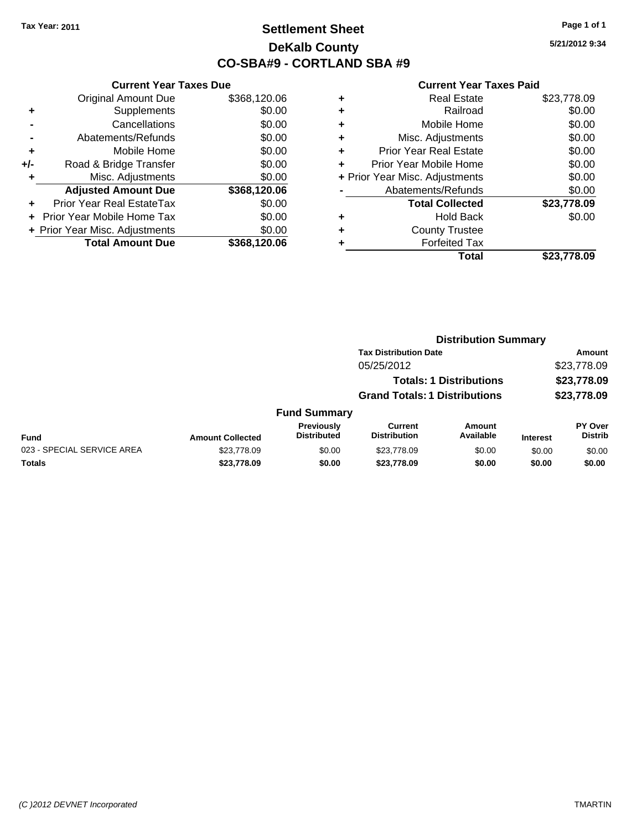## **Settlement Sheet Tax Year: 2011 Page 1 of 1 DeKalb County CO-SBA#9 - CORTLAND SBA #9**

**5/21/2012 9:34**

|     | <b>Current Year Taxes Due</b>  |              |  |  |  |
|-----|--------------------------------|--------------|--|--|--|
|     | <b>Original Amount Due</b>     | \$368,120.06 |  |  |  |
| ÷   | Supplements                    | \$0.00       |  |  |  |
|     | Cancellations                  | \$0.00       |  |  |  |
|     | Abatements/Refunds             | \$0.00       |  |  |  |
| ٠   | Mobile Home                    | \$0.00       |  |  |  |
| +/- | Road & Bridge Transfer         | \$0.00       |  |  |  |
|     | Misc. Adjustments              | \$0.00       |  |  |  |
|     | <b>Adjusted Amount Due</b>     | \$368,120.06 |  |  |  |
|     | Prior Year Real EstateTax      | \$0.00       |  |  |  |
|     | Prior Year Mobile Home Tax     | \$0.00       |  |  |  |
|     | + Prior Year Misc. Adjustments | \$0.00       |  |  |  |
|     | <b>Total Amount Due</b>        | \$368,120.06 |  |  |  |
|     |                                |              |  |  |  |

| \$23,778.09 |
|-------------|
| \$0.00      |
| \$0.00      |
| \$0.00      |
| \$0.00      |
| \$0.00      |
| \$0.00      |
| \$0.00      |
| \$23,778.09 |
| \$0.00      |
|             |
|             |
| \$23,778.09 |
|             |

|                            | <b>Distribution Summary</b> |                                         |                                       |                                |                 |                                  |  |
|----------------------------|-----------------------------|-----------------------------------------|---------------------------------------|--------------------------------|-----------------|----------------------------------|--|
|                            |                             |                                         | <b>Tax Distribution Date</b>          |                                |                 | Amount                           |  |
|                            |                             |                                         | 05/25/2012                            |                                |                 | \$23,778.09                      |  |
|                            |                             |                                         |                                       | <b>Totals: 1 Distributions</b> |                 | \$23,778.09                      |  |
|                            |                             |                                         | <b>Grand Totals: 1 Distributions</b>  |                                |                 | \$23,778.09                      |  |
|                            |                             | <b>Fund Summary</b>                     |                                       |                                |                 |                                  |  |
| Fund                       | <b>Amount Collected</b>     | <b>Previously</b><br><b>Distributed</b> | <b>Current</b><br><b>Distribution</b> | Amount<br>Available            | <b>Interest</b> | <b>PY Over</b><br><b>Distrib</b> |  |
| 023 - SPECIAL SERVICE AREA | \$23,778.09                 | \$0.00                                  | \$23,778.09                           | \$0.00                         | \$0.00          | \$0.00                           |  |
| Totals                     | \$23,778.09                 | \$0.00                                  | \$23,778.09                           | \$0.00                         | \$0.00          | \$0.00                           |  |
|                            |                             |                                         |                                       |                                |                 |                                  |  |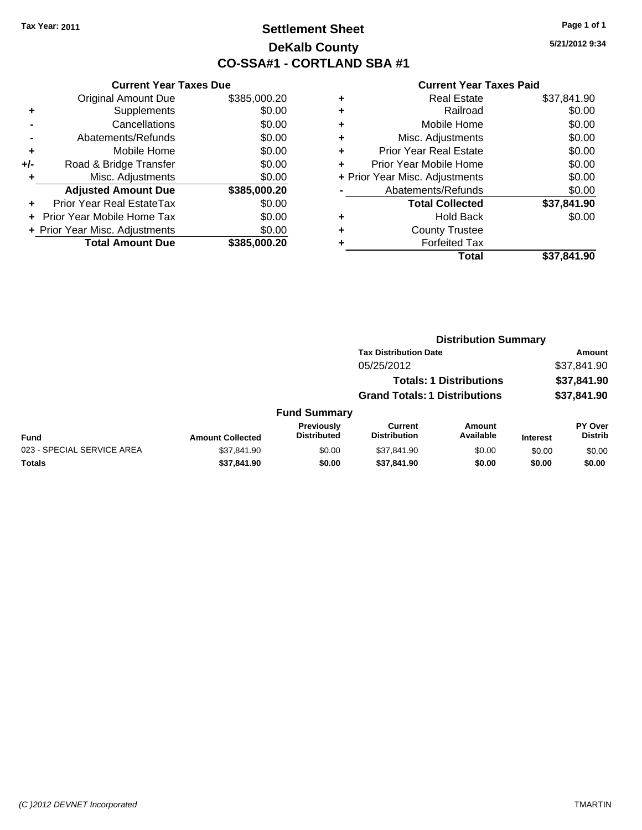## **Settlement Sheet Tax Year: 2011 Page 1 of 1 DeKalb County CO-SSA#1 - CORTLAND SBA #1**

**5/21/2012 9:34**

|       | <b>Current Year Taxes Due</b>  |              |  |  |  |
|-------|--------------------------------|--------------|--|--|--|
|       | <b>Original Amount Due</b>     | \$385,000.20 |  |  |  |
| ٠     | Supplements                    | \$0.00       |  |  |  |
|       | Cancellations                  | \$0.00       |  |  |  |
|       | Abatements/Refunds             | \$0.00       |  |  |  |
| ÷     | Mobile Home                    | \$0.00       |  |  |  |
| $+/-$ | Road & Bridge Transfer         | \$0.00       |  |  |  |
|       | Misc. Adjustments              | \$0.00       |  |  |  |
|       | <b>Adjusted Amount Due</b>     | \$385,000.20 |  |  |  |
| ÷     | Prior Year Real EstateTax      | \$0.00       |  |  |  |
|       | Prior Year Mobile Home Tax     | \$0.00       |  |  |  |
|       | + Prior Year Misc. Adjustments | \$0.00       |  |  |  |
|       | <b>Total Amount Due</b>        | \$385,000.20 |  |  |  |
|       |                                |              |  |  |  |

| ٠ | <b>Real Estate</b>             | \$37,841.90 |
|---|--------------------------------|-------------|
| ٠ | Railroad                       | \$0.00      |
| ٠ | Mobile Home                    | \$0.00      |
| ٠ | Misc. Adjustments              | \$0.00      |
| ÷ | <b>Prior Year Real Estate</b>  | \$0.00      |
| ٠ | Prior Year Mobile Home         | \$0.00      |
|   | + Prior Year Misc. Adjustments | \$0.00      |
|   | Abatements/Refunds             | \$0.00      |
|   | <b>Total Collected</b>         | \$37,841.90 |
| ٠ | <b>Hold Back</b>               | \$0.00      |
| ٠ | <b>County Trustee</b>          |             |
| ٠ | <b>Forfeited Tax</b>           |             |
|   | Total                          | \$37,841.90 |
|   |                                |             |

|                            |                         | <b>Distribution Summary</b>             |                                       |                                |                 |                                  |  |
|----------------------------|-------------------------|-----------------------------------------|---------------------------------------|--------------------------------|-----------------|----------------------------------|--|
|                            |                         |                                         | <b>Tax Distribution Date</b>          |                                |                 | Amount                           |  |
|                            |                         |                                         | 05/25/2012                            |                                |                 | \$37,841.90                      |  |
|                            |                         |                                         |                                       | <b>Totals: 1 Distributions</b> |                 | \$37,841.90                      |  |
|                            |                         |                                         | <b>Grand Totals: 1 Distributions</b>  |                                |                 | \$37,841.90                      |  |
|                            |                         | <b>Fund Summary</b>                     |                                       |                                |                 |                                  |  |
| Fund                       | <b>Amount Collected</b> | <b>Previously</b><br><b>Distributed</b> | <b>Current</b><br><b>Distribution</b> | <b>Amount</b><br>Available     | <b>Interest</b> | <b>PY Over</b><br><b>Distrib</b> |  |
| 023 - SPECIAL SERVICE AREA | \$37,841.90             | \$0.00                                  | \$37,841.90                           | \$0.00                         | \$0.00          | \$0.00                           |  |
| Totals                     | \$37,841.90             | \$0.00                                  | \$37,841.90                           | \$0.00                         | \$0.00          | \$0.00                           |  |
|                            |                         |                                         |                                       |                                |                 |                                  |  |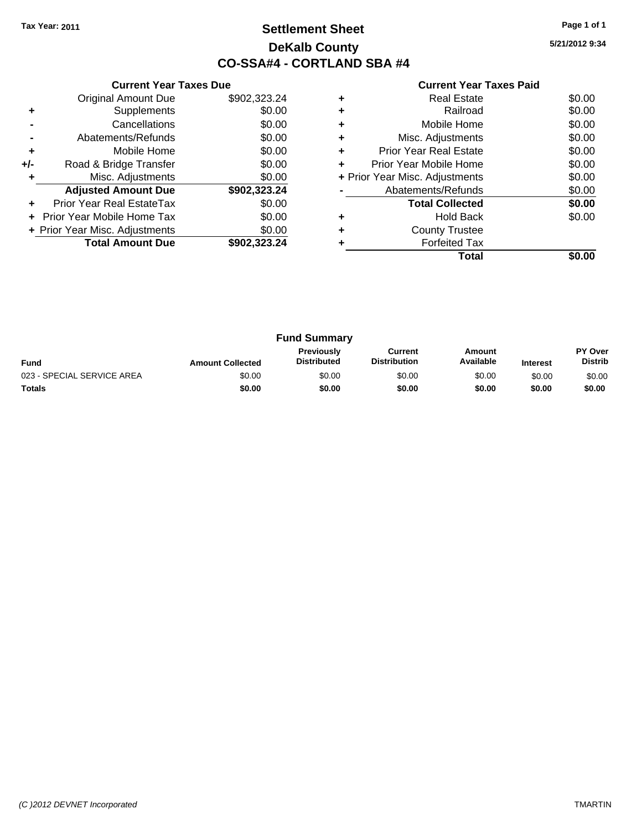## **Settlement Sheet Tax Year: 2011 Page 1 of 1 DeKalb County CO-SSA#4 - CORTLAND SBA #4**

**5/21/2012 9:34**

|     | <b>Current Year Taxes Due</b>  |              |  |  |  |
|-----|--------------------------------|--------------|--|--|--|
|     | <b>Original Amount Due</b>     | \$902,323.24 |  |  |  |
| ٠   | Supplements                    | \$0.00       |  |  |  |
|     | Cancellations                  | \$0.00       |  |  |  |
|     | Abatements/Refunds             | \$0.00       |  |  |  |
| ٠   | Mobile Home                    | \$0.00       |  |  |  |
| +/- | Road & Bridge Transfer         | \$0.00       |  |  |  |
| ٠   | Misc. Adjustments              | \$0.00       |  |  |  |
|     | <b>Adjusted Amount Due</b>     | \$902,323.24 |  |  |  |
| ٠   | Prior Year Real EstateTax      | \$0.00       |  |  |  |
|     | Prior Year Mobile Home Tax     | \$0.00       |  |  |  |
|     | + Prior Year Misc. Adjustments | \$0.00       |  |  |  |
|     | <b>Total Amount Due</b>        | \$902.323.24 |  |  |  |
|     |                                |              |  |  |  |

| ٠ | <b>Real Estate</b>             | \$0.00 |
|---|--------------------------------|--------|
|   | Railroad                       | \$0.00 |
| ٠ | Mobile Home                    | \$0.00 |
| ٠ | Misc. Adjustments              | \$0.00 |
| ÷ | <b>Prior Year Real Estate</b>  | \$0.00 |
| ÷ | Prior Year Mobile Home         | \$0.00 |
|   | + Prior Year Misc. Adjustments | \$0.00 |
|   | Abatements/Refunds             | \$0.00 |
|   | <b>Total Collected</b>         | \$0.00 |
|   | <b>Hold Back</b>               | \$0.00 |
|   | <b>County Trustee</b>          |        |
|   | <b>Forfeited Tax</b>           |        |
|   | Total                          |        |

| <b>Fund Summary</b>        |                         |                                         |                                |                     |                 |                                  |
|----------------------------|-------------------------|-----------------------------------------|--------------------------------|---------------------|-----------------|----------------------------------|
| <b>Fund</b>                | <b>Amount Collected</b> | <b>Previously</b><br><b>Distributed</b> | Current<br><b>Distribution</b> | Amount<br>Available | <b>Interest</b> | <b>PY Over</b><br><b>Distrib</b> |
| 023 - SPECIAL SERVICE AREA | \$0.00                  | \$0.00                                  | \$0.00                         | \$0.00              | \$0.00          | \$0.00                           |
| Totals                     | \$0.00                  | \$0.00                                  | \$0.00                         | \$0.00              | \$0.00          | \$0.00                           |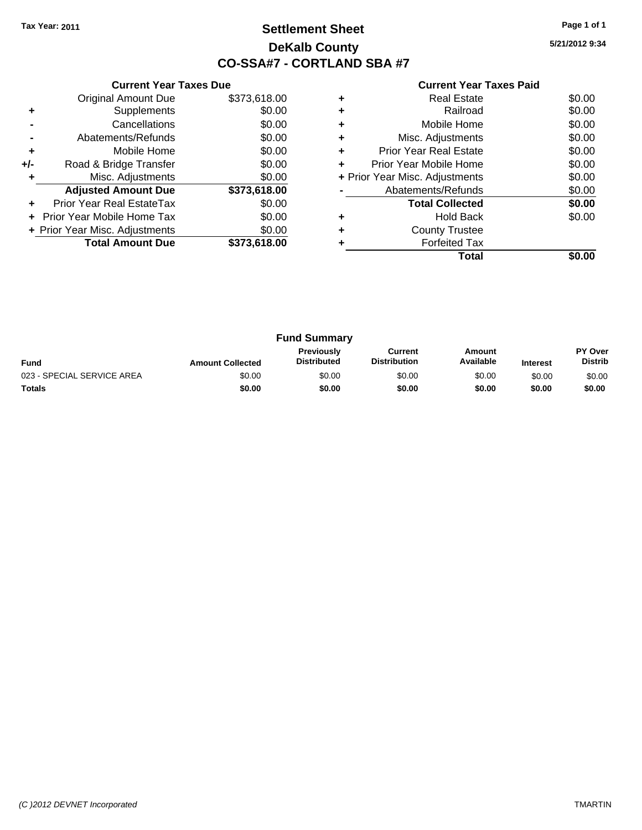## **Settlement Sheet Tax Year: 2011 Page 1 of 1 DeKalb County CO-SSA#7 - CORTLAND SBA #7**

**5/21/2012 9:34**

|     | <b>Current Year Taxes Due</b>     |              |  |  |  |
|-----|-----------------------------------|--------------|--|--|--|
|     | <b>Original Amount Due</b>        | \$373,618.00 |  |  |  |
| ٠   | Supplements                       | \$0.00       |  |  |  |
|     | Cancellations                     | \$0.00       |  |  |  |
|     | Abatements/Refunds                | \$0.00       |  |  |  |
| ٠   | Mobile Home                       | \$0.00       |  |  |  |
| +/- | Road & Bridge Transfer            | \$0.00       |  |  |  |
| ٠   | Misc. Adjustments                 | \$0.00       |  |  |  |
|     | <b>Adjusted Amount Due</b>        | \$373,618.00 |  |  |  |
|     | Prior Year Real EstateTax         | \$0.00       |  |  |  |
|     | <b>Prior Year Mobile Home Tax</b> | \$0.00       |  |  |  |
|     | + Prior Year Misc. Adjustments    | \$0.00       |  |  |  |
|     | <b>Total Amount Due</b>           | \$373,618.00 |  |  |  |
|     |                                   |              |  |  |  |

| <b>Real Estate</b>             | \$0.00 |
|--------------------------------|--------|
| Railroad                       | \$0.00 |
| Mobile Home                    | \$0.00 |
| Misc. Adjustments              | \$0.00 |
| <b>Prior Year Real Estate</b>  | \$0.00 |
| Prior Year Mobile Home         | \$0.00 |
| + Prior Year Misc. Adjustments | \$0.00 |
| Abatements/Refunds             | \$0.00 |
| <b>Total Collected</b>         | \$0.00 |
| <b>Hold Back</b>               | \$0.00 |
| <b>County Trustee</b>          |        |
| <b>Forfeited Tax</b>           |        |
| Total                          |        |
|                                |        |

| <b>Fund Summary</b>        |                         |                                         |                                |                     |                 |                                  |
|----------------------------|-------------------------|-----------------------------------------|--------------------------------|---------------------|-----------------|----------------------------------|
| Fund                       | <b>Amount Collected</b> | <b>Previously</b><br><b>Distributed</b> | Current<br><b>Distribution</b> | Amount<br>Available | <b>Interest</b> | <b>PY Over</b><br><b>Distrib</b> |
| 023 - SPECIAL SERVICE AREA | \$0.00                  | \$0.00                                  | \$0.00                         | \$0.00              | \$0.00          | \$0.00                           |
| <b>Totals</b>              | \$0.00                  | \$0.00                                  | \$0.00                         | \$0.00              | \$0.00          | \$0.00                           |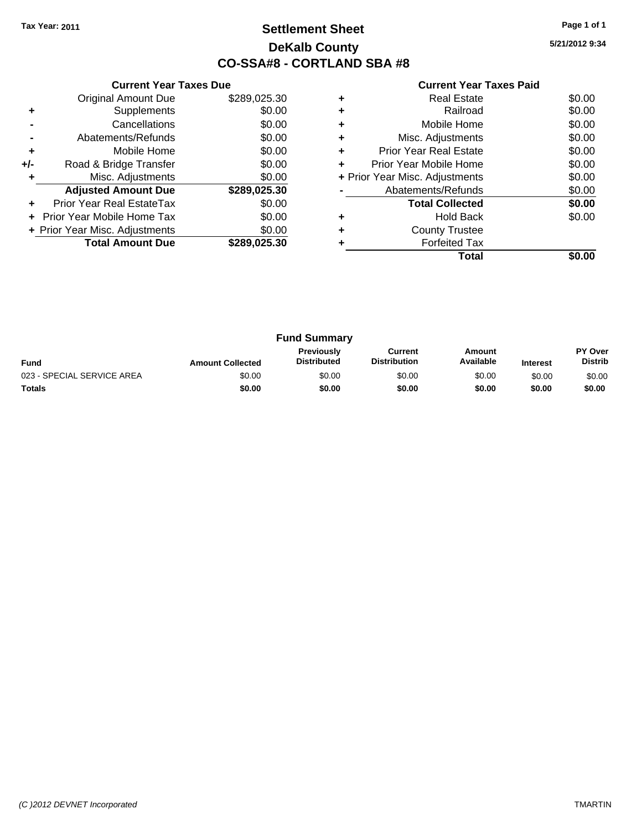## **Settlement Sheet Tax Year: 2011 Page 1 of 1 DeKalb County CO-SSA#8 - CORTLAND SBA #8**

**5/21/2012 9:34**

|     | <b>Current Year Taxes Due</b>  |              |  |  |  |
|-----|--------------------------------|--------------|--|--|--|
|     | <b>Original Amount Due</b>     | \$289,025.30 |  |  |  |
| ٠   | Supplements                    | \$0.00       |  |  |  |
|     | Cancellations                  | \$0.00       |  |  |  |
|     | Abatements/Refunds             | \$0.00       |  |  |  |
| ٠   | Mobile Home                    | \$0.00       |  |  |  |
| +/- | Road & Bridge Transfer         | \$0.00       |  |  |  |
| ٠   | Misc. Adjustments              | \$0.00       |  |  |  |
|     | <b>Adjusted Amount Due</b>     | \$289,025.30 |  |  |  |
| ٠   | Prior Year Real EstateTax      | \$0.00       |  |  |  |
|     | Prior Year Mobile Home Tax     | \$0.00       |  |  |  |
|     | + Prior Year Misc. Adjustments | \$0.00       |  |  |  |
|     | <b>Total Amount Due</b>        | \$289.025.30 |  |  |  |
|     |                                |              |  |  |  |

|   | Total                          |        |
|---|--------------------------------|--------|
|   | <b>Forfeited Tax</b>           |        |
| ٠ | <b>County Trustee</b>          |        |
|   | <b>Hold Back</b>               | \$0.00 |
|   | <b>Total Collected</b>         | \$0.00 |
|   | Abatements/Refunds             | \$0.00 |
|   | + Prior Year Misc. Adjustments | \$0.00 |
| ٠ | Prior Year Mobile Home         | \$0.00 |
| ÷ | Prior Year Real Estate         | \$0.00 |
| ٠ | Misc. Adjustments              | \$0.00 |
| ٠ | Mobile Home                    | \$0.00 |
| ٠ | Railroad                       | \$0.00 |
| ٠ | <b>Real Estate</b>             | \$0.00 |
|   |                                |        |

| <b>Fund Summary</b>        |                         |                                         |                                |                     |                 |                                  |
|----------------------------|-------------------------|-----------------------------------------|--------------------------------|---------------------|-----------------|----------------------------------|
| <b>Fund</b>                | <b>Amount Collected</b> | <b>Previously</b><br><b>Distributed</b> | Current<br><b>Distribution</b> | Amount<br>Available | <b>Interest</b> | <b>PY Over</b><br><b>Distrib</b> |
| 023 - SPECIAL SERVICE AREA | \$0.00                  | \$0.00                                  | \$0.00                         | \$0.00              | \$0.00          | \$0.00                           |
| <b>Totals</b>              | \$0.00                  | \$0.00                                  | \$0.00                         | \$0.00              | \$0.00          | \$0.00                           |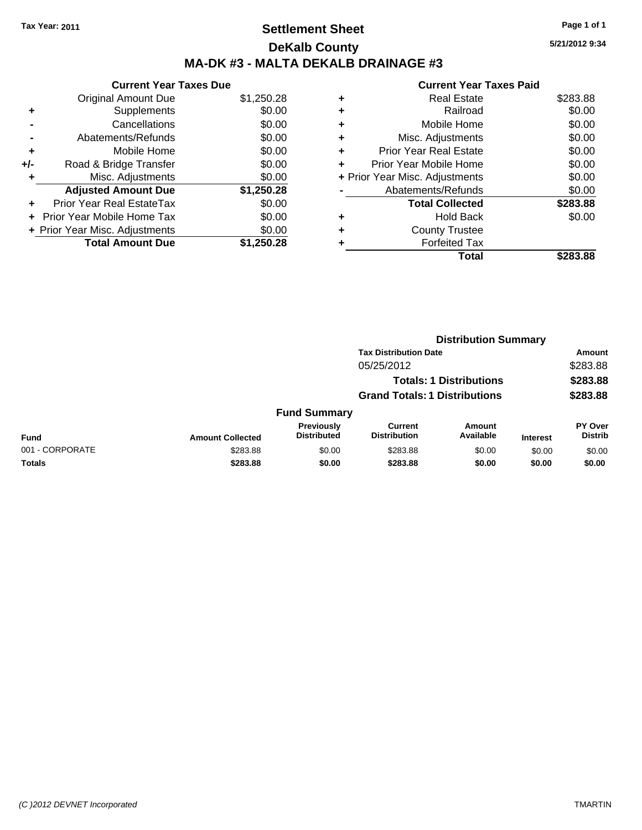## **Settlement Sheet Tax Year: 2011 Page 1 of 1 DeKalb County MA-DK #3 - MALTA DEKALB DRAINAGE #3**

|     | <b>Current Year Taxes Due</b>  |            |
|-----|--------------------------------|------------|
|     | <b>Original Amount Due</b>     | \$1,250.28 |
| ٠   | Supplements                    | \$0.00     |
|     | Cancellations                  | \$0.00     |
|     | Abatements/Refunds             | \$0.00     |
| ٠   | Mobile Home                    | \$0.00     |
| +/- | Road & Bridge Transfer         | \$0.00     |
| ٠   | Misc. Adjustments              | \$0.00     |
|     | <b>Adjusted Amount Due</b>     | \$1,250.28 |
|     | Prior Year Real EstateTax      | \$0.00     |
|     | Prior Year Mobile Home Tax     | \$0.00     |
|     | + Prior Year Misc. Adjustments | \$0.00     |
|     | <b>Total Amount Due</b>        | \$1,250.28 |

|   | <b>Current Year Taxes Paid</b> |          |
|---|--------------------------------|----------|
|   | <b>Real Estate</b>             | \$283.88 |
|   | Railroad                       | \$0.00   |
| ٠ | Mobile Home                    | \$0.00   |
|   | Misc. Adjustments              | \$0.00   |
| ٠ | <b>Prior Year Real Estate</b>  | \$0.00   |
| ÷ | Prior Year Mobile Home         | \$0.00   |
|   | + Prior Year Misc. Adjustments | \$0.00   |
|   | Abatements/Refunds             | \$0.00   |
|   | <b>Total Collected</b>         | \$283.88 |
|   | <b>Hold Back</b>               | \$0.00   |
|   | <b>County Trustee</b>          |          |
|   | <b>Forfeited Tax</b>           |          |
|   | Total                          | \$283.88 |
|   |                                |          |

|                 | <b>Distribution Summary</b>  |                                         |                                       |                                |                 |                                  |  |
|-----------------|------------------------------|-----------------------------------------|---------------------------------------|--------------------------------|-----------------|----------------------------------|--|
|                 | <b>Tax Distribution Date</b> |                                         |                                       |                                |                 | Amount                           |  |
|                 |                              |                                         | 05/25/2012                            |                                |                 | \$283.88                         |  |
|                 |                              |                                         |                                       | <b>Totals: 1 Distributions</b> |                 | \$283.88                         |  |
|                 |                              | <b>Grand Totals: 1 Distributions</b>    |                                       |                                |                 | \$283.88                         |  |
|                 |                              | <b>Fund Summary</b>                     |                                       |                                |                 |                                  |  |
| Fund            | <b>Amount Collected</b>      | <b>Previously</b><br><b>Distributed</b> | <b>Current</b><br><b>Distribution</b> | <b>Amount</b><br>Available     | <b>Interest</b> | <b>PY Over</b><br><b>Distrib</b> |  |
| 001 - CORPORATE | \$283.88                     | \$0.00                                  | \$283.88                              | \$0.00                         | \$0.00          | \$0.00                           |  |
| Totals          | \$283.88                     | \$0.00                                  | \$283.88                              | \$0.00                         | \$0.00          | \$0.00                           |  |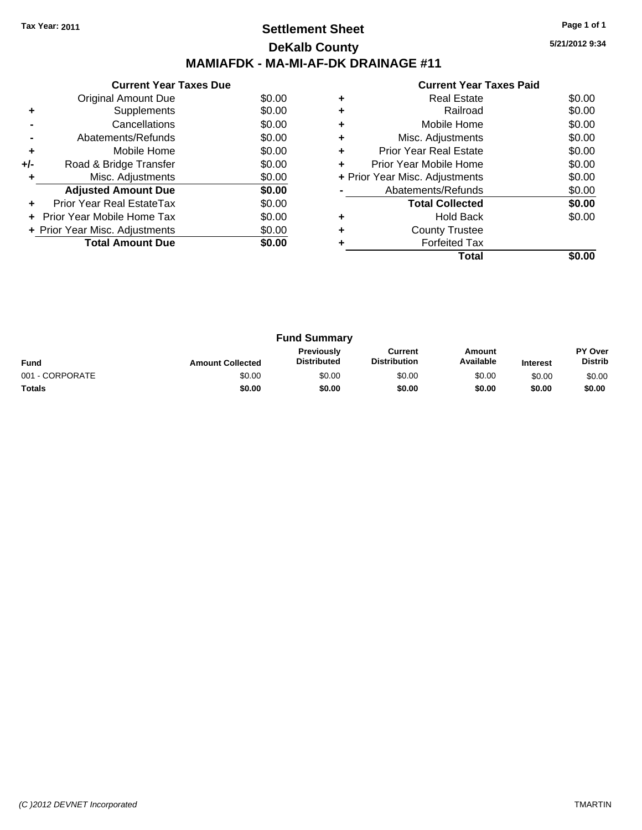## **Settlement Sheet Tax Year: 2011 Page 1 of 1 DeKalb County MAMIAFDK - MA-MI-AF-DK DRAINAGE #11**

**5/21/2012 9:34**

|     | <b>Current Year Taxes Due</b>  |        |
|-----|--------------------------------|--------|
|     | Original Amount Due            | \$0.00 |
| ٠   | Supplements                    | \$0.00 |
|     | Cancellations                  | \$0.00 |
|     | Abatements/Refunds             | \$0.00 |
| ٠   | Mobile Home                    | \$0.00 |
| +/- | Road & Bridge Transfer         | \$0.00 |
| ٠   | Misc. Adjustments              | \$0.00 |
|     | <b>Adjusted Amount Due</b>     | \$0.00 |
|     | Prior Year Real EstateTax      | \$0.00 |
|     | Prior Year Mobile Home Tax     | \$0.00 |
|     | + Prior Year Misc. Adjustments | \$0.00 |
|     | <b>Total Amount Due</b>        | \$0.00 |
|     |                                |        |

|   | Real Estate                    | \$0.00 |
|---|--------------------------------|--------|
|   | Railroad                       | \$0.00 |
| ٠ | Mobile Home                    | \$0.00 |
| ٠ | Misc. Adjustments              | \$0.00 |
| ٠ | Prior Year Real Estate         | \$0.00 |
| ÷ | Prior Year Mobile Home         | \$0.00 |
|   | + Prior Year Misc. Adjustments | \$0.00 |
|   | Abatements/Refunds             | \$0.00 |
|   | <b>Total Collected</b>         | \$0.00 |
| ٠ | <b>Hold Back</b>               | \$0.00 |
| ٠ | <b>County Trustee</b>          |        |
|   | <b>Forfeited Tax</b>           |        |
|   | Total                          |        |

| <b>Fund Summary</b> |                         |                                  |                                |                     |                 |                                  |
|---------------------|-------------------------|----------------------------------|--------------------------------|---------------------|-----------------|----------------------------------|
| <b>Fund</b>         | <b>Amount Collected</b> | Previously<br><b>Distributed</b> | Current<br><b>Distribution</b> | Amount<br>Available | <b>Interest</b> | <b>PY Over</b><br><b>Distrib</b> |
| 001 - CORPORATE     | \$0.00                  | \$0.00                           | \$0.00                         | \$0.00              | \$0.00          | \$0.00                           |
| <b>Totals</b>       | \$0.00                  | \$0.00                           | \$0.00                         | \$0.00              | \$0.00          | \$0.00                           |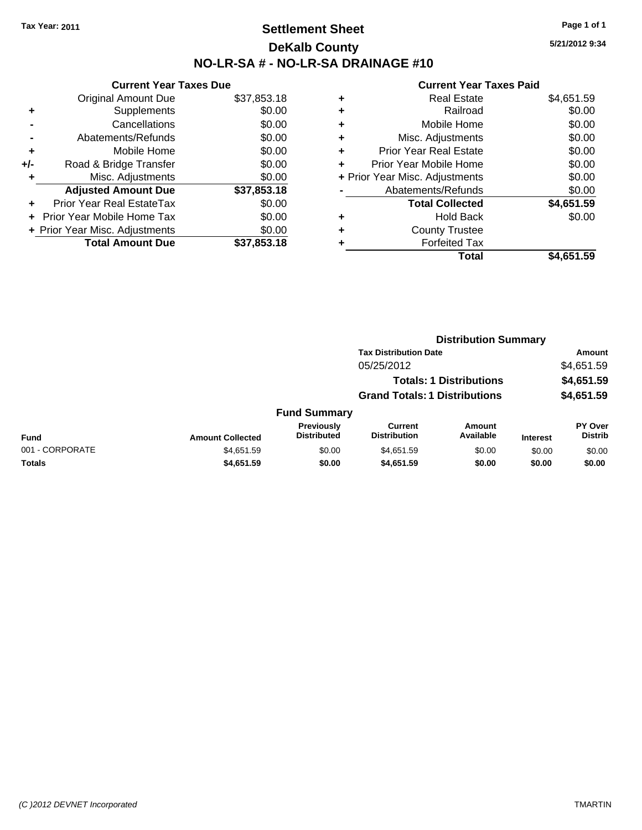## **Settlement Sheet Tax Year: 2011 Page 1 of 1 DeKalb County NO-LR-SA # - NO-LR-SA DRAINAGE #10**

**5/21/2012 9:34**

| \$37,853.18 |
|-------------|
| \$0.00      |
| \$0.00      |
| \$0.00      |
| \$0.00      |
| \$0.00      |
| \$0.00      |
| \$37,853.18 |
| \$0.00      |
| \$0.00      |
| \$0.00      |
| \$37,853.18 |
|             |

|   | Total                          | \$4,651.59 |
|---|--------------------------------|------------|
| ٠ | <b>Forfeited Tax</b>           |            |
| ٠ | <b>County Trustee</b>          |            |
| ٠ | <b>Hold Back</b>               | \$0.00     |
|   | <b>Total Collected</b>         | \$4,651.59 |
|   | Abatements/Refunds             | \$0.00     |
|   | + Prior Year Misc. Adjustments | \$0.00     |
| ٠ | Prior Year Mobile Home         | \$0.00     |
| ٠ | <b>Prior Year Real Estate</b>  | \$0.00     |
| ٠ | Misc. Adjustments              | \$0.00     |
| ٠ | Mobile Home                    | \$0.00     |
| ٠ | Railroad                       | \$0.00     |
| ٠ | <b>Real Estate</b>             | \$4,651.59 |
|   |                                |            |

|                 |                         |                                         | <b>Distribution Summary</b>           |                                |                 |                                  |
|-----------------|-------------------------|-----------------------------------------|---------------------------------------|--------------------------------|-----------------|----------------------------------|
|                 |                         |                                         | <b>Tax Distribution Date</b>          |                                |                 | Amount                           |
|                 |                         |                                         | 05/25/2012                            |                                |                 | \$4,651.59                       |
|                 |                         |                                         |                                       | <b>Totals: 1 Distributions</b> |                 | \$4,651.59                       |
|                 |                         |                                         | <b>Grand Totals: 1 Distributions</b>  |                                |                 | \$4,651.59                       |
|                 |                         | <b>Fund Summary</b>                     |                                       |                                |                 |                                  |
| Fund            | <b>Amount Collected</b> | <b>Previously</b><br><b>Distributed</b> | <b>Current</b><br><b>Distribution</b> | <b>Amount</b><br>Available     | <b>Interest</b> | <b>PY Over</b><br><b>Distrib</b> |
| 001 - CORPORATE | \$4,651.59              | \$0.00                                  | \$4,651.59                            | \$0.00                         | \$0.00          | \$0.00                           |
| Totals          | \$4,651.59              | \$0.00                                  | \$4,651.59                            | \$0.00                         | \$0.00          | \$0.00                           |
|                 |                         |                                         |                                       |                                |                 |                                  |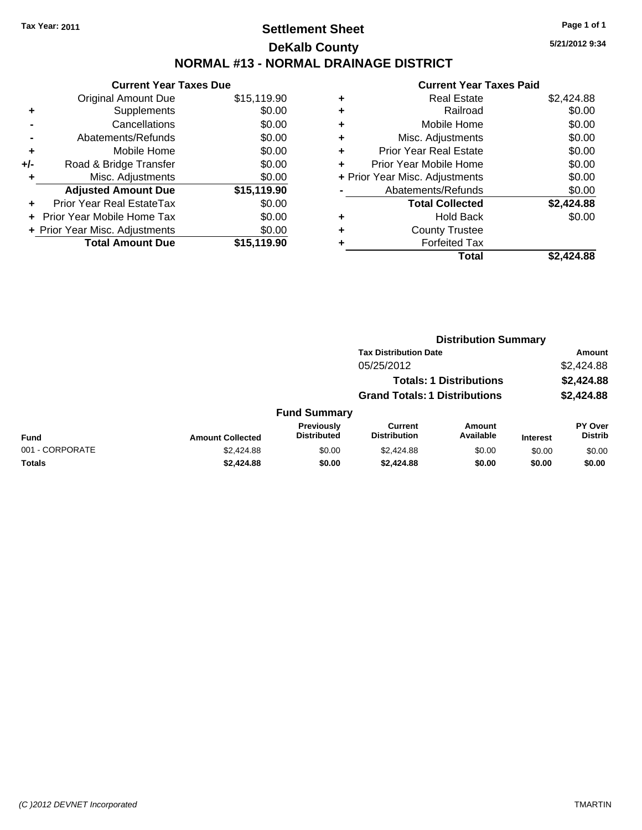## **Settlement Sheet Tax Year: 2011 Page 1 of 1 DeKalb County NORMAL #13 - NORMAL DRAINAGE DISTRICT**

|     | <b>Current Year Taxes Due</b>  |             |
|-----|--------------------------------|-------------|
|     | <b>Original Amount Due</b>     | \$15,119.90 |
| ٠   | Supplements                    | \$0.00      |
|     | Cancellations                  | \$0.00      |
|     | Abatements/Refunds             | \$0.00      |
| ÷   | Mobile Home                    | \$0.00      |
| +/- | Road & Bridge Transfer         | \$0.00      |
| ٠   | Misc. Adjustments              | \$0.00      |
|     | <b>Adjusted Amount Due</b>     | \$15,119.90 |
|     | Prior Year Real EstateTax      | \$0.00      |
|     | Prior Year Mobile Home Tax     | \$0.00      |
|     | + Prior Year Misc. Adjustments | \$0.00      |
|     | <b>Total Amount Due</b>        | \$15,119.90 |

#### **Current Year Taxes Paid +** Real Estate \$2,424.88 **+** Railroad \$0.00 **+** Mobile Home \$0.00 **+** Misc. Adjustments \$0.00 **+** Prior Year Real Estate \$0.00 **+** Prior Year Mobile Home \$0.00 **+** Prior Year Misc. Adjustments  $$0.00$ **-** Abatements/Refunds \$0.00 **Total Collected \$2,424.88 +** Hold Back \$0.00 **+** County Trustee **+** Forfeited Tax **Total \$2,424.88**

**Distribution Summary**

|                 |                         |                                  | PIJU INUUVII VUIIIIIUI V              |                                |                 |                                  |
|-----------------|-------------------------|----------------------------------|---------------------------------------|--------------------------------|-----------------|----------------------------------|
|                 |                         |                                  | <b>Tax Distribution Date</b>          |                                |                 | Amount                           |
|                 |                         |                                  | 05/25/2012                            |                                |                 | \$2,424.88                       |
|                 |                         |                                  |                                       | <b>Totals: 1 Distributions</b> |                 | \$2,424.88                       |
|                 |                         |                                  | <b>Grand Totals: 1 Distributions</b>  |                                |                 | \$2,424.88                       |
|                 |                         | <b>Fund Summary</b>              |                                       |                                |                 |                                  |
| Fund            | <b>Amount Collected</b> | Previously<br><b>Distributed</b> | <b>Current</b><br><b>Distribution</b> | <b>Amount</b><br>Available     | <b>Interest</b> | <b>PY Over</b><br><b>Distrib</b> |
| 001 - CORPORATE | \$2,424.88              | \$0.00                           | \$2,424.88                            | \$0.00                         | \$0.00          | \$0.00                           |
| Totals          | \$2,424.88              | \$0.00                           | \$2,424.88                            | \$0.00                         | \$0.00          | \$0.00                           |

**5/21/2012 9:34**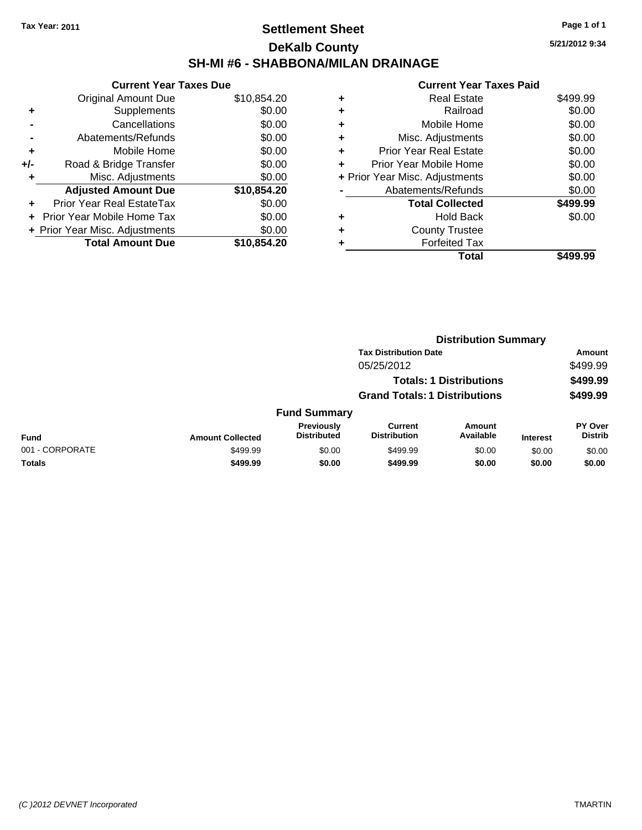## **Settlement Sheet Tax Year: 2011 Page 1 of 1 DeKalb County SH-MI #6 - SHABBONA/MILAN DRAINAGE**

**5/21/2012 9:34**

|     | <b>Current Year Taxes Due</b>  |             |
|-----|--------------------------------|-------------|
|     | Original Amount Due            | \$10,854.20 |
| ٠   | Supplements                    | \$0.00      |
|     | Cancellations                  | \$0.00      |
|     | Abatements/Refunds             | \$0.00      |
| ٠   | Mobile Home                    | \$0.00      |
| +/- | Road & Bridge Transfer         | \$0.00      |
| ٠   | Misc. Adjustments              | \$0.00      |
|     | <b>Adjusted Amount Due</b>     | \$10,854.20 |
| ÷   | Prior Year Real EstateTax      | \$0.00      |
| ÷   | Prior Year Mobile Home Tax     | \$0.00      |
|     | + Prior Year Misc. Adjustments | \$0.00      |
|     | <b>Total Amount Due</b>        | \$10.854.20 |

|   | Total                          | \$499.99 |
|---|--------------------------------|----------|
| ٠ | <b>Forfeited Tax</b>           |          |
| ٠ | <b>County Trustee</b>          |          |
| ٠ | <b>Hold Back</b>               | \$0.00   |
|   | <b>Total Collected</b>         | \$499.99 |
|   | Abatements/Refunds             | \$0.00   |
|   | + Prior Year Misc. Adjustments | \$0.00   |
| ٠ | Prior Year Mobile Home         | \$0.00   |
| ÷ | <b>Prior Year Real Estate</b>  | \$0.00   |
| ٠ | Misc. Adjustments              | \$0.00   |
| ٠ | Mobile Home                    | \$0.00   |
| ÷ | Railroad                       | \$0.00   |
| ٠ | <b>Real Estate</b>             | \$499.99 |
|   |                                |          |

|                 |                         | <b>Distribution Summary</b>      |                                       |                                |                 |                                  |
|-----------------|-------------------------|----------------------------------|---------------------------------------|--------------------------------|-----------------|----------------------------------|
|                 |                         |                                  | <b>Tax Distribution Date</b>          |                                |                 | Amount                           |
|                 |                         |                                  | 05/25/2012                            |                                |                 | \$499.99                         |
|                 |                         |                                  |                                       | <b>Totals: 1 Distributions</b> |                 | \$499.99                         |
|                 |                         |                                  | <b>Grand Totals: 1 Distributions</b>  |                                |                 | \$499.99                         |
|                 |                         | <b>Fund Summary</b>              |                                       |                                |                 |                                  |
| Fund            | <b>Amount Collected</b> | Previously<br><b>Distributed</b> | <b>Current</b><br><b>Distribution</b> | Amount<br>Available            | <b>Interest</b> | <b>PY Over</b><br><b>Distrib</b> |
| 001 - CORPORATE | \$499.99                | \$0.00                           | \$499.99                              | \$0.00                         | \$0.00          | \$0.00                           |
| Totals          | \$499.99                | \$0.00                           | \$499.99                              | \$0.00                         | \$0.00          | \$0.00                           |
|                 |                         |                                  |                                       |                                |                 |                                  |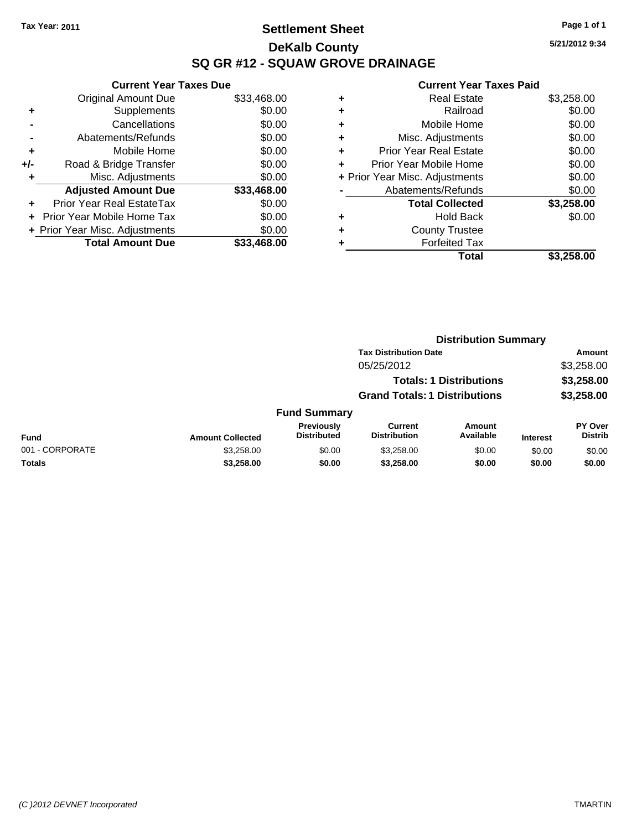## **Settlement Sheet Tax Year: 2011 Page 1 of 1 DeKalb County SQ GR #12 - SQUAW GROVE DRAINAGE**

**5/21/2012 9:34**

|     | <b>Current Year Taxes Due</b>  |             |
|-----|--------------------------------|-------------|
|     | <b>Original Amount Due</b>     | \$33,468.00 |
| ٠   | Supplements                    | \$0.00      |
|     | Cancellations                  | \$0.00      |
|     | Abatements/Refunds             | \$0.00      |
| ٠   | Mobile Home                    | \$0.00      |
| +/- | Road & Bridge Transfer         | \$0.00      |
|     | Misc. Adjustments              | \$0.00      |
|     | <b>Adjusted Amount Due</b>     | \$33,468.00 |
| ÷   | Prior Year Real EstateTax      | \$0.00      |
|     | Prior Year Mobile Home Tax     | \$0.00      |
|     | + Prior Year Misc. Adjustments | \$0.00      |
|     | <b>Total Amount Due</b>        | \$33,468,00 |
|     |                                |             |

|   | <b>Real Estate</b>             | \$3,258.00 |
|---|--------------------------------|------------|
| ٠ | Railroad                       | \$0.00     |
| ٠ | Mobile Home                    | \$0.00     |
| ٠ | Misc. Adjustments              | \$0.00     |
| ٠ | <b>Prior Year Real Estate</b>  | \$0.00     |
|   | Prior Year Mobile Home         | \$0.00     |
|   | + Prior Year Misc. Adjustments | \$0.00     |
|   | Abatements/Refunds             | \$0.00     |
|   | <b>Total Collected</b>         | \$3,258.00 |
| ٠ | <b>Hold Back</b>               | \$0.00     |
| ٠ | <b>County Trustee</b>          |            |
|   | <b>Forfeited Tax</b>           |            |
|   | Total                          | \$3,258.00 |
|   |                                |            |

|                 |                         | <b>Distribution Summary</b>             |                                       |                                |                 |                                  |
|-----------------|-------------------------|-----------------------------------------|---------------------------------------|--------------------------------|-----------------|----------------------------------|
|                 |                         |                                         | <b>Tax Distribution Date</b>          |                                |                 | Amount                           |
|                 |                         |                                         | 05/25/2012                            |                                |                 | \$3,258.00                       |
|                 |                         |                                         |                                       | <b>Totals: 1 Distributions</b> |                 | \$3,258.00                       |
|                 |                         |                                         | <b>Grand Totals: 1 Distributions</b>  |                                |                 | \$3,258.00                       |
|                 |                         | <b>Fund Summary</b>                     |                                       |                                |                 |                                  |
| Fund            | <b>Amount Collected</b> | <b>Previously</b><br><b>Distributed</b> | <b>Current</b><br><b>Distribution</b> | Amount<br>Available            | <b>Interest</b> | <b>PY Over</b><br><b>Distrib</b> |
| 001 - CORPORATE | \$3,258.00              | \$0.00                                  | \$3,258.00                            | \$0.00                         | \$0.00          | \$0.00                           |
| Totals          | \$3,258.00              | \$0.00                                  | \$3,258.00                            | \$0.00                         | \$0.00          | \$0.00                           |
|                 |                         |                                         |                                       |                                |                 |                                  |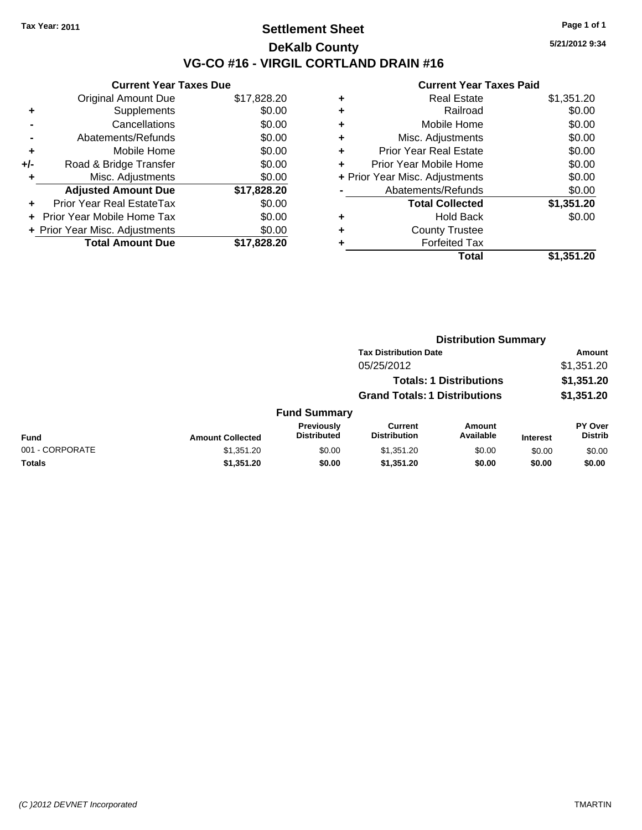## **Settlement Sheet Tax Year: 2011 Page 1 of 1 DeKalb County VG-CO #16 - VIRGIL CORTLAND DRAIN #16**

**5/21/2012 9:34**

|     | <b>Current Year Taxes Due</b>     |             |
|-----|-----------------------------------|-------------|
|     | <b>Original Amount Due</b>        | \$17,828.20 |
| ٠   | Supplements                       | \$0.00      |
|     | Cancellations                     | \$0.00      |
|     | Abatements/Refunds                | \$0.00      |
| ٠   | Mobile Home                       | \$0.00      |
| +/- | Road & Bridge Transfer            | \$0.00      |
|     | Misc. Adjustments                 | \$0.00      |
|     | <b>Adjusted Amount Due</b>        | \$17,828.20 |
| ٠   | Prior Year Real EstateTax         | \$0.00      |
|     | <b>Prior Year Mobile Home Tax</b> | \$0.00      |
|     | + Prior Year Misc. Adjustments    | \$0.00      |
|     | <b>Total Amount Due</b>           | \$17.828.20 |
|     |                                   |             |

|   | Total                          | \$1,351.20 |
|---|--------------------------------|------------|
| ٠ | <b>Forfeited Tax</b>           |            |
| ٠ | <b>County Trustee</b>          |            |
| ٠ | <b>Hold Back</b>               | \$0.00     |
|   | <b>Total Collected</b>         | \$1,351.20 |
|   | Abatements/Refunds             | \$0.00     |
|   | + Prior Year Misc. Adjustments | \$0.00     |
| ٠ | Prior Year Mobile Home         | \$0.00     |
| ÷ | <b>Prior Year Real Estate</b>  | \$0.00     |
| ٠ | Misc. Adjustments              | \$0.00     |
| ٠ | Mobile Home                    | \$0.00     |
| ٠ | Railroad                       | \$0.00     |
| ٠ | <b>Real Estate</b>             | \$1,351.20 |
|   |                                |            |

|                 | <b>Distribution Summary</b> |                                      |                                       |                     |                 |                                  |  |
|-----------------|-----------------------------|--------------------------------------|---------------------------------------|---------------------|-----------------|----------------------------------|--|
|                 |                             |                                      | <b>Tax Distribution Date</b>          |                     |                 | Amount                           |  |
|                 |                             |                                      | 05/25/2012                            |                     |                 | \$1,351.20                       |  |
|                 |                             |                                      | <b>Totals: 1 Distributions</b>        |                     |                 | \$1,351.20                       |  |
|                 |                             | <b>Grand Totals: 1 Distributions</b> |                                       |                     | \$1,351.20      |                                  |  |
|                 |                             | <b>Fund Summary</b>                  |                                       |                     |                 |                                  |  |
| <b>Fund</b>     | <b>Amount Collected</b>     | Previously<br><b>Distributed</b>     | <b>Current</b><br><b>Distribution</b> | Amount<br>Available | <b>Interest</b> | <b>PY Over</b><br><b>Distrib</b> |  |
| 001 - CORPORATE | \$1,351.20                  | \$0.00                               | \$1,351.20                            | \$0.00              | \$0.00          | \$0.00                           |  |
| Totals          | \$1,351.20                  | \$0.00                               | \$1,351.20                            | \$0.00              | \$0.00          | \$0.00                           |  |
|                 |                             |                                      |                                       |                     |                 |                                  |  |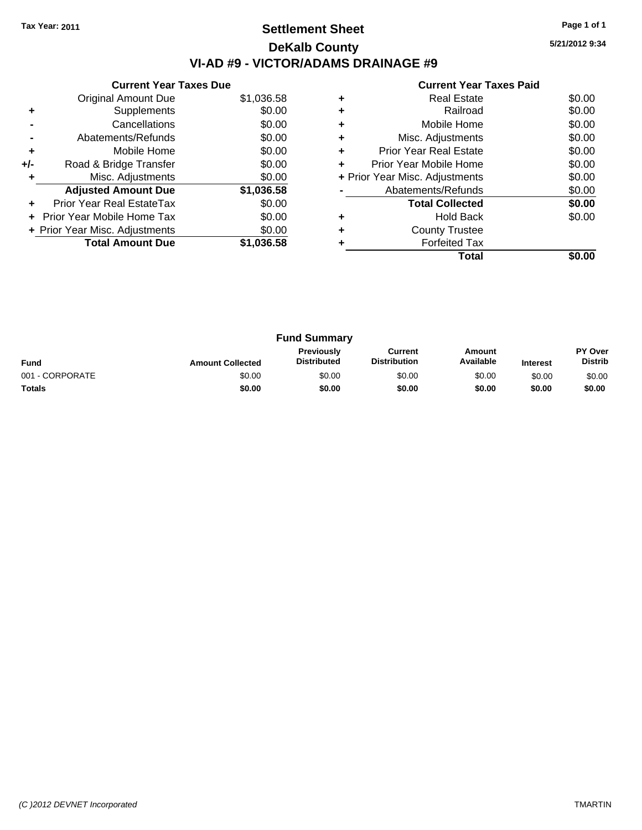## **Settlement Sheet Tax Year: 2011 Page 1 of 1 DeKalb County VI-AD #9 - VICTOR/ADAMS DRAINAGE #9**

**5/21/2012 9:34**

| <b>Current Year Taxes Paid</b> |  |  |
|--------------------------------|--|--|

|     | <b>Current Year Taxes Due</b>  |            |  |  |  |  |  |
|-----|--------------------------------|------------|--|--|--|--|--|
|     | Original Amount Due            | \$1,036.58 |  |  |  |  |  |
| ٠   | Supplements                    | \$0.00     |  |  |  |  |  |
|     | Cancellations                  | \$0.00     |  |  |  |  |  |
|     | Abatements/Refunds             | \$0.00     |  |  |  |  |  |
| ٠   | Mobile Home                    | \$0.00     |  |  |  |  |  |
| +/- | Road & Bridge Transfer         | \$0.00     |  |  |  |  |  |
|     | Misc. Adjustments              | \$0.00     |  |  |  |  |  |
|     | <b>Adjusted Amount Due</b>     | \$1,036.58 |  |  |  |  |  |
|     | Prior Year Real EstateTax      | \$0.00     |  |  |  |  |  |
|     | Prior Year Mobile Home Tax     | \$0.00     |  |  |  |  |  |
|     | + Prior Year Misc. Adjustments | \$0.00     |  |  |  |  |  |
|     | <b>Total Amount Due</b>        | \$1,036.58 |  |  |  |  |  |
|     |                                |            |  |  |  |  |  |

| ٠ | <b>Real Estate</b>             | \$0.00 |
|---|--------------------------------|--------|
| ٠ | Railroad                       | \$0.00 |
| ٠ | Mobile Home                    | \$0.00 |
| ٠ | Misc. Adjustments              | \$0.00 |
| ٠ | <b>Prior Year Real Estate</b>  | \$0.00 |
| ÷ | Prior Year Mobile Home         | \$0.00 |
|   | + Prior Year Misc. Adjustments | \$0.00 |
|   | Abatements/Refunds             | \$0.00 |
|   | <b>Total Collected</b>         | \$0.00 |
|   | Hold Back                      | \$0.00 |
| ÷ | <b>County Trustee</b>          |        |
|   | <b>Forfeited Tax</b>           |        |
|   | Total                          |        |

| <b>Fund Summary</b> |                         |                                         |                                |                     |                 |                                  |
|---------------------|-------------------------|-----------------------------------------|--------------------------------|---------------------|-----------------|----------------------------------|
| <b>Fund</b>         | <b>Amount Collected</b> | <b>Previously</b><br><b>Distributed</b> | Current<br><b>Distribution</b> | Amount<br>Available | <b>Interest</b> | <b>PY Over</b><br><b>Distrib</b> |
| 001 - CORPORATE     | \$0.00                  | \$0.00                                  | \$0.00                         | \$0.00              | \$0.00          | \$0.00                           |
| <b>Totals</b>       | \$0.00                  | \$0.00                                  | \$0.00                         | \$0.00              | \$0.00          | \$0.00                           |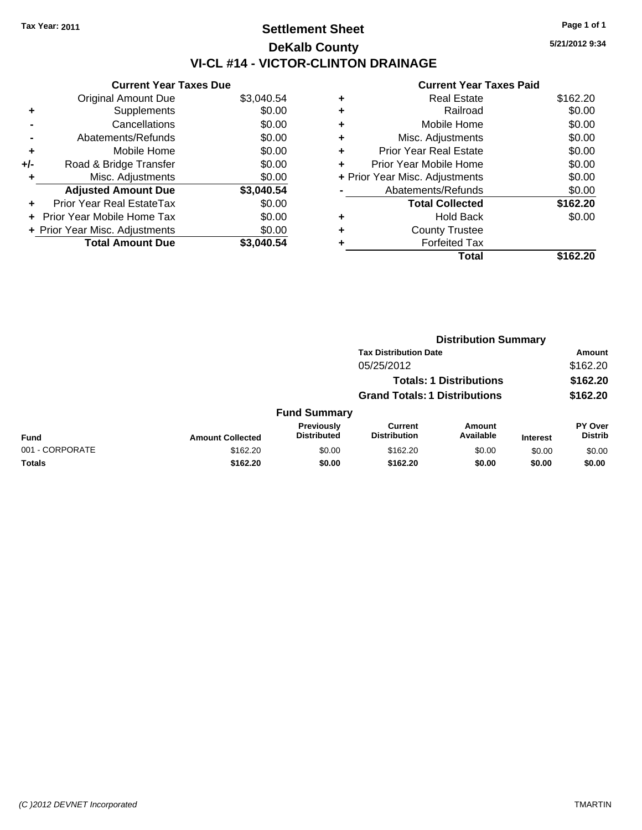## **Settlement Sheet Tax Year: 2011 Page 1 of 1 DeKalb County VI-CL #14 - VICTOR-CLINTON DRAINAGE**

**5/21/2012 9:34**

|     | <b>Current Year Taxes Due</b>  |            |
|-----|--------------------------------|------------|
|     | <b>Original Amount Due</b>     | \$3,040.54 |
| ٠   | Supplements                    | \$0.00     |
|     | Cancellations                  | \$0.00     |
|     | Abatements/Refunds             | \$0.00     |
| ٠   | Mobile Home                    | \$0.00     |
| +/- | Road & Bridge Transfer         | \$0.00     |
|     | Misc. Adjustments              | \$0.00     |
|     | <b>Adjusted Amount Due</b>     | \$3,040.54 |
| ٠   | Prior Year Real EstateTax      | \$0.00     |
|     | Prior Year Mobile Home Tax     | \$0.00     |
|     | + Prior Year Misc. Adjustments | \$0.00     |
|     | <b>Total Amount Due</b>        | \$3.040.54 |
|     |                                |            |

| ٠ | <b>Real Estate</b>             | \$162.20 |
|---|--------------------------------|----------|
| ٠ | Railroad                       | \$0.00   |
| ٠ | Mobile Home                    | \$0.00   |
| ٠ | Misc. Adjustments              | \$0.00   |
| ٠ | Prior Year Real Estate         | \$0.00   |
|   | Prior Year Mobile Home         | \$0.00   |
|   | + Prior Year Misc. Adjustments | \$0.00   |
|   | Abatements/Refunds             | \$0.00   |
|   | <b>Total Collected</b>         | \$162.20 |
| ٠ | <b>Hold Back</b>               | \$0.00   |
| ٠ | <b>County Trustee</b>          |          |
|   | <b>Forfeited Tax</b>           |          |
|   | Total                          | \$162.20 |
|   |                                |          |

|                 |                         | <b>Distribution Summary</b>          |                                       |                                |                 |                                  |  |
|-----------------|-------------------------|--------------------------------------|---------------------------------------|--------------------------------|-----------------|----------------------------------|--|
|                 |                         | <b>Tax Distribution Date</b>         |                                       |                                |                 | Amount                           |  |
|                 |                         |                                      | 05/25/2012                            |                                |                 | \$162.20                         |  |
|                 |                         |                                      |                                       | <b>Totals: 1 Distributions</b> |                 | \$162.20                         |  |
|                 |                         | <b>Grand Totals: 1 Distributions</b> |                                       |                                | \$162.20        |                                  |  |
|                 |                         | <b>Fund Summary</b>                  |                                       |                                |                 |                                  |  |
| <b>Fund</b>     | <b>Amount Collected</b> | Previously<br><b>Distributed</b>     | <b>Current</b><br><b>Distribution</b> | Amount<br>Available            | <b>Interest</b> | <b>PY Over</b><br><b>Distrib</b> |  |
| 001 - CORPORATE | \$162.20                | \$0.00                               | \$162.20                              | \$0.00                         | \$0.00          | \$0.00                           |  |
| Totals          | \$162.20                | \$0.00                               | \$162.20                              | \$0.00                         | \$0.00          | \$0.00                           |  |
|                 |                         |                                      |                                       |                                |                 |                                  |  |